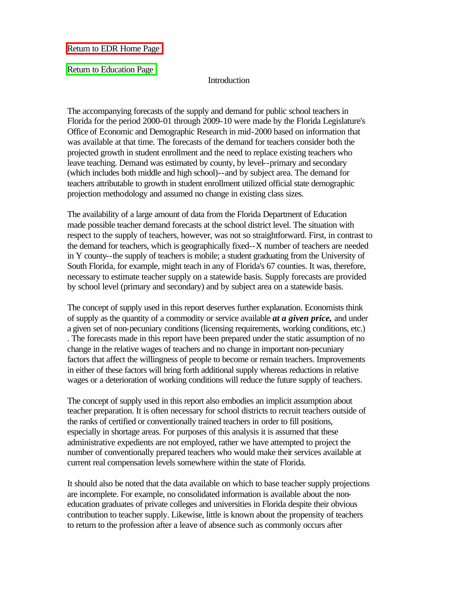[Return to EDR Home Page](http://www.state.fl.us/edr/index.html)

[Return to Education Page](http://www.state.fl.us/edr/Conferences/Education/education.htm)

#### **Introduction**

The accompanying forecasts of the supply and demand for public school teachers in Florida for the period 2000-01 through 2009-10 were made by the Florida Legislature's Office of Economic and Demographic Research in mid-2000 based on information that was available at that time. The forecasts of the demand for teachers consider both the projected growth in student enrollment and the need to replace existing teachers who leave teaching. Demand was estimated by county, by level--primary and secondary (which includes both middle and high school)--and by subject area. The demand for teachers attributable to growth in student enrollment utilized official state demographic projection methodology and assumed no change in existing class sizes.

The availability of a large amount of data from the Florida Department of Education made possible teacher demand forecasts at the school district level. The situation with respect to the supply of teachers, however, was not so straightforward. First, in contrast to the demand for teachers, which is geographically fixed--X number of teachers are needed in Y county--the supply of teachers is mobile; a student graduating from the University of South Florida, for example, might teach in any of Florida's 67 counties. It was, therefore, necessary to estimate teacher supply on a statewide basis. Supply forecasts are provided by school level (primary and secondary) and by subject area on a statewide basis.

The concept of supply used in this report deserves further explanation. Economists think of supply as the quantity of a commodity or service available *at a given price,* and under a given set of non-pecuniary conditions (licensing requirements, working conditions, etc.) . The forecasts made in this report have been prepared under the static assumption of no change in the relative wages of teachers and no change in important non-pecuniary factors that affect the willingness of people to become or remain teachers. Improvements in either of these factors will bring forth additional supply whereas reductions in relative wages or a deterioration of working conditions will reduce the future supply of teachers.

The concept of supply used in this report also embodies an implicit assumption about teacher preparation. It is often necessary for school districts to recruit teachers outside of the ranks of certified or conventionally trained teachers in order to fill positions, especially in shortage areas. For purposes of this analysis it is assumed that these administrative expedients are not employed, rather we have attempted to project the number of conventionally prepared teachers who would make their services available at current real compensation levels somewhere within the state of Florida.

It should also be noted that the data available on which to base teacher supply projections are incomplete. For example, no consolidated information is available about the noneducation graduates of private colleges and universities in Florida despite their obvious contribution to teacher supply. Likewise, little is known about the propensity of teachers to return to the profession after a leave of absence such as commonly occurs after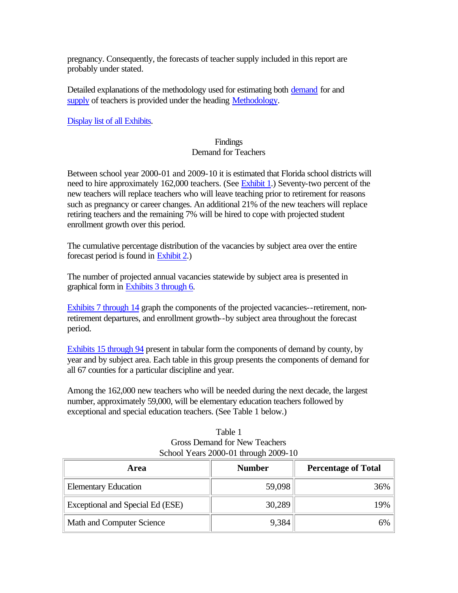pregnancy. Consequently, the forecasts of teacher supply included in this report are probably under stated.

Detailed explanations of the methodology used for estimating both [demand](#page-11-0) for and [supply](#page-22-0) of teachers is provided under the heading [Methodology.](#page-5-0)

[Display list of all Exhibits.](#page-5-0) 

### Findings Demand for Teachers

Between school year 2000-01 and 2009-10 it is estimated that Florida school districts will need to hire approximately 162,000 teachers. (See [Exhibit 1.](#page-29-0)) Seventy-two percent of the new teachers will replace teachers who will leave teaching prior to retirement for reasons such as pregnancy or career changes. An additional 21% of the new teachers will replace retiring teachers and the remaining 7% will be hired to cope with projected student enrollment growth over this period.

The cumulative percentage distribution of the vacancies by subject area over the entire forecast period is found in [Exhibit 2.\)](#page-30-0) 

The number of projected annual vacancies statewide by subject area is presented in graphical form in [Exhibits 3 through 6.](#page-5-0) 

[Exhibits 7 through 14 g](#page-5-0)raph the components of the projected vacancies--retirement, nonretirement departures, and enrollment growth--by subject area throughout the forecast period.

[Exhibits 15 through 94 p](#page-5-0)resent in tabular form the components of demand by county, by year and by subject area. Each table in this group presents the components of demand for all 67 counties for a particular discipline and year.

Among the 162,000 new teachers who will be needed during the next decade, the largest number, approximately 59,000, will be elementary education teachers followed by exceptional and special education teachers. (See Table 1 below.)

| Table 1                              |
|--------------------------------------|
| Gross Demand for New Teachers        |
| School Years 2000-01 through 2009-10 |

| Area                             | <b>Number</b> | <b>Percentage of Total</b> |
|----------------------------------|---------------|----------------------------|
| <b>Elementary Education</b>      | 59,098        | 36%                        |
| Exceptional and Special Ed (ESE) | 30,289        | 19%                        |
| Math and Computer Science        | 9,384         | 6%                         |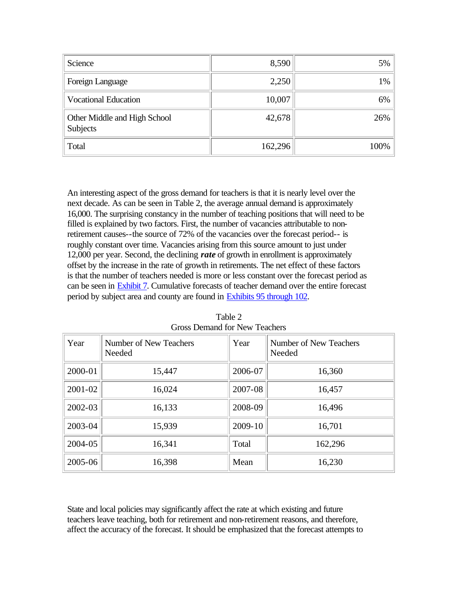| Science                                  | 8,590   | 5%   |
|------------------------------------------|---------|------|
| Foreign Language                         | 2,250   | 1%   |
| <b>Vocational Education</b>              | 10,007  | 6%   |
| Other Middle and High School<br>Subjects | 42,678  | 26%  |
| Total                                    | 162,296 | 100% |

An interesting aspect of the gross demand for teachers is that it is nearly level over the next decade. As can be seen in Table 2, the average annual demand is approximately 16,000. The surprising constancy in the number of teaching positions that will need to be filled is explained by two factors. First, the number of vacancies attributable to nonretirement causes--the source of 72% of the vacancies over the forecast period-- is roughly constant over time. Vacancies arising from this source amount to just under 12,000 per year. Second, the declining *rate* of growth in enrollment is approximately offset by the increase in the rate of growth in retirements. The net effect of these factors is that the number of teachers needed is more or less constant over the forecast period as can be seen in [Exhibit 7. C](#page-35-0)umulative forecasts of teacher demand over the entire forecast period by subject area and county are found in [Exhibits 95 through 102.](#page-9-0) 

| Year    | Number of New Teachers<br>Needed | Year    | <b>Number of New Teachers</b><br>Needed |
|---------|----------------------------------|---------|-----------------------------------------|
| 2000-01 | 15,447                           | 2006-07 | 16,360                                  |
| 2001-02 | 16,024                           | 2007-08 | 16,457                                  |
| 2002-03 | 16,133                           | 2008-09 | 16,496                                  |
| 2003-04 | 15,939                           | 2009-10 | 16,701                                  |
| 2004-05 | 16,341                           | Total   | 162,296                                 |
| 2005-06 | 16,398                           | Mean    | 16,230                                  |

Table 2 Gross Demand for New Teachers

State and local policies may significantly affect the rate at which existing and future teachers leave teaching, both for retirement and non-retirement reasons, and therefore, affect the accuracy of the forecast. It should be emphasized that the forecast attempts to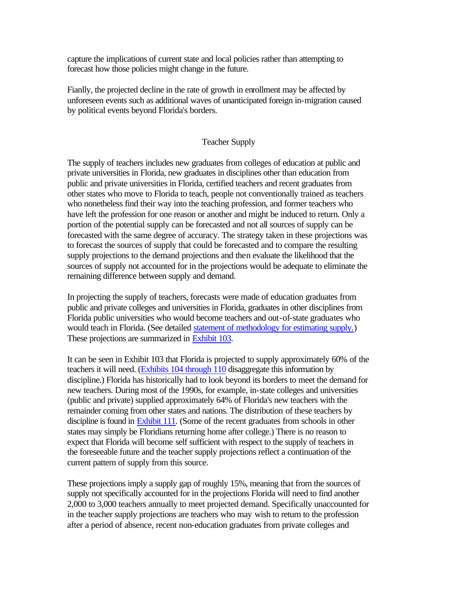capture the implications of current state and local policies rather than attempting to forecast how those policies might change in the future.

Fianlly, the projected decline in the rate of growth in enrollment may be affected by unforeseen events such as additional waves of unanticipated foreign in-migration caused by political events beyond Florida's borders.

#### Teacher Supply

The supply of teachers includes new graduates from colleges of education at public and private universities in Florida, new graduates in disciplines other than education from public and private universities in Florida, certified teachers and recent graduates from other states who move to Florida to teach, people not conventionally trained as teachers who nonetheless find their way into the teaching profession, and former teachers who have left the profession for one reason or another and might be induced to return. Only a portion of the potential supply can be forecasted and not all sources of supply can be forecasted with the same degree of accuracy. The strategy taken in these projections was to forecast the sources of supply that could be forecasted and to compare the resulting supply projections to the demand projections and then evaluate the likelihood that the sources of supply not accounted for in the projections would be adequate to eliminate the remaining difference between supply and demand.

In projecting the supply of teachers, forecasts were made of education graduates from public and private colleges and universities in Florida, graduates in other disciplines from Florida public universities who would become teachers and out-of-state graduates who would teach in Florida. (See detailed [statement of methodology for estimating supply.\)](#page-22-0)  These projections are summarized i[n Exhibit 103.](#page-131-0) 

It can be seen in Exhibit 103 that Florida is projected to supply approximately 60% of the teachers it will need. [\(Exhibits 104 through 110](#page-9-0) disaggregate this information by discipline.) Florida has historically had to look beyond its borders to meet the demand for new teachers. During most of the 1990s, for example, in-state colleges and universities (public and private) supplied approximately 64% of Florida's new teachers with the remainder coming from other states and nations. The distribution of these teachers by discipline is found i[n Exhibit 111. \(S](#page-139-0)ome of the recent graduates from schools in other states may simply be Floridians returning home after college.) There is no reason to expect that Florida will become self sufficient with respect to the supply of teachers in the foreseeable future and the teacher supply projections reflect a continuation of the current pattern of supply from this source.

These projections imply a supply gap of roughly 15%, meaning that from the sources of supply not specifically accounted for in the projections Florida will need to find another 2,000 to 3,000 teachers annually to meet projected demand. Specifically unaccounted for in the teacher supply projections are teachers who may wish to return to the profession after a period of absence, recent non-education graduates from private colleges and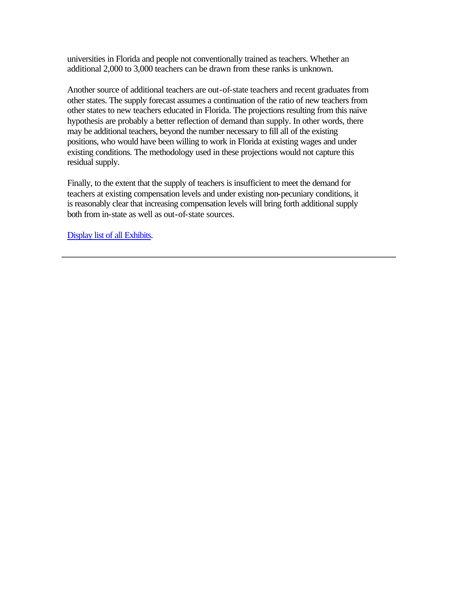universities in Florida and people not conventionally trained as teachers. Whether an additional 2,000 to 3,000 teachers can be drawn from these ranks is unknown.

Another source of additional teachers are out-of-state teachers and recent graduates from other states. The supply forecast assumes a continuation of the ratio of new teachers from other states to new teachers educated in Florida. The projections resulting from this naive hypothesis are probably a better reflection of demand than supply. In other words, there may be additional teachers, beyond the number necessary to fill all of the existing positions, who would have been willing to work in Florida at existing wages and under existing conditions. The methodology used in these projections would not capture this residual supply.

Finally, to the extent that the supply of teachers is insufficient to meet the demand for teachers at existing compensation levels and under existing non-pecuniary conditions, it is reasonably clear that increasing compensation levels will bring forth additional supply both from in-state as well as out-of-state sources.

[Display list of all Exhibits.](#page-5-0)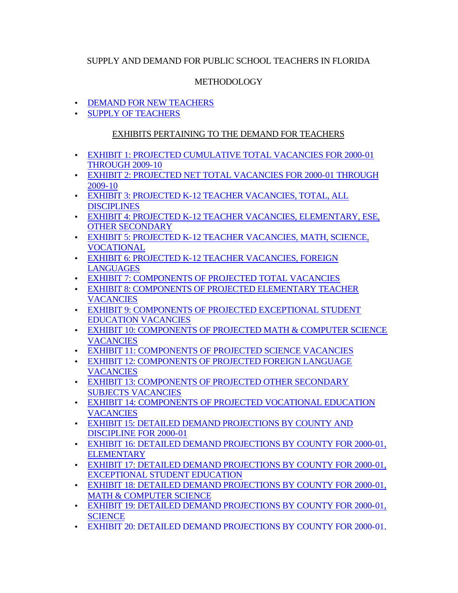## <span id="page-5-0"></span>SUPPLY AND DEMAND FOR PUBLIC SCHOOL TEACHERS IN FLORIDA

## METHODOLOGY

- [DEMAND FOR NEW TEACHERS](#page-11-0)
- [SUPPLY OF TEACHERS](#page-22-0)

## EXHIBITS PERTAINING TO THE DEMAND FOR TEACHERS

- [EXHIBIT 1: PROJECTED CUMULATIVE TOTAL VACANCIES FOR 2000-01](#page-29-0)  THROUGH 2009-10
- [EXHIBIT 2: PROJECTED NET TOTAL VACANCIES FOR 2000-01 THROUGH](#page-30-0) 2009-10
- [EXHIBIT 3: PROJECTED K-12 TEACHER VACANCIES, TOTAL, ALL](#page-31-0)  DISCIPLINES
- [EXHIBIT 4: PROJECTED K-12 TEACHER VACANCIES, ELEMENTARY, ESE,](#page-32-0)  OTHER SECONDARY
- EXHIBIT 5: PROJECTED K-12 TEACHER VACANCIES, MATH, SCIENCE, VOCATIONAL
- [EXHIBIT 6: PROJECTED K-12 TEACHER VACANCIES, FOREIGN](#page-34-0)  **LANGUAGES**
- [EXHIBIT 7: COMPONENTS OF PROJECTED TOTAL VACANCIES](#page-35-0)
- [EXHIBIT 8: COMPONENTS OF PROJECTED ELEMENTARY TEACHER](#page-36-0)  **VACANCIES**
- [EXHIBIT 9: COMPONENTS OF PROJECTED EXCEPTIONAL STUDENT](#page-37-0)  EDUCATION VACANCIES
- [EXHIBIT 10: COMPONENTS OF PROJECTED MATH & COMPUTER SCIENCE](#page-38-0)  **VACANCIES**
- [EXHIBIT 11: COMPONENTS OF PROJECTED SCIENCE VACANCIES](#page-39-0)
- [EXHIBIT 12: COMPONENTS OF PROJECTED FOREIGN LANGUAGE](#page-40-0)  **VACANCIES**
- [EXHIBIT 13: COMPONENTS OF PROJECTED OTHER SECONDARY](#page-41-0)  SUBJECTS VACANCIES
- [EXHIBIT 14: COMPONENTS OF PROJECTED VOCATIONAL EDUCATION](#page-42-0)  **VACANCIES**
- [EXHIBIT 15: DETAILED DEMAND PROJECTIONS BY COUNTY AND](#page-43-0)  DISCIPLINE FOR 2000-01
- [EXHIBIT 16: DETAILED DEMAND PROJECTIONS BY COUNTY FOR 2000-01,](#page-44-0)  **ELEMENTARY**
- [EXHIBIT 17: DETAILED DEMAND PROJECTIONS BY COUNTY FOR 2000-01,](#page-45-0)  EXCEPTIONAL STUDENT EDUCATION
- [EXHIBIT 18: DETAILED DEMAND PROJECTIONS BY COUNTY FOR 2000-01,](#page-46-0)  MATH & COMPUTER SCIENCE
- [EXHIBIT 19: DETAILED DEMAND PROJECTIONS BY COUNTY FOR 2000-01,](#page-47-0)  **SCIENCE**
- [EXHIBIT 20: DETAILED DEMAND PROJECTIONS BY COUNTY FOR 2000-01,](#page-48-0)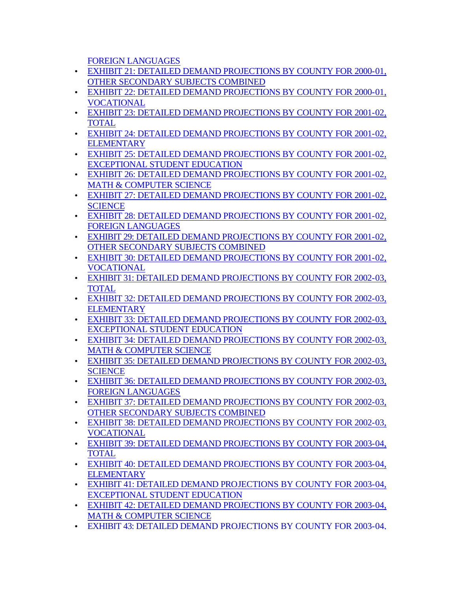[FOREIGN LANGUAGES](#page-48-0)

- EXHIBIT 21: DETAILED DEMAND PROJECTIONS BY COUNTY FOR 2000-01, OTHER SECONDARY SUBJECTS COMBINED
- [EXHIBIT 22: DETAILED DEMAND PROJECTIONS BY COUNTY FOR 2000-01,](#page-50-0)  VOCATIONAL
- [EXHIBIT 23: DETAILED DEMAND PROJECTIONS BY COUNTY FOR 2001-02,](#page-51-0)  TOTAL
- [EXHIBIT 24: DETAILED DEMAND PROJECTIONS BY COUNTY FOR 2001-02,](#page-52-0)  **ELEMENTARY**
- [EXHIBIT 25: DETAILED DEMAND PROJECTIONS BY COUNTY FOR 2001-02,](#page-53-0)  EXCEPTIONAL STUDENT EDUCATION
- [EXHIBIT 26: DETAILED DEMAND PROJECTIONS BY COUNTY FOR 2001-02,](#page-54-0)  MATH & COMPUTER SCIENCE
- [EXHIBIT 27: DETAILED DEMAND PROJECTIONS BY COUNTY FOR 2001-02,](#page-55-0)  **SCIENCE**
- [EXHIBIT 28: DETAILED DEMAND PROJECTIONS BY COUNTY FOR 2001-02,](#page-56-0)  FOREIGN LANGUAGES
- [EXHIBIT 29: DETAILED DEMAND PROJECTIONS BY COUNTY FOR 2001-02,](#page-57-0)  OTHER SECONDARY SUBJECTS COMBINED
- [EXHIBIT 30: DETAILED DEMAND PROJECTIONS BY COUNTY FOR 2001-02,](#page-58-0)  VOCATIONAL
- [EXHIBIT 31: DETAILED DEMAND PROJECTIONS BY COUNTY FOR 2002-03,](#page-59-0)  TOTAL
- [EXHIBIT 32: DETAILED DEMAND PROJECTIONS BY COUNTY FOR 2002-03,](#page-60-0)  **ELEMENTARY**
- [EXHIBIT 33: DETAILED DEMAND PROJECTIONS BY COUNTY FOR 2002-03,](#page-61-0)  EXCEPTIONAL STUDENT EDUCATION
- [EXHIBIT 34: DETAILED DEMAND PROJECTIONS BY COUNTY FOR 2002-03,](#page-62-0)  MATH & COMPUTER SCIENCE
- [EXHIBIT 35: DETAILED DEMAND PROJECTIONS BY COUNTY FOR 2002-03,](#page-63-0)  **SCIENCE**
- [EXHIBIT 36: DETAILED DEMAND PROJECTIONS BY COUNTY FOR 2002-03,](#page-64-0)  FOREIGN LANGUAGES
- [EXHIBIT 37: DETAILED DEMAND PROJECTIONS BY COUNTY FOR 2002-03,](#page-65-0)  OTHER SECONDARY SUBJECTS COMBINED
- [EXHIBIT 38: DETAILED DEMAND PROJECTIONS BY COUNTY FOR 2002-03,](#page-66-0)  VOCATIONAL
- [EXHIBIT 39: DETAILED DEMAND PROJECTIONS BY COUNTY FOR 2003-04,](#page-67-0)  TOTAL
- [EXHIBIT 40: DETAILED DEMAND PROJECTIONS BY COUNTY FOR 2003-04,](#page-68-0)  **ELEMENTARY**
- [EXHIBIT 41: DETAILED DEMAND PROJECTIONS BY COUNTY FOR 2003-04,](#page-69-0)  EXCEPTIONAL STUDENT EDUCATION
- [EXHIBIT 42: DETAILED DEMAND PROJECTIONS BY COUNTY FOR 2003-04,](#page-70-0)  MATH & COMPUTER SCIENCE
- [EXHIBIT 43: DETAILED DEMAND PROJECTIONS BY COUNTY FOR 2003-04,](#page-71-0)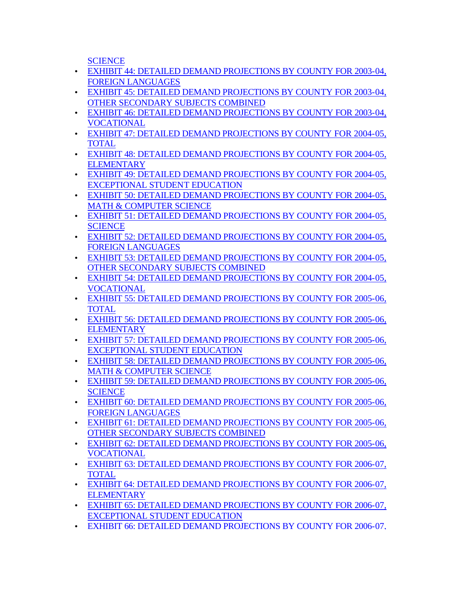**[SCIENCE](#page-71-0)** 

- [EXHIBIT 44: DETAILED DEMAND PROJECTIONS BY COUNTY FOR 2003-04,](#page-72-0)  FOREIGN LANGUAGES
- [EXHIBIT 45: DETAILED DEMAND PROJECTIONS BY COUNTY FOR 2003-04,](#page-73-0)  OTHER SECONDARY SUBJECTS COMBINED
- [EXHIBIT 46: DETAILED DEMAND PROJECTIONS BY COUNTY FOR 2003-04,](#page-74-0)  VOCATIONAL
- [EXHIBIT 47: DETAILED DEMAND PROJECTIONS BY COUNTY FOR 2004-05,](#page-75-0)  TOTAL
- [EXHIBIT 48: DETAILED DEMAND PROJECTIONS BY COUNTY FOR 2004-05,](#page-76-0)  **ELEMENTARY**
- [EXHIBIT 49: DETAILED DEMAND PROJECTIONS BY COUNTY FOR 2004-05,](#page-77-0)  EXCEPTIONAL STUDENT EDUCATION
- [EXHIBIT 50: DETAILED DEMAND PROJECTIONS BY COUNTY FOR 2004-05,](#page-78-0)  MATH & COMPUTER SCIENCE
- [EXHIBIT 51: DETAILED DEMAND PROJECTIONS BY COUNTY FOR 2004-05,](#page-79-0)  **SCIENCE**
- [EXHIBIT 52: DETAILED DEMAND PROJECTIONS BY COUNTY FOR 2004-05,](#page-80-0)  FOREIGN LANGUAGES
- [EXHIBIT 53: DETAILED DEMAND PROJECTIONS BY COUNTY FOR 2004-05,](#page-81-0)  OTHER SECONDARY SUBJECTS COMBINED
- [EXHIBIT 54: DETAILED DEMAND PROJECTIONS BY COUNTY FOR 2004-0](#page-82-0)5, VOCATIONAL
- [EXHIBIT 55: DETAILED DEMAND PROJECTIONS BY COUNTY FOR 2005-06,](#page-83-0)  TOTAL
- [EXHIBIT 56: DETAILED DEMAND PROJECTIONS BY COUNTY FOR 2005-06,](#page-84-0)  **ELEMENTARY**
- [EXHIBIT 57: DETAILED DEMAND PROJECTIONS BY COUNTY FOR 2005-06,](#page-85-0)  EXCEPTIONAL STUDENT EDUCATION
- [EXHIBIT 58: DETAILED DEMAND PROJECTIONS BY COUNTY FOR 2005-06,](#page-86-0)  MATH & COMPUTER SCIENCE
- [EXHIBIT 59: DETAILED DEMAND PROJECTIONS BY COUNTY FOR 2005-06,](#page-87-0)  **SCIENCE**
- [EXHIBIT 60: DETAILED DEMAND PROJECTIONS BY COUNTY FOR 2005-06,](#page-88-0)  FOREIGN LANGUAGES
- EXHIBIT 61: DETAILED DEMAND PROJECTIONS BY COUNTY FOR 2005-06, OTHER SECONDARY SUBJECTS COMBINED
- [EXHIBIT 62: DETAILED DEMAND PROJECTIONS BY COUNTY FOR 2005-06,](#page-90-0)  VOCATIONAL
- [EXHIBIT 63: DETAILED DEMAND PROJECTIONS BY COUNTY FOR 2006-07,](#page-91-0)  TOTAL
- [EXHIBIT 64: DETAILED DEMAND PROJECTIONS BY COUNTY FOR 2006-07,](#page-92-0)  **ELEMENTARY**
- [EXHIBIT 65: DETAILED DEMAND PROJECTIONS BY COUNTY FOR 2006-07,](#page-93-0)  EXCEPTIONAL STUDENT EDUCATION
- [EXHIBIT 66: DETAILED DEMAND PROJECTIONS BY COUNTY FOR 2006-07,](#page-94-0)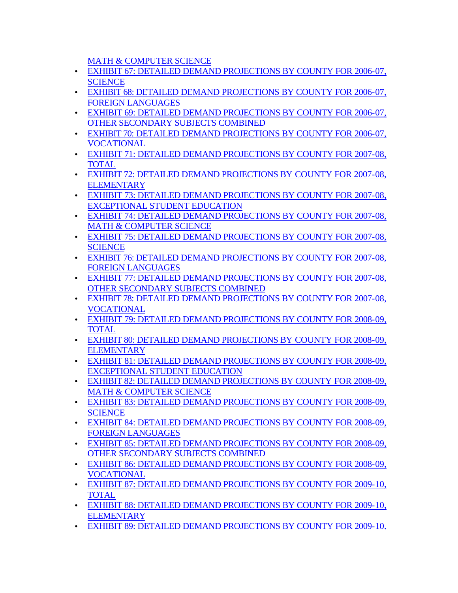[MATH & COMPUTER SCIENCE](#page-94-0)

- [EXHIBIT 67: DETAILED DEMAND PROJECTIONS BY COUNTY FOR 2006-07,](#page-95-0)  **SCIENCE**
- [EXHIBIT 68: DETAILED DEMAND PROJECTIONS BY COUNTY FOR 2006-07,](#page-96-0) FOREIGN LANGUAGES
- EXHIBIT 69: DETAILED DEMAND PROJECTIONS BY COUNTY FOR 2006-07, OTHER SECONDARY SUBJECTS COMBINED
- [EXHIBIT 70: DETAILED DEMAND PROJECTIONS BY COUNTY FOR 2006-07,](#page-98-0)  VOCATIONAL
- EXHIBIT 71: DETAILED DEMAND PROJECTIONS BY COUNTY FOR 2007-08, TOTAL
- [EXHIBIT 72: DETAILED DEMAND PROJECTIONS BY COUNTY FOR 2007-08,](#page-100-0)  **ELEMENTARY**
- [EXHIBIT 73: DETAILED DEMAND PROJECTIONS BY COUNTY FOR 2007-08,](#page-101-0)  EXCEPTIONAL STUDENT EDUCATION
- [EXHIBIT 74: DETAILED DEMAND PROJECTIONS BY COUNTY FOR 2007-08,](#page-102-0)  MATH & COMPUTER SCIENCE
- [EXHIBIT 75: DETAILED DEMAND PROJECTIONS BY COUNTY FOR 2007-08,](#page-103-0)  **SCIENCE**
- [EXHIBIT 76: DETAILED DEMAND PROJECTIONS BY COUNTY FOR 2007-08,](#page-104-0)  FOREIGN LANGUAGES
- [EXHIBIT 77: DETAILED DEMAND PROJECTIONS BY COUNTY FOR 2007-08,](#page-105-0)  OTHER SECONDARY SUBJECTS COMBINED
- [EXHIBIT 78: DETAILED DEMAND PROJECTIONS BY COUNTY FOR 2007-08,](#page-106-0)  VOCATIONAL
- [EXHIBIT 79: DETAILED DEMAND PROJECTIONS BY COUNTY FOR 2008-09,](#page-107-0)  TOTAL
- [EXHIBIT 80: DETAILED DEMAND PROJECTIONS BY COUNTY FOR 2008-09,](#page-108-0)  **ELEMENTARY**
- [EXHIBIT 81: DETAILED DEMAND PROJECTIONS BY COUNTY FOR 2008-09,](#page-109-0)  EXCEPTIONAL STUDENT EDUCATION
- [EXHIBIT 82: DETAILED DEMAND PROJECTIONS BY COUNTY FOR 2008-09,](#page-110-0)  MATH & COMPUTER SCIENCE
- [EXHIBIT 83: DETAILED DEMAND PROJECTIONS BY COUNTY FOR 2008-09,](#page-111-0) **SCIENCE**
- [EXHIBIT 84: DETAILED DEMAND PROJECTIONS BY COUNTY FOR 2008-09,](#page-112-0)  FOREIGN LANGUAGES
- [EXHIBIT 85: DETAILED DEMAND PROJECTIONS BY COUNTY FOR 2008-09,](#page-113-0)  OTHER SECONDARY SUBJECTS COMBINED
- [EXHIBIT 86: DETAILED DEMAND PROJECTIONS BY COUNTY FOR 2008-09,](#page-114-0) VOCATIONAL
- [EXHIBIT 87: DETAILED DEMAND PROJECTIONS BY COUNTY FOR 2009-10,](#page-115-0)  TOTAL
- [EXHIBIT 88: DETAILED DEMAND PROJECTIONS BY COUNTY FOR 2009-10,](#page-116-0)  **ELEMENTARY**
- [EXHIBIT 89: DETAILED DEMAND PROJECTIONS BY COUNTY FOR 2009-10,](#page-117-0)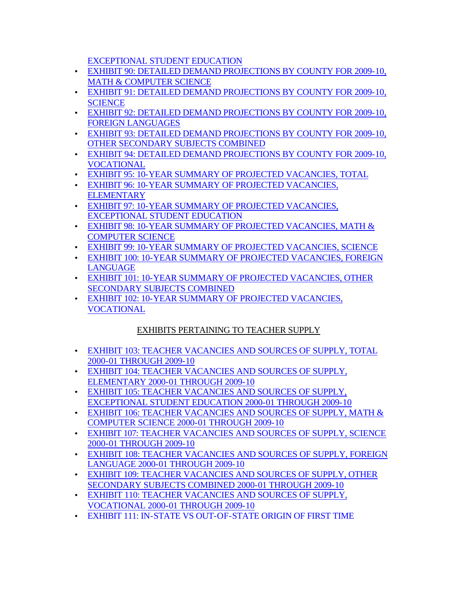[EXCEPTIONAL STUDENT EDUCATION](#page-117-0)

- <span id="page-9-0"></span>• [EXHIBIT 90: DETAILED DEMAND PROJECTIONS BY COUNTY FOR 2009-10,](#page-118-0)  MATH & COMPUTER SCIENCE
- [EXHIBIT 91: DETAILED DEMAND PROJECTIONS BY COUNTY FOR 2009-10,](#page-119-0)  **SCIENCE**
- [EXHIBIT 92: DETAILED DEMAND PROJECTIONS BY COUNTY FOR 2009-10,](#page-120-0)  FOREIGN LANGUAGES
- [EXHIBIT 93: DETAILED DEMAND PROJECTIONS BY COUNTY FOR 2009-10,](#page-121-0)  OTHER SECONDARY SUBJECTS COMBINED
- EXHIBIT 94: DETAILED DEMAND PROJECTIONS BY COUNTY FOR 2009-10, VOCATIONAL
- [EXHIBIT 95: 10-YEAR SUMMARY OF PROJECTED VACANCIES, TOTAL](#page-123-0)
- [EXHIBIT 96: 10-YEAR SUMMARY OF PROJECTED VACANCIES,](#page-124-0)  **ELEMENTARY**
- [EXHIBIT 97: 10-YEAR SUMMARY OF PROJECTED VACANCIES,](#page-125-0)  EXCEPTIONAL STUDENT EDUCATION
- EXHIBIT 98: 10-YEAR SUMMARY OF PROJECTED VACANCIES, MATH & COMPUTER SCIENCE
- [EXHIBIT 99: 10-YEAR SUMMARY OF PROJECTED VACANCIES, SCIENCE](#page-127-0)
- [EXHIBIT 100: 10-YEAR SUMMARY OF PROJECTED VACANCIES, FOREIGN](#page-128-0)  LANGUAGE
- [EXHIBIT 101: 10-YEAR SUMMARY OF PROJECTED VACANCIES, OTHER](#page-129-0)  SECONDARY SUBJECTS COMBINED
- [EXHIBIT 102: 10-YEAR SUMMARY OF PROJECTED VACANCIES,](#page-130-0)  VOCATIONAL

## EXHIBITS PERTAINING TO TEACHER SUPPLY

- [EXHIBIT 103: TEACHER VACANCIES AND SOURCES OF SUPPLY, TOTAL](#page-131-0)  2000-01 THROUGH 2009-10
- [EXHIBIT 104: TEACHER VACANCIES AND SOURCES OF SUPPLY,](#page-132-0)  ELEMENTARY 2000-01 THROUGH 2009-10
- [EXHIBIT 105: TEACHER VACANCIES AND SOURCES OF SUPPLY,](#page-133-0) EXCEPTIONAL STUDENT EDUCATION 2000-01 THROUGH 2009-10
- [EXHIBIT 106: TEACHER VACANCIES AND SOURCES OF SUPPLY, MATH &](#page-134-0)  COMPUTER SCIENCE 2000-01 THROUGH 2009-10
- [EXHIBIT 107: TEACHER VACANCIES AND SOURCES OF SUPPLY, SCIENCE](#page-135-0)  2000-01 THROUGH 2009-10
- [EXHIBIT 108: TEACHER VACANCIES AND SOURCES OF SUPPLY, FOREIGN](#page-136-0)  LANGUAGE 2000-01 THROUGH 2009-10
- [EXHIBIT 109: TEACHER VACANCIES AND SOURCES OF SUPPLY, OTHER](#page-137-0)  SECONDARY SUBJECTS COMBINED 2000-01 THROUGH 2009-10
- [EXHIBIT 110: TEACHER VACANCIES AND SOURCES OF SUPPLY,](#page-138-0)  VOCATIONAL 2000-01 THROUGH 2009-10
- [EXHIBIT 111: IN-STATE VS OUT-OF-STATE ORIGIN OF FIRST TIME](#page-139-0)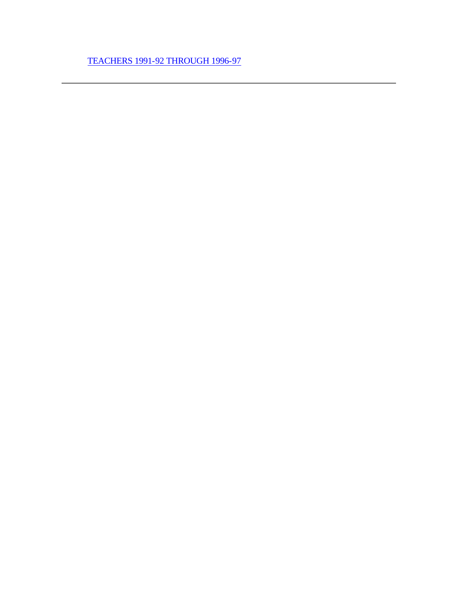[TEACHERS 1991-92 THROUGH 1996-97](#page-139-0)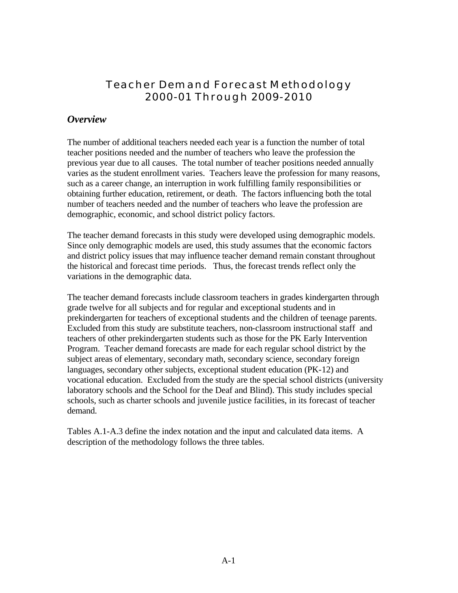## <span id="page-11-0"></span>**Teacher Demand Forecast Methodology 2000-01 Through 2009-2010**

## *Overview*

The number of additional teachers needed each year is a function the number of total teacher positions needed and the number of teachers who leave the profession the previous year due to all causes. The total number of teacher positions needed annually varies as the student enrollment varies. Teachers leave the profession for many reasons, such as a career change, an interruption in work fulfilling family responsibilities or obtaining further education, retirement, or death. The factors influencing both the total number of teachers needed and the number of teachers who leave the profession are demographic, economic, and school district policy factors.

The teacher demand forecasts in this study were developed using demographic models. Since only demographic models are used, this study assumes that the economic factors and district policy issues that may influence teacher demand remain constant throughout the historical and forecast time periods. Thus, the forecast trends reflect only the variations in the demographic data.

The teacher demand forecasts include classroom teachers in grades kindergarten through grade twelve for all subjects and for regular and exceptional students and in prekindergarten for teachers of exceptional students and the children of teenage parents. Excluded from this study are substitute teachers, non-classroom instructional staff and teachers of other prekindergarten students such as those for the PK Early Intervention Program. Teacher demand forecasts are made for each regular school district by the subject areas of elementary, secondary math, secondary science, secondary foreign languages, secondary other subjects, exceptional student education (PK-12) and vocational education. Excluded from the study are the special school districts (university laboratory schools and the School for the Deaf and Blind). This study includes special schools, such as charter schools and juvenile justice facilities, in its forecast of teacher demand.

Tables A.1-A.3 define the index notation and the input and calculated data items. A description of the methodology follows the three tables.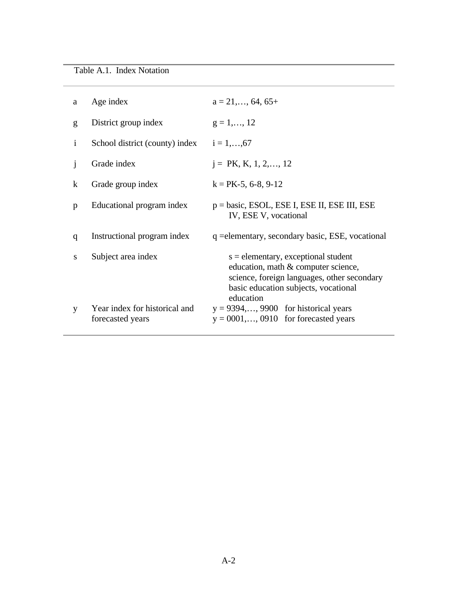| a            | Age index                                         | $a = 21, \ldots, 64, 65+$                                                                                                                                                        |
|--------------|---------------------------------------------------|----------------------------------------------------------------------------------------------------------------------------------------------------------------------------------|
| g            | District group index                              | $g = 1, \ldots, 12$                                                                                                                                                              |
| j.           | School district (county) index $i = 1,,67$        |                                                                                                                                                                                  |
| $\mathbf{1}$ | Grade index                                       | $i = PK, K, 1, 2, \ldots, 12$                                                                                                                                                    |
| $\bf k$      | Grade group index                                 | $k = PK-5, 6-8, 9-12$                                                                                                                                                            |
| p            | Educational program index                         | $p = basic$ , ESOL, ESE I, ESE II, ESE III, ESE<br>IV, ESE V, vocational                                                                                                         |
| q            | Instructional program index                       | q = elementary, secondary basic, ESE, vocational                                                                                                                                 |
| S            | Subject area index                                | $s =$ elementary, exceptional student<br>education, math & computer science,<br>science, foreign languages, other secondary<br>basic education subjects, vocational<br>education |
| V            | Year index for historical and<br>forecasted years | $y = 9394,, 9900$ for historical years<br>$y = 0001, \ldots, 0910$ for forecasted years                                                                                          |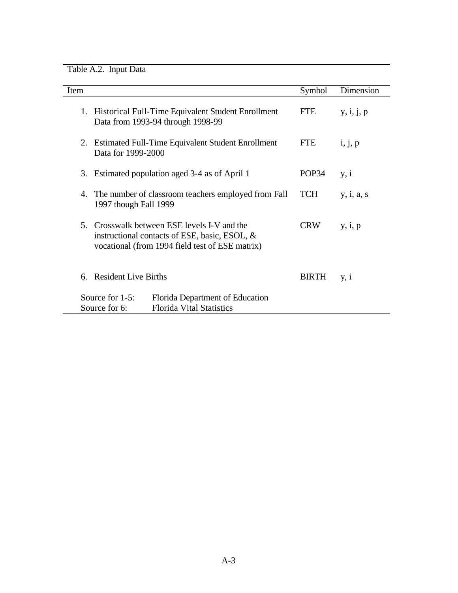Table A.2. Input Data

| Item |                                                                                                                                              | Symbol       | Dimension  |
|------|----------------------------------------------------------------------------------------------------------------------------------------------|--------------|------------|
|      | 1. Historical Full-Time Equivalent Student Enrollment<br>Data from 1993-94 through 1998-99                                                   | <b>FTE</b>   | y, i, j, p |
| 2.   | Estimated Full-Time Equivalent Student Enrollment<br>Data for 1999-2000                                                                      | <b>FTE</b>   | i, j, p    |
| 3.   | Estimated population aged 3-4 as of April 1                                                                                                  | POP34        | y, i       |
| 4.   | The number of classroom teachers employed from Fall<br>1997 though Fall 1999                                                                 | <b>TCH</b>   | y, i, a, s |
| .5   | Crosswalk between ESE levels I-V and the<br>instructional contacts of ESE, basic, ESOL, &<br>vocational (from 1994 field test of ESE matrix) | <b>CRW</b>   | y, i, p    |
| 6.   | <b>Resident Live Births</b>                                                                                                                  | <b>BIRTH</b> | y, i       |
|      | Source for 1-5:<br>Florida Department of Education<br><b>Florida Vital Statistics</b><br>Source for 6:                                       |              |            |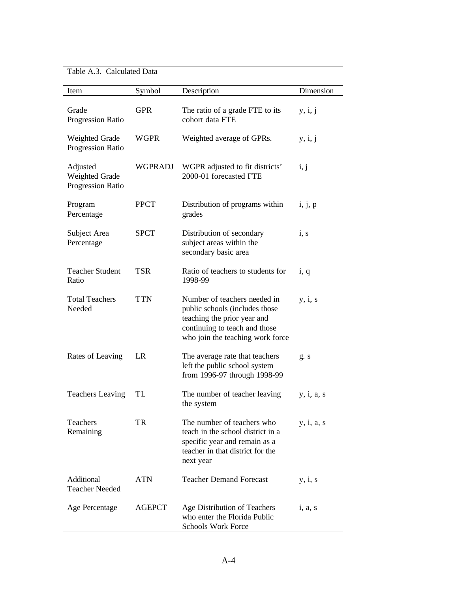### Table A.3. Calculated Data

| Item                                            | Symbol        | Description                                                                                                                                                        | Dimension  |
|-------------------------------------------------|---------------|--------------------------------------------------------------------------------------------------------------------------------------------------------------------|------------|
| Grade<br>Progression Ratio                      | <b>GPR</b>    | The ratio of a grade FTE to its<br>cohort data FTE                                                                                                                 | y, i, j    |
| Weighted Grade<br>Progression Ratio             | <b>WGPR</b>   | Weighted average of GPRs.                                                                                                                                          | y, i, j    |
| Adjusted<br>Weighted Grade<br>Progression Ratio | WGPRADJ       | WGPR adjusted to fit districts'<br>2000-01 forecasted FTE                                                                                                          | i, j       |
| Program<br>Percentage                           | <b>PPCT</b>   | Distribution of programs within<br>grades                                                                                                                          | i, j, p    |
| Subject Area<br>Percentage                      | <b>SPCT</b>   | Distribution of secondary<br>subject areas within the<br>secondary basic area                                                                                      | i, s       |
| <b>Teacher Student</b><br>Ratio                 | <b>TSR</b>    | Ratio of teachers to students for<br>1998-99                                                                                                                       | i, q       |
| <b>Total Teachers</b><br>Needed                 | <b>TTN</b>    | Number of teachers needed in<br>public schools (includes those<br>teaching the prior year and<br>continuing to teach and those<br>who join the teaching work force | y, i, s    |
| Rates of Leaving                                | LR            | The average rate that teachers<br>left the public school system<br>from 1996-97 through 1998-99                                                                    | g. s       |
| <b>Teachers Leaving</b>                         | TL            | The number of teacher leaving<br>the system                                                                                                                        | y, i, a, s |
| Teachers<br>Remaining                           | TR            | The number of teachers who<br>teach in the school district in a<br>specific year and remain as a<br>teacher in that district for the<br>next year                  | y, i, a, s |
| Additional<br><b>Teacher Needed</b>             | <b>ATN</b>    | <b>Teacher Demand Forecast</b>                                                                                                                                     | y, i, s    |
| Age Percentage                                  | <b>AGEPCT</b> | Age Distribution of Teachers<br>who enter the Florida Public<br><b>Schools Work Force</b>                                                                          | i, a, s    |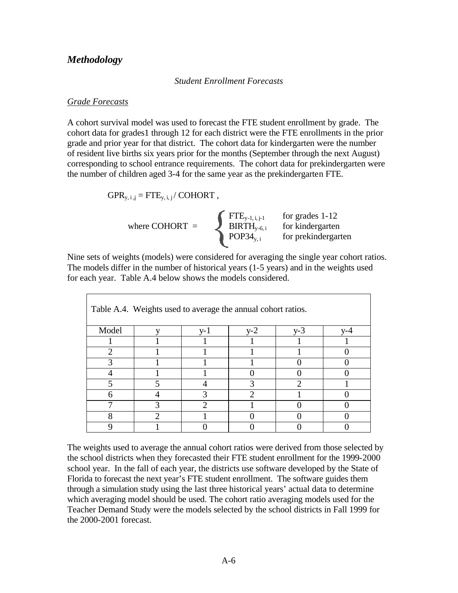### *Methodology*

*Student Enrollment Forecasts*

#### *Grade Forecasts*

A cohort survival model was used to forecast the FTE student enrollment by grade. The cohort data for grades1 through 12 for each district were the FTE enrollments in the prior grade and prior year for that district. The cohort data for kindergarten were the number of resident live births six years prior for the months (September through the next August) corresponding to school entrance requirements. The cohort data for prekindergarten were the number of children aged 3-4 for the same year as the prekindergarten FTE.

$$
GPR_{y, i, j} = FTE_{y, i, j} / \text{COHORT} ,
$$

where COHORT = 
$$
\left\{\begin{array}{ll}\n\text{FTE}_{y-1, i, j-1} & \text{for grades 1-12} \\
\text{BIRTH}_{y-6, i} & \text{for kindergarten} \\
\text{POP34}_{y, i} & \text{for prekindergarten}\n\end{array}\right.
$$

Nine sets of weights (models) were considered for averaging the single year cohort ratios. The models differ in the number of historical years (1-5 years) and in the weights used for each year. Table A.4 below shows the models considered.

|       | Table A.4. Weights used to average the annual cohort ratios. |     |       |                       |     |
|-------|--------------------------------------------------------------|-----|-------|-----------------------|-----|
| Model |                                                              | y-1 | $y-2$ | $v-3$                 | V-4 |
|       |                                                              |     |       |                       |     |
| ာ     |                                                              |     |       |                       |     |
|       |                                                              |     |       |                       |     |
|       |                                                              |     |       |                       |     |
|       |                                                              |     |       | $\mathcal{D}_{\cdot}$ |     |
| 6     |                                                              |     |       |                       |     |
|       |                                                              |     |       |                       |     |
| 8     |                                                              |     |       |                       |     |
|       |                                                              |     |       |                       |     |

The weights used to average the annual cohort ratios were derived from those selected by the school districts when they forecasted their FTE student enrollment for the 1999-2000 school year. In the fall of each year, the districts use software developed by the State of Florida to forecast the next year's FTE student enrollment. The software guides them through a simulation study using the last three historical years' actual data to determine which averaging model should be used. The cohort ratio averaging models used for the Teacher Demand Study were the models selected by the school districts in Fall 1999 for the 2000-2001 forecast.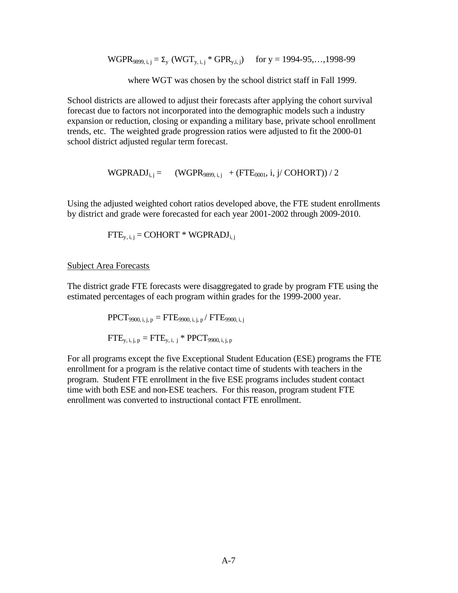$WGPR_{9899, i, j} = \Sigma_y (WGT_{y, i, j} * GPR_{y, i, j})$  for  $y = 1994-95,...,1998-99$ 

where WGT was chosen by the school district staff in Fall 1999.

School districts are allowed to adjust their forecasts after applying the cohort survival forecast due to factors not incorporated into the demographic models such a industry expansion or reduction, closing or expanding a military base, private school enrollment trends, etc. The weighted grade progression ratios were adjusted to fit the 2000-01 school district adjusted regular term forecast.

 $WGPRADJ_{i,i} = (WGPR_{9899,i,i} + (FTE_{0001}, i, j/COHORT))/2$ 

Using the adjusted weighted cohort ratios developed above, the FTE student enrollments by district and grade were forecasted for each year 2001-2002 through 2009-2010.

$$
FTE_{y,i,j} = \text{COHORT} * \text{WGPRADI}_{i,j}
$$

#### Subject Area Forecasts

The district grade FTE forecasts were disaggregated to grade by program FTE using the estimated percentages of each program within grades for the 1999-2000 year.

$$
\begin{aligned} &PPCT_{9900,\,i,\,j,\,p} = FTE_{9900,\,i,\,j,\,p} / \; FTE_{9900,\,i,\,j} \\ &FTE_{y,\,i,\,j,\,p} = FTE_{y,\,i,\,j} * \; PPCT_{9900,\,i,\,j,\,p} \end{aligned}
$$

For all programs except the five Exceptional Student Education (ESE) programs the FTE enrollment for a program is the relative contact time of students with teachers in the program. Student FTE enrollment in the five ESE programs includes student contact time with both ESE and non-ESE teachers. For this reason, program student FTE enrollment was converted to instructional contact FTE enrollment.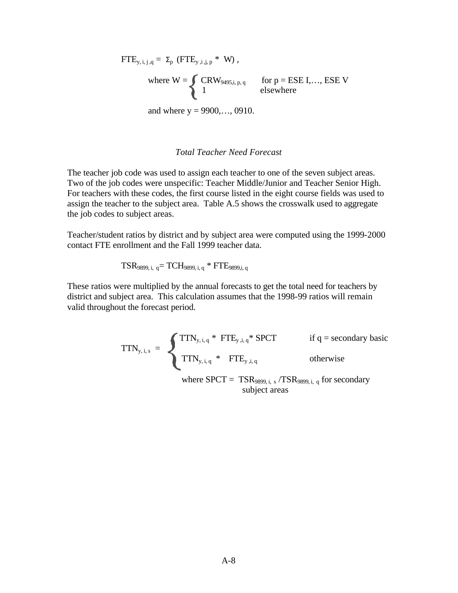$$
FTE_{y,i,j,q} = \Sigma_{p} (FTE_{y,i,j,p} * W),
$$
  
where  $W = \begin{cases} CRW_{9495,i,p,q} & \text{for } p = ESE I,..., ESE V \\ 1 & \text{elsewhere} \end{cases}$   
and where  $y = 9900,..., 0910$ .

#### *Total Teacher Need Forecast*

The teacher job code was used to assign each teacher to one of the seven subject areas. Two of the job codes were unspecific: Teacher Middle/Junior and Teacher Senior High. For teachers with these codes, the first course listed in the eight course fields was used to assign the teacher to the subject area. Table A.5 shows the crosswalk used to aggregate the job codes to subject areas.

Teacher/student ratios by district and by subject area were computed using the 1999-2000 contact FTE enrollment and the Fall 1999 teacher data.

$$
TSR_{9899, i, q} = TCH_{9899, i, q} * FTE_{9899, i, q}
$$

These ratios were multiplied by the annual forecasts to get the total need for teachers by district and subject area. This calculation assumes that the 1998-99 ratios will remain valid throughout the forecast period.

$$
TTN_{y, i, s} = \n\begin{cases} \nTTN_{y, i, q} * FTE_{y, i, q} * SPT & \text{if } q = \text{secondary basic} \\ \nTTN_{y, i, q} * FTE_{y, i, q} & \text{otherwise} \n\end{cases}
$$

where  $SPT = TSR_{9899, i, s} / TSR_{9899, i, q}$  for secondary subject areas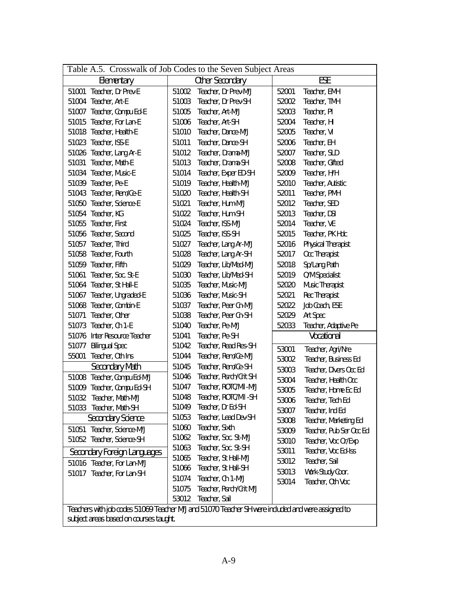| Table A.5. Crosswalk of Job Codes to the Seven Subject Areas                                      |       |                         |       |                         |
|---------------------------------------------------------------------------------------------------|-------|-------------------------|-------|-------------------------|
| Elementary                                                                                        |       | Other Secondary         |       | ESE                     |
| Teacher, Dr Prev-E<br>51001                                                                       | 51002 | Teacher, Dr Prev-M/J    | 52001 | Teacher, EMH            |
| Teacher, Art-E<br>51004                                                                           | 51003 | Teacher, Dr Prev-SH     | 52002 | Teacher, TMH            |
| 51007 Teacher, Compu Ed-E                                                                         | 51005 | Teacher, Art-M/J        | 52003 | Teacher, PI             |
| Teacher, For Lan-E<br>51015                                                                       | 51006 | Teacher, Art-SH         | 52004 | Teacher, HI             |
| 51018 Teacher, Health-E                                                                           | 51010 | Teacher, Dance-M/J      | 52005 | Teacher, VI             |
| 51023 Teacher, ISS-E                                                                              | 51011 | Teacher, Dance-SH       | 52006 | Teacher, EH             |
| 51026 Teacher, Lang Ar-E                                                                          | 51012 | Teacher, Drama-M/J      | 52007 | Teacher, SLD            |
| Teacher, Math-E<br>51031                                                                          | 51013 | Teacher, Drama-SH       | 52008 | Teacher, Gifted         |
| 51034 Teacher, Music-E                                                                            | 51014 | Teacher, Exper ED-SH    | 52009 | Teacher, H/H            |
| 51039 Teacher, Pe-E                                                                               | 51019 | Teacher, Health-M/J     | 52010 | Teacher, Autistic       |
| 51043 Teacher, Rem/Ce-E                                                                           | 51020 | Teacher, Health-SH      | 52011 | Teacher, PMH            |
| Teacher, Science-E<br>51050                                                                       | 51021 | Teacher, Hum-M/J        | 52012 | Teacher, SED            |
| 51054 Teacher, KG                                                                                 | 51022 | Teacher, Hum-SH         | 52013 | Teacher, DSI            |
| 51055 Teacher, First                                                                              | 51024 | Teacher, ISS-M/J        | 52014 | Teacher, VE             |
| 51056 Teacher, Second                                                                             | 51025 | Teacher, ISS-SH         | 52015 | Teacher, PK Hdc         |
| 51057 Teacher, Third                                                                              | 51027 | Teacher, Lang Ar-M/J    | 52016 | Physical Therapist      |
| 51058 Teacher, Fourth                                                                             | 51028 | Teacher, Lang Ar-SH     | 52017 | Occ Therapist           |
| 51059 Teacher, Fifth                                                                              | 51029 | Teacher, Lib/Med-M/J    | 52018 | Sp/Lang Path            |
| Teacher, Soc. St-E<br>51061                                                                       | 51030 | Teacher, Lib/Med-SH     | 52019 | O/M Specialist          |
| Teacher, St Hall-E<br>51064                                                                       | 51035 | Teacher, Music-M/J      | 52020 | Music Therapist         |
| 51067 Teacher, Ungraded-E                                                                         | 51036 | Teacher, Music-SH       | 52021 | Rec Therapist           |
| 51068 Teacher, Combin-E                                                                           | 51037 | Teacher, Peer Cn-M/J    | 52022 | Job Coach, ESE          |
| Teacher, Other<br>51071                                                                           | 51038 | Teacher, Peer Cn-SH     | 52029 | Art Spec                |
| Teacher, Ch 1-E<br>51073                                                                          | 51040 | Teacher, Pe-M/J         | 52033 | Teacher, Adaptive Pe    |
| Inter Resource Teacher<br>51076                                                                   | 51041 | Teacher, Pe-SH          |       | Vocational              |
| <b>Bilingual Spec</b><br>51077                                                                    | 51042 | Teacher, Read Res-SH    | 53001 | Teacher, Agri/Nre       |
| Teacher, Oth Ins<br>55001                                                                         | 51044 | Teacher, Rem/Ce-M/J     | 53002 | Teacher, Business Ed    |
| Secondary Math                                                                                    | 51045 | Teacher, Rem/Ce-SH      | 53003 | Teacher, Divers Occ Ed  |
| 51008 Teacher, Compu Ed-M/J                                                                       | 51046 | Teacher, Rsrch/Crit SH  | 53004 | Teacher, Health Occ     |
| 51009 Teacher, Compu Ed-SH                                                                        | 51047 | Teacher, ROTC/Mil-M/J   | 53005 | Teacher, Home Ec Ed     |
| 51032 Teacher, Math-M/J                                                                           | 51048 | Teacher, ROTC/Mil-SH    | 53006 | Teacher, Tech Ed        |
| 51033 Teacher, Math-SH                                                                            | 51049 | Teacher, Dr Ed-SH       | 53007 | Teacher, Ind Ed         |
| Secondary Science                                                                                 | 51053 | Teacher, Lead Dev-SH    | 53008 | Teacher, Marketing Ed   |
| 51051 Teacher, Science-M/J                                                                        | 51060 | Teacher, Sixth          | 53009 | Teacher, Pub Ser Occ Ed |
| 51052 Teacher, Science-SH                                                                         | 51062 | Teacher, Soc. St-M/J    | 53010 | Teacher, Voc Or/Exp     |
| Secondary Foreign Languages                                                                       | 51063 | Teacher, Soc. St-SH     | 53011 | Teacher, Voc Ed-Iss     |
| 51016 Teacher, For Lan-M/J                                                                        | 51065 | Teacher, St Hall-M/J    | 53012 | Teacher, Sail           |
| 51017 Teacher, For Lan-SH                                                                         | 51066 | Teacher, St Hall-SH     | 53013 | Work-Study Coor.        |
|                                                                                                   | 51074 | Teacher, Ch 1-M/J       | 53014 | Teacher, Oth Voc        |
|                                                                                                   | 51075 | Teacher, Rsrch/Crit M/J |       |                         |
|                                                                                                   | 53012 | Teacher, Sail           |       |                         |
| Teachers with job codes 51069 Teacher M/J and 51070 Teacher SH were included and were assigned to |       |                         |       |                         |
| subject areas based on courses taught.                                                            |       |                         |       |                         |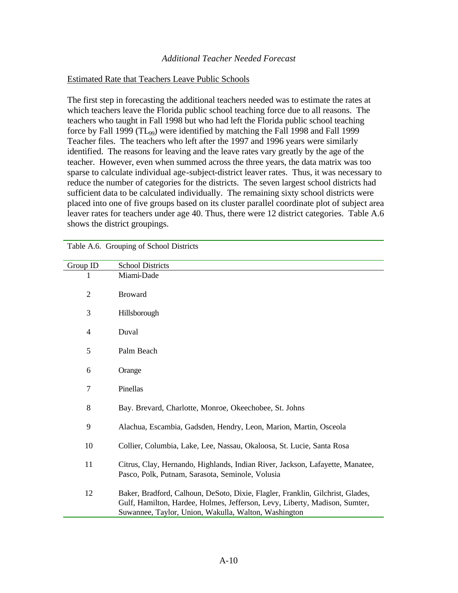#### *Additional Teacher Needed Forecast*

#### Estimated Rate that Teachers Leave Public Schools

The first step in forecasting the additional teachers needed was to estimate the rates at which teachers leave the Florida public school teaching force due to all reasons. The teachers who taught in Fall 1998 but who had left the Florida public school teaching force by Fall 1999 ( $TL_{99}$ ) were identified by matching the Fall 1998 and Fall 1999 Teacher files. The teachers who left after the 1997 and 1996 years were similarly identified. The reasons for leaving and the leave rates vary greatly by the age of the teacher. However, even when summed across the three years, the data matrix was too sparse to calculate individual age-subject-district leaver rates. Thus, it was necessary to reduce the number of categories for the districts. The seven largest school districts had sufficient data to be calculated individually. The remaining sixty school districts were placed into one of five groups based on its cluster parallel coordinate plot of subject area leaver rates for teachers under age 40. Thus, there were 12 district categories. Table A.6 shows the district groupings.

| Group ID       | <b>School Districts</b>                                                                                                                                                                                              |
|----------------|----------------------------------------------------------------------------------------------------------------------------------------------------------------------------------------------------------------------|
| 1              | Miami-Dade                                                                                                                                                                                                           |
| $\overline{2}$ | <b>Broward</b>                                                                                                                                                                                                       |
| 3              | Hillsborough                                                                                                                                                                                                         |
| 4              | Duval                                                                                                                                                                                                                |
| 5              | Palm Beach                                                                                                                                                                                                           |
| 6              | Orange                                                                                                                                                                                                               |
| 7              | Pinellas                                                                                                                                                                                                             |
| 8              | Bay. Brevard, Charlotte, Monroe, Okeechobee, St. Johns                                                                                                                                                               |
| 9              | Alachua, Escambia, Gadsden, Hendry, Leon, Marion, Martin, Osceola                                                                                                                                                    |
| 10             | Collier, Columbia, Lake, Lee, Nassau, Okaloosa, St. Lucie, Santa Rosa                                                                                                                                                |
| 11             | Citrus, Clay, Hernando, Highlands, Indian River, Jackson, Lafayette, Manatee,<br>Pasco, Polk, Putnam, Sarasota, Seminole, Volusia                                                                                    |
| 12             | Baker, Bradford, Calhoun, DeSoto, Dixie, Flagler, Franklin, Gilchrist, Glades,<br>Gulf, Hamilton, Hardee, Holmes, Jefferson, Levy, Liberty, Madison, Sumter,<br>Suwannee, Taylor, Union, Wakulla, Walton, Washington |

Table A.6. Grouping of School Districts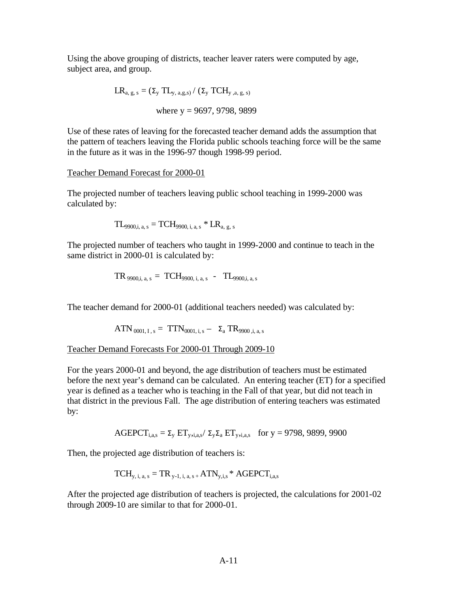Using the above grouping of districts, teacher leaver raters were computed by age, subject area, and group.

$$
LR_{a, g, s} = (\Sigma_{y} TL_{y, a, g, s}) / (\Sigma_{y} TCH_{y, a, g, s})
$$
  
where y = 9697, 9798, 9899

Use of these rates of leaving for the forecasted teacher demand adds the assumption that the pattern of teachers leaving the Florida public schools teaching force will be the same in the future as it was in the 1996-97 though 1998-99 period.

#### Teacher Demand Forecast for 2000-01

The projected number of teachers leaving public school teaching in 1999-2000 was calculated by:

$$
TL_{9900,i, a, s} = TCH_{9900,i, a, s} * LR_{a, g, s}
$$

The projected number of teachers who taught in 1999-2000 and continue to teach in the same district in 2000-01 is calculated by:

TR 9900,i, a, s = TCH9900, i, a, s - TL9900,i, a, s

The teacher demand for 2000-01 (additional teachers needed) was calculated by:

$$
ATN_{0001, I, s} = TTN_{0001, i, s} - \Sigma_a TR_{9900, i, a, s}
$$

Teacher Demand Forecasts For 2000-01 Through 2009-10

For the years 2000-01 and beyond, the age distribution of teachers must be estimated before the next year's demand can be calculated. An entering teacher (ET) for a specified year is defined as a teacher who is teaching in the Fall of that year, but did not teach in that district in the previous Fall. The age distribution of entering teachers was estimated by:

$$
AGEPCT_{i,a,s} = \Sigma_y ET_{y,i,a,s} / \Sigma_y \Sigma_a ET_{y,i,a,s} \quad \text{for } y = 9798,9899,9900
$$

Then, the projected age distribution of teachers is:

$$
TCH_{y, i, a, s} = TR_{y-1, i, a, s} + ATN_{y, i, s} * AGEPCT_{i, a, s}
$$

After the projected age distribution of teachers is projected, the calculations for 2001-02 through 2009-10 are similar to that for 2000-01.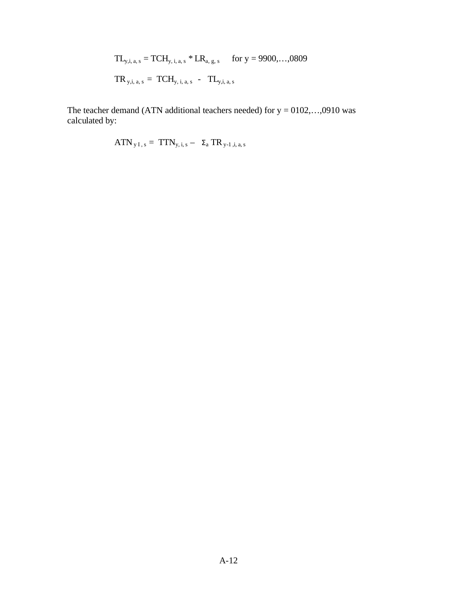TLy,i, a, s = TCHy, i, a, s \* LRa, g, s for y = 9900,…,0809 TR y,i, a, s = TCHy, i, a, s - TLy,i, a, s

The teacher demand (ATN additional teachers needed) for  $y = 0102,...,0910$  was calculated by:

$$
ATN_{yI,s} = TTN_{y,i,s} - \Sigma_a TR_{y-1,i,a,s}
$$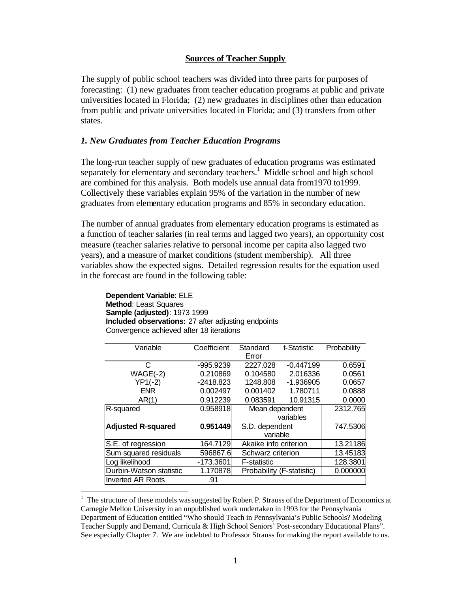#### **Sources of Teacher Supply**

<span id="page-22-0"></span>The supply of public school teachers was divided into three parts for purposes of forecasting: (1) new graduates from teacher education programs at public and private universities located in Florida; (2) new graduates in disciplines other than education from public and private universities located in Florida; and (3) transfers from other states.

#### *1. New Graduates from Teacher Education Programs*

The long-run teacher supply of new graduates of education programs was estimated separately for elementary and secondary teachers.<sup>1</sup> Middle school and high school are combined for this analysis. Both models use annual data from1970 to1999. Collectively these variables explain 95% of the variation in the number of new graduates from elementary education programs and 85% in secondary education.

The number of annual graduates from elementary education programs is estimated as a function of teacher salaries (in real terms and lagged two years), an opportunity cost measure (teacher salaries relative to personal income per capita also lagged two years), and a measure of market conditions (student membership). All three variables show the expected signs. Detailed regression results for the equation used in the forecast are found in the following table:

**Dependent Variable**: ELE **Method**: Least Squares **Sample (adjusted)**: 1973 1999 **Included observations:** 27 after adjusting endpoints Convergence achieved after 18 iterations

 $\overline{a}$ 

| Variable                  | Coefficient | Standard                  | t-Statistic | Probability |
|---------------------------|-------------|---------------------------|-------------|-------------|
|                           |             | Error                     |             |             |
| C                         | -995.9239   | 2227.028                  | $-0.447199$ | 0.6591      |
| $WAGE(-2)$                | 0.210869    | 0.104580                  | 2.016336    | 0.0561      |
| $YP1(-2)$                 | $-2418.823$ | 1248.808                  | $-1.936905$ | 0.0657      |
| <b>ENR</b>                | 0.002497    | 0.001402                  | 1.780711    | 0.0888      |
| AR(1)                     | 0.912239    | 0.083591                  | 10.91315    | 0.0000      |
| R-squared                 | 0.958918    | Mean dependent            |             | 2312.765    |
|                           |             |                           | variables   |             |
| <b>Adjusted R-squared</b> | 0.951449    | S.D. dependent            |             | 747.5306    |
|                           |             | variable                  |             |             |
| S.E. of regression        | 164.7129    | Akaike info criterion     |             | 13.21186    |
| Sum squared residuals     | 596867.6    | Schwarz criterion         |             | 13.45183    |
| Log likelihood            | -173.3601   | <b>F-statistic</b>        |             | 128.3801    |
| Durbin-Watson statistic   | 1.170878    | Probability (F-statistic) |             | 0.000000    |
| <b>Inverted AR Roots</b>  | .91         |                           |             |             |

<sup>&</sup>lt;sup>1</sup> The structure of these models was suggested by Robert P. Strauss of the Department of Economics at Carnegie Mellon University in an unpublished work undertaken in 1993 for the Pennsylvania Department of Education entitled "Who should Teach in Pennsylvania's Public Schools? Modeling Teacher Supply and Demand, Curricula & High School Seniors' Post-secondary Educational Plans". See especially Chapter 7. We are indebted to Professor Strauss for making the report available to us.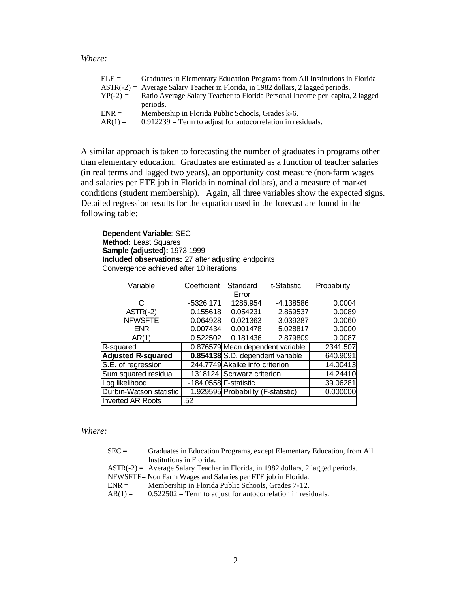*Where:*

| $ELE =$    | Graduates in Elementary Education Programs from All Institutions in Florida        |
|------------|------------------------------------------------------------------------------------|
|            | $ASTR(-2) = Average Salary Teacher in Florida, in 1982 dollars, 2 lagged periods.$ |
| $YP(-2) =$ | Ratio Average Salary Teacher to Florida Personal Income per capita, 2 lagged       |
|            | periods.                                                                           |
| $ENR =$    | Membership in Florida Public Schools, Grades k-6.                                  |
| $AR(1) =$  | $0.912239$ = Term to adjust for autocorrelation in residuals.                      |

A similar approach is taken to forecasting the number of graduates in programs other than elementary education. Graduates are estimated as a function of teacher salaries (in real terms and lagged two years), an opportunity cost measure (non-farm wages and salaries per FTE job in Florida in nominal dollars), and a measure of market conditions (student membership). Again, all three variables show the expected signs. Detailed regression results for the equation used in the forecast are found in the following table:

**Dependent Variable**: SEC **Method:** Least Squares **Sample (adjusted):** 1973 1999 **Included observations:** 27 after adjusting endpoints Convergence achieved after 10 iterations

| Variable                  | Coefficient           | Standard                           | t-Statistic | Probability |
|---------------------------|-----------------------|------------------------------------|-------------|-------------|
|                           |                       | Error                              |             |             |
|                           |                       |                                    |             |             |
| C                         | $-5326.171$           | 1286.954                           | -4.138586   | 0.0004      |
| $ASTR(-2)$                | 0.155618              | 0.054231                           | 2.869537    | 0.0089      |
| <b>NFWSFTE</b>            | $-0.064928$           | 0.021363                           | $-3.039287$ | 0.0060      |
| <b>ENR</b>                | 0.007434              | 0.001478                           | 5.028817    | 0.0000      |
| AR(1)                     | 0.522502              | 0.181436                           | 2.879809    | 0.0087      |
| R-squared                 |                       | 0.876579 Mean dependent variable   |             | 2341.507    |
| <b>Adjusted R-squared</b> |                       | 0.854138 S.D. dependent variable   |             | 640.9091    |
| S.E. of regression        |                       | 244.7749 Akaike info criterion     |             | 14.00413    |
| Sum squared residual      |                       | 1318124. Schwarz criterion         |             | 14.24410    |
| Log likelihood            | -184.0558 F-statistic |                                    |             | 39.06281    |
| Durbin-Watson statistic   |                       | 1.929595 Probability (F-statistic) |             | 0.000000    |
| Inverted AR Roots         | .52                   |                                    |             |             |

#### *Where:*

| $SEC =$   | Graduates in Education Programs, except Elementary Education, from All             |
|-----------|------------------------------------------------------------------------------------|
|           | Institutions in Florida.                                                           |
|           | $ASTR(-2) = Average Salary Teacher in Florida, in 1982 dollars, 2 lagged periods.$ |
|           | NFWSFTE= Non Farm Wages and Salaries per FTE job in Florida.                       |
| $ENR =$   | Membership in Florida Public Schools, Grades 7-12.                                 |
| $AR(1) =$ | $0.522502$ = Term to adjust for autocorrelation in residuals.                      |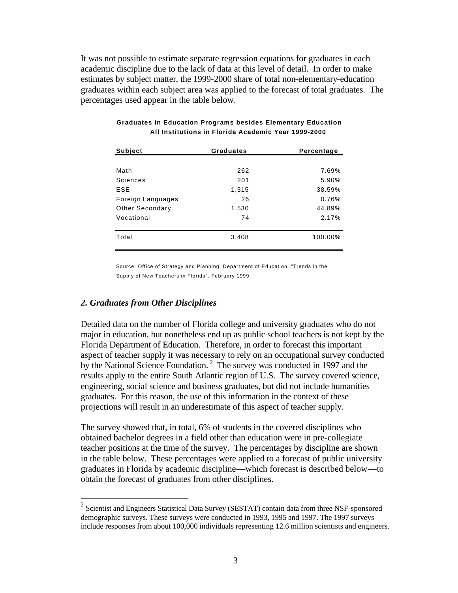It was not possible to estimate separate regression equations for graduates in each academic discipline due to the lack of data at this level of detail. In order to make estimates by subject matter, the 1999-2000 share of total non-elementary-education graduates within each subject area was applied to the forecast of total graduates. The percentages used appear in the table below.

| <b>Subject</b>    | <b>Graduates</b> | Percentage |  |
|-------------------|------------------|------------|--|
|                   |                  |            |  |
| Math              | 262              | 7.69%      |  |
| Sciences          | 201              | 5.90%      |  |
| <b>ESE</b>        | 1,315            | 38.59%     |  |
| Foreign Languages | 26               | 0.76%      |  |
| Other Secondary   | 1,530            | 44.89%     |  |
| Vocational        | 74               | 2.17%      |  |
|                   |                  |            |  |
| Total             | 3,408            | 100.00%    |  |
|                   |                  |            |  |

#### **Graduates in Education Programs besides Elementary Education All Institutions in Florida Academic Year 1999-2000**

Source: Office of Strategy and Planning, Department of Education. "Trends in the Supply of New Teachers in Florida". February 1999.

#### *2. Graduates from Other Disciplines*

 $\overline{a}$ 

Detailed data on the number of Florida college and university graduates who do not major in education, but nonetheless end up as public school teachers is not kept by the Florida Department of Education. Therefore, in order to forecast this important aspect of teacher supply it was necessary to rely on an occupational survey conducted by the National Science Foundation.<sup>2</sup> The survey was conducted in 1997 and the results apply to the entire South Atlantic region of U.S. The survey covered science, engineering, social science and business graduates, but did not include humanities graduates. For this reason, the use of this information in the context of these projections will result in an underestimate of this aspect of teacher supply.

The survey showed that, in total, 6% of students in the covered disciplines who obtained bachelor degrees in a field other than education were in pre-collegiate teacher positions at the time of the survey. The percentages by discipline are shown in the table below. These percentages were applied to a forecast of public university graduates in Florida by academic discipline—which forecast is described below—to obtain the forecast of graduates from other disciplines.

<sup>&</sup>lt;sup>2</sup> Scientist and Engineers Statistical Data Survey (SESTAT) contain data from three NSF-sponsored demographic surveys. These surveys were conducted in 1993, 1995 and 1997. The 1997 surveys include responses from about 100,000 individuals representing 12.6 million scientists and engineers.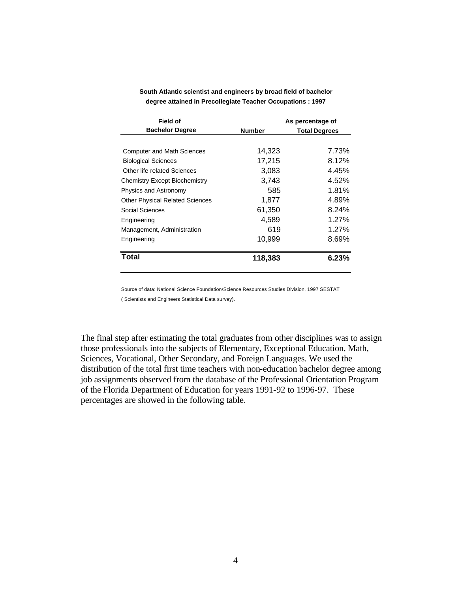| Field of                               | As percentage of |                      |  |
|----------------------------------------|------------------|----------------------|--|
| <b>Bachelor Degree</b>                 | <b>Number</b>    | <b>Total Degrees</b> |  |
|                                        |                  |                      |  |
| <b>Computer and Math Sciences</b>      | 14,323           | 7.73%                |  |
| <b>Biological Sciences</b>             | 17,215           | 8.12%                |  |
| Other life related Sciences            | 3,083            | 4.45%                |  |
| Chemistry Except Biochemistry          | 3.743            | 4.52%                |  |
| Physics and Astronomy                  | 585              | 1.81%                |  |
| <b>Other Physical Related Sciences</b> | 1,877            | 4.89%                |  |
| Social Sciences                        | 61,350           | 8.24%                |  |
| Engineering                            | 4,589            | 1.27%                |  |
| Management, Administration             | 619              | $1.27\%$             |  |
| Engineering                            | 10,999           | 8.69%                |  |
| <b>Total</b>                           | 118,383          | 6.23%                |  |

**South Atlantic scientist and engineers by broad field of bachelor degree attained in Precollegiate Teacher Occupations : 1997**

Source of data: National Science Foundation/Science Resources Studies Division, 1997 SESTAT

( Scientists and Engineers Statistical Data survey).

The final step after estimating the total graduates from other disciplines was to assign those professionals into the subjects of Elementary, Exceptional Education, Math, Sciences, Vocational, Other Secondary, and Foreign Languages. We used the distribution of the total first time teachers with non-education bachelor degree among job assignments observed from the database of the Professional Orientation Program of the Florida Department of Education for years 1991-92 to 1996-97. These percentages are showed in the following table.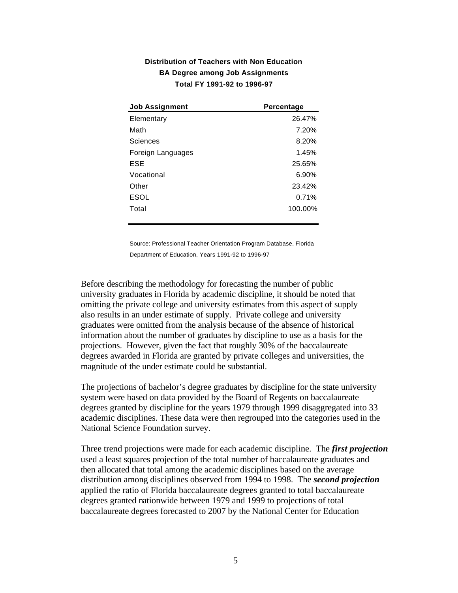| <b>Job Assignment</b> | Percentage |
|-----------------------|------------|
| Elementary            | 26.47%     |
| Math                  | 7.20%      |
| Sciences              | 8.20%      |
| Foreign Languages     | 1.45%      |
| <b>ESE</b>            | 25.65%     |
| Vocational            | 6.90%      |
| Other                 | 23.42%     |
| <b>ESOL</b>           | 0.71%      |
| Total                 | 100.00%    |
|                       |            |

### **Distribution of Teachers with Non Education BA Degree among Job Assignments Total FY 1991-92 to 1996-97**

Source: Professional Teacher Orientation Program Database, Florida Department of Education, Years 1991-92 to 1996-97

Before describing the methodology for forecasting the number of public university graduates in Florida by academic discipline, it should be noted that omitting the private college and university estimates from this aspect of supply also results in an under estimate of supply. Private college and university graduates were omitted from the analysis because of the absence of historical information about the number of graduates by discipline to use as a basis for the projections. However, given the fact that roughly 30% of the baccalaureate degrees awarded in Florida are granted by private colleges and universities, the magnitude of the under estimate could be substantial.

The projections of bachelor's degree graduates by discipline for the state university system were based on data provided by the Board of Regents on baccalaureate degrees granted by discipline for the years 1979 through 1999 disaggregated into 33 academic disciplines. These data were then regrouped into the categories used in the National Science Foundation survey.

Three trend projections were made for each academic discipline. The *first projection* used a least squares projection of the total number of baccalaureate graduates and then allocated that total among the academic disciplines based on the average distribution among disciplines observed from 1994 to 1998. The *second projection* applied the ratio of Florida baccalaureate degrees granted to total baccalaureate degrees granted nationwide between 1979 and 1999 to projections of total baccalaureate degrees forecasted to 2007 by the National Center for Education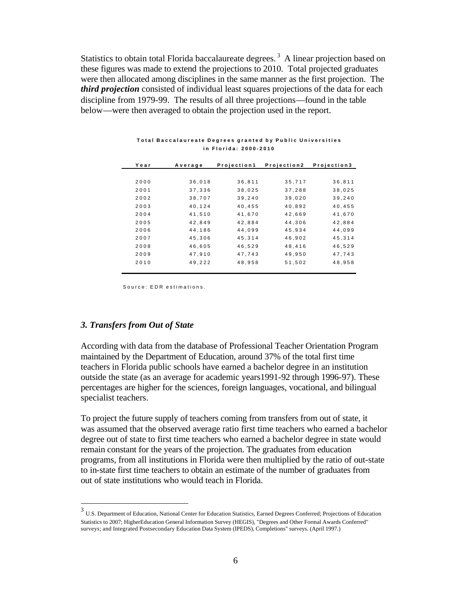Statistics to obtain total Florida baccalaureate degrees.<sup>3</sup> A linear projection based on these figures was made to extend the projections to 2010. Total projected graduates were then allocated among disciplines in the same manner as the first projection. The *third projection* consisted of individual least squares projections of the data for each discipline from 1979-99. The results of all three projections—found in the table below—were then averaged to obtain the projection used in the report.

| Year | Average | Projection1 | Projection2 | Projection3 |
|------|---------|-------------|-------------|-------------|
|      |         |             |             |             |
| 2000 | 36,018  | 36,811      | 35,717      | 36,811      |
| 2001 | 37,336  | 38,025      | 37,288      | 38,025      |
| 2002 | 38,707  | 39,240      | 39,020      | 39,240      |
| 2003 | 40,124  | 40,455      | 40,892      | 40,455      |
| 2004 | 41,510  | 41,670      | 42,669      | 41,670      |
| 2005 | 42,849  | 42,884      | 44,306      | 42,884      |
| 2006 | 44,186  | 44,099      | 45,934      | 44,099      |
| 2007 | 45,306  | 45,314      | 46,902      | 45,314      |
| 2008 | 46,605  | 46,529      | 48,416      | 46,529      |
| 2009 | 47,910  | 47,743      | 49,950      | 47,743      |
| 2010 | 49,222  | 48,958      | 51,502      | 48.958      |

#### **Total Baccalaureate Degrees granted by Public Universities in Florida: 2000-2010**

Source: EDR estimations.

#### *3. Transfers from Out of State*

 $\overline{a}$ 

According with data from the database of Professional Teacher Orientation Program maintained by the Department of Education, around 37% of the total first time teachers in Florida public schools have earned a bachelor degree in an institution outside the state (as an average for academic years1991-92 through 1996-97). These percentages are higher for the sciences, foreign languages, vocational, and bilingual specialist teachers.

To project the future supply of teachers coming from transfers from out of state, it was assumed that the observed average ratio first time teachers who earned a bachelor degree out of state to first time teachers who earned a bachelor degree in state would remain constant for the years of the projection. The graduates from education programs, from all institutions in Florida were then multiplied by the ratio of out-state to in-state first time teachers to obtain an estimate of the number of graduates from out of state institutions who would teach in Florida.

<sup>3</sup> U.S. Department of Education, National Center for Education Statistics, Earned Degrees Conferred; Projections of Education Statistics to 2007; HigherEducation General Information Survey (HEGIS), "Degrees and Other Formal Awards Conferred" surveys; and Integrated Postsecondary Education Data System (IPEDS), Completions" surveys. (April 1997.)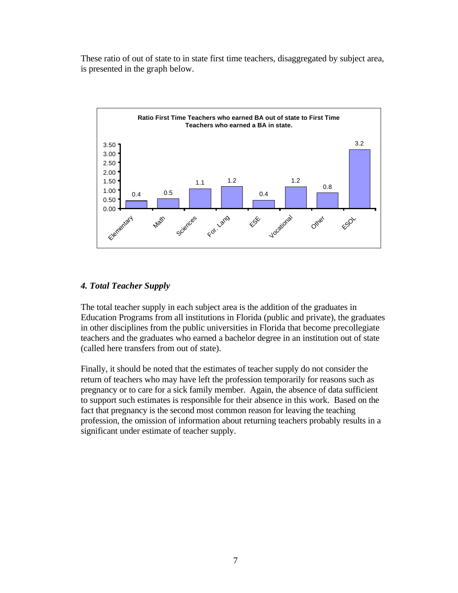These ratio of out of state to in state first time teachers, disaggregated by subject area, is presented in the graph below.



### *4. Total Teacher Supply*

The total teacher supply in each subject area is the addition of the graduates in Education Programs from all institutions in Florida (public and private), the graduates in other disciplines from the public universities in Florida that become precollegiate teachers and the graduates who earned a bachelor degree in an institution out of state (called here transfers from out of state).

Finally, it should be noted that the estimates of teacher supply do not consider the return of teachers who may have left the profession temporarily for reasons such as pregnancy or to care for a sick family member. Again, the absence of data sufficient to support such estimates is responsible for their absence in this work. Based on the fact that pregnancy is the second most common reason for leaving the teaching profession, the omission of information about returning teachers probably results in a significant under estimate of teacher supply.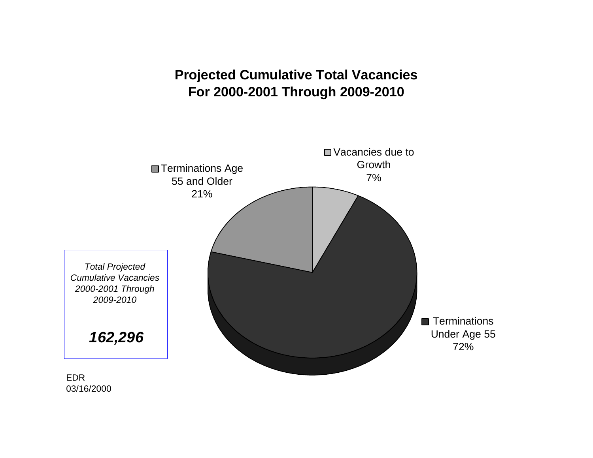# **Projected Cumulative Total Vacancies For 2000-2001 Through 2009-2010**

<span id="page-29-0"></span>

03/16/2000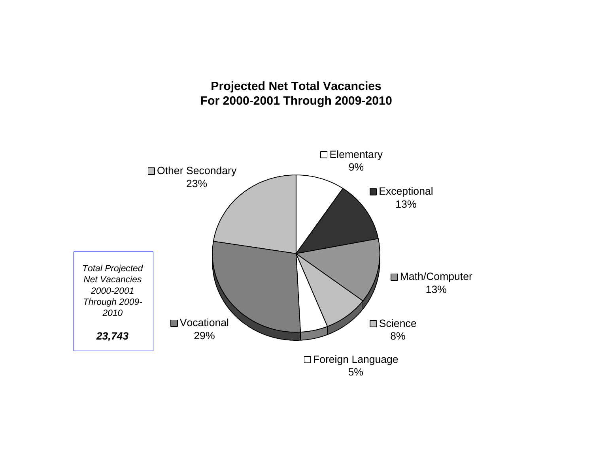## **Projected Net Total Vacancies For 2000-2001 Through 2009-2010**

<span id="page-30-0"></span>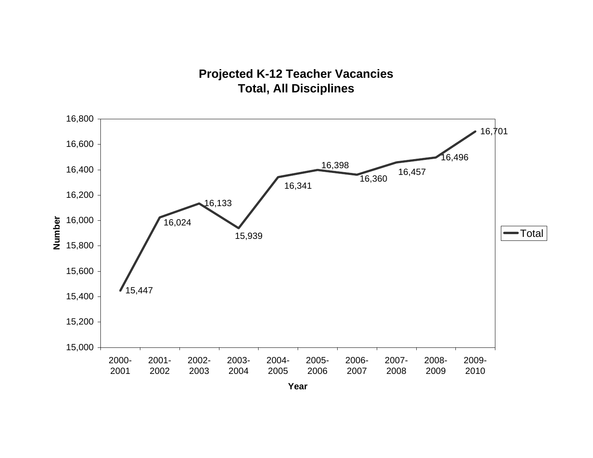## **Projected K-12 Teacher Vacancies Total, All Disciplines**

<span id="page-31-0"></span>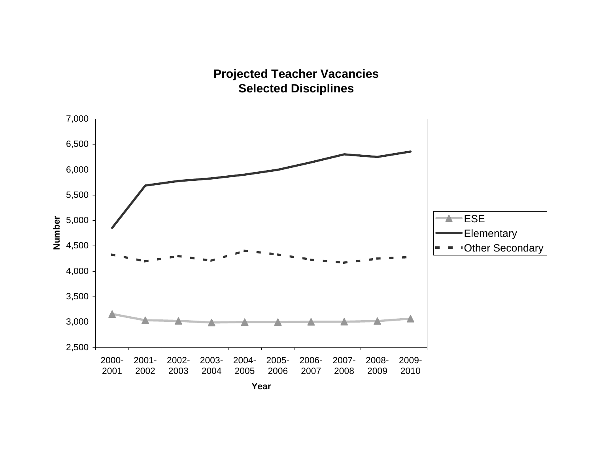## **Projected Teacher Vacancies Selected Disciplines**

<span id="page-32-0"></span>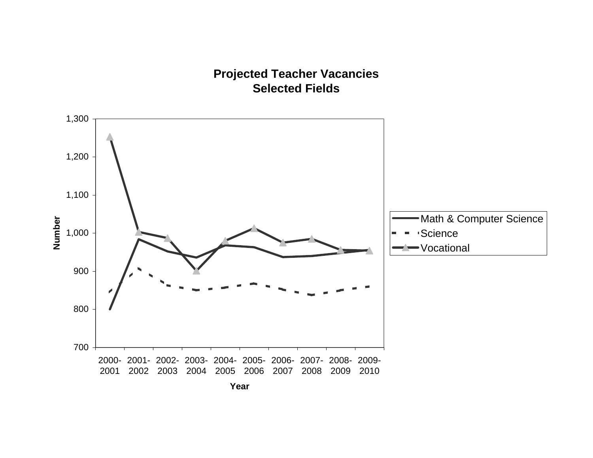## **Projected Teacher Vacancies Selected Fields**

<span id="page-33-0"></span>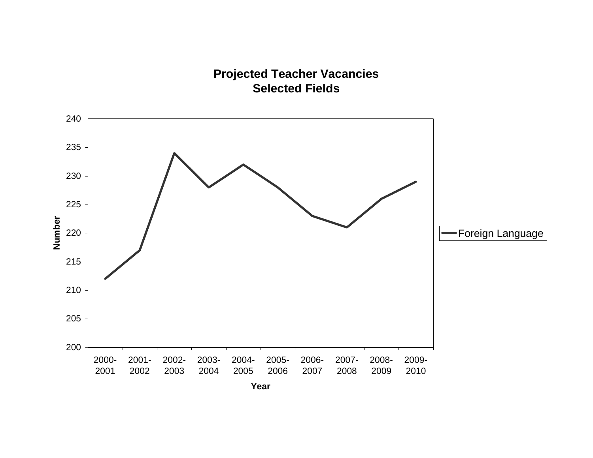## **Projected Teacher Vacancies Selected Fields**

<span id="page-34-0"></span>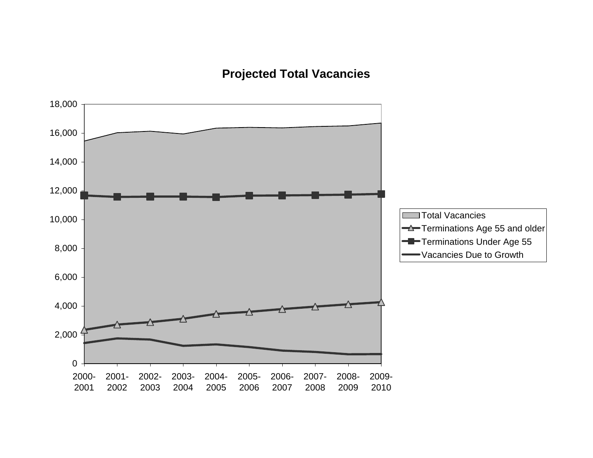# **Projected Total Vacancies**

<span id="page-35-0"></span>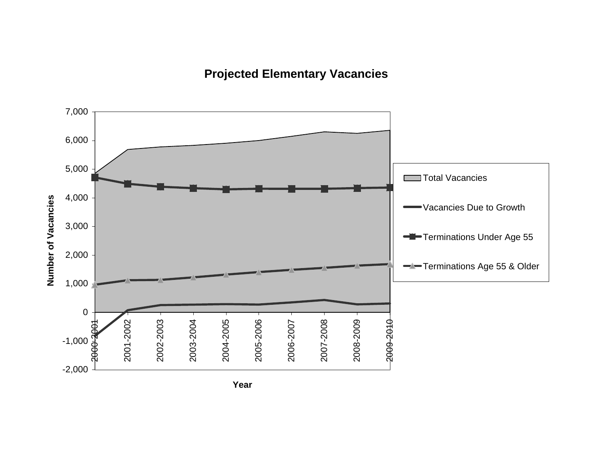# **Projected Elementary Vacancies**



**Year**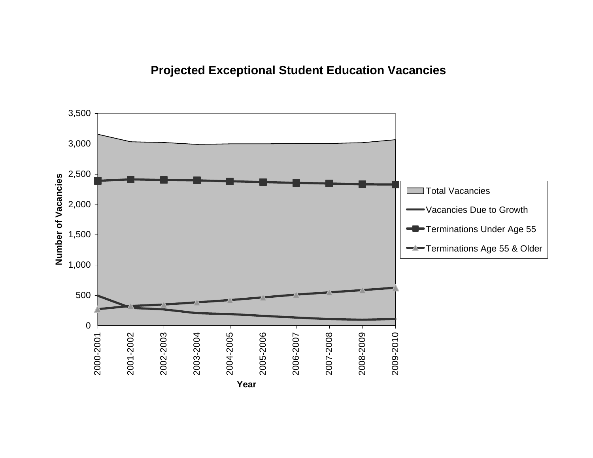# **Projected Exceptional Student Education Vacancies**

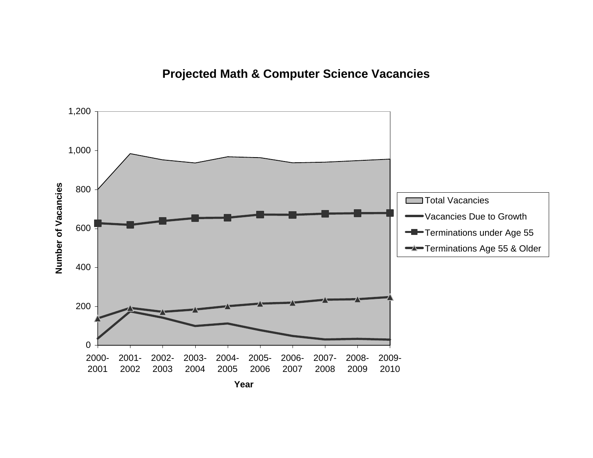# **Projected Math & Computer Science Vacancies**

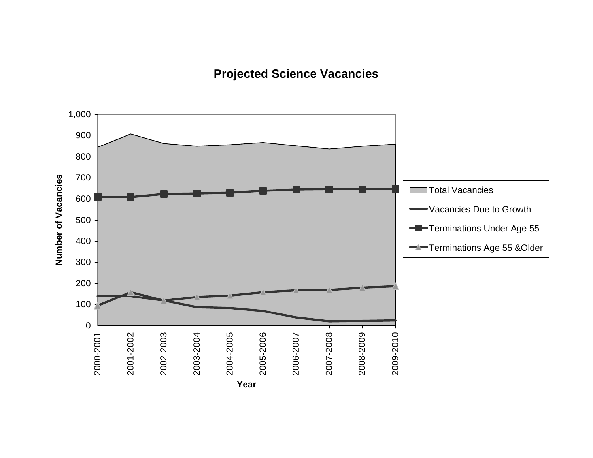# **Projected Science Vacancies**

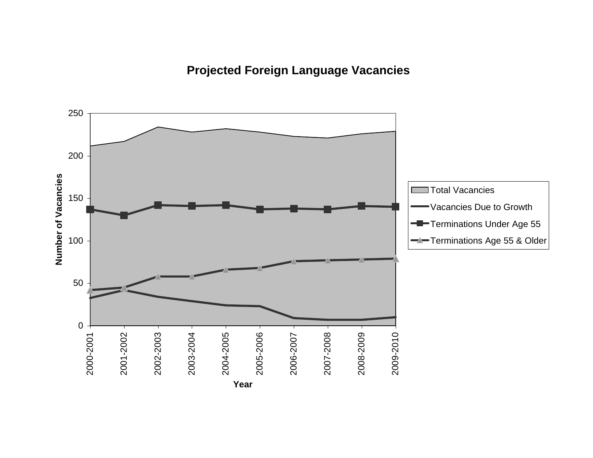# **Projected Foreign Language Vacancies**

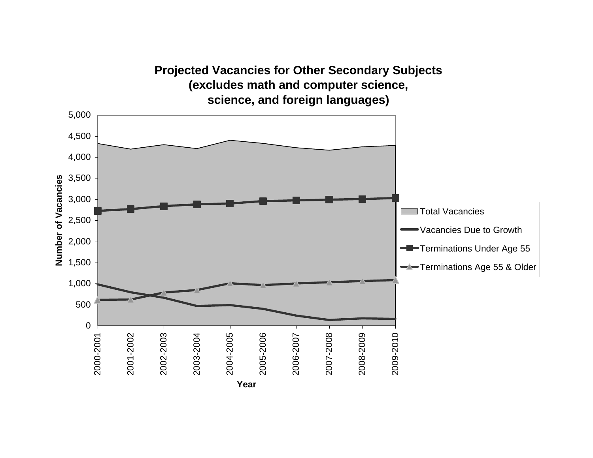## **(excludes math and computer science, science, and foreign languages)** 5,000 4,500 4,000 3,500 Number of Vacancies **Number of Vacancies** 3,000 **Total Vacancies** 2,500 Vacancies Due to Growth 2,000 Terminations Under Age 55 1,500 Terminations Age 55 & Older 1,000 500 0 2008-2009 2009-2010 2002-2003 2003-2004 2004-2005 2005-2006 2007-2008 2000-2001 2001-2002 2006-2007 **Year**

**Projected Vacancies for Other Secondary Subjects**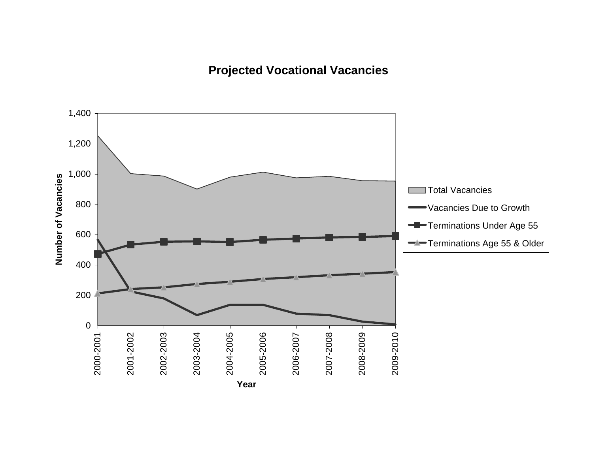# **Projected Vocational Vacancies**

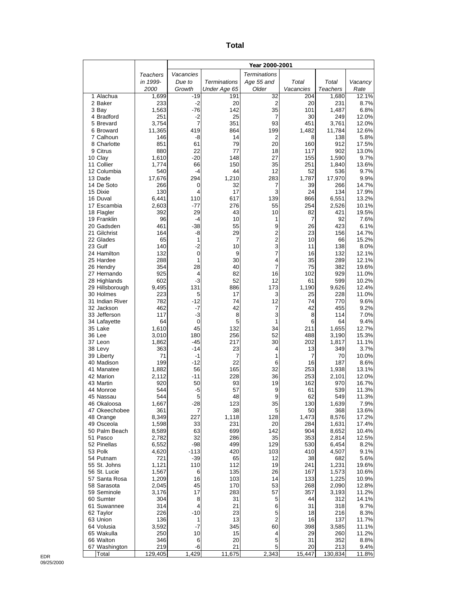| ×<br>×<br>۰,<br>$\sim$ |
|------------------------|
|------------------------|

|                                 |                |                   |                     | Year 2000-2001        |                  |                   |                |
|---------------------------------|----------------|-------------------|---------------------|-----------------------|------------------|-------------------|----------------|
|                                 | Teachers       | Vacancies         |                     | <b>Terminations</b>   |                  |                   |                |
|                                 | in 1999-       | Due to            | Terminations        | Age 55 and            | Total            | Total             | Vacancy        |
| 1 Alachua                       | 2000           | Growth<br>$-19$   | Under Age 65<br>191 | Older<br>32           | Vacancies<br>204 | Teachers<br>1,680 | Rate<br>12.1%  |
| 2 Baker                         | 1,699<br>233   | $-2$              | 20                  | 2                     | 20               | 231               | 8.7%           |
| 3 Bay                           | 1,563          | $-76$             | 142                 | 35                    | 101              | 1,487             | 6.8%           |
| 4 Bradford                      | 251            | -2                | 25                  | 7                     | 30               | 249               | 12.0%          |
| 5 Brevard                       | 3,754          | 7                 | 351                 | 93                    | 451              | 3,761             | 12.0%          |
| 6 Broward<br>7 Calhoun          | 11,365<br>146  | 419<br>-8         | 864<br>14           | 199<br>$\overline{2}$ | 1,482<br>8       | 11,784<br>138     | 12.6%<br>5.8%  |
| 8 Charlotte                     | 851            | 61                | 79                  | 20                    | 160              | 912               | 17.5%          |
| 9 Citrus                        | 880            | 22                | 77                  | 18                    | 117              | 902               | 13.0%          |
| 10 Clay                         | 1,610          | $-20$             | 148                 | 27                    | 155              | 1,590             | 9.7%           |
| 11 Collier<br>12 Columbia       | 1,774<br>540   | 66<br>$-4$        | 150<br>44           | 35<br>12              | 251<br>52        | 1,840<br>536      | 13.6%<br>9.7%  |
| 13 Dade                         | 17,676         | 294               | 1,210               | 283                   | 1,787            | 17,970            | 9.9%           |
| 14 De Soto                      | 266            | 0                 | 32                  | 7                     | 39               | 266               | 14.7%          |
| 15 Dixie                        | 130            | 4                 | 17                  | 3                     | 24               | 134               | 17.9%          |
| 16 Duval                        | 6,441          | 110               | 617                 | 139                   | 866              | 6,551             | 13.2%          |
| 17 Escambia<br>18 Flagler       | 2,603<br>392   | $-77$<br>29       | 276<br>43           | 55<br>10              | 254<br>82        | 2,526<br>421      | 10.1%<br>19.5% |
| 19 Franklin                     | 96             | -4                | 10                  | 1                     | 7                | 92                | 7.6%           |
| 20 Gadsden                      | 461            | $-38$             | 55                  | 9                     | 26               | 423               | 6.1%           |
| 21 Gilchrist                    | 164            | -8                | 29                  | 2                     | 23               | 156               | 14.7%          |
| 22 Glades<br>23 Gulf            | 65<br>140      | 1<br>$-2$         | 7<br>10             | $\overline{c}$<br>3   | 10<br>11         | 66<br>138         | 15.2%<br>8.0%  |
| 24 Hamilton                     | 132            | $\mathbf 0$       | 9                   | $\overline{7}$        | 16               | 132               | 12.1%          |
| 25 Hardee                       | 288            | 1                 | 30                  | 4                     | 35               | 289               | 12.1%          |
| 26 Hendry                       | 354            | 28                | 40                  | 7                     | 75               | 382               | 19.6%          |
| 27 Hernando                     | 925            | 4                 | 82                  | 16                    | 102              | 929               | 11.0%          |
| 28 Highlands<br>29 Hillsborough | 602<br>9,495   | $-3$<br>131       | 52<br>886           | 12<br>173             | 61<br>1,190      | 599<br>9,626      | 10.2%<br>12.4% |
| 30 Holmes                       | 223            | 5                 | 17                  | 3                     | 25               | 228               | 11.0%          |
| 31 Indian River                 | 782            | $-12$             | 74                  | 12                    | 74               | 770               | 9.6%           |
| 32 Jackson                      | 462            | $-7$              | 42                  | 7                     | 42               | 455               | 9.2%           |
| 33 Jefferson                    | 117<br>64      | -3<br>$\mathbf 0$ | 8<br>5              | 3<br>1                | 8<br>6           | 114<br>64         | 7.0%<br>9.4%   |
| 34 Lafayette<br>35 Lake         | 1,610          | 45                | 132                 | 34                    | 211              | 1,655             | 12.7%          |
| 36 Lee                          | 3,010          | 180               | 256                 | 52                    | 488              | 3,190             | 15.3%          |
| 37 Leon                         | 1,862          | -45               | 217                 | 30                    | 202              | 1,817             | 11.1%          |
| 38 Levy                         | 363            | $-14$             | 23                  | 4                     | 13               | 349               | 3.7%           |
| 39 Liberty<br>40 Madison        | 71<br>199      | -1<br>$-12$       | 7<br>22             | 1<br>6                | 7<br>16          | 70<br>187         | 10.0%<br>8.6%  |
| 41 Manatee                      | 1,882          | 56                | 165                 | 32                    | 253              | 1,938             | 13.1%          |
| 42 Marion                       | 2,112          | $-11$             | 228                 | 36                    | 253              | 2,101             | 12.0%          |
| 43 Martin                       | 920            | 50                | 93                  | 19                    | 162              | 970               | 16.7%          |
| 44 Monroe                       | 544            | -5                | 57                  | 9                     | 61               | 539               | 11.3%          |
| 45 Nassau<br>46 Okaloosa        | 544<br>1,667   | 5<br>$-28$        | 48<br>123           | 9<br>35               | 62<br>130        | 549<br>1,639      | 11.3%<br>7.9%  |
| 47 Okeechobee                   | 361            | 7                 | 38                  | 5                     | 50               | 368               | 13.6%          |
| 48 Orange                       | 8,349          | 227               | 1,118               | 128                   | 1,473            | 8,576             | 17.2%          |
| 49 Osceola                      | 1,598          | 33                | 231                 | 20                    | 284              | 1,631             | 17.4%          |
| 50 Palm Beach<br>51 Pasco       | 8,589<br>2,782 | 63<br>32          | 699<br>286          | 142<br>35             | 904<br>353       | 8,652<br>2,814    | 10.4%<br>12.5% |
| 52 Pinellas                     | 6,552          | -98               | 499                 | 129                   | 530              | 6,454             | 8.2%           |
| 53 Polk                         | 4,620          | $-113$            | 420                 | 103                   | 410              | 4,507             | 9.1%           |
| 54 Putnam                       | 721            | $-39$             | 65                  | 12                    | 38               | 682               | 5.6%           |
| 55 St. Johns                    | 1,121          | 110               | 112                 | 19                    | 241              | 1,231             | 19.6%          |
| 56 St. Lucie<br>57 Santa Rosa   | 1,567<br>1,209 | 6<br>16           | 135<br>103          | 26<br>14              | 167<br>133       | 1,573<br>1,225    | 10.6%<br>10.9% |
| 58 Sarasota                     | 2,045          | 45                | 170                 | 53                    | 268              | 2,090             | 12.8%          |
| 59 Seminole                     | 3,176          | 17                | 283                 | 57                    | 357              | 3,193             | 11.2%          |
| 60 Sumter                       | 304            | 8                 | 31                  | 5                     | 44               | 312               | 14.1%          |
| 61 Suwannee                     | 314            | 4                 | 21                  | 6                     | 31               | 318               | 9.7%           |
| 62 Taylor<br>63 Union           | 226<br>136     | $-10$<br>1        | 23<br>13            | 5<br>$\overline{c}$   | 18<br>16         | 216<br>137        | 8.3%<br>11.7%  |
| 64 Volusia                      | 3,592          | $-7$              | 345                 | 60                    | 398              | 3,585             | 11.1%          |
| 65 Wakulla                      | 250            | 10                | 15                  | 4                     | 29               | 260               | 11.2%          |
| 66 Walton                       | 346            | 6                 | 20                  | 5                     | 31               | 352               | 8.8%           |
| 67 Washington<br>Total          | 219<br>129,405 | -6<br>1,429       | 21<br>11,675        | 5<br>2,343            | 20<br>15,447     | 213<br>130,834    | 9.4%<br>11.8%  |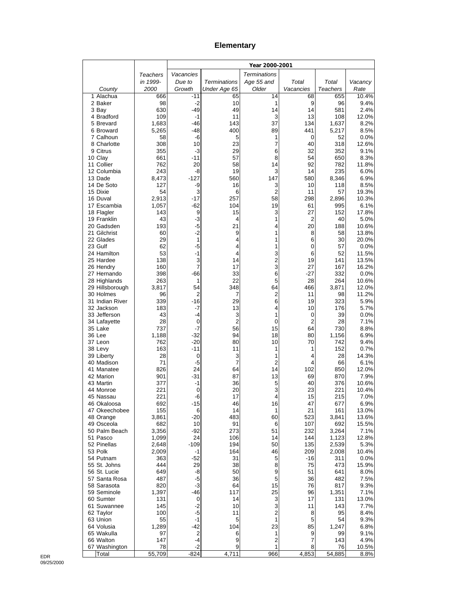#### **Elementary**

|                              |                |              |                     | Year 2000-2001          |                     |                 |                |
|------------------------------|----------------|--------------|---------------------|-------------------------|---------------------|-----------------|----------------|
|                              | Teachers       | Vacancies    |                     | <b>Terminations</b>     |                     |                 |                |
|                              | in 1999-       | Due to       | <b>Terminations</b> | Age 55 and              | Total               | Total           | Vacancy        |
| County                       | 2000           | Growth       | Under Age 65        | Older                   | Vacancies           | <b>Teachers</b> | Rate           |
| 1 Alachua<br>2 Baker         | 666<br>98      | -11<br>$-2$  | 65<br>10            | 14<br>1                 | 68<br>9             | 655<br>96       | 10.4%<br>9.4%  |
| 3 Bay                        | 630            | -49          | 49                  | 14                      | 14                  | 581             | 2.4%           |
| 4 Bradford                   | 109            | -1           | 11                  | 3                       | 13                  | 108             | 12.0%          |
| 5 Brevard                    | 1,683          | -46          | 143                 | 37                      | 134                 | 1,637           | 8.2%           |
| 6 Broward                    | 5,265          | $-48$        | 400                 | 89                      | 441                 | 5,217           | 8.5%           |
| 7 Calhoun                    | 58<br>308      | -6           | 5<br>23             | 1                       | 0                   | 52              | 0.0%           |
| 8 Charlotte<br>9 Citrus      | 355            | 10<br>-3     | 29                  | 7<br>6                  | 40<br>32            | 318<br>352      | 12.6%<br>9.1%  |
| 10 Clay                      | 661            | $-11$        | 57                  | 8                       | 54                  | 650             | 8.3%           |
| 11 Collier                   | 762            | 20           | 58                  | 14                      | 92                  | 782             | 11.8%          |
| 12 Columbia                  | 243            | -8           | 19                  | 3                       | 14                  | 235             | 6.0%           |
| 13 Dade                      | 8,473          | $-127$       | 560                 | 147                     | 580                 | 8,346           | 6.9%           |
| 14 De Soto<br>15 Dixie       | 127<br>54      | -9<br>3      | 16<br>6             | 3<br>2                  | 10<br>11            | 118<br>57       | 8.5%<br>19.3%  |
| 16 Duval                     | 2,913          | $-17$        | 257                 | 58                      | 298                 | 2,896           | 10.3%          |
| 17 Escambia                  | 1,057          | $-62$        | 104                 | 19                      | 61                  | 995             | 6.1%           |
| 18 Flagler                   | 143            | 9            | 15                  | 3                       | 27                  | 152             | 17.8%          |
| 19 Franklin                  | 43             | -3           | 4                   | 1                       | $\overline{2}$      | 40              | 5.0%           |
| 20 Gadsden<br>21 Gilchrist   | 193<br>60      | -5<br>$-2$   | 21<br>9             | 4<br>1                  | 20<br>8             | 188<br>58       | 10.6%<br>13.8% |
| 22 Glades                    | 29             | 1            | 4                   | 1                       | 6                   | 30              | 20.0%          |
| 23 Gulf                      | 62             | $-5$         | 4                   | 1                       | 0                   | 57              | 0.0%           |
| 24 Hamilton                  | 53             | $-1$         | 4                   | 3                       | 6                   | 52              | 11.5%          |
| 25 Hardee                    | 138            | 3            | 14                  | $\overline{\mathbf{c}}$ | 19                  | 141             | 13.5%          |
| 26 Hendry                    | 160            | 7            | 17                  | 3                       | 27                  | 167             | 16.2%          |
| 27 Hernando<br>28 Highlands  | 398<br>263     | -66<br>1     | 33<br>22            | 6<br>5                  | -27<br>28           | 332<br>264      | 0.0%<br>10.6%  |
| 29 Hillsborough              | 3,817          | 54           | 348                 | 64                      | 466                 | 3,871           | 12.0%          |
| 30 Holmes                    | 96             | 2            | 7                   | 2                       | 11                  | 98              | 11.2%          |
| 31 Indian River              | 339            | -16          | 29                  | 6                       | 19                  | 323             | 5.9%           |
| 32 Jackson                   | 183            | -7           | 13                  | 4                       | 10                  | 176             | 5.7%           |
| 33 Jefferson                 | 43<br>28       | $-4$<br>0    | 3<br>2              | 1<br>0                  | 0<br>$\overline{2}$ | 39<br>28        | 0.0%<br>7.1%   |
| 34 Lafayette<br>35 Lake      | 737            | $-7$         | 56                  | 15                      | 64                  | 730             | 8.8%           |
| 36 Lee                       | 1,188          | $-32$        | 94                  | 18                      | 80                  | 1,156           | 6.9%           |
| 37 Leon                      | 762            | $-20$        | 80                  | 10                      | 70                  | 742             | 9.4%           |
| 38 Levy                      | 163            | -11          | 11                  | 1                       | 1                   | 152             | 0.7%           |
| 39 Liberty<br>40 Madison     | 28<br>71       | 0<br>-5      | 3<br>7              | 1<br>$\overline{2}$     | 4<br>4              | 28<br>66        | 14.3%<br>6.1%  |
| 41 Manatee                   | 826            | 24           | 64                  | 14                      | 102                 | 850             | 12.0%          |
| 42 Marion                    | 901            | -31          | 87                  | 13                      | 69                  | 870             | 7.9%           |
| 43 Martin                    | 377            | -1           | 36                  | 5                       | 40                  | 376             | 10.6%          |
| 44 Monroe                    | 221            | 0            | 20                  | 3                       | 23                  | 221             | 10.4%          |
| 45 Nassau                    | 221            | -6<br>$-15$  | 17                  | 4<br>16                 | 15<br>47            | 215             | 7.0%<br>6.9%   |
| 46 Okaloosa<br>47 Okeechobee | 692<br>155     | 6            | 46<br>14            | 1                       | 21                  | 677<br>161      | 13.0%          |
| 48 Orange                    | 3,861          | $-20$        | 483                 | 60                      | 523                 | 3,841           | 13.6%          |
| 49 Osceola                   | 682            | 10           | 91                  | 6                       | 107                 | 692             | 15.5%          |
| 50 Palm Beach                | 3,356          | $-92$        | 273                 | 51                      | 232                 | 3,264           | 7.1%           |
| 51 Pasco<br>52 Pinellas      | 1,099          | 24           | 106                 | 14                      | 144                 | 1,123           | 12.8%          |
| 53 Polk                      | 2,648<br>2,009 | $-109$<br>-1 | 194<br>164          | 50<br>46                | 135<br>209          | 2,539<br>2,008  | 5.3%<br>10.4%  |
| 54 Putnam                    | 363            | -52          | 31                  | 5                       | -16                 | 311             | 0.0%           |
| 55 St. Johns                 | 444            | 29           | 38                  | 8                       | 75                  | 473             | 15.9%          |
| 56 St. Lucie                 | 649            | -8           | 50                  | 9                       | 51                  | 641             | 8.0%           |
| 57 Santa Rosa                | 487            | -5           | 36                  | 5                       | 36                  | 482             | 7.5%           |
| 58 Sarasota<br>59 Seminole   | 820<br>1,397   | $-3$<br>-46  | 64<br>117           | 15<br>25                | 76<br>96            | 817<br>1,351    | 9.3%<br>7.1%   |
| 60 Sumter                    | 131            | 0            | 14                  | 3                       | 17                  | 131             | 13.0%          |
| 61 Suwannee                  | 145            | $-2$         | 10                  | 3                       | 11                  | 143             | 7.7%           |
| 62 Taylor                    | 100            | $-5$         | 11                  | $\overline{\mathbf{c}}$ | 8                   | 95              | 8.4%           |
| 63 Union                     | 55             | $-1$         | 5                   | $\mathbf{1}$            | 5                   | 54              | 9.3%           |
| 64 Volusia<br>65 Wakulla     | 1,289<br>97    | $-42$<br>2   | 104<br>6            | 23<br>1                 | 85                  | 1,247<br>99     | 6.8%           |
| 66 Walton                    | 147            | $-4$         | 9                   | $\mathbf 2$             | 9<br>$\overline{7}$ | 143             | 9.1%<br>4.9%   |
| 67 Washington                | 78             | $-2$         | 9                   | 1                       | 8                   | 76              | 10.5%          |
| Total                        | 55,709         | $-824$       | 4,711               | 966                     | 4,853               | 54,885          | 8.8%           |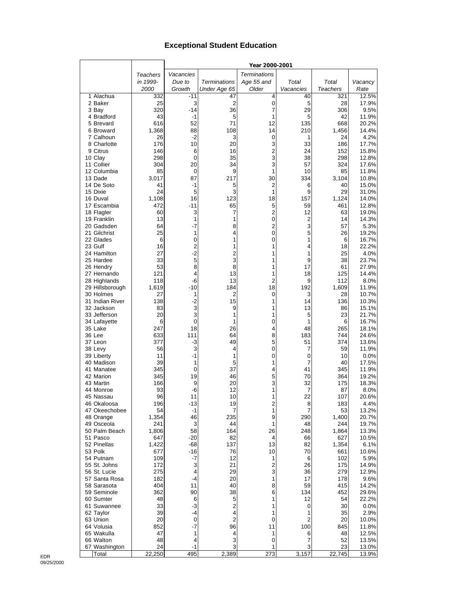## **Exceptional Student Education**

|                          |              |                |                              | Year 2000-2001          |                         |                 |                |
|--------------------------|--------------|----------------|------------------------------|-------------------------|-------------------------|-----------------|----------------|
|                          | Teachers     | Vacancies      |                              | <b>Terminations</b>     |                         |                 |                |
|                          | in 1999-     | Due to         | Terminations                 | Age 55 and              | Total                   | Total           | Vacancy        |
|                          | 2000         | Growth         | Under Age 65                 | Older                   | Vacancies               | <b>Teachers</b> | Rate           |
| 1 Alachua                | 332          | $-11$          | 47                           | 4                       | 40                      | 321             | 12.5%          |
| 2 Baker                  | 25           | 3              | 2                            | 0                       | 5                       | 28              | 17.9%          |
| 3 Bay                    | 320          | $-14$          | 36                           | 7                       | 29                      | 306             | 9.5%           |
| 4 Bradford               | 43           | $-1$           | 5<br>71                      | 1<br>12                 | 5                       | 42              | 11.9%<br>20.2% |
| 5 Brevard<br>6 Broward   | 616<br>1,368 | 52<br>88       | 108                          | 14                      | 135<br>210              | 668<br>1,456    | 14.4%          |
| 7 Calhoun                | 26           | $-2$           | 3                            | 0                       | 1                       | 24              | 4.2%           |
| 8 Charlotte              | 176          | 10             | 20                           | 3                       | 33                      | 186             | 17.7%          |
| 9 Citrus                 | 146          | 6              | 16                           | $\overline{2}$          | 24                      | 152             | 15.8%          |
| 10 Clay                  | 298          | 0              | 35                           | 3                       | 38                      | 298             | 12.8%          |
| 11 Collier               | 304          | 20             | 34                           | 3                       | 57                      | 324             | 17.6%          |
| 12 Columbia              | 85           | 0              | 9                            | 1                       | 10                      | 85              | 11.8%          |
| 13 Dade                  | 3,017        | 87             | 217                          | 30                      | 334                     | 3,104           | 10.8%          |
| 14 De Soto<br>15 Dixie   | 41<br>24     | $-1$<br>5      | 5<br>3                       | $\overline{2}$<br>1     | 6<br>9                  | 40<br>29        | 15.0%          |
| 16 Duval                 | 1,108        | 16             | 123                          | 18                      | 157                     | 1,124           | 31.0%<br>14.0% |
| 17 Escambia              | 472          | -11            | 65                           | 5                       | 59                      | 461             | 12.8%          |
| 18 Flagler               | 60           | 3              | 7                            | $\overline{\mathbf{c}}$ | 12                      | 63              | 19.0%          |
| 19 Franklin              | 13           | 1              | 1                            | $\pmb{0}$               | $\overline{\mathbf{c}}$ | 14              | 14.3%          |
| 20 Gadsden               | 64           | -7             | 8                            | $\overline{\mathbf{c}}$ | 3                       | 57              | 5.3%           |
| 21 Gilchrist             | 25           | 1              | 4                            | $\mathbf 0$             | 5                       | 26              | 19.2%          |
| 22 Glades                | 6            | 0              | 1                            | $\mathbf 0$             | 1                       | 6               | 16.7%          |
| 23 Gulf                  | 16           | $\overline{2}$ | 1                            | 1                       | 4                       | 18              | 22.2%          |
| 24 Hamilton<br>25 Hardee | 27<br>33     | -2<br>5        | $\overline{\mathbf{c}}$<br>3 | 1<br>1                  | 1<br>9                  | 25<br>38        | 4.0%<br>23.7%  |
| 26 Hendry                | 53           | 8              | 8                            | 1                       | 17                      | 61              | 27.9%          |
| 27 Hernando              | 121          | 4              | 13                           | 1                       | 18                      | 125             | 14.4%          |
| 28 Highlands             | 118          | -6             | 13                           | $\overline{2}$          | 9                       | 112             | 8.0%           |
| 29 Hillsborough          | 1,619        | $-10$          | 184                          | 18                      | 192                     | 1,609           | 11.9%          |
| 30 Holmes                | 27           | 1              | $\overline{c}$               | 0                       | 3                       | 28              | 10.7%          |
| 31 Indian River          | 138          | $-2$           | 15                           | 1                       | 14                      | 136             | 10.3%          |
| 32 Jackson               | 83           | 3              | 9                            | 1                       | 13                      | 86              | 15.1%          |
| 33 Jefferson             | 20           | 3              | 1                            | 1                       | 5                       | 23              | 21.7%          |
| 34 Lafayette<br>35 Lake  | 6<br>247     | 0<br>18        | 1<br>26                      | 0<br>4                  | 1<br>48                 | 6<br>265        | 16.7%<br>18.1% |
| 36 Lee                   | 633          | 111            | 64                           | 8                       | 183                     | 744             | 24.6%          |
| 37 Leon                  | 377          | -3             | 49                           | 5                       | 51                      | 374             | 13.6%          |
| 38 Levy                  | 56           | 3              | 4                            | 0                       | 7                       | 59              | 11.9%          |
| 39 Liberty               | 11           | $-1$           | 1                            | $\mathbf 0$             | 0                       | 10              | 0.0%           |
| 40 Madison               | 39           | 1              | 5                            | 1                       | 7                       | 40              | 17.5%          |
| 41 Manatee               | 345          | 0              | 37                           | 4                       | 41                      | 345             | 11.9%          |
| 42 Marion                | 345          | 19             | 46                           | 5                       | 70                      | 364             | 19.2%          |
| 43 Martin                | 166<br>93    | 9              | 20<br>12                     | 3<br>1                  | 32<br>7                 | 175<br>87       | 18.3%          |
| 44 Monroe<br>45 Nassau   | 96           | -6<br>11       | 10                           | 1                       | 22                      | 107             | 8.0%<br>20.6%  |
| 46 Okaloosa              | 196          | -13            | 19                           | 2                       | 8                       | 183             | 4.4%           |
| 47 Okeechobee            | 54           | $-1$           | 7                            | 1                       | 7                       | 53              | 13.2%          |
| 48 Orange                | 1,354        | 46             | 235                          | 9                       | 290                     | 1,400           | 20.7%          |
| 49 Osceola               | 241          | 3              | 44                           | $\mathbf{1}$            | 48                      | 244             | 19.7%          |
| 50 Palm Beach            | 1,806        | 58             | 164                          | 26                      | 248                     | 1,864           | 13.3%          |
| 51 Pasco                 | 647          | $-20$          | 82                           | 4                       | 66                      | 627             | 10.5%          |
| 52 Pinellas<br>53 Polk   | 1,422        | $-68$          | 137                          | 13                      | 82                      | 1,354           | 6.1%           |
| 54 Putnam                | 677<br>109   | $-16$<br>-7    | 76<br>12                     | 10<br>1                 | 70<br>6                 | 661<br>102      | 10.6%<br>5.9%  |
| 55 St. Johns             | 172          | 3              | 21                           | $\overline{c}$          | 26                      | 175             | 14.9%          |
| 56 St. Lucie             | 275          | 4              | 29                           | 3                       | 36                      | 279             | 12.9%          |
| 57 Santa Rosa            | 182          | -4             | 20                           | 1                       | 17                      | 178             | 9.6%           |
| 58 Sarasota              | 404          | 11             | 40                           | 8                       | 59                      | 415             | 14.2%          |
| 59 Seminole              | 362          | 90             | 38                           | 6                       | 134                     | 452             | 29.6%          |
| 60 Sumter                | 48           | 6              | 5                            | 1                       | 12                      | 54              | 22.2%          |
| 61 Suwannee              | 33           | $-3$           | $\overline{\mathbf{c}}$      | 1                       | 0                       | 30              | $0.0\%$        |
| 62 Taylor                | 39           | -4             | 4                            | 1                       | 1                       | 35              | 2.9%           |
| 63 Union<br>64 Volusia   | 20<br>852    | 0<br>-7        | $\overline{c}$<br>96         | 0<br>11                 | 2<br>100                | 20<br>845       | 10.0%<br>11.8% |
| 65 Wakulla               | 47           | 1              | 4                            | 1                       | 6                       | 48              | 12.5%          |
| 66 Walton                | 48           | 4              | 3                            | $\mathbf 0$             | 7                       | 52              | 13.5%          |
| 67 Washington            | 24           | -1             | 3                            | 1                       | 3                       | 23              | 13.0%          |
| Total                    | 22,250       | 495            | 2,389                        | 273                     | 3,157                   | 22,745          | 13.9%          |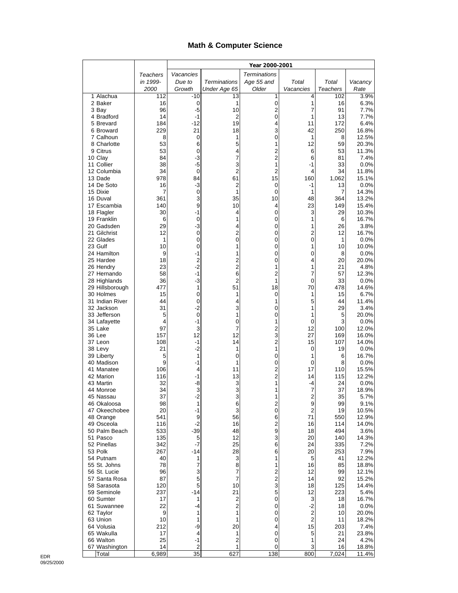## **Math & Computer Science**

|                              |                 |                        |                     | Year 2000-2001               |                          |                 |                  |
|------------------------------|-----------------|------------------------|---------------------|------------------------------|--------------------------|-----------------|------------------|
|                              | <b>Teachers</b> | Vacancies              |                     | <b>Terminations</b>          |                          |                 |                  |
|                              | in 1999-        | Due to                 | <b>Terminations</b> | Age 55 and                   | Total                    | Total           | Vacancy          |
|                              | 2000            | Growth                 | Under Age 65        | Older                        | Vacancies                | <b>Teachers</b> | Rate             |
| 1 Alachua<br>2 Baker         | 112<br>16       | -10<br>0               | 13<br>1             | 1<br>0                       | 4<br>1                   | 102<br>16       | 3.9%<br>6.3%     |
| 3 Bay                        | 96              | -5                     | 10                  | 2                            | 7                        | 91              | 7.7%             |
| 4 Bradford                   | 14              | $-1$                   | 2                   | 0                            | 1                        | 13              | 7.7%             |
| 5 Brevard                    | 184             | $-12$                  | 19                  | 4                            | 11                       | 172             | 6.4%             |
| 6 Broward                    | 229             | 21                     | 18                  | 3                            | 42                       | 250             | 16.8%            |
| 7 Calhoun<br>8 Charlotte     | 8<br>53         | 0<br>6                 | 1<br>5              | 0<br>1                       | 1<br>12                  | 8<br>59         | 12.5%<br>20.3%   |
| 9 Citrus                     | 53              | 0                      | 4                   | $\overline{c}$               | 6                        | 53              | 11.3%            |
| 10 Clay                      | 84              | $-3$                   | 7                   | $\overline{\mathbf{c}}$      | 6                        | 81              | 7.4%             |
| 11 Collier                   | 38              | $-5$                   | 3                   | 1                            | -1                       | 33              | 0.0%             |
| 12 Columbia                  | 34              | $\mathbf 0$            | $\overline{2}$      | 2                            | 4                        | 34              | 11.8%            |
| 13 Dade<br>14 De Soto        | 978<br>16       | 84<br>-3               | 61<br>2             | 15<br>0                      | 160<br>-1                | 1,062<br>13     | 15.1%<br>0.0%    |
| 15 Dixie                     | 7               | $\mathbf 0$            | 1                   | 0                            | 1                        | $\overline{7}$  | 14.3%            |
| 16 Duval                     | 361             | 3                      | 35                  | 10                           | 48                       | 364             | 13.2%            |
| 17 Escambia                  | 140             | 9                      | 10                  | 4                            | 23                       | 149             | 15.4%            |
| 18 Flagler                   | 30              | $-1$                   | 4                   | 0                            | 3                        | 29              | 10.3%            |
| 19 Franklin<br>20 Gadsden    | 6<br>29         | 0<br>$-3$              | 1<br>4              | 0<br>0                       | 1<br>1                   | 6<br>26         | 16.7%            |
| 21 Gilchrist                 | 12              | $\mathbf 0$            | $\overline{c}$      | 0                            | $\overline{\mathbf{c}}$  | 12              | 3.8%<br>16.7%    |
| 22 Glades                    | 1               | 0                      | 0                   | 0                            | $\mathbf 0$              | 1               | 0.0%             |
| 23 Gulf                      | 10              | 0                      | 1                   | 0                            | 1                        | 10              | 10.0%            |
| 24 Hamilton                  | 9               | $-1$                   | 1                   | 0                            | 0                        | 8               | 0.0%             |
| 25 Hardee                    | 18              | $\overline{2}$<br>$-2$ | 2<br>$\overline{2}$ | 0                            | 4                        | 20              | 20.0%            |
| 26 Hendry<br>27 Hernando     | 23<br>58        | $-1$                   | 6                   | 1<br>2                       | 1<br>7                   | 21<br>57        | 4.8%<br>12.3%    |
| 28 Highlands                 | 36              | $-3$                   | $\overline{2}$      | 1                            | 0                        | 33              | 0.0%             |
| 29 Hillsborough              | 477             | 1                      | 51                  | 18                           | 70                       | 478             | 14.6%            |
| 30 Holmes                    | 15              | 0                      | 1                   | 0                            | 1                        | 15              | 6.7%             |
| 31 Indian River              | 44              | 0                      | 4                   | 1                            | 5                        | 44              | 11.4%            |
| 32 Jackson<br>33 Jefferson   | 31<br>5         | $-2$<br>$\mathbf 0$    | 3<br>1              | 0<br>0                       | 1<br>1                   | 29<br>5         | 3.4%<br>20.0%    |
| 34 Lafayette                 | 4               | $-1$                   | 0                   | 1                            | 0                        | 3               | 0.0%             |
| 35 Lake                      | 97              | 3                      | 7                   | 2                            | 12                       | 100             | 12.0%            |
| 36 Lee                       | 157             | 12                     | 12                  | 3                            | 27                       | 169             | 16.0%            |
| 37 Leon                      | 108             | $-1$                   | 14                  | 2                            | 15                       | 107             | 14.0%            |
| 38 Levy<br>39 Liberty        | 21<br>5         | $-2$<br>1              | 1<br>0              | 1<br>0                       | 0<br>1                   | 19<br>6         | 0.0%<br>16.7%    |
| 40 Madison                   | 9               | $-1$                   | 1                   | 0                            | 0                        | 8               | 0.0%             |
| 41 Manatee                   | 106             | 4                      | 11                  | 2                            | 17                       | 110             | 15.5%            |
| 42 Marion                    | 116             | -1                     | 13                  | $\overline{2}$               | 14                       | 115             | 12.2%            |
| 43 Martin                    | 32<br>34        | $-8$<br>3              | 3<br>3              | 1<br>1                       | -4<br>7                  | 24<br>37        | $0.0\%$<br>18.9% |
| 44 Monroe<br>45 Nassau       | 37              | -2                     | З                   | 1                            | 2                        | 35              | 5.7%             |
| 46 Okaloosa                  | 98              | 1                      | 6                   | 2                            | 9                        | 99              | 9.1%             |
| 47 Okeechobee                | 20              | -1                     | 3                   | $\pmb{0}$                    | $\mathbf 2$              | 19              | 10.5%            |
| 48 Orange                    | 541             | 9                      | 56                  | 6                            | 71                       | 550             | 12.9%            |
| 49 Osceola<br>50 Palm Beach  | 116<br>533      | $-2$<br>$-39$          | 16<br>48            | 2<br>9                       | 16<br>18                 | 114<br>494      | 14.0%<br>3.6%    |
| 51 Pasco                     | 135             | 5                      | 12                  | 3                            | 20                       | 140             | 14.3%            |
| 52 Pinellas                  | 342             | $-7$                   | 25                  | 6                            | 24                       | 335             | 7.2%             |
| 53 Polk                      | 267             | -14                    | 28                  | 6                            | 20                       | 253             | 7.9%             |
| 54 Putnam                    | 40              | 1                      | 3                   | 1                            | 5                        | 41              | 12.2%            |
| 55 St. Johns<br>56 St. Lucie | 78<br>96        | 7<br>3                 | 8<br>7              | 1<br>$\overline{\mathbf{c}}$ | 16<br>12                 | 85<br>99        | 18.8%<br>12.1%   |
| 57 Santa Rosa                | 87              | 5                      | 7                   | $\overline{\mathbf{c}}$      | 14                       | 92              | 15.2%            |
| 58 Sarasota                  | 120             | 5                      | 10                  | 3                            | 18                       | 125             | 14.4%            |
| 59 Seminole                  | 237             | $-14$                  | 21                  | 5                            | 12                       | 223             | 5.4%             |
| 60 Sumter                    | 17              | 1                      | 2                   | 0                            | 3                        | 18              | 16.7%            |
| 61 Suwannee<br>62 Taylor     | 22<br>9         | -4<br>1                | 2<br>1              | 0<br>0                       | $-2$<br>$\boldsymbol{2}$ | 18<br>10        | $0.0\%$<br>20.0% |
| 63 Union                     | 10              | 1                      | 1                   | 0                            | $\overline{2}$           | 11              | 18.2%            |
| 64 Volusia                   | 212             | -9                     | 20                  | 4                            | 15                       | 203             | 7.4%             |
| 65 Wakulla                   | 17              | 4                      | 1                   | 0                            | 5                        | 21              | 23.8%            |
| 66 Walton                    | 25              | $-1$                   | 2                   | 0                            | 1                        | 24              | 4.2%             |
| 67 Washington<br>Total       | 14<br>6,989     | $\overline{c}$<br>35   | 1<br>627            | 0<br>138                     | 3<br>800                 | 16<br>7,024     | 18.8%<br>11.4%   |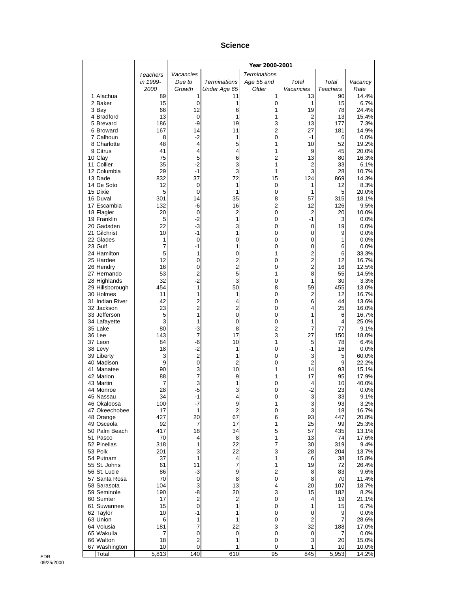#### **Science**

|                              |                 |                                        |                         | Year 2000-2001      |                         |           |                |
|------------------------------|-----------------|----------------------------------------|-------------------------|---------------------|-------------------------|-----------|----------------|
|                              | <b>Teachers</b> | Vacancies                              |                         | <b>Terminations</b> |                         |           |                |
|                              | in 1999-        | Due to                                 | <b>Terminations</b>     | Age 55 and          | Total                   | Total     | Vacancy        |
|                              | 2000            | Growth                                 | Under Age 65            | Older               | Vacancies               | Teachers  | Rate           |
| 1 Alachua<br>2 Baker         | 89<br>15        | 1<br>0                                 | 11<br>1                 | 1<br>0              | 13<br>1                 | 90<br>15  | 14.4%<br>6.7%  |
| 3 Bay                        | 66              | 12                                     | 6                       | 1                   | 19                      | 78        | 24.4%          |
| 4 Bradford                   | 13              | 0                                      | 1                       | 1                   | 2                       | 13        | 15.4%          |
| 5 Brevard                    | 186             | -9                                     | 19                      | 3                   | 13                      | 177       | 7.3%           |
| 6 Broward                    | 167             | 14                                     | 11                      | 2                   | 27                      | 181       | 14.9%          |
| 7 Calhoun<br>8 Charlotte     | 8<br>48         | $-2$<br>4                              | 1<br>5                  | 0<br>1              | $-1$<br>10              | 6<br>52   | 0.0%<br>19.2%  |
| 9 Citrus                     | 41              | 4                                      | 4                       | 1                   | 9                       | 45        | 20.0%          |
| 10 Clay                      | 75              | 5                                      | 6                       | $\overline{2}$      | 13                      | 80        | 16.3%          |
| 11 Collier                   | 35              | $-2$                                   | 3                       | 1                   | 2                       | 33        | 6.1%           |
| 12 Columbia                  | 29              | $-1$                                   | 3                       | 1                   | 3                       | 28        | 10.7%          |
| 13 Dade                      | 832             | 37                                     | 72                      | 15                  | 124                     | 869       | 14.3%          |
| 14 De Soto<br>15 Dixie       | 12<br>5         | 0<br>0                                 | 1<br>1                  | 0<br>0              | 1<br>1                  | 12<br>5   | 8.3%<br>20.0%  |
| 16 Duval                     | 301             | 14                                     | 35                      | 8                   | 57                      | 315       | 18.1%          |
| 17 Escambia                  | 132             | -6                                     | 16                      | $\overline{2}$      | 12                      | 126       | 9.5%           |
| 18 Flagler                   | 20              | $\boldsymbol{0}$                       | 2                       | 0                   | $\overline{2}$          | 20        | 10.0%          |
| 19 Franklin                  | 5               | $-2$                                   | 1                       | 0                   | $-1$                    | 3         | 0.0%           |
| 20 Gadsden<br>21 Gilchrist   | 22<br>10        | $-3$<br>$-1$                           | 3<br>1                  | 0<br>0              | 0<br>0                  | 19<br>9   | 0.0%<br>0.0%   |
| 22 Glades                    | 1               | 0                                      | 0                       | 0                   | 0                       | 1         | 0.0%           |
| 23 Gulf                      | 7               | $-1$                                   | 1                       | 0                   | 0                       | 6         | 0.0%           |
| 24 Hamilton                  | 5               | 1                                      | 0                       | 1                   | 2                       | 6         | 33.3%          |
| 25 Hardee                    | 12              | 0                                      | 2                       | 0                   | $\overline{\mathbf{c}}$ | 12        | 16.7%          |
| 26 Hendry                    | 16              | $\mathbf 0$                            | $\overline{2}$          | 0                   | $\overline{2}$          | 16        | 12.5%          |
| 27 Hernando<br>28 Highlands  | 53<br>32        | $\overline{c}$<br>$-2$                 | 5<br>3                  | 1<br>0              | 8<br>1                  | 55<br>30  | 14.5%<br>3.3%  |
| 29 Hillsborough              | 454             | 1                                      | 50                      | 8                   | 59                      | 455       | 13.0%          |
| 30 Holmes                    | 11              | 1                                      | 1                       | 0                   | 2                       | 12        | 16.7%          |
| 31 Indian River              | 42              | $\overline{c}$                         | 4                       | 0                   | 6                       | 44        | 13.6%          |
| 32 Jackson                   | 23              | $\overline{2}$                         | 2                       | 0                   | 4                       | 25        | 16.0%          |
| 33 Jefferson<br>34 Lafayette | 5<br>3          | 1<br>1                                 | 0<br>0                  | 0<br>0              | 1<br>1                  | 6<br>4    | 16.7%<br>25.0% |
| 35 Lake                      | 80              | $-3$                                   | 8                       | 2                   | 7                       | 77        | 9.1%           |
| 36 Lee                       | 143             | 7                                      | 17                      | 3                   | 27                      | 150       | 18.0%          |
| 37 Leon                      | 84              | $-6$                                   | 10                      | 1                   | 5                       | 78        | 6.4%           |
| 38 Levy                      | 18              | $-2$                                   | 1                       | 0                   | -1                      | 16        | 0.0%           |
| 39 Liberty<br>40 Madison     | 3<br>9          | $\overline{\mathbf{c}}$<br>$\mathbf 0$ | 1<br>2                  | 0<br>0              | 3<br>$\overline{2}$     | 5<br>9    | 60.0%<br>22.2% |
| 41 Manatee                   | 90              | 3                                      | 10                      | 1                   | 14                      | 93        | 15.1%          |
| 42 Marion                    | 88              | 7                                      | 9                       | 1                   | 17                      | 95        | 17.9%          |
| 43 Martin                    | 7               | 3                                      | 1                       | 0                   | 4                       | 10        | 40.0%          |
| 44 Monroe                    | 28              | -5                                     | 3                       | 0                   | $-2$                    | 23        | 0.0%           |
| 45 Nassau<br>46 Okaloosa     | 34<br>100       | -1<br>-7                               | 4<br>9                  | 0<br>1              | 3<br>3                  | 33<br>93  | 9.1%<br>3.2%   |
| 47 Okeechobee                | 17              | 1                                      | $\overline{\mathbf{c}}$ | 0                   | 3                       | 18        | 16.7%          |
| 48 Orange                    | 427             | 20                                     | 67                      | 6                   | 93                      | 447       | 20.8%          |
| 49 Osceola                   | 92              | 7                                      | 17                      | 1                   | 25                      | 99        | 25.3%          |
| 50 Palm Beach                | 417             | 18                                     | 34                      | 5                   | 57                      | 435       | 13.1%          |
| 51 Pasco<br>52 Pinellas      | 70<br>318       | 4<br>1                                 | 8<br>22                 | 1<br>7              | 13<br>30                | 74<br>319 | 17.6%<br>9.4%  |
| 53 Polk                      | 201             | 3                                      | 22                      | 3                   | 28                      | 204       | 13.7%          |
| 54 Putnam                    | 37              | 1                                      | 4                       | 1                   | 6                       | 38        | 15.8%          |
| 55 St. Johns                 | 61              | 11                                     | 7                       | 1                   | 19                      | 72        | 26.4%          |
| 56 St. Lucie                 | 86              | $-3$                                   | 9                       | 2                   | 8                       | 83        | 9.6%           |
| 57 Santa Rosa<br>58 Sarasota | 70<br>104       | 0<br>3                                 | 8<br>13                 | 0<br>4              | 8<br>20                 | 70<br>107 | 11.4%          |
| 59 Seminole                  | 190             | -8                                     | 20                      | 3                   | 15                      | 182       | 18.7%<br>8.2%  |
| 60 Sumter                    | 17              | $\overline{\mathbf{c}}$                | 2                       | 0                   | 4                       | 19        | 21.1%          |
| 61 Suwannee                  | 15              | $\mathbf 0$                            | 1                       | 0                   | 1                       | 15        | 6.7%           |
| 62 Taylor                    | 10              | -1                                     | 1                       | 0                   | 0                       | 9         | 0.0%           |
| 63 Union                     | 6               | 1                                      | 1                       | 0                   | $\overline{2}$          | 7         | 28.6%          |
| 64 Volusia<br>65 Wakulla     | 181<br>7        | 7<br>0                                 | 22<br>0                 | 3<br>0              | 32<br>0                 | 188<br>7  | 17.0%<br>0.0%  |
| 66 Walton                    | 18              | $\overline{\mathbf{c}}$                | 1                       | 0                   | 3                       | 20        | 15.0%          |
| 67 Washington                | 10              | 0                                      | 1                       | 0                   | 1                       | 10        | 10.0%          |
| Total                        | 5,813           | 140                                    | 610                     | 95                  | 845                     | 5,953     | 14.2%          |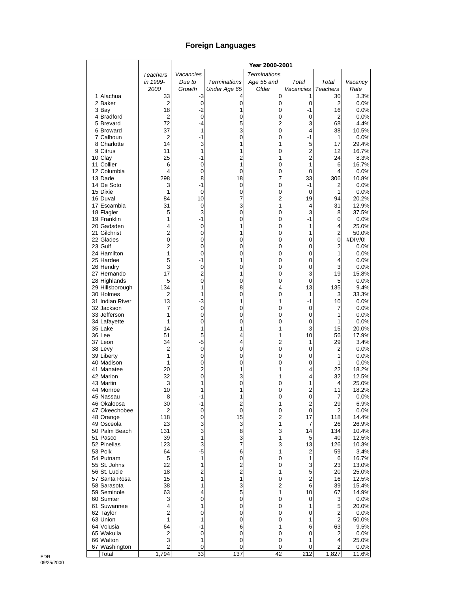## **Foreign Languages**

|                              |                         |                     |                     | Year 2000-2001      |           |                 |                |
|------------------------------|-------------------------|---------------------|---------------------|---------------------|-----------|-----------------|----------------|
|                              | Teachers                | Vacancies           |                     | <b>Terminations</b> |           |                 |                |
|                              | in 1999-                | Due to              | <b>Terminations</b> | Age 55 and          | Total     | Total           | Vacancy        |
|                              | 2000                    | Growth              | Under Age 65        | Older               | Vacancies | <b>Teachers</b> | Rate           |
| 1 Alachua                    | 33                      | $-3$                | 4                   | 0                   | 1         | 30              | 3.3%           |
| 2 Baker<br>3 Bay             | $\overline{c}$<br>18    | $\mathbf 0$<br>$-2$ | 0<br>1              | $\pmb{0}$<br>0      | 0<br>$-1$ | 2<br>16         | 0.0%<br>0.0%   |
| 4 Bradford                   | $\overline{\mathbf{c}}$ | $\mathbf 0$         | 0                   | 0                   | 0         | 2               | 0.0%           |
| 5 Brevard                    | 72                      | -4                  | 5                   | $\overline{2}$      | 3         | 68              | 4.4%           |
| 6 Broward                    | 37                      | 1                   | 3                   | 0                   | 4         | 38              | 10.5%          |
| 7 Calhoun                    | 2                       | -1                  | 0                   | 0                   | -1        | 1               | 0.0%           |
| 8 Charlotte                  | 14                      | 3                   | 1                   | 1                   | 5         | 17              | 29.4%          |
| 9 Citrus                     | 11                      | 1                   | 1                   | 0                   | 2         | 12              | 16.7%          |
| 10 Clay                      | 25                      | -1                  | 2                   | 1                   | 2         | 24              | 8.3%           |
| 11 Collier<br>12 Columbia    | 6<br>4                  | 0<br>0              | 1<br>$\mathbf 0$    | 0<br>0              | 1<br>0    | 6<br>4          | 16.7%<br>0.0%  |
| 13 Dade                      | 298                     | 8                   | 18                  | 7                   | 33        | 306             | 10.8%          |
| 14 De Soto                   | 3                       | $-1$                | 0                   | 0                   | -1        | 2               | 0.0%           |
| 15 Dixie                     | 1                       | 0                   | $\mathbf 0$         | 0                   | 0         | 1               | 0.0%           |
| 16 Duval                     | 84                      | 10                  | 7                   | 2                   | 19        | 94              | 20.2%          |
| 17 Escambia                  | 31                      | 0                   | 3                   | 1                   | 4         | 31              | 12.9%          |
| 18 Flagler                   | 5                       | 3                   | 0                   | 0                   | 3         | 8               | 37.5%          |
| 19 Franklin                  | 1<br>4                  | $-1$<br>0           | 0<br>1              | 0                   | -1<br>1   | 0<br>4          | $0.0\%$        |
| 20 Gadsden<br>21 Gilchrist   | $\overline{2}$          | 0                   | 1                   | 0<br>0              | 1         | $\overline{c}$  | 25.0%<br>50.0% |
| 22 Glades                    | $\overline{0}$          | 0                   | 0                   | 0                   | 0         | 0               | #DIV/0!        |
| 23 Gulf                      | $\overline{c}$          | 0                   | 0                   | 0                   | 0         | 2               | 0.0%           |
| 24 Hamilton                  | 1                       | $\mathbf 0$         | 0                   | 0                   | 0         | 1               | 0.0%           |
| 25 Hardee                    | 5                       | -1                  | 1                   | 0                   | 0         | 4               | 0.0%           |
| 26 Hendry                    | 3                       | 0                   | 0                   | 0                   | 0         | 3               | 0.0%           |
| 27 Hernando                  | 17                      | $\overline{c}$      | 1                   | 0                   | 3         | 19              | 15.8%          |
| 28 Highlands                 | 5                       | 0                   | 0                   | 0                   | 0         | 5               | 0.0%           |
| 29 Hillsborough<br>30 Holmes | 134<br>2                | 1<br>1              | 8<br>0              | 4<br>0              | 13<br>1   | 135<br>3        | 9.4%<br>33.3%  |
| 31 Indian River              | 13                      | -3                  | 1                   | 1                   | -1        | 10              | $0.0\%$        |
| 32 Jackson                   | 7                       | 0                   | 0                   | 0                   | 0         | 7               | 0.0%           |
| 33 Jefferson                 | 1                       | 0                   | 0                   | 0                   | 0         | 1               | 0.0%           |
| 34 Lafayette                 | 1                       | 0                   | 0                   | 0                   | 0         | 1               | $0.0\%$        |
| 35 Lake                      | 14                      | 1                   | 1                   | 1                   | 3         | 15              | 20.0%          |
| 36 Lee                       | 51                      | 5                   | 4                   | 1                   | 10        | 56              | 17.9%          |
| 37 Leon<br>38 Levy           | 34<br>$\overline{c}$    | $-5$<br>0           | 4<br>0              | 2<br>0              | 1<br>0    | 29<br>2         | 3.4%<br>0.0%   |
| 39 Liberty                   | 1                       | 0                   | 0                   | 0                   | 0         | 1               | 0.0%           |
| 40 Madison                   | 1                       | 0                   | 0                   | 0                   | 0         | 1               | 0.0%           |
| 41 Manatee                   | 20                      | $\overline{c}$      | 1                   | 1                   | 4         | 22              | 18.2%          |
| 42 Marion                    | 32                      | 0                   | 3                   | 1                   | 4         | 32              | 12.5%          |
| 43 Martin                    | 3                       | 1                   | 0                   | 0                   | 1         | 4               | 25.0%          |
| 44 Monroe                    | 10                      | 1                   | 1                   | 0                   | 2         | 11              | 18.2%          |
| 45 Nassau<br>46 Okaloosa     | 8                       | $-1$<br>-1          | 1<br>2              | 0                   | 0<br>2    | 7<br>29         | 0.0%           |
| 47 Okeechobee                | 30<br>2                 | 0                   | 0                   | 1<br>0              | 0         | 2               | 6.9%<br>0.0%   |
| 48 Orange                    | 118                     | 0                   | 15                  | 2                   | 17        | 118             | 14.4%          |
| 49 Osceola                   | 23                      | 3                   | 3                   | 1                   | 7         | 26              | 26.9%          |
| 50 Palm Beach                | 131                     | 3                   | 8                   | 3                   | 14        | 134             | 10.4%          |
| 51 Pasco                     | 39                      | 1                   | 3                   | 1                   | 5         | 40              | 12.5%          |
| 52 Pinellas                  | 123                     | 3                   | $\overline{7}$      | 3                   | 13        | 126             | 10.3%          |
| 53 Polk                      | 64                      | $-5$                | 6                   | 1                   | 2         | 59              | 3.4%           |
| 54 Putnam<br>55 St. Johns    | 5<br>22                 | 1<br>1              | $\pmb{0}$           | 0<br>0              | 1<br>3    | 6<br>23         | 16.7%<br>13.0% |
| 56 St. Lucie                 | 18                      | $\overline{c}$      | $\frac{2}{2}$       | 1                   | 5         | 20              | 25.0%          |
| 57 Santa Rosa                | 15                      | 1                   | 1                   | 0                   | 2         | 16              | 12.5%          |
| 58 Sarasota                  | 38                      | 1                   | 3                   | 2                   | 6         | 39              | 15.4%          |
| 59 Seminole                  | 63                      | 4                   | 5                   | 1                   | 10        | 67              | 14.9%          |
| 60 Sumter                    | 3                       | 0                   | $\mathbf 0$         | 0                   | 0         | 3               | 0.0%           |
| 61 Suwannee                  | 4                       | 1                   | $\mathbf 0$         | 0                   | 1         | 5               | 20.0%          |
| 62 Taylor                    | $\overline{2}$          | 0                   | 0                   | 0                   | 0         | 2               | 0.0%           |
| 63 Union<br>64 Volusia       | 1<br>64                 | 1<br>$-1$           | 0<br>6              | 0<br>1              | 1<br>6    | 2<br>63         | 50.0%          |
| 65 Wakulla                   | 2                       | 0                   | $\pmb{0}$           | 0                   | 0         | 2               | 9.5%<br>0.0%   |
| 66 Walton                    | 3                       | 1                   | $\mathbf 0$         | 0                   | 1         | 4               | 25.0%          |
| 67 Washington                | 2                       | 0                   | $\mathbf 0$         | 0                   | 0         | 2               | 0.0%           |
| Total                        | 1,794                   | 33                  | 137                 | 42                  | 212       | 1,827           | 11.6%          |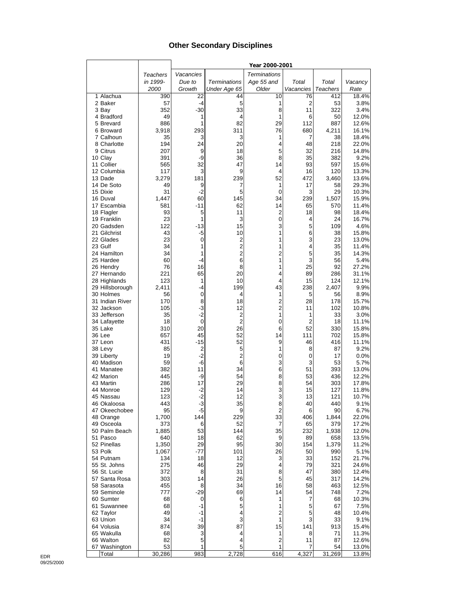## **Other Secondary Disciplines**

|                          |                 |             |                               | Year 2000-2001          |                      |                 |                |
|--------------------------|-----------------|-------------|-------------------------------|-------------------------|----------------------|-----------------|----------------|
|                          | <b>Teachers</b> | Vacancies   |                               | <b>Terminations</b>     |                      |                 |                |
|                          | in 1999-        | Due to      | <b>Terminations</b>           | Age 55 and              | Total                | Total           | Vacancy        |
|                          | 2000            | Growth      | Under Age 65                  | Older                   | Vacancies            | <b>Teachers</b> | Rate           |
| 1 Alachua                | 390             | 22          | 44                            | 10                      | 76                   | 412             | 18.4%          |
| 2 Baker                  | 57              | $-4$        | 5                             | 1                       | $\overline{2}$       | 53              | 3.8%           |
| 3 Bay                    | 352<br>49       | $-30$       | 33                            | 8<br>1                  | 11                   | 322             | 3.4%           |
| 4 Bradford<br>5 Brevard  | 886             | 1<br>1      | 4<br>82                       | 29                      | 6<br>112             | 50<br>887       | 12.0%<br>12.6% |
| 6 Broward                | 3,918           | 293         | 311                           | 76                      | 680                  | 4,211           | 16.1%          |
| 7 Calhoun                | 35              | 3           | 3                             | 1                       | 7                    | 38              | 18.4%          |
| 8 Charlotte              | 194             | 24          | 20                            | 4                       | 48                   | 218             | 22.0%          |
| 9 Citrus                 | 207             | 9           | 18                            | 5                       | 32                   | 216             | 14.8%          |
| 10 Clay                  | 391             | -9          | 36                            | 8                       | 35                   | 382             | 9.2%           |
| 11 Collier               | 565             | 32          | 47                            | 14                      | 93                   | 597             | 15.6%          |
| 12 Columbia              | 117             | 3           | 9                             | 4                       | 16                   | 120             | 13.3%          |
| 13 Dade                  | 3,279           | 181         | 239                           | 52                      | 472                  | 3,460           | 13.6%          |
| 14 De Soto<br>15 Dixie   | 49<br>31        | 9<br>$-2$   | 7<br>5                        | 1<br>0                  | 17<br>3              | 58<br>29        | 29.3%<br>10.3% |
| 16 Duval                 | 1,447           | 60          | 145                           | 34                      | 239                  | 1,507           | 15.9%          |
| 17 Escambia              | 581             | $-11$       | 62                            | 14                      | 65                   | 570             | 11.4%          |
| 18 Flagler               | 93              | 5           | 11                            | 2                       | 18                   | 98              | 18.4%          |
| 19 Franklin              | 23              | 1           | 3                             | 0                       | 4                    | 24              | 16.7%          |
| 20 Gadsden               | 122             | $-13$       | 15                            | 3                       | 5                    | 109             | 4.6%           |
| 21 Gilchrist             | 43              | $-5$        | 10                            | 1                       | 6                    | 38              | 15.8%          |
| 22 Glades                | 23              | $\mathbf 0$ | $\overline{c}$                | 1                       | 3                    | 23              | 13.0%          |
| 23 Gulf                  | 34              | 1           | $\overline{c}$                | 1                       | 4                    | 35              | 11.4%          |
| 24 Hamilton              | 34<br>60        | 1<br>-4     | $\overline{2}$<br>6           | 2                       | 5<br>3               | 35              | 14.3%          |
| 25 Hardee<br>26 Hendry   | 76              | 16          | 8                             | 1<br>1                  | 25                   | 56<br>92        | 5.4%<br>27.2%  |
| 27 Hernando              | 221             | 65          | 20                            | 4                       | 89                   | 286             | 31.1%          |
| 28 Highlands             | 123             | 1           | 10                            | 4                       | 15                   | 124             | 12.1%          |
| 29 Hillsborough          | 2,411           | -4          | 199                           | 43                      | 238                  | 2,407           | 9.9%           |
| 30 Holmes                | 56              | 0           | 4                             | 1                       | 5                    | 56              | 8.9%           |
| 31 Indian River          | 170             | 8           | 18                            | $\overline{\mathbf{c}}$ | 28                   | 178             | 15.7%          |
| 32 Jackson               | 105             | $-3$        | 12                            | 2                       | 11                   | 102             | 10.8%          |
| 33 Jefferson             | 35              | $-2$        | 2                             | 1                       | 1                    | 33              | 3.0%           |
| 34 Lafayette<br>35 Lake  | 18<br>310       | 0<br>20     | $\overline{\mathbf{c}}$<br>26 | 0<br>6                  | $\overline{2}$<br>52 | 18<br>330       | 11.1%<br>15.8% |
| 36 Lee                   | 657             | 45          | 52                            | 14                      | 111                  | 702             | 15.8%          |
| 37 Leon                  | 431             | $-15$       | 52                            | 9                       | 46                   | 416             | 11.1%          |
| 38 Levy                  | 85              | 2           | 5                             | 1                       | 8                    | 87              | 9.2%           |
| 39 Liberty               | 19              | $-2$        | $\overline{2}$                | 0                       | 0                    | 17              | 0.0%           |
| 40 Madison               | 59              | -6          | 6                             | 3                       | 3                    | 53              | 5.7%           |
| 41 Manatee               | 382             | 11          | 34                            | 6                       | 51                   | 393             | 13.0%          |
| 42 Marion                | 445             | -9          | 54                            | 8                       | 53                   | 436             | 12.2%          |
| 43 Martin                | 286<br>129      | 17<br>$-2$  | 29<br>14                      | 8                       | 54<br>15             | 303<br>127      | 17.8%<br>11.8% |
| 44 Monroe<br>45 Nassau   | 123             | $-2$        | 12                            | 3<br>3                  | 13                   | 121             | 10.7%          |
| 46 Okaloosa              | 443             | $-3$        | 35                            | 8                       | 40                   | 440             | 9.1%           |
| 47 Okeechobee            | 95              | -5          | 9                             | 2                       | 6                    | 90              | 6.7%           |
| 48 Orange                | 1,700           | 144         | 229                           | 33                      | 406                  | 1,844           | 22.0%          |
| 49 Osceola               | 373             | 6           | 52                            | 7                       | 65                   | 379             | 17.2%          |
| 50 Palm Beach            | 1,885           | 53          | 144                           | 35                      | 232                  | 1,938           | 12.0%          |
| 51 Pasco                 | 640             | 18          | 62                            | 9                       | 89                   | 658             | 13.5%          |
| 52 Pinellas<br>53 Polk   | 1,350           | 29<br>$-77$ | 95                            | 30                      | 154                  | 1,379           | 11.2%          |
| 54 Putnam                | 1,067<br>134    | 18          | 101<br>12                     | 26<br>3                 | 50<br>33             | 990<br>152      | 5.1%<br>21.7%  |
| 55 St. Johns             | 275             | 46          | 29                            | 4                       | 79                   | 321             | 24.6%          |
| 56 St. Lucie             | 372             | 8           | 31                            | 8                       | 47                   | 380             | 12.4%          |
| 57 Santa Rosa            | 303             | 14          | 26                            | 5                       | 45                   | 317             | 14.2%          |
| 58 Sarasota              | 455             | 8           | 34                            | 16                      | 58                   | 463             | 12.5%          |
| 59 Seminole              | 777             | $-29$       | 69                            | 14                      | 54                   | 748             | 7.2%           |
| 60 Sumter                | 68              | 0           | 6                             | 1                       | 7                    | 68              | 10.3%          |
| 61 Suwannee              | 68              | -1          | 5                             | 1                       | 5                    | 67              | 7.5%           |
| 62 Taylor                | 49              | -1          | 4                             | 2                       | 5                    | 48              | 10.4%          |
| 63 Union                 | 34              | -1          | 3<br>87                       | 1                       | 3                    | 33              | 9.1%           |
| 64 Volusia<br>65 Wakulla | 874<br>68       | 39<br>3     | 4                             | 15<br>1                 | 141<br>8             | 913<br>71       | 15.4%<br>11.3% |
| 66 Walton                | 82              | 5           | 4                             | 2                       | 11                   | 87              | 12.6%          |
| 67 Washington            | 53              | 1           | 5                             | 1                       | 7                    | 54              | 13.0%          |
| Total                    | 30,286          | 983         | 2,728                         | 616                     | 4,327                | 31,269          | 13.8%          |

 $\mathsf{l}$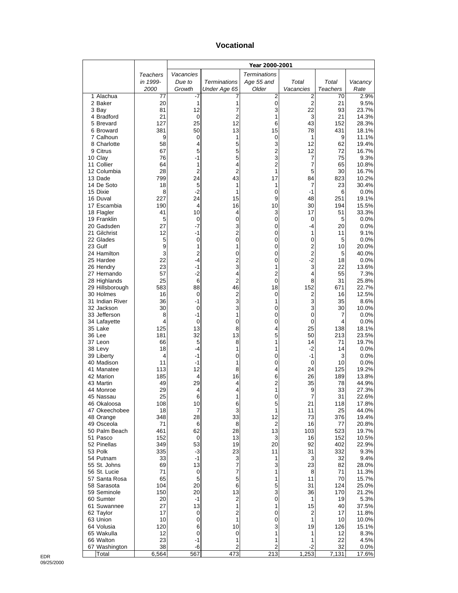#### **Vocational**

|                              |            |                |                     | Year 2000-2001          |                            |            |                |
|------------------------------|------------|----------------|---------------------|-------------------------|----------------------------|------------|----------------|
|                              | Teachers   | Vacancies      |                     | <b>Terminations</b>     |                            |            |                |
|                              | in 1999-   | Due to         | <b>Terminations</b> | Age 55 and              | Total                      | Total      | Vacancy        |
|                              | 2000       | Growth         | Under Age 65        | Older                   | Vacancies                  | Teachers   | Rate           |
| 1 Alachua<br>2 Baker         | 77<br>20   | -7<br>1        | 7<br>1              | 2<br>0                  | 2<br>$\overline{c}$        | 70<br>21   | 2.9%<br>9.5%   |
| 3 Bay                        | 81         | 12             | 7                   | 3                       | 22                         | 93         | 23.7%          |
| 4 Bradford                   | 21         | 0              | 2                   | 1                       | 3                          | 21         | 14.3%          |
| 5 Brevard                    | 127        | 25             | 12                  | 6                       | 43                         | 152        | 28.3%          |
| 6 Broward                    | 381        | 50             | 13                  | 15                      | 78                         | 431        | 18.1%          |
| 7 Calhoun<br>8 Charlotte     | 9<br>58    | 0<br>4         | 1<br>5              | 0<br>3                  | 1<br>12                    | 9<br>62    | 11.1%<br>19.4% |
| 9 Citrus                     | 67         | 5              | 5                   | $\overline{\mathbf{c}}$ | 12                         | 72         | 16.7%          |
| 10 Clay                      | 76         | $-1$           | 5                   | 3                       | 7                          | 75         | 9.3%           |
| 11 Collier                   | 64         | 1              | 4                   | $\overline{2}$          | 7                          | 65         | 10.8%          |
| 12 Columbia                  | 28         | $\overline{2}$ | $\overline{2}$      | 1                       | 5                          | 30         | 16.7%          |
| 13 Dade                      | 799        | 24             | 43                  | 17                      | 84                         | 823        | 10.2%          |
| 14 De Soto<br>15 Dixie       | 18<br>8    | 5<br>$-2$      | 1<br>1              | 1<br>0                  | 7<br>-1                    | 23<br>6    | 30.4%<br>0.0%  |
| 16 Duval                     | 227        | 24             | 15                  | 9                       | 48                         | 251        | 19.1%          |
| 17 Escambia                  | 190        | 4              | 16                  | 10                      | 30                         | 194        | 15.5%          |
| 18 Flagler                   | 41         | 10             | 4                   | 3                       | 17                         | 51         | 33.3%          |
| 19 Franklin                  | 5          | 0              | 0                   | $\mathbf 0$             | $\mathbf 0$                | 5          | 0.0%           |
| 20 Gadsden<br>21 Gilchrist   | 27<br>12   | -7<br>$-1$     | 3<br>$\overline{2}$ | 0<br>0                  | -4<br>1                    | 20<br>11   | 0.0%<br>9.1%   |
| 22 Glades                    | 5          | 0              | 0                   | 0                       | 0                          | 5          | 0.0%           |
| 23 Gulf                      | 9          | 1              | 1                   | 0                       | $\overline{\mathbf{c}}$    | 10         | 20.0%          |
| 24 Hamilton                  | 3          | $\overline{c}$ | 0                   | 0                       | $\overline{c}$             | 5          | 40.0%          |
| 25 Hardee                    | 22         | -4             | $\overline{c}$      | 0                       | $-2$                       | 18         | 0.0%           |
| 26 Hendry<br>27 Hernando     | 23<br>57   | -1<br>-2       | 3<br>4              | 1<br>2                  | 3<br>4                     | 22<br>55   | 13.6%<br>7.3%  |
| 28 Highlands                 | 25         | 6              | 2                   | $\mathbf 0$             | 8                          | 31         | 25.8%          |
| 29 Hillsborough              | 583        | 88             | 46                  | 18                      | 152                        | 671        | 22.7%          |
| 30 Holmes                    | 16         | 0              | 2                   | 0                       | 2                          | 16         | 12.5%          |
| 31 Indian River              | 36         | $-1$           | 3                   | 1                       | 3                          | 35         | 8.6%           |
| 32 Jackson                   | 30         | 0              | 3                   | 0                       | 3                          | 30         | 10.0%          |
| 33 Jefferson<br>34 Lafayette | 8<br>4     | $-1$<br>0      | 1<br>0              | 0<br>0                  | $\mathbf 0$<br>$\mathbf 0$ | 7<br>4     | 0.0%<br>0.0%   |
| 35 Lake                      | 125        | 13             | 8                   | 4                       | 25                         | 138        | 18.1%          |
| 36 Lee                       | 181        | 32             | 13                  | 5                       | 50                         | 213        | 23.5%          |
| 37 Leon                      | 66         | 5              | 8                   | 1                       | 14                         | 71         | 19.7%          |
| 38 Levy                      | 18         | $-4$           | 1                   | 1                       | $-2$                       | 14         | 0.0%           |
| 39 Liberty<br>40 Madison     | 4<br>11    | $-1$<br>$-1$   | 0<br>1              | 0<br>0                  | $-1$<br>$\mathbf 0$        | 3<br>10    | 0.0%<br>0.0%   |
| 41 Manatee                   | 113        | 12             | 8                   | 4                       | 24                         | 125        | 19.2%          |
| 42 Marion                    | 185        | 4              | 16                  | 6                       | 26                         | 189        | 13.8%          |
| 43 Martin                    | 49         | 29             | 4                   | $\overline{2}$          | 35                         | 78         | 44.9%          |
| 44 Monroe                    | 29         | 4              | 4                   | 1                       | 9                          | 33         | 27.3%          |
| 45 Nassau<br>46 Okaloosa     | 25<br>108  | 6<br>10        | 1<br>6              | 0<br>5                  | 7<br>21                    | 31<br>118  | 22.6%<br>17.8% |
| 47 Okeechobee                | 18         | 7              | 3                   | $\mathbf{1}$            | 11                         | 25         | 44.0%          |
| 48 Orange                    | 348        | 28             | 33                  | 12                      | 73                         | 376        | 19.4%          |
| 49 Osceola                   | 71         | 6              | 8                   | $\sqrt{2}$              | 16                         | 77         | 20.8%          |
| 50 Palm Beach                | 461        | 62             | 28                  | 13                      | 103                        | 523        | 19.7%          |
| 51 Pasco<br>52 Pinellas      | 152<br>349 | 0<br>53        | 13<br>19            | 3<br>20                 | 16<br>92                   | 152<br>402 | 10.5%<br>22.9% |
| 53 Polk                      | 335        | $-3$           | 23                  | 11                      | 31                         | 332        | 9.3%           |
| 54 Putnam                    | 33         | $-1$           | 3                   | 1                       | 3                          | 32         | 9.4%           |
| 55 St. Johns                 | 69         | 13             | 7                   | 3                       | 23                         | 82         | 28.0%          |
| 56 St. Lucie                 | 71         | 0              | 7                   | 1                       | 8                          | $\bf 71$   | 11.3%          |
| 57 Santa Rosa<br>58 Sarasota | 65<br>104  | 5<br>20        | 5<br>6              | 1<br>5                  | 11<br>31                   | 70<br>124  | 15.7%<br>25.0% |
| 59 Seminole                  | 150        | 20             | 13                  | 3                       | 36                         | 170        | 21.2%          |
| 60 Sumter                    | 20         | $-1$           | 2                   | 0                       | 1                          | 19         | 5.3%           |
| 61 Suwannee                  | 27         | 13             | 1                   | 1                       | 15                         | 40         | 37.5%          |
| 62 Taylor                    | 17         | 0              | 2                   | $\pmb{0}$               | 2                          | 17         | 11.8%          |
| 63 Union                     | 10         | 0              | 1                   | 0                       | 1                          | 10         | 10.0%          |
| 64 Volusia<br>65 Wakulla     | 120<br>12  | 6<br>0         | 10<br>0             | 3<br>1                  | 19<br>1                    | 126<br>12  | 15.1%<br>8.3%  |
| 66 Walton                    | 23         | -1             | 1                   | 1                       | 1                          | 22         | 4.5%           |
| 67 Washington                | 38         | -6             | 2                   | 2                       | $-2$                       | 32         | 0.0%           |
| Total                        | 6,564      | 567            | 473                 | 213                     | 1,253                      | 7,131      | 17.6%          |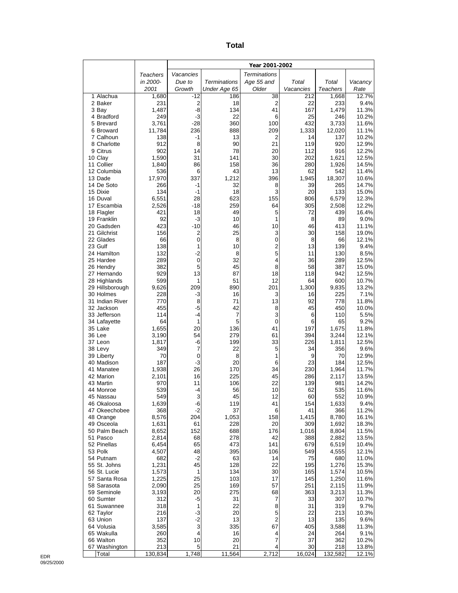| ×<br>×<br>۰,<br>$\sim$ |
|------------------------|
|------------------------|

|                              |                |                               |                     | Year 2001-2002       |            |                |                |
|------------------------------|----------------|-------------------------------|---------------------|----------------------|------------|----------------|----------------|
|                              | Teachers       | Vacancies                     |                     | <b>Terminations</b>  |            |                |                |
|                              | in 2000-       | Due to                        | <b>Terminations</b> | Age 55 and           | Total      | Total          | Vacancy        |
|                              | 2001           | Growth                        | Under Age 65        | Older                | Vacancies  | Teachers       | Rate           |
| 1 Alachua                    | 1,680          | $-12$                         | 186                 | 38<br>$\overline{2}$ | 212<br>22  | 1,668          | 12.7%          |
| 2 Baker<br>3 Bay             | 231<br>1,487   | $\mathbf 2$<br>$-8$           | 18<br>134           | 41                   | 167        | 233<br>1,479   | 9.4%<br>11.3%  |
| 4 Bradford                   | 249            | $-3$                          | 22                  | 6                    | 25         | 246            | 10.2%          |
| 5 Brevard                    | 3,761          | $-28$                         | 360                 | 100                  | 432        | 3,733          | 11.6%          |
| 6 Broward                    | 11,784         | 236                           | 888                 | 209                  | 1,333      | 12,020         | 11.1%          |
| 7 Calhoun                    | 138            | -1                            | 13                  | 2                    | 14         | 137            | 10.2%          |
| 8 Charlotte<br>9 Citrus      | 912<br>902     | 8<br>14                       | 90<br>78            | 21<br>20             | 119<br>112 | 920<br>916     | 12.9%<br>12.2% |
| 10 Clay                      | 1,590          | 31                            | 141                 | 30                   | 202        | 1,621          | 12.5%          |
| 11 Collier                   | 1,840          | 86                            | 158                 | 36                   | 280        | 1,926          | 14.5%          |
| 12 Columbia                  | 536            | 6                             | 43                  | 13                   | 62         | 542            | 11.4%          |
| 13 Dade                      | 17,970         | 337                           | 1,212               | 396                  | 1,945      | 18,307         | 10.6%          |
| 14 De Soto<br>15 Dixie       | 266<br>134     | -1<br>$-1$                    | 32<br>18            | 8<br>3               | 39<br>20   | 265<br>133     | 14.7%<br>15.0% |
| 16 Duval                     | 6,551          | 28                            | 623                 | 155                  | 806        | 6,579          | 12.3%          |
| 17 Escambia                  | 2,526          | $-18$                         | 259                 | 64                   | 305        | 2,508          | 12.2%          |
| 18 Flagler                   | 421            | 18                            | 49                  | 5                    | 72         | 439            | 16.4%          |
| 19 Franklin                  | 92             | -3                            | 10                  | 1                    | 8          | 89             | 9.0%           |
| 20 Gadsden                   | 423            | $-10$                         | 46                  | 10                   | 46         | 413            | 11.1%          |
| 21 Gilchrist<br>22 Glades    | 156<br>66      | $\overline{2}$<br>$\mathbf 0$ | 25<br>8             | 3<br>$\mathbf 0$     | 30<br>8    | 158<br>66      | 19.0%<br>12.1% |
| 23 Gulf                      | 138            | 1                             | 10                  | 2                    | 13         | 139            | 9.4%           |
| 24 Hamilton                  | 132            | $-2$                          | 8                   | 5                    | 11         | 130            | 8.5%           |
| 25 Hardee                    | 289            | 0                             | 32                  | 4                    | 36         | 289            | 12.5%          |
| 26 Hendry                    | 382            | 5                             | 45                  | 8                    | 58         | 387            | 15.0%          |
| 27 Hernando<br>28 Highlands  | 929<br>599     | 13<br>1                       | 87<br>51            | 18<br>12             | 118<br>64  | 942<br>600     | 12.5%<br>10.7% |
| 29 Hillsborough              | 9,626          | 209                           | 890                 | 201                  | 1,300      | 9,835          | 13.2%          |
| 30 Holmes                    | 228            | -3                            | 16                  | 3                    | 16         | 225            | 7.1%           |
| 31 Indian River              | 770            | 8                             | 71                  | 13                   | 92         | 778            | 11.8%          |
| 32 Jackson                   | 455            | $-5$                          | 42                  | 8                    | 45         | 450            | 10.0%          |
| 33 Jefferson                 | 114<br>64      | $-4$<br>1                     | 7<br>5              | 3<br>$\mathbf 0$     | 6          | 110<br>65      | 5.5%<br>9.2%   |
| 34 Lafayette<br>35 Lake      | 1,655          | 20                            | 136                 | 41                   | 6<br>197   | 1,675          | 11.8%          |
| 36 Lee                       | 3,190          | 54                            | 279                 | 61                   | 394        | 3,244          | 12.1%          |
| 37 Leon                      | 1,817          | -6                            | 199                 | 33                   | 226        | 1,811          | 12.5%          |
| 38 Levy                      | 349            | 7                             | 22                  | 5                    | 34         | 356            | 9.6%           |
| 39 Liberty                   | 70             | 0                             | 8                   | 1<br>6               | 9          | 70             | 12.9%          |
| 40 Madison<br>41 Manatee     | 187<br>1,938   | $-3$<br>26                    | 20<br>170           | 34                   | 23<br>230  | 184<br>1,964   | 12.5%<br>11.7% |
| 42 Marion                    | 2,101          | 16                            | 225                 | 45                   | 286        | 2,117          | 13.5%          |
| 43 Martin                    | 970            | 11                            | 106                 | 22                   | 139        | 981            | 14.2%          |
| 44 Monroe                    | 539            | $-4$                          | 56                  | 10                   | 62         | 535            | 11.6%          |
| 45 Nassau                    | 549            | 3                             | 45                  | 12                   | 60         | 552            | 10.9%          |
| 46 Okaloosa<br>47 Okeechobee | 1,639<br>368   | -6<br>$-2$                    | 119<br>37           | 41<br>6              | 154<br>41  | 1,633<br>366   | 9.4%<br>11.2%  |
| 48 Orange                    | 8,576          | 204                           | 1,053               | 158                  | 1,415      | 8,780          | 16.1%          |
| 49 Osceola                   | 1,631          | 61                            | 228                 | 20                   | 309        | 1,692          | 18.3%          |
| 50 Palm Beach                | 8,652          | 152                           | 688                 | 176                  | 1,016      | 8,804          | 11.5%          |
| 51 Pasco                     | 2,814          | 68                            | 278                 | 42                   | 388        | 2,882          | 13.5%          |
| 52 Pinellas<br>53 Polk       | 6,454<br>4,507 | 65<br>48                      | 473<br>395          | 141<br>106           | 679<br>549 | 6,519<br>4,555 | 10.4%<br>12.1% |
| 54 Putnam                    | 682            | $-2$                          | 63                  | 14                   | 75         | 680            | 11.0%          |
| 55 St. Johns                 | 1,231          | 45                            | 128                 | 22                   | 195        | 1,276          | 15.3%          |
| 56 St. Lucie                 | 1,573          | 1                             | 134                 | 30                   | 165        | 1,574          | 10.5%          |
| 57 Santa Rosa                | 1,225          | 25                            | 103                 | 17                   | 145        | 1,250          | 11.6%          |
| 58 Sarasota<br>59 Seminole   | 2,090<br>3,193 | 25<br>20                      | 169<br>275          | 57<br>68             | 251<br>363 | 2,115<br>3,213 | 11.9%<br>11.3% |
| 60 Sumter                    | 312            | -5                            | 31                  | 7                    | 33         | 307            | 10.7%          |
| 61 Suwannee                  | 318            | 1                             | 22                  | 8                    | 31         | 319            | 9.7%           |
| 62 Taylor                    | 216            | $-3$                          | 20                  | 5                    | 22         | 213            | 10.3%          |
| 63 Union                     | 137            | $-2$                          | 13                  | $\overline{2}$       | 13         | 135            | 9.6%           |
| 64 Volusia                   | 3,585          | 3                             | 335                 | 67                   | 405        | 3,588          | 11.3%          |
| 65 Wakulla<br>66 Walton      | 260<br>352     | 4<br>10                       | 16<br>20            | 4<br>$\overline{7}$  | 24<br>37   | 264<br>362     | 9.1%<br>10.2%  |
| 67 Washington                | 213            | 5                             | 21                  | 4                    | 30         | 218            | 13.8%          |
| Total                        | 130,834        | 1,748                         | 11,564              | 2,712                | 16,024     | 132,582        | 12.1%          |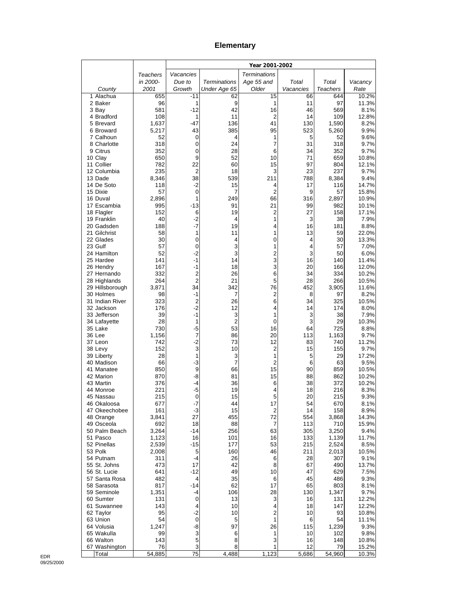## **Elementary**

|                              |                |                     |                     | Year 2001-2002      |            |                 |                |
|------------------------------|----------------|---------------------|---------------------|---------------------|------------|-----------------|----------------|
|                              | Teachers       | Vacancies           |                     | <b>Terminations</b> |            |                 |                |
|                              | in 2000-       | Due to              | <b>Terminations</b> | Age 55 and          | Total      | Total           | Vacancy        |
| County                       | 2001           | Growth              | Under Age 65        | Older               | Vacancies  | <b>Teachers</b> | Rate           |
| 1 Alachua<br>2 Baker         | 655<br>96      | $-11$<br>1          | 62<br>9             | 15<br>1             | 66<br>11   | 644<br>97       | 10.2%<br>11.3% |
| 3 Bay                        | 581            | $-12$               | 42                  | 16                  | 46         | 569             | 8.1%           |
| 4 Bradford                   | 108            | 1                   | 11                  | $\overline{2}$      | 14         | 109             | 12.8%          |
| 5 Brevard                    | 1,637          | $-47$               | 136                 | 41                  | 130        | 1,590           | 8.2%           |
| 6 Broward                    | 5,217          | 43                  | 385                 | 95                  | 523        | 5,260           | 9.9%           |
| 7 Calhoun<br>8 Charlotte     | 52             | 0                   | 4                   | 1<br>7              | 5          | 52              | 9.6%           |
| 9 Citrus                     | 318<br>352     | 0<br>0              | 24<br>28            | 6                   | 31<br>34   | 318<br>352      | 9.7%<br>9.7%   |
| 10 Clay                      | 650            | 9                   | 52                  | 10                  | 71         | 659             | 10.8%          |
| 11 Collier                   | 782            | 22                  | 60                  | 15                  | 97         | 804             | 12.1%          |
| 12 Columbia                  | 235            | $\overline{2}$      | 18                  | 3                   | 23         | 237             | 9.7%           |
| 13 Dade                      | 8,346          | 38                  | 539                 | 211                 | 788        | 8,384           | 9.4%           |
| 14 De Soto<br>15 Dixie       | 118<br>57      | $-2$<br>$\mathbf 0$ | 15<br>7             | 4<br>2              | 17<br>9    | 116<br>57       | 14.7%<br>15.8% |
| 16 Duval                     | 2,896          | 1                   | 249                 | 66                  | 316        | 2,897           | 10.9%          |
| 17 Escambia                  | 995            | $-13$               | 91                  | 21                  | 99         | 982             | 10.1%          |
| 18 Flagler                   | 152            | 6                   | 19                  | 2                   | 27         | 158             | 17.1%          |
| 19 Franklin                  | 40             | -2                  | 4                   | 1                   | 3          | 38              | 7.9%           |
| 20 Gadsden<br>21 Gilchrist   | 188<br>58      | -7<br>1             | 19<br>11            | 4<br>1              | 16<br>13   | 181<br>59       | 8.8%<br>22.0%  |
| 22 Glades                    | 30             | 0                   | 4                   | 0                   | 4          | 30              | 13.3%          |
| 23 Gulf                      | 57             | 0                   | 3                   | 1                   | 4          | 57              | 7.0%           |
| 24 Hamilton                  | 52             | -2                  | 3                   | 2                   | 3          | 50              | 6.0%           |
| 25 Hardee                    | 141            | -1                  | 14                  | 3                   | 16         | 140             | 11.4%          |
| 26 Hendry                    | 167            | -1                  | 18                  | 3                   | 20         | 166             | 12.0%          |
| 27 Hernando<br>28 Highlands  | 332<br>264     | 2<br>$\overline{2}$ | 26<br>21            | 6<br>5              | 34<br>28   | 334<br>266      | 10.2%<br>10.5% |
| 29 Hillsborough              | 3,871          | 34                  | 342                 | 76                  | 452        | 3,905           | 11.6%          |
| 30 Holmes                    | 98             | $-1$                | 7                   | 2                   | 8          | 97              | 8.2%           |
| 31 Indian River              | 323            | 2                   | 26                  | 6                   | 34         | 325             | 10.5%          |
| 32 Jackson                   | 176            | $-2$                | 12                  | 4                   | 14         | 174             | 8.0%           |
| 33 Jefferson<br>34 Lafayette | 39<br>28       | $-1$<br>1           | 3<br>$\overline{2}$ | 1<br>0              | 3<br>3     | 38<br>29        | 7.9%<br>10.3%  |
| 35 Lake                      | 730            | $-5$                | 53                  | 16                  | 64         | 725             | 8.8%           |
| 36 Lee                       | 1,156          | 7                   | 86                  | 20                  | 113        | 1,163           | 9.7%           |
| 37 Leon                      | 742            | $-2$                | 73                  | 12                  | 83         | 740             | 11.2%          |
| 38 Levy                      | 152            | 3                   | 10                  | $\overline{2}$      | 15         | 155             | 9.7%           |
| 39 Liberty<br>40 Madison     | 28<br>66       | 1<br>$-3$           | 3<br>7              | 1<br>2              | 5<br>6     | 29<br>63        | 17.2%<br>9.5%  |
| 41 Manatee                   | 850            | 9                   | 66                  | 15                  | 90         | 859             | 10.5%          |
| 42 Marion                    | 870            | -8                  | 81                  | 15                  | 88         | 862             | 10.2%          |
| 43 Martin                    | 376            | -4                  | 36                  | 6                   | 38         | 372             | 10.2%          |
| 44 Monroe                    | 221            | -5                  | 19                  | 4                   | 18         | 216             | 8.3%           |
| 45 Nassau<br>46 Okaloosa     | 215<br>677     | 0<br>$-7$           | 15<br>44            | 5<br>17             | 20<br>54   | 215<br>670      | 9.3%<br>8.1%   |
| 47 Okeechobee                | 161            | $-3$                | 15                  | 2                   | 14         | 158             | 8.9%           |
| 48 Orange                    | 3,841          | 27                  | 455                 | 72                  | 554        | 3,868           | 14.3%          |
| 49 Osceola                   | 692            | 18                  | 88                  | 7                   | 113        | 710             | 15.9%          |
| 50 Palm Beach                | 3,264          | -14                 | 256                 | 63                  | 305        | 3,250           | 9.4%           |
| 51 Pasco<br>52 Pinellas      | 1,123<br>2,539 | 16<br>-15           | 101<br>177          | 16<br>53            | 133<br>215 | 1,139<br>2,524  | 11.7%<br>8.5%  |
| 53 Polk                      | 2,008          | 5                   | 160                 | 46                  | 211        | 2,013           | 10.5%          |
| 54 Putnam                    | 311            | -4                  | 26                  | 6                   | 28         | 307             | 9.1%           |
| 55 St. Johns                 | 473            | 17                  | 42                  | 8                   | 67         | 490             | 13.7%          |
| 56 St. Lucie                 | 641            | $-12$               | 49                  | 10                  | 47         | 629             | 7.5%           |
| 57 Santa Rosa<br>58 Sarasota | 482            | 4                   | 35                  | 6                   | 45         | 486             | 9.3%           |
| 59 Seminole                  | 817<br>1,351   | $-14$<br>-4         | 62<br>106           | 17<br>28            | 65<br>130  | 803<br>1,347    | 8.1%<br>9.7%   |
| 60 Sumter                    | 131            | 0                   | 13                  | 3                   | 16         | 131             | 12.2%          |
| 61 Suwannee                  | 143            | 4                   | 10                  | 4                   | 18         | 147             | 12.2%          |
| 62 Taylor                    | 95             | $-2$                | 10                  | $\boldsymbol{2}$    | 10         | 93              | 10.8%          |
| 63 Union                     | 54             | 0                   | 5                   | 1                   | 6          | 54              | 11.1%          |
| 64 Volusia<br>65 Wakulla     | 1,247<br>99    | -8<br>3             | 97<br>6             | 26<br>1             | 115<br>10  | 1,239<br>102    | 9.3%<br>9.8%   |
| 66 Walton                    | 143            | 5                   | 8                   | 3                   | 16         | 148             | 10.8%          |
| 67 Washington                | 76             | 3                   | 8                   | 1                   | 12         | 79              | 15.2%          |
| Total                        | 54,885         | 75                  | 4,488               | 1,123               | 5,686      | 54,960          | 10.3%          |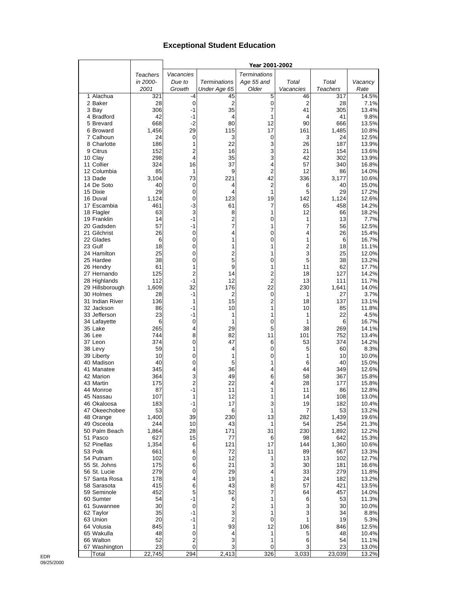## **Exceptional Student Education**

|                                 |                 |                     |                     | Year 2001-2002       |           |                 |                |
|---------------------------------|-----------------|---------------------|---------------------|----------------------|-----------|-----------------|----------------|
|                                 | <b>Teachers</b> | Vacancies           |                     | <b>Terminations</b>  |           |                 |                |
|                                 | in 2000-        | Due to              | <b>Terminations</b> | Age 55 and           | Total     | Total           | Vacancy        |
|                                 | 2001            | Growth              | Under Age 65        | Older                | Vacancies | <b>Teachers</b> | Rate           |
| 1 Alachua                       | 321             | -4                  | 45                  | 5                    | 46        | 317             | 14.5%          |
| 2 Baker                         | 28              | $\mathbf 0$         | 2                   | 0                    | 2         | 28              | 7.1%           |
| 3 Bay                           | 306             | $-1$                | 35                  | 7                    | 41        | 305             | 13.4%          |
| 4 Bradford                      | 42              | -1                  | 4                   | 1                    | 4         | 41              | 9.8%           |
| 5 Brevard<br>6 Broward          | 668             | $-2$<br>29          | 80<br>115           | 12<br>17             | 90<br>161 | 666             | 13.5%          |
| 7 Calhoun                       | 1,456<br>24     | 0                   | 3                   | 0                    | 3         | 1,485<br>24     | 10.8%<br>12.5% |
| 8 Charlotte                     | 186             | 1                   | 22                  | 3                    | 26        | 187             | 13.9%          |
| 9 Citrus                        | 152             | $\overline{2}$      | 16                  | 3                    | 21        | 154             | 13.6%          |
| 10 Clay                         | 298             | 4                   | 35                  | 3                    | 42        | 302             | 13.9%          |
| 11 Collier                      | 324             | 16                  | 37                  | 4                    | 57        | 340             | 16.8%          |
| 12 Columbia                     | 85              | 1                   | 9                   | $\overline{2}$       | 12        | 86              | 14.0%          |
| 13 Dade                         | 3,104           | 73                  | 221                 | 42                   | 336       | 3,177           | 10.6%          |
| 14 De Soto                      | 40              | 0                   | 4                   | $\overline{2}$       | 6         | 40              | 15.0%          |
| 15 Dixie                        | 29              | 0                   | 4                   | 1                    | 5         | 29              | 17.2%          |
| 16 Duval                        | 1,124           | 0                   | 123                 | 19                   | 142       | 1,124           | 12.6%          |
| 17 Escambia<br>18 Flagler       | 461<br>63       | $-3$<br>3           | 61<br>8             | 7<br>1               | 65<br>12  | 458<br>66       | 14.2%<br>18.2% |
| 19 Franklin                     | 14              | $-1$                | 2                   | 0                    | 1         | 13              | 7.7%           |
| 20 Gadsden                      | 57              | $-1$                | $\overline{7}$      | 1                    | 7         | 56              | 12.5%          |
| 21 Gilchrist                    | 26              | $\mathbf 0$         | 4                   | 0                    | 4         | 26              | 15.4%          |
| 22 Glades                       | 6               | 0                   | 1                   | 0                    | 1         | 6               | 16.7%          |
| 23 Gulf                         | 18              | 0                   | 1                   | 1                    | 2         | 18              | 11.1%          |
| 24 Hamilton                     | 25              | 0                   | $\overline{2}$      | 1                    | 3         | 25              | 12.0%          |
| 25 Hardee                       | 38              | 0                   | 5                   | 0                    | 5         | 38              | 13.2%          |
| 26 Hendry                       | 61              | 1                   | 9                   | 1                    | 11        | 62              | 17.7%          |
| 27 Hernando                     | 125             | $\overline{2}$      | 14                  | $\overline{2}$       | 18        | 127             | 14.2%          |
| 28 Highlands<br>29 Hillsborough | 112<br>1,609    | $-1$<br>32          | 12<br>176           | $\overline{2}$<br>22 | 13<br>230 | 111<br>1,641    | 11.7%<br>14.0% |
| 30 Holmes                       | 28              | $-1$                | $\overline{2}$      | 0                    | 1         | 27              | 3.7%           |
| 31 Indian River                 | 136             | 1                   | 15                  | $\overline{2}$       | 18        | 137             | 13.1%          |
| 32 Jackson                      | 86              | -1                  | 10                  | 1                    | 10        | 85              | 11.8%          |
| 33 Jefferson                    | 23              | -1                  | 1                   | 1                    | 1         | 22              | 4.5%           |
| 34 Lafayette                    | 6               | 0                   | 1                   | 0                    | 1         | 6               | 16.7%          |
| 35 Lake                         | 265             | 4                   | 29                  | 5                    | 38        | 269             | 14.1%          |
| 36 Lee                          | 744             | 8                   | 82                  | 11                   | 101       | 752             | 13.4%          |
| 37 Leon                         | 374             | 0                   | 47                  | 6                    | 53        | 374             | 14.2%          |
| 38 Levy                         | 59              | 1                   | 4                   | 0                    | 5         | 60              | 8.3%           |
| 39 Liberty<br>40 Madison        | 10<br>40        | 0<br>0              | 1<br>5              | 0<br>1               | 1<br>6    | 10<br>40        | 10.0%<br>15.0% |
| 41 Manatee                      | 345             | 4                   | 36                  | 4                    | 44        | 349             | 12.6%          |
| 42 Marion                       | 364             | 3                   | 49                  | 6                    | 58        | 367             | 15.8%          |
| 43 Martin                       | 175             | 2                   | 22                  | 4                    | 28        | 177             | 15.8%          |
| 44 Monroe                       | 87              | $-1$                | 11                  | 1                    | 11        | 86              | 12.8%          |
| 45 Nassau                       | 107             | 1                   | 12                  | 1                    | 14        | 108             | 13.0%          |
| 46 Okaloosa                     | 183             | -1                  | 17                  | 3                    | 19        | 182             | 10.4%          |
| 47 Okeechobee                   | 53              | $\mathbf 0$         | 6                   | 1                    | 7         | 53              | 13.2%          |
| 48 Orange                       | 1,400           | 39                  | 230                 | 13                   | 282       | 1,439           | 19.6%          |
| 49 Osceola                      | 244             | 10<br>28            | 43                  | 1<br>31              | 54        | 254             | 21.3%<br>12.2% |
| 50 Palm Beach<br>51 Pasco       | 1,864<br>627    | 15                  | 171<br>77           | 6                    | 230<br>98 | 1,892<br>642    | 15.3%          |
| 52 Pinellas                     | 1,354           | 6                   | 121                 | 17                   | 144       | 1,360           | 10.6%          |
| 53 Polk                         | 661             | 6                   | 72                  | 11                   | 89        | 667             | 13.3%          |
| 54 Putnam                       | 102             | 0                   | 12                  | 1                    | 13        | 102             | 12.7%          |
| 55 St. Johns                    | 175             | 6                   | 21                  | 3                    | 30        | 181             | 16.6%          |
| 56 St. Lucie                    | 279             | 0                   | 29                  | 4                    | 33        | 279             | 11.8%          |
| 57 Santa Rosa                   | 178             | 4                   | 19                  | 1                    | 24        | 182             | 13.2%          |
| 58 Sarasota                     | 415             | 6                   | 43                  | 8                    | 57        | 421             | 13.5%          |
| 59 Seminole                     | 452             | 5                   | 52                  | 7                    | 64        | 457             | 14.0%          |
| 60 Sumter                       | 54              | -1                  | 6                   | 1                    | 6         | 53              | 11.3%          |
| 61 Suwannee<br>62 Taylor        | 30<br>35        | $\mathbf 0$<br>$-1$ | 2<br>3              | 1<br>1               | 3<br>3    | 30<br>34        | 10.0%<br>8.8%  |
| 63 Union                        | 20              | $-1$                | $\overline{2}$      | 0                    | 1         | 19              | 5.3%           |
| 64 Volusia                      | 845             | 1                   | 93                  | 12                   | 106       | 846             | 12.5%          |
| 65 Wakulla                      | 48              | 0                   | 4                   | 1                    | 5         | 48              | 10.4%          |
| 66 Walton                       | 52              | 2                   | 3                   | 1                    | 6         | 54              | 11.1%          |
| 67 Washington                   | 23              | $\mathbf 0$         | 3                   | 0                    | 3         | 23              | 13.0%          |
| Total                           | 22,745          | 294                 | 2,413               | 326                  | 3,033     | 23,039          | 13.2%          |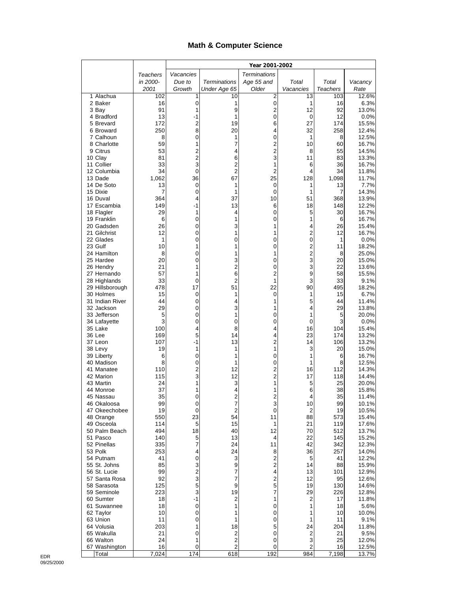## **Math & Computer Science**

| Vacancies<br><b>Terminations</b><br>Teachers<br>in 2000-<br>Due to<br><b>Terminations</b><br>Age 55 and<br>Total<br>Total<br>Vacancy<br>Older<br>Growth<br>Under Age 65<br>Vacancies<br><b>Teachers</b><br>Rate<br>2001<br>1 Alachua<br>102<br>1<br>10<br>2<br>13<br>103<br>16<br>0<br>0<br>2 Baker<br>1<br>16<br>1<br>91<br>9<br>$\overline{2}$<br>12<br>92<br>3 Bay<br>1<br>13.0%<br>4 Bradford<br>13<br>0<br>12<br>-1<br>1<br>0<br>172<br>2<br>6<br>27<br>174<br>5 Brevard<br>19<br>8<br>250<br>20<br>32<br>258<br>6 Broward<br>4<br>8<br>0<br>0<br>1<br>7 Calhoun<br>1<br>8<br>59<br>$\overline{c}$<br>8 Charlotte<br>1<br>7<br>10<br>60<br>$\overline{c}$<br>53<br>2<br>9 Citrus<br>8<br>55<br>14.5%<br>4<br>$\overline{\mathbf{c}}$<br>3<br>81<br>6<br>11<br>83<br>13.3%<br>10 Clay<br>3<br>2<br>11 Collier<br>33<br>36<br>1<br>6<br>34<br>$\overline{2}$<br>$\overline{2}$<br>0<br>34<br>12 Columbia<br>4<br>1,062<br>36<br>67<br>25<br>1,098<br>13 Dade<br>128<br>13<br>0<br>13<br>14 De Soto<br>1<br>0<br>1<br>15 Dixie<br>7<br>0<br>$\mathbf 0$<br>7<br>14.3%<br>1<br>1<br>10<br>368<br>13.9%<br>16 Duval<br>364<br>4<br>37<br>51<br>17 Escambia<br>149<br>-1<br>13<br>6<br>18<br>148<br>29<br>1<br>0<br>5<br>30<br>18 Flagler<br>4<br>6<br>0<br>0<br>1<br>6<br>19 Franklin<br>1<br>26<br>0<br>3<br>1<br>4<br>26<br>20 Gadsden<br>0<br>$\overline{2}$<br>21 Gilchrist<br>12<br>1<br>1<br>12<br>$\mathbf 0$<br>1<br>0<br>0<br>0<br>1<br>22 Glades<br>$\overline{c}$<br>23 Gulf<br>10<br>1<br>0<br>11<br>1<br>$\overline{2}$<br>24 Hamilton<br>0<br>8<br>1<br>1<br>8<br>3<br>20<br>0<br>3<br>25 Hardee<br>0<br>20<br>2<br>3<br>22<br>26 Hendry<br>21<br>1<br>0<br>57<br>6<br>2<br>9<br>27 Hernando<br>1<br>58<br>33<br>0<br>2<br>1<br>3<br>33<br>28 Highlands<br>478<br>22<br>90<br>495<br>18.2%<br>29 Hillsborough<br>17<br>51<br>30 Holmes<br>15<br>0<br>1<br>15<br>1<br>0<br>31 Indian River<br>44<br>0<br>1<br>5<br>44<br>4<br>29<br>0<br>3<br>1<br>4<br>29<br>32 Jackson<br>33 Jefferson<br>5<br>0<br>1<br>1<br>5<br>0<br>3<br>3<br>0<br>0<br>0<br>0<br>34 Lafayette<br>16<br>100<br>4<br>8<br>104<br>15.4%<br>35 Lake<br>4<br>5<br>36 Lee<br>169<br>23<br>13.2%<br>14<br>4<br>174 |                |
|-------------------------------------------------------------------------------------------------------------------------------------------------------------------------------------------------------------------------------------------------------------------------------------------------------------------------------------------------------------------------------------------------------------------------------------------------------------------------------------------------------------------------------------------------------------------------------------------------------------------------------------------------------------------------------------------------------------------------------------------------------------------------------------------------------------------------------------------------------------------------------------------------------------------------------------------------------------------------------------------------------------------------------------------------------------------------------------------------------------------------------------------------------------------------------------------------------------------------------------------------------------------------------------------------------------------------------------------------------------------------------------------------------------------------------------------------------------------------------------------------------------------------------------------------------------------------------------------------------------------------------------------------------------------------------------------------------------------------------------------------------------------------------------------------------------------------------------------------------------------------------------------------------------------------------------------------------------------------------------------------------------------------------------------------------------------------------------------------------------------------------------------------------------------------------------------------|----------------|
|                                                                                                                                                                                                                                                                                                                                                                                                                                                                                                                                                                                                                                                                                                                                                                                                                                                                                                                                                                                                                                                                                                                                                                                                                                                                                                                                                                                                                                                                                                                                                                                                                                                                                                                                                                                                                                                                                                                                                                                                                                                                                                                                                                                                 |                |
|                                                                                                                                                                                                                                                                                                                                                                                                                                                                                                                                                                                                                                                                                                                                                                                                                                                                                                                                                                                                                                                                                                                                                                                                                                                                                                                                                                                                                                                                                                                                                                                                                                                                                                                                                                                                                                                                                                                                                                                                                                                                                                                                                                                                 |                |
|                                                                                                                                                                                                                                                                                                                                                                                                                                                                                                                                                                                                                                                                                                                                                                                                                                                                                                                                                                                                                                                                                                                                                                                                                                                                                                                                                                                                                                                                                                                                                                                                                                                                                                                                                                                                                                                                                                                                                                                                                                                                                                                                                                                                 |                |
|                                                                                                                                                                                                                                                                                                                                                                                                                                                                                                                                                                                                                                                                                                                                                                                                                                                                                                                                                                                                                                                                                                                                                                                                                                                                                                                                                                                                                                                                                                                                                                                                                                                                                                                                                                                                                                                                                                                                                                                                                                                                                                                                                                                                 | 12.6%          |
|                                                                                                                                                                                                                                                                                                                                                                                                                                                                                                                                                                                                                                                                                                                                                                                                                                                                                                                                                                                                                                                                                                                                                                                                                                                                                                                                                                                                                                                                                                                                                                                                                                                                                                                                                                                                                                                                                                                                                                                                                                                                                                                                                                                                 | 6.3%           |
|                                                                                                                                                                                                                                                                                                                                                                                                                                                                                                                                                                                                                                                                                                                                                                                                                                                                                                                                                                                                                                                                                                                                                                                                                                                                                                                                                                                                                                                                                                                                                                                                                                                                                                                                                                                                                                                                                                                                                                                                                                                                                                                                                                                                 | 0.0%           |
|                                                                                                                                                                                                                                                                                                                                                                                                                                                                                                                                                                                                                                                                                                                                                                                                                                                                                                                                                                                                                                                                                                                                                                                                                                                                                                                                                                                                                                                                                                                                                                                                                                                                                                                                                                                                                                                                                                                                                                                                                                                                                                                                                                                                 | 15.5%          |
|                                                                                                                                                                                                                                                                                                                                                                                                                                                                                                                                                                                                                                                                                                                                                                                                                                                                                                                                                                                                                                                                                                                                                                                                                                                                                                                                                                                                                                                                                                                                                                                                                                                                                                                                                                                                                                                                                                                                                                                                                                                                                                                                                                                                 | 12.4%          |
|                                                                                                                                                                                                                                                                                                                                                                                                                                                                                                                                                                                                                                                                                                                                                                                                                                                                                                                                                                                                                                                                                                                                                                                                                                                                                                                                                                                                                                                                                                                                                                                                                                                                                                                                                                                                                                                                                                                                                                                                                                                                                                                                                                                                 | 12.5%          |
|                                                                                                                                                                                                                                                                                                                                                                                                                                                                                                                                                                                                                                                                                                                                                                                                                                                                                                                                                                                                                                                                                                                                                                                                                                                                                                                                                                                                                                                                                                                                                                                                                                                                                                                                                                                                                                                                                                                                                                                                                                                                                                                                                                                                 | 16.7%          |
|                                                                                                                                                                                                                                                                                                                                                                                                                                                                                                                                                                                                                                                                                                                                                                                                                                                                                                                                                                                                                                                                                                                                                                                                                                                                                                                                                                                                                                                                                                                                                                                                                                                                                                                                                                                                                                                                                                                                                                                                                                                                                                                                                                                                 |                |
|                                                                                                                                                                                                                                                                                                                                                                                                                                                                                                                                                                                                                                                                                                                                                                                                                                                                                                                                                                                                                                                                                                                                                                                                                                                                                                                                                                                                                                                                                                                                                                                                                                                                                                                                                                                                                                                                                                                                                                                                                                                                                                                                                                                                 | 16.7%          |
|                                                                                                                                                                                                                                                                                                                                                                                                                                                                                                                                                                                                                                                                                                                                                                                                                                                                                                                                                                                                                                                                                                                                                                                                                                                                                                                                                                                                                                                                                                                                                                                                                                                                                                                                                                                                                                                                                                                                                                                                                                                                                                                                                                                                 | 11.8%          |
|                                                                                                                                                                                                                                                                                                                                                                                                                                                                                                                                                                                                                                                                                                                                                                                                                                                                                                                                                                                                                                                                                                                                                                                                                                                                                                                                                                                                                                                                                                                                                                                                                                                                                                                                                                                                                                                                                                                                                                                                                                                                                                                                                                                                 | 11.7%          |
|                                                                                                                                                                                                                                                                                                                                                                                                                                                                                                                                                                                                                                                                                                                                                                                                                                                                                                                                                                                                                                                                                                                                                                                                                                                                                                                                                                                                                                                                                                                                                                                                                                                                                                                                                                                                                                                                                                                                                                                                                                                                                                                                                                                                 | 7.7%           |
|                                                                                                                                                                                                                                                                                                                                                                                                                                                                                                                                                                                                                                                                                                                                                                                                                                                                                                                                                                                                                                                                                                                                                                                                                                                                                                                                                                                                                                                                                                                                                                                                                                                                                                                                                                                                                                                                                                                                                                                                                                                                                                                                                                                                 |                |
|                                                                                                                                                                                                                                                                                                                                                                                                                                                                                                                                                                                                                                                                                                                                                                                                                                                                                                                                                                                                                                                                                                                                                                                                                                                                                                                                                                                                                                                                                                                                                                                                                                                                                                                                                                                                                                                                                                                                                                                                                                                                                                                                                                                                 | 12.2%          |
|                                                                                                                                                                                                                                                                                                                                                                                                                                                                                                                                                                                                                                                                                                                                                                                                                                                                                                                                                                                                                                                                                                                                                                                                                                                                                                                                                                                                                                                                                                                                                                                                                                                                                                                                                                                                                                                                                                                                                                                                                                                                                                                                                                                                 | 16.7%          |
|                                                                                                                                                                                                                                                                                                                                                                                                                                                                                                                                                                                                                                                                                                                                                                                                                                                                                                                                                                                                                                                                                                                                                                                                                                                                                                                                                                                                                                                                                                                                                                                                                                                                                                                                                                                                                                                                                                                                                                                                                                                                                                                                                                                                 | 16.7%          |
|                                                                                                                                                                                                                                                                                                                                                                                                                                                                                                                                                                                                                                                                                                                                                                                                                                                                                                                                                                                                                                                                                                                                                                                                                                                                                                                                                                                                                                                                                                                                                                                                                                                                                                                                                                                                                                                                                                                                                                                                                                                                                                                                                                                                 | 15.4%          |
|                                                                                                                                                                                                                                                                                                                                                                                                                                                                                                                                                                                                                                                                                                                                                                                                                                                                                                                                                                                                                                                                                                                                                                                                                                                                                                                                                                                                                                                                                                                                                                                                                                                                                                                                                                                                                                                                                                                                                                                                                                                                                                                                                                                                 | 16.7%          |
|                                                                                                                                                                                                                                                                                                                                                                                                                                                                                                                                                                                                                                                                                                                                                                                                                                                                                                                                                                                                                                                                                                                                                                                                                                                                                                                                                                                                                                                                                                                                                                                                                                                                                                                                                                                                                                                                                                                                                                                                                                                                                                                                                                                                 | 0.0%<br>18.2%  |
|                                                                                                                                                                                                                                                                                                                                                                                                                                                                                                                                                                                                                                                                                                                                                                                                                                                                                                                                                                                                                                                                                                                                                                                                                                                                                                                                                                                                                                                                                                                                                                                                                                                                                                                                                                                                                                                                                                                                                                                                                                                                                                                                                                                                 | 25.0%          |
|                                                                                                                                                                                                                                                                                                                                                                                                                                                                                                                                                                                                                                                                                                                                                                                                                                                                                                                                                                                                                                                                                                                                                                                                                                                                                                                                                                                                                                                                                                                                                                                                                                                                                                                                                                                                                                                                                                                                                                                                                                                                                                                                                                                                 | 15.0%          |
|                                                                                                                                                                                                                                                                                                                                                                                                                                                                                                                                                                                                                                                                                                                                                                                                                                                                                                                                                                                                                                                                                                                                                                                                                                                                                                                                                                                                                                                                                                                                                                                                                                                                                                                                                                                                                                                                                                                                                                                                                                                                                                                                                                                                 | 13.6%          |
|                                                                                                                                                                                                                                                                                                                                                                                                                                                                                                                                                                                                                                                                                                                                                                                                                                                                                                                                                                                                                                                                                                                                                                                                                                                                                                                                                                                                                                                                                                                                                                                                                                                                                                                                                                                                                                                                                                                                                                                                                                                                                                                                                                                                 | 15.5%          |
|                                                                                                                                                                                                                                                                                                                                                                                                                                                                                                                                                                                                                                                                                                                                                                                                                                                                                                                                                                                                                                                                                                                                                                                                                                                                                                                                                                                                                                                                                                                                                                                                                                                                                                                                                                                                                                                                                                                                                                                                                                                                                                                                                                                                 | 9.1%           |
|                                                                                                                                                                                                                                                                                                                                                                                                                                                                                                                                                                                                                                                                                                                                                                                                                                                                                                                                                                                                                                                                                                                                                                                                                                                                                                                                                                                                                                                                                                                                                                                                                                                                                                                                                                                                                                                                                                                                                                                                                                                                                                                                                                                                 | 6.7%           |
|                                                                                                                                                                                                                                                                                                                                                                                                                                                                                                                                                                                                                                                                                                                                                                                                                                                                                                                                                                                                                                                                                                                                                                                                                                                                                                                                                                                                                                                                                                                                                                                                                                                                                                                                                                                                                                                                                                                                                                                                                                                                                                                                                                                                 | 11.4%          |
|                                                                                                                                                                                                                                                                                                                                                                                                                                                                                                                                                                                                                                                                                                                                                                                                                                                                                                                                                                                                                                                                                                                                                                                                                                                                                                                                                                                                                                                                                                                                                                                                                                                                                                                                                                                                                                                                                                                                                                                                                                                                                                                                                                                                 | 13.8%          |
|                                                                                                                                                                                                                                                                                                                                                                                                                                                                                                                                                                                                                                                                                                                                                                                                                                                                                                                                                                                                                                                                                                                                                                                                                                                                                                                                                                                                                                                                                                                                                                                                                                                                                                                                                                                                                                                                                                                                                                                                                                                                                                                                                                                                 | 20.0%          |
|                                                                                                                                                                                                                                                                                                                                                                                                                                                                                                                                                                                                                                                                                                                                                                                                                                                                                                                                                                                                                                                                                                                                                                                                                                                                                                                                                                                                                                                                                                                                                                                                                                                                                                                                                                                                                                                                                                                                                                                                                                                                                                                                                                                                 | 0.0%           |
|                                                                                                                                                                                                                                                                                                                                                                                                                                                                                                                                                                                                                                                                                                                                                                                                                                                                                                                                                                                                                                                                                                                                                                                                                                                                                                                                                                                                                                                                                                                                                                                                                                                                                                                                                                                                                                                                                                                                                                                                                                                                                                                                                                                                 |                |
| $\overline{c}$<br>107<br>-1<br>13<br>37 Leon<br>14<br>106                                                                                                                                                                                                                                                                                                                                                                                                                                                                                                                                                                                                                                                                                                                                                                                                                                                                                                                                                                                                                                                                                                                                                                                                                                                                                                                                                                                                                                                                                                                                                                                                                                                                                                                                                                                                                                                                                                                                                                                                                                                                                                                                       | 13.2%          |
| 19<br>3<br>38 Levy<br>1<br>1<br>20<br>1                                                                                                                                                                                                                                                                                                                                                                                                                                                                                                                                                                                                                                                                                                                                                                                                                                                                                                                                                                                                                                                                                                                                                                                                                                                                                                                                                                                                                                                                                                                                                                                                                                                                                                                                                                                                                                                                                                                                                                                                                                                                                                                                                         | 15.0%          |
| 6<br>0<br>39 Liberty<br>1<br>0<br>1<br>6                                                                                                                                                                                                                                                                                                                                                                                                                                                                                                                                                                                                                                                                                                                                                                                                                                                                                                                                                                                                                                                                                                                                                                                                                                                                                                                                                                                                                                                                                                                                                                                                                                                                                                                                                                                                                                                                                                                                                                                                                                                                                                                                                        | 16.7%          |
| 8<br>0<br>0<br>8<br>40 Madison<br>1<br>1                                                                                                                                                                                                                                                                                                                                                                                                                                                                                                                                                                                                                                                                                                                                                                                                                                                                                                                                                                                                                                                                                                                                                                                                                                                                                                                                                                                                                                                                                                                                                                                                                                                                                                                                                                                                                                                                                                                                                                                                                                                                                                                                                        | 12.5%          |
| 2<br>110<br>12<br>$\overline{c}$<br>16<br>112<br>41 Manatee<br>3<br>$\overline{c}$<br>12<br>17<br>118<br>42 Marion<br>115                                                                                                                                                                                                                                                                                                                                                                                                                                                                                                                                                                                                                                                                                                                                                                                                                                                                                                                                                                                                                                                                                                                                                                                                                                                                                                                                                                                                                                                                                                                                                                                                                                                                                                                                                                                                                                                                                                                                                                                                                                                                       | 14.3%<br>14.4% |
| 24<br>1<br>3<br>1<br>5<br>25<br>43 Martin                                                                                                                                                                                                                                                                                                                                                                                                                                                                                                                                                                                                                                                                                                                                                                                                                                                                                                                                                                                                                                                                                                                                                                                                                                                                                                                                                                                                                                                                                                                                                                                                                                                                                                                                                                                                                                                                                                                                                                                                                                                                                                                                                       | 20.0%          |
| 37<br>1<br>4<br>1<br>6<br>38<br>44 Monroe                                                                                                                                                                                                                                                                                                                                                                                                                                                                                                                                                                                                                                                                                                                                                                                                                                                                                                                                                                                                                                                                                                                                                                                                                                                                                                                                                                                                                                                                                                                                                                                                                                                                                                                                                                                                                                                                                                                                                                                                                                                                                                                                                       | 15.8%          |
| 45 Nassau<br>35<br>0<br>2<br>4<br>35<br>2                                                                                                                                                                                                                                                                                                                                                                                                                                                                                                                                                                                                                                                                                                                                                                                                                                                                                                                                                                                                                                                                                                                                                                                                                                                                                                                                                                                                                                                                                                                                                                                                                                                                                                                                                                                                                                                                                                                                                                                                                                                                                                                                                       | 11.4%          |
| 3<br>99<br>0<br>7<br>10<br>99<br>46 Okaloosa                                                                                                                                                                                                                                                                                                                                                                                                                                                                                                                                                                                                                                                                                                                                                                                                                                                                                                                                                                                                                                                                                                                                                                                                                                                                                                                                                                                                                                                                                                                                                                                                                                                                                                                                                                                                                                                                                                                                                                                                                                                                                                                                                    | 10.1%          |
| $\overline{\mathbf{c}}$<br>19<br>0<br>0<br>47 Okeechobee<br>2<br>19<br>23<br>54<br>88<br>550<br>573<br>11                                                                                                                                                                                                                                                                                                                                                                                                                                                                                                                                                                                                                                                                                                                                                                                                                                                                                                                                                                                                                                                                                                                                                                                                                                                                                                                                                                                                                                                                                                                                                                                                                                                                                                                                                                                                                                                                                                                                                                                                                                                                                       | 10.5%<br>15.4% |
| 48 Orange<br>49 Osceola<br>114<br>5<br>15<br>21<br>119<br>1                                                                                                                                                                                                                                                                                                                                                                                                                                                                                                                                                                                                                                                                                                                                                                                                                                                                                                                                                                                                                                                                                                                                                                                                                                                                                                                                                                                                                                                                                                                                                                                                                                                                                                                                                                                                                                                                                                                                                                                                                                                                                                                                     | 17.6%          |
| 50 Palm Beach<br>494<br>18<br>40<br>12<br>70<br>512                                                                                                                                                                                                                                                                                                                                                                                                                                                                                                                                                                                                                                                                                                                                                                                                                                                                                                                                                                                                                                                                                                                                                                                                                                                                                                                                                                                                                                                                                                                                                                                                                                                                                                                                                                                                                                                                                                                                                                                                                                                                                                                                             | 13.7%          |
| 51 Pasco<br>140<br>5<br>13<br>22<br>145<br>4                                                                                                                                                                                                                                                                                                                                                                                                                                                                                                                                                                                                                                                                                                                                                                                                                                                                                                                                                                                                                                                                                                                                                                                                                                                                                                                                                                                                                                                                                                                                                                                                                                                                                                                                                                                                                                                                                                                                                                                                                                                                                                                                                    | 15.2%          |
| 52 Pinellas<br>335<br>7<br>24<br>342<br>11<br>42                                                                                                                                                                                                                                                                                                                                                                                                                                                                                                                                                                                                                                                                                                                                                                                                                                                                                                                                                                                                                                                                                                                                                                                                                                                                                                                                                                                                                                                                                                                                                                                                                                                                                                                                                                                                                                                                                                                                                                                                                                                                                                                                                | 12.3%          |
| 53 Polk<br>253<br>36<br>257<br>4<br>24<br>8                                                                                                                                                                                                                                                                                                                                                                                                                                                                                                                                                                                                                                                                                                                                                                                                                                                                                                                                                                                                                                                                                                                                                                                                                                                                                                                                                                                                                                                                                                                                                                                                                                                                                                                                                                                                                                                                                                                                                                                                                                                                                                                                                     | 14.0%          |
| 0<br>3<br>2<br>54 Putnam<br>41<br>5<br>41<br>$\overline{c}$<br>85<br>3<br>9<br>88<br>55 St. Johns<br>14                                                                                                                                                                                                                                                                                                                                                                                                                                                                                                                                                                                                                                                                                                                                                                                                                                                                                                                                                                                                                                                                                                                                                                                                                                                                                                                                                                                                                                                                                                                                                                                                                                                                                                                                                                                                                                                                                                                                                                                                                                                                                         | 12.2%<br>15.9% |
| 2<br>99<br>7<br>4<br>13<br>56 St. Lucie<br>101                                                                                                                                                                                                                                                                                                                                                                                                                                                                                                                                                                                                                                                                                                                                                                                                                                                                                                                                                                                                                                                                                                                                                                                                                                                                                                                                                                                                                                                                                                                                                                                                                                                                                                                                                                                                                                                                                                                                                                                                                                                                                                                                                  | 12.9%          |
| 3<br>$\overline{c}$<br>92<br>7<br>57 Santa Rosa<br>12<br>95                                                                                                                                                                                                                                                                                                                                                                                                                                                                                                                                                                                                                                                                                                                                                                                                                                                                                                                                                                                                                                                                                                                                                                                                                                                                                                                                                                                                                                                                                                                                                                                                                                                                                                                                                                                                                                                                                                                                                                                                                                                                                                                                     | 12.6%          |
| 5<br>125<br>5<br>9<br>58 Sarasota<br>19<br>130                                                                                                                                                                                                                                                                                                                                                                                                                                                                                                                                                                                                                                                                                                                                                                                                                                                                                                                                                                                                                                                                                                                                                                                                                                                                                                                                                                                                                                                                                                                                                                                                                                                                                                                                                                                                                                                                                                                                                                                                                                                                                                                                                  | 14.6%          |
| 3<br>223<br>19<br>7<br>29<br>226<br>59 Seminole                                                                                                                                                                                                                                                                                                                                                                                                                                                                                                                                                                                                                                                                                                                                                                                                                                                                                                                                                                                                                                                                                                                                                                                                                                                                                                                                                                                                                                                                                                                                                                                                                                                                                                                                                                                                                                                                                                                                                                                                                                                                                                                                                 | 12.8%          |
| $-1$<br>$\overline{c}$<br>60 Sumter<br>18<br>1<br>2<br>17                                                                                                                                                                                                                                                                                                                                                                                                                                                                                                                                                                                                                                                                                                                                                                                                                                                                                                                                                                                                                                                                                                                                                                                                                                                                                                                                                                                                                                                                                                                                                                                                                                                                                                                                                                                                                                                                                                                                                                                                                                                                                                                                       | 11.8%          |
| 18<br>0<br>61 Suwannee<br>1<br>0<br>1<br>18<br>0<br>62 Taylor<br>10<br>1<br>0<br>10<br>1                                                                                                                                                                                                                                                                                                                                                                                                                                                                                                                                                                                                                                                                                                                                                                                                                                                                                                                                                                                                                                                                                                                                                                                                                                                                                                                                                                                                                                                                                                                                                                                                                                                                                                                                                                                                                                                                                                                                                                                                                                                                                                        | 5.6%<br>10.0%  |
| 0<br>63 Union<br>11<br>1<br>0<br>11<br>1                                                                                                                                                                                                                                                                                                                                                                                                                                                                                                                                                                                                                                                                                                                                                                                                                                                                                                                                                                                                                                                                                                                                                                                                                                                                                                                                                                                                                                                                                                                                                                                                                                                                                                                                                                                                                                                                                                                                                                                                                                                                                                                                                        | 9.1%           |
| 64 Volusia<br>203<br>1<br>18<br>5<br>204<br>24                                                                                                                                                                                                                                                                                                                                                                                                                                                                                                                                                                                                                                                                                                                                                                                                                                                                                                                                                                                                                                                                                                                                                                                                                                                                                                                                                                                                                                                                                                                                                                                                                                                                                                                                                                                                                                                                                                                                                                                                                                                                                                                                                  | 11.8%          |
| 21<br>0<br>2<br>0<br>65 Wakulla<br>2<br>21                                                                                                                                                                                                                                                                                                                                                                                                                                                                                                                                                                                                                                                                                                                                                                                                                                                                                                                                                                                                                                                                                                                                                                                                                                                                                                                                                                                                                                                                                                                                                                                                                                                                                                                                                                                                                                                                                                                                                                                                                                                                                                                                                      | 9.5%           |
| $\overline{\mathbf{c}}$<br>24<br>3<br>66 Walton<br>1<br>0<br>25                                                                                                                                                                                                                                                                                                                                                                                                                                                                                                                                                                                                                                                                                                                                                                                                                                                                                                                                                                                                                                                                                                                                                                                                                                                                                                                                                                                                                                                                                                                                                                                                                                                                                                                                                                                                                                                                                                                                                                                                                                                                                                                                 | 12.0%          |
| 16<br>2<br>0<br>67 Washington<br>0<br>2<br>16<br>7,024<br>174<br>618<br>192<br>984<br>7,198<br>Total<br>13.7%                                                                                                                                                                                                                                                                                                                                                                                                                                                                                                                                                                                                                                                                                                                                                                                                                                                                                                                                                                                                                                                                                                                                                                                                                                                                                                                                                                                                                                                                                                                                                                                                                                                                                                                                                                                                                                                                                                                                                                                                                                                                                   | 12.5%          |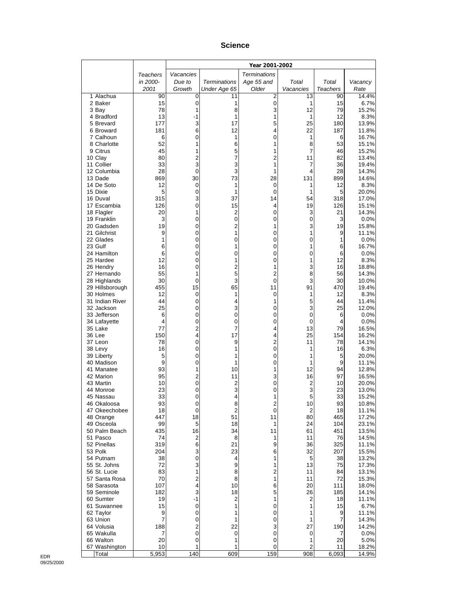#### **Science**

|                              |             |                              |                              | Year 2001-2002        |                |             |                |
|------------------------------|-------------|------------------------------|------------------------------|-----------------------|----------------|-------------|----------------|
|                              | Teachers    | Vacancies                    |                              | <b>Terminations</b>   |                |             |                |
|                              | in 2000-    | Due to                       | <b>Terminations</b>          | Age 55 and            | Total          | Total       | Vacancy        |
|                              | 2001        | Growth                       | Under Age 65                 | Older                 | Vacancies      | Teachers    | Rate           |
| 1 Alachua<br>2 Baker         | 90<br>15    | 0<br>0                       | 11<br>1                      | 2<br>0                | 13<br>1        | 90<br>15    | 14.4%<br>6.7%  |
| 3 Bay                        | 78          | 1                            | 8                            | 3                     | 12             | 79          | 15.2%          |
| 4 Bradford                   | 13          | -1                           | 1                            | 1                     | 1              | 12          | 8.3%           |
| 5 Brevard                    | 177         | 3                            | 17                           | 5                     | 25             | 180         | 13.9%          |
| 6 Broward                    | 181         | 6                            | 12                           | 4                     | 22<br>1        | 187         | 11.8%          |
| 7 Calhoun<br>8 Charlotte     | 6<br>52     | 0<br>1                       | 1<br>6                       | 0<br>1                | 8              | 6<br>53     | 16.7%<br>15.1% |
| 9 Citrus                     | 45          | 1                            | 5                            | 1                     | 7              | 46          | 15.2%          |
| 10 Clay                      | 80          | 2                            | 7                            | 2                     | 11             | 82          | 13.4%          |
| 11 Collier                   | 33          | 3                            | 3                            | 1                     | 7              | 36          | 19.4%          |
| 12 Columbia<br>13 Dade       | 28<br>869   | 0<br>30                      | 3<br>73                      | 1<br>28               | 4<br>131       | 28<br>899   | 14.3%<br>14.6% |
| 14 De Soto                   | 12          | 0                            | 1                            | 0                     | 1              | 12          | 8.3%           |
| 15 Dixie                     | 5           | 0                            | 1                            | $\mathbf 0$           | 1              | 5           | 20.0%          |
| 16 Duval                     | 315         | 3                            | 37                           | 14                    | 54             | 318         | 17.0%          |
| 17 Escambia                  | 126         | 0                            | 15                           | 4                     | 19             | 126         | 15.1%          |
| 18 Flagler<br>19 Franklin    | 20<br>3     | 1<br>0                       | 2<br>0                       | $\boldsymbol{0}$<br>0 | 3<br>0         | 21<br>3     | 14.3%<br>0.0%  |
| 20 Gadsden                   | 19          | 0                            | 2                            | 1                     | 3              | 19          | 15.8%          |
| 21 Gilchrist                 | 9           | 0                            | 1                            | 0                     | 1              | 9           | 11.1%          |
| 22 Glades                    | 1           | 0                            | 0                            | 0                     | 0              | 1           | 0.0%           |
| 23 Gulf                      | 6           | 0                            | 1                            | 0                     | 1              | 6           | 16.7%          |
| 24 Hamilton<br>25 Hardee     | 6<br>12     | 0<br>0                       | 0<br>1                       | 0<br>0                | 0<br>1         | 6<br>12     | 0.0%<br>8.3%   |
| 26 Hendry                    | 16          | 0                            | $\overline{2}$               | 1                     | 3              | 16          | 18.8%          |
| 27 Hernando                  | 55          | 1                            | 5                            | $\overline{c}$        | 8              | 56          | 14.3%          |
| 28 Highlands                 | 30          | 0                            | 3                            | $\mathbf 0$           | 3              | 30          | 10.0%          |
| 29 Hillsborough              | 455         | 15                           | 65                           | 11                    | 91             | 470         | 19.4%          |
| 30 Holmes<br>31 Indian River | 12<br>44    | 0<br>0                       | 1<br>4                       | 0<br>1                | 1<br>5         | 12<br>44    | 8.3%<br>11.4%  |
| 32 Jackson                   | 25          | 0                            | 3                            | 0                     | 3              | 25          | 12.0%          |
| 33 Jefferson                 | 6           | 0                            | 0                            | 0                     | 0              | 6           | 0.0%           |
| 34 Lafayette                 | 4           | 0                            | 0                            | 0                     | 0              | 4           | 0.0%           |
| 35 Lake<br>36 Lee            | 77<br>150   | 2<br>4                       | 7<br>17                      | 4<br>4                | 13<br>25       | 79<br>154   | 16.5%<br>16.2% |
| 37 Leon                      | 78          | 0                            | 9                            | $\mathbf 2$           | 11             | 78          | 14.1%          |
| 38 Levy                      | 16          | 0                            | 1                            | 0                     | 1              | 16          | 6.3%           |
| 39 Liberty                   | 5           | 0                            | 1                            | 0                     | 1              | 5           | 20.0%          |
| 40 Madison<br>41 Manatee     | 9<br>93     | 0<br>1                       | 1<br>10                      | 0<br>1                | 1<br>12        | 9<br>94     | 11.1%<br>12.8% |
| 42 Marion                    | 95          | 2                            | 11                           | 3                     | 16             | 97          | 16.5%          |
| 43 Martin                    | 10          | 0                            | $\overline{c}$               | 0                     | $\overline{c}$ | 10          | 20.0%          |
| 44 Monroe                    | 23          | 0                            | 3                            | 0                     | 3              | 23          | 13.0%          |
| 45 Nassau                    | 33          | 0                            | 4                            | 1                     | 5              | 33          | 15.2%          |
| 46 Okaloosa<br>47 Okeechobee | 93<br>18    | 0<br>0                       | 8<br>$\overline{\mathbf{c}}$ | 2<br>$\pmb{0}$        | 10<br>2        | 93<br>18    | 10.8%<br>11.1% |
| 48 Orange                    | 447         | 18                           | 51                           | 11                    | 80             | 465         | 17.2%          |
| 49 Osceola                   | 99          | 5                            | 18                           | 1                     | 24             | 104         | 23.1%          |
| 50 Palm Beach                | 435         | 16                           | 34                           | 11                    | 61             | 451         | 13.5%          |
| 51 Pasco<br>52 Pinellas      | 74<br>319   | 2<br>6                       | 8<br>21                      | 1<br>9                | 11<br>36       | 76<br>325   | 14.5%<br>11.1% |
| 53 Polk                      | 204         | 3                            | 23                           | 6                     | 32             | 207         | 15.5%          |
| 54 Putnam                    | 38          | 0                            | 4                            | 1                     | 5              | 38          | 13.2%          |
| 55 St. Johns                 | 72          | 3                            | 9                            | 1                     | 13             | 75          | 17.3%          |
| 56 St. Lucie                 | 83          | 1                            | 8                            | 2                     | 11             | 84          | 13.1%          |
| 57 Santa Rosa<br>58 Sarasota | 70<br>107   | $\overline{\mathbf{c}}$<br>4 | 8<br>10                      | 1<br>6                | 11<br>20       | 72<br>111   | 15.3%<br>18.0% |
| 59 Seminole                  | 182         | 3                            | 18                           | 5                     | 26             | 185         | 14.1%          |
| 60 Sumter                    | 19          | $-1$                         | $\overline{c}$               | 1                     | $\overline{c}$ | 18          | 11.1%          |
| 61 Suwannee                  | 15          | 0                            | 1                            | 0                     | 1              | 15          | 6.7%           |
| 62 Taylor<br>63 Union        | 9<br>7      | 0<br>0                       | 1<br>1                       | 0<br>0                | 1<br>1         | 9<br>7      | 11.1%          |
| 64 Volusia                   | 188         | $\overline{\mathbf{c}}$      | 22                           | 3                     | 27             | 190         | 14.3%<br>14.2% |
| 65 Wakulla                   | 7           | 0                            | 0                            | 0                     | 0              | 7           | $0.0\%$        |
| 66 Walton                    | 20          | 0                            | 1                            | 0                     | 1              | 20          | 5.0%           |
| 67 Washington                | 10<br>5,953 | 1<br>140                     | 1<br>609                     | 0<br>159              | 2<br>908       | 11<br>6,093 | 18.2%<br>14.9% |
| Total                        |             |                              |                              |                       |                |             |                |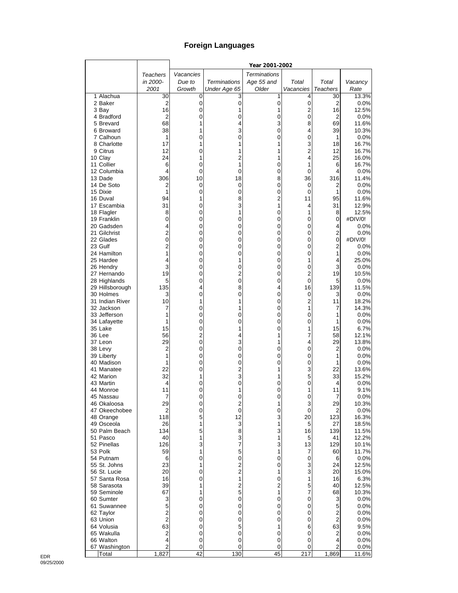## **Foreign Languages**

|                              |                     |           |                                  | Year 2001-2002      |                     |                        |                 |
|------------------------------|---------------------|-----------|----------------------------------|---------------------|---------------------|------------------------|-----------------|
|                              | Teachers            | Vacancies |                                  | <b>Terminations</b> |                     |                        |                 |
|                              | in 2000-            | Due to    | <b>Terminations</b>              | Age 55 and          | Total               | Total                  | Vacancy         |
|                              | 2001                | Growth    | Under Age 65                     | Older               | Vacancies           | <b>Teachers</b>        | Rate            |
| 1 Alachua                    | 30                  | 0         | 3                                | 1                   | 4                   | 30                     | 13.3%           |
| 2 Baker                      | 2                   | 0         | $\mathbf 0$                      | 0                   | $\pmb{0}$           | $\overline{2}$         | 0.0%<br>12.5%   |
| 3 Bay<br>4 Bradford          | 16<br>2             | 0<br>0    | 1<br>0                           | 1<br>0              | 2<br>$\mathbf 0$    | 16<br>$\boldsymbol{2}$ | 0.0%            |
| 5 Brevard                    | 68                  | 1         | 4                                | 3                   | 8                   | 69                     | 11.6%           |
| 6 Broward                    | 38                  | 1         | 3                                | 0                   | 4                   | 39                     | 10.3%           |
| 7 Calhoun                    | 1                   | 0         | 0                                | 0                   | 0                   | 1                      | 0.0%            |
| 8 Charlotte                  | 17                  | 1         | 1                                | 1                   | 3                   | 18                     | 16.7%           |
| 9 Citrus                     | 12                  | 0         | 1                                | 1                   | $\overline{c}$      | 12                     | 16.7%           |
| 10 Clay                      | 24                  | 1         | $\overline{c}$                   | 1                   | 4                   | 25                     | 16.0%           |
| 11 Collier                   | 6                   | 0         | 1                                | 0                   | 1                   | 6                      | 16.7%           |
| 12 Columbia<br>13 Dade       | 4<br>306            | 0<br>10   | 0<br>18                          | 0<br>8              | 0<br>36             | 4<br>316               | 0.0%<br>11.4%   |
| 14 De Soto                   | 2                   | 0         | 0                                | 0                   | 0                   | 2                      | 0.0%            |
| 15 Dixie                     | 1                   | 0         | 0                                | 0                   | 0                   | 1                      | 0.0%            |
| 16 Duval                     | 94                  | 1         | 8                                | $\overline{c}$      | 11                  | 95                     | 11.6%           |
| 17 Escambia                  | 31                  | 0         | 3                                | 1                   | 4                   | 31                     | 12.9%           |
| 18 Flagler                   | 8                   | 0         | 1                                | 0                   | 1                   | 8                      | 12.5%           |
| 19 Franklin                  | 0                   | 0         | 0                                | 0                   | 0                   | 0                      | #DIV/0!         |
| 20 Gadsden                   | 4                   | 0         | 0                                | 0                   | 0                   | 4                      | 0.0%            |
| 21 Gilchrist                 | $\overline{2}$      | 0         | 0                                | 0                   | 0                   | $\overline{2}$         | 0.0%            |
| 22 Glades<br>23 Gulf         | 0<br>$\overline{2}$ | 0<br>0    | 0<br>0                           | 0<br>0              | 0<br>0              | 0<br>$\overline{2}$    | #DIV/0!<br>0.0% |
| 24 Hamilton                  | 1                   | 0         | 0                                | 0                   | 0                   | 1                      | 0.0%            |
| 25 Hardee                    | 4                   | 0         | 1                                | 0                   | 1                   | 4                      | 25.0%           |
| 26 Hendry                    | 3                   | 0         | 0                                | 0                   | 0                   | 3                      | 0.0%            |
| 27 Hernando                  | 19                  | 0         | $\overline{2}$                   | 0                   | 2                   | 19                     | 10.5%           |
| 28 Highlands                 | 5                   | 0         | $\overline{0}$                   | 0                   | 0                   | 5                      | 0.0%            |
| 29 Hillsborough              | 135                 | 4         | 8                                | 4                   | 16                  | 139                    | 11.5%           |
| 30 Holmes<br>31 Indian River | 3<br>10             | 0<br>1    | 0<br>1                           | 0<br>0              | 0<br>$\overline{c}$ | 3<br>11                | 0.0%<br>18.2%   |
| 32 Jackson                   | 7                   | 0         | 1                                | 0                   | 1                   | 7                      | 14.3%           |
| 33 Jefferson                 | 1                   | 0         | 0                                | 0                   | 0                   | 1                      | 0.0%            |
| 34 Lafayette                 | 1                   | 0         | 0                                | 0                   | 0                   | 1                      | 0.0%            |
| 35 Lake                      | 15                  | 0         | 1                                | 0                   | 1                   | 15                     | 6.7%            |
| 36 Lee                       | 56                  | 2         | 4                                | 1                   | 7                   | 58                     | 12.1%           |
| 37 Leon                      | 29                  | 0         | 3                                | 1                   | 4                   | 29                     | 13.8%           |
| 38 Levy<br>39 Liberty        | 2<br>1              | 0<br>0    | 0<br>0                           | 0<br>0              | 0<br>0              | 2<br>1                 | 0.0%<br>0.0%    |
| 40 Madison                   | 1                   | 0         | 0                                | 0                   | 0                   | 1                      | 0.0%            |
| 41 Manatee                   | 22                  | 0         | $\overline{c}$                   | 1                   | 3                   | 22                     | 13.6%           |
| 42 Marion                    | 32                  | 1         | 3                                | 1                   | 5                   | 33                     | 15.2%           |
| 43 Martin                    | 4                   | 0         | 0                                | 0                   | 0                   | 4                      | 0.0%            |
| 44 Monroe                    | 11                  | 0         | 1                                | 0                   | 1                   | 11                     | 9.1%            |
| 45 Nassau                    | 7                   | $\Omega$  | 0                                | 0                   | 0                   | 7                      | 0.0%            |
| 46 Okaloosa<br>47 Okeechobee | 29<br>2             | 0<br>0    | 2<br>$\mathbf 0$                 | 1<br>0              | 3<br>0              | 29<br>2                | 10.3%<br>0.0%   |
| 48 Orange                    | 118                 | 5         | 12                               | 3                   | 20                  | 123                    | 16.3%           |
| 49 Osceola                   | 26                  | 1         | 3                                | 1                   | 5                   | 27                     | 18.5%           |
| 50 Palm Beach                | 134                 | 5         | 8                                | 3                   | 16                  | 139                    | 11.5%           |
| 51 Pasco                     | 40                  | 1         | 3                                | 1                   | 5                   | 41                     | 12.2%           |
| 52 Pinellas                  | 126                 | 3         | 7                                | 3                   | 13                  | 129                    | 10.1%           |
| 53 Polk                      | 59                  | 1         | 5                                | 1                   | 7                   | 60                     | 11.7%           |
| 54 Putnam                    | 6                   | 0         | 0                                | 0                   | $\pmb{0}$           | 6                      | 0.0%            |
| 55 St. Johns<br>56 St. Lucie | 23<br>20            | 1<br>0    | $\overline{c}$<br>$\overline{c}$ | 0<br>1              | 3<br>3              | 24<br>20               | 12.5%<br>15.0%  |
| 57 Santa Rosa                | 16                  | 0         | 1                                | 0                   | 1                   | 16                     | 6.3%            |
| 58 Sarasota                  | 39                  | 1         | $\overline{c}$                   | $\overline{c}$      | 5                   | 40                     | 12.5%           |
| 59 Seminole                  | 67                  | 1         | 5                                | 1                   | 7                   | 68                     | 10.3%           |
| 60 Sumter                    | 3                   | 0         | 0                                | 0                   | 0                   | 3                      | 0.0%            |
| 61 Suwannee                  | 5                   | 0         | 0                                | 0                   | 0                   | 5                      | 0.0%            |
| 62 Taylor                    | $\overline{2}$      | 0         | 0                                | 0                   | 0                   | 2                      | 0.0%            |
| 63 Union                     | $\overline{c}$      | 0         | 0                                | 0                   | 0                   | $\overline{2}$         | 0.0%            |
| 64 Volusia<br>65 Wakulla     | 63<br>2             | 0<br>0    | 5<br>0                           | 1<br>0              | 6<br>0              | 63<br>2                | 9.5%<br>0.0%    |
| 66 Walton                    | 4                   | 0         | 0                                | 0                   | 0                   | 4                      | 0.0%            |
| 67 Washington                | $\overline{c}$      | 0         | 0                                | 0                   | 0                   | 2                      | 0.0%            |
| Total                        | 1,827               | 42        | 130                              | 45                  | $\overline{217}$    | 1,869                  | 11.6%           |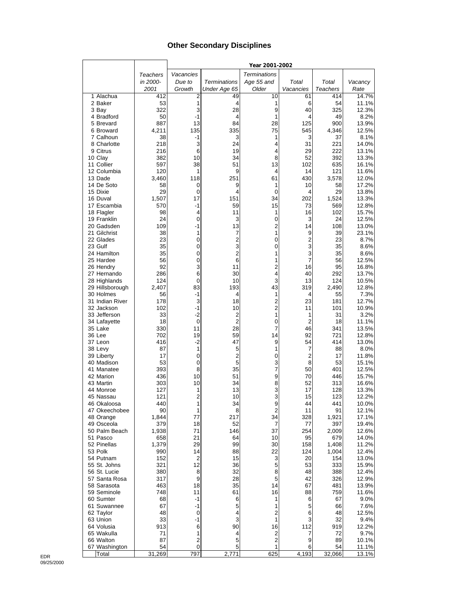## **Other Secondary Disciplines**

|                           |              |                         |                     | Year 2001-2002       |                     |                 |                |
|---------------------------|--------------|-------------------------|---------------------|----------------------|---------------------|-----------------|----------------|
|                           | Teachers     | Vacancies               |                     | <b>Terminations</b>  |                     |                 |                |
|                           | in 2000-     | Due to                  | <b>Terminations</b> | Age 55 and           | Total               | Total           | Vacancy        |
|                           | 2001         | Growth                  | Under Age 65        | Older                | Vacancies           | <b>Teachers</b> | Rate           |
| 1 Alachua                 | 412          | $\overline{c}$          | 49                  | 10                   | 61                  | 414             | 14.7%          |
| 2 Baker                   | 53           | 1                       | 4                   | 1                    | 6                   | 54              | 11.1%          |
| 3 Bay                     | 322          | 3                       | 28                  | 9                    | 40                  | 325             | 12.3%          |
| 4 Bradford                | 50           | $-1$                    | 4                   | 1                    | 4                   | 49              | 8.2%           |
| 5 Brevard                 | 887          | 13                      | 84                  | 28                   | 125                 | 900             | 13.9%          |
| 6 Broward                 | 4,211        | 135                     | 335                 | 75                   | 545                 | 4,346           | 12.5%          |
| 7 Calhoun<br>8 Charlotte  | 38<br>218    | -1<br>3                 | 3<br>24             | 1<br>4               | 3<br>31             | 37<br>221       | 8.1%<br>14.0%  |
| 9 Citrus                  | 216          | 6                       | 19                  | 4                    | 29                  | 222             | 13.1%          |
| 10 Clay                   | 382          | 10                      | 34                  | 8                    | 52                  | 392             | 13.3%          |
| 11 Collier                | 597          | 38                      | 51                  | 13                   | 102                 | 635             | 16.1%          |
| 12 Columbia               | 120          | 1                       | 9                   | 4                    | 14                  | 121             | 11.6%          |
| 13 Dade                   | 3,460        | 118                     | 251                 | 61                   | 430                 | 3,578           | 12.0%          |
| 14 De Soto                | 58           | 0                       | 9                   | 1                    | 10                  | 58              | 17.2%          |
| 15 Dixie                  | 29           | 0                       | 4                   | 0                    | 4                   | 29              | 13.8%          |
| 16 Duval                  | 1,507        | 17                      | 151                 | 34                   | 202                 | 1,524           | 13.3%          |
| 17 Escambia               | 570          | $-1$                    | 59                  | 15                   | 73                  | 569             | 12.8%          |
| 18 Flagler                | 98           | 4                       | 11                  | 1                    | 16                  | 102             | 15.7%          |
| 19 Franklin               | 24           | 0                       | 3                   | 0                    | 3                   | 24              | 12.5%          |
| 20 Gadsden                | 109          | $-1$                    | 13                  | $\overline{2}$       | 14                  | 108             | 13.0%          |
| 21 Gilchrist<br>22 Glades | 38<br>23     | 1<br>0                  | 7<br>$\overline{2}$ | 1<br>0               | 9<br>$\overline{2}$ | 39<br>23        | 23.1%<br>8.7%  |
| 23 Gulf                   | 35           | 0                       | 3                   | 0                    | 3                   | 35              | 8.6%           |
| 24 Hamilton               | 35           | $\mathbf 0$             | $\overline{c}$      | 1                    | 3                   | 35              | 8.6%           |
| 25 Hardee                 | 56           | 0                       | 6                   | 1                    | $\overline{7}$      | 56              | 12.5%          |
| 26 Hendry                 | 92           | 3                       | 11                  | $\overline{c}$       | 16                  | 95              | 16.8%          |
| 27 Hernando               | 286          | 6                       | 30                  | 4                    | 40                  | 292             | 13.7%          |
| 28 Highlands              | 124          | 0                       | 10                  | 3                    | 13                  | 124             | 10.5%          |
| 29 Hillsborough           | 2,407        | 83                      | 193                 | 43                   | 319                 | 2,490           | 12.8%          |
| 30 Holmes                 | 56           | $-1$                    | 4                   | 1                    | 4                   | 55              | 7.3%           |
| 31 Indian River           | 178          | 3                       | 18                  | 2                    | 23                  | 181             | 12.7%          |
| 32 Jackson                | 102          | $-1$                    | 10                  | $\overline{2}$       | 11                  | 101             | 10.9%          |
| 33 Jefferson              | 33           | $-2$                    | 2                   | 1                    | 1                   | 31              | 3.2%           |
| 34 Lafayette              | 18           | $\mathbf 0$             | $\overline{2}$      | 0                    | $\overline{2}$      | 18              | 11.1%          |
| 35 Lake<br>36 Lee         | 330<br>702   | 11<br>19                | 28<br>59            | 7<br>14              | 46<br>92            | 341<br>721      | 13.5%<br>12.8% |
| 37 Leon                   | 416          | $-2$                    | 47                  | 9                    | 54                  | 414             | 13.0%          |
| 38 Levy                   | 87           | 1                       | 5                   | 1                    | 7                   | 88              | 8.0%           |
| 39 Liberty                | 17           | 0                       | 2                   | 0                    | $\overline{2}$      | 17              | 11.8%          |
| 40 Madison                | 53           | 0                       | 5                   | 3                    | 8                   | 53              | 15.1%          |
| 41 Manatee                | 393          | 8                       | 35                  | 7                    | 50                  | 401             | 12.5%          |
| 42 Marion                 | 436          | 10                      | 51                  | 9                    | 70                  | 446             | 15.7%          |
| 43 Martin                 | 303          | 10                      | 34                  | 8                    | 52                  | 313             | 16.6%          |
| 44 Monroe                 | 127          | 1                       | 13                  | 3                    | 17                  | 128             | 13.3%          |
| 45 Nassau                 | 121          | $\overline{2}$          | 10                  | 3                    | 15                  | 123             | 12.2%          |
| 46 Okaloosa               | 440          | 1                       | 34                  | 9                    | 44                  | 441             | 10.0%          |
| 47 Okeechobee             | 90           | 1                       | 8                   | 2                    | 11                  | 91              | 12.1%          |
| 48 Orange<br>49 Osceola   | 1,844        | 77<br>18                | 217<br>52           | 34<br>$\overline{7}$ | 328<br>77           | 1,921<br>397    | 17.1%          |
| 50 Palm Beach             | 379<br>1,938 | 71                      | 146                 | 37                   | 254                 | 2,009           | 19.4%<br>12.6% |
| 51 Pasco                  | 658          | 21                      | 64                  | 10                   | 95                  | 679             | 14.0%          |
| 52 Pinellas               | 1,379        | 29                      | 99                  | 30                   | 158                 | 1,408           | 11.2%          |
| 53 Polk                   | 990          | 14                      | 88                  | 22                   | 124                 | 1,004           | 12.4%          |
| 54 Putnam                 | 152          | $\overline{\mathbf{c}}$ | 15                  | 3                    | 20                  | 154             | 13.0%          |
| 55 St. Johns              | 321          | 12                      | 36                  | 5                    | 53                  | 333             | 15.9%          |
| 56 St. Lucie              | 380          | 8                       | 32                  | 8                    | 48                  | 388             | 12.4%          |
| 57 Santa Rosa             | 317          | 9                       | 28                  | 5                    | 42                  | 326             | 12.9%          |
| 58 Sarasota               | 463          | 18                      | 35                  | 14                   | 67                  | 481             | 13.9%          |
| 59 Seminole               | 748          | 11                      | 61                  | 16                   | 88                  | 759             | 11.6%          |
| 60 Sumter                 | 68           | -1                      | 6                   | 1                    | 6                   | 67              | $9.0\%$        |
| 61 Suwannee               | 67           | -1                      | 5                   | 1                    | 5                   | 66              | 7.6%           |
| 62 Taylor                 | 48           | 0                       | 4                   | 2                    | 6                   | 48              | 12.5%          |
| 63 Union                  | 33           | $-1$                    | 3                   | 1                    | 3                   | 32              | 9.4%           |
| 64 Volusia<br>65 Wakulla  | 913<br>71    | 6<br>1                  | 90<br>4             | 16<br>2              | 112<br>7            | 919<br>72       | 12.2%<br>9.7%  |
| 66 Walton                 | 87           | $\overline{2}$          | 5                   | 2                    | 9                   | 89              | 10.1%          |
| 67 Washington             | 54           | 0                       | 5                   | 1                    | 6                   | 54              | 11.1%          |
| Total                     | 31,269       | 797                     | 2,771               | 625                  | 4,193               | 32,066          | 13.1%          |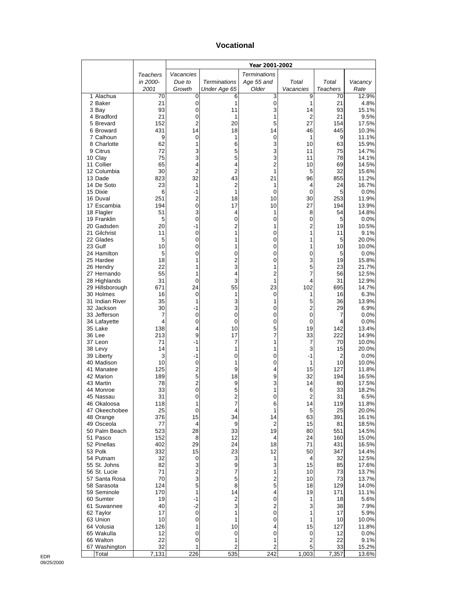#### **Vocational**

|                             |           |                |                               | Year 2001-2002      |           |                |                |
|-----------------------------|-----------|----------------|-------------------------------|---------------------|-----------|----------------|----------------|
|                             | Teachers  | Vacancies      |                               | <b>Terminations</b> |           |                |                |
|                             | in 2000-  | Due to         | <b>Terminations</b>           | Age 55 and          | Total     | Total          | Vacancy        |
|                             | 2001      | Growth         | Under Age 65                  | Older               | Vacancies | Teachers       | Rate           |
| 1 Alachua<br>2 Baker        | 70<br>21  | 0<br>0         | 6<br>1                        | 3<br>0              | 9<br>1    | 70<br>21       | 12.9%<br>4.8%  |
| 3 Bay                       | 93        | 0              | 11                            | 3                   | 14        | 93             | 15.1%          |
| 4 Bradford                  | 21        | 0              | 1                             | 1                   | 2         | 21             | 9.5%           |
| 5 Brevard                   | 152       | 2              | 20                            | 5                   | 27        | 154            | 17.5%          |
| 6 Broward                   | 431       | 14             | 18                            | 14                  | 46        | 445            | 10.3%          |
| 7 Calhoun<br>8 Charlotte    | 9<br>62   | 0<br>1         | 1<br>6                        | $\mathbf 0$<br>3    | 1<br>10   | 9<br>63        | 11.1%<br>15.9% |
| 9 Citrus                    | 72        | 3              | 5                             | 3                   | 11        | 75             | 14.7%          |
| 10 Clay                     | 75        | 3              | 5                             | 3                   | 11        | 78             | 14.1%          |
| 11 Collier                  | 65        | 4              | 4                             | $\overline{2}$      | 10        | 69             | 14.5%          |
| 12 Columbia                 | 30        | $\overline{2}$ | $\overline{2}$                | 1                   | 5         | 32             | 15.6%          |
| 13 Dade                     | 823       | 32             | 43                            | 21                  | 96        | 855            | 11.2%          |
| 14 De Soto<br>15 Dixie      | 23<br>6   | 1<br>-1        | $\overline{c}$<br>1           | 1<br>$\mathbf 0$    | 4<br>0    | 24<br>5        | 16.7%<br>0.0%  |
| 16 Duval                    | 251       | 2              | 18                            | 10                  | 30        | 253            | 11.9%          |
| 17 Escambia                 | 194       | 0              | 17                            | 10                  | 27        | 194            | 13.9%          |
| 18 Flagler                  | 51        | 3              | 4                             | 1                   | 8         | 54             | 14.8%          |
| 19 Franklin                 | 5         | 0              | 0                             | 0                   | 0         | 5              | 0.0%           |
| 20 Gadsden                  | 20<br>11  | $-1$<br>0      | 2<br>1                        | 1<br>0              | 2<br>1    | 19<br>11       | 10.5%<br>9.1%  |
| 21 Gilchrist<br>22 Glades   | 5         | 0              | 1                             | 0                   | 1         | 5              | 20.0%          |
| 23 Gulf                     | 10        | 0              | 1                             | 0                   | 1         | 10             | 10.0%          |
| 24 Hamilton                 | 5         | 0              | 0                             | 0                   | 0         | 5              | 0.0%           |
| 25 Hardee                   | 18        | 1              | $\overline{c}$                | 0                   | 3         | 19             | 15.8%          |
| 26 Hendry                   | 22        | 1              | 3                             | 1                   | 5         | 23             | 21.7%          |
| 27 Hernando<br>28 Highlands | 55<br>31  | 1<br>0         | 4<br>3                        | $\overline{c}$<br>1 | 7<br>4    | 56<br>31       | 12.5%<br>12.9% |
| 29 Hillsborough             | 671       | 24             | 55                            | 23                  | 102       | 695            | 14.7%          |
| 30 Holmes                   | 16        | 0              | 1                             | 0                   | 1         | 16             | 6.3%           |
| 31 Indian River             | 35        | 1              | 3                             | 1                   | 5         | 36             | 13.9%          |
| 32 Jackson                  | 30        | -1             | 3                             | 0                   | 2         | 29             | 6.9%           |
| 33 Jefferson                | 7<br>4    | 0              | 0                             | 0                   | 0         | 7              | 0.0%           |
| 34 Lafayette<br>35 Lake     | 138       | 0<br>4         | 0<br>10                       | 0<br>5              | 0<br>19   | 4<br>142       | 0.0%<br>13.4%  |
| 36 Lee                      | 213       | 9              | 17                            | 7                   | 33        | 222            | 14.9%          |
| 37 Leon                     | 71        | -1             | 7                             | 1                   | 7         | 70             | 10.0%          |
| 38 Levy                     | 14        | 1              | 1                             | 1                   | 3         | 15             | 20.0%          |
| 39 Liberty                  | 3         | -1             | 0                             | 0                   | $-1$      | $\overline{2}$ | 0.0%           |
| 40 Madison<br>41 Manatee    | 10<br>125 | 0<br>2         | 1<br>9                        | $\mathbf 0$<br>4    | 1<br>15   | 10<br>127      | 10.0%<br>11.8% |
| 42 Marion                   | 189       | 5              | 18                            | 9                   | 32        | 194            | 16.5%          |
| 43 Martin                   | 78        | $\mathbf 2$    | 9                             | 3                   | 14        | 80             | 17.5%          |
| 44 Monroe                   | 33        | 0              | 5                             | 1                   | 6         | 33             | 18.2%          |
| 45 Nassau                   | 31        | 0              | 2                             | 0                   | 2         | 31             | $6.5\%$        |
| 46 Okaloosa                 | 118       | 1              | 7                             | 6                   | 14        | 119            | 11.8%          |
| 47 Okeechobee<br>48 Orange  | 25<br>376 | 0<br>15        | 4<br>34                       | 1<br>14             | 5<br>63   | 25<br>391      | 20.0%<br>16.1% |
| 49 Osceola                  | 77        | 4              | 9                             | 2                   | 15        | 81             | 18.5%          |
| 50 Palm Beach               | 523       | 28             | 33                            | 19                  | 80        | 551            | 14.5%          |
| 51 Pasco                    | 152       | 8              | 12                            | 4                   | 24        | 160            | 15.0%          |
| 52 Pinellas<br>53 Polk      | 402       | 29             | 24                            | 18                  | 71        | 431<br>347     | 16.5%          |
| 54 Putnam                   | 332<br>32 | 15<br>0        | 23<br>3                       | 12<br>1             | 50<br>4   | 32             | 14.4%<br>12.5% |
| 55 St. Johns                | 82        | 3              | 9                             | 3                   | 15        | 85             | 17.6%          |
| 56 St. Lucie                | 71        | $\mathbf 2$    | 7                             | 1                   | 10        | 73             | 13.7%          |
| 57 Santa Rosa               | 70        | 3              | 5                             | 2                   | 10        | 73             | 13.7%          |
| 58 Sarasota                 | 124       | 5              | 8                             | 5                   | 18        | 129            | 14.0%          |
| 59 Seminole<br>60 Sumter    | 170<br>19 | 1<br>-1        | 14<br>$\overline{\mathbf{c}}$ | 4<br>0              | 19<br>1   | 171<br>18      | 11.1%<br>5.6%  |
| 61 Suwannee                 | 40        | $-2$           | 3                             | 2                   | 3         | 38             | 7.9%           |
| 62 Taylor                   | 17        | 0              | 1                             | $\boldsymbol{0}$    | 1         | 17             | 5.9%           |
| 63 Union                    | 10        | 0              | 1                             | 0                   | 1         | 10             | 10.0%          |
| 64 Volusia                  | 126       | 1              | 10                            | 4                   | 15        | 127            | 11.8%          |
| 65 Wakulla                  | 12        | 0              | 0                             | 0                   | 0         | 12             | $0.0\%$        |
| 66 Walton<br>67 Washington  | 22<br>32  | 0<br>1         | 1<br>$\overline{c}$           | 1<br>$\overline{c}$ | 2<br>5    | 22<br>33       | 9.1%<br>15.2%  |
| Total                       | 7,131     | 226            | 535                           | 242                 | 1,003     | 7,357          | 13.6%          |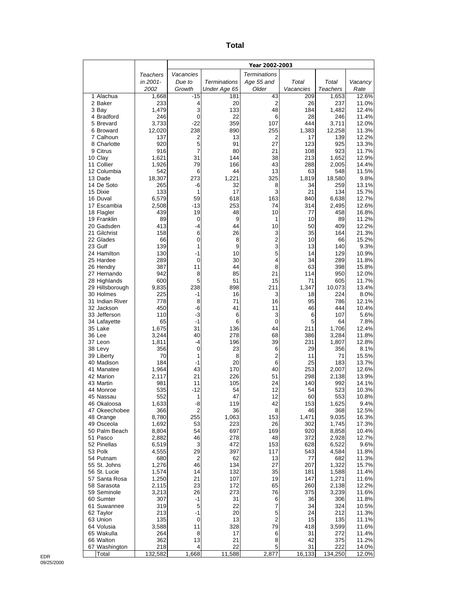|                               |                |                     |                     | Year 2002-2003               |             |                |                |
|-------------------------------|----------------|---------------------|---------------------|------------------------------|-------------|----------------|----------------|
|                               | Teachers       | Vacancies           |                     | <b>Terminations</b>          |             |                |                |
|                               | in 2001-       | Due to              | <b>Terminations</b> | Age 55 and                   | Total       | Total          | Vacancy        |
|                               | 2002           | Growth              | Under Age 65        | Older                        | Vacancies   | Teachers       | Rate           |
| 1 Alachua                     | 1,668          | $-15$               | 181                 | 43<br>$\overline{2}$         | 209         | 1,653          | 12.6%          |
| 2 Baker<br>3 Bay              | 233<br>1,479   | 4<br>3              | 20<br>133           | 48                           | 26<br>184   | 237<br>1,482   | 11.0%<br>12.4% |
| 4 Bradford                    | 246            | 0                   | 22                  | 6                            | 28          | 246            | 11.4%          |
| 5 Brevard                     | 3,733          | $-22$               | 359                 | 107                          | 444         | 3,711          | 12.0%          |
| 6 Broward                     | 12,020         | 238                 | 890                 | 255                          | 1,383       | 12,258         | 11.3%          |
| 7 Calhoun                     | 137            | 2                   | 13                  | 2                            | 17          | 139            | 12.2%          |
| 8 Charlotte<br>9 Citrus       | 920<br>916     | 5<br>$\overline{7}$ | 91<br>80            | 27<br>21                     | 123<br>108  | 925<br>923     | 13.3%<br>11.7% |
| 10 Clay                       | 1,621          | 31                  | 144                 | 38                           | 213         | 1,652          | 12.9%          |
| 11 Collier                    | 1,926          | 79                  | 166                 | 43                           | 288         | 2,005          | 14.4%          |
| 12 Columbia                   | 542            | 6                   | 44                  | 13                           | 63          | 548            | 11.5%          |
| 13 Dade                       | 18,307         | 273                 | 1,221               | 325                          | 1,819       | 18,580         | 9.8%           |
| 14 De Soto                    | 265            | -6                  | 32                  | 8                            | 34          | 259            | 13.1%          |
| 15 Dixie<br>16 Duval          | 133<br>6,579   | 1<br>59             | 17<br>618           | 3<br>163                     | 21<br>840   | 134<br>6,638   | 15.7%<br>12.7% |
| 17 Escambia                   | 2,508          | $-13$               | 253                 | 74                           | 314         | 2,495          | 12.6%          |
| 18 Flagler                    | 439            | 19                  | 48                  | 10                           | 77          | 458            | 16.8%          |
| 19 Franklin                   | 89             | 0                   | 9                   | 1                            | 10          | 89             | 11.2%          |
| 20 Gadsden                    | 413            | $-4$                | 44                  | 10                           | 50          | 409            | 12.2%          |
| 21 Gilchrist                  | 158            | 6                   | 26                  | 3                            | 35          | 164            | 21.3%          |
| 22 Glades<br>23 Gulf          | 66<br>139      | 0<br>1              | 8<br>9              | $\overline{\mathbf{c}}$<br>3 | 10<br>13    | 66<br>140      | 15.2%<br>9.3%  |
| 24 Hamilton                   | 130            | $-1$                | 10                  | 5                            | 14          | 129            | 10.9%          |
| 25 Hardee                     | 289            | 0                   | 30                  | 4                            | 34          | 289            | 11.8%          |
| 26 Hendry                     | 387            | 11                  | 44                  | 8                            | 63          | 398            | 15.8%          |
| 27 Hernando                   | 942            | 8                   | 85                  | 21                           | 114         | 950            | 12.0%          |
| 28 Highlands                  | 600            | 5                   | 51                  | 15                           | 71          | 605            | 11.7%          |
| 29 Hillsborough<br>30 Holmes  | 9,835<br>225   | 238<br>-1           | 898<br>16           | 211<br>3                     | 1,347<br>18 | 10,073<br>224  | 13.4%<br>8.0%  |
| 31 Indian River               | 778            | 8                   | 71                  | 16                           | 95          | 786            | 12.1%          |
| 32 Jackson                    | 450            | -6                  | 41                  | 11                           | 46          | 444            | 10.4%          |
| 33 Jefferson                  | 110            | $-3$                | 6                   | 3                            | 6           | 107            | 5.6%           |
| 34 Lafayette                  | 65             | $-1$                | 6                   | $\mathbf 0$                  | 5           | 64             | 7.8%           |
| 35 Lake                       | 1,675          | 31                  | 136                 | 44                           | 211         | 1,706          | 12.4%          |
| 36 Lee<br>37 Leon             | 3,244<br>1,811 | 40<br>$-4$          | 278<br>196          | 68<br>39                     | 386<br>231  | 3,284<br>1,807 | 11.8%<br>12.8% |
| 38 Levy                       | 356            | 0                   | 23                  | 6                            | 29          | 356            | 8.1%           |
| 39 Liberty                    | 70             | 1                   | 8                   | 2                            | 11          | 71             | 15.5%          |
| 40 Madison                    | 184            | $-1$                | 20                  | 6                            | 25          | 183            | 13.7%          |
| 41 Manatee                    | 1,964          | 43                  | 170                 | 40                           | 253         | 2,007          | 12.6%          |
| 42 Marion                     | 2,117<br>981   | 21                  | 226                 | 51                           | 298         | 2,138          | 13.9%          |
| 43 Martin<br>44 Monroe        | 535            | 11<br>$-12$         | 105<br>54           | 24<br>12                     | 140<br>54   | 992<br>523     | 14.1%<br>10.3% |
| 45 Nassau                     | 552            | 1                   | 47                  | 12                           | 60          | 553            | 10.8%          |
| 46 Okaloosa                   | 1,633          | -8                  | 119                 | 42                           | 153         | 1,625          | 9.4%           |
| 47 Okeechobee                 | 366            | 2                   | 36                  | 8                            | 46          | 368            | 12.5%          |
| 48 Orange                     | 8,780          | 255                 | 1,063               | 153                          | 1,471       | 9,035          | 16.3%          |
| 49 Osceola<br>50 Palm Beach   | 1,692<br>8,804 | 53<br>54            | 223<br>697          | 26<br>169                    | 302<br>920  | 1,745<br>8,858 | 17.3%<br>10.4% |
| 51 Pasco                      | 2,882          | 46                  | 278                 | 48                           | 372         | 2,928          | 12.7%          |
| 52 Pinellas                   | 6,519          | 3                   | 472                 | 153                          | 628         | 6,522          | 9.6%           |
| 53 Polk                       | 4,555          | 29                  | 397                 | 117                          | 543         | 4,584          | 11.8%          |
| 54 Putnam                     | 680            | $\overline{2}$      | 62                  | 13                           | 77          | 682            | 11.3%          |
| 55 St. Johns                  | 1,276          | 46                  | 134                 | 27                           | 207         | 1,322          | 15.7%          |
| 56 St. Lucie<br>57 Santa Rosa | 1,574<br>1,250 | 14<br>21            | 132<br>107          | 35<br>19                     | 181<br>147  | 1,588<br>1,271 | 11.4%<br>11.6% |
| 58 Sarasota                   | 2,115          | 23                  | 172                 | 65                           | 260         | 2,138          | 12.2%          |
| 59 Seminole                   | 3,213          | 26                  | 273                 | 76                           | 375         | 3,239          | 11.6%          |
| 60 Sumter                     | 307            | -1                  | 31                  | 6                            | 36          | 306            | 11.8%          |
| 61 Suwannee                   | 319            | 5                   | 22                  | 7                            | 34          | 324            | 10.5%          |
| 62 Taylor                     | 213            | $-1$                | 20                  | 5<br>$\overline{2}$          | 24          | 212            | 11.3%          |
| 63 Union<br>64 Volusia        | 135<br>3,588   | 0<br>11             | 13<br>328           | 79                           | 15<br>418   | 135<br>3,599   | 11.1%<br>11.6% |
| 65 Wakulla                    | 264            | 8                   | 17                  | 6                            | 31          | 272            | 11.4%          |
| 66 Walton                     | 362            | 13                  | 21                  | 8                            | 42          | 375            | 11.2%          |
| 67 Washington                 | 218            | 4                   | 22                  | 5                            | 31          | 222            | 14.0%          |
| Total                         | 132,582        | 1,668               | 11,588              | 2,877                        | 16, 133     | 134,250        | 12.0%          |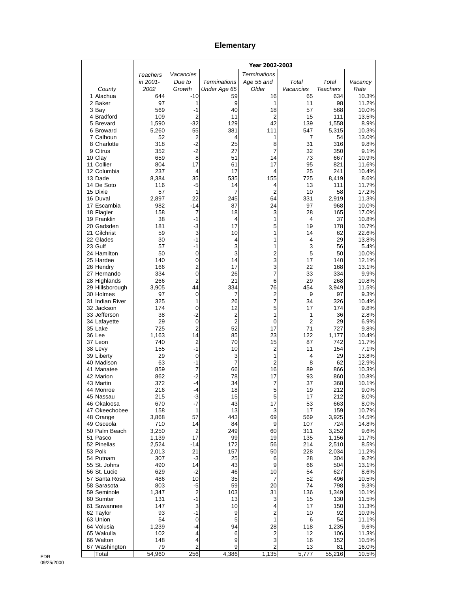## **Elementary**

|                              |                |                               |                     | Year 2002-2003                |                       |                 |                |
|------------------------------|----------------|-------------------------------|---------------------|-------------------------------|-----------------------|-----------------|----------------|
|                              | Teachers       | Vacancies                     |                     | <b>Terminations</b>           |                       |                 |                |
|                              | in 2001-       | Due to                        | <b>Terminations</b> | Age 55 and                    | Total                 | Total           | Vacancy        |
| County                       | 2002           | Growth                        | Under Age 65        | Older                         | Vacancies             | <b>Teachers</b> | Rate           |
| 1 Alachua<br>2 Baker         | 644<br>97      | $-10$<br>1                    | 59<br>9             | 16<br>1                       | 65<br>11              | 634<br>98       | 10.3%<br>11.2% |
| 3 Bay                        | 569            | $-1$                          | 40                  | 18                            | 57                    | 568             | 10.0%          |
| 4 Bradford                   | 109            | $\overline{2}$                | 11                  | 2                             | 15                    | 111             | 13.5%          |
| 5 Brevard                    | 1,590          | $-32$                         | 129                 | 42                            | 139                   | 1,558           | 8.9%           |
| 6 Broward<br>7 Calhoun       | 5,260<br>52    | 55<br>$\overline{2}$          | 381<br>4            | 111<br>1                      | 547<br>$\overline{7}$ | 5,315<br>54     | 10.3%<br>13.0% |
| 8 Charlotte                  | 318            | $-2$                          | 25                  | 8                             | 31                    | 316             | 9.8%           |
| 9 Citrus                     | 352            | $-2$                          | 27                  | 7                             | 32                    | 350             | 9.1%           |
| 10 Clay                      | 659            | 8                             | 51                  | 14                            | 73                    | 667             | 10.9%          |
| 11 Collier                   | 804            | 17                            | 61                  | 17                            | 95                    | 821             | 11.6%          |
| 12 Columbia<br>13 Dade       | 237<br>8,384   | 4<br>35                       | 17<br>535           | 4<br>155                      | 25<br>725             | 241<br>8,419    | 10.4%<br>8.6%  |
| 14 De Soto                   | 116            | $-5$                          | 14                  | 4                             | 13                    | 111             | 11.7%          |
| 15 Dixie                     | 57             | 1                             | 7                   | $\overline{2}$                | 10                    | 58              | 17.2%          |
| 16 Duval                     | 2,897          | 22                            | 245                 | 64                            | 331                   | 2,919           | 11.3%          |
| 17 Escambia                  | 982            | -14                           | 87                  | 24                            | 97<br>28              | 968             | 10.0%          |
| 18 Flagler<br>19 Franklin    | 158<br>38      | 7<br>-1                       | 18<br>4             | 3<br>1                        | $\overline{4}$        | 165<br>37       | 17.0%<br>10.8% |
| 20 Gadsden                   | 181            | $-3$                          | 17                  | 5                             | 19                    | 178             | 10.7%          |
| 21 Gilchrist                 | 59             | 3                             | 10                  | 1                             | 14                    | 62              | 22.6%          |
| 22 Glades                    | 30             | $-1$                          | 4                   | 1                             | 4                     | 29              | 13.8%          |
| 23 Gulf<br>24 Hamilton       | 57<br>50       | -1<br>0                       | 3<br>3              | 1<br>2                        | 3<br>5                | 56<br>50        | 5.4%<br>10.0%  |
| 25 Hardee                    | 140            | 0                             | 14                  | 3                             | 17                    | 140             | 12.1%          |
| 26 Hendry                    | 166            | $\overline{2}$                | 17                  | 3                             | 22                    | 168             | 13.1%          |
| 27 Hernando                  | 334            | $\mathbf 0$                   | 26                  | 7                             | 33                    | 334             | 9.9%           |
| 28 Highlands                 | 266            | $\overline{2}$                | 21                  | 6                             | 29                    | 268             | 10.8%          |
| 29 Hillsborough<br>30 Holmes | 3,905<br>97    | 44<br>0                       | 334<br>7            | 76<br>$\overline{\mathbf{c}}$ | 454<br>9              | 3,949<br>97     | 11.5%<br>9.3%  |
| 31 Indian River              | 325            | 1                             | 26                  | 7                             | 34                    | 326             | 10.4%          |
| 32 Jackson                   | 174            | 0                             | 12                  | 5                             | 17                    | 174             | 9.8%           |
| 33 Jefferson                 | 38             | $-2$                          | $\overline{2}$      | 1                             | 1                     | 36              | 2.8%           |
| 34 Lafayette                 | 29             | $\mathbf 0$<br>$\overline{2}$ | $\overline{2}$      | 0                             | $\overline{2}$        | 29              | 6.9%           |
| 35 Lake<br>36 Lee            | 725<br>1,163   | 14                            | 52<br>85            | 17<br>23                      | 71<br>122             | 727<br>1,177    | 9.8%<br>10.4%  |
| 37 Leon                      | 740            | $\overline{c}$                | 70                  | 15                            | 87                    | 742             | 11.7%          |
| 38 Levy                      | 155            | $-1$                          | 10                  | 2                             | 11                    | 154             | 7.1%           |
| 39 Liberty                   | 29             | 0                             | 3                   | 1                             | 4                     | 29              | 13.8%          |
| 40 Madison<br>41 Manatee     | 63<br>859      | $-1$<br>7                     | 7<br>66             | 2<br>16                       | 8<br>89               | 62<br>866       | 12.9%<br>10.3% |
| 42 Marion                    | 862            | $-2$                          | 78                  | 17                            | 93                    | 860             | 10.8%          |
| 43 Martin                    | 372            | -4                            | 34                  | 7                             | 37                    | 368             | 10.1%          |
| 44 Monroe                    | 216            | -4                            | 18                  | 5                             | 19                    | 212             | 9.0%           |
| 45 Nassau                    | 215            | -3                            | 15                  | 5                             | 17                    | 212             | 8.0%           |
| 46 Okaloosa<br>47 Okeechobee | 670<br>158     | -7<br>1                       | 43<br>13            | 17<br>3                       | 53<br>17              | 663<br>159      | 8.0%<br>10.7%  |
| 48 Orange                    | 3,868          | 57                            | 443                 | 69                            | 569                   | 3,925           | 14.5%          |
| 49 Osceola                   | 710            | 14                            | 84                  | 9                             | 107                   | 724             | 14.8%          |
| 50 Palm Beach                | 3,250          | $\overline{2}$                | 249                 | 60                            | 311                   | 3,252           | 9.6%           |
| 51 Pasco                     | 1,139          | 17                            | 99                  | 19                            | 135                   | 1,156           | 11.7%          |
| 52 Pinellas<br>53 Polk       | 2,524<br>2,013 | -14<br>21                     | 172<br>157          | 56<br>50                      | 214<br>228            | 2,510<br>2,034  | 8.5%<br>11.2%  |
| 54 Putnam                    | 307            | $-3$                          | 25                  | 6                             | 28                    | 304             | 9.2%           |
| 55 St. Johns                 | 490            | 14                            | 43                  | 9                             | 66                    | 504             | 13.1%          |
| 56 St. Lucie                 | 629            | $-2$                          | 46                  | 10                            | 54                    | 627             | 8.6%           |
| 57 Santa Rosa                | 486            | 10                            | 35                  | 7                             | 52                    | 496             | 10.5%          |
| 58 Sarasota<br>59 Seminole   | 803<br>1,347   | $-5$<br>$\overline{2}$        | 59<br>103           | 20<br>31                      | 74<br>136             | 798<br>1,349    | 9.3%<br>10.1%  |
| 60 Sumter                    | 131            | $-1$                          | 13                  | 3                             | 15                    | 130             | 11.5%          |
| 61 Suwannee                  | 147            | 3                             | 10                  | 4                             | 17                    | 150             | 11.3%          |
| 62 Taylor                    | 93             | $-1$                          | 9                   | $\boldsymbol{2}$              | 10                    | 92              | 10.9%          |
| 63 Union                     | 54             | 0                             | 5                   | 1                             | 6                     | 54              | 11.1%          |
| 64 Volusia<br>65 Wakulla     | 1,239<br>102   | -4<br>4                       | 94<br>6             | 28<br>$\overline{c}$          | 118<br>12             | 1,235<br>106    | 9.6%<br>11.3%  |
| 66 Walton                    | 148            | 4                             | 9                   | 3                             | 16                    | 152             | 10.5%          |
| 67 Washington                | 79             | 2                             | 9                   | 2                             | 13                    | 81              | 16.0%          |
| Total                        | 54,960         | 256                           | 4,386               | 1,135                         | 5,777                 | 55,216          | 10.5%          |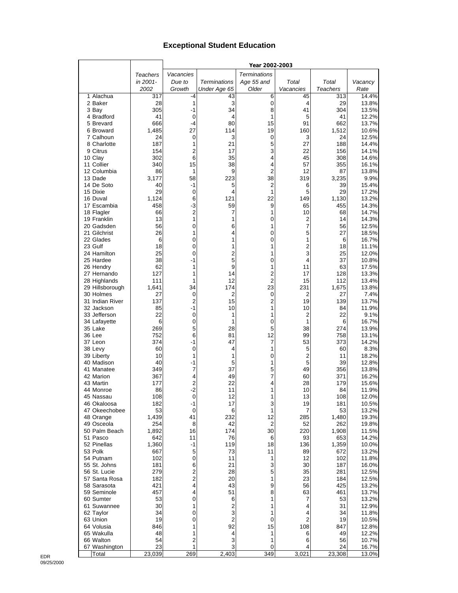## **Exceptional Student Education**

|                          |                 |                         |                         | Year 2002-2003      |           |                 |                |
|--------------------------|-----------------|-------------------------|-------------------------|---------------------|-----------|-----------------|----------------|
|                          | <b>Teachers</b> | Vacancies               |                         | <b>Terminations</b> |           |                 |                |
|                          | in 2001-        | Due to                  | Terminations            | Age 55 and          | Total     | Total           | Vacancy        |
|                          | 2002            | Growth                  | Under Age 65            | Older               | Vacancies | <b>Teachers</b> | Rate           |
| 1 Alachua                | 317             | -4                      | 43                      | 6                   | 45        | 313             | 14.4%          |
| 2 Baker                  | 28              | 1                       | 3                       | 0                   | 4         | 29              | 13.8%          |
| 3 Bay                    | 305             | $-1$                    | 34                      | 8                   | 41        | 304             | 13.5%          |
| 4 Bradford               | 41              | $\mathbf 0$             | 4                       | 1                   | 5         | 41              | 12.2%          |
| 5 Brevard<br>6 Broward   | 666<br>1,485    | -4<br>27                | 80<br>114               | 15<br>19            | 91<br>160 | 662<br>1,512    | 13.7%<br>10.6% |
| 7 Calhoun                | 24              | $\mathbf 0$             | 3                       | 0                   | 3         | 24              | 12.5%          |
| 8 Charlotte              | 187             | 1                       | 21                      | 5                   | 27        | 188             | 14.4%          |
| 9 Citrus                 | 154             | $\overline{2}$          | 17                      | 3                   | 22        | 156             | 14.1%          |
| 10 Clay                  | 302             | 6                       | 35                      | 4                   | 45        | 308             | 14.6%          |
| 11 Collier               | 340             | 15                      | 38                      | 4                   | 57        | 355             | 16.1%          |
| 12 Columbia              | 86              | 1                       | 9                       | 2                   | 12        | 87              | 13.8%          |
| 13 Dade                  | 3,177           | 58                      | 223                     | 38                  | 319       | 3,235           | 9.9%           |
| 14 De Soto               | 40              | $-1$                    | 5                       | 2                   | 6         | 39              | 15.4%          |
| 15 Dixie<br>16 Duval     | 29<br>1,124     | $\mathbf 0$<br>6        | 4<br>121                | 1<br>22             | 5<br>149  | 29<br>1,130     | 17.2%<br>13.2% |
| 17 Escambia              | 458             | $-3$                    | 59                      | 9                   | 65        | 455             | 14.3%          |
| 18 Flagler               | 66              | $\overline{\mathbf{c}}$ | 7                       | 1                   | 10        | 68              | 14.7%          |
| 19 Franklin              | 13              | $\mathbf{1}$            | 1                       | 0                   | 2         | 14              | 14.3%          |
| 20 Gadsden               | 56              | 0                       | 6                       | 1                   | 7         | 56              | 12.5%          |
| 21 Gilchrist             | 26              | 1                       | 4                       | 0                   | 5         | 27              | 18.5%          |
| 22 Glades                | 6               | 0                       | 1                       | 0                   | 1         | 6               | 16.7%          |
| 23 Gulf                  | 18              | 0                       | 1                       | 1                   | 2         | 18              | 11.1%          |
| 24 Hamilton              | 25              | 0                       | $\overline{c}$<br>5     | 1                   | 3         | 25              | 12.0%          |
| 25 Hardee<br>26 Hendry   | 38<br>62        | $-1$<br>1               | 9                       | 0<br>1              | 4<br>11   | 37<br>63        | 10.8%<br>17.5% |
| 27 Hernando              | 127             | 1                       | 14                      | 2                   | 17        | 128             | 13.3%          |
| 28 Highlands             | 111             | 1                       | 12                      | 2                   | 15        | 112             | 13.4%          |
| 29 Hillsborough          | 1,641           | 34                      | 174                     | 23                  | 231       | 1,675           | 13.8%          |
| 30 Holmes                | 27              | $\mathbf 0$             | $\overline{2}$          | 0                   | 2         | 27              | 7.4%           |
| 31 Indian River          | 137             | $\overline{c}$          | 15                      | 2                   | 19        | 139             | 13.7%          |
| 32 Jackson               | 85              | -1                      | 10                      | 1                   | 10        | 84              | 11.9%          |
| 33 Jefferson             | 22              | 0                       | 1                       | 1                   | 2         | 22              | 9.1%           |
| 34 Lafayette             | 6               | 0                       | 1                       | 0                   | 1         | 6               | 16.7%          |
| 35 Lake<br>36 Lee        | 269<br>752      | 5<br>6                  | 28<br>81                | 5<br>12             | 38<br>99  | 274<br>758      | 13.9%<br>13.1% |
| 37 Leon                  | 374             | -1                      | 47                      | 7                   | 53        | 373             | 14.2%          |
| 38 Levy                  | 60              | $\mathbf 0$             | 4                       | 1                   | 5         | 60              | 8.3%           |
| 39 Liberty               | 10              | 1                       | 1                       | 0                   | 2         | 11              | 18.2%          |
| 40 Madison               | 40              | -1                      | 5                       | 1                   | 5         | 39              | 12.8%          |
| 41 Manatee               | 349             | $\overline{7}$          | 37                      | 5                   | 49        | 356             | 13.8%          |
| 42 Marion                | 367             | 4                       | 49                      | 7                   | 60        | 371             | 16.2%          |
| 43 Martin                | 177             | $\overline{\mathbf{c}}$ | 22                      | 4                   | 28        | 179             | 15.6%          |
| 44 Monroe<br>45 Nassau   | 86<br>108       | $-2$<br>$\mathbf 0$     | 11<br>12                | 1<br>1              | 10<br>13  | 84<br>108       | 11.9%<br>12.0% |
| 46 Okaloosa              | 182             | -1                      | 17                      | 3                   | 19        | 181             | 10.5%          |
| 47 Okeechobee            | 53              | $\mathbf 0$             | 6                       | 1                   | 7         | 53              | 13.2%          |
| 48 Orange                | 1,439           | 41                      | 232                     | 12                  | 285       | 1,480           | 19.3%          |
| 49 Osceola               | 254             | 8                       | 42                      | $\overline{2}$      | 52        | 262             | 19.8%          |
| 50 Palm Beach            | 1,892           | 16                      | 174                     | 30                  | 220       | 1,908           | 11.5%          |
| 51 Pasco                 | 642             | 11                      | 76                      | 6                   | 93        | 653             | 14.2%          |
| 52 Pinellas              | 1,360           | -1                      | 119                     | 18                  | 136       | 1,359           | 10.0%          |
| 53 Polk<br>54 Putnam     | 667<br>102      | 5<br>$\pmb{0}$          | 73<br>11                | 11<br>1             | 89<br>12  | 672<br>102      | 13.2%<br>11.8% |
| 55 St. Johns             | 181             | 6                       | 21                      | 3                   | 30        | 187             | 16.0%          |
| 56 St. Lucie             | 279             | 2                       | 28                      | 5                   | 35        | 281             | 12.5%          |
| 57 Santa Rosa            | 182             | $\overline{c}$          | 20                      | 1                   | 23        | 184             | 12.5%          |
| 58 Sarasota              | 421             | 4                       | 43                      | 9                   | 56        | 425             | 13.2%          |
| 59 Seminole              | 457             | 4                       | 51                      | 8                   | 63        | 461             | 13.7%          |
| 60 Sumter                | 53              | 0                       | 6                       | 1                   | 7         | 53              | 13.2%          |
| 61 Suwannee              | 30              | 1                       | $\overline{\mathbf{c}}$ | 1                   | 4         | 31              | 12.9%          |
| 62 Taylor                | 34              | 0                       | 3                       | 1                   | 4         | 34              | 11.8%          |
| 63 Union                 | 19              | 0                       | $\overline{2}$          | 0                   | 2         | 19              | 10.5%          |
| 64 Volusia<br>65 Wakulla | 846<br>48       | 1<br>1                  | 92<br>4                 | 15<br>1             | 108<br>6  | 847<br>49       | 12.8%<br>12.2% |
| 66 Walton                | 54              | 2                       | 3                       | 1                   | 6         | 56              | 10.7%          |
| 67 Washington            | 23              | 1                       | 3                       | 0                   | 4         | 24              | 16.7%          |
| Total                    | 23,039          | 269                     | 2,403                   | 349                 | 3,021     | 23,308          | 13.0%          |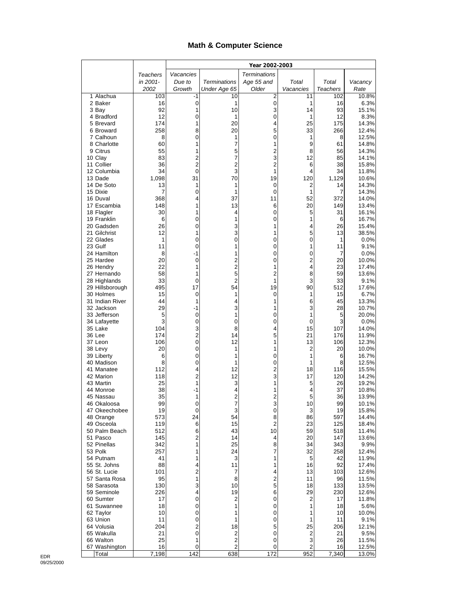## **Math & Computer Science**

|                              |             |                              |                         | Year 2002-2003      |                |                 |                |
|------------------------------|-------------|------------------------------|-------------------------|---------------------|----------------|-----------------|----------------|
|                              | Teachers    | Vacancies                    |                         | <b>Terminations</b> |                |                 |                |
|                              | in 2001-    | Due to                       | <b>Terminations</b>     | Age 55 and          | Total          | Total           | Vacancy        |
|                              | 2002        | Growth                       | Under Age 65            | Older               | Vacancies      | <b>Teachers</b> | Rate           |
| 1 Alachua<br>2 Baker         | 103<br>16   | -1<br>0                      | 10<br>1                 | $\overline{2}$<br>0 | 11<br>1        | 102<br>16       | 10.8%<br>6.3%  |
| 3 Bay                        | 92          | 1                            | 10                      | 3                   | 14             | 93              | 15.1%          |
| 4 Bradford                   | 12          | 0                            | 1                       | 0                   | 1              | 12              | 8.3%           |
| 5 Brevard                    | 174         | 1                            | 20                      | 4                   | 25             | 175             | 14.3%          |
| 6 Broward<br>7 Calhoun       | 258<br>8    | 8<br>0                       | 20<br>1                 | 5<br>0              | 33<br>1        | 266<br>8        | 12.4%<br>12.5% |
| 8 Charlotte                  | 60          | 1                            | 7                       | 1                   | 9              | 61              | 14.8%          |
| 9 Citrus                     | 55          | 1                            | 5                       | $\overline{c}$      | 8              | 56              | 14.3%          |
| 10 Clay                      | 83          | $\overline{2}$               | 7                       | 3                   | 12             | 85              | 14.1%          |
| 11 Collier                   | 36          | $\overline{c}$               | 2                       | $\overline{c}$      | 6              | 38              | 15.8%          |
| 12 Columbia<br>13 Dade       | 34<br>1,098 | 0<br>31                      | 3<br>70                 | 1<br>19             | 4<br>120       | 34<br>1,129     | 11.8%<br>10.6% |
| 14 De Soto                   | 13          | 1                            | 1                       | $\mathbf 0$         | 2              | 14              | 14.3%          |
| 15 Dixie                     | 7           | 0                            | 1                       | 0                   | 1              | 7               | 14.3%          |
| 16 Duval                     | 368         | 4                            | 37                      | 11                  | 52             | 372             | 14.0%          |
| 17 Escambia                  | 148<br>30   | 1<br>1                       | 13                      | 6<br>0              | 20<br>5        | 149<br>31       | 13.4%          |
| 18 Flagler<br>19 Franklin    | 6           | 0                            | 4<br>1                  | 0                   | 1              | 6               | 16.1%<br>16.7% |
| 20 Gadsden                   | 26          | 0                            | 3                       | 1                   | 4              | 26              | 15.4%          |
| 21 Gilchrist                 | 12          | 1                            | 3                       | 1                   | 5              | 13              | 38.5%          |
| 22 Glades                    | 1           | 0                            | 0                       | 0                   | 0              | 1               | 0.0%           |
| 23 Gulf<br>24 Hamilton       | 11<br>8     | 0<br>-1                      | 1<br>1                  | 0<br>0              | 1<br>0         | 11<br>7         | 9.1%<br>0.0%   |
| 25 Hardee                    | 20          | 0                            | 2                       | 0                   | 2              | 20              | 10.0%          |
| 26 Hendry                    | 22          | 1                            | 2                       | 1                   | 4              | 23              | 17.4%          |
| 27 Hernando                  | 58          | 1                            | 5                       | $\overline{c}$      | 8              | 59              | 13.6%          |
| 28 Highlands                 | 33          | 0                            | $\overline{2}$          | 1                   | 3              | 33              | 9.1%           |
| 29 Hillsborough<br>30 Holmes | 495<br>15   | 17<br>0                      | 54<br>1                 | 19<br>0             | 90<br>1        | 512<br>15       | 17.6%<br>6.7%  |
| 31 Indian River              | 44          | 1                            | 4                       | 1                   | 6              | 45              | 13.3%          |
| 32 Jackson                   | 29          | $-1$                         | 3                       | 1                   | 3              | 28              | 10.7%          |
| 33 Jefferson                 | 5           | 0                            | 1                       | 0                   | 1              | 5               | 20.0%          |
| 34 Lafayette                 | 3           | 0                            | 0                       | 0                   | 0<br>15        | 3               | 0.0%           |
| 35 Lake<br>36 Lee            | 104<br>174  | 3<br>$\overline{\mathbf{c}}$ | 8<br>14                 | 4<br>5              | 21             | 107<br>176      | 14.0%<br>11.9% |
| 37 Leon                      | 106         | 0                            | 12                      | 1                   | 13             | 106             | 12.3%          |
| 38 Levy                      | 20          | 0                            | 1                       | 1                   | 2              | 20              | 10.0%          |
| 39 Liberty                   | 6           | 0                            | 1                       | 0                   | 1              | 6               | 16.7%          |
| 40 Madison<br>41 Manatee     | 8<br>112    | 0<br>4                       | 1<br>12                 | 0<br>$\overline{c}$ | 1<br>18        | 8<br>116        | 12.5%<br>15.5% |
| 42 Marion                    | 118         | 2                            | 12                      | 3                   | 17             | 120             | 14.2%          |
| 43 Martin                    | 25          | 1                            | 3                       | 1                   | 5              | 26              | 19.2%          |
| 44 Monroe                    | 38          | -1                           | 4                       | 1                   | 4              | 37              | 10.8%          |
| 45 Nassau                    | 35          | 1                            | 2                       | 2                   | 5              | 36              | 13.9%          |
| 46 Okaloosa<br>47 Okeechobee | 99<br>19    | 0<br>0                       | 7<br>3                  | 3<br>0              | 10<br>3        | 99<br>19        | 10.1%<br>15.8% |
| 48 Orange                    | 573         | 24                           | 54                      | 8                   | 86             | 597             | 14.4%          |
| 49 Osceola                   | 119         | 6                            | 15                      | $\overline{2}$      | 23             | 125             | 18.4%          |
| 50 Palm Beach                | 512         | 6                            | 43                      | 10                  | 59             | 518             | 11.4%          |
| 51 Pasco<br>52 Pinellas      | 145         | 2<br>1                       | 14                      | 4                   | 20             | 147             | 13.6%          |
| 53 Polk                      | 342<br>257  | 1                            | 25<br>24                | 8<br>7              | 34<br>32       | 343<br>258      | 9.9%<br>12.4%  |
| 54 Putnam                    | 41          | 1                            | 3                       | 1                   | 5              | 42              | 11.9%          |
| 55 St. Johns                 | 88          | 4                            | 11                      | 1                   | 16             | 92              | 17.4%          |
| 56 St. Lucie                 | 101         | 2                            | 7                       | 4                   | 13             | 103             | 12.6%          |
| 57 Santa Rosa<br>58 Sarasota | 95<br>130   | 1<br>3                       | 8<br>10                 | $\overline{c}$<br>5 | 11<br>18       | 96<br>133       | 11.5%          |
| 59 Seminole                  | 226         | 4                            | 19                      | 6                   | 29             | 230             | 13.5%<br>12.6% |
| 60 Sumter                    | 17          | 0                            | 2                       | 0                   | 2              | 17              | 11.8%          |
| 61 Suwannee                  | 18          | 0                            | 1                       | 0                   | 1              | 18              | 5.6%           |
| 62 Taylor                    | 10          | 0                            | 1                       | 0                   | 1              | 10              | 10.0%          |
| 63 Union<br>64 Volusia       | 11<br>204   | 0<br>2                       | 1<br>18                 | 0<br>5              | 1<br>25        | 11<br>206       | 9.1%           |
| 65 Wakulla                   | 21          | $\mathbf 0$                  | 2                       | 0                   | $\overline{c}$ | 21              | 12.1%<br>9.5%  |
| 66 Walton                    | 25          | 1                            | $\overline{\mathbf{c}}$ | 0                   | 3              | 26              | 11.5%          |
| 67 Washington                | 16          | 0                            | 2                       | 0                   | 2              | 16              | 12.5%          |
| Total                        | 7,198       | 142                          | 638                     | 172                 | 952            | 7,340           | 13.0%          |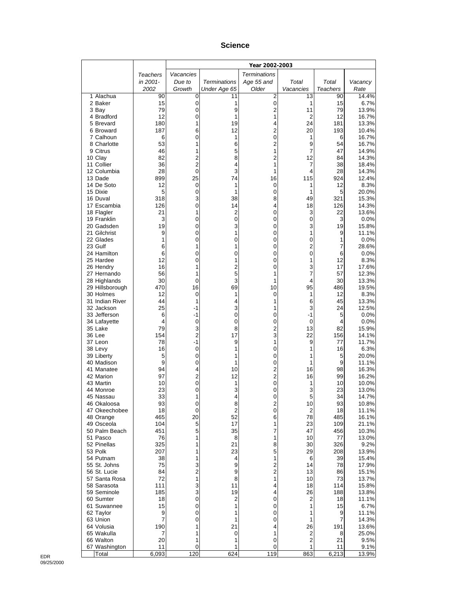#### **Science**

|                              |                     |                     |                     | Year 2002-2003      |                |                 |                |
|------------------------------|---------------------|---------------------|---------------------|---------------------|----------------|-----------------|----------------|
|                              | Teachers            | Vacancies           |                     | <b>Terminations</b> |                |                 |                |
|                              | in 2001-            | Due to              | <b>Terminations</b> | Age 55 and          | Total          | Total           | Vacancy        |
|                              | 2002                | Growth              | Under Age 65        | Older               | Vacancies      | <b>Teachers</b> | Rate           |
| 1 Alachua<br>2 Baker         | 90<br>15            | 0<br>0              | 11<br>1             | 2<br>0              | 13<br>1        | 90<br>15        | 14.4%<br>6.7%  |
| 3 Bay                        | 79                  | $\mathbf 0$         | 9                   | $\overline{2}$      | 11             | 79              | 13.9%          |
| 4 Bradford                   | 12                  | 0                   | 1                   | 1                   | 2              | 12              | 16.7%          |
| 5 Brevard                    | 180                 | 1                   | 19                  | 4                   | 24             | 181             | 13.3%          |
| 6 Broward                    | 187                 | 6                   | 12                  | 2                   | 20             | 193             | 10.4%          |
| 7 Calhoun<br>8 Charlotte     | 6<br>53             | 0<br>1              | 1<br>6              | 0<br>$\overline{c}$ | 1<br>9         | 6<br>54         | 16.7%<br>16.7% |
| 9 Citrus                     | 46                  | 1                   | 5                   | 1                   | 7              | 47              | 14.9%          |
| 10 Clay                      | 82                  | 2                   | 8                   | $\overline{c}$      | 12             | 84              | 14.3%          |
| 11 Collier                   | 36                  | $\overline{2}$      | 4                   | 1                   | 7              | 38              | 18.4%          |
| 12 Columbia                  | 28                  | 0                   | 3<br>74             | 1                   | 4              | 28<br>924       | 14.3%          |
| 13 Dade<br>14 De Soto        | 899<br>12           | 25<br>0             | 1                   | 16<br>0             | 115<br>1       | 12              | 12.4%<br>8.3%  |
| 15 Dixie                     | 5                   | 0                   | 1                   | 0                   | 1              | 5               | 20.0%          |
| 16 Duval                     | 318                 | 3                   | 38                  | 8                   | 49             | 321             | 15.3%          |
| 17 Escambia                  | 126                 | 0                   | 14                  | 4                   | 18             | 126             | 14.3%          |
| 18 Flagler<br>19 Franklin    | 21<br>3             | 1<br>0              | 2<br>0              | 0<br>0              | 3<br>$\pmb{0}$ | 22<br>3         | 13.6%<br>0.0%  |
| 20 Gadsden                   | 19                  | 0                   | 3                   | 0                   | 3              | 19              | 15.8%          |
| 21 Gilchrist                 | 9                   | 0                   | 1                   | 0                   | 1              | 9               | 11.1%          |
| 22 Glades                    | 1                   | 0                   | 0                   | 0                   | $\pmb{0}$      | 1               | 0.0%           |
| 23 Gulf                      | 6                   | 1                   | 1                   | 0                   | $\overline{2}$ | 7               | 28.6%          |
| 24 Hamilton<br>25 Hardee     | 6<br>12             | 0<br>0              | 0<br>1              | 0<br>0              | 0<br>1         | 6<br>12         | 0.0%<br>8.3%   |
| 26 Hendry                    | 16                  | 1                   | 2                   | 0                   | 3              | 17              | 17.6%          |
| 27 Hernando                  | 56                  | 1                   | 5                   | 1                   | 7              | 57              | 12.3%          |
| 28 Highlands                 | 30                  | 0                   | 3                   | 1                   | 4              | 30              | 13.3%          |
| 29 Hillsborough              | 470                 | 16                  | 69                  | 10                  | 95             | 486             | 19.5%          |
| 30 Holmes<br>31 Indian River | 12<br>44            | 0<br>1              | 1<br>4              | 0<br>1              | 1<br>6         | 12<br>45        | 8.3%<br>13.3%  |
| 32 Jackson                   | 25                  | $-1$                | 3                   | 1                   | 3              | 24              | 12.5%          |
| 33 Jefferson                 | 6                   | -1                  | 0                   | 0                   | $-1$           | 5               | 0.0%           |
| 34 Lafayette                 | 4                   | $\mathbf 0$         | 0                   | 0                   | $\mathbf 0$    | 4               | 0.0%           |
| 35 Lake<br>36 Lee            | 79<br>154           | 3<br>$\overline{2}$ | 8<br>17             | 2<br>3              | 13<br>22       | 82<br>156       | 15.9%<br>14.1% |
| 37 Leon                      | 78                  | $-1$                | 9                   | 1                   | 9              | 77              | 11.7%          |
| 38 Levy                      | 16                  | 0                   | 1                   | 0                   | 1              | 16              | 6.3%           |
| 39 Liberty                   | 5                   | 0                   | 1                   | 0                   | 1              | 5               | 20.0%          |
| 40 Madison<br>41 Manatee     | 9<br>94             | 0<br>4              | 1<br>10             | 0<br>$\overline{c}$ | 1<br>16        | 9<br>98         | 11.1%<br>16.3% |
| 42 Marion                    | 97                  | 2                   | 12                  | $\overline{c}$      | 16             | 99              | 16.2%          |
| 43 Martin                    | 10                  | 0                   | 1                   | 0                   | 1              | 10              | 10.0%          |
| 44 Monroe                    | 23                  | 0                   | 3                   | 0                   | 3              | 23              | 13.0%          |
| 45 Nassau                    | 33                  | 1                   | 4                   | 0                   | 5              | 34              | 14.7%          |
| 46 Okaloosa<br>47 Okeechobee | 93<br>18            | 0<br>0              | 8<br>$\overline{c}$ | 2<br>0              | 10<br>2        | 93<br>18        | 10.8%<br>11.1% |
| 48 Orange                    | 465                 | 20                  | 52                  | 6                   | 78             | 485             | 16.1%          |
| 49 Osceola                   | 104                 | 5                   | 17                  | 1                   | 23             | 109             | 21.1%          |
| 50 Palm Beach                | 451                 | 5                   | 35                  | 7                   | 47             | 456             | 10.3%          |
| 51 Pasco<br>52 Pinellas      | 76<br>325           | 1<br>1              | 8<br>21             | 1<br>8              | 10<br>30       | 77<br>326       | 13.0%<br>9.2%  |
| 53 Polk                      | 207                 | 1                   | 23                  | 5                   | 29             | 208             | 13.9%          |
| 54 Putnam                    | 38                  | 1                   | 4                   | 1                   | 6              | 39              | 15.4%          |
| 55 St. Johns                 | 75                  | 3                   | 9                   | $\overline{c}$      | 14             | 78              | 17.9%          |
| 56 St. Lucie                 | 84                  | 2<br>1              | 9                   | $\overline{c}$      | 13             | 86              | 15.1%          |
| 57 Santa Rosa<br>58 Sarasota | 72<br>111           | 3                   | 8<br>11             | 1<br>4              | 10<br>18       | 73<br>114       | 13.7%<br>15.8% |
| 59 Seminole                  | 185                 | 3                   | 19                  | 4                   | 26             | 188             | 13.8%          |
| 60 Sumter                    | 18                  | 0                   | $\overline{c}$      | 0                   | 2              | 18              | 11.1%          |
| 61 Suwannee                  | 15                  | 0                   | 1                   | 0                   | 1              | 15              | 6.7%           |
| 62 Taylor<br>63 Union        | 9<br>$\overline{7}$ | 0<br>0              | 1<br>1              | 0<br>0              | 1<br>1         | 9<br>7          | 11.1%          |
| 64 Volusia                   | 190                 | 1                   | 21                  | 4                   | 26             | 191             | 14.3%<br>13.6% |
| 65 Wakulla                   | 7                   | 1                   | 0                   | 1                   | 2              | 8               | 25.0%          |
| 66 Walton                    | 20                  | 1                   | 1                   | 0                   | $\overline{c}$ | 21              | 9.5%           |
| 67 Washington                | 11<br>6,093         | 0<br>120            | 1<br>624            | 0<br>119            | 1<br>863       | 11<br>6,213     | 9.1%<br>13.9%  |
| Total                        |                     |                     |                     |                     |                |                 |                |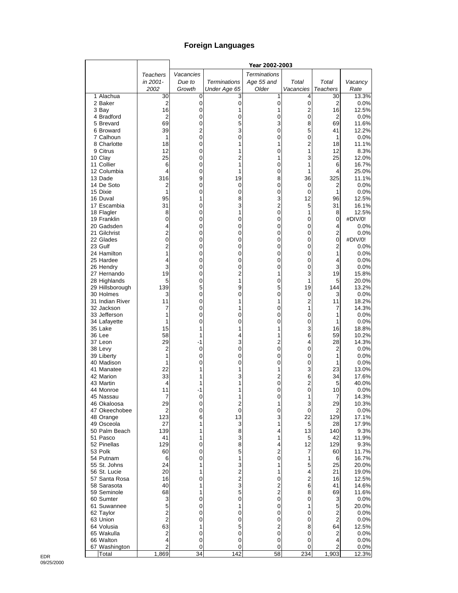## **Foreign Languages**

|                               |                     |           |                                  | Year 2002-2003      |                |                  |                |
|-------------------------------|---------------------|-----------|----------------------------------|---------------------|----------------|------------------|----------------|
|                               | Teachers            | Vacancies |                                  | <b>Terminations</b> |                |                  |                |
|                               | in 2001-            | Due to    | <b>Terminations</b>              | Age 55 and          | Total          | Total            | Vacancy        |
|                               | 2002                | Growth    | Under Age 65                     | Older               | Vacancies      | Teachers         | Rate           |
| 1 Alachua                     | 30                  | 0         | 3                                | 1                   | 4              | 30               | 13.3%          |
| 2 Baker<br>3 Bay              | 2<br>16             | 0<br>0    | $\mathbf 0$<br>1                 | 0<br>1              | $\pmb{0}$<br>2 | 2<br>16          | 0.0%<br>12.5%  |
| 4 Bradford                    | 2                   | 0         | 0                                | 0                   | $\mathbf 0$    | $\overline{2}$   | 0.0%           |
| 5 Brevard                     | 69                  | 0         | 5                                | 3                   | 8              | 69               | 11.6%          |
| 6 Broward                     | 39                  | 2         | 3                                | 0                   | 5              | 41               | 12.2%          |
| 7 Calhoun                     | 1                   | 0         | 0                                | 0                   | 0              | 1                | 0.0%           |
| 8 Charlotte                   | 18                  | 0         | 1                                | 1                   | $\overline{c}$ | 18               | 11.1%          |
| 9 Citrus                      | 12                  | 0         | 1                                | 0                   | 1              | 12               | 8.3%           |
| 10 Clay                       | 25                  | 0         | $\overline{c}$<br>1              | 1                   | 3<br>1         | 25               | 12.0%          |
| 11 Collier<br>12 Columbia     | 6<br>4              | 0<br>0    | 1                                | 0<br>0              | 1              | 6<br>4           | 16.7%<br>25.0% |
| 13 Dade                       | 316                 | 9         | 19                               | 8                   | 36             | 325              | 11.1%          |
| 14 De Soto                    | 2                   | 0         | 0                                | 0                   | 0              | 2                | 0.0%           |
| 15 Dixie                      | 1                   | 0         | 0                                | 0                   | 0              | 1                | 0.0%           |
| 16 Duval                      | 95                  | 1         | 8                                | 3                   | 12             | 96               | 12.5%          |
| 17 Escambia                   | 31                  | 0         | 3                                | $\overline{2}$      | 5              | 31               | 16.1%          |
| 18 Flagler                    | 8                   | 0         | 1                                | 0                   | 1              | 8                | 12.5%          |
| 19 Franklin<br>20 Gadsden     | 0<br>4              | 0         | 0<br>0                           | 0                   | 0<br>0         | 0                | #DIV/0!        |
| 21 Gilchrist                  | $\overline{c}$      | 0<br>0    | 0                                | 0<br>0              | 0              | 4<br>$\mathbf 2$ | 0.0%<br>0.0%   |
| 22 Glades                     | 0                   | 0         | 0                                | 0                   | 0              | 0                | #DIV/0!        |
| 23 Gulf                       | $\overline{c}$      | 0         | 0                                | 0                   | 0              | 2                | 0.0%           |
| 24 Hamilton                   | 1                   | 0         | 0                                | 0                   | 0              | 1                | 0.0%           |
| 25 Hardee                     | 4                   | 0         | 0                                | 0                   | 0              | 4                | 0.0%           |
| 26 Hendry                     | 3                   | 0         | 0                                | 0                   | 0              | 3                | 0.0%           |
| 27 Hernando                   | 19                  | 0         | $\overline{2}$                   | 1                   | 3              | 19               | 15.8%          |
| 28 Highlands                  | 5                   | 0         | 1                                | 0                   | 1              | 5                | 20.0%          |
| 29 Hillsborough               | 139                 | 5         | 9                                | 5                   | 19             | 144              | 13.2%          |
| 30 Holmes<br>31 Indian River  | 3<br>11             | 0<br>0    | 0<br>1                           | 0<br>1              | 0<br>2         | 3<br>11          | 0.0%<br>18.2%  |
| 32 Jackson                    | 7                   | 0         |                                  | 0                   | 1              | 7                | 14.3%          |
| 33 Jefferson                  | 1                   | 0         | 0                                | 0                   | $\mathbf 0$    | 1                | 0.0%           |
| 34 Lafayette                  | 1                   | 0         | 0                                | 0                   | 0              | 1                | 0.0%           |
| 35 Lake                       | 15                  | 1         | 1                                | 1                   | 3              | 16               | 18.8%          |
| 36 Lee                        | 58                  | 1         | 4                                | 1                   | 6              | 59               | 10.2%          |
| 37 Leon                       | 29                  | -1        | 3                                | $\overline{2}$      | 4              | 28               | 14.3%          |
| 38 Levy                       | 2                   | 0         | 0                                | 0                   | 0              | 2                | 0.0%           |
| 39 Liberty<br>40 Madison      | 1<br>1              | 0<br>0    | 0<br>0                           | 0<br>0              | 0<br>0         | 1<br>1           | 0.0%<br>0.0%   |
| 41 Manatee                    | 22                  | 1         | 1                                | 1                   | 3              | 23               | 13.0%          |
| 42 Marion                     | 33                  | 1         | 3                                | $\overline{c}$      | 6              | 34               | 17.6%          |
| 43 Martin                     | 4                   |           |                                  | 0                   | $\overline{2}$ | 5                | 40.0%          |
| 44 Monroe                     | 11                  | -1        | 1                                | 0                   | 0              | 10               | 0.0%           |
| 45 Nassau                     | 7                   | 0         |                                  | 0                   | 1              | 7                | 14.3%          |
| 46 Okaloosa                   | 29                  | 0         | $\overline{c}$                   | 1                   | 3              | 29               | 10.3%          |
| 47 Okeechobee<br>48 Orange    | 2<br>123            | 0<br>6    | $\mathbf 0$<br>13                | 0<br>3              | 0<br>22        | 2<br>129         | 0.0%<br>17.1%  |
| 49 Osceola                    | 27                  | 1         | 3                                | 1                   | 5              | 28               | 17.9%          |
| 50 Palm Beach                 | 139                 | 1         | 8                                | 4                   | 13             | 140              | 9.3%           |
| 51 Pasco                      | 41                  | 1         | 3                                | 1                   | 5              | 42               | 11.9%          |
| 52 Pinellas                   | 129                 | 0         | 8                                | 4                   | 12             | 129              | 9.3%           |
| 53 Polk                       | 60                  | 0         | 5                                | $\overline{2}$      | 7              | 60               | 11.7%          |
| 54 Putnam                     | 6                   | 0         | 1                                | 0                   | 1              | 6                | 16.7%          |
| 55 St. Johns                  | 24                  | 1         | 3                                | 1                   | 5              | 25               | 20.0%          |
| 56 St. Lucie<br>57 Santa Rosa | 20<br>16            | 1<br>0    | $\overline{c}$<br>$\overline{c}$ | 1<br>0              | 4<br>2         | 21<br>16         | 19.0%<br>12.5% |
| 58 Sarasota                   | 40                  | 1         | 3                                | $\overline{c}$      | 6              | 41               | 14.6%          |
| 59 Seminole                   | 68                  | 1         | 5                                | $\overline{2}$      | 8              | 69               | 11.6%          |
| 60 Sumter                     | 3                   | 0         | 0                                | 0                   | 0              | 3                | 0.0%           |
| 61 Suwannee                   | 5                   | 0         | 1                                | 0                   | 1              | 5                | 20.0%          |
| 62 Taylor                     | $\overline{2}$      | 0         | 0                                | 0                   | 0              | 2                | 0.0%           |
| 63 Union                      | $\overline{2}$      | 0         | 0                                | 0                   | 0              | $\overline{2}$   | 0.0%           |
| 64 Volusia                    | 63                  | 1         | 5                                | $\overline{c}$      | 8              | 64               | 12.5%          |
| 65 Wakulla                    | 2                   | 0         | 0                                | 0                   | 0              | 2                | 0.0%           |
| 66 Walton<br>67 Washington    | 4<br>$\overline{c}$ | 0<br>0    | 0<br>0                           | 0<br>0              | 0<br>0         | 4<br>2           | 0.0%<br>0.0%   |
| Total                         | 1,869               | 34        | 142                              | 58                  | 234            | 1,903            | 12.3%          |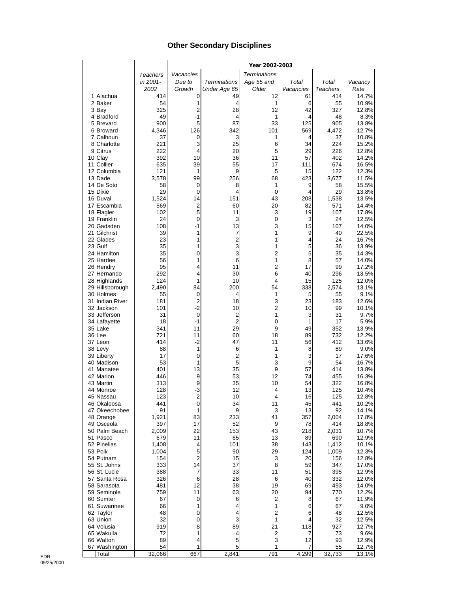## **Other Secondary Disciplines**

|                           |              |                         |                     | Year 2002-2003      |                |                 |                |
|---------------------------|--------------|-------------------------|---------------------|---------------------|----------------|-----------------|----------------|
|                           | Teachers     | Vacancies               |                     | <b>Terminations</b> |                |                 |                |
|                           | in 2001-     | Due to                  | <b>Terminations</b> | Age 55 and          | Total          | Total           | Vacancy        |
|                           | 2002         | Growth                  | Under Age 65        | Older               | Vacancies      | <b>Teachers</b> | Rate           |
| 1 Alachua                 | 414          | 0                       | 49                  | 12                  | 61             | 414             | 14.7%          |
| 2 Baker                   | 54           | 1                       | 4                   | 1                   | 6              | 55              | 10.9%          |
| 3 Bay                     | 325          | $\overline{c}$          | 28                  | 12                  | 42             | 327             | 12.8%          |
| 4 Bradford                | 49           | $-1$                    | 4                   | 1                   | 4              | 48              | 8.3%           |
| 5 Brevard                 | 900          | 5                       | 87                  | 33                  | 125            | 905             | 13.8%          |
| 6 Broward<br>7 Calhoun    | 4,346        | 126                     | 342                 | 101                 | 569            | 4,472           | 12.7%          |
| 8 Charlotte               | 37<br>221    | 0<br>3                  | 3<br>25             | 1<br>6              | 4<br>34        | 37<br>224       | 10.8%<br>15.2% |
| 9 Citrus                  | 222          | 4                       | 20                  | 5                   | 29             | 226             | 12.8%          |
| 10 Clay                   | 392          | 10                      | 36                  | 11                  | 57             | 402             | 14.2%          |
| 11 Collier                | 635          | 39                      | 55                  | 17                  | 111            | 674             | 16.5%          |
| 12 Columbia               | 121          | 1                       | 9                   | 5                   | 15             | 122             | 12.3%          |
| 13 Dade                   | 3,578        | 99                      | 256                 | 68                  | 423            | 3,677           | 11.5%          |
| 14 De Soto                | 58           | 0                       | 8                   | 1                   | 9              | 58              | 15.5%          |
| 15 Dixie                  | 29           | 0                       | 4                   | 0                   | 4              | 29              | 13.8%          |
| 16 Duval                  | 1,524        | 14                      | 151                 | 43                  | 208            | 1,538           | 13.5%          |
| 17 Escambia               | 569          | $\overline{\mathbf{c}}$ | 60                  | 20                  | 82             | 571             | 14.4%          |
| 18 Flagler                | 102          | 5                       | 11                  | 3                   | 19             | 107             | 17.8%          |
| 19 Franklin               | 24           | 0                       | 3                   | 0                   | 3              | 24              | 12.5%          |
| 20 Gadsden                | 108          | $-1$                    | 13                  | 3                   | 15             | 107             | 14.0%          |
| 21 Gilchrist<br>22 Glades | 39<br>23     | 1<br>1                  | 7<br>$\overline{2}$ | 1<br>1              | 9<br>4         | 40<br>24        | 22.5%<br>16.7% |
| 23 Gulf                   | 35           | 1                       | 3                   | 1                   | 5              | 36              | 13.9%          |
| 24 Hamilton               | 35           | $\mathbf 0$             | 3                   | $\overline{c}$      | 5              | 35              | 14.3%          |
| 25 Hardee                 | 56           | 1                       | 6                   | 1                   | 8              | 57              | 14.0%          |
| 26 Hendry                 | 95           | 4                       | 11                  | $\overline{2}$      | 17             | 99              | 17.2%          |
| 27 Hernando               | 292          | 4                       | 30                  | 6                   | 40             | 296             | 13.5%          |
| 28 Highlands              | 124          | 1                       | 10                  | 4                   | 15             | 125             | 12.0%          |
| 29 Hillsborough           | 2,490        | 84                      | 200                 | 54                  | 338            | 2,574           | 13.1%          |
| 30 Holmes                 | 55           | 0                       | 4                   | 1                   | 5              | 55              | 9.1%           |
| 31 Indian River           | 181          | $\overline{c}$          | 18                  | 3                   | 23             | 183             | 12.6%          |
| 32 Jackson                | 101          | $-2$                    | 10                  | $\overline{2}$      | 10             | 99              | 10.1%          |
| 33 Jefferson              | 31           | $\mathbf 0$             | 2                   | 1                   | 3              | 31              | 9.7%           |
| 34 Lafayette              | 18           | $-1$                    | $\overline{2}$      | 0                   | 1              | 17              | 5.9%           |
| 35 Lake<br>36 Lee         | 341<br>721   | 11<br>11                | 29                  | 9<br>18             | 49<br>89       | 352             | 13.9%<br>12.2% |
| 37 Leon                   | 414          | $-2$                    | 60<br>47            | 11                  | 56             | 732<br>412      | 13.6%          |
| 38 Levy                   | 88           | 1                       | 6                   | 1                   | 8              | 89              | 9.0%           |
| 39 Liberty                | 17           | 0                       | 2                   | 1                   | 3              | 17              | 17.6%          |
| 40 Madison                | 53           | 1                       | 5                   | 3                   | 9              | 54              | 16.7%          |
| 41 Manatee                | 401          | 13                      | 35                  | 9                   | 57             | 414             | 13.8%          |
| 42 Marion                 | 446          | 9                       | 53                  | 12                  | 74             | 455             | 16.3%          |
| 43 Martin                 | 313          | 9                       | 35                  | 10                  | 54             | 322             | 16.8%          |
| 44 Monroe                 | 128          | $-3$                    | 12                  | 4                   | 13             | 125             | 10.4%          |
| 45 Nassau                 | 123          | $\overline{2}$          | 10                  | 4                   | 16             | 125             | 12.8%          |
| 46 Okaloosa               | 441          | 0                       | 34                  | 11                  | 45             | 441             | 10.2%          |
| 47 Okeechobee             | 91           | 1                       | 9                   | 3                   | 13             | 92              | 14.1%          |
| 48 Orange<br>49 Osceola   | 1,921<br>397 | 83<br>17                | 233                 | 41<br>9             | 357<br>78      | 2,004<br>414    | 17.8%          |
| 50 Palm Beach             | 2,009        | 22                      | 52<br>153           | 43                  | 218            | 2,031           | 18.8%<br>10.7% |
| 51 Pasco                  | 679          | 11                      | 65                  | 13                  | 89             | 690             | 12.9%          |
| 52 Pinellas               | 1,408        | 4                       | 101                 | 38                  | 143            | 1,412           | 10.1%          |
| 53 Polk                   | 1,004        | 5                       | 90                  | 29                  | 124            | 1,009           | 12.3%          |
| 54 Putnam                 | 154          | $\overline{2}$          | 15                  | 3                   | 20             | 156             | 12.8%          |
| 55 St. Johns              | 333          | 14                      | 37                  | 8                   | 59             | 347             | 17.0%          |
| 56 St. Lucie              | 388          | 7                       | 33                  | 11                  | 51             | 395             | 12.9%          |
| 57 Santa Rosa             | 326          | 6                       | 28                  | 6                   | 40             | 332             | 12.0%          |
| 58 Sarasota               | 481          | 12                      | 38                  | 19                  | 69             | 493             | 14.0%          |
| 59 Seminole               | 759          | 11                      | 63                  | 20                  | 94             | 770             | 12.2%          |
| 60 Sumter                 | 67           | 0                       | 6                   | 2                   | 8              | 67              | 11.9%          |
| 61 Suwannee               | 66           | 1                       | 4                   | 1                   | 6              | 67              | 9.0%           |
| 62 Taylor                 | 48           | 0                       | 4                   | $\overline{2}$      | 6              | 48              | 12.5%          |
| 63 Union                  | 32           | 0                       | 3                   | 1                   | 4              | 32              | 12.5%          |
| 64 Volusia<br>65 Wakulla  | 919<br>72    | 8<br>1                  | 89<br>4             | 21<br>2             | 118<br>7       | 927<br>73       | 12.7%<br>9.6%  |
| 66 Walton                 | 89           | 4                       | 5                   | 3                   | 12             | 93              | 12.9%          |
| 67 Washington             | 54           | 1                       | 5                   | 1                   | $\overline{7}$ | 55              | 12.7%          |
| Total                     | 32,066       | 667                     | 2,841               | 791                 | 4,299          | 32,733          | 13.1%          |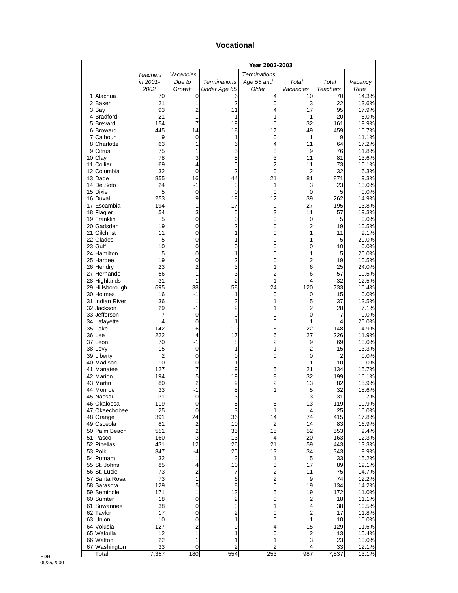#### **Vocational**

|                               |                      |                                        |                     | Year 2002-2003        |                     |                      |                |
|-------------------------------|----------------------|----------------------------------------|---------------------|-----------------------|---------------------|----------------------|----------------|
|                               | <b>Teachers</b>      | Vacancies                              |                     | <b>Terminations</b>   |                     |                      |                |
|                               | in 2001-             | Due to                                 | <b>Terminations</b> | Age 55 and            | Total               | Total                | Vacancy        |
|                               | 2002                 | Growth                                 | Under Age 65        | Older                 | Vacancies           | <b>Teachers</b>      | Rate           |
| 1 Alachua<br>2 Baker          | 70<br>21             | 0<br>1                                 | 6<br>$\overline{2}$ | 4<br>0                | 10<br>3             | 70<br>22             | 14.3%<br>13.6% |
| 3 Bay                         | 93                   | 2                                      | 11                  | 4                     | 17                  | 95                   | 17.9%          |
| 4 Bradford                    | 21                   | $-1$                                   | 1                   | 1                     | 1                   | 20                   | 5.0%           |
| 5 Brevard                     | 154                  | 7                                      | 19                  | 6                     | 32                  | 161                  | 19.9%          |
| 6 Broward                     | 445                  | 14                                     | 18                  | 17                    | 49                  | 459                  | 10.7%          |
| 7 Calhoun<br>8 Charlotte      | 9<br>63              | 0<br>1                                 | 1<br>6              | 0<br>4                | 1<br>11             | 9<br>64              | 11.1%<br>17.2% |
| 9 Citrus                      | 75                   | 1                                      | 5                   | 3                     | 9                   | 76                   | 11.8%          |
| 10 Clay                       | 78                   | 3                                      | 5                   | 3                     | 11                  | 81                   | 13.6%          |
| 11 Collier                    | 69                   | 4                                      | 5                   | 2                     | 11                  | 73                   | 15.1%          |
| 12 Columbia                   | 32                   | 0                                      | $\overline{2}$      | 0                     | $\overline{2}$      | 32                   | 6.3%           |
| 13 Dade<br>14 De Soto         | 855<br>24            | 16<br>$-1$                             | 44<br>3             | 21<br>1               | 81<br>3             | 871<br>23            | 9.3%<br>13.0%  |
| 15 Dixie                      | 5                    | 0                                      | 0                   | 0                     | 0                   | 5                    | $0.0\%$        |
| 16 Duval                      | 253                  | 9                                      | 18                  | 12                    | 39                  | 262                  | 14.9%          |
| 17 Escambia                   | 194                  | 1                                      | 17                  | 9                     | 27                  | 195                  | 13.8%          |
| 18 Flagler                    | 54                   | 3                                      | 5                   | 3                     | 11                  | 57                   | 19.3%          |
| 19 Franklin<br>20 Gadsden     | 5<br>19              | 0<br>0                                 | 0<br>2              | 0                     | 0<br>2              | 5<br>19              | 0.0%           |
| 21 Gilchrist                  | 11                   | 0                                      | 1                   | 0<br>0                | 1                   | 11                   | 10.5%<br>9.1%  |
| 22 Glades                     | 5                    | 0                                      | 1                   | 0                     | 1                   | 5                    | 20.0%          |
| 23 Gulf                       | 10                   | 0                                      | 0                   | 0                     | 0                   | 10                   | 0.0%           |
| 24 Hamilton                   | 5                    | 0                                      | 1                   | 0                     | 1                   | 5                    | 20.0%          |
| 25 Hardee                     | 19                   | 0                                      | $\overline{c}$      | 0                     | $\overline{2}$      | 19                   | 10.5%          |
| 26 Hendry<br>27 Hernando      | 23<br>56             | 2<br>1                                 | 3<br>3              | 1<br>2                | 6<br>6              | 25<br>57             | 24.0%<br>10.5% |
| 28 Highlands                  | 31                   | 1                                      | $\overline{2}$      | 1                     | 4                   | 32                   | 12.5%          |
| 29 Hillsborough               | 695                  | 38                                     | 58                  | 24                    | 120                 | 733                  | 16.4%          |
| 30 Holmes                     | 16                   | -1                                     | 1                   | 0                     | 0                   | 15                   | 0.0%           |
| 31 Indian River               | 36                   | 1                                      | 3                   | 1                     | 5                   | 37                   | 13.5%          |
| 32 Jackson<br>33 Jefferson    | 29<br>7              | -1<br>0                                | 2<br>0              | 1<br>0                | 2<br>0              | 28<br>7              | 7.1%<br>0.0%   |
| 34 Lafayette                  | 4                    | 0                                      | 1                   | 0                     | 1                   | 4                    | 25.0%          |
| 35 Lake                       | 142                  | 6                                      | 10                  | 6                     | 22                  | 148                  | 14.9%          |
| 36 Lee                        | 222                  | 4                                      | 17                  | 6                     | 27                  | 226                  | 11.9%          |
| 37 Leon                       | 70                   | -1                                     | 8                   | 2                     | 9                   | 69                   | 13.0%          |
| 38 Levy<br>39 Liberty         | 15<br>$\overline{2}$ | 0<br>0                                 | 1<br>0              | 1<br>0                | 2<br>0              | 15<br>$\overline{2}$ | 13.3%<br>0.0%  |
| 40 Madison                    | 10                   | 0                                      | 1                   | 0                     | 1                   | 10                   | 10.0%          |
| 41 Manatee                    | 127                  | 7                                      | 9                   | 5                     | 21                  | 134                  | 15.7%          |
| 42 Marion                     | 194                  | 5                                      | 19                  | 8                     | 32                  | 199                  | 16.1%          |
| 43 Martin                     | 80                   | 2                                      | 9                   | 2                     | 13                  | 82                   | 15.9%          |
| 44 Monroe<br>45 Nassau        | 33<br>31             | $-1$<br>0                              | 5<br>3              | 1<br>O                | 5<br>3              | 32<br>31             | 15.6%<br>9.7%  |
| 46 Okaloosa                   | 119                  | 0                                      | 8                   | 5                     | 13                  | 119                  | 10.9%          |
| 47 Okeechobee                 | 25                   | 0                                      | 3                   | 1                     | 4                   | 25                   | 16.0%          |
| 48 Orange                     | 391                  | 24                                     | 36                  | 14                    | 74                  | 415                  | 17.8%          |
| 49 Osceola<br>50 Palm Beach   | 81                   | $\overline{\mathbf{c}}$<br>$\mathbf 2$ | 10                  | $\overline{2}$<br>15  | 14<br>52            | 83                   | 16.9%          |
| 51 Pasco                      | 551<br>160           | 3                                      | 35<br>13            | 4                     | 20                  | 553<br>163           | 9.4%<br>12.3%  |
| 52 Pinellas                   | 431                  | 12                                     | 26                  | 21                    | 59                  | 443                  | 13.3%          |
| 53 Polk                       | 347                  | -4                                     | 25                  | 13                    | 34                  | 343                  | 9.9%           |
| 54 Putnam                     | 32                   | 1                                      | 3                   | 1                     | 5                   | 33                   | 15.2%          |
| 55 St. Johns                  | 85<br>73             | 4<br>$\overline{\mathbf{c}}$           | 10                  | 3                     | 17                  | 89                   | 19.1%          |
| 56 St. Lucie<br>57 Santa Rosa | 73                   | 1                                      | 7<br>6              | $\frac{2}{2}$         | 11<br>9             | 75<br>74             | 14.7%<br>12.2% |
| 58 Sarasota                   | 129                  | 5                                      | 8                   | 6                     | 19                  | 134                  | 14.2%          |
| 59 Seminole                   | 171                  | 1                                      | 13                  | 5                     | 19                  | 172                  | 11.0%          |
| 60 Sumter                     | 18                   | 0                                      | $\boldsymbol{2}$    | 0                     | 2                   | 18                   | 11.1%          |
| 61 Suwannee                   | 38                   | 0                                      | 3                   | 1                     | 4                   | 38                   | 10.5%          |
| 62 Taylor<br>63 Union         | 17<br>10             | 0<br>0                                 | 2<br>1              | 0<br>0                | $\overline{c}$<br>1 | 17<br>10             | 11.8%<br>10.0% |
| 64 Volusia                    | 127                  | $\mathbf 2$                            | 9                   | 4                     | 15                  | 129                  | 11.6%          |
| 65 Wakulla                    | 12                   | 1                                      | 1                   | 0                     | 2                   | 13                   | 15.4%          |
| 66 Walton                     | 22                   | 1                                      | 1                   | 1                     | 3                   | 23                   | 13.0%          |
| 67 Washington<br>Total        | 33<br>7,357          | 0<br>180                               | 2<br>554            | $\overline{c}$<br>253 | 4<br>987            | 33<br>7,537          | 12.1%<br>13.1% |
|                               |                      |                                        |                     |                       |                     |                      |                |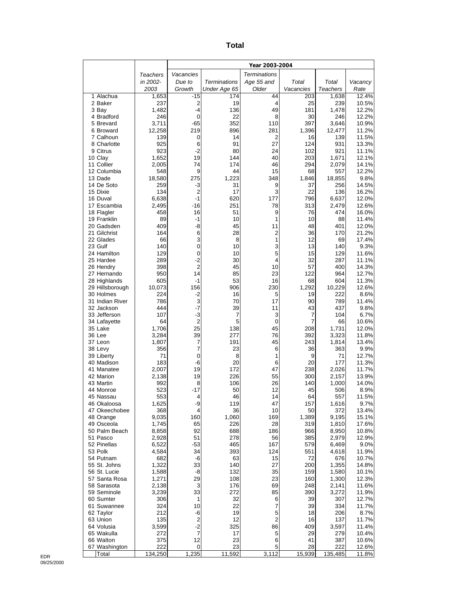| ×<br>i<br>×<br>v<br>$\sim$ |  |
|----------------------------|--|
|----------------------------|--|

|                                 |                |                        |                     | Year 2003-2004      |                  |                   |                |
|---------------------------------|----------------|------------------------|---------------------|---------------------|------------------|-------------------|----------------|
|                                 | Teachers       | Vacancies              |                     | <b>Terminations</b> |                  |                   |                |
|                                 | in 2002-       | Due to                 | Terminations        | Age 55 and          | Total            | Total             | Vacancy        |
| 1 Alachua                       | 2003           | Growth<br>$-15$        | Under Age 65<br>174 | Older<br>44         | Vacancies<br>203 | Teachers<br>1,638 | Rate<br>12.4%  |
| 2 Baker                         | 1,653<br>237   | 2                      | 19                  | 4                   | 25               | 239               | 10.5%          |
| 3 Bay                           | 1,482          | $-4$                   | 136                 | 49                  | 181              | 1,478             | 12.2%          |
| 4 Bradford                      | 246            | 0                      | 22                  | 8                   | 30               | 246               | 12.2%          |
| 5 Brevard                       | 3,711          | $-65$                  | 352                 | 110                 | 397              | 3,646             | 10.9%          |
| 6 Broward<br>7 Calhoun          | 12,258<br>139  | 219<br>0               | 896<br>14           | 281<br>2            | 1,396<br>16      | 12,477<br>139     | 11.2%<br>11.5% |
| 8 Charlotte                     | 925            | 6                      | 91                  | 27                  | 124              | 931               | 13.3%          |
| 9 Citrus                        | 923            | $-2$                   | 80                  | 24                  | 102              | 921               | 11.1%          |
| 10 Clay                         | 1,652          | 19                     | 144                 | 40                  | 203              | 1,671             | 12.1%          |
| 11 Collier<br>12 Columbia       | 2,005<br>548   | 74<br>9                | 174<br>44           | 46<br>15            | 294<br>68        | 2,079<br>557      | 14.1%<br>12.2% |
| 13 Dade                         | 18,580         | 275                    | 1,223               | 348                 | 1,846            | 18,855            | 9.8%           |
| 14 De Soto                      | 259            | -3                     | 31                  | 9                   | 37               | 256               | 14.5%          |
| 15 Dixie                        | 134            | $\overline{2}$         | 17                  | 3                   | 22               | 136               | 16.2%          |
| 16 Duval                        | 6,638          | $-1$                   | 620                 | 177                 | 796              | 6,637             | 12.0%          |
| 17 Escambia<br>18 Flagler       | 2,495<br>458   | $-16$<br>16            | 251<br>51           | 78<br>9             | 313<br>76        | 2,479<br>474      | 12.6%<br>16.0% |
| 19 Franklin                     | 89             | -1                     | 10                  | 1                   | 10               | 88                | 11.4%          |
| 20 Gadsden                      | 409            | -8                     | 45                  | 11                  | 48               | 401               | 12.0%          |
| 21 Gilchrist                    | 164            | 6                      | 28                  | $\overline{2}$      | 36               | 170               | 21.2%          |
| 22 Glades<br>23 Gulf            | 66<br>140      | 3<br>0                 | 8<br>10             | 1<br>3              | 12<br>13         | 69<br>140         | 17.4%<br>9.3%  |
| 24 Hamilton                     | 129            | $\mathbf 0$            | 10                  | 5                   | 15               | 129               | 11.6%          |
| 25 Hardee                       | 289            | $-2$                   | 30                  | 4                   | 32               | 287               | 11.1%          |
| 26 Hendry                       | 398            | $\overline{2}$         | 45                  | 10                  | 57               | 400               | 14.3%          |
| 27 Hernando                     | 950            | 14                     | 85                  | 23                  | 122              | 964               | 12.7%          |
| 28 Highlands<br>29 Hillsborough | 605<br>10,073  | -1<br>156              | 53<br>906           | 16<br>230           | 68<br>1,292      | 604<br>10,229     | 11.3%<br>12.6% |
| 30 Holmes                       | 224            | $-2$                   | 16                  | 5                   | 19               | 222               | 8.6%           |
| 31 Indian River                 | 786            | 3                      | 70                  | 17                  | 90               | 789               | 11.4%          |
| 32 Jackson                      | 444            | $-7$                   | 39                  | 11                  | 43               | 437               | 9.8%           |
| 33 Jefferson<br>34 Lafayette    | 107<br>64      | $-3$<br>$\overline{2}$ | 7<br>5              | 3<br>$\mathbf 0$    | 7<br>7           | 104<br>66         | 6.7%<br>10.6%  |
| 35 Lake                         | 1,706          | 25                     | 138                 | 45                  | 208              | 1,731             | 12.0%          |
| 36 Lee                          | 3,284          | 39                     | 277                 | 76                  | 392              | 3,323             | 11.8%          |
| 37 Leon                         | 1,807          | 7                      | 191                 | 45                  | 243              | 1,814             | 13.4%          |
| 38 Levy                         | 356            | $\overline{7}$         | 23                  | 6                   | 36               | 363               | 9.9%           |
| 39 Liberty<br>40 Madison        | 71<br>183      | $\mathbf 0$<br>-6      | 8<br>20             | 1<br>6              | 9<br>20          | 71<br>177         | 12.7%<br>11.3% |
| 41 Manatee                      | 2,007          | 19                     | 172                 | 47                  | 238              | 2,026             | 11.7%          |
| 42 Marion                       | 2.138          | 19                     | 226                 | 55                  | 300              | 2.157             | 13.9%          |
| 43 Martin                       | 992            | 8                      | 106                 | 26                  | 140              | 1,000             | 14.0%          |
| 44 Monroe                       | 523            | $-17$<br>4             | 50<br>46            | 12<br>14            | 45<br>64         | 506               | 8.9%           |
| 45 Nassau<br>46 Okaloosa        | 553<br>1,625   | -9                     | 119                 | 47                  | 157              | 557<br>1,616      | 11.5%<br>9.7%  |
| 47 Okeechobee                   | 368            | 4                      | 36                  | 10                  | 50               | 372               | 13.4%          |
| 48 Orange                       | 9,035          | 160                    | 1,060               | 169                 | 1,389            | 9,195             | 15.1%          |
| 49 Osceola                      | 1,745          | 65                     | 226                 | 28                  | 319              | 1,810             | 17.6%          |
| 50 Palm Beach<br>51 Pasco       | 8,858<br>2,928 | 92<br>51               | 688<br>278          | 186<br>56           | 966<br>385       | 8,950<br>2,979    | 10.8%<br>12.9% |
| 52 Pinellas                     | 6,522          | $-53$                  | 465                 | 167                 | 579              | 6,469             | 9.0%           |
| 53 Polk                         | 4,584          | 34                     | 393                 | 124                 | 551              | 4,618             | 11.9%          |
| 54 Putnam                       | 682            | -6                     | 63                  | 15                  | 72               | 676               | 10.7%          |
| 55 St. Johns                    | 1,322          | 33<br>-8               | 140<br>132          | 27<br>35            | 200<br>159       | 1,355             | 14.8%          |
| 56 St. Lucie<br>57 Santa Rosa   | 1,588<br>1,271 | 29                     | 108                 | 23                  | 160              | 1,580<br>1,300    | 10.1%<br>12.3% |
| 58 Sarasota                     | 2,138          | 3                      | 176                 | 69                  | 248              | 2,141             | 11.6%          |
| 59 Seminole                     | 3,239          | 33                     | 272                 | 85                  | 390              | 3,272             | 11.9%          |
| 60 Sumter                       | 306            | 1                      | 32                  | 6                   | 39               | 307               | 12.7%          |
| 61 Suwannee<br>62 Taylor        | 324<br>212     | 10<br>-6               | 22<br>19            | 7<br>5              | 39<br>18         | 334               | 11.7%<br>8.7%  |
| 63 Union                        | 135            | $\mathbf 2$            | 12                  | $\overline{c}$      | 16               | 206<br>137        | 11.7%          |
| 64 Volusia                      | 3,599          | $-2$                   | 325                 | 86                  | 409              | 3,597             | 11.4%          |
| 65 Wakulla                      | 272            | $\overline{7}$         | 17                  | 5                   | 29               | 279               | 10.4%          |
| 66 Walton                       | 375            | 12                     | 23                  | 6                   | 41               | 387               | 10.6%          |
| 67 Washington<br>Total          | 222<br>134,250 | 0<br>1,235             | 23<br>11,592        | 5<br>3,112          | 28<br>15,939     | 222<br>135,485    | 12.6%<br>11.8% |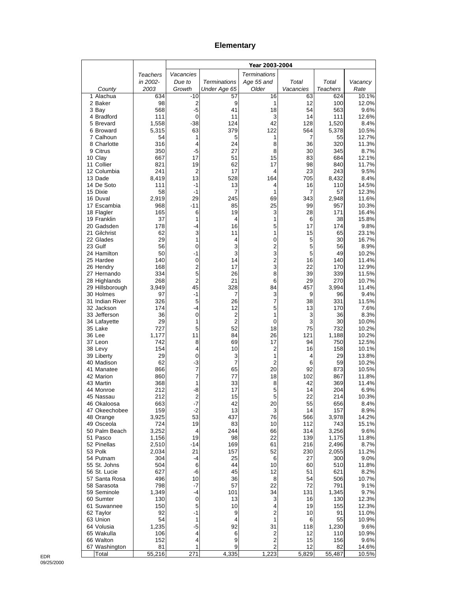## **Elementary**

|                               |                |                        |                      | Year 2003-2004      |                      |                 |                |
|-------------------------------|----------------|------------------------|----------------------|---------------------|----------------------|-----------------|----------------|
|                               | Teachers       | Vacancies              |                      | <b>Terminations</b> |                      |                 |                |
|                               | in 2002-       | Due to                 | <b>Terminations</b>  | Age 55 and          | Total                | Total           | Vacancy        |
| County                        | 2003           | Growth                 | Under Age 65         | Older               | Vacancies            | <b>Teachers</b> | Rate           |
| 1 Alachua<br>2 Baker          | 634<br>98      | -10<br>$\overline{2}$  | 57<br>9              | 16<br>1             | 63<br>12             | 624<br>100      | 10.1%<br>12.0% |
| 3 Bay                         | 568            | $-5$                   | 41                   | 18                  | 54                   | 563             | 9.6%           |
| 4 Bradford                    | 111            | 0                      | 11                   | 3                   | 14                   | 111             | 12.6%          |
| 5 Brevard                     | 1,558          | $-38$                  | 124                  | 42                  | 128                  | 1,520           | 8.4%           |
| 6 Broward                     | 5,315          | 63                     | 379                  | 122                 | 564                  | 5,378           | 10.5%          |
| 7 Calhoun                     | 54             | 1                      | 5                    | 1                   | 7                    | 55              | 12.7%          |
| 8 Charlotte<br>9 Citrus       | 316<br>350     | $\overline{4}$<br>$-5$ | 24<br>27             | 8<br>8              | 36<br>30             | 320<br>345      | 11.3%<br>8.7%  |
| 10 Clay                       | 667            | 17                     | 51                   | 15                  | 83                   | 684             | 12.1%          |
| 11 Collier                    | 821            | 19                     | 62                   | 17                  | 98                   | 840             | 11.7%          |
| 12 Columbia                   | 241            | $\overline{2}$         | 17                   | 4                   | 23                   | 243             | 9.5%           |
| 13 Dade                       | 8,419          | 13                     | 528                  | 164                 | 705                  | 8,432           | 8.4%           |
| 14 De Soto<br>15 Dixie        | 111<br>58      | $-1$<br>$-1$           | 13<br>7              | 4<br>1              | 16<br>$\overline{7}$ | 110<br>57       | 14.5%<br>12.3% |
| 16 Duval                      | 2,919          | 29                     | 245                  | 69                  | 343                  | 2,948           | 11.6%          |
| 17 Escambia                   | 968            | -11                    | 85                   | 25                  | 99                   | 957             | 10.3%          |
| 18 Flagler                    | 165            | 6                      | 19                   | 3                   | 28                   | 171             | 16.4%          |
| 19 Franklin                   | 37             | 1                      | 4                    | 1                   | 6                    | 38              | 15.8%          |
| 20 Gadsden<br>21 Gilchrist    | 178<br>62      | -4<br>3                | 16<br>11             | 5<br>1              | 17<br>15             | 174<br>65       | 9.8%<br>23.1%  |
| 22 Glades                     | 29             | 1                      | 4                    | 0                   | 5                    | 30              | 16.7%          |
| 23 Gulf                       | 56             | $\mathbf 0$            | 3                    | 2                   | 5                    | 56              | 8.9%           |
| 24 Hamilton                   | 50             | -1                     | 3                    | 3                   | 5                    | 49              | 10.2%          |
| 25 Hardee                     | 140            | 0                      | 14                   | $\overline{c}$      | 16                   | 140             | 11.4%          |
| 26 Hendry<br>27 Hernando      | 168<br>334     | $\overline{2}$<br>5    | 17<br>26             | 3<br>8              | 22<br>39             | 170<br>339      | 12.9%<br>11.5% |
| 28 Highlands                  | 268            | $\overline{2}$         | 21                   | 6                   | 29                   | 270             | 10.7%          |
| 29 Hillsborough               | 3,949          | 45                     | 328                  | 84                  | 457                  | 3,994           | 11.4%          |
| 30 Holmes                     | 97             | $-1$                   | 7                    | 3                   | 9                    | 96              | 9.4%           |
| 31 Indian River               | 326            | 5                      | 26                   | 7                   | 38                   | 331             | 11.5%          |
| 32 Jackson<br>33 Jefferson    | 174<br>36      | -4<br>0                | 12<br>$\overline{c}$ | 5<br>1              | 13<br>3              | 170<br>36       | 7.6%<br>8.3%   |
| 34 Lafayette                  | 29             | 1                      | $\overline{2}$       | 0                   | 3                    | 30              | 10.0%          |
| 35 Lake                       | 727            | 5                      | 52                   | 18                  | 75                   | 732             | 10.2%          |
| 36 Lee                        | 1,177          | 11                     | 84                   | 26                  | 121                  | 1,188           | 10.2%          |
| 37 Leon                       | 742            | 8                      | 69                   | 17                  | 94                   | 750             | 12.5%          |
| 38 Levy<br>39 Liberty         | 154<br>29      | 4<br>0                 | 10<br>3              | $\overline{2}$<br>1 | 16<br>4              | 158<br>29       | 10.1%<br>13.8% |
| 40 Madison                    | 62             | -3                     | $\overline{7}$       | $\overline{2}$      | 6                    | 59              | 10.2%          |
| 41 Manatee                    | 866            | $\overline{7}$         | 65                   | 20                  | 92                   | 873             | 10.5%          |
| 42 Marion                     | 860            | $\overline{7}$         | 77                   | 18                  | 102                  | 867             | 11.8%          |
| 43 Martin                     | 368            | 1                      | 33                   | 8                   | 42                   | 369             | 11.4%          |
| 44 Monroe<br>45 Nassau        | 212<br>212     | -8<br>2                | 17<br>15             | 5<br>5              | 14<br>22             | 204<br>214      | 6.9%<br>10.3%  |
| 46 Okaloosa                   | 663            | $-7$                   | 42                   | 20                  | 55                   | 656             | 8.4%           |
| 47 Okeechobee                 | 159            | $-2$                   | 13                   | 3                   | 14                   | 157             | 8.9%           |
| 48 Orange                     | 3,925          | 53                     | 437                  | 76                  | 566                  | 3,978           | 14.2%          |
| 49 Osceola                    | 724            | 19                     | 83                   | 10                  | 112                  | 743             | 15.1%          |
| 50 Palm Beach<br>51 Pasco     | 3,252<br>1,156 | 4<br>19                | 244<br>98            | 66<br>22            | 314<br>139           | 3,256<br>1,175  | 9.6%<br>11.8%  |
| 52 Pinellas                   | 2,510          | -14                    | 169                  | 61                  | 216                  | 2,496           | 8.7%           |
| 53 Polk                       | 2,034          | 21                     | 157                  | 52                  | 230                  | 2,055           | 11.2%          |
| 54 Putnam                     | 304            | -4                     | 25                   | 6                   | 27                   | 300             | 9.0%           |
| 55 St. Johns                  | 504            | 6                      | 44                   | 10                  | 60                   | 510             | 11.8%          |
| 56 St. Lucie<br>57 Santa Rosa | 627<br>496     | -6<br>10               | 45<br>36             | 12<br>8             | 51<br>54             | 621<br>506      | 8.2%<br>10.7%  |
| 58 Sarasota                   | 798            | $-7$                   | 57                   | 22                  | 72                   | 791             | 9.1%           |
| 59 Seminole                   | 1,349          | -4                     | 101                  | 34                  | 131                  | 1,345           | 9.7%           |
| 60 Sumter                     | 130            | $\mathbf 0$            | 13                   | 3                   | 16                   | 130             | 12.3%          |
| 61 Suwannee                   | 150            | 5                      | 10                   | 4                   | 19                   | 155             | 12.3%          |
| 62 Taylor<br>63 Union         | 92<br>54       | $-1$<br>1              | 9<br>4               | $\overline{2}$<br>1 | 10<br>6              | 91<br>55        | 11.0%<br>10.9% |
| 64 Volusia                    | 1,235          | -5                     | 92                   | 31                  | 118                  | 1,230           | 9.6%           |
| 65 Wakulla                    | 106            | 4                      | 6                    | 2                   | 12                   | 110             | 10.9%          |
| 66 Walton                     | 152            | 4                      | 9                    | $\mathbf 2$         | 15                   | 156             | 9.6%           |
| 67 Washington                 | 81<br>55,216   | 1                      | 9<br>4,335           | 2                   | 12                   | 82              | 14.6%          |
| Total                         |                | 271                    |                      | 1,223               | 5,829                | 55,487          | 10.5%          |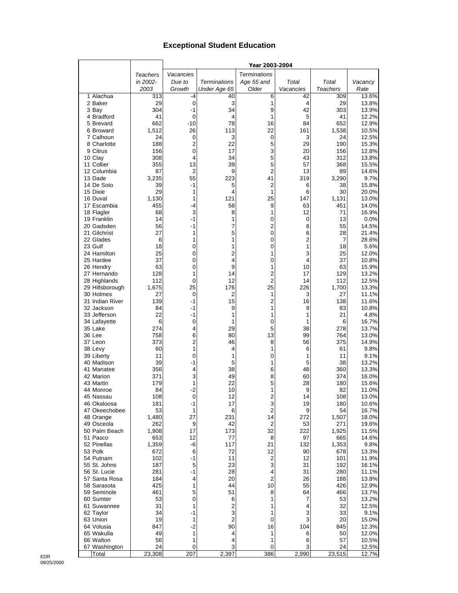## **Exceptional Student Education**

|                              |                 |                     |                     | Year 2003-2004      |           |                 |                |
|------------------------------|-----------------|---------------------|---------------------|---------------------|-----------|-----------------|----------------|
|                              | <b>Teachers</b> | Vacancies           |                     | <b>Terminations</b> |           |                 |                |
|                              | in 2002-        | Due to              | <b>Terminations</b> | Age 55 and          | Total     | Total           | Vacancy        |
|                              | 2003            | Growth              | Under Age 65        | Older               | Vacancies | <b>Teachers</b> | Rate           |
| 1 Alachua                    | 313             | -4                  | 40                  | 6                   | 42        | 309             | 13.6%          |
| 2 Baker                      | 29              | $\mathbf 0$         | 3                   | 1                   | 4         | 29              | 13.8%          |
| 3 Bay                        | 304             | $-1$                | 34                  | 9                   | 42        | 303             | 13.9%          |
| 4 Bradford                   | 41              | $\mathbf 0$         | 4                   | 1                   | 5         | 41              | 12.2%          |
| 5 Brevard                    | 662             | $-10$               | 78                  | 16                  | 84        | 652             | 12.9%          |
| 6 Broward                    | 1,512           | 26                  | 113                 | 22                  | 161       | 1,538           | 10.5%          |
| 7 Calhoun<br>8 Charlotte     | 24<br>188       | 0<br>$\overline{2}$ | 3<br>22             | 0<br>5              | 3<br>29   | 24<br>190       | 12.5%<br>15.3% |
| 9 Citrus                     | 156             | $\mathbf 0$         | 17                  | 3                   | 20        | 156             | 12.8%          |
| 10 Clay                      | 308             | 4                   | 34                  | 5                   | 43        | 312             | 13.8%          |
| 11 Collier                   | 355             | 13                  | 39                  | 5                   | 57        | 368             | 15.5%          |
| 12 Columbia                  | 87              | $\overline{2}$      | 9                   | $\overline{2}$      | 13        | 89              | 14.6%          |
| 13 Dade                      | 3,235           | 55                  | 223                 | 41                  | 319       | 3,290           | 9.7%           |
| 14 De Soto                   | 39              | $-1$                | 5                   | 2                   | 6         | 38              | 15.8%          |
| 15 Dixie                     | 29              | 1                   | 4                   | 1                   | 6         | 30              | 20.0%          |
| 16 Duval                     | 1,130           | 1                   | 121                 | 25                  | 147       | 1,131           | 13.0%          |
| 17 Escambia                  | 455             | -4                  | 58                  | 9                   | 63        | 451             | 14.0%          |
| 18 Flagler                   | 68              | 3                   | 8                   | 1                   | 12        | 71              | 16.9%          |
| 19 Franklin                  | 14              | $-1$                | 1<br>7              | 0                   | 0         | 13              | 0.0%           |
| 20 Gadsden<br>21 Gilchrist   | 56<br>27        | $-1$<br>1           | 5                   | 2<br>0              | 8<br>6    | 55<br>28        | 14.5%<br>21.4% |
| 22 Glades                    | 6               | 1                   | 1                   | 0                   | 2         | 7               | 28.6%          |
| 23 Gulf                      | 18              | 0                   | 1                   | 0                   | 1         | 18              | 5.6%           |
| 24 Hamilton                  | 25              | 0                   | $\overline{2}$      | 1                   | 3         | 25              | 12.0%          |
| 25 Hardee                    | 37              | 0                   | 4                   | 0                   | 4         | 37              | 10.8%          |
| 26 Hendry                    | 63              | 0                   | 9                   | 1                   | 10        | 63              | 15.9%          |
| 27 Hernando                  | 128             | 1                   | 14                  | $\overline{2}$      | 17        | 129             | 13.2%          |
| 28 Highlands                 | 112             | 0                   | 12                  | $\overline{2}$      | 14        | 112             | 12.5%          |
| 29 Hillsborough              | 1,675           | 25                  | 176                 | 25                  | 226       | 1,700           | 13.3%          |
| 30 Holmes                    | 27              | 0                   | $\overline{2}$      | 1                   | 3         | 27              | 11.1%          |
| 31 Indian River              | 139             | $-1$                | 15                  | $\overline{2}$      | 16        | 138             | 11.6%          |
| 32 Jackson                   | 84              | $-1$                | 9                   | 1                   | 9         | 83              | 10.8%          |
| 33 Jefferson                 | 22              | -1                  | 1                   | 1                   | 1         | 21              | 4.8%           |
| 34 Lafayette<br>35 Lake      | 6<br>274        | 0<br>4              | 1<br>29             | 0<br>5              | 1<br>38   | 6<br>278        | 16.7%<br>13.7% |
| 36 Lee                       | 758             | 6                   | 80                  | 13                  | 99        | 764             | 13.0%          |
| 37 Leon                      | 373             | $\overline{2}$      | 46                  | 8                   | 56        | 375             | 14.9%          |
| 38 Levy                      | 60              | 1                   | 4                   | 1                   | 6         | 61              | 9.8%           |
| 39 Liberty                   | 11              | 0                   | 1                   | 0                   | 1         | 11              | 9.1%           |
| 40 Madison                   | 39              | $-1$                | 5                   | 1                   | 5         | 38              | 13.2%          |
| 41 Manatee                   | 356             | 4                   | 38                  | 6                   | 48        | 360             | 13.3%          |
| 42 Marion                    | 371             | 3                   | 49                  | 8                   | 60        | 374             | 16.0%          |
| 43 Martin                    | 179             | 1                   | 22                  | 5                   | 28        | 180             | 15.6%          |
| 44 Monroe                    | 84              | $-2$                | 10                  | 1                   | 9         | 82              | 11.0%          |
| 45 Nassau                    | 108             | $\mathbf 0$         | 12                  | $\mathfrak{p}$      | 14        | 108             | 13.0%          |
| 46 Okaloosa<br>47 Okeechobee | 181<br>53       | -1<br>1             | 17<br>6             | 3<br>$\overline{2}$ | 19<br>9   | 180<br>54       | 10.6%          |
| 48 Orange                    | 1,480           | 27                  | 231                 | 14                  | 272       | 1,507           | 16.7%<br>18.0% |
| 49 Osceola                   | 262             | 9                   | 42                  | $\overline{2}$      | 53        | 271             | 19.6%          |
| 50 Palm Beach                | 1,908           | 17                  | 173                 | 32                  | 222       | 1,925           | 11.5%          |
| 51 Pasco                     | 653             | 12                  | 77                  | 8                   | 97        | 665             | 14.6%          |
| 52 Pinellas                  | 1,359           | -6                  | 117                 | 21                  | 132       | 1,353           | 9.8%           |
| 53 Polk                      | 672             | 6                   | 72                  | 12                  | 90        | 678             | 13.3%          |
| 54 Putnam                    | 102             | -1                  | 11                  | 2                   | 12        | 101             | 11.9%          |
| 55 St. Johns                 | 187             | 5                   | 23                  | 3                   | 31        | 192             | 16.1%          |
| 56 St. Lucie                 | 281             | -1                  | 28                  | 4                   | 31        | 280             | 11.1%          |
| 57 Santa Rosa                | 184             | 4                   | 20                  | $\overline{2}$      | 26        | 188             | 13.8%          |
| 58 Sarasota                  | 425             | 1                   | 44                  | 10                  | 55        | 426             | 12.9%          |
| 59 Seminole                  | 461             | 5                   | 51                  | 8                   | 64        | 466             | 13.7%          |
| 60 Sumter                    | 53              | 0                   | 6                   | 1                   | 7         | 53              | 13.2%          |
| 61 Suwannee                  | 31              | 1<br>$-1$           | $\overline{2}$      | 1                   | 4         | 32              | 12.5%          |
| 62 Taylor<br>63 Union        | 34<br>19        | 1                   | 3<br>$\overline{2}$ | 1<br>0              | 3<br>3    | 33<br>20        | 9.1%<br>15.0%  |
| 64 Volusia                   | 847             | $-2$                | 90                  | 16                  | 104       | 845             | 12.3%          |
| 65 Wakulla                   | 49              | 1                   | 4                   | 1                   | 6         | 50              | 12.0%          |
| 66 Walton                    | 56              | 1                   | 4                   | 1                   | 6         | 57              | 10.5%          |
| 67 Washington                | 24              | 0                   | 3                   | 0                   | 3         | 24              | 12.5%          |
| Total                        | 23,308          | 207                 | 2,397               | 386                 | 2,990     | 23,515          | 12.7%          |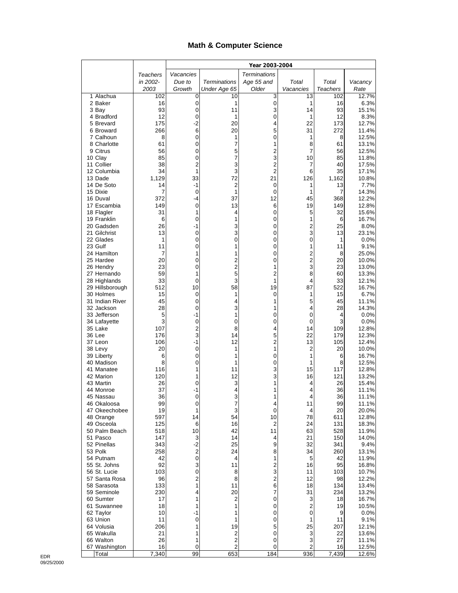## **Math & Computer Science**

| Vacancies<br><b>Terminations</b><br>Teachers<br>in 2002-<br>Due to<br><b>Terminations</b><br>Age 55 and<br>Total<br>Total<br>Vacancy<br>Older<br>Growth<br>Under Age 65<br>Vacancies<br><b>Teachers</b><br>Rate<br>2003<br>1 Alachua<br>102<br>0<br>10<br>3<br>13<br>102<br>16<br>0<br>2 Baker<br>0<br>1<br>16<br>1<br>93<br>$\mathbf 0$<br>3<br>14<br>93<br>3 Bay<br>11<br>4 Bradford<br>12<br>0<br>0<br>12<br>1<br>1<br>175<br>$-2$<br>20<br>22<br>173<br>5 Brevard<br>4<br>266<br>6<br>20<br>5<br>272<br>6 Broward<br>31<br>8<br>0<br>1<br>8<br>7 Calhoun<br>1<br>0<br>61<br>8 Charlotte<br>0<br>7<br>8<br>61<br>1<br>$\overline{c}$<br>$\overline{7}$<br>9 Citrus<br>56<br>0<br>5<br>56<br>85<br>7<br>3<br>0<br>10<br>85<br>10 Clay<br>$\overline{2}$<br>3<br>$\overline{c}$<br>11 Collier<br>38<br>40<br>7<br>$\overline{2}$<br>3<br>34<br>1<br>6<br>35<br>12 Columbia<br>1,129<br>33<br>72<br>126<br>1,162<br>13 Dade<br>21<br>2<br>14 De Soto<br>14<br>-1<br>0<br>1<br>13<br>15 Dixie<br>7<br>$\mathbf 0$<br>1<br>$\mathbf 0$<br>7<br>1<br>372<br>12<br>45<br>368<br>16 Duval<br>-4<br>37<br>17 Escambia<br>149<br>0<br>13<br>6<br>19<br>149<br>31<br>1<br>0<br>5<br>32<br>18 Flagler<br>4<br>6<br>0<br>0<br>1<br>6<br>19 Franklin<br>1<br>26<br>-1<br>3<br>0<br>$\overline{c}$<br>25<br>20 Gadsden<br>3<br>3<br>21 Gilchrist<br>13<br>0<br>0<br>13<br>0<br>0<br>0<br>0<br>$\mathbf{1}$<br>22 Glades<br>1<br>0<br>23 Gulf<br>11<br>0<br>1<br>11<br>1<br>$\overline{2}$<br>24 Hamilton<br>7<br>1<br>1<br>0<br>8 |                |
|-----------------------------------------------------------------------------------------------------------------------------------------------------------------------------------------------------------------------------------------------------------------------------------------------------------------------------------------------------------------------------------------------------------------------------------------------------------------------------------------------------------------------------------------------------------------------------------------------------------------------------------------------------------------------------------------------------------------------------------------------------------------------------------------------------------------------------------------------------------------------------------------------------------------------------------------------------------------------------------------------------------------------------------------------------------------------------------------------------------------------------------------------------------------------------------------------------------------------------------------------------------------------------------------------------------------------------------------------------------------------------------------------------------------------------------------------------------------------------------------------------------------------|----------------|
|                                                                                                                                                                                                                                                                                                                                                                                                                                                                                                                                                                                                                                                                                                                                                                                                                                                                                                                                                                                                                                                                                                                                                                                                                                                                                                                                                                                                                                                                                                                       |                |
|                                                                                                                                                                                                                                                                                                                                                                                                                                                                                                                                                                                                                                                                                                                                                                                                                                                                                                                                                                                                                                                                                                                                                                                                                                                                                                                                                                                                                                                                                                                       |                |
|                                                                                                                                                                                                                                                                                                                                                                                                                                                                                                                                                                                                                                                                                                                                                                                                                                                                                                                                                                                                                                                                                                                                                                                                                                                                                                                                                                                                                                                                                                                       |                |
|                                                                                                                                                                                                                                                                                                                                                                                                                                                                                                                                                                                                                                                                                                                                                                                                                                                                                                                                                                                                                                                                                                                                                                                                                                                                                                                                                                                                                                                                                                                       | 12.7%          |
|                                                                                                                                                                                                                                                                                                                                                                                                                                                                                                                                                                                                                                                                                                                                                                                                                                                                                                                                                                                                                                                                                                                                                                                                                                                                                                                                                                                                                                                                                                                       | 6.3%<br>15.1%  |
|                                                                                                                                                                                                                                                                                                                                                                                                                                                                                                                                                                                                                                                                                                                                                                                                                                                                                                                                                                                                                                                                                                                                                                                                                                                                                                                                                                                                                                                                                                                       | 8.3%           |
|                                                                                                                                                                                                                                                                                                                                                                                                                                                                                                                                                                                                                                                                                                                                                                                                                                                                                                                                                                                                                                                                                                                                                                                                                                                                                                                                                                                                                                                                                                                       | 12.7%          |
|                                                                                                                                                                                                                                                                                                                                                                                                                                                                                                                                                                                                                                                                                                                                                                                                                                                                                                                                                                                                                                                                                                                                                                                                                                                                                                                                                                                                                                                                                                                       | 11.4%          |
|                                                                                                                                                                                                                                                                                                                                                                                                                                                                                                                                                                                                                                                                                                                                                                                                                                                                                                                                                                                                                                                                                                                                                                                                                                                                                                                                                                                                                                                                                                                       | 12.5%          |
|                                                                                                                                                                                                                                                                                                                                                                                                                                                                                                                                                                                                                                                                                                                                                                                                                                                                                                                                                                                                                                                                                                                                                                                                                                                                                                                                                                                                                                                                                                                       | 13.1%          |
|                                                                                                                                                                                                                                                                                                                                                                                                                                                                                                                                                                                                                                                                                                                                                                                                                                                                                                                                                                                                                                                                                                                                                                                                                                                                                                                                                                                                                                                                                                                       | 12.5%<br>11.8% |
|                                                                                                                                                                                                                                                                                                                                                                                                                                                                                                                                                                                                                                                                                                                                                                                                                                                                                                                                                                                                                                                                                                                                                                                                                                                                                                                                                                                                                                                                                                                       | 17.5%          |
|                                                                                                                                                                                                                                                                                                                                                                                                                                                                                                                                                                                                                                                                                                                                                                                                                                                                                                                                                                                                                                                                                                                                                                                                                                                                                                                                                                                                                                                                                                                       | 17.1%          |
|                                                                                                                                                                                                                                                                                                                                                                                                                                                                                                                                                                                                                                                                                                                                                                                                                                                                                                                                                                                                                                                                                                                                                                                                                                                                                                                                                                                                                                                                                                                       | 10.8%          |
|                                                                                                                                                                                                                                                                                                                                                                                                                                                                                                                                                                                                                                                                                                                                                                                                                                                                                                                                                                                                                                                                                                                                                                                                                                                                                                                                                                                                                                                                                                                       | 7.7%           |
|                                                                                                                                                                                                                                                                                                                                                                                                                                                                                                                                                                                                                                                                                                                                                                                                                                                                                                                                                                                                                                                                                                                                                                                                                                                                                                                                                                                                                                                                                                                       | 14.3%<br>12.2% |
|                                                                                                                                                                                                                                                                                                                                                                                                                                                                                                                                                                                                                                                                                                                                                                                                                                                                                                                                                                                                                                                                                                                                                                                                                                                                                                                                                                                                                                                                                                                       | 12.8%          |
|                                                                                                                                                                                                                                                                                                                                                                                                                                                                                                                                                                                                                                                                                                                                                                                                                                                                                                                                                                                                                                                                                                                                                                                                                                                                                                                                                                                                                                                                                                                       | 15.6%          |
|                                                                                                                                                                                                                                                                                                                                                                                                                                                                                                                                                                                                                                                                                                                                                                                                                                                                                                                                                                                                                                                                                                                                                                                                                                                                                                                                                                                                                                                                                                                       | 16.7%          |
|                                                                                                                                                                                                                                                                                                                                                                                                                                                                                                                                                                                                                                                                                                                                                                                                                                                                                                                                                                                                                                                                                                                                                                                                                                                                                                                                                                                                                                                                                                                       | 8.0%           |
|                                                                                                                                                                                                                                                                                                                                                                                                                                                                                                                                                                                                                                                                                                                                                                                                                                                                                                                                                                                                                                                                                                                                                                                                                                                                                                                                                                                                                                                                                                                       | 23.1%          |
|                                                                                                                                                                                                                                                                                                                                                                                                                                                                                                                                                                                                                                                                                                                                                                                                                                                                                                                                                                                                                                                                                                                                                                                                                                                                                                                                                                                                                                                                                                                       | 0.0%<br>9.1%   |
|                                                                                                                                                                                                                                                                                                                                                                                                                                                                                                                                                                                                                                                                                                                                                                                                                                                                                                                                                                                                                                                                                                                                                                                                                                                                                                                                                                                                                                                                                                                       | 25.0%          |
| $\overline{2}$<br>20<br>0<br>2<br>25 Hardee<br>0<br>20                                                                                                                                                                                                                                                                                                                                                                                                                                                                                                                                                                                                                                                                                                                                                                                                                                                                                                                                                                                                                                                                                                                                                                                                                                                                                                                                                                                                                                                                | 10.0%          |
| 2<br>3<br>0<br>23<br>26 Hendry<br>23<br>1                                                                                                                                                                                                                                                                                                                                                                                                                                                                                                                                                                                                                                                                                                                                                                                                                                                                                                                                                                                                                                                                                                                                                                                                                                                                                                                                                                                                                                                                             | 13.0%          |
| 59<br>5<br>2<br>8<br>60<br>27 Hernando<br>1                                                                                                                                                                                                                                                                                                                                                                                                                                                                                                                                                                                                                                                                                                                                                                                                                                                                                                                                                                                                                                                                                                                                                                                                                                                                                                                                                                                                                                                                           | 13.3%          |
| 33<br>0<br>3<br>1<br>33<br>28 Highlands<br>4<br>512<br>58<br>19<br>522<br>29 Hillsborough<br>10<br>87                                                                                                                                                                                                                                                                                                                                                                                                                                                                                                                                                                                                                                                                                                                                                                                                                                                                                                                                                                                                                                                                                                                                                                                                                                                                                                                                                                                                                 | 12.1%<br>16.7% |
| 30 Holmes<br>15<br>0<br>1<br>15<br>1<br>0                                                                                                                                                                                                                                                                                                                                                                                                                                                                                                                                                                                                                                                                                                                                                                                                                                                                                                                                                                                                                                                                                                                                                                                                                                                                                                                                                                                                                                                                             | 6.7%           |
| 31 Indian River<br>45<br>0<br>1<br>5<br>45<br>4                                                                                                                                                                                                                                                                                                                                                                                                                                                                                                                                                                                                                                                                                                                                                                                                                                                                                                                                                                                                                                                                                                                                                                                                                                                                                                                                                                                                                                                                       | 11.1%          |
| 28<br>0<br>3<br>1<br>4<br>28<br>32 Jackson                                                                                                                                                                                                                                                                                                                                                                                                                                                                                                                                                                                                                                                                                                                                                                                                                                                                                                                                                                                                                                                                                                                                                                                                                                                                                                                                                                                                                                                                            | 14.3%          |
| 33 Jefferson<br>5<br>-1<br>1<br>0<br>4<br>0                                                                                                                                                                                                                                                                                                                                                                                                                                                                                                                                                                                                                                                                                                                                                                                                                                                                                                                                                                                                                                                                                                                                                                                                                                                                                                                                                                                                                                                                           | 0.0%           |
| 3<br>3<br>0<br>0<br>0<br>0<br>34 Lafayette                                                                                                                                                                                                                                                                                                                                                                                                                                                                                                                                                                                                                                                                                                                                                                                                                                                                                                                                                                                                                                                                                                                                                                                                                                                                                                                                                                                                                                                                            | 0.0%           |
| 2<br>107<br>8<br>14<br>35 Lake<br>109<br>4<br>3<br>36 Lee<br>176<br>5<br>22<br>14<br>179                                                                                                                                                                                                                                                                                                                                                                                                                                                                                                                                                                                                                                                                                                                                                                                                                                                                                                                                                                                                                                                                                                                                                                                                                                                                                                                                                                                                                              | 12.8%<br>12.3% |
| $\overline{c}$<br>106<br>-1<br>12<br>37 Leon<br>13<br>105                                                                                                                                                                                                                                                                                                                                                                                                                                                                                                                                                                                                                                                                                                                                                                                                                                                                                                                                                                                                                                                                                                                                                                                                                                                                                                                                                                                                                                                             | 12.4%          |
| 20<br>0<br>2<br>38 Levy<br>1<br>20<br>1                                                                                                                                                                                                                                                                                                                                                                                                                                                                                                                                                                                                                                                                                                                                                                                                                                                                                                                                                                                                                                                                                                                                                                                                                                                                                                                                                                                                                                                                               | 10.0%          |
| 6<br>0<br>39 Liberty<br>1<br>0<br>1<br>6                                                                                                                                                                                                                                                                                                                                                                                                                                                                                                                                                                                                                                                                                                                                                                                                                                                                                                                                                                                                                                                                                                                                                                                                                                                                                                                                                                                                                                                                              | 16.7%          |
| 8<br>0<br>0<br>8<br>40 Madison<br>1<br>1                                                                                                                                                                                                                                                                                                                                                                                                                                                                                                                                                                                                                                                                                                                                                                                                                                                                                                                                                                                                                                                                                                                                                                                                                                                                                                                                                                                                                                                                              | 12.5%          |
| 116<br>3<br>15<br>117<br>41 Manatee<br>1<br>11<br>120<br>12<br>3<br>16<br>121<br>42 Marion<br>1                                                                                                                                                                                                                                                                                                                                                                                                                                                                                                                                                                                                                                                                                                                                                                                                                                                                                                                                                                                                                                                                                                                                                                                                                                                                                                                                                                                                                       | 12.8%<br>13.2% |
| 26<br>3<br>1<br>26<br>43 Martin<br>0<br>4                                                                                                                                                                                                                                                                                                                                                                                                                                                                                                                                                                                                                                                                                                                                                                                                                                                                                                                                                                                                                                                                                                                                                                                                                                                                                                                                                                                                                                                                             | 15.4%          |
| 37<br>$-1$<br>4<br>1<br>4<br>36<br>44 Monroe                                                                                                                                                                                                                                                                                                                                                                                                                                                                                                                                                                                                                                                                                                                                                                                                                                                                                                                                                                                                                                                                                                                                                                                                                                                                                                                                                                                                                                                                          | 11.1%          |
| 45 Nassau<br>36<br>0<br>3<br>1<br>4<br>36                                                                                                                                                                                                                                                                                                                                                                                                                                                                                                                                                                                                                                                                                                                                                                                                                                                                                                                                                                                                                                                                                                                                                                                                                                                                                                                                                                                                                                                                             | 11.1%          |
| 99<br>0<br>7<br>11<br>99<br>46 Okaloosa<br>4                                                                                                                                                                                                                                                                                                                                                                                                                                                                                                                                                                                                                                                                                                                                                                                                                                                                                                                                                                                                                                                                                                                                                                                                                                                                                                                                                                                                                                                                          | 11.1%          |
| 19<br>1<br>3<br>0<br>47 Okeechobee<br>4<br>20<br>597<br>54                                                                                                                                                                                                                                                                                                                                                                                                                                                                                                                                                                                                                                                                                                                                                                                                                                                                                                                                                                                                                                                                                                                                                                                                                                                                                                                                                                                                                                                            | 20.0%          |
| 10<br>78<br>611<br>48 Orange<br>14<br>$\overline{2}$<br>49 Osceola<br>125<br>6<br>16<br>24<br>131                                                                                                                                                                                                                                                                                                                                                                                                                                                                                                                                                                                                                                                                                                                                                                                                                                                                                                                                                                                                                                                                                                                                                                                                                                                                                                                                                                                                                     | 12.8%<br>18.3% |
| 50 Palm Beach<br>518<br>10<br>42<br>11<br>63<br>528                                                                                                                                                                                                                                                                                                                                                                                                                                                                                                                                                                                                                                                                                                                                                                                                                                                                                                                                                                                                                                                                                                                                                                                                                                                                                                                                                                                                                                                                   | 11.9%          |
| 51 Pasco<br>147<br>3<br>14<br>21<br>150<br>4                                                                                                                                                                                                                                                                                                                                                                                                                                                                                                                                                                                                                                                                                                                                                                                                                                                                                                                                                                                                                                                                                                                                                                                                                                                                                                                                                                                                                                                                          | 14.0%          |
| $-2$<br>52 Pinellas<br>343<br>25<br>32<br>9<br>341                                                                                                                                                                                                                                                                                                                                                                                                                                                                                                                                                                                                                                                                                                                                                                                                                                                                                                                                                                                                                                                                                                                                                                                                                                                                                                                                                                                                                                                                    | 9.4%           |
| $\overline{\mathbf{c}}$<br>258<br>34<br>53 Polk<br>24<br>8<br>260                                                                                                                                                                                                                                                                                                                                                                                                                                                                                                                                                                                                                                                                                                                                                                                                                                                                                                                                                                                                                                                                                                                                                                                                                                                                                                                                                                                                                                                     | 13.1%          |
| $\pmb{0}$<br>42<br>5<br>54 Putnam<br>4<br>1<br>42<br>3<br>92<br>$\overline{c}$<br>95<br>55 St. Johns<br>11<br>16                                                                                                                                                                                                                                                                                                                                                                                                                                                                                                                                                                                                                                                                                                                                                                                                                                                                                                                                                                                                                                                                                                                                                                                                                                                                                                                                                                                                      | 11.9%<br>16.8% |
| 3<br>103<br>0<br>11<br>103<br>56 St. Lucie<br>8                                                                                                                                                                                                                                                                                                                                                                                                                                                                                                                                                                                                                                                                                                                                                                                                                                                                                                                                                                                                                                                                                                                                                                                                                                                                                                                                                                                                                                                                       | 10.7%          |
| 2<br>$\overline{c}$<br>96<br>12<br>57 Santa Rosa<br>8<br>98                                                                                                                                                                                                                                                                                                                                                                                                                                                                                                                                                                                                                                                                                                                                                                                                                                                                                                                                                                                                                                                                                                                                                                                                                                                                                                                                                                                                                                                           | 12.2%          |
| 133<br>1<br>6<br>11<br>18<br>58 Sarasota<br>134                                                                                                                                                                                                                                                                                                                                                                                                                                                                                                                                                                                                                                                                                                                                                                                                                                                                                                                                                                                                                                                                                                                                                                                                                                                                                                                                                                                                                                                                       | 13.4%          |
| 230<br>20<br>7<br>31<br>234<br>59 Seminole<br>4                                                                                                                                                                                                                                                                                                                                                                                                                                                                                                                                                                                                                                                                                                                                                                                                                                                                                                                                                                                                                                                                                                                                                                                                                                                                                                                                                                                                                                                                       | 13.2%          |
| 17<br>1<br>2<br>3<br>60 Sumter<br>0<br>18                                                                                                                                                                                                                                                                                                                                                                                                                                                                                                                                                                                                                                                                                                                                                                                                                                                                                                                                                                                                                                                                                                                                                                                                                                                                                                                                                                                                                                                                             | 16.7%          |
| 18<br>61 Suwannee<br>1<br>1<br>0<br>2<br>19<br>10<br>62 Taylor<br>-1<br>0<br>0<br>9<br>1                                                                                                                                                                                                                                                                                                                                                                                                                                                                                                                                                                                                                                                                                                                                                                                                                                                                                                                                                                                                                                                                                                                                                                                                                                                                                                                                                                                                                              | 10.5%<br>0.0%  |
| 0<br>63 Union<br>11<br>1<br>0<br>1<br>11                                                                                                                                                                                                                                                                                                                                                                                                                                                                                                                                                                                                                                                                                                                                                                                                                                                                                                                                                                                                                                                                                                                                                                                                                                                                                                                                                                                                                                                                              | 9.1%           |
| 64 Volusia<br>206<br>19<br>5<br>25<br>207<br>1                                                                                                                                                                                                                                                                                                                                                                                                                                                                                                                                                                                                                                                                                                                                                                                                                                                                                                                                                                                                                                                                                                                                                                                                                                                                                                                                                                                                                                                                        | 12.1%          |
| 21<br>2<br>0<br>3<br>65 Wakulla<br>1<br>22                                                                                                                                                                                                                                                                                                                                                                                                                                                                                                                                                                                                                                                                                                                                                                                                                                                                                                                                                                                                                                                                                                                                                                                                                                                                                                                                                                                                                                                                            | 13.6%          |
| $\overline{\mathbf{c}}$<br>26<br>3<br>66 Walton<br>1<br>0<br>27                                                                                                                                                                                                                                                                                                                                                                                                                                                                                                                                                                                                                                                                                                                                                                                                                                                                                                                                                                                                                                                                                                                                                                                                                                                                                                                                                                                                                                                       | 11.1%          |
| 16<br>2<br>0<br>2<br>67 Washington<br>0<br>16<br>7,340<br>99<br>653<br>184<br>936<br>7,439<br>Total                                                                                                                                                                                                                                                                                                                                                                                                                                                                                                                                                                                                                                                                                                                                                                                                                                                                                                                                                                                                                                                                                                                                                                                                                                                                                                                                                                                                                   | 12.5%<br>12.6% |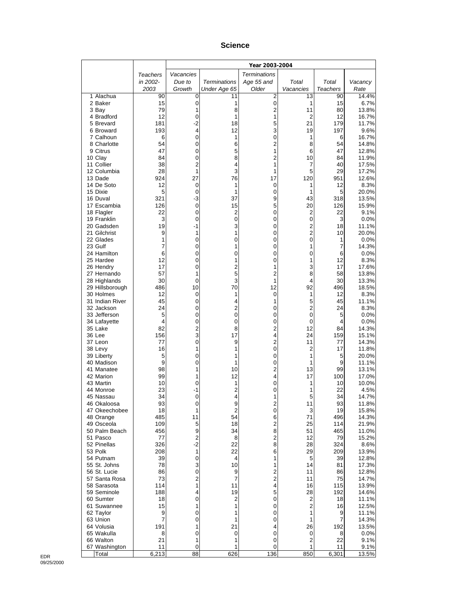#### **Science**

|                                 |                     |                   |                      | Year 2003-2004      |                               |                 |                |
|---------------------------------|---------------------|-------------------|----------------------|---------------------|-------------------------------|-----------------|----------------|
|                                 | Teachers            | Vacancies         |                      | <b>Terminations</b> |                               |                 |                |
|                                 | in 2002-            | Due to            | <b>Terminations</b>  | Age 55 and          | Total                         | Total           | Vacancy        |
|                                 | 2003                | Growth            | Under Age 65         | Older               | Vacancies                     | <b>Teachers</b> | Rate           |
| 1 Alachua                       | 90                  | 0                 | 11                   | 2                   | 13                            | 90              | 14.4%          |
| 2 Baker<br>3 Bay                | 15<br>79            | 0<br>1            | 1<br>8               | 0<br>$\overline{2}$ | 1<br>11                       | 15<br>80        | 6.7%<br>13.8%  |
| 4 Bradford                      | 12                  | 0                 | 1                    | 1                   | 2                             | 12              | 16.7%          |
| 5 Brevard                       | 181                 | $-2$              | 18                   | 5                   | 21                            | 179             | 11.7%          |
| 6 Broward                       | 193                 | 4                 | 12                   | 3                   | 19                            | 197             | 9.6%           |
| 7 Calhoun                       | 6                   | 0                 | 1                    | 0                   | 1                             | 6               | 16.7%          |
| 8 Charlotte<br>9 Citrus         | 54<br>47            | 0                 | 6                    | $\overline{c}$      | 8                             | 54<br>47        | 14.8%          |
| 10 Clay                         | 84                  | 0<br>0            | 5<br>8               | 1<br>$\overline{c}$ | 6<br>10                       | 84              | 12.8%<br>11.9% |
| 11 Collier                      | 38                  | $\overline{2}$    | 4                    | 1                   | 7                             | 40              | 17.5%          |
| 12 Columbia                     | 28                  | 1                 | 3                    | 1                   | 5                             | 29              | 17.2%          |
| 13 Dade                         | 924                 | 27                | 76                   | 17                  | 120                           | 951             | 12.6%          |
| 14 De Soto                      | 12                  | 0                 | 1                    | 0                   | 1                             | 12              | 8.3%           |
| 15 Dixie<br>16 Duval            | 5<br>321            | $\mathbf 0$<br>-3 | 1<br>37              | 0<br>9              | 1<br>43                       | 5<br>318        | 20.0%<br>13.5% |
| 17 Escambia                     | 126                 | 0                 | 15                   | 5                   | 20                            | 126             | 15.9%          |
| 18 Flagler                      | 22                  | 0                 | 2                    | 0                   | $\overline{c}$                | 22              | 9.1%           |
| 19 Franklin                     | 3                   | 0                 | 0                    | 0                   | 0                             | 3               | 0.0%           |
| 20 Gadsden                      | 19                  | -1                | 3                    | 0                   | $\overline{c}$                | 18              | 11.1%          |
| 21 Gilchrist                    | 9                   | 1                 | 1                    | 0                   | $\overline{2}$<br>$\mathbf 0$ | 10              | 20.0%          |
| 22 Glades<br>23 Gulf            | 1<br>$\overline{7}$ | 0<br>0            | 0<br>1               | 0<br>0              | 1                             | 1<br>7          | 0.0%<br>14.3%  |
| 24 Hamilton                     | 6                   | 0                 | 0                    | 0                   | 0                             | 6               | 0.0%           |
| 25 Hardee                       | 12                  | 0                 | 1                    | 0                   | 1                             | 12              | 8.3%           |
| 26 Hendry                       | 17                  | 0                 | 2                    | 1                   | 3                             | 17              | 17.6%          |
| 27 Hernando                     | 57                  | 1                 | 5                    | 2                   | 8                             | 58              | 13.8%          |
| 28 Highlands<br>29 Hillsborough | 30<br>486           | 0<br>10           | 3<br>70              | 1<br>12             | 4<br>92                       | 30<br>496       | 13.3%<br>18.5% |
| 30 Holmes                       | 12                  | 0                 | 1                    | 0                   | 1                             | 12              | 8.3%           |
| 31 Indian River                 | 45                  | 0                 | 4                    | 1                   | 5                             | 45              | 11.1%          |
| 32 Jackson                      | 24                  | 0                 | 2                    | 0                   | 2                             | 24              | 8.3%           |
| 33 Jefferson                    | 5                   | 0                 | $\pmb{0}$            | 0                   | 0                             | 5               | 0.0%           |
| 34 Lafayette                    | 4<br>82             | 0                 | 0                    | 0                   | 0<br>12                       | 4               | 0.0%           |
| 35 Lake<br>36 Lee               | 156                 | 2<br>3            | 8<br>17              | 2<br>4              | 24                            | 84<br>159       | 14.3%<br>15.1% |
| 37 Leon                         | 77                  | 0                 | 9                    | $\overline{c}$      | 11                            | 77              | 14.3%          |
| 38 Levy                         | 16                  | 1                 | 1                    | 0                   | 2                             | 17              | 11.8%          |
| 39 Liberty                      | 5                   | 0                 | 1                    | 0                   | 1                             | 5               | 20.0%          |
| 40 Madison                      | 9                   | 0                 | 1                    | 0                   | 1                             | 9               | 11.1%          |
| 41 Manatee<br>42 Marion         | 98<br>99            | 1<br>1            | 10<br>12             | $\overline{c}$<br>4 | 13<br>17                      | 99<br>100       | 13.1%<br>17.0% |
| 43 Martin                       | 10                  | 0                 | 1                    | 0                   | 1                             | 10              | 10.0%          |
| 44 Monroe                       | 23                  | $-1$              | 2                    | 0                   | 1                             | 22              | 4.5%           |
| 45 Nassau                       | 34                  | 0                 | 4                    | 1                   | 5                             | 34              | 14.7%          |
| 46 Okaloosa                     | 93                  | 0                 | 9                    | $\overline{c}$      | 11                            | 93              | 11.8%          |
| 47 Okeechobee                   | 18<br>485           | 1<br>11           | $\overline{c}$<br>54 | 0<br>6              | 3<br>71                       | 19<br>496       | 15.8%<br>14.3% |
| 48 Orange<br>49 Osceola         | 109                 | 5                 | 18                   | $\overline{2}$      | 25                            | 114             | 21.9%          |
| 50 Palm Beach                   | 456                 | 9                 | 34                   | 8                   | 51                            | 465             | 11.0%          |
| 51 Pasco                        | 77                  | 2                 | 8                    | $\overline{2}$      | 12                            | 79              | 15.2%          |
| 52 Pinellas                     | 326                 | $-2$              | 22                   | 8                   | 28                            | 324             | 8.6%           |
| 53 Polk                         | 208<br>39           | 1                 | 22<br>4              | 6<br>1              | 29                            | 209             | 13.9%          |
| 54 Putnam<br>55 St. Johns       | 78                  | 0<br>3            | 10                   | 1                   | 5<br>14                       | 39<br>81        | 12.8%<br>17.3% |
| 56 St. Lucie                    | 86                  | 0                 | 9                    | 2                   | 11                            | 86              | 12.8%          |
| 57 Santa Rosa                   | 73                  | 2                 | 7                    | 2                   | 11                            | 75              | 14.7%          |
| 58 Sarasota                     | 114                 | 1                 | 11                   | 4                   | 16                            | 115             | 13.9%          |
| 59 Seminole                     | 188                 | 4                 | 19                   | 5                   | 28                            | 192             | 14.6%          |
| 60 Sumter<br>61 Suwannee        | 18<br>15            | $\pmb{0}$<br>1    | $\overline{c}$<br>1  | 0<br>0              | $\overline{c}$<br>2           | 18<br>16        | 11.1%<br>12.5% |
| 62 Taylor                       | 9                   | 0                 | 1                    | 0                   | 1                             | 9               | 11.1%          |
| 63 Union                        | $\overline{7}$      | 0                 | 1                    | 0                   | 1                             | 7               | 14.3%          |
| 64 Volusia                      | 191                 | 1                 | 21                   | 4                   | 26                            | 192             | 13.5%          |
| 65 Wakulla                      | 8                   | 0                 | 0                    | 0                   | 0                             | 8               | 0.0%           |
| 66 Walton<br>67 Washington      | 21<br>11            | 1<br>0            | 1<br>1               | 0<br>0              | $\overline{c}$<br>1           | 22<br>11        | 9.1%           |
| Total                           | 6,213               | 88                | 626                  | 136                 | 850                           | 6,301           | 9.1%<br>13.5%  |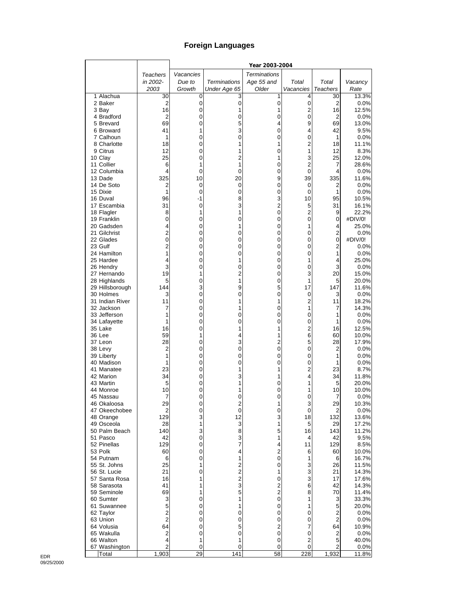# **Foreign Languages**

|                                 |                     |               |                     | Year 2003-2004      |                               |                     |                  |
|---------------------------------|---------------------|---------------|---------------------|---------------------|-------------------------------|---------------------|------------------|
|                                 | Teachers            | Vacancies     |                     | <b>Terminations</b> |                               |                     |                  |
|                                 | in 2002-            | Due to        | <b>Terminations</b> | Age 55 and          | Total                         | Total               | Vacancy          |
|                                 | 2003                | Growth        | Under Age 65        | Older               | Vacancies                     | Teachers            | Rate             |
| 1 Alachua                       | 30                  | 0             | 3                   | 1                   | 4                             | 30                  | 13.3%            |
| 2 Baker<br>3 Bay                | 2<br>16             | 0<br>0        | $\mathbf 0$<br>1    | 0<br>1              | $\pmb{0}$<br>2                | 2<br>16             | 0.0%<br>12.5%    |
| 4 Bradford                      | 2                   | 0             | 0                   | 0                   | $\mathbf 0$                   | $\overline{2}$      | 0.0%             |
| 5 Brevard                       | 69                  | 0             | 5                   | 4                   | 9                             | 69                  | 13.0%            |
| 6 Broward                       | 41                  | 1             | 3                   | 0                   | 4                             | 42                  | 9.5%             |
| 7 Calhoun                       | 1                   | 0             | 0                   | 0                   | 0                             | 1                   | 0.0%             |
| 8 Charlotte                     | 18                  | 0             | 1                   | 1                   | $\overline{2}$                | 18                  | 11.1%            |
| 9 Citrus                        | 12                  | 0             | 1                   | 0                   | 1                             | 12                  | 8.3%             |
| 10 Clay                         | 25                  | 0             | 2                   | 1                   | 3                             | 25                  | 12.0%            |
| 11 Collier<br>12 Columbia       | 6<br>4              | 1<br>0        | 1<br>0              | 0<br>0              | $\overline{2}$<br>$\mathbf 0$ | 7<br>4              | 28.6%<br>0.0%    |
| 13 Dade                         | 325                 | 10            | 20                  | 9                   | 39                            | 335                 | 11.6%            |
| 14 De Soto                      | 2                   | 0             | 0                   | 0                   | 0                             | 2                   | 0.0%             |
| 15 Dixie                        | 1                   | 0             | 0                   | 0                   | 0                             | 1                   | 0.0%             |
| 16 Duval                        | 96                  | -1            | 8                   | 3                   | 10                            | 95                  | 10.5%            |
| 17 Escambia                     | 31                  | 0             | 3                   | 2                   | 5                             | 31                  | 16.1%            |
| 18 Flagler                      | 8                   | 1             | 1                   | 0                   | $\overline{2}$                | 9                   | 22.2%            |
| 19 Franklin<br>20 Gadsden       | 0<br>4              | 0<br>0        | 0<br>1              | 0<br>0              | 0<br>1                        | 0<br>4              | #DIV/0!<br>25.0% |
| 21 Gilchrist                    | $\overline{c}$      | 0             | 0                   | 0                   | 0                             | $\mathbf 2$         | 0.0%             |
| 22 Glades                       | 0                   | 0             | 0                   | 0                   | 0                             | 0                   | #DIV/0!          |
| 23 Gulf                         | $\overline{c}$      | 0             | 0                   | 0                   | 0                             | $\overline{c}$      | 0.0%             |
| 24 Hamilton                     | 1                   | 0             | 0                   | 0                   | 0                             | 1                   | 0.0%             |
| 25 Hardee                       | 4                   | 0             | 1                   | 0                   | 1                             | 4                   | 25.0%            |
| 26 Hendry                       | 3                   | 0             | 0                   | 0                   | 0                             | 3                   | 0.0%             |
| 27 Hernando                     | 19                  | 1             | $\overline{2}$<br>1 | 0                   | 3                             | 20                  | 15.0%            |
| 28 Highlands<br>29 Hillsborough | 5<br>144            | 0<br>3        | 9                   | 0<br>5              | 1<br>17                       | 5<br>147            | 20.0%<br>11.6%   |
| 30 Holmes                       | 3                   | 0             | 0                   | 0                   | 0                             | 3                   | 0.0%             |
| 31 Indian River                 | 11                  | 0             | 1                   | 1                   | 2                             | 11                  | 18.2%            |
| 32 Jackson                      | 7                   | 0             |                     | 0                   | 1                             | 7                   | 14.3%            |
| 33 Jefferson                    | 1                   | 0             | 0                   | 0                   | $\mathbf 0$                   | 1                   | 0.0%             |
| 34 Lafayette                    | 1                   | 0             | 0                   | 0                   | $\mathbf 0$                   | 1                   | 0.0%             |
| 35 Lake                         | 16                  | 0             | 1                   | 1                   | $\overline{c}$                | 16                  | 12.5%            |
| 36 Lee<br>37 Leon               | 59<br>28            | 1<br>0        | 4<br>3              | 1<br>$\overline{2}$ | 6<br>5                        | 60<br>28            | 10.0%<br>17.9%   |
| 38 Levy                         | 2                   | 0             | 0                   | 0                   | 0                             | 2                   | 0.0%             |
| 39 Liberty                      | 1                   | 0             | 0                   | 0                   | 0                             | 1                   | 0.0%             |
| 40 Madison                      | 1                   | 0             | 0                   | 0                   | 0                             | 1                   | 0.0%             |
| 41 Manatee                      | 23                  | 0             | 1                   | 1                   | $\overline{c}$                | 23                  | 8.7%             |
| 42 Marion                       | 34                  | 0             | 3                   | 1                   | 4                             | 34                  | 11.8%            |
| 43 Martin                       | 5                   | 0             |                     | 0                   | 1                             | 5                   | 20.0%            |
| 44 Monroe<br>45 Nassau          | 10<br>7             | 0<br>$\Omega$ | 1<br>$\Omega$       | 0<br>0              | 1<br>0                        | 10<br>7             | 10.0%<br>0.0%    |
| 46 Okaloosa                     | 29                  | 0             | $\overline{c}$      | 1                   | 3                             | 29                  | 10.3%            |
| 47 Okeechobee                   | 2                   | 0             | $\mathbf 0$         | 0                   | 0                             | 2                   | 0.0%             |
| 48 Orange                       | 129                 | 3             | 12                  | 3                   | 18                            | 132                 | 13.6%            |
| 49 Osceola                      | 28                  | 1             | 3                   | 1                   | 5                             | 29                  | 17.2%            |
| 50 Palm Beach                   | 140                 | 3             | 8                   | 5                   | 16                            | 143                 | 11.2%            |
| 51 Pasco                        | 42                  | 0             | 3                   | 1                   | 4                             | 42                  | 9.5%             |
| 52 Pinellas<br>53 Polk          | 129<br>60           | 0<br>0        | 7<br>4              | 4<br>$\overline{c}$ | 11<br>6                       | 129<br>60           | 8.5%<br>10.0%    |
| 54 Putnam                       | 6                   | 0             | 1                   | 0                   | 1                             | 6                   | 16.7%            |
| 55 St. Johns                    | 25                  | 1             | $\overline{c}$      | 0                   | 3                             | 26                  | 11.5%            |
| 56 St. Lucie                    | 21                  | 0             | $\overline{c}$      | 1                   | 3                             | 21                  | 14.3%            |
| 57 Santa Rosa                   | 16                  | 1             | $\overline{c}$      | 0                   | 3                             | 17                  | 17.6%            |
| 58 Sarasota                     | 41                  | 1             | 3                   | $\overline{c}$      | 6                             | 42                  | 14.3%            |
| 59 Seminole                     | 69                  | 1             | 5                   | $\overline{2}$      | 8                             | 70                  | 11.4%            |
| 60 Sumter                       | 3                   | 0             | 1                   | 0                   | 1                             | 3                   | 33.3%            |
| 61 Suwannee                     | 5<br>$\overline{2}$ | 0             | 1<br>0              | 0<br>0              | 1<br>0                        | 5                   | 20.0%            |
| 62 Taylor<br>63 Union           | $\overline{2}$      | 0<br>0        | 0                   | 0                   | 0                             | 2<br>$\overline{2}$ | 0.0%<br>0.0%     |
| 64 Volusia                      | 64                  | 0             | 5                   | $\overline{c}$      | 7                             | 64                  | 10.9%            |
| 65 Wakulla                      | 2                   | 0             | 0                   | 0                   | 0                             | 2                   | 0.0%             |
| 66 Walton                       | 4                   | 1             | 1                   | 0                   | 2                             | 5                   | 40.0%            |
| 67 Washington                   | $\overline{c}$      | 0             | 0                   | 0                   | 0                             | 2                   | 0.0%             |
| Total                           | 1,903               | 29            | 141                 | 58                  | 228                           | 1,932               | 11.8%            |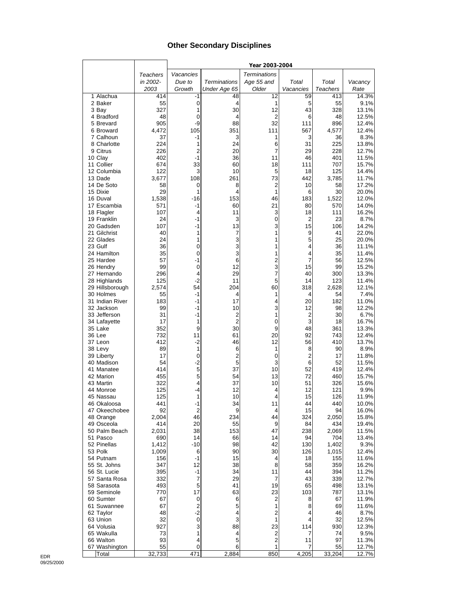### **Other Secondary Disciplines**

|                          |              |                |                     | Year 2003-2004      |                |                 |                |
|--------------------------|--------------|----------------|---------------------|---------------------|----------------|-----------------|----------------|
|                          | Teachers     | Vacancies      |                     | <b>Terminations</b> |                |                 |                |
|                          | in 2002-     | Due to         | <b>Terminations</b> | Age 55 and          | Total          | Total           | Vacancy        |
|                          | 2003         | Growth         | Under Age 65        | Older               | Vacancies      | <b>Teachers</b> | Rate           |
| 1 Alachua                | 414          | -1             | 48                  | 12                  | 59             | 413             | 14.3%          |
| 2 Baker                  | 55           | 0              | 4                   | 1                   | 5              | 55              | 9.1%           |
| 3 Bay                    | 327          | 1              | 30                  | 12                  | 43             | 328             | 13.1%          |
| 4 Bradford               | 48           | 0<br>-9        | 4                   | 2<br>32             | 6              | 48              | 12.5%          |
| 5 Brevard<br>6 Broward   | 905<br>4,472 | 105            | 88<br>351           | 111                 | 111<br>567     | 896<br>4,577    | 12.4%<br>12.4% |
| 7 Calhoun                | 37           | -1             | 3                   | 1                   | 3              | 36              | 8.3%           |
| 8 Charlotte              | 224          | 1              | 24                  | 6                   | 31             | 225             | 13.8%          |
| 9 Citrus                 | 226          | $\overline{2}$ | 20                  | 7                   | 29             | 228             | 12.7%          |
| 10 Clay                  | 402          | $-1$           | 36                  | 11                  | 46             | 401             | 11.5%          |
| 11 Collier               | 674          | 33             | 60                  | 18                  | 111            | 707             | 15.7%          |
| 12 Columbia              | 122          | 3              | 10                  | 5                   | 18             | 125             | 14.4%          |
| 13 Dade                  | 3,677        | 108            | 261                 | 73                  | 442            | 3,785           | 11.7%          |
| 14 De Soto               | 58           | 0              | 8                   | 2                   | 10             | 58              | 17.2%          |
| 15 Dixie<br>16 Duval     | 29<br>1,538  | 1<br>$-16$     | 4<br>153            | 1<br>46             | 6<br>183       | 30<br>1,522     | 20.0%<br>12.0% |
| 17 Escambia              | 571          | -1             | 60                  | 21                  | 80             | 570             | 14.0%          |
| 18 Flagler               | 107          | 4              | 11                  | 3                   | 18             | 111             | 16.2%          |
| 19 Franklin              | 24           | $-1$           | 3                   | 0                   | 2              | 23              | 8.7%           |
| 20 Gadsden               | 107          | $-1$           | 13                  | 3                   | 15             | 106             | 14.2%          |
| 21 Gilchrist             | 40           | 1              | 7                   | 1                   | 9              | 41              | 22.0%          |
| 22 Glades                | 24           | 1              | 3                   | 1                   | 5              | 25              | 20.0%          |
| 23 Gulf                  | 36           | 0              | 3                   | 1                   | 4              | 36              | 11.1%          |
| 24 Hamilton              | 35           | 0              | 3                   | 1                   | 4              | 35              | 11.4%          |
| 25 Hardee<br>26 Hendry   | 57<br>99     | $-1$<br>0      | 6<br>12             | 2<br>3              | 7<br>15        | 56<br>99        | 12.5%<br>15.2% |
| 27 Hernando              | 296          | 4              | 29                  | 7                   | 40             | 300             | 13.3%          |
| 28 Highlands             | 125          | $-2$           | 11                  | 5                   | 14             | 123             | 11.4%          |
| 29 Hillsborough          | 2,574        | 54             | 204                 | 60                  | 318            | 2,628           | 12.1%          |
| 30 Holmes                | 55           | $-1$           | 4                   | 1                   | 4              | 54              | 7.4%           |
| 31 Indian River          | 183          | -1             | 17                  | 4                   | 20             | 182             | 11.0%          |
| 32 Jackson               | 99           | $-1$           | 10                  | 3                   | 12             | 98              | 12.2%          |
| 33 Jefferson             | 31           | -1             | 2                   | 1                   | $\overline{2}$ | 30              | 6.7%           |
| 34 Lafayette             | 17           | 1              | $\overline{2}$      | 0                   | 3              | 18              | 16.7%          |
| 35 Lake<br>36 Lee        | 352<br>732   | 9<br>11        | 30<br>61            | 9<br>20             | 48<br>92       | 361<br>743      | 13.3%<br>12.4% |
| 37 Leon                  | 412          | $-2$           | 46                  | 12                  | 56             | 410             | 13.7%          |
| 38 Levy                  | 89           | $\mathbf{1}$   | 6                   | 1                   | 8              | 90              | 8.9%           |
| 39 Liberty               | 17           | 0              | 2                   | 0                   | $\overline{2}$ | 17              | 11.8%          |
| 40 Madison               | 54           | $-2$           | 5                   | 3                   | 6              | 52              | 11.5%          |
| 41 Manatee               | 414          | 5              | 37                  | 10                  | 52             | 419             | 12.4%          |
| 42 Marion                | 455          | 5              | 54                  | 13                  | 72             | 460             | 15.7%          |
| 43 Martin                | 322          | 4              | 37                  | 10                  | 51             | 326             | 15.6%          |
| 44 Monroe<br>45 Nassau   | 125<br>125   | $-4$<br>1      | 12<br>10            | 4<br>4              | 12<br>15       | 121<br>126      | 9.9%<br>11.9%  |
| 46 Okaloosa              | 441          | -1             | 34                  | 11                  | 44             | 440             | 10.0%          |
| 47 Okeechobee            | 92           | $\overline{2}$ | 9                   | 4                   | 15             | 94              | 16.0%          |
| 48 Orange                | 2,004        | 46             | 234                 | 44                  | 324            | 2,050           | 15.8%          |
| 49 Osceola               | 414          | 20             | 55                  | 9                   | 84             | 434             | 19.4%          |
| 50 Palm Beach            | 2,031        | 38             | 153                 | 47                  | 238            | 2,069           | 11.5%          |
| 51 Pasco                 | 690          | 14             | 66                  | 14                  | 94             | 704             | 13.4%          |
| 52 Pinellas              | 1,412        | $-10$          | 98                  | 42                  | 130            | 1,402           | 9.3%           |
| 53 Polk<br>54 Putnam     | 1,009<br>156 | 6<br>$-1$      | 90<br>15            | 30<br>4             | 126<br>18      | 1,015<br>155    | 12.4%<br>11.6% |
| 55 St. Johns             | 347          | 12             | 38                  | 8                   | 58             | 359             | 16.2%          |
| 56 St. Lucie             | 395          | -1             | 34                  | 11                  | 44             | 394             | 11.2%          |
| 57 Santa Rosa            | 332          | 7              | 29                  | $\overline{7}$      | 43             | 339             | 12.7%          |
| 58 Sarasota              | 493          | 5              | 41                  | 19                  | 65             | 498             | 13.1%          |
| 59 Seminole              | 770          | 17             | 63                  | 23                  | 103            | 787             | 13.1%          |
| 60 Sumter                | 67           | 0              | 6                   | 2                   | 8              | 67              | 11.9%          |
| 61 Suwannee              | 67           | $\overline{c}$ | 5                   | 1                   | 8              | 69              | 11.6%          |
| 62 Taylor                | 48           | $-2$           | 4                   | $\overline{2}$      | 4              | 46              | 8.7%           |
| 63 Union                 | 32           | 0              | 3                   | 1                   | 4              | 32              | 12.5%          |
| 64 Volusia<br>65 Wakulla | 927<br>73    | 3<br>1         | 88<br>4             | 23<br>2             | 114<br>7       | 930<br>74       | 12.3%<br>9.5%  |
| 66 Walton                | 93           | 4              | 5                   | 2                   | 11             | 97              | 11.3%          |
| 67 Washington            | 55           | 0              | 6                   | 1                   | 7              | 55              | 12.7%          |
| Total                    | 32,733       | 471            | 2,884               | 850                 | 4,205          | 33,204          | 12.7%          |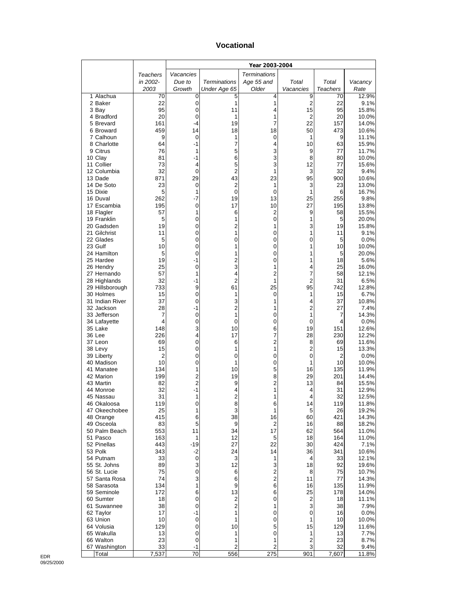#### **Vocational**

|                              |            |                |                               | Year 2003-2004      |                      |                |                |
|------------------------------|------------|----------------|-------------------------------|---------------------|----------------------|----------------|----------------|
|                              | Teachers   | Vacancies      |                               | <b>Terminations</b> |                      |                |                |
|                              | in 2002-   | Due to         | <b>Terminations</b>           | Age 55 and          | Total                | Total          | Vacancy        |
|                              | 2003       | Growth         | Under Age 65                  | Older               | Vacancies            | Teachers       | Rate           |
| 1 Alachua<br>2 Baker         | 70<br>22   | 0<br>0         | 5<br>1                        | 4<br>1              | 9<br>2               | 70<br>22       | 12.9%<br>9.1%  |
| 3 Bay                        | 95         | 0              | 11                            | 4                   | 15                   | 95             | 15.8%          |
| 4 Bradford                   | 20         | 0              | 1                             | 1                   | 2                    | 20             | 10.0%          |
| 5 Brevard                    | 161        | -4             | 19                            | 7                   | 22                   | 157            | 14.0%          |
| 6 Broward                    | 459        | 14             | 18                            | 18                  | 50                   | 473            | 10.6%          |
| 7 Calhoun<br>8 Charlotte     | 9<br>64    | 0<br>-1        | 1<br>7                        | 0<br>4              | 1<br>10              | 9<br>63        | 11.1%<br>15.9% |
| 9 Citrus                     | 76         | 1              | 5                             | 3                   | 9                    | 77             | 11.7%          |
| 10 Clay                      | 81         | -1             | 6                             | 3                   | 8                    | 80             | 10.0%          |
| 11 Collier                   | 73         | 4              | 5                             | 3                   | 12                   | 77             | 15.6%          |
| 12 Columbia                  | 32         | 0              | $\overline{2}$                | 1                   | 3                    | 32             | 9.4%           |
| 13 Dade                      | 871        | 29             | 43                            | 23                  | 95                   | 900            | 10.6%          |
| 14 De Soto<br>15 Dixie       | 23<br>5    | 0<br>1         | $\overline{c}$<br>$\mathbf 0$ | 1<br>$\mathbf 0$    | 3<br>1               | 23<br>6        | 13.0%<br>16.7% |
| 16 Duval                     | 262        | -7             | 19                            | 13                  | 25                   | 255            | 9.8%           |
| 17 Escambia                  | 195        | 0              | 17                            | 10                  | 27                   | 195            | 13.8%          |
| 18 Flagler                   | 57         | 1              | 6                             | $\boldsymbol{2}$    | 9                    | 58             | 15.5%          |
| 19 Franklin                  | 5          | 0              | 1                             | 0                   | 1                    | 5              | 20.0%          |
| 20 Gadsden<br>21 Gilchrist   | 19<br>11   | 0<br>0         | 2<br>1                        | 1<br>0              | 3<br>1               | 19<br>11       | 15.8%<br>9.1%  |
| 22 Glades                    | 5          | 0              | 0                             | 0                   | 0                    | 5              | 0.0%           |
| 23 Gulf                      | 10         | 0              | 1                             | 0                   | 1                    | 10             | 10.0%          |
| 24 Hamilton                  | 5          | 0              | 1                             | 0                   | 1                    | 5              | 20.0%          |
| 25 Hardee                    | 19         | -1             | $\overline{c}$                | 0                   | 1                    | 18             | 5.6%           |
| 26 Hendry                    | 25         | 0              | 3                             | 1                   | 4                    | 25             | 16.0%          |
| 27 Hernando<br>28 Highlands  | 57<br>32   | 1<br>-1        | 4<br>2                        | $\overline{c}$<br>1 | 7<br>2               | 58<br>31       | 12.1%<br>6.5%  |
| 29 Hillsborough              | 733        | 9              | 61                            | 25                  | 95                   | 742            | 12.8%          |
| 30 Holmes                    | 15         | 0              | 1                             | 0                   | 1                    | 15             | 6.7%           |
| 31 Indian River              | 37         | 0              | 3                             | 1                   | 4                    | 37             | 10.8%          |
| 32 Jackson                   | 28         | $-1$           | $\overline{c}$                | 1                   | 2                    | 27             | 7.4%           |
| 33 Jefferson                 | 7<br>4     | 0              | 1                             | 0                   | 1                    | 7<br>4         | 14.3%          |
| 34 Lafayette<br>35 Lake      | 148        | 0<br>3         | 0<br>10                       | 0<br>6              | 0<br>19              | 151            | 0.0%<br>12.6%  |
| 36 Lee                       | 226        | 4              | 17                            | 7                   | 28                   | 230            | 12.2%          |
| 37 Leon                      | 69         | 0              | 6                             | $\overline{c}$      | 8                    | 69             | 11.6%          |
| 38 Levy                      | 15         | 0              | 1                             | 1                   | 2                    | 15             | 13.3%          |
| 39 Liberty                   | 2          | 0              | 0                             | 0                   | 0                    | $\overline{2}$ | 0.0%           |
| 40 Madison<br>41 Manatee     | 10<br>134  | 0<br>1         | 1<br>10                       | 0<br>5              | 1<br>16              | 10<br>135      | 10.0%<br>11.9% |
| 42 Marion                    | 199        | 2              | 19                            | 8                   | 29                   | 201            | 14.4%          |
| 43 Martin                    | 82         | 2              | 9                             | $\overline{c}$      | 13                   | 84             | 15.5%          |
| 44 Monroe                    | 32         | $-1$           | 4                             | 1                   | 4                    | 31             | 12.9%          |
| 45 Nassau                    | 31         | 1              | 2                             | 1                   | 4                    | 32             | 12.5%          |
| 46 Okaloosa<br>47 Okeechobee | 119<br>25  | 0<br>1         | 8<br>3                        | 6<br>1              | 14<br>5              | 119<br>26      | 11.8%<br>19.2% |
| 48 Orange                    | 415        | 6              | 38                            | 16                  | 60                   | 421            | 14.3%          |
| 49 Osceola                   | 83         | 5              | 9                             | $\overline{2}$      | 16                   | 88             | 18.2%          |
| 50 Palm Beach                | 553        | 11             | 34                            | 17                  | 62                   | 564            | 11.0%          |
| 51 Pasco                     | 163        | 1              | 12                            | 5                   | 18                   | 164            | 11.0%          |
| 52 Pinellas<br>53 Polk       | 443<br>343 | -19            | 27                            | 22                  | 30<br>36             | 424<br>341     | 7.1%           |
| 54 Putnam                    | 33         | -2<br>0        | 24<br>3                       | 14<br>1             | 4                    | 33             | 10.6%<br>12.1% |
| 55 St. Johns                 | 89         | 3              | 12                            | 3                   | 18                   | 92             | 19.6%          |
| 56 St. Lucie                 | 75         | 0              | 6                             | $\boldsymbol{2}$    | 8                    | 75             | 10.7%          |
| 57 Santa Rosa                | 74         | 3              | 6                             | 2                   | 11                   | 77             | 14.3%          |
| 58 Sarasota                  | 134        | 1              | 9                             | 6                   | 16                   | 135            | 11.9%          |
| 59 Seminole<br>60 Sumter     | 172<br>18  | 6<br>$\pmb{0}$ | 13<br>2                       | 6<br>0              | 25<br>$\overline{c}$ | 178<br>18      | 14.0%<br>11.1% |
| 61 Suwannee                  | 38         | 0              | $\overline{c}$                | 1                   | 3                    | 38             | 7.9%           |
| 62 Taylor                    | 17         | -1             | 1                             | 0                   | 0                    | 16             | 0.0%           |
| 63 Union                     | 10         | 0              | 1                             | 0                   | 1                    | 10             | 10.0%          |
| 64 Volusia                   | 129        | 0              | 10                            | 5                   | 15                   | 129            | 11.6%          |
| 65 Wakulla<br>66 Walton      | 13<br>23   | 0<br>0         | 1<br>1                        | 0<br>1              | 1<br>2               | 13<br>23       | 7.7%<br>8.7%   |
| 67 Washington                | 33         | -1             | $\overline{c}$                | $\overline{c}$      | 3                    | 32             | 9.4%           |
| Total                        | 7,537      | 70             | 556                           | 275                 | 901                  | 7,607          | 11.8%          |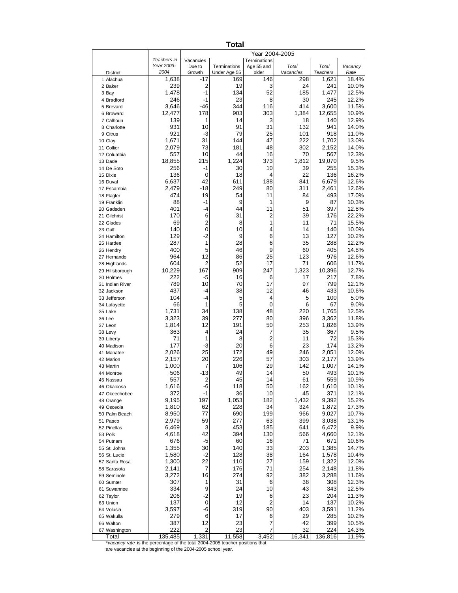| Teachers in<br>Vacancies<br>Terminations<br>Year 2003-<br>Age 55 and<br>Due to<br>Terminations<br>Total<br>Total<br>Vacancy<br>2004<br>Growth<br>Under Age 55<br><b>District</b><br>older<br>Vacancies<br><b>Teachers</b><br>Rate<br>-17<br>298<br>1,621<br>1 Alachua<br>1,638<br>169<br>146<br>$\overline{2}$<br>239<br>19<br>3<br>24<br>241<br>2 Baker<br>$-1$<br>134<br>52<br>185<br>1,478<br>1,477<br>3 Bay<br>23<br>246<br>$-1$<br>8<br>30<br>245<br>4 Bradford<br>344<br>116<br>414<br>3,600<br>3,646<br>-46<br>5 Brevard<br>903<br>12,477<br>178<br>303<br>1,384<br>12,655<br>6 Broward<br>14<br>139<br>1<br>3<br>18<br>140<br>7 Calhoun<br>931<br>10<br>91<br>31<br>132<br>941<br>8 Charlotte<br>921<br>$-3$<br>79<br>918<br>25<br>101<br>9 Citrus<br>222<br>1,671<br>31<br>144<br>47<br>1,702<br>10 Clay<br>73<br>181<br>2,079<br>48<br>302<br>2,152<br>11 Collier<br>557<br>10<br>44<br>16<br>70<br>567<br>12 Columbia<br>18,855<br>215<br>1,224<br>373<br>1,812<br>19,070<br>13 Dade<br>256<br>-1<br>30<br>10<br>39<br>255<br>14 De Soto<br>136<br>18<br>22<br>136<br>0<br>4<br>15 Dixie<br>42<br>188<br>6,637<br>611<br>841<br>6,679<br>16 Duval<br>311<br>2,479<br>-18<br>249<br>80<br>2,461<br>17 Escambia<br>474<br>19<br>54<br>493<br>17.0%<br>11<br>84<br>18 Flagler<br>9<br>88<br>-1<br>1<br>9<br>87<br>10.3%<br>19 Franklin<br>401<br>44<br>397<br>12.8%<br>-4<br>11<br>51<br>20 Gadsden<br>6<br>31<br>$\overline{c}$<br>22.2%<br>170<br>39<br>176<br>21 Gilchrist<br>$\overline{\mathbf{c}}$<br>69<br>15.5%<br>8<br>1<br>11<br>71<br>22 Glades<br>$\pmb{0}$<br>140<br>10<br>14<br>140<br>23 Gulf<br>4<br>$-2$<br>129<br>9<br>127<br>6<br>13<br>24 Hamilton<br>1<br>28<br>287<br>6<br>35<br>288<br>25 Hardee<br>5<br>9<br>400<br>46<br>60<br>405<br>26 Hendry<br>12<br>964<br>86<br>25<br>123<br>976<br>27 Hernando<br>2<br>52<br>604<br>17<br>71<br>606<br>28 Highlands<br>167<br>909<br>10,229<br>247<br>1,323<br>10,396<br>12.7%<br>29 Hillsborough<br>222<br>$-5$<br>16<br>217<br>17<br>6<br>30 Holmes<br>10<br>97<br>799<br>12.1%<br>789<br>70<br>17<br>31 Indian River<br>437<br>12<br>46 | 18.4%<br>10.0%<br>12.5%<br>12.2%<br>11.5%<br>10.9%<br>12.9%<br>14.0%<br>11.0%<br>13.0%<br>14.0%<br>12.3%<br>9.5%<br>15.3%<br>16.2% |
|--------------------------------------------------------------------------------------------------------------------------------------------------------------------------------------------------------------------------------------------------------------------------------------------------------------------------------------------------------------------------------------------------------------------------------------------------------------------------------------------------------------------------------------------------------------------------------------------------------------------------------------------------------------------------------------------------------------------------------------------------------------------------------------------------------------------------------------------------------------------------------------------------------------------------------------------------------------------------------------------------------------------------------------------------------------------------------------------------------------------------------------------------------------------------------------------------------------------------------------------------------------------------------------------------------------------------------------------------------------------------------------------------------------------------------------------------------------------------------------------------------------------------------------------------------------------------------------------------------------------------------------------------------------------------------------------------------------------------------------------------------------------------------------------------------------------------------------------------------------------------------------------------------------------------------------------------------------------------------------------------------------------------------------------------------------------------------------------------------------------|------------------------------------------------------------------------------------------------------------------------------------|
|                                                                                                                                                                                                                                                                                                                                                                                                                                                                                                                                                                                                                                                                                                                                                                                                                                                                                                                                                                                                                                                                                                                                                                                                                                                                                                                                                                                                                                                                                                                                                                                                                                                                                                                                                                                                                                                                                                                                                                                                                                                                                                                    |                                                                                                                                    |
|                                                                                                                                                                                                                                                                                                                                                                                                                                                                                                                                                                                                                                                                                                                                                                                                                                                                                                                                                                                                                                                                                                                                                                                                                                                                                                                                                                                                                                                                                                                                                                                                                                                                                                                                                                                                                                                                                                                                                                                                                                                                                                                    |                                                                                                                                    |
|                                                                                                                                                                                                                                                                                                                                                                                                                                                                                                                                                                                                                                                                                                                                                                                                                                                                                                                                                                                                                                                                                                                                                                                                                                                                                                                                                                                                                                                                                                                                                                                                                                                                                                                                                                                                                                                                                                                                                                                                                                                                                                                    |                                                                                                                                    |
|                                                                                                                                                                                                                                                                                                                                                                                                                                                                                                                                                                                                                                                                                                                                                                                                                                                                                                                                                                                                                                                                                                                                                                                                                                                                                                                                                                                                                                                                                                                                                                                                                                                                                                                                                                                                                                                                                                                                                                                                                                                                                                                    |                                                                                                                                    |
|                                                                                                                                                                                                                                                                                                                                                                                                                                                                                                                                                                                                                                                                                                                                                                                                                                                                                                                                                                                                                                                                                                                                                                                                                                                                                                                                                                                                                                                                                                                                                                                                                                                                                                                                                                                                                                                                                                                                                                                                                                                                                                                    |                                                                                                                                    |
|                                                                                                                                                                                                                                                                                                                                                                                                                                                                                                                                                                                                                                                                                                                                                                                                                                                                                                                                                                                                                                                                                                                                                                                                                                                                                                                                                                                                                                                                                                                                                                                                                                                                                                                                                                                                                                                                                                                                                                                                                                                                                                                    |                                                                                                                                    |
|                                                                                                                                                                                                                                                                                                                                                                                                                                                                                                                                                                                                                                                                                                                                                                                                                                                                                                                                                                                                                                                                                                                                                                                                                                                                                                                                                                                                                                                                                                                                                                                                                                                                                                                                                                                                                                                                                                                                                                                                                                                                                                                    |                                                                                                                                    |
|                                                                                                                                                                                                                                                                                                                                                                                                                                                                                                                                                                                                                                                                                                                                                                                                                                                                                                                                                                                                                                                                                                                                                                                                                                                                                                                                                                                                                                                                                                                                                                                                                                                                                                                                                                                                                                                                                                                                                                                                                                                                                                                    |                                                                                                                                    |
|                                                                                                                                                                                                                                                                                                                                                                                                                                                                                                                                                                                                                                                                                                                                                                                                                                                                                                                                                                                                                                                                                                                                                                                                                                                                                                                                                                                                                                                                                                                                                                                                                                                                                                                                                                                                                                                                                                                                                                                                                                                                                                                    |                                                                                                                                    |
|                                                                                                                                                                                                                                                                                                                                                                                                                                                                                                                                                                                                                                                                                                                                                                                                                                                                                                                                                                                                                                                                                                                                                                                                                                                                                                                                                                                                                                                                                                                                                                                                                                                                                                                                                                                                                                                                                                                                                                                                                                                                                                                    |                                                                                                                                    |
|                                                                                                                                                                                                                                                                                                                                                                                                                                                                                                                                                                                                                                                                                                                                                                                                                                                                                                                                                                                                                                                                                                                                                                                                                                                                                                                                                                                                                                                                                                                                                                                                                                                                                                                                                                                                                                                                                                                                                                                                                                                                                                                    |                                                                                                                                    |
|                                                                                                                                                                                                                                                                                                                                                                                                                                                                                                                                                                                                                                                                                                                                                                                                                                                                                                                                                                                                                                                                                                                                                                                                                                                                                                                                                                                                                                                                                                                                                                                                                                                                                                                                                                                                                                                                                                                                                                                                                                                                                                                    |                                                                                                                                    |
|                                                                                                                                                                                                                                                                                                                                                                                                                                                                                                                                                                                                                                                                                                                                                                                                                                                                                                                                                                                                                                                                                                                                                                                                                                                                                                                                                                                                                                                                                                                                                                                                                                                                                                                                                                                                                                                                                                                                                                                                                                                                                                                    |                                                                                                                                    |
|                                                                                                                                                                                                                                                                                                                                                                                                                                                                                                                                                                                                                                                                                                                                                                                                                                                                                                                                                                                                                                                                                                                                                                                                                                                                                                                                                                                                                                                                                                                                                                                                                                                                                                                                                                                                                                                                                                                                                                                                                                                                                                                    |                                                                                                                                    |
|                                                                                                                                                                                                                                                                                                                                                                                                                                                                                                                                                                                                                                                                                                                                                                                                                                                                                                                                                                                                                                                                                                                                                                                                                                                                                                                                                                                                                                                                                                                                                                                                                                                                                                                                                                                                                                                                                                                                                                                                                                                                                                                    |                                                                                                                                    |
|                                                                                                                                                                                                                                                                                                                                                                                                                                                                                                                                                                                                                                                                                                                                                                                                                                                                                                                                                                                                                                                                                                                                                                                                                                                                                                                                                                                                                                                                                                                                                                                                                                                                                                                                                                                                                                                                                                                                                                                                                                                                                                                    |                                                                                                                                    |
|                                                                                                                                                                                                                                                                                                                                                                                                                                                                                                                                                                                                                                                                                                                                                                                                                                                                                                                                                                                                                                                                                                                                                                                                                                                                                                                                                                                                                                                                                                                                                                                                                                                                                                                                                                                                                                                                                                                                                                                                                                                                                                                    | 12.6%                                                                                                                              |
|                                                                                                                                                                                                                                                                                                                                                                                                                                                                                                                                                                                                                                                                                                                                                                                                                                                                                                                                                                                                                                                                                                                                                                                                                                                                                                                                                                                                                                                                                                                                                                                                                                                                                                                                                                                                                                                                                                                                                                                                                                                                                                                    | 12.6%                                                                                                                              |
|                                                                                                                                                                                                                                                                                                                                                                                                                                                                                                                                                                                                                                                                                                                                                                                                                                                                                                                                                                                                                                                                                                                                                                                                                                                                                                                                                                                                                                                                                                                                                                                                                                                                                                                                                                                                                                                                                                                                                                                                                                                                                                                    |                                                                                                                                    |
|                                                                                                                                                                                                                                                                                                                                                                                                                                                                                                                                                                                                                                                                                                                                                                                                                                                                                                                                                                                                                                                                                                                                                                                                                                                                                                                                                                                                                                                                                                                                                                                                                                                                                                                                                                                                                                                                                                                                                                                                                                                                                                                    |                                                                                                                                    |
|                                                                                                                                                                                                                                                                                                                                                                                                                                                                                                                                                                                                                                                                                                                                                                                                                                                                                                                                                                                                                                                                                                                                                                                                                                                                                                                                                                                                                                                                                                                                                                                                                                                                                                                                                                                                                                                                                                                                                                                                                                                                                                                    |                                                                                                                                    |
|                                                                                                                                                                                                                                                                                                                                                                                                                                                                                                                                                                                                                                                                                                                                                                                                                                                                                                                                                                                                                                                                                                                                                                                                                                                                                                                                                                                                                                                                                                                                                                                                                                                                                                                                                                                                                                                                                                                                                                                                                                                                                                                    |                                                                                                                                    |
|                                                                                                                                                                                                                                                                                                                                                                                                                                                                                                                                                                                                                                                                                                                                                                                                                                                                                                                                                                                                                                                                                                                                                                                                                                                                                                                                                                                                                                                                                                                                                                                                                                                                                                                                                                                                                                                                                                                                                                                                                                                                                                                    | 10.0%                                                                                                                              |
|                                                                                                                                                                                                                                                                                                                                                                                                                                                                                                                                                                                                                                                                                                                                                                                                                                                                                                                                                                                                                                                                                                                                                                                                                                                                                                                                                                                                                                                                                                                                                                                                                                                                                                                                                                                                                                                                                                                                                                                                                                                                                                                    | 10.2%                                                                                                                              |
|                                                                                                                                                                                                                                                                                                                                                                                                                                                                                                                                                                                                                                                                                                                                                                                                                                                                                                                                                                                                                                                                                                                                                                                                                                                                                                                                                                                                                                                                                                                                                                                                                                                                                                                                                                                                                                                                                                                                                                                                                                                                                                                    | 12.2%                                                                                                                              |
|                                                                                                                                                                                                                                                                                                                                                                                                                                                                                                                                                                                                                                                                                                                                                                                                                                                                                                                                                                                                                                                                                                                                                                                                                                                                                                                                                                                                                                                                                                                                                                                                                                                                                                                                                                                                                                                                                                                                                                                                                                                                                                                    | 14.8%                                                                                                                              |
|                                                                                                                                                                                                                                                                                                                                                                                                                                                                                                                                                                                                                                                                                                                                                                                                                                                                                                                                                                                                                                                                                                                                                                                                                                                                                                                                                                                                                                                                                                                                                                                                                                                                                                                                                                                                                                                                                                                                                                                                                                                                                                                    | 12.6%                                                                                                                              |
|                                                                                                                                                                                                                                                                                                                                                                                                                                                                                                                                                                                                                                                                                                                                                                                                                                                                                                                                                                                                                                                                                                                                                                                                                                                                                                                                                                                                                                                                                                                                                                                                                                                                                                                                                                                                                                                                                                                                                                                                                                                                                                                    | 11.7%                                                                                                                              |
|                                                                                                                                                                                                                                                                                                                                                                                                                                                                                                                                                                                                                                                                                                                                                                                                                                                                                                                                                                                                                                                                                                                                                                                                                                                                                                                                                                                                                                                                                                                                                                                                                                                                                                                                                                                                                                                                                                                                                                                                                                                                                                                    |                                                                                                                                    |
|                                                                                                                                                                                                                                                                                                                                                                                                                                                                                                                                                                                                                                                                                                                                                                                                                                                                                                                                                                                                                                                                                                                                                                                                                                                                                                                                                                                                                                                                                                                                                                                                                                                                                                                                                                                                                                                                                                                                                                                                                                                                                                                    | 7.8%                                                                                                                               |
| -4<br>38<br>433<br>32 Jackson                                                                                                                                                                                                                                                                                                                                                                                                                                                                                                                                                                                                                                                                                                                                                                                                                                                                                                                                                                                                                                                                                                                                                                                                                                                                                                                                                                                                                                                                                                                                                                                                                                                                                                                                                                                                                                                                                                                                                                                                                                                                                      | 10.6%                                                                                                                              |
| 104<br>5<br>100<br>-4<br>5<br>4<br>33 Jefferson                                                                                                                                                                                                                                                                                                                                                                                                                                                                                                                                                                                                                                                                                                                                                                                                                                                                                                                                                                                                                                                                                                                                                                                                                                                                                                                                                                                                                                                                                                                                                                                                                                                                                                                                                                                                                                                                                                                                                                                                                                                                    | 5.0%                                                                                                                               |
| 5<br>66<br>6<br>67<br>1<br>0<br>34 Lafayette                                                                                                                                                                                                                                                                                                                                                                                                                                                                                                                                                                                                                                                                                                                                                                                                                                                                                                                                                                                                                                                                                                                                                                                                                                                                                                                                                                                                                                                                                                                                                                                                                                                                                                                                                                                                                                                                                                                                                                                                                                                                       | 9.0%                                                                                                                               |
| 138<br>1,731<br>34<br>48<br>220<br>1,765<br>35 Lake                                                                                                                                                                                                                                                                                                                                                                                                                                                                                                                                                                                                                                                                                                                                                                                                                                                                                                                                                                                                                                                                                                                                                                                                                                                                                                                                                                                                                                                                                                                                                                                                                                                                                                                                                                                                                                                                                                                                                                                                                                                                | 12.5%                                                                                                                              |
| 3,323<br>39<br>277<br>396<br>3,362<br>80<br>36 Lee                                                                                                                                                                                                                                                                                                                                                                                                                                                                                                                                                                                                                                                                                                                                                                                                                                                                                                                                                                                                                                                                                                                                                                                                                                                                                                                                                                                                                                                                                                                                                                                                                                                                                                                                                                                                                                                                                                                                                                                                                                                                 | 11.8%                                                                                                                              |
| 191<br>1,814<br>12<br>50<br>253<br>1,826<br>37 Leon                                                                                                                                                                                                                                                                                                                                                                                                                                                                                                                                                                                                                                                                                                                                                                                                                                                                                                                                                                                                                                                                                                                                                                                                                                                                                                                                                                                                                                                                                                                                                                                                                                                                                                                                                                                                                                                                                                                                                                                                                                                                | 13.9%                                                                                                                              |
| 363<br>4<br>24<br>35<br>367<br>7<br>38 Levy                                                                                                                                                                                                                                                                                                                                                                                                                                                                                                                                                                                                                                                                                                                                                                                                                                                                                                                                                                                                                                                                                                                                                                                                                                                                                                                                                                                                                                                                                                                                                                                                                                                                                                                                                                                                                                                                                                                                                                                                                                                                        | 9.5%                                                                                                                               |
| 2<br>71<br>1<br>8<br>11<br>72<br>39 Liberty<br>177<br>$-3$<br>20<br>23<br>174                                                                                                                                                                                                                                                                                                                                                                                                                                                                                                                                                                                                                                                                                                                                                                                                                                                                                                                                                                                                                                                                                                                                                                                                                                                                                                                                                                                                                                                                                                                                                                                                                                                                                                                                                                                                                                                                                                                                                                                                                                      | 15.3%<br>13.2%                                                                                                                     |
| 6<br>40 Madison<br>25<br>172<br>2,026<br>49<br>246<br>2,051<br>41 Manatee                                                                                                                                                                                                                                                                                                                                                                                                                                                                                                                                                                                                                                                                                                                                                                                                                                                                                                                                                                                                                                                                                                                                                                                                                                                                                                                                                                                                                                                                                                                                                                                                                                                                                                                                                                                                                                                                                                                                                                                                                                          | 12.0%                                                                                                                              |
| 226<br>2,157<br>20<br>57<br>303<br>2,177<br>42 Marion                                                                                                                                                                                                                                                                                                                                                                                                                                                                                                                                                                                                                                                                                                                                                                                                                                                                                                                                                                                                                                                                                                                                                                                                                                                                                                                                                                                                                                                                                                                                                                                                                                                                                                                                                                                                                                                                                                                                                                                                                                                              | 13.9%                                                                                                                              |
| 106<br>1,000<br>7<br>29<br>142<br>1,007<br>43 Martin                                                                                                                                                                                                                                                                                                                                                                                                                                                                                                                                                                                                                                                                                                                                                                                                                                                                                                                                                                                                                                                                                                                                                                                                                                                                                                                                                                                                                                                                                                                                                                                                                                                                                                                                                                                                                                                                                                                                                                                                                                                               | 14.1%                                                                                                                              |
| $-13$<br>49<br>493<br>14<br>50<br>506<br>44 Monroe                                                                                                                                                                                                                                                                                                                                                                                                                                                                                                                                                                                                                                                                                                                                                                                                                                                                                                                                                                                                                                                                                                                                                                                                                                                                                                                                                                                                                                                                                                                                                                                                                                                                                                                                                                                                                                                                                                                                                                                                                                                                 | 10.1%                                                                                                                              |
| 557<br>$\overline{\mathbf{c}}$<br>45<br>559<br>14<br>61<br>45 Nassau                                                                                                                                                                                                                                                                                                                                                                                                                                                                                                                                                                                                                                                                                                                                                                                                                                                                                                                                                                                                                                                                                                                                                                                                                                                                                                                                                                                                                                                                                                                                                                                                                                                                                                                                                                                                                                                                                                                                                                                                                                               | 10.9%                                                                                                                              |
| 46 Okaloosa<br>1,616<br>-6<br>118<br>50<br>162<br>1,610                                                                                                                                                                                                                                                                                                                                                                                                                                                                                                                                                                                                                                                                                                                                                                                                                                                                                                                                                                                                                                                                                                                                                                                                                                                                                                                                                                                                                                                                                                                                                                                                                                                                                                                                                                                                                                                                                                                                                                                                                                                            | 10.1%                                                                                                                              |
| 372<br>$-1$<br>36<br>10<br>45<br>371<br>47 Okeechobee                                                                                                                                                                                                                                                                                                                                                                                                                                                                                                                                                                                                                                                                                                                                                                                                                                                                                                                                                                                                                                                                                                                                                                                                                                                                                                                                                                                                                                                                                                                                                                                                                                                                                                                                                                                                                                                                                                                                                                                                                                                              | 12.1%                                                                                                                              |
| 1,432<br>9,195<br>197<br>1,053<br>182<br>9,392<br>48 Orange                                                                                                                                                                                                                                                                                                                                                                                                                                                                                                                                                                                                                                                                                                                                                                                                                                                                                                                                                                                                                                                                                                                                                                                                                                                                                                                                                                                                                                                                                                                                                                                                                                                                                                                                                                                                                                                                                                                                                                                                                                                        | 15.2%                                                                                                                              |
| 62<br>228<br>324<br>1,810<br>34<br>1,872<br>49 Osceola<br>690<br>199<br>77<br>966<br>9,027                                                                                                                                                                                                                                                                                                                                                                                                                                                                                                                                                                                                                                                                                                                                                                                                                                                                                                                                                                                                                                                                                                                                                                                                                                                                                                                                                                                                                                                                                                                                                                                                                                                                                                                                                                                                                                                                                                                                                                                                                         | 17.3%<br>10.7%                                                                                                                     |
| 8,950<br>50 Palm Beach<br>59<br>277<br>63<br>399<br>2,979<br>3,038<br>51 Pasco                                                                                                                                                                                                                                                                                                                                                                                                                                                                                                                                                                                                                                                                                                                                                                                                                                                                                                                                                                                                                                                                                                                                                                                                                                                                                                                                                                                                                                                                                                                                                                                                                                                                                                                                                                                                                                                                                                                                                                                                                                     | 13.1%                                                                                                                              |
| 3<br>453<br>185<br>6,469<br>641<br>6,472<br>52 Pinellas                                                                                                                                                                                                                                                                                                                                                                                                                                                                                                                                                                                                                                                                                                                                                                                                                                                                                                                                                                                                                                                                                                                                                                                                                                                                                                                                                                                                                                                                                                                                                                                                                                                                                                                                                                                                                                                                                                                                                                                                                                                            | 9.9%                                                                                                                               |
| 42<br>394<br>130<br>566<br>4,618<br>4,660<br>53 Polk                                                                                                                                                                                                                                                                                                                                                                                                                                                                                                                                                                                                                                                                                                                                                                                                                                                                                                                                                                                                                                                                                                                                                                                                                                                                                                                                                                                                                                                                                                                                                                                                                                                                                                                                                                                                                                                                                                                                                                                                                                                               | 12.1%                                                                                                                              |
| $-5$<br>71<br>676<br>60<br>16<br>671<br>54 Putnam                                                                                                                                                                                                                                                                                                                                                                                                                                                                                                                                                                                                                                                                                                                                                                                                                                                                                                                                                                                                                                                                                                                                                                                                                                                                                                                                                                                                                                                                                                                                                                                                                                                                                                                                                                                                                                                                                                                                                                                                                                                                  | 10.6%                                                                                                                              |
| 140<br>33<br>1,355<br>30<br>203<br>1,385<br>55 St. Johns                                                                                                                                                                                                                                                                                                                                                                                                                                                                                                                                                                                                                                                                                                                                                                                                                                                                                                                                                                                                                                                                                                                                                                                                                                                                                                                                                                                                                                                                                                                                                                                                                                                                                                                                                                                                                                                                                                                                                                                                                                                           | 14.7%                                                                                                                              |
| $-2$<br>128<br>38<br>1,580<br>164<br>1,578<br>56 St. Lucie                                                                                                                                                                                                                                                                                                                                                                                                                                                                                                                                                                                                                                                                                                                                                                                                                                                                                                                                                                                                                                                                                                                                                                                                                                                                                                                                                                                                                                                                                                                                                                                                                                                                                                                                                                                                                                                                                                                                                                                                                                                         | 10.4%                                                                                                                              |
| 22<br>110<br>27<br>159<br>1,322<br>1,300<br>57 Santa Rosa                                                                                                                                                                                                                                                                                                                                                                                                                                                                                                                                                                                                                                                                                                                                                                                                                                                                                                                                                                                                                                                                                                                                                                                                                                                                                                                                                                                                                                                                                                                                                                                                                                                                                                                                                                                                                                                                                                                                                                                                                                                          | 12.0%                                                                                                                              |
| 7<br>2,141<br>176<br>71<br>254<br>2,148<br>58 Sarasota                                                                                                                                                                                                                                                                                                                                                                                                                                                                                                                                                                                                                                                                                                                                                                                                                                                                                                                                                                                                                                                                                                                                                                                                                                                                                                                                                                                                                                                                                                                                                                                                                                                                                                                                                                                                                                                                                                                                                                                                                                                             | 11.8%                                                                                                                              |
| 16<br>274<br>92<br>382<br>3,272<br>3,288<br>59 Seminole<br>31                                                                                                                                                                                                                                                                                                                                                                                                                                                                                                                                                                                                                                                                                                                                                                                                                                                                                                                                                                                                                                                                                                                                                                                                                                                                                                                                                                                                                                                                                                                                                                                                                                                                                                                                                                                                                                                                                                                                                                                                                                                      | 11.6%                                                                                                                              |
| 307<br>1<br>6<br>38<br>308<br>60 Sumter<br>9<br>334<br>24<br>43<br>10<br>343<br>61 Suwannee                                                                                                                                                                                                                                                                                                                                                                                                                                                                                                                                                                                                                                                                                                                                                                                                                                                                                                                                                                                                                                                                                                                                                                                                                                                                                                                                                                                                                                                                                                                                                                                                                                                                                                                                                                                                                                                                                                                                                                                                                        | 12.3%                                                                                                                              |
| $-2$<br>206<br>19<br>23<br>204<br>6<br>62 Taylor                                                                                                                                                                                                                                                                                                                                                                                                                                                                                                                                                                                                                                                                                                                                                                                                                                                                                                                                                                                                                                                                                                                                                                                                                                                                                                                                                                                                                                                                                                                                                                                                                                                                                                                                                                                                                                                                                                                                                                                                                                                                   |                                                                                                                                    |
| 2<br>137<br>0<br>12<br>137<br>14<br>63 Union                                                                                                                                                                                                                                                                                                                                                                                                                                                                                                                                                                                                                                                                                                                                                                                                                                                                                                                                                                                                                                                                                                                                                                                                                                                                                                                                                                                                                                                                                                                                                                                                                                                                                                                                                                                                                                                                                                                                                                                                                                                                       | 12.5%                                                                                                                              |
| -6<br>3,597<br>319<br>90<br>403<br>3,591<br>64 Volusia                                                                                                                                                                                                                                                                                                                                                                                                                                                                                                                                                                                                                                                                                                                                                                                                                                                                                                                                                                                                                                                                                                                                                                                                                                                                                                                                                                                                                                                                                                                                                                                                                                                                                                                                                                                                                                                                                                                                                                                                                                                             | 11.3%                                                                                                                              |
| 6<br>279<br>17<br>6<br>29<br>285<br>65 Wakulla                                                                                                                                                                                                                                                                                                                                                                                                                                                                                                                                                                                                                                                                                                                                                                                                                                                                                                                                                                                                                                                                                                                                                                                                                                                                                                                                                                                                                                                                                                                                                                                                                                                                                                                                                                                                                                                                                                                                                                                                                                                                     | 10.2%<br>11.2%                                                                                                                     |
| 12<br>387<br>23<br>7<br>42<br>399<br>66 Walton                                                                                                                                                                                                                                                                                                                                                                                                                                                                                                                                                                                                                                                                                                                                                                                                                                                                                                                                                                                                                                                                                                                                                                                                                                                                                                                                                                                                                                                                                                                                                                                                                                                                                                                                                                                                                                                                                                                                                                                                                                                                     | 10.2%                                                                                                                              |
| 222<br>$\overline{c}$<br>23<br>7<br>32<br>224<br>67 Washington                                                                                                                                                                                                                                                                                                                                                                                                                                                                                                                                                                                                                                                                                                                                                                                                                                                                                                                                                                                                                                                                                                                                                                                                                                                                                                                                                                                                                                                                                                                                                                                                                                                                                                                                                                                                                                                                                                                                                                                                                                                     | 10.5%                                                                                                                              |
| 1,331<br>135,485<br>11,558<br>3,452<br>16,341<br>136,816<br>11.9%<br>Total<br>*vacancy rate is the percentage of the total 2004-2005 teacher positions that                                                                                                                                                                                                                                                                                                                                                                                                                                                                                                                                                                                                                                                                                                                                                                                                                                                                                                                                                                                                                                                                                                                                                                                                                                                                                                                                                                                                                                                                                                                                                                                                                                                                                                                                                                                                                                                                                                                                                        | 14.3%                                                                                                                              |

are vacancies at the beginning of the 2004-2005 school year.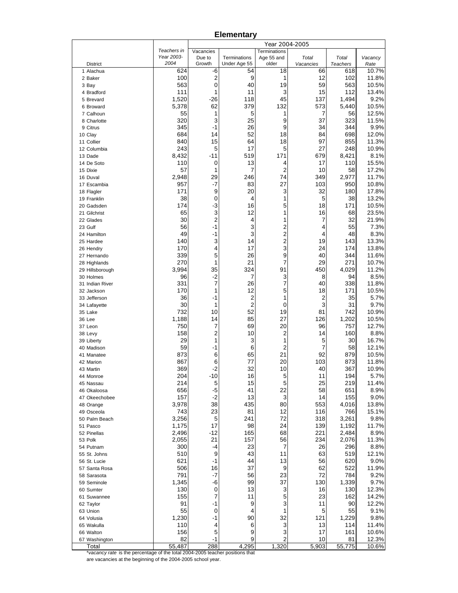**Elementary**

|                         |                    |                         |                     | Year 2004-2005 |                 |                          |                |
|-------------------------|--------------------|-------------------------|---------------------|----------------|-----------------|--------------------------|----------------|
|                         | Teachers in        | Vacancies               |                     | Terminations   |                 |                          |                |
| <b>District</b>         | Year 2003-<br>2004 | Due to                  | Terminations        | Age 55 and     | Total           | Total<br><b>Teachers</b> | Vacancy        |
| 1 Alachua               | 624                | Growth<br>-6            | Under Age 55<br>54  | older<br>18    | Vacancies<br>66 | 618                      | Rate<br>10.7%  |
| 2 Baker                 | 100                | $\overline{\mathbf{c}}$ | 9                   | 1              | 12              | 102                      | 11.8%          |
| 3 Bay                   | 563                | 0                       | 40                  | 19             | 59              | 563                      | 10.5%          |
| 4 Bradford              | 111                | 1                       | 11                  | 3              | 15              | 112                      | 13.4%          |
| 5 Brevard               | 1,520              | $-26$                   | 118                 | 45             | 137             | 1,494                    | 9.2%           |
| 6 Broward               | 5,378              | 62                      | 379                 | 132            | 573             | 5,440                    | 10.5%          |
| 7 Calhoun               | 55                 | 1                       | 5                   | 1              | 7               | 56                       | 12.5%          |
| 8 Charlotte             | 320                | 3                       | 25                  | 9              | 37              | 323                      | 11.5%          |
| 9 Citrus                | 345                | $-1$                    | 26                  | 9              | 34              | 344                      | 9.9%           |
| 10 Clay                 | 684                | 14                      | 52                  | 18             | 84              | 698                      | 12.0%          |
| 11 Collier              | 840                | 15                      | 64                  | 18             | 97              | 855                      | 11.3%          |
| 12 Columbia             | 243                | 5                       | 17                  | 5              | 27              | 248                      | 10.9%          |
| 13 Dade                 | 8,432              | $-11$                   | 519                 | 171            | 679             | 8,421                    | 8.1%           |
| 14 De Soto              | 110<br>57          | 0                       | 13                  | 4              | 17              | 110                      | 15.5%          |
| 15 Dixie<br>16 Duval    | 2,948              | 1<br>29                 | 7<br>246            | 2<br>74        | 10<br>349       | 58<br>2,977              | 17.2%<br>11.7% |
| 17 Escambia             | 957                | -7                      | 83                  | 27             | 103             | 950                      | 10.8%          |
| 18 Flagler              | 171                | 9                       | 20                  | 3              | 32              | 180                      | 17.8%          |
| 19 Franklin             | 38                 | 0                       | 4                   | 1              | 5               | 38                       | 13.2%          |
| 20 Gadsden              | 174                | $-3$                    | 16                  | 5              | 18              | 171                      | 10.5%          |
| 21 Gilchrist            | 65                 | 3                       | 12                  | 1              | 16              | 68                       | 23.5%          |
| 22 Glades               | 30                 | $\overline{\mathbf{c}}$ | 4                   | 1              | 7               | 32                       | 21.9%          |
| 23 Gulf                 | 56                 | $-1$                    | 3                   | 2              | 4               | 55                       | 7.3%           |
| 24 Hamilton             | 49                 | $-1$                    | 3                   | 2              | 4               | 48                       | 8.3%           |
| 25 Hardee               | 140                | 3                       | 14                  | 2              | 19              | 143                      | 13.3%          |
| 26 Hendry               | 170                | 4                       | 17                  | 3              | 24              | 174                      | 13.8%          |
| 27 Hernando             | 339                | 5                       | 26                  | 9              | 40              | 344                      | 11.6%          |
| 28 Highlands            | 270                | 1                       | 21                  | 7              | 29              | 271                      | 10.7%          |
| 29 Hillsborough         | 3,994              | 35                      | 324                 | 91             | 450             | 4,029                    | 11.2%          |
| 30 Holmes               | 96                 | $-2$                    | 7                   | 3              | 8               | 94                       | 8.5%           |
| 31 Indian River         | 331                | 7                       | 26                  | 7              | 40              | 338                      | 11.8%          |
| 32 Jackson              | 170                | 1                       | 12                  | 5<br>1         | 18              | 171                      | 10.5%          |
| 33 Jefferson            | 36<br>30           | -1<br>1                 | 2<br>$\overline{2}$ |                | 2<br>3          | 35<br>31                 | 5.7%<br>9.7%   |
| 34 Lafayette<br>35 Lake | 732                | 10                      | 52                  | 0<br>19        | 81              | 742                      | 10.9%          |
| 36 Lee                  | 1,188              | 14                      | 85                  | 27             | 126             | 1,202                    | 10.5%          |
| 37 Leon                 | 750                | 7                       | 69                  | 20             | 96              | 757                      | 12.7%          |
| 38 Levy                 | 158                | 2                       | 10                  | 2              | 14              | 160                      | 8.8%           |
| 39 Liberty              | 29                 | 1                       | 3                   | 1              | 5               | 30                       | 16.7%          |
| 40 Madison              | 59                 | $-1$                    | 6                   | 2              | 7               | 58                       | 12.1%          |
| 41 Manatee              | 873                | 6                       | 65                  | 21             | 92              | 879                      | 10.5%          |
| 42 Marion               | 867                | 6                       | 77                  | 20             | 103             | 873                      | 11.8%          |
| 43 Martin               | 369                | $-2$                    | 32                  | 10             | 40              | 367                      | 10.9%          |
| 44 Monroe               | 204                | $-10$                   | 16                  | 5              | 11              | 194                      | 5.7%           |
| 45 Nassau               | 214                | 5                       | 15                  | 5              | 25              | 219                      | 11.4%          |
| 46 Okaloosa             | 656                | $-5$                    | 41                  | 22             | 58              | 651                      | 8.9%           |
| 47 Okeechobee           | 157                | $-2$                    | 13                  | 3              | 14              | 155                      | 9.0%           |
| 48 Orange               | 3,978              | 38                      | 435                 | 80             | 553             | 4,016                    | 13.8%          |
| 49 Osceola              | 743                | 23                      | 81                  | 12             | 116             | 766                      | 15.1%          |
| 50 Palm Beach           | 3,256              | 5                       | 241                 | 72             | 318             | 3,261                    | 9.8%           |
| 51 Pasco                | 1,175              | 17<br>$-12$             | 98                  | 24             | 139             | 1,192<br>2,484           | 11.7%          |
| 52 Pinellas<br>53 Polk  | 2,496<br>2,055     | 21                      | 165<br>157          | 68<br>56       | 221<br>234      | 2,076                    | 8.9%<br>11.3%  |
| 54 Putnam               | 300                | -4                      | 23                  | 7              | 26              | 296                      | 8.8%           |
| 55 St. Johns            | 510                | 9                       | 43                  | 11             | 63              | 519                      | 12.1%          |
| 56 St. Lucie            | 621                | $-1$                    | 44                  | 13             | 56              | 620                      | 9.0%           |
| 57 Santa Rosa           | 506                | 16                      | 37                  | 9              | 62              | 522                      | 11.9%          |
| 58 Sarasota             | 791                | $-7$                    | 56                  | 23             | 72              | 784                      | 9.2%           |
| 59 Seminole             | 1,345              | -6                      | 99                  | 37             | 130             | 1,339                    | 9.7%           |
| 60 Sumter               | 130                | 0                       | 13                  | 3              | 16              | 130                      | 12.3%          |
| 61 Suwannee             | 155                | 7                       | 11                  | 5              | 23              | 162                      | 14.2%          |
| 62 Taylor               | 91                 | -1                      | 9                   | 3              | 11              | 90                       | 12.2%          |
| 63 Union                | 55                 | 0                       | 4                   | 1              | 5               | 55                       | 9.1%           |
| 64 Volusia              | 1,230              | $-1$                    | 90                  | 32             | 121             | 1,229                    | 9.8%           |
| 65 Wakulla              | 110                | 4                       | 6                   | 3              | 13              | 114                      | 11.4%          |
| 66 Walton               | 156                | 5                       | 9                   | 3              | 17              | 161                      | 10.6%          |
| 67 Washington           | 82                 | -1                      | 9                   | 2              | 10              | 81                       | 12.3%          |
| Total                   | 55,487             | 288                     | 4,295               | 1,320          | 5,903           | 55,775                   | 10.6%          |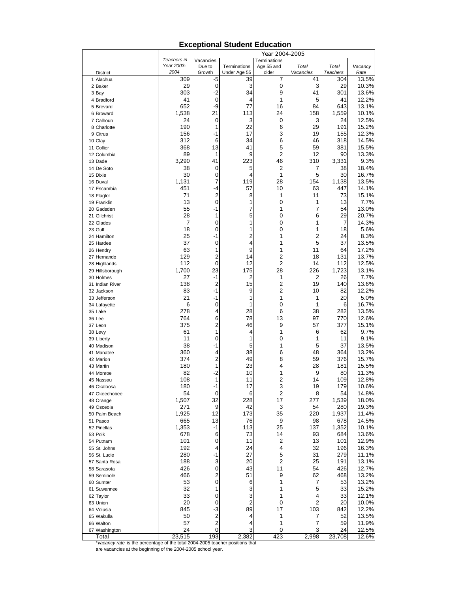#### District Vacancies Due to Growth Terminations Under Age 55 Terminations Age 55 and older  *Total Vacancies Total Teachers Vacancy Rate*  1 Alachua 309 -5 39 7 41 304 13.5% 2 Baker | 29 | 0 | 3 | 0 | 3 | 29 | 10.3% 3 Bay | 303 | -2 | 34 | 9 | 41 | 301 | 13.6% 4 Bradford 41 | 0 | 4 | 1 | 5 | 41 | 12.2% 5 Brevard 652 -9 77 16 84 643 13.1% 6 Broward | 1,538 | 21 | 113 | 24 | 158 | 1,559 10.1% 7 Calhoun 24 0 3 0 3 24 12.5% 8 Charlotte 190 1 22 6 29 191 15.2% 9 Citrus 156 -1 17 3 19 155 12.3% 10 Clay | 312 | 6| 34 | 6| 46 | 318 | 14.5% 11 Collier 368 13 41 5 59 381 15.5% 12 Columbia 89 1 9 2 12 90 13.3% 13 Dade 3,290 41 223 46 310 3,331 9.3% 14 De Soto 38 | 0 | 5 | 2 | 7 | 38 | 18.4% 15 Dixie 30 0 4 1 5 30 16.7% 16 Duval 1,131 7 119 28 154 1,138 13.5% 17 Escambia 451 -4 57 10 63 447 14.1% 18 Flagler 1 2 | 18 | 11 | 11 | 15.1% 19 Franklin 13 0 1 0 1 13 7.7% 20 Gadsden 55 -1 7 1 7 54 13.0% 21 Gilchrist 28 1 5 0 6 29 20.7% 22 Glades | 7| 0| 1| 0| 1| 7| 14.3% 23 Gulf 18 0 1 0 1 18 5.6% 24 Hamilton 25 -1 2 1 2 24 8.3% 25 Hardee 37 0 4 1 5 37 13.5% 26 Hendry | 63| 1| 9| 1| 11| 64| 17.2% 27 Hernando 129 2 14 2 18 131 13.7% 28 Highlands 112 0 12 2 14 112 12.5% 29 Hillsborough 1,700 23 175 28 226 1,723 13.1% 30 Holmes 27 -1 2 1 2 26 7.7% 31 Indian River 138 | 2 | 15 | 2 | 19 | 140 | 13.6% 32 Jackson 83 -1 9 2 10 82 12.2% 33 Jefferson 21 -1 1 1 1 20 5.0% 34 Lafayette 6 0 1 0 1 6 16.7% 35 Lake 278 4 28 6 38 282 13.5% 36 Lee 764 6 78 13 97 770 12.6% 37 Leon 375 | 2 | 46 | 9 | 57 | 377 | 15.1% 38 Levy | 61 | 1 | 4 | 1 | 6 | 62 | 9.7% 39 Liberty 11 | 0 | 1 | 0 | 1 | 11 | 9.1% 40 Madison 38 -1 5 1 5 37 13.5% 41 Manatee 360 4 38 6 48 364 13.2% 42 Marion | 374 | 2 | 49 | 8 | 59 | 376 | 15.7% 43 Martin 180 1 23 4 28 181 15.5% 44 Monroe | 82| -2| 10| 1| 9| 80| 11.3% 45 Nassau 108 1 11 2 14 109 12.8% 46 Okaloosa 180 -1 17 3 19 179 10.6% 47 Okeechobee 54 0 6 2 8 54 14.8% 48 Orange 1,507 32 228 17 277 1,539 18.0% 49 Osceola 271 9 42 3 54 280 19.3% 50 Palm Beach | 1,925 | 12 | 173 | 35 | 220 | 1,937 | 11.4% 51 Pasco 665 13 76 9 98 678 14.5% 52 Pinellas 1,353 -1 113 25 137 1,352 10.1% 53 Polk 678 | 6| 73 | 14 | 93 | 684 | 13.6% 54 Putnam 101 0 11 2 13 101 12.9% 55 St. Johns 192 4 24 4 32 196 16.3% 56 St. Lucie 280 -1 27 5 31 279 11.1% 57 Santa Rosa 188 3 20 2 25 191 13.1% 58 Sarasota 426 0 43 11 54 426 12.7% 59 Seminole 466 2 51 9 62 468 13.2% 60 Sumter 53 0 6 1 7 53 13.2% 61 Suwannee 32 1 3 1 5 33 15.2% 62 Taylor 33 | 0 | 3 | 1 | 4 | 33 | 12.1% 63 Union 20 0 2 0 2 20 10.0% 64 Volusia 845 -3 89 17 103 842 12.2% 65 Wakulla 50 2 4 1 7 52 13.5% 66 Walton 57 2 4 1 7 59 11.9% 67 Washington | 24| 0| 3| 0| 3| 24| 12.5% Total 23,515 193 2,382 423 2,998 23,708 12.6%  *Teachers in Year 2003- 2004*  Year 2004-2005

#### **Exceptional Student Education**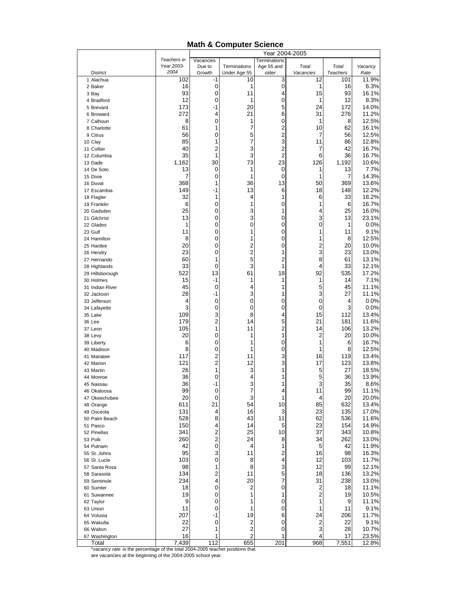#### **Math & Computer Science**

|                         |                    |                              |                              | Year 2004-2005      |                    |                          |                 |
|-------------------------|--------------------|------------------------------|------------------------------|---------------------|--------------------|--------------------------|-----------------|
|                         | Teachers in        | Vacancies                    |                              | Terminations        |                    |                          |                 |
| <b>District</b>         | Year 2003-<br>2004 | Due to<br>Growth             | Terminations<br>Under Age 55 | Age 55 and<br>older | Total<br>Vacancies | Total<br><b>Teachers</b> | Vacancy<br>Rate |
| 1 Alachua               | 102                | -1                           | 10                           | 3                   | 12                 | 101                      | 11.9%           |
| 2 Baker                 | 16                 | $\mathbf 0$                  | 1                            | 0                   | 1                  | 16                       | 6.3%            |
| 3 Bay                   | 93                 | 0                            | 11                           | 4                   | 15                 | 93                       | 16.1%           |
| 4 Bradford              | 12                 | 0                            | 1                            | 0                   | 1                  | 12                       | 8.3%            |
| 5 Brevard               | 173                | -1                           | 20                           | 5                   | 24                 | 172                      | 14.0%           |
| 6 Broward               | 272                | 4                            | 21                           | 6                   | 31                 | 276                      | 11.2%           |
| 7 Calhoun               | 8                  | 0                            | 1                            | 0                   | 1                  | 8                        | 12.5%           |
| 8 Charlotte             | 61                 | 1                            | 7                            | 2                   | 10                 | 62                       | 16.1%           |
| 9 Citrus                | 56                 | 0                            | 5                            | 2                   | 7                  | 56                       | 12.5%           |
| 10 Clay                 | 85                 | 1                            | 7                            | 3                   | 11                 | 86                       | 12.8%           |
| 11 Collier              | 40                 | $\overline{2}$               | 3                            | 2                   | 7                  | 42                       | 16.7%           |
| 12 Columbia             | 35                 | 1                            | 3                            | $\overline{2}$      | 6                  | 36                       | 16.7%           |
| 13 Dade                 | 1,162              | 30                           | 73                           | 23                  | 126                | 1,192                    | 10.6%           |
| 14 De Soto              | 13<br>7            | 0<br>0                       | 1<br>1                       | 0<br>0              | 1<br>1             | 13<br>7                  | 7.7%<br>14.3%   |
| 15 Dixie<br>16 Duval    | 368                | 1                            | 36                           | 13                  | 50                 | 369                      | 13.6%           |
| 17 Escambia             | 149                | -1                           | 13                           | 6                   | 18                 | 148                      | 12.2%           |
| 18 Flagler              | 32                 | 1                            | 4                            | 1                   | 6                  | 33                       | 18.2%           |
| 19 Franklin             | 6                  | 0                            | 1                            | 0                   | 1                  | 6                        | 16.7%           |
| 20 Gadsden              | 25                 | 0                            | 3                            | 1                   | 4                  | 25                       | 16.0%           |
| 21 Gilchrist            | 13                 | 0                            | 3                            | 0                   | 3                  | 13                       | 23.1%           |
| 22 Glades               | 1                  | 0                            | 0                            | 0                   | 0                  | 1                        | 0.0%            |
| 23 Gulf                 | 11                 | 0                            | 1                            | 0                   | 1                  | 11                       | 9.1%            |
| 24 Hamilton             | 8                  | 0                            | 1                            | 0                   | 1                  | 8                        | 12.5%           |
| 25 Hardee               | 20                 | 0                            | $\overline{\mathbf{c}}$      | 0                   | $\overline{c}$     | 20                       | 10.0%           |
| 26 Hendry               | 23                 | 0                            | $\overline{c}$               | 1                   | 3                  | 23                       | 13.0%           |
| 27 Hernando             | 60                 | 1                            | 5                            | 2                   | 8                  | 61                       | 13.1%           |
| 28 Highlands            | 33                 | 0                            | 3                            | 1                   | 4                  | 33                       | 12.1%           |
| 29 Hillsborough         | 522                | 13                           | 61                           | 18                  | 92                 | 535                      | 17.2%           |
| 30 Holmes               | 15                 | -1                           | 1                            | 1                   | 1                  | 14                       | 7.1%            |
| 31 Indian River         | 45                 | 0                            | 4                            | 1                   | 5                  | 45                       | 11.1%           |
| 32 Jackson              | 28                 | -1<br>0                      | 3<br>0                       | 1                   | 3<br>0             | 27                       | 11.1%<br>0.0%   |
| 33 Jefferson            | 4<br>3             | 0                            | 0                            | 0<br>0              | 0                  | 4<br>3                   | 0.0%            |
| 34 Lafayette<br>35 Lake | 109                | 3                            | 8                            | 4                   | 15                 | 112                      | 13.4%           |
| 36 Lee                  | 179                | $\overline{2}$               | 14                           | 5                   | 21                 | 181                      | 11.6%           |
| 37 Leon                 | 105                | 1                            | 11                           | 2                   | 14                 | 106                      | 13.2%           |
| 38 Levy                 | 20                 | 0                            | 1                            | 1                   | $\overline{c}$     | 20                       | 10.0%           |
| 39 Liberty              | 6                  | 0                            | 1                            | 0                   | 1                  | 6                        | 16.7%           |
| 40 Madison              | 8                  | 0                            | 1                            | 0                   | 1                  | 8                        | 12.5%           |
| 41 Manatee              | 117                | 2                            | 11                           | 3                   | 16                 | 119                      | 13.4%           |
| 42 Marion               | 121                | $\overline{c}$               | 12                           | 3                   | 17                 | 123                      | 13.8%           |
| 43 Martin               | 26                 | 1                            | 3                            | 1                   | 5                  | 27                       | 18.5%           |
| 44 Monroe               | 36                 | 0                            | 4                            | 1                   | 5                  | 36                       | 13.9%           |
| 45 Nassau               | 36                 | -1                           | 3                            | 1                   | 3                  | 35                       | 8.6%            |
| 46 Okaloosa             | 99                 | 0                            | 7                            | 4                   | 11                 | 99                       | 11.1%           |
| 47 Okeechobee           | 20                 | 0                            | 3                            | 1                   | 4                  | 20                       | 20.0%           |
| 48 Orange               | 611                | 21                           | 54                           | 10                  | 85                 | 632                      | 13.4%           |
| 49 Osceola              | 131                | 4                            | 16                           | 3                   | 23                 | 135                      | 17.0%           |
| 50 Palm Beach           | 528<br>150         | 8                            | 43                           | 11                  | 62<br>23           | 536                      | 11.6%<br>14.9%  |
| 51 Pasco<br>52 Pinellas | 341                | 4<br>$\overline{\mathbf{c}}$ | 14<br>25                     | 5<br>10             | 37                 | 154<br>343               | 10.8%           |
| 53 Polk                 | 260                | $\overline{\mathbf{c}}$      | 24                           | 8                   | 34                 | 262                      | 13.0%           |
| 54 Putnam               | 42                 | 0                            | 4                            | 1                   | 5                  | 42                       | 11.9%           |
| 55 St. Johns            | 95                 | 3                            | 11                           | 2                   | 16                 | 98                       | 16.3%           |
| 56 St. Lucie            | 103                | 0                            | 8                            | 4                   | 12                 | 103                      | 11.7%           |
| 57 Santa Rosa           | 98                 | 1                            | 8                            | 3                   | 12                 | 99                       | 12.1%           |
| 58 Sarasota             | 134                | 2                            | 11                           | 5                   | 18                 | 136                      | 13.2%           |
| 59 Seminole             | 234                | 4                            | 20                           | 7                   | 31                 | 238                      | 13.0%           |
| 60 Sumter               | 18                 | 0                            | 2                            | 0                   | $\overline{c}$     | 18                       | 11.1%           |
| 61 Suwannee             | 19                 | 0                            | 1                            | 1                   | $\overline{2}$     | 19                       | 10.5%           |
| 62 Taylor               | 9                  | 0                            | 1                            | 0                   | 1                  | 9                        | 11.1%           |
| 63 Union                | 11                 | 0                            | 1                            | 0                   | 1                  | 11                       | 9.1%            |
| 64 Volusia              | 207                | -1                           | 19                           | 6                   | 24                 | 206                      | 11.7%           |
| 65 Wakulla              | 22                 | $\mathbf 0$                  | 2                            | 0                   | 2                  | 22                       | 9.1%            |
| 66 Walton               | 27                 | 1                            | $\overline{\mathbf{c}}$      | 0                   | 3                  | 28                       | 10.7%           |
| 67 Washington           | 16                 | 1                            | 2                            | 1                   | 4                  | 17                       | 23.5%           |
| Total                   | 7,439              | 112                          | 655                          | 201                 | 968                | 7,551                    | 12.8%           |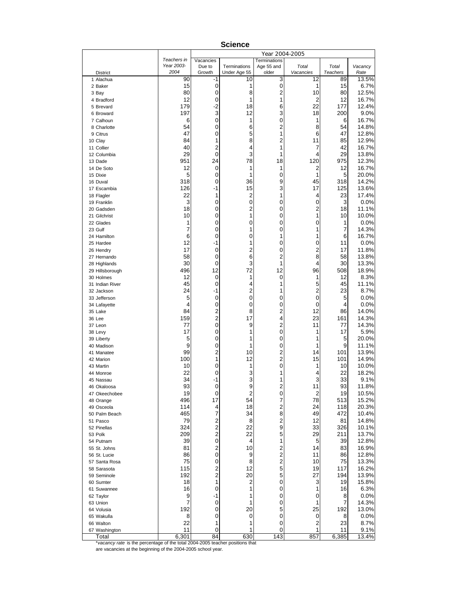|                                                                               |                    |                                           |                    | Year 2004-2005               |                 |                       |                |
|-------------------------------------------------------------------------------|--------------------|-------------------------------------------|--------------------|------------------------------|-----------------|-----------------------|----------------|
|                                                                               | Teachers in        | Vacancies                                 |                    | <b>Terminations</b>          |                 |                       |                |
|                                                                               | Year 2003-<br>2004 | Due to<br>Growth                          | Terminations       | Age 55 and<br>older          | Total           | Total                 | Vacancy        |
| <b>District</b><br>1 Alachua                                                  | 90                 | $-1$                                      | Under Age 55<br>10 | 3                            | Vacancies<br>12 | <b>Teachers</b><br>89 | Rate<br>13.5%  |
| 2 Baker                                                                       | 15                 | 0                                         | 1                  | $\boldsymbol{0}$             | 1               | 15                    | 6.7%           |
| 3 Bay                                                                         | 80                 | 0                                         | 8                  | 2                            | 10              | 80                    | 12.5%          |
| 4 Bradford                                                                    | 12                 | 0                                         | 1                  | 1                            | 2               | 12                    | 16.7%          |
| 5 Brevard                                                                     | 179                | $-2$                                      | 18                 | 6                            | 22              | 177                   | 12.4%          |
| 6 Broward                                                                     | 197                | 3                                         | 12                 | 3                            | 18              | 200                   | 9.0%           |
| 7 Calhoun                                                                     | 6                  | 0                                         | 1                  | 0                            | 1               | 6                     | 16.7%          |
| 8 Charlotte                                                                   | 54                 | 0                                         | 6                  | $\overline{c}$               | 8               | 54                    | 14.8%          |
| 9 Citrus                                                                      | 47                 | 0                                         | 5                  | 1                            | 6               | 47                    | 12.8%          |
| 10 Clay                                                                       | 84<br>40           | 1                                         | 8                  | $\overline{c}$<br>1          | 11              | 85<br>42              | 12.9%          |
| 11 Collier<br>12 Columbia                                                     | 29                 | 2<br>$\mathbf 0$                          | 4<br>3             | 1                            | 7<br>4          | 29                    | 16.7%<br>13.8% |
| 13 Dade                                                                       | 951                | 24                                        | 78                 | 18                           | 120             | 975                   | 12.3%          |
| 14 De Soto                                                                    | 12                 | 0                                         | 1                  | 1                            | 2               | 12                    | 16.7%          |
| 15 Dixie                                                                      | 5                  | 0                                         | 1                  | 0                            | 1               | 5                     | 20.0%          |
| 16 Duval                                                                      | 318                | 0                                         | 36                 | 9                            | 45              | 318                   | 14.2%          |
| 17 Escambia                                                                   | 126                | -1                                        | 15                 | 3                            | 17              | 125                   | 13.6%          |
| 18 Flagler                                                                    | 22                 | 1                                         | $\overline{c}$     | 1                            | 4               | 23                    | 17.4%          |
| 19 Franklin                                                                   | 3                  | 0                                         | 0                  | 0                            | 0               | 3                     | 0.0%           |
| 20 Gadsden                                                                    | 18                 | 0                                         | 2                  | 0                            | 2               | 18                    | 11.1%          |
| 21 Gilchrist                                                                  | 10                 | 0                                         | 1                  | 0                            | 1               | 10                    | 10.0%          |
| 22 Glades                                                                     | 1                  | 0                                         | $\mathbf 0$        | 0                            | 0               | 1                     | $0.0\%$        |
| 23 Gulf                                                                       | 7                  | 0                                         | 1                  | 0                            | 1               | 7                     | 14.3%          |
| 24 Hamilton                                                                   | 6<br>12            | 0<br>-1                                   | $\mathbf 0$<br>1   | 1<br>0                       | 1<br>0          | 6<br>11               | 16.7%<br>0.0%  |
| 25 Hardee<br>26 Hendry                                                        | 17                 | 0                                         | 2                  | 0                            | $\overline{c}$  | 17                    | 11.8%          |
| 27 Hernando                                                                   | 58                 | 0                                         | 6                  | $\overline{2}$               | 8               | 58                    | 13.8%          |
| 28 Highlands                                                                  | 30                 | 0                                         | 3                  | 1                            | 4               | 30                    | 13.3%          |
| 29 Hillsborough                                                               | 496                | 12                                        | 72                 | 12                           | 96              | 508                   | 18.9%          |
| 30 Holmes                                                                     | 12                 | 0                                         | 1                  | 0                            | 1               | 12                    | 8.3%           |
| 31 Indian River                                                               | 45                 | 0                                         | 4                  | 1                            | 5               | 45                    | 11.1%          |
| 32 Jackson                                                                    | 24                 | -1                                        | 2                  | 1                            | 2               | 23                    | 8.7%           |
| 33 Jefferson                                                                  | 5                  | 0                                         | $\mathbf 0$        | 0                            | 0               | 5                     | 0.0%           |
| 34 Lafayette                                                                  | 4                  | 0                                         | 0                  | 0                            | 0               | 4                     | 0.0%           |
| 35 Lake                                                                       | 84                 | $\overline{c}$                            | 8                  | 2                            | 12              | 86                    | 14.0%          |
| 36 Lee                                                                        | 159                | $\overline{c}$                            | 17                 | 4                            | 23              | 161                   | 14.3%          |
| 37 Leon                                                                       | 77<br>17           | $\overline{0}$<br>0                       | 9<br>1             | $\overline{c}$<br>0          | 11<br>1         | 77<br>17              | 14.3%<br>5.9%  |
| 38 Levy<br>39 Liberty                                                         | 5                  | 0                                         | 1                  | 0                            | 1               | 5                     | 20.0%          |
| 40 Madison                                                                    | 9                  | 0                                         | 1                  | 0                            | 1               | 9                     | 11.1%          |
| 41 Manatee                                                                    | 99                 | $\overline{2}$                            | 10                 | 2                            | 14              | 101                   | 13.9%          |
| 42 Marion                                                                     | 100                | 1                                         | 12                 | $\overline{c}$               | 15              | 101                   | 14.9%          |
| 43 Martin                                                                     | 10                 | 0                                         | 1                  | 0                            | 1               | 10                    | 10.0%          |
| 44 Monroe                                                                     | 22                 | 0                                         | 3                  | 1                            | 4               | 22                    | 18.2%          |
| 45 Nassau                                                                     | 34                 | -1                                        | 3                  | 1                            | 3               | 33                    | 9.1%           |
| 46 Okaloosa                                                                   | 93                 | 0                                         | 9                  | 2                            | 11              | 93                    | 11.8%          |
| 47 Okeechobee                                                                 | 19                 | $\pmb{0}$                                 | $\overline{c}$     | 0                            | $\overline{2}$  | 19                    | 10.5%          |
| 48 Orange                                                                     | 496                | 17                                        | 54                 | $\overline{\mathcal{I}}$     | 78              | 513                   | 15.2%          |
| 49 Osceola                                                                    | 114<br>465         | $\overline{\mathbf{4}}$<br>$\overline{7}$ | 18                 | $\overline{\mathbf{c}}$<br>8 | 24<br>49        | 118                   | 20.3%          |
| 50 Palm Beach                                                                 | 79                 | $\overline{\mathbf{c}}$                   | 34<br>8            | $\overline{\mathbf{c}}$      | 12              | 472<br>81             | 10.4%<br>14.8% |
| 51 Pasco<br>52 Pinellas                                                       | 324                | $\overline{c}$                            | 22                 | 9                            | 33              | 326                   | 10.1%          |
| 53 Polk                                                                       | 209                | $\overline{c}$                            | 22                 | 5                            | 29              | 211                   | 13.7%          |
| 54 Putnam                                                                     | 39                 | $\mathbf 0$                               | 4                  | 1                            | 5               | 39                    | 12.8%          |
| 55 St. Johns                                                                  | 81                 | 2                                         | 10                 | 2                            | 14              | 83                    | 16.9%          |
| 56 St. Lucie                                                                  | 86                 | $\mathbf 0$                               | 9                  | $\overline{\mathbf{c}}$      | 11              | 86                    | 12.8%          |
| 57 Santa Rosa                                                                 | 75                 | 0                                         | 8                  | $\overline{\mathbf{c}}$      | 10              | 75                    | 13.3%          |
| 58 Sarasota                                                                   | 115                | $\overline{\mathbf{c}}$                   | 12                 | 5                            | 19              | 117                   | 16.2%          |
| 59 Seminole                                                                   | 192                | $\overline{c}$                            | 20                 | 5                            | 27              | 194                   | 13.9%          |
| 60 Sumter                                                                     | 18                 | 1                                         | $\overline{c}$     | 0                            | 3               | 19                    | 15.8%          |
| 61 Suwannee                                                                   | 16                 | 0                                         | 1                  | 0                            | 1               | 16                    | 6.3%           |
| 62 Taylor                                                                     | 9                  | $-1$                                      | 1                  | 0                            | 0               | 8                     | 0.0%           |
| 63 Union                                                                      | 7                  | 0                                         | 1                  | 0                            | 1               | 7                     | 14.3%          |
| 64 Volusia                                                                    | 192                | 0                                         | 20<br>0            | 5                            | 25              | 192                   | 13.0%          |
| 65 Wakulla<br>66 Walton                                                       | 8<br>22            | 0<br>1                                    | 1                  | 0<br>0                       | 0<br>2          | 8<br>23               | 0.0%<br>8.7%   |
| 67 Washington                                                                 | 11                 | 0                                         | 1                  | 0                            | 1               | 11                    | 9.1%           |
| Total                                                                         | 6,301              | 84                                        | 630                | 143                          | 857             | 6,385                 | 13.4%          |
| *vacancy rate is the percentage of the total 2004-2005 teacher positions that |                    |                                           |                    |                              |                 |                       |                |

**Science**

are vacancies at the beginning of the 2004-2005 school year.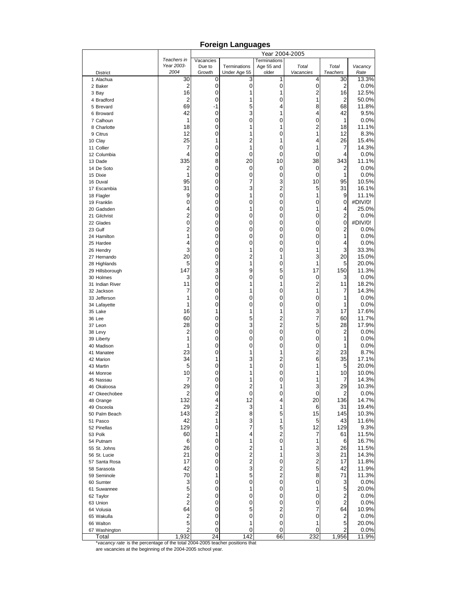#### District Vacancies Due to Growth Terminations Under Age 55 Terminations Age 55 and older  *Total Vacancies Total Teachers Vacancy Rate*  1 Alachua 30 0 3 1 4 30 13.3% 2 Baker | 2| 0| 0| 0| 0| 2| 0.0% 3 Bay | 16| 0| 1| 1| 2| 16| 12.5% 4 Bradford 2 | 0 | 1 | 0 | 1 | 2 | 50.0% 5 Brevard 69 -1 5 4 8 68 11.8% 6 Broward | 42| 0 | 3| 1 | 4| 42| 9.5% 7 Calhoun 1 | 0 | 0 | 0 | 1 | 0.0% 8 Charlotte 18 0 1 1 2 18 11.1% 9 Citrus 12 0 1 0 1 12 8.3% 10 Clay | 25 | 1 | 2 | 1 | 4 | 26 | 15.4% 11 Collier 7 | 0 | 1 | 0 | 1 | 7 | 14.3% 12 Columbia 4 0 0 0 0 4 0.0% 13 Dade 335 8 20 10 38 343 11.1% 14 De Soto 2 | 0 | 0 | 0 | 0 | 2 | 0.0% 15 Dixie 1 1 | 0 | 0 | 0 | 1 | 0.0% 16 Duval 95 0 7 3 10 95 10.5% 17 Escambia 31 0 3 2 5 31 16.1% 18 Flagler 9 0 1 0 1 9 11.1% 19 Franklin 0 0 0 0 0 0 #DIV/0! 20 Gadsden 4 0 1 0 1 4 25.0% 21 Gilchrist 2 0 0 0 0 2 0.0% 22 Glades | 0| 0| 0| 0| 0| 0| #DIV/0! 23 Gulf 2 0 0 0 0 2 0.0% 24 Hamilton 1 | 0 | 0 | 0 | 0 | 1 | 0.0% 25 Hardee | 4| 0| 0| 0| 0| 4| 0.0% 26 Hendry | 3| 0| 1| 0| 1| 3| 33.3% 27 Hernando 20 0 2 1 3 20 15.0% 28 Highlands **5** 1 0 1 0 1 5 20.0% 29 Hillsborough 147 3 9 5 17 150 11.3% 30 Holmes 3 | 0 | 0 | 0 | 0 | 3 | 0.0% 31 Indian River | 11 0 1 1 1 2 11 18.2% 32 Jackson 7 0 1 0 1 7 14.3% 33 Jefferson 1 0 0 0 0 1 0.0% 34 Lafayette 1 | 0 | 0 | 0 | 0 | 1 | 0.0% 35 Lake 16 1 1 1 3 17 17.6% 36 Lee 60 | 0 | 5 | 2 | 7 | 60 | 11.7% 37 Leon 28 | 0 | 3 | 2 | 5 | 28 | 17.9% 38 Levy | 2 | 0 | 0 | 0 | 0 | 2 | 0.0% 39 Liberty 1 | 0 | 0 | 0 | 0 | 1 | 0.0% 40 Madison 1| 0| 0| 0| 1| 0.0% 41 Manatee | 23| 0| 1| 1| 2| 23| 8.7% 42 Marion | 34 | 1 | 3| 2 | 6 | 35 | 17.1% 43 Martin 5 0 1 0 1 5 20.0% 44 Monroe | 10 | 0 | 1| 0 | 1 | 10 | 10.0% 45 Nassau 7 0 1 0 1 7 14.3% 46 Okaloosa 29 0 2 1 3 29 10.3% 47 Okeechobee 2 0 0 0 0 2 0.0% 48 Orange | 132 | 4| 12 | 4| 20 | 136 | 14.7% 49 Osceola 29 2 3 1 6 31 19.4% 50 Palm Beach 143 2 8 5 15 145 10.3% 51 Pasco 42 1 3 1 5 43 11.6% 52 Pinellas 129 0 7 5 12 129 9.3% 53 Polk 60 | 1 | 4 | 2 | 7 | 61 | 11.5% 54 Putnam 6 0 1 0 1 6 16.7% 55 St. Johns 26 0 2 1 3 26 11.5% 56 St. Lucie 21 0 2 1 3 21 14.3% 57 Santa Rosa 17 0 2 0 2 17 11.8% 58 Sarasota 42 0 3 2 5 42 11.9% 59 Seminole 70 1 5 2 8 71 11.3% 60 Sumter | 3 | 0| 0| 0| 0| 3 | 0.0% 61 Suwannee 5 0 1 0 1 5 20.0% 62 Taylor 2 | 0 | 0 | 0 | 0 | 2 | 0.0% 63 Union 2 0 0 0 0 2 0.0% 64 Volusia 64 0 5 2 7 64 10.9% 65 Wakulla 2 0 0 0 0 2 0.0% 66 Walton 5 0 1 0 1 5 20.0% 67 Washington | 2| 0| 0| 0| 0| 2| 0.0%  *Teachers in Year 2003- 2004*  Year 2004-2005

Total 1,932 24 142 66 232 1,956 11.9%

#### **Foreign Languages**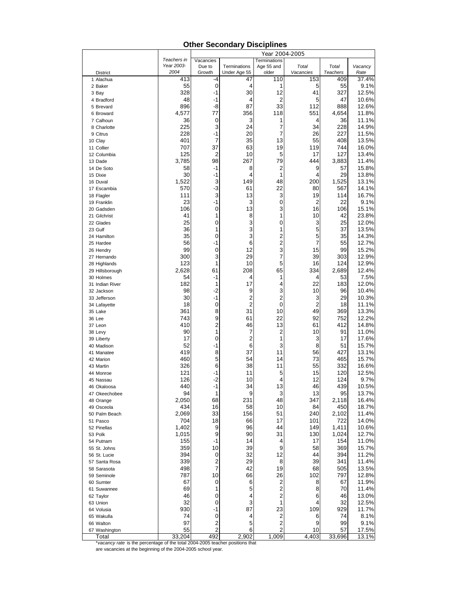# **Other Secondary Disciplines**

|                                                                               |                    |                     |                              | Year 2004-2005      |                    |                          |                |
|-------------------------------------------------------------------------------|--------------------|---------------------|------------------------------|---------------------|--------------------|--------------------------|----------------|
|                                                                               | Teachers in        | Vacancies           |                              | <b>Terminations</b> |                    |                          |                |
| <b>District</b>                                                               | Year 2003-<br>2004 | Due to<br>Growth    | Terminations<br>Under Age 55 | Age 55 and<br>older | Total<br>Vacancies | Total<br><b>Teachers</b> | Vacancy        |
| 1 Alachua                                                                     | 413                | $-4$                | 47                           | 110                 | 153                | 409                      | Rate<br>37.4%  |
| 2 Baker                                                                       | 55                 | 0                   | 4                            | 1                   | 5                  | 55                       | 9.1%           |
| 3 Bay                                                                         | 328                | $-1$                | 30                           | 12                  | 41                 | 327                      | 12.5%          |
| 4 Bradford                                                                    | 48                 | $-1$                | 4                            | 2                   | 5                  | 47                       | 10.6%          |
| 5 Brevard                                                                     | 896                | -8                  | 87                           | 33                  | 112                | 888                      | 12.6%          |
| 6 Broward                                                                     | 4,577              | 77                  | 356                          | 118                 | 551                | 4,654                    | 11.8%          |
| 7 Calhoun                                                                     | 36                 | 0                   | 3                            | 1                   | 4                  | 36                       | 11.1%          |
| 8 Charlotte                                                                   | 225                | 3                   | 24                           | 7                   | 34                 | 228                      | 14.9%          |
| 9 Citrus                                                                      | 228                | $-1$                | 20                           | 7                   | 26                 | 227                      | 11.5%          |
| 10 Clay                                                                       | 401                | 7                   | 35                           | 13                  | 55                 | 408                      | 13.5%          |
| 11 Collier                                                                    | 707                | 37                  | 63                           | 19                  | 119                | 744                      | 16.0%          |
| 12 Columbia                                                                   | 125                | 2                   | 10                           | 5                   | 17                 | 127                      | 13.4%          |
| 13 Dade                                                                       | 3,785              | 98<br>$-1$          | 267<br>8                     | 79<br>2             | 444<br>9           | 3,883                    | 11.4%          |
| 14 De Soto                                                                    | 58<br>30           | -1                  | 4                            | 1                   | 4                  | 57<br>29                 | 15.8%<br>13.8% |
| 15 Dixie<br>16 Duval                                                          | 1,522              | 3                   | 149                          | 48                  | 200                | 1,525                    | 13.1%          |
| 17 Escambia                                                                   | 570                | $-3$                | 61                           | 22                  | 80                 | 567                      | 14.1%          |
| 18 Flagler                                                                    | 111                | 3                   | 13                           | 3                   | 19                 | 114                      | 16.7%          |
| 19 Franklin                                                                   | 23                 | $-1$                | 3                            | 0                   | 2                  | 22                       | 9.1%           |
| 20 Gadsden                                                                    | 106                | $\mathbf 0$         | 13                           | 3                   | 16                 | 106                      | 15.1%          |
| 21 Gilchrist                                                                  | 41                 | 1                   | 8                            | 1                   | 10                 | 42                       | 23.8%          |
| 22 Glades                                                                     | 25                 | 0                   | 3                            | 0                   | 3                  | 25                       | 12.0%          |
| 23 Gulf                                                                       | 36                 | 1                   | 3                            | 1                   | 5                  | 37                       | 13.5%          |
| 24 Hamilton                                                                   | 35                 | 0                   | 3                            | 2                   | 5                  | 35                       | 14.3%          |
| 25 Hardee                                                                     | 56                 | -1                  | 6                            | 2                   | 7                  | 55                       | 12.7%          |
| 26 Hendry                                                                     | 99                 | 0                   | 12                           | 3                   | 15                 | 99                       | 15.2%          |
| 27 Hernando                                                                   | 300                | 3                   | 29                           | 7                   | 39                 | 303                      | 12.9%          |
| 28 Highlands                                                                  | 123                | 1                   | 10                           | 5                   | 16                 | 124                      | 12.9%          |
| 29 Hillsborough                                                               | 2,628              | 61                  | 208                          | 65                  | 334                | 2,689                    | 12.4%          |
| 30 Holmes                                                                     | 54<br>182          | $-1$<br>1           | 4<br>17                      | 1<br>4              | 4<br>22            | 53                       | 7.5%           |
| 31 Indian River<br>32 Jackson                                                 | 98                 | $-2$                | 9                            | 3                   | 10                 | 183<br>96                | 12.0%<br>10.4% |
| 33 Jefferson                                                                  | 30                 | $-1$                | $\overline{c}$               | 2                   | 3                  | 29                       | 10.3%          |
| 34 Lafayette                                                                  | 18                 | 0                   | $\overline{2}$               | 0                   | 2                  | 18                       | 11.1%          |
| 35 Lake                                                                       | 361                | 8                   | 31                           | 10                  | 49                 | 369                      | 13.3%          |
| 36 Lee                                                                        | 743                | 9                   | 61                           | 22                  | 92                 | 752                      | 12.2%          |
| 37 Leon                                                                       | 410                | $\overline{2}$      | 46                           | 13                  | 61                 | 412                      | 14.8%          |
| 38 Levy                                                                       | 90                 | 1                   | 7                            | 2                   | 10                 | 91                       | 11.0%          |
| 39 Liberty                                                                    | 17                 | 0                   | $\overline{2}$               | 1                   | 3                  | 17                       | 17.6%          |
| 40 Madison                                                                    | 52                 | $-1$                | 6                            | 3                   | 8                  | 51                       | 15.7%          |
| 41 Manatee                                                                    | 419                | 8                   | 37                           | 11                  | 56                 | 427                      | 13.1%          |
| 42 Marion                                                                     | 460                | 5                   | 54                           | 14                  | 73                 | 465                      | 15.7%          |
| 43 Martin                                                                     | 326                | 6                   | 38                           | 11                  | 55                 | 332                      | 16.6%          |
| 44 Monroe                                                                     | 121                | $-1$                | 11                           | 5                   | 15                 | 120                      | 12.5%          |
| 45 Nassau                                                                     | 126                | $-2$                | 10                           | 4                   | 12                 | 124                      | 9.7%           |
| 46 Okaloosa                                                                   | 440                | $-1$                | 34                           | 13                  | 46                 | 439                      | 10.5%          |
| 47 Okeechobee                                                                 | 94                 | 1<br>68             | 9                            | 3                   | 13                 | 95                       | 13.7%          |
| 48 Orange                                                                     | 2,050<br>434       | 16                  | 231<br>58                    | 48<br>10            | 347<br>84          | 2,118<br>450             | 16.4%<br>18.7% |
| 49 Osceola<br>50 Palm Beach                                                   | 2,069              | 33                  | 156                          | 51                  | 240                | 2,102                    | 11.4%          |
| 51 Pasco                                                                      | 704                | 18                  | 66                           | 17                  | 101                | 722                      | 14.0%          |
| 52 Pinellas                                                                   | 1,402              | 9                   | 96                           | 44                  | 149                | 1,411                    | 10.6%          |
| 53 Polk                                                                       | 1,015              | 9                   | 90                           | 31                  | 130                | 1,024                    | 12.7%          |
| 54 Putnam                                                                     | 155                | $-1$                | 14                           | 4                   | 17                 | 154                      | 11.0%          |
| 55 St. Johns                                                                  | 359                | 10                  | 39                           | 9                   | 58                 | 369                      | 15.7%          |
| 56 St. Lucie                                                                  | 394                | 0                   | 32                           | 12                  | 44                 | 394                      | 11.2%          |
| 57 Santa Rosa                                                                 | 339                | 2                   | 29                           | 8                   | 39                 | 341                      | 11.4%          |
| 58 Sarasota                                                                   | 498                | $\overline{7}$      | 42                           | 19                  | 68                 | 505                      | 13.5%          |
| 59 Seminole                                                                   | 787                | 10                  | 66                           | 26                  | 102                | 797                      | 12.8%          |
| 60 Sumter                                                                     | 67                 | 0                   | 6                            | 2                   | 8                  | 67                       | 11.9%          |
| 61 Suwannee                                                                   | 69                 | 1                   | 5                            | 2                   | 8                  | 70                       | 11.4%          |
| 62 Taylor                                                                     | 46                 | 0                   | 4                            | 2                   | 6                  | 46                       | 13.0%          |
| 63 Union                                                                      | 32                 | 0                   | 3                            | 1                   | 4                  | 32                       | 12.5%          |
| 64 Volusia                                                                    | 930                | -1                  | 87                           | 23                  | 109                | 929                      | 11.7%          |
| 65 Wakulla                                                                    | 74                 | $\mathbf 0$         | 4                            | 2                   | 6                  | 74                       | 8.1%           |
| 66 Walton                                                                     | 97<br>55           | 2<br>$\overline{c}$ | 5<br>6                       | 2<br>2              | 9<br>10            | 99<br>57                 | 9.1%<br>17.5%  |
| 67 Washington<br>Total                                                        | 33,204             | 492                 | 2,902                        | 1,009               | 4,403              | 33,696                   | 13.1%          |
| *vacancy rate is the percentage of the total 2004-2005 teacher positions that |                    |                     |                              |                     |                    |                          |                |

are vacancies at the beginning of the 2004-2005 school year.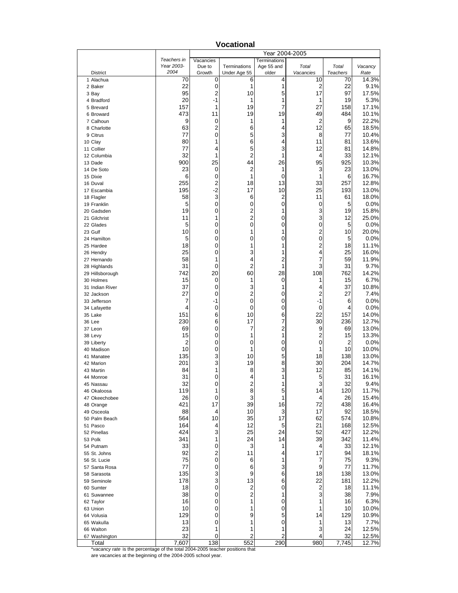|                                                                                        |                           |                     |                              | Year 2004-2005                    |                              |                 |                |
|----------------------------------------------------------------------------------------|---------------------------|---------------------|------------------------------|-----------------------------------|------------------------------|-----------------|----------------|
|                                                                                        | Teachers in<br>Year 2003- | Vacancies<br>Due to | Terminations                 | <b>Terminations</b><br>Age 55 and | Total                        | Total           | Vacancy        |
| District                                                                               | 2004                      | Growth              | Under Age 55                 | older                             | Vacancies                    | <b>Teachers</b> | Rate           |
| 1 Alachua                                                                              | 70                        | 0                   | 6                            | 4                                 | 10                           | 70              | 14.3%          |
| 2 Baker                                                                                | 22                        | 0                   | 1                            | 1                                 | 2                            | 22              | 9.1%           |
| 3 Bay                                                                                  | 95                        | 2                   | 10                           | 5                                 | 17                           | 97              | 17.5%          |
| 4 Bradford                                                                             | 20                        | -1                  | 1                            | 1<br>7                            | 1                            | 19              | 5.3%           |
| 5 Brevard<br>6 Broward                                                                 | 157<br>473                | 1<br>11             | 19<br>19                     | 19                                | 27<br>49                     | 158<br>484      | 17.1%<br>10.1% |
| 7 Calhoun                                                                              | 9                         | 0                   | 1                            | 1                                 | 2                            | 9               | 22.2%          |
| 8 Charlotte                                                                            | 63                        | 2                   | 6                            | 4                                 | 12                           | 65              | 18.5%          |
| 9 Citrus                                                                               | 77                        | 0                   | 5                            | 3                                 | 8                            | 77              | 10.4%          |
| 10 Clay                                                                                | 80                        | 1                   | 6                            | 4                                 | 11                           | 81              | 13.6%          |
| 11 Collier                                                                             | 77                        | 4                   | 5                            | 3                                 | 12                           | 81              | 14.8%          |
| 12 Columbia<br>13 Dade                                                                 | 32<br>900                 | 1<br>25             | $\overline{2}$<br>44         | 1<br>26                           | 4<br>95                      | 33<br>925       | 12.1%<br>10.3% |
| 14 De Soto                                                                             | 23                        | 0                   | 2                            | 1                                 | 3                            | 23              | 13.0%          |
| 15 Dixie                                                                               | 6                         | 0                   | 1                            | 0                                 | 1                            | 6               | 16.7%          |
| 16 Duval                                                                               | 255                       | 2                   | 18                           | 13                                | 33                           | 257             | 12.8%          |
| 17 Escambia                                                                            | 195                       | $-2$                | 17                           | 10                                | 25                           | 193             | 13.0%          |
| 18 Flagler                                                                             | 58                        | 3                   | 6                            | $\overline{c}$                    | 11                           | 61              | 18.0%          |
| 19 Franklin                                                                            | 5                         | 0                   | 0                            | 0                                 | 0                            | 5               | 0.0%           |
| 20 Gadsden<br>21 Gilchrist                                                             | 19<br>11                  | 0<br>1              | 2<br>2                       | 1<br>0                            | 3<br>3                       | 19<br>12        | 15.8%<br>25.0% |
| 22 Glades                                                                              | 5                         | 0                   | 0                            | 0                                 | 0                            | 5               | 0.0%           |
| 23 Gulf                                                                                | 10                        | 0                   | 1                            | 1                                 | 2                            | 10              | 20.0%          |
| 24 Hamilton                                                                            | 5                         | 0                   | 0                            | 0                                 | 0                            | 5               | 0.0%           |
| 25 Hardee                                                                              | 18                        | 0                   | 1                            | 1                                 | $\overline{c}$               | 18              | 11.1%          |
| 26 Hendry                                                                              | 25                        | 0                   | 3                            | 1                                 | 4                            | 25              | 16.0%          |
| 27 Hernando                                                                            | 58                        | 1                   | 4                            | 2                                 | 7                            | 59              | 11.9%          |
| 28 Highlands                                                                           | 31<br>742                 | 0<br>20             | 2<br>60                      | 1<br>28                           | 3<br>108                     | 31<br>762       | 9.7%<br>14.2%  |
| 29 Hillsborough<br>30 Holmes                                                           | 15                        | 0                   | 1                            | 0                                 | 1                            | 15              | 6.7%           |
| 31 Indian River                                                                        | 37                        | 0                   | 3                            | 1                                 | 4                            | 37              | 10.8%          |
| 32 Jackson                                                                             | 27                        | 0                   | 2                            | 0                                 | 2                            | 27              | 7.4%           |
| 33 Jefferson                                                                           | 7                         | -1                  | 0                            | 0                                 | $-1$                         | 6               | 0.0%           |
| 34 Lafayette                                                                           | 4                         | 0                   | 0                            | 0                                 | 0                            | 4               | 0.0%           |
| 35 Lake                                                                                | 151                       | 6                   | 10                           | 6                                 | 22                           | 157             | 14.0%          |
| 36 Lee                                                                                 | 230<br>69                 | 6<br>0              | 17<br>7                      | 7<br>2                            | 30<br>9                      | 236<br>69       | 12.7%<br>13.0% |
| 37 Leon<br>38 Levy                                                                     | 15                        | 0                   | 1                            | 1                                 | 2                            | 15              | 13.3%          |
| 39 Liberty                                                                             | $\overline{c}$            | 0                   | 0                            | 0                                 | 0                            | 2               | 0.0%           |
| 40 Madison                                                                             | 10                        | 0                   | 1                            | 0                                 | 1                            | 10              | 10.0%          |
| 41 Manatee                                                                             | 135                       | 3                   | 10                           | 5                                 | 18                           | 138             | 13.0%          |
| 42 Marion                                                                              | 201                       | 3                   | 19                           | 8                                 | 30                           | 204             | 14.7%          |
| 43 Martin                                                                              | 84                        | 1                   | 8                            | 3                                 | 12                           | 85              | 14.1%          |
| 44 Monroe<br>45 Nassau                                                                 | 31<br>32                  | 0<br>0              | 4<br>$\overline{c}$          | 1<br>1                            | 5<br>3                       | 31<br>32        | 16.1%<br>9.4%  |
| 46 Okaloosa                                                                            | 119                       | 1                   | 8                            | 5                                 | 14                           | 120             | 11.7%          |
| 47 Okeechobee                                                                          | 26                        | 0                   | 3                            | 1                                 | 4                            | 26              | 15.4%          |
| 48 Orange                                                                              | 421                       | 17                  | 39                           | 16                                | 72                           | 438             | 16.4%          |
| 49 Osceola                                                                             | 88                        | 4                   | 10                           | 3                                 | 17                           | 92              | 18.5%          |
| 50 Palm Beach                                                                          | 564                       | 10                  | 35                           | 17                                | 62                           | 574             | 10.8%          |
| 51 Pasco                                                                               | 164                       | 4                   | 12                           | 5                                 | 21                           | 168             | 12.5%          |
| 52 Pinellas<br>53 Polk                                                                 | 424<br>341                | 3<br>1              | 25<br>24                     | 24<br>14                          | 52<br>39                     | 427<br>342      | 12.2%<br>11.4% |
| 54 Putnam                                                                              | 33                        | 0                   | 3                            | 1                                 | 4                            | 33              | 12.1%          |
| 55 St. Johns                                                                           | 92                        | 2                   | 11                           | 4                                 | 17                           | 94              | 18.1%          |
| 56 St. Lucie                                                                           | 75                        | 0                   | 6                            | 1                                 | 7                            | 75              | 9.3%           |
| 57 Santa Rosa                                                                          | 77                        | 0                   | 6                            | 3                                 | 9                            | 77              | 11.7%          |
| 58 Sarasota                                                                            | 135                       | 3                   | 9                            | 6                                 | 18                           | 138             | 13.0%          |
| 59 Seminole                                                                            | 178                       | 3                   | 13                           | 6                                 | 22                           | 181             | 12.2%          |
| 60 Sumter                                                                              | 18<br>38                  | 0<br>0              | 2<br>$\overline{\mathbf{c}}$ | 0<br>1                            | $\overline{\mathbf{c}}$<br>3 | 18<br>38        | 11.1%          |
| 61 Suwannee<br>62 Taylor                                                               | 16                        | 0                   | 1                            | 0                                 | 1                            | 16              | 7.9%<br>6.3%   |
| 63 Union                                                                               | 10                        | 0                   | 1                            | 0                                 | 1                            | 10              | 10.0%          |
| 64 Volusia                                                                             | 129                       | 0                   | 9                            | 5                                 | 14                           | 129             | 10.9%          |
| 65 Wakulla                                                                             | 13                        | 0                   | 1                            | 0                                 | 1                            | 13              | 7.7%           |
| 66 Walton                                                                              | 23                        | 1                   | 1                            | 1                                 | 3                            | 24              | 12.5%          |
| 67 Washington                                                                          | 32                        | 0<br>138            | 2<br>552                     | $\overline{c}$                    | 4                            | 32              | 12.5%          |
| Total<br>*vacancy rate is the percentage of the total 2004-2005 teacher positions that | 7,607                     |                     |                              | 290                               | 980                          | 7,745           | 12.7%          |

**Vocational**

are vacancies at the beginning of the 2004-2005 school year.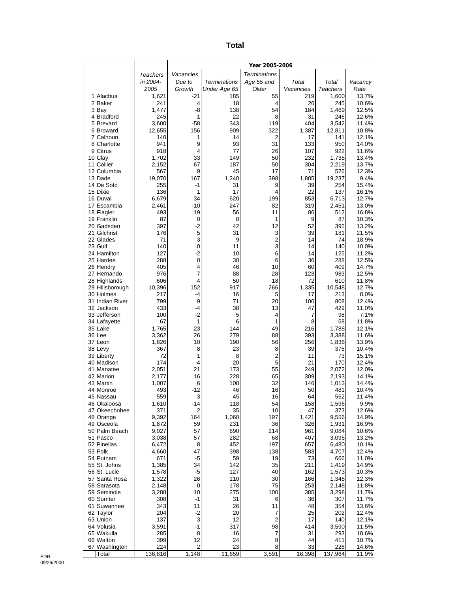| ×<br>×<br>۰,<br>$\sim$ |
|------------------------|
|------------------------|

|                               |                |               |                     | Year 2005-2006      |            |                |                |
|-------------------------------|----------------|---------------|---------------------|---------------------|------------|----------------|----------------|
|                               | Teachers       | Vacancies     |                     | <b>Terminations</b> |            |                |                |
|                               | in 2004-       | Due to        | <b>Terminations</b> | Age 55 and          | Total      | Total          | Vacancy        |
|                               | 2005           | Growth        | Under Age 65        | Older               | Vacancies  | Teachers       | Rate           |
| 1 Alachua                     | 1,621          | $-21$         | 185                 | 55                  | 219        | 1,600          | 13.7%          |
| 2 Baker<br>3 Bay              | 241<br>1,477   | 4<br>$-8$     | 18<br>138           | 4<br>54             | 26<br>184  | 245<br>1,469   | 10.6%<br>12.5% |
| 4 Bradford                    | 245            | 1             | 22                  | 8                   | 31         | 246            | 12.6%          |
| 5 Brevard                     | 3,600          | $-58$         | 343                 | 119                 | 404        | 3,542          | 11.4%          |
| 6 Broward                     | 12,655         | 156           | 909                 | 322                 | 1,387      | 12,811         | 10.8%          |
| 7 Calhoun                     | 140            | 1             | 14                  | $\overline{2}$      | 17         | 141            | 12.1%          |
| 8 Charlotte                   | 941            | 9             | 93                  | 31                  | 133        | 950            | 14.0%          |
| 9 Citrus<br>10 Clay           | 918<br>1,702   | 4<br>33       | 77<br>149           | 26<br>50            | 107<br>232 | 922<br>1,735   | 11.6%<br>13.4% |
| 11 Collier                    | 2,152          | 67            | 187                 | 50                  | 304        | 2,219          | 13.7%          |
| 12 Columbia                   | 567            | 9             | 45                  | 17                  | 71         | 576            | 12.3%          |
| 13 Dade                       | 19,070         | 167           | 1,240               | 398                 | 1,805      | 19,237         | 9.4%           |
| 14 De Soto                    | 255            | -1            | 31                  | 9                   | 39         | 254            | 15.4%          |
| 15 Dixie                      | 136            | 1             | 17                  | 4                   | 22         | 137            | 16.1%          |
| 16 Duval<br>17 Escambia       | 6,679<br>2,461 | 34<br>$-10$   | 620<br>247          | 199<br>82           | 853<br>319 | 6,713<br>2,451 | 12.7%<br>13.0% |
| 18 Flagler                    | 493            | 19            | 56                  | 11                  | 86         | 512            | 16.8%          |
| 19 Franklin                   | 87             | 0             | 8                   | 1                   | 9          | 87             | 10.3%          |
| 20 Gadsden                    | 397            | $-2$          | 42                  | 12                  | 52         | 395            | 13.2%          |
| 21 Gilchrist                  | 176            | 5             | 31                  | 3                   | 39         | 181            | 21.5%          |
| 22 Glades                     | 71             | 3             | 9                   | $\overline{c}$      | 14         | 74             | 18.9%          |
| 23 Gulf<br>24 Hamilton        | 140<br>127     | 0<br>$-2$     | 11                  | 3<br>6              | 14<br>14   | 140            | 10.0%          |
| 25 Hardee                     | 288            | 0             | 10<br>30            | 6                   | 36         | 125<br>288     | 11.2%<br>12.5% |
| 26 Hendry                     | 405            | 4             | 46                  | 10                  | 60         | 409            | 14.7%          |
| 27 Hernando                   | 976            | 7             | 88                  | 28                  | 123        | 983            | 12.5%          |
| 28 Highlands                  | 606            | 4             | 50                  | 18                  | 72         | 610            | 11.8%          |
| 29 Hillsborough               | 10,396         | 152           | 917                 | 266                 | 1,335      | 10,548         | 12.7%          |
| 30 Holmes                     | 217            | $-4$          | 16                  | 5                   | 17         | 213            | 8.0%           |
| 31 Indian River<br>32 Jackson | 799<br>433     | 9<br>$-4$     | 71<br>38            | 20<br>13            | 100<br>47  | 808<br>429     | 12.4%<br>11.0% |
| 33 Jefferson                  | 100            | $-2$          | 5                   | 4                   | 7          | 98             | 7.1%           |
| 34 Lafayette                  | 67             | $\mathbf{1}$  | 6                   | 1                   | 8          | 68             | 11.8%          |
| 35 Lake                       | 1,765          | 23            | 144                 | 49                  | 216        | 1,788          | 12.1%          |
| 36 Lee                        | 3,362          | 26            | 279                 | 88                  | 393        | 3,388          | 11.6%          |
| 37 Leon                       | 1,826          | 10            | 190                 | 56                  | 256        | 1,836          | 13.9%          |
| 38 Levy<br>39 Liberty         | 367<br>72      | 8<br>1        | 23<br>8             | 8<br>2              | 39<br>11   | 375<br>73      | 10.4%<br>15.1% |
| 40 Madison                    | 174            | $-4$          | 20                  | 5                   | 21         | 170            | 12.4%          |
| 41 Manatee                    | 2,051          | 21            | 173                 | 55                  | 249        | 2,072          | 12.0%          |
| 42 Marion                     | 2,177          | 16            | 228                 | 65                  | 309        | 2,193          | 14.1%          |
| 43 Martin                     | 1,007          | 6             | 108                 | 32                  | 146        | 1,013          | 14.4%          |
| 44 Monroe                     | 493            | $-12$         | 46                  | 16                  | 50         | 481            | 10.4%          |
| 45 Nassau<br>46 Okaloosa      | 559<br>1,610   | 3<br>-14      | 45<br>118           | 16<br>54            | 64<br>158  | 562<br>1,596   | 11.4%<br>9.9%  |
| 47 Okeechobee                 | 371            | 2             | 35                  | 10                  | 47         | 373            | 12.6%          |
| 48 Orange                     | 9,392          | 164           | 1,060               | 197                 | 1,421      | 9,556          | 14.9%          |
| 49 Osceola                    | 1,872          | 59            | 231                 | 36                  | 326        | 1,931          | 16.9%          |
| 50 Palm Beach                 | 9,027          | 57            | 690                 | 214                 | 961        | 9,084          | 10.6%          |
| 51 Pasco                      | 3,038          | 57            | 282                 | 68                  | 407        | 3,095          | 13.2%          |
| 52 Pinellas<br>53 Polk        | 6,472<br>4,660 | 8<br>47       | 452<br>398          | 197<br>138          | 657<br>583 | 6,480<br>4,707 | 10.1%<br>12.4% |
| 54 Putnam                     | 671            | $-5$          | 59                  | 19                  | 73         | 666            | 11.0%          |
| 55 St. Johns                  | 1,385          | 34            | 142                 | 35                  | 211        | 1,419          | 14.9%          |
| 56 St. Lucie                  | 1,578          | -5            | 127                 | 40                  | 162        | 1,573          | 10.3%          |
| 57 Santa Rosa                 | 1,322          | 26            | 110                 | 30                  | 166        | 1,348          | 12.3%          |
| 58 Sarasota                   | 2,148          | 0             | 178                 | 75                  | 253        | 2,148          | 11.8%          |
| 59 Seminole<br>60 Sumter      | 3,288<br>308   | 10<br>-1      | 275<br>31           | 100<br>6            | 385<br>36  | 3,298<br>307   | 11.7%<br>11.7% |
| 61 Suwannee                   | 343            | 11            | 26                  | 11                  | 48         | 354            | 13.6%          |
| 62 Taylor                     | 204            | $-2$          | 20                  | 7                   | 25         | 202            | 12.4%          |
| 63 Union                      | 137            | 3             | 12                  | $\overline{2}$      | 17         | 140            | 12.1%          |
| 64 Volusia                    | 3,591          | $-1$          | 317                 | 98                  | 414        | 3,590          | 11.5%          |
| 65 Wakulla<br>66 Walton       | 285            | $\,8\,$<br>12 | 16<br>24            | 7<br>8              | 31<br>44   | 293            | 10.6%          |
| 67 Washington                 | 399<br>224     | $\mathbf 2$   | 23                  | 8                   | 33         | 411<br>226     | 10.7%<br>14.6% |
| Total                         | 136,816        | 1,148         | 11,659              | 3,591               | 16,398     | 137,964        | 11.9%          |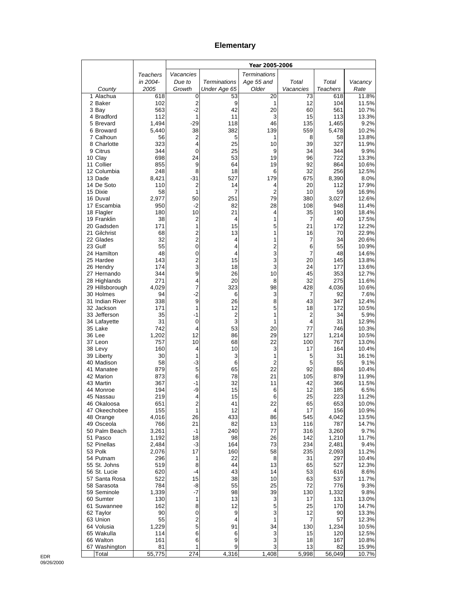# **Elementary**

|                              |                |             |                     | Year 2005-2006      |            |                |                |
|------------------------------|----------------|-------------|---------------------|---------------------|------------|----------------|----------------|
|                              | Teachers       | Vacancies   |                     | <b>Terminations</b> |            |                |                |
|                              | in 2004-       | Due to      | <b>Terminations</b> | Age 55 and          | Total      | Total          | Vacancy        |
| County                       | 2005           | Growth      | Under Age 65        | Older               | Vacancies  | Teachers       | Rate           |
| 1 Alachua<br>2 Baker         | 618<br>102     | 0<br>2      | 53<br>9             | 20<br>1             | 73<br>12   | 618<br>104     | 11.8%<br>11.5% |
| 3 Bay                        | 563            | $-2$        | 42                  | 20                  | 60         | 561            | 10.7%          |
| 4 Bradford                   | 112            | 1           | 11                  | 3                   | 15         | 113            | 13.3%          |
| 5 Brevard                    | 1,494          | -29         | 118                 | 46                  | 135        | 1,465          | 9.2%           |
| 6 Broward                    | 5,440          | 38          | 382                 | 139                 | 559        | 5,478          | 10.2%          |
| 7 Calhoun                    | 56             | 2           | 5                   | 1                   | 8          | 58             | 13.8%          |
| 8 Charlotte<br>9 Citrus      | 323<br>344     | 4<br>0      | 25<br>25            | 10<br>9             | 39<br>34   | 327<br>344     | 11.9%<br>9.9%  |
| 10 Clay                      | 698            | 24          | 53                  | 19                  | 96         | 722            | 13.3%          |
| 11 Collier                   | 855            | 9           | 64                  | 19                  | 92         | 864            | 10.6%          |
| 12 Columbia                  | 248            | 8           | 18                  | 6                   | 32         | 256            | 12.5%          |
| 13 Dade                      | 8,421          | $-31$       | 527                 | 179                 | 675        | 8,390          | 8.0%           |
| 14 De Soto<br>15 Dixie       | 110<br>58      | 2<br>1      | 14<br>7             | 4<br>$\overline{2}$ | 20<br>10   | 112<br>59      | 17.9%<br>16.9% |
| 16 Duval                     | 2,977          | 50          | 251                 | 79                  | 380        | 3,027          | 12.6%          |
| 17 Escambia                  | 950            | $-2$        | 82                  | 28                  | 108        | 948            | 11.4%          |
| 18 Flagler                   | 180            | 10          | 21                  | 4                   | 35         | 190            | 18.4%          |
| 19 Franklin                  | 38             | 2           | 4                   | 1                   | 7          | 40             | 17.5%          |
| 20 Gadsden<br>21 Gilchrist   | 171<br>68      | 1<br>2      | 15<br>13            | 5<br>1              | 21<br>16   | 172<br>70      | 12.2%<br>22.9% |
| 22 Glades                    | 32             | 2           | 4                   | 1                   | 7          | 34             | 20.6%          |
| 23 Gulf                      | 55             | 0           | 4                   | 2                   | 6          | 55             | 10.9%          |
| 24 Hamilton                  | 48             | 0           | 4                   | 3                   | 7          | 48             | 14.6%          |
| 25 Hardee                    | 143            | 2           | 15                  | 3                   | 20         | 145            | 13.8%          |
| 26 Hendry                    | 174            | 3           | 18                  | 3                   | 24         | 177            | 13.6%          |
| 27 Hernando<br>28 Highlands  | 344<br>271     | 9<br>4      | 26<br>20            | 10<br>8             | 45<br>32   | 353<br>275     | 12.7%<br>11.6% |
| 29 Hillsborough              | 4,029          | 7           | 323                 | 98                  | 428        | 4,036          | 10.6%          |
| 30 Holmes                    | 94             | -2          | 6                   | 3                   | 7          | 92             | 7.6%           |
| 31 Indian River              | 338            | 9           | 26                  | 8                   | 43         | 347            | 12.4%          |
| 32 Jackson                   | 171            | 1           | 12                  | 5                   | 18         | 172            | 10.5%          |
| 33 Jefferson                 | 35<br>31       | -1<br>0     | $\overline{c}$<br>3 | 1<br>1              | 2<br>4     | 34<br>31       | 5.9%<br>12.9%  |
| 34 Lafayette<br>35 Lake      | 742            | 4           | 53                  | 20                  | 77         | 746            | 10.3%          |
| 36 Lee                       | 1,202          | 12          | 86                  | 29                  | 127        | 1,214          | 10.5%          |
| 37 Leon                      | 757            | 10          | 68                  | 22                  | 100        | 767            | 13.0%          |
| 38 Levy                      | 160            | 4           | 10                  | 3                   | 17         | 164            | 10.4%          |
| 39 Liberty<br>40 Madison     | 30<br>58       | 1<br>$-3$   | 3<br>6              | 1<br>$\overline{2}$ | 5<br>5     | 31<br>55       | 16.1%<br>9.1%  |
| 41 Manatee                   | 879            | 5           | 65                  | 22                  | 92         | 884            | 10.4%          |
| 42 Marion                    | 873            | 6           | 78                  | 21                  | 105        | 879            | 11.9%          |
| 43 Martin                    | 367            | -1          | 32                  | 11                  | 42         | 366            | 11.5%          |
| 44 Monroe                    | 194            | -9          | 15                  | 6                   | 12         | 185            | 6.5%           |
| 45 Nassau                    | 219            | 4           | 15                  | 6<br>22             | 25         | 223<br>653     | 11.2%<br>10.0% |
| 46 Okaloosa<br>47 Okeechobee | 651<br>155     | 2<br>1      | 41<br>12            | 4                   | 65<br>17   | 156            | 10.9%          |
| 48 Orange                    | 4,016          | 26          | 433                 | 86                  | 545        | 4,042          | 13.5%          |
| 49 Osceola                   | 766            | 21          | 82                  | 13                  | 116        | 787            | 14.7%          |
| 50 Palm Beach                | 3,261          | -1          | 240                 | 77                  | 316        | 3,260          | 9.7%           |
| 51 Pasco                     | 1,192          | 18          | 98                  | 26                  | 142        | 1,210          | 11.7%          |
| 52 Pinellas<br>53 Polk       | 2,484<br>2,076 | $-3$<br>17  | 164<br>160          | 73<br>58            | 234<br>235 | 2,481<br>2,093 | 9.4%<br>11.2%  |
| 54 Putnam                    | 296            | 1           | 22                  | 8                   | 31         | 297            | 10.4%          |
| 55 St. Johns                 | 519            | 8           | 44                  | 13                  | 65         | 527            | 12.3%          |
| 56 St. Lucie                 | 620            | -4          | 43                  | 14                  | 53         | 616            | 8.6%           |
| 57 Santa Rosa                | 522            | 15          | 38                  | 10                  | 63         | 537            | 11.7%          |
| 58 Sarasota<br>59 Seminole   | 784<br>1,339   | -8<br>-7    | 55<br>98            | 25<br>39            | 72<br>130  | 776<br>1,332   | 9.3%<br>9.8%   |
| 60 Sumter                    | 130            | 1           | 13                  | 3                   | 17         | 131            | 13.0%          |
| 61 Suwannee                  | 162            | 8           | 12                  | 5                   | 25         | 170            | 14.7%          |
| 62 Taylor                    | 90             | $\pmb{0}$   | 9                   | 3                   | 12         | 90             | 13.3%          |
| 63 Union                     | 55             | $\mathbf 2$ | 4                   | 1                   | 7          | 57             | 12.3%          |
| 64 Volusia<br>65 Wakulla     | 1,229<br>114   | 5<br>6      | 91<br>6             | 34<br>3             | 130<br>15  | 1,234<br>120   | 10.5%<br>12.5% |
| 66 Walton                    | 161            | 6           | 9                   | 3                   | 18         | 167            | 10.8%          |
| 67 Washington                | 81             | 1           | 9                   | 3                   | 13         | 82             | 15.9%          |
| Total                        | 55,775         | 274         | 4,316               | 1,408               | 5,998      | 56,049         | 10.7%          |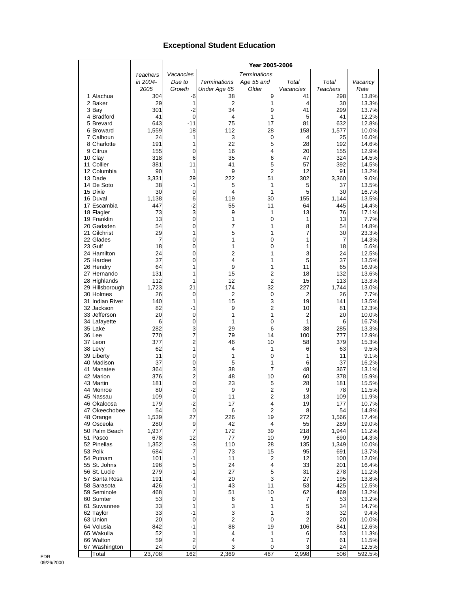## **Exceptional Student Education**

|                           |                 |                                        |                     | Year 2005-2006      |           |                 |                |
|---------------------------|-----------------|----------------------------------------|---------------------|---------------------|-----------|-----------------|----------------|
|                           | <b>Teachers</b> | Vacancies                              |                     | <b>Terminations</b> |           |                 |                |
|                           | in 2004-        | Due to                                 | Terminations        | Age 55 and          | Total     | Total           | Vacancy        |
|                           | 2005            | Growth                                 | Under Age 65        | Older               | Vacancies | <b>Teachers</b> | Rate           |
| 1 Alachua                 | 304             | -6                                     | 38                  | 9                   | 41        | 298             | 13.8%          |
| 2 Baker                   | 29              | 1                                      | $\overline{2}$      | 1                   | 4         | 30              | 13.3%          |
| 3 Bay                     | 301             | $-2$                                   | 34                  | 9                   | 41        | 299             | 13.7%          |
| 4 Bradford                | 41              | $\mathbf 0$                            | 4<br>75             | 1                   | 5         | 41              | 12.2%          |
| 5 Brevard<br>6 Broward    | 643<br>1,559    | $-11$<br>18                            | 112                 | 17<br>28            | 81<br>158 | 632<br>1,577    | 12.8%<br>10.0% |
| 7 Calhoun                 | 24              | 1                                      | 3                   | 0                   | 4         | 25              | 16.0%          |
| 8 Charlotte               | 191             | 1                                      | 22                  | 5                   | 28        | 192             | 14.6%          |
| 9 Citrus                  | 155             | 0                                      | 16                  | 4                   | 20        | 155             | 12.9%          |
| 10 Clay                   | 318             | 6                                      | 35                  | 6                   | 47        | 324             | 14.5%          |
| 11 Collier                | 381             | 11                                     | 41                  | 5                   | 57        | 392             | 14.5%          |
| 12 Columbia               | 90              | 1                                      | 9                   | 2                   | 12        | 91              | 13.2%          |
| 13 Dade                   | 3,331           | 29                                     | 222                 | 51                  | 302       | 3,360           | 9.0%           |
| 14 De Soto                | 38<br>30        | $-1$<br>$\mathbf 0$                    | 5<br>4              | 1<br>1              | 5<br>5    | 37<br>30        | 13.5%          |
| 15 Dixie<br>16 Duval      | 1,138           | 6                                      | 119                 | 30                  | 155       | 1,144           | 16.7%<br>13.5% |
| 17 Escambia               | 447             | $-2$                                   | 55                  | 11                  | 64        | 445             | 14.4%          |
| 18 Flagler                | 73              | 3                                      | 9                   | 1                   | 13        | 76              | 17.1%          |
| 19 Franklin               | 13              | $\pmb{0}$                              | 1                   | 0                   | 1         | 13              | 7.7%           |
| 20 Gadsden                | 54              | 0                                      | 7                   | 1                   | 8         | 54              | 14.8%          |
| 21 Gilchrist              | 29              | 1                                      | 5                   | 1                   | 7         | 30              | 23.3%          |
| 22 Glades                 | 7               | 0                                      | 1                   | 0                   | 1         | 7               | 14.3%          |
| 23 Gulf                   | 18              | 0                                      | 1                   | 0                   | 1         | 18              | 5.6%           |
| 24 Hamilton<br>25 Hardee  | 24<br>37        | 0<br>0                                 | $\overline{2}$<br>4 | 1<br>1              | 3<br>5    | 24<br>37        | 12.5%<br>13.5% |
| 26 Hendry                 | 64              | 1                                      | 9                   | 1                   | 11        | 65              | 16.9%          |
| 27 Hernando               | 131             | 1                                      | 15                  | 2                   | 18        | 132             | 13.6%          |
| 28 Highlands              | 112             | 1                                      | 12                  | 2                   | 15        | 113             | 13.3%          |
| 29 Hillsborough           | 1,723           | 21                                     | 174                 | 32                  | 227       | 1,744           | 13.0%          |
| 30 Holmes                 | 26              | $\mathbf 0$                            | 2                   | 0                   | 2         | 26              | 7.7%           |
| 31 Indian River           | 140             | 1                                      | 15                  | 3                   | 19        | 141             | 13.5%          |
| 32 Jackson                | 82              | -1                                     | 9                   | $\overline{2}$      | 10        | 81              | 12.3%          |
| 33 Jefferson              | 20              | 0<br>0                                 | 1<br>1              | 1<br>0              | 2<br>1    | 20              | 10.0%          |
| 34 Lafayette<br>35 Lake   | 6<br>282        | 3                                      | 29                  | 6                   | 38        | 6<br>285        | 16.7%<br>13.3% |
| 36 Lee                    | 770             | 7                                      | 79                  | 14                  | 100       | 777             | 12.9%          |
| 37 Leon                   | 377             | 2                                      | 46                  | 10                  | 58        | 379             | 15.3%          |
| 38 Levy                   | 62              | 1                                      | 4                   | 1                   | 6         | 63              | 9.5%           |
| 39 Liberty                | 11              | 0                                      | 1                   | $\Omega$            | 1         | 11              | 9.1%           |
| 40 Madison                | 37              | 0                                      | 5                   | 1                   | 6         | 37              | 16.2%          |
| 41 Manatee                | 364             | 3                                      | 38                  | 7                   | 48        | 367             | 13.1%          |
| 42 Marion<br>43 Martin    | 376<br>181      | $\overline{\mathbf{c}}$<br>$\mathbf 0$ | 48<br>23            | 10<br>5             | 60<br>28  | 378<br>181      | 15.9%<br>15.5% |
| 44 Monroe                 | 80              | $-2$                                   | 9                   | $\overline{2}$      | 9         | 78              | 11.5%          |
| 45 Nassau                 | 109             | $\mathbf 0$                            | 11                  | $\overline{2}$      | 13        | 109             | 11.9%          |
| 46 Okaloosa               | 179             | -2                                     | 17                  | 4                   | 19        | 177             | 10.7%          |
| 47 Okeechobee             | 54              | $\mathbf 0$                            | 6                   | $\overline{2}$      | 8         | 54              | 14.8%          |
| 48 Orange                 | 1,539           | 27                                     | 226                 | 19                  | 272       | 1,566           | 17.4%          |
| 49 Osceola                | 280             | 9                                      | 42                  | 4                   | 55        | 289             | 19.0%          |
| 50 Palm Beach<br>51 Pasco | 1,937           | $\overline{7}$<br>12                   | 172<br>77           | 39<br>10            | 218<br>99 | 1,944           | 11.2%<br>14.3% |
| 52 Pinellas               | 678<br>1,352    | $-3$                                   | 110                 | 28                  | 135       | 690<br>1,349    | 10.0%          |
| 53 Polk                   | 684             | $\overline{7}$                         | 73                  | 15                  | 95        | 691             | 13.7%          |
| 54 Putnam                 | 101             | -1                                     | 11                  | 2                   | 12        | 100             | 12.0%          |
| 55 St. Johns              | 196             | 5                                      | 24                  | 4                   | 33        | 201             | 16.4%          |
| 56 St. Lucie              | 279             | -1                                     | 27                  | 5                   | 31        | 278             | 11.2%          |
| 57 Santa Rosa             | 191             | 4                                      | 20                  | 3                   | 27        | 195             | 13.8%          |
| 58 Sarasota               | 426             | -1                                     | 43                  | 11                  | 53        | 425             | 12.5%          |
| 59 Seminole               | 468             | 1                                      | 51                  | 10                  | 62        | 469             | 13.2%          |
| 60 Sumter<br>61 Suwannee  | 53<br>33        | 0<br>1                                 | 6<br>3              | 1<br>1              | 7<br>5    | 53<br>34        | 13.2%<br>14.7% |
| 62 Taylor                 | 33              | -1                                     | 3                   | 1                   | 3         | 32              | 9.4%           |
| 63 Union                  | 20              | $\mathbf 0$                            | $\overline{2}$      | 0                   | 2         | 20              | 10.0%          |
| 64 Volusia                | 842             | $-1$                                   | 88                  | 19                  | 106       | 841             | 12.6%          |
| 65 Wakulla                | 52              | 1                                      | 4                   | 1                   | 6         | 53              | 11.3%          |
| 66 Walton                 | 59              | 2                                      | 4                   | 1                   | 7         | 61              | 11.5%          |
| 67 Washington             | 24              | $\mathbf 0$                            | 3                   | 0                   | 3         | 24              | 12.5%          |
| Total                     | 23,708          | 162                                    | 2,369               | 467                 | 2,998     | 506             | 592.5%         |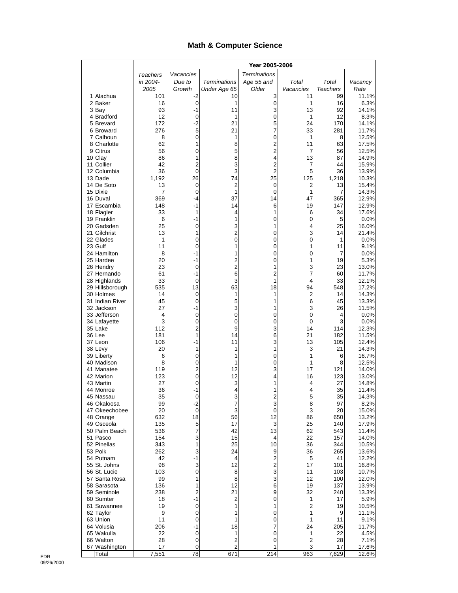## **Math & Computer Science**

|                               |            | Year 2005-2006    |                     |                     |                |                 |                |
|-------------------------------|------------|-------------------|---------------------|---------------------|----------------|-----------------|----------------|
|                               | Teachers   | Vacancies         |                     | <b>Terminations</b> |                |                 |                |
|                               | in 2004-   | Due to            | <b>Terminations</b> | Age 55 and          | Total          | Total           | Vacancy        |
|                               | 2005       | Growth            | Under Age 65        | Older               | Vacancies      | <b>Teachers</b> | Rate           |
| 1 Alachua<br>2 Baker          | 101<br>16  | -2<br>0           | 10<br>1             | 3<br>0              | 11<br>1        | 99<br>16        | 11.1%<br>6.3%  |
| 3 Bay                         | 93         | $-1$              | 11                  | 3                   | 13             | 92              | 14.1%          |
| 4 Bradford                    | 12         | 0                 | 1                   | 0                   | 1              | 12              | 8.3%           |
| 5 Brevard                     | 172        | $-2$              | 21                  | 5                   | 24             | 170             | 14.1%          |
| 6 Broward                     | 276        | 5                 | 21                  | 7                   | 33             | 281             | 11.7%          |
| 7 Calhoun<br>8 Charlotte      | 8<br>62    | $\mathbf 0$       | 1                   | 0                   | 1<br>11        | 8               | 12.5%          |
| 9 Citrus                      | 56         | 1<br>0            | 8<br>5              | 2<br>2              | 7              | 63<br>56        | 17.5%<br>12.5% |
| 10 Clay                       | 86         | 1                 | 8                   | 4                   | 13             | 87              | 14.9%          |
| 11 Collier                    | 42         | $\overline{2}$    | 3                   | $\overline{c}$      | 7              | 44              | 15.9%          |
| 12 Columbia                   | 36         | 0                 | 3                   | 2                   | 5              | 36              | 13.9%          |
| 13 Dade                       | 1,192      | 26                | 74                  | 25                  | 125            | 1,218           | 10.3%          |
| 14 De Soto<br>15 Dixie        | 13<br>7    | 0<br>0            | $\overline{2}$<br>1 | 0<br>0              | 2<br>1         | 13<br>7         | 15.4%<br>14.3% |
| 16 Duval                      | 369        | -4                | 37                  | 14                  | 47             | 365             | 12.9%          |
| 17 Escambia                   | 148        | $-1$              | 14                  | 6                   | 19             | 147             | 12.9%          |
| 18 Flagler                    | 33         | 1                 | 4                   | 1                   | 6              | 34              | 17.6%          |
| 19 Franklin                   | 6          | $-1$              | 1                   | 0                   | 0              | 5               | 0.0%           |
| 20 Gadsden<br>21 Gilchrist    | 25<br>13   | 0<br>1            | 3<br>$\overline{c}$ | 1<br>0              | 4<br>3         | 25<br>14        | 16.0%<br>21.4% |
| 22 Glades                     | 1          | 0                 | 0                   | 0                   | 0              | 1               | 0.0%           |
| 23 Gulf                       | 11         | 0                 | 1                   | 0                   | 1              | 11              | 9.1%           |
| 24 Hamilton                   | 8          | -1                | 1                   | 0                   | 0              | 7               | 0.0%           |
| 25 Hardee                     | 20         | -1                | 2                   | 0                   | 1              | 19              | 5.3%           |
| 26 Hendry<br>27 Hernando      | 23<br>61   | 0<br>-1           | $\overline{2}$<br>6 | 1<br>2              | 3<br>7         | 23<br>60        | 13.0%<br>11.7% |
| 28 Highlands                  | 33         | 0                 | 3                   | 1                   | 4              | 33              | 12.1%          |
| 29 Hillsborough               | 535        | 13                | 63                  | 18                  | 94             | 548             | 17.2%          |
| 30 Holmes                     | 14         | 0                 | 1                   | 1                   | 2              | 14              | 14.3%          |
| 31 Indian River               | 45         | 0                 | 5                   | 1                   | 6              | 45              | 13.3%          |
| 32 Jackson<br>33 Jefferson    | 27<br>4    | $-1$<br>$\pmb{0}$ | 3<br>0              | 1<br>0              | 3<br>0         | 26<br>4         | 11.5%<br>0.0%  |
| 34 Lafayette                  | 3          | 0                 | 0                   | 0                   | 0              | 3               | 0.0%           |
| 35 Lake                       | 112        | 2                 | 9                   | 3                   | 14             | 114             | 12.3%          |
| 36 Lee                        | 181        | 1                 | 14                  | 6                   | 21             | 182             | 11.5%          |
| 37 Leon                       | 106        | -1                | 11                  | 3                   | 13             | 105             | 12.4%          |
| 38 Levy<br>39 Liberty         | 20<br>6    | 1<br>0            | 1<br>1              | 1<br>0              | 3<br>1         | 21<br>6         | 14.3%<br>16.7% |
| 40 Madison                    | 8          | 0                 | 1                   | 0                   | 1              | 8               | 12.5%          |
| 41 Manatee                    | 119        | 2                 | 12                  | 3                   | 17             | 121             | 14.0%          |
| 42 Marion                     | 123        | 0                 | 12                  | 4                   | 16             | 123             | 13.0%          |
| 43 Martin                     | 27         | 0                 | 3                   | 1                   | 4              | 27              | 14.8%          |
| 44 Monroe<br>45 Nassau        | 36<br>35   | $-1$<br>0         | 4<br>3              | 1                   | 4<br>5         | 35<br>35        | 11.4%<br>14.3% |
| 46 Okaloosa                   | 99         | $-2$              | 7                   | 2<br>3              | 8              | 97              | 8.2%           |
| 47 Okeechobee                 | 20         | $\mathbf 0$       | 3                   | 0                   | 3              | 20              | 15.0%          |
| 48 Orange                     | 632        | 18                | 56                  | 12                  | 86             | 650             | 13.2%          |
| 49 Osceola                    | 135        | 5                 | 17                  | 3                   | 25             | 140             | 17.9%          |
| 50 Palm Beach<br>51 Pasco     | 536<br>154 | 7<br>3            | 42<br>15            | 13<br>4             | 62<br>22       | 543<br>157      | 11.4%<br>14.0% |
| 52 Pinellas                   | 343        | 1                 | 25                  | 10                  | 36             | 344             | 10.5%          |
| 53 Polk                       | 262        | 3                 | 24                  | 9                   | 36             | 265             | 13.6%          |
| 54 Putnam                     | 42         | -1                | 4                   | 2                   | 5              | 41              | 12.2%          |
| 55 St. Johns                  | 98         | 3                 | 12                  | 2                   | 17             | 101             | 16.8%          |
| 56 St. Lucie<br>57 Santa Rosa | 103<br>99  | 0<br>1            | 8<br>8              | 3<br>3              | 11<br>12       | 103<br>100      | 10.7%<br>12.0% |
| 58 Sarasota                   | 136        | 1                 | 12                  | 6                   | 19             | 137             | 13.9%          |
| 59 Seminole                   | 238        | 2                 | 21                  | 9                   | 32             | 240             | 13.3%          |
| 60 Sumter                     | 18         | $-1$              | $\overline{c}$      | 0                   | 1              | 17              | 5.9%           |
| 61 Suwannee                   | 19         | 0                 | 1                   | 1                   | 2              | 19              | 10.5%          |
| 62 Taylor<br>63 Union         | 9<br>11    | 0<br>0            | 1<br>1              | 0<br>0              | 1<br>1         | 9<br>11         | 11.1%<br>9.1%  |
| 64 Volusia                    | 206        | $-1$              | 18                  | 7                   | 24             | 205             | 11.7%          |
| 65 Wakulla                    | 22         | 0                 | 1                   | 0                   | 1              | 22              | 4.5%           |
| 66 Walton                     | 28         | 0                 | 2                   | 0                   | $\overline{c}$ | 28              | 7.1%           |
| 67 Washington                 | 17         | 0                 | 2                   | 1                   | 3              | 17              | 17.6%          |
| Total                         | 7,551      | 78                | 671                 | 214                 | 963            | 7,629           | 12.6%          |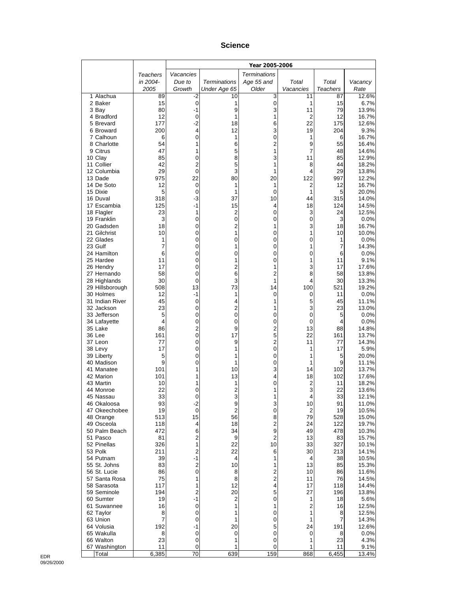#### **Science**

|                               |                | Year 2005-2006    |                      |                     |                      |                 |                |
|-------------------------------|----------------|-------------------|----------------------|---------------------|----------------------|-----------------|----------------|
|                               | Teachers       | Vacancies         |                      | <b>Terminations</b> |                      |                 |                |
|                               | in 2004-       | Due to            | <b>Terminations</b>  | Age 55 and          | Total                | Total           | Vacancy        |
|                               | 2005           | Growth            | Under Age 65         | Older               | Vacancies            | <b>Teachers</b> | Rate           |
| 1 Alachua<br>2 Baker          | 89<br>15       | -2<br>0           | 10<br>1              | 3<br>0              | 11<br>1              | 87<br>15        | 12.6%<br>6.7%  |
| 3 Bay                         | 80             | $-1$              | 9                    | 3                   | 11                   | 79              | 13.9%          |
| 4 Bradford                    | 12             | 0                 | 1                    | 1                   | 2                    | 12              | 16.7%          |
| 5 Brevard                     | 177            | $-2$              | 18                   | 6                   | 22                   | 175             | 12.6%          |
| 6 Broward                     | 200            | 4                 | 12                   | 3                   | 19                   | 204             | 9.3%           |
| 7 Calhoun<br>8 Charlotte      | 6<br>54        | 0<br>1            | 1<br>6               | 0<br>$\overline{c}$ | 1<br>9               | 6<br>55         | 16.7%<br>16.4% |
| 9 Citrus                      | 47             | 1                 | 5                    | 1                   | 7                    | 48              | 14.6%          |
| 10 Clay                       | 85             | 0                 | 8                    | 3                   | 11                   | 85              | 12.9%          |
| 11 Collier                    | 42             | $\overline{2}$    | 5                    | 1                   | 8                    | 44              | 18.2%          |
| 12 Columbia                   | 29             | 0                 | 3                    | 1                   | 4                    | 29              | 13.8%          |
| 13 Dade<br>14 De Soto         | 975<br>12      | 22<br>0           | 80<br>1              | 20<br>1             | 122<br>2             | 997<br>12       | 12.2%<br>16.7% |
| 15 Dixie                      | 5              | $\mathbf 0$       | 1                    | 0                   | 1                    | 5               | 20.0%          |
| 16 Duval                      | 318            | -3                | 37                   | 10                  | 44                   | 315             | 14.0%          |
| 17 Escambia                   | 125            | $-1$              | 15                   | 4                   | 18                   | 124             | 14.5%          |
| 18 Flagler                    | 23             | 1                 | 2                    | 0                   | 3                    | 24              | 12.5%          |
| 19 Franklin<br>20 Gadsden     | 3<br>18        | 0<br>0            | 0<br>2               | 0<br>1              | 0<br>3               | 3<br>18         | 0.0%<br>16.7%  |
| 21 Gilchrist                  | 10             | 0                 | 1                    | 0                   | 1                    | 10              | 10.0%          |
| 22 Glades                     | 1              | 0                 | 0                    | 0                   | 0                    | 1               | 0.0%           |
| 23 Gulf                       | $\overline{7}$ | 0                 | 1                    | 0                   | 1                    | 7               | 14.3%          |
| 24 Hamilton                   | 6<br>11        | 0                 | 0                    | 0                   | 0                    | 6               | 0.0%<br>9.1%   |
| 25 Hardee<br>26 Hendry        | 17             | 0<br>0            | 1<br>2               | 0<br>1              | 1<br>3               | 11<br>17        | 17.6%          |
| 27 Hernando                   | 58             | 0                 | 6                    | 2                   | 8                    | 58              | 13.8%          |
| 28 Highlands                  | 30             | $\mathbf 0$       | 3                    | 1                   | 4                    | 30              | 13.3%          |
| 29 Hillsborough               | 508            | 13                | 73                   | 14                  | 100                  | 521             | 19.2%          |
| 30 Holmes                     | 12<br>45       | $-1$              | 1                    | 0                   | 0                    | 11              | 0.0%           |
| 31 Indian River<br>32 Jackson | 23             | 0<br>0            | 4<br>2               | 1<br>1              | 5<br>3               | 45<br>23        | 11.1%<br>13.0% |
| 33 Jefferson                  | 5              | 0                 | $\pmb{0}$            | 0                   | 0                    | 5               | 0.0%           |
| 34 Lafayette                  | 4              | 0                 | 0                    | 0                   | 0                    | 4               | 0.0%           |
| 35 Lake                       | 86             | 2                 | 9                    | 2                   | 13                   | 88              | 14.8%          |
| 36 Lee<br>37 Leon             | 161<br>77      | 0<br>0            | 17<br>9              | 5<br>$\overline{c}$ | 22<br>11             | 161<br>77       | 13.7%<br>14.3% |
| 38 Levy                       | 17             | 0                 | 1                    | 0                   | 1                    | 17              | 5.9%           |
| 39 Liberty                    | 5              | 0                 | 1                    | 0                   | 1                    | 5               | 20.0%          |
| 40 Madison                    | 9              | 0                 | 1                    | 0                   | 1                    | 9               | 11.1%          |
| 41 Manatee                    | 101            | 1                 | 10                   | 3                   | 14                   | 102             | 13.7%          |
| 42 Marion<br>43 Martin        | 101<br>10      | 1<br>1            | 13<br>1              | 4<br>0              | 18<br>$\overline{c}$ | 102<br>11       | 17.6%<br>18.2% |
| 44 Monroe                     | 22             | 0                 | 2                    | 1                   | 3                    | 22              | 13.6%          |
| 45 Nassau                     | 33             | 0                 | 3                    | 1                   | 4                    | 33              | 12.1%          |
| 46 Okaloosa                   | 93             | $-2$              | 9                    | 3                   | 10                   | 91              | 11.0%          |
| 47 Okeechobee                 | 19             | $\mathbf 0$<br>15 | $\overline{c}$<br>56 | 0<br>8              | 2<br>79              | 19              | 10.5%          |
| 48 Orange<br>49 Osceola       | 513<br>118     | 4                 | 18                   | $\overline{c}$      | 24                   | 528<br>122      | 15.0%<br>19.7% |
| 50 Palm Beach                 | 472            | 6                 | 34                   | 9                   | 49                   | 478             | 10.3%          |
| 51 Pasco                      | 81             | 2                 | 9                    | $\overline{2}$      | 13                   | 83              | 15.7%          |
| 52 Pinellas                   | 326            | 1                 | 22                   | 10                  | 33                   | 327             | 10.1%          |
| 53 Polk<br>54 Putnam          | 211<br>39      | 2<br>-1           | 22<br>4              | 6<br>1              | 30<br>4              | 213<br>38       | 14.1%<br>10.5% |
| 55 St. Johns                  | 83             | 2                 | 10                   | 1                   | 13                   | 85              | 15.3%          |
| 56 St. Lucie                  | 86             | 0                 | 8                    | $\mathbf 2$         | 10                   | 86              | 11.6%          |
| 57 Santa Rosa                 | 75             | 1                 | 8                    | $\overline{c}$      | 11                   | 76              | 14.5%          |
| 58 Sarasota                   | 117            | 1                 | 12                   | 4                   | 17                   | 118             | 14.4%          |
| 59 Seminole<br>60 Sumter      | 194<br>19      | 2<br>$-1$         | 20<br>2              | 5<br>0              | 27<br>1              | 196<br>18       | 13.8%<br>5.6%  |
| 61 Suwannee                   | 16             | 0                 | 1                    | 1                   | 2                    | 16              | 12.5%          |
| 62 Taylor                     | 8              | 0                 | 1                    | 0                   | 1                    | 8               | 12.5%          |
| 63 Union                      | 7              | 0                 | 1                    | 0                   | 1                    | 7               | 14.3%          |
| 64 Volusia                    | 192            | -1                | 20                   | 5                   | 24                   | 191             | 12.6%          |
| 65 Wakulla<br>66 Walton       | 8<br>23        | 0<br>$\pmb{0}$    | 0<br>1               | 0<br>0              | 0<br>1               | 8<br>23         | 0.0%<br>4.3%   |
| 67 Washington                 | 11             | 0                 | 1                    | 0                   | 1                    | 11              | 9.1%           |
| Total                         | 6,385          | 70                | 639                  | 159                 | 868                  | 6,455           | 13.4%          |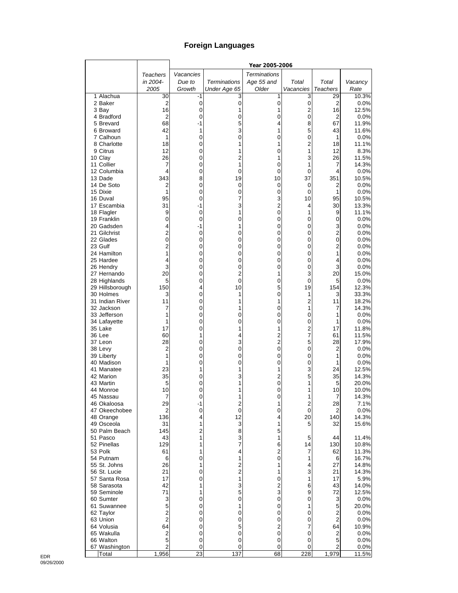# **Foreign Languages**

|                              |                     |                 |                     | Year 2005-2006      |                  |                     |                |
|------------------------------|---------------------|-----------------|---------------------|---------------------|------------------|---------------------|----------------|
|                              | Teachers            | Vacancies       |                     | <b>Terminations</b> |                  |                     |                |
|                              | in 2004-            | Due to          | <b>Terminations</b> | Age 55 and          | Total            | Total               | Vacancy        |
|                              | 2005                | Growth          | Under Age 65        | Older               | Vacancies        | <b>Teachers</b>     | Rate           |
| 1 Alachua                    | 30                  | -1              | 3                   | 1                   | 3                | 29                  | 10.3%          |
| 2 Baker                      | 2                   | 0               | $\mathbf 0$         | 0                   | $\pmb{0}$        | $\overline{2}$      | 0.0%<br>12.5%  |
| 3 Bay<br>4 Bradford          | 16<br>2             | 0<br>0          | 1<br>0              | 1<br>0              | 2<br>$\mathbf 0$ | 16<br>$\mathbf 2$   | 0.0%           |
| 5 Brevard                    | 68                  | -1              | 5                   | 4                   | 8                | 67                  | 11.9%          |
| 6 Broward                    | 42                  | 1               | 3                   | 1                   | 5                | 43                  | 11.6%          |
| 7 Calhoun                    | 1                   | 0               | 0                   | 0                   | 0                | 1                   | 0.0%           |
| 8 Charlotte                  | 18                  | 0               |                     | 1                   | $\overline{2}$   | 18                  | 11.1%          |
| 9 Citrus                     | 12                  | 0               | 1                   | 0                   | 1                | 12                  | 8.3%           |
| 10 Clay                      | 26                  | 0               | $\overline{c}$      | 1                   | 3                | 26                  | 11.5%          |
| 11 Collier                   | 7                   | 0               | 1                   | 0                   | 1                | 7                   | 14.3%          |
| 12 Columbia                  | 4                   | 0               | 0                   | 0                   | 0                | 4                   | 0.0%           |
| 13 Dade<br>14 De Soto        | 343<br>2            | 8<br>0          | 19<br>0             | 10<br>0             | 37<br>0          | 351<br>2            | 10.5%<br>0.0%  |
| 15 Dixie                     | 1                   | 0               | 0                   | 0                   | 0                | 1                   | 0.0%           |
| 16 Duval                     | 95                  | 0               | 7                   | 3                   | 10               | 95                  | 10.5%          |
| 17 Escambia                  | 31                  | -1              | 3                   | $\overline{c}$      | 4                | 30                  | 13.3%          |
| 18 Flagler                   | 9                   | 0               | 1                   | 0                   | 1                | 9                   | 11.1%          |
| 19 Franklin                  | 0                   | 0               | 0                   | 0                   | 0                | 0                   | 0.0%           |
| 20 Gadsden                   | 4                   | -1              | 1                   | 0                   | 0                | 3                   | 0.0%           |
| 21 Gilchrist                 | $\overline{2}$      | 0               | 0                   | 0                   | 0                | $\overline{2}$      | 0.0%           |
| 22 Glades                    | 0                   | 0               | 0                   | 0                   | 0                | 0                   | $0.0\%$        |
| 23 Gulf<br>24 Hamilton       | $\overline{2}$<br>1 | 0<br>0          | 0<br>0              | 0<br>0              | 0<br>0           | 2<br>1              | 0.0%<br>0.0%   |
| 25 Hardee                    | 4                   | 0               | 0                   | 0                   | 0                | 4                   | 0.0%           |
| 26 Hendry                    | 3                   | 0               | 0                   | 0                   | 0                | 3                   | 0.0%           |
| 27 Hernando                  | 20                  | 0               | $\overline{2}$      | 1                   | 3                | 20                  | 15.0%          |
| 28 Highlands                 | 5                   | 0               | 0                   | 0                   | 0                | 5                   | 0.0%           |
| 29 Hillsborough              | 150                 | 4               | 10                  | 5                   | 19               | 154                 | 12.3%          |
| 30 Holmes                    | 3                   | 0               | 1                   | 0                   | 1                | 3                   | 33.3%          |
| 31 Indian River              | 11                  | 0               | 1                   | 1                   | $\overline{2}$   | 11                  | 18.2%          |
| 32 Jackson                   | 7                   | 0               | 1                   | 0                   | 1                | 7                   | 14.3%          |
| 33 Jefferson<br>34 Lafayette | 1<br>1              | 0<br>0          | 0<br>0              | 0<br>0              | 0<br>0           | 1<br>1              | 0.0%<br>0.0%   |
| 35 Lake                      | 17                  | 0               | 1                   | 1                   | $\overline{2}$   | 17                  | 11.8%          |
| 36 Lee                       | 60                  | 1               | 4                   | 2                   | $\overline{7}$   | 61                  | 11.5%          |
| 37 Leon                      | 28                  | 0               | 3                   | $\overline{2}$      | 5                | 28                  | 17.9%          |
| 38 Levy                      | 2                   | 0               | 0                   | 0                   | 0                | 2                   | 0.0%           |
| 39 Liberty                   | 1                   | 0               | 0                   | 0                   | 0                | 1                   | 0.0%           |
| 40 Madison                   | 1                   | 0               | 0                   | 0                   | 0                | 1                   | 0.0%           |
| 41 Manatee                   | 23                  | 1               | 1                   | 1                   | 3                | 24                  | 12.5%          |
| 42 Marion                    | 35                  | 0               | 3                   | $\overline{c}$<br>0 | 5<br>1           | 35                  | 14.3%          |
| 43 Martin<br>44 Monroe       | 5<br>10             | 0<br>0          | 1<br>1              | 0                   | 1                | 5<br>10             | 20.0%<br>10.0% |
| 45 Nassau                    | 7                   | $\Omega$        |                     | 0                   | 1                | 7                   | 14.3%          |
| 46 Okaloosa                  | 29                  | -1              | 2                   | 1                   | $\overline{c}$   | 28                  | 7.1%           |
| 47 Okeechobee                | 2                   | 0               | $\mathbf 0$         | 0                   | 0                | 2                   | 0.0%           |
| 48 Orange                    | 136                 | 4               | 12                  | 4                   | 20               | 140                 | 14.3%          |
| 49 Osceola                   | 31                  | 1               | 3                   | 1                   | 5                | 32                  | 15.6%          |
| 50 Palm Beach                | 145                 | 2               | 8                   | 5                   |                  |                     |                |
| 51 Pasco                     | 43                  | 1               | 3                   | 1                   | 5                | 44                  | 11.4%          |
| 52 Pinellas<br>53 Polk       | 129<br>61           | 1<br>1          | 7<br>4              | 6<br>2              | 14<br>7          | 130<br>62           | 10.8%<br>11.3% |
| 54 Putnam                    | 6                   | 0               | 1                   | 0                   | 1                | 6                   | 16.7%          |
| 55 St. Johns                 | 26                  | 1               | $\overline{c}$      | 1                   | 4                | 27                  | 14.8%          |
| 56 St. Lucie                 | 21                  | 0               | $\overline{c}$      | 1                   | 3                | 21                  | 14.3%          |
| 57 Santa Rosa                | 17                  | 0               | 1                   | 0                   | 1                | 17                  | 5.9%           |
| 58 Sarasota                  | 42                  | 1               | 3                   | $\overline{c}$      | 6                | 43                  | 14.0%          |
| 59 Seminole                  | 71                  | 1               | 5                   | 3                   | 9                | 72                  | 12.5%          |
| 60 Sumter                    | 3                   | 0               | $\overline{0}$      | 0                   | 0                | 3                   | 0.0%           |
| 61 Suwannee                  | 5                   | 0               | 1                   | 0                   | 1                | 5                   | 20.0%          |
| 62 Taylor                    | 2<br>$\overline{c}$ | 0<br>0          | 0<br>0              | 0<br>0              | 0<br>0           | 2<br>$\overline{2}$ | $0.0\%$        |
| 63 Union<br>64 Volusia       | 64                  | 0               | 5                   | 2                   | 7                | 64                  | 0.0%<br>10.9%  |
| 65 Wakulla                   | 2                   | 0               | 0                   | 0                   | 0                | $\mathbf 2$         | 0.0%           |
| 66 Walton                    | 5                   | 0               | 0                   | 0                   | 0                | 5                   | 0.0%           |
| 67 Washington                | $\overline{c}$      | 0               | 0                   | 0                   | 0                | 2                   | 0.0%           |
| Total                        | 1,956               | $\overline{23}$ | 137                 | 68                  | 228              | 1,979               | 11.5%          |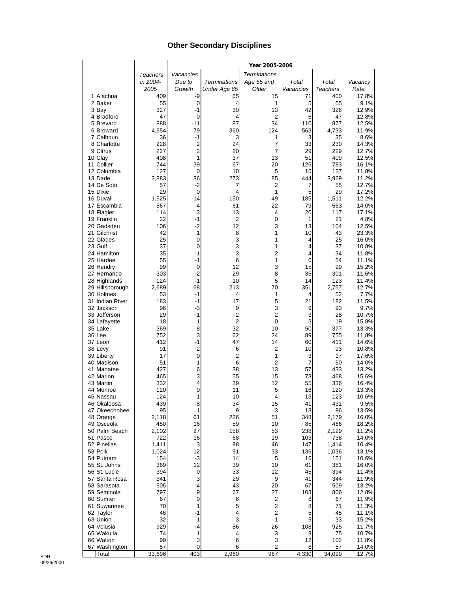## **Other Secondary Disciplines**

|                             |                 |                        |                     | Year 2005-2006       |           |              |                |
|-----------------------------|-----------------|------------------------|---------------------|----------------------|-----------|--------------|----------------|
|                             | <b>Teachers</b> | Vacancies              |                     | <b>Terminations</b>  |           |              |                |
|                             | in 2004-        | Due to                 | <b>Terminations</b> | Age 55 and           | Total     | Total        | Vacancy        |
|                             | 2005            | Growth                 | Under Age 65        | Older                | Vacancies | Teachers     | Rate           |
| 1 Alachua                   | 409             | -9                     | 65                  | 15                   | 71        | 400          | 17.8%          |
| 2 Baker                     | 55              | $\boldsymbol{0}$       | 4                   | 1                    | 5         | 55           | 9.1%           |
| 3 Bay                       | 327             | $-1$                   | 30                  | 13                   | 42        | 326          | 12.9%          |
| 4 Bradford                  | 47<br>888       | $\mathbf 0$<br>$-11$   | 4<br>87             | 2<br>34              | 6<br>110  | 47<br>877    | 12.8%<br>12.5% |
| 5 Brevard<br>6 Broward      | 4,654           | 79                     | 360                 | 124                  | 563       | 4,733        | 11.9%          |
| 7 Calhoun                   | 36              | $-1$                   | 3                   | 1                    | 3         | 35           | 8.6%           |
| 8 Charlotte                 | 228             | $\overline{c}$         | 24                  | 7                    | 33        | 230          | 14.3%          |
| 9 Citrus                    | 227             | $\overline{2}$         | 20                  | 7                    | 29        | 229          | 12.7%          |
| 10 Clay                     | 408             | 1                      | 37                  | 13                   | 51        | 409          | 12.5%          |
| 11 Collier                  | 744             | 39                     | 67                  | 20                   | 126       | 783          | 16.1%          |
| 12 Columbia                 | 127             | 0                      | 10                  | 5                    | 15        | 127          | 11.8%          |
| 13 Dade                     | 3,883           | 86                     | 273                 | 85                   | 444       | 3,969        | 11.2%          |
| 14 De Soto                  | 57              | $-2$                   | 7                   | 2                    | 7         | 55           | 12.7%          |
| 15 Dixie                    | 29              | $\mathbf 0$            | 4                   | 1<br>49              | 5         | 29           | 17.2%          |
| 16 Duval<br>17 Escambia     | 1,525<br>567    | -14<br>-4              | 150<br>61           | 22                   | 185<br>79 | 1,511<br>563 | 12.2%<br>14.0% |
| 18 Flagler                  | 114             | 3                      | 13                  | 4                    | 20        | 117          | 17.1%          |
| 19 Franklin                 | 22              | $-1$                   | 2                   | 0                    | 1         | 21           | 4.8%           |
| 20 Gadsden                  | 106             | $-2$                   | 12                  | 3                    | 13        | 104          | 12.5%          |
| 21 Gilchrist                | 42              | 1                      | 8                   | 1                    | 10        | 43           | 23.3%          |
| 22 Glades                   | 25              | 0                      | 3                   | 1                    | 4         | 25           | 16.0%          |
| 23 Gulf                     | 37              | 0                      | 3                   | 1                    | 4         | 37           | 10.8%          |
| 24 Hamilton                 | 35              | -1                     | 3                   | $\overline{2}$       | 4         | 34           | 11.8%          |
| 25 Hardee                   | 55              | -1                     | 6                   | 1                    | 6         | 54           | 11.1%          |
| 26 Hendry                   | 99              | 0                      | 12                  | 3                    | 15        | 99           | 15.2%          |
| 27 Hernando<br>28 Highlands | 303<br>124      | $-2$<br>$-1$           | 29<br>10            | 8<br>5               | 35<br>14  | 301<br>123   | 11.6%<br>11.4% |
| 29 Hillsborough             | 2,689           | 68                     | 213                 | 70                   | 351       | 2,757        | 12.7%          |
| 30 Holmes                   | 53              | $-1$                   | 4                   | 1                    | 4         | 52           | 7.7%           |
| 31 Indian River             | 183             | $-1$                   | 17                  | 5                    | 21        | 182          | 11.5%          |
| 32 Jackson                  | 96              | $-3$                   | 9                   | 3                    | 9         | 93           | 9.7%           |
| 33 Jefferson                | 29              | $-1$                   | 2                   | $\overline{2}$       | 3         | 28           | 10.7%          |
| 34 Lafayette                | 18              | 1                      | $\overline{2}$      | 0                    | 3         | 19           | 15.8%          |
| 35 Lake                     | 369             | 8                      | 32                  | 10                   | 50        | 377          | 13.3%          |
| 36 Lee                      | 752             | 3                      | 62                  | 24                   | 89        | 755          | 11.8%          |
| 37 Leon                     | 412             | $-1$<br>$\overline{2}$ | 47                  | 14<br>$\overline{2}$ | 60        | 411          | 14.6%          |
| 38 Levy<br>39 Liberty       | 91<br>17        | $\mathbf 0$            | 6<br>$\overline{c}$ | 1                    | 10<br>3   | 93<br>17     | 10.8%<br>17.6% |
| 40 Madison                  | 51              | $-1$                   | 6                   | $\overline{2}$       | 7         | 50           | 14.0%          |
| 41 Manatee                  | 427             | 6                      | 38                  | 13                   | 57        | 433          | 13.2%          |
| 42 Marion                   | 465             | 3                      | 55                  | 15                   | 73        | 468          | 15.6%          |
| 43 Martin                   | 332             | 4                      | 39                  | 12                   | 55        | 336          | 16.4%          |
| 44 Monroe                   | 120             | 0                      | 11                  | 5                    | 16        | 120          | 13.3%          |
| 45 Nassau                   | 124             | $-1$                   | 10                  | 4                    | 13        | 123          | 10.6%          |
| 46 Okaloosa                 | 439             | -8                     | 34                  | 15                   | 41        | 431          | 9.5%           |
| 47 Okeechobee<br>48 Orange  | 95              | 1<br>61                | 9                   | 3<br>51              | 13        | 96           | 13.5%          |
| 49 Osceola                  | 2,118<br>450    | 16                     | 236<br>59           | 10                   | 348<br>85 | 2,179<br>466 | 16.0%<br>18.2% |
| 50 Palm Beach               | 2,102           | 27                     | 158                 | 53                   | 238       | 2,129        | 11.2%          |
| 51 Pasco                    | 722             | 16                     | 68                  | 19                   | 103       | 738          | 14.0%          |
| 52 Pinellas                 | 1,411           | 3                      | 98                  | 46                   | 147       | 1,414        | 10.4%          |
| 53 Polk                     | 1,024           | 12                     | 91                  | 33                   | 136       | 1,036        | 13.1%          |
| 54 Putnam                   | 154             | $-3$                   | 14                  | 5                    | 16        | 151          | 10.6%          |
| 55 St. Johns                | 369             | 12                     | 39                  | 10                   | 61        | 381          | 16.0%          |
| 56 St. Lucie                | 394             | $\boldsymbol{0}$       | 33                  | 12                   | 45        | 394          | 11.4%          |
| 57 Santa Rosa               | 341             | 3                      | 29                  | 9                    | 41        | 344          | 11.9%          |
| 58 Sarasota                 | 505             | 4                      | 43                  | 20                   | 67        | 509          | 13.2%          |
| 59 Seminole                 | 797             | 9<br>0                 | 67                  | 27                   | 103       | 806          | 12.8%          |
| 60 Sumter<br>61 Suwannee    | 67<br>70        | 1                      | 6<br>5              | 2<br>$\overline{c}$  | 8<br>8    | 67<br>71     | 11.9%<br>11.3% |
| 62 Taylor                   | 46              | -1                     | 4                   | 2                    | 5         | 45           | 11.1%          |
| 63 Union                    | 32              | $\mathbf{1}$           | 3                   | 1                    | 5         | 33           | 15.2%          |
| 64 Volusia                  | 929             | $-4$                   | 86                  | 26                   | 108       | 925          | 11.7%          |
| 65 Wakulla                  | 74              | 1                      | 4                   | 3                    | 8         | 75           | 10.7%          |
| 66 Walton                   | 99              | 3                      | 6                   | 3                    | 12        | 102          | 11.8%          |
| 67 Washington               | 57              | 0                      | 6                   | 2                    | 8         | 57           | 14.0%          |
| Total                       | 33,696          | 403                    | 2,960               | 967                  | 4,330     | 34,099       | 12.7%          |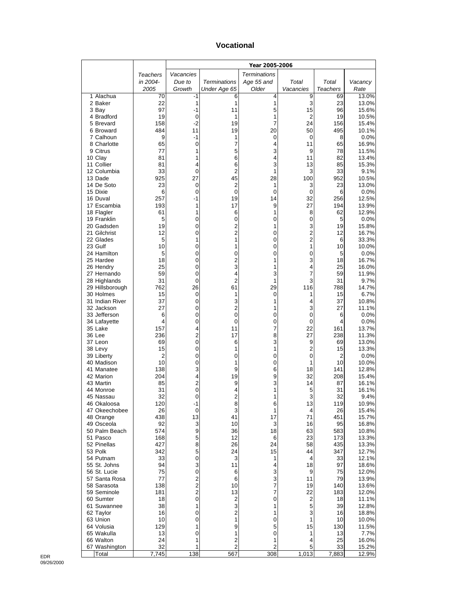#### **Vocational**

|                               |                 | Year 2005-2006 |                         |                       |                |                 |                |
|-------------------------------|-----------------|----------------|-------------------------|-----------------------|----------------|-----------------|----------------|
|                               | <b>Teachers</b> | Vacancies      |                         | <b>Terminations</b>   |                |                 |                |
|                               | in 2004-        | Due to         | <b>Terminations</b>     | Age 55 and            | Total          | Total           | Vacancy        |
|                               | 2005            | Growth         | Under Age 65            | Older                 | Vacancies      | <b>Teachers</b> | Rate           |
| 1 Alachua<br>2 Baker          | 70<br>22        | -1<br>1        | 6<br>1                  | 4<br>1                | 9<br>3         | 69<br>23        | 13.0%<br>13.0% |
| 3 Bay                         | 97              | -1             | 11                      | 5                     | 15             | 96              | 15.6%          |
| 4 Bradford                    | 19              | 0              | 1                       | 1                     | 2              | 19              | 10.5%          |
| 5 Brevard                     | 158             | $-2$           | 19                      | 7                     | 24             | 156             | 15.4%          |
| 6 Broward                     | 484<br>9        | 11<br>-1       | 19<br>1                 | 20                    | 50             | 495             | 10.1%          |
| 7 Calhoun<br>8 Charlotte      | 65              | 0              | 7                       | 0<br>4                | 0<br>11        | 8<br>65         | 0.0%<br>16.9%  |
| 9 Citrus                      | 77              | 1              | 5                       | 3                     | 9              | 78              | 11.5%          |
| 10 Clay                       | 81              | 1              | 6                       | 4                     | 11             | 82              | 13.4%          |
| 11 Collier                    | 81              | 4              | 6                       | 3                     | 13             | 85              | 15.3%          |
| 12 Columbia<br>13 Dade        | 33<br>925       | 0<br>27        | $\overline{c}$<br>45    | 1<br>28               | 3<br>100       | 33<br>952       | 9.1%<br>10.5%  |
| 14 De Soto                    | 23              | 0              | $\overline{2}$          | 1                     | 3              | 23              | 13.0%          |
| 15 Dixie                      | 6               | 0              | 0                       | 0                     | 0              | 6               | 0.0%           |
| 16 Duval                      | 257             | -1             | 19                      | 14                    | 32             | 256             | 12.5%          |
| 17 Escambia                   | 193             | 1              | 17                      | 9                     | 27             | 194             | 13.9%          |
| 18 Flagler<br>19 Franklin     | 61<br>5         | 1<br>0         | 6<br>0                  | 1<br>0                | 8<br>0         | 62<br>5         | 12.9%<br>0.0%  |
| 20 Gadsden                    | 19              | 0              | 2                       | 1                     | 3              | 19              | 15.8%          |
| 21 Gilchrist                  | 12              | 0              | $\overline{c}$          | 0                     | $\overline{2}$ | 12              | 16.7%          |
| 22 Glades                     | 5               | 1              | 1                       | 0                     | $\overline{c}$ | 6               | 33.3%          |
| 23 Gulf                       | 10              | 0              | 1                       | 0                     | 1              | 10              | 10.0%          |
| 24 Hamilton<br>25 Hardee      | 5<br>18         | 0<br>0         | 0<br>$\overline{c}$     | 0<br>1                | 0<br>3         | 5<br>18         | 0.0%<br>16.7%  |
| 26 Hendry                     | 25              | 0              | 3                       | 1                     | 4              | 25              | 16.0%          |
| 27 Hernando                   | 59              | 0              | 4                       | 3                     | 7              | 59              | 11.9%          |
| 28 Highlands                  | 31              | 0              | $\overline{2}$          | 1                     | 3              | 31              | 9.7%           |
| 29 Hillsborough<br>30 Holmes  | 762<br>15       | 26<br>0        | 61<br>1                 | 29<br>0               | 116<br>1       | 788<br>15       | 14.7%<br>6.7%  |
| 31 Indian River               | 37              | 0              | 3                       | 1                     | 4              | 37              | 10.8%          |
| 32 Jackson                    | 27              | 0              | 2                       | 1                     | 3              | 27              | 11.1%          |
| 33 Jefferson                  | 6               | 0              | 0                       | 0                     | 0              | 6               | 0.0%           |
| 34 Lafayette                  | 4<br>157        | 0<br>4         | 0<br>11                 | 0                     | 0<br>22        | 4<br>161        | 0.0%<br>13.7%  |
| 35 Lake<br>36 Lee             | 236             | 2              | 17                      | 7<br>8                | 27             | 238             | 11.3%          |
| 37 Leon                       | 69              | 0              | 6                       | 3                     | 9              | 69              | 13.0%          |
| 38 Levy                       | 15              | 0              | 1                       | 1                     | 2              | 15              | 13.3%          |
| 39 Liberty                    | $\overline{2}$  | 0              | 0                       | 0                     | 0              | $\overline{2}$  | 0.0%           |
| 40 Madison<br>41 Manatee      | 10<br>138       | 0<br>3         | 1<br>9                  | 0<br>6                | 1<br>18        | 10<br>141       | 10.0%<br>12.8% |
| 42 Marion                     | 204             | 4              | 19                      | 9                     | 32             | 208             | 15.4%          |
| 43 Martin                     | 85              | 2              | 9                       | 3                     | 14             | 87              | 16.1%          |
| 44 Monroe                     | 31              | 0              | 4                       | 1                     | 5              | 31              | 16.1%          |
| 45 Nassau<br>46 Okaloosa      | 32<br>120       | O<br>-1        | 2<br>8                  | 1<br>6                | 3<br>13        | 32<br>119       | 9.4%<br>10.9%  |
| 47 Okeechobee                 | 26              | $\mathbf 0$    | 3                       | 1                     | 4              | 26              | 15.4%          |
| 48 Orange                     | 438             | 13             | 41                      | 17                    | 71             | 451             | 15.7%          |
| 49 Osceola                    | 92              | 3              | 10                      | 3                     | 16             | 95              | 16.8%          |
| 50 Palm Beach                 | 574             | 9              | 36                      | 18                    | 63             | 583             | 10.8%          |
| 51 Pasco<br>52 Pinellas       | 168<br>427      | 5<br>8         | 12<br>26                | 6<br>24               | 23<br>58       | 173<br>435      | 13.3%<br>13.3% |
| 53 Polk                       | 342             | 5              | 24                      | 15                    | 44             | 347             | 12.7%          |
| 54 Putnam                     | 33              | 0              | 3                       | 1                     | 4              | 33              | 12.1%          |
| 55 St. Johns                  | 94              | 3              | 11                      | 4                     | 18             | 97              | 18.6%          |
| 56 St. Lucie<br>57 Santa Rosa | 75<br>77        | 0<br>2         | 6<br>6                  | 3<br>3                | 9<br>11        | 75<br>79        | 12.0%<br>13.9% |
| 58 Sarasota                   | 138             | $\overline{c}$ | 10                      | 7                     | 19             | 140             | 13.6%          |
| 59 Seminole                   | 181             | $\overline{c}$ | 13                      | 7                     | 22             | 183             | 12.0%          |
| 60 Sumter                     | 18              | 0              | $\overline{c}$          | 0                     | 2              | 18              | 11.1%          |
| 61 Suwannee                   | 38              | 1              | 3                       | 1                     | 5              | 39              | 12.8%          |
| 62 Taylor<br>63 Union         | 16<br>10        | 0<br>0         | 2<br>1                  | 1<br>0                | 3<br>1         | 16<br>10        | 18.8%<br>10.0% |
| 64 Volusia                    | 129             | 1              | 9                       | 5                     | 15             | 130             | 11.5%          |
| 65 Wakulla                    | 13              | 0              | 1                       | 0                     | 1              | 13              | 7.7%           |
| 66 Walton                     | 24              | 1              | $\overline{\mathbf{c}}$ | 1                     | 4              | 25              | 16.0%          |
| 67 Washington<br>Total        | 32<br>7,745     | 1<br>138       | $\overline{c}$<br>567   | $\overline{c}$<br>308 | 5<br>1,013     | 33<br>7,883     | 15.2%<br>12.9% |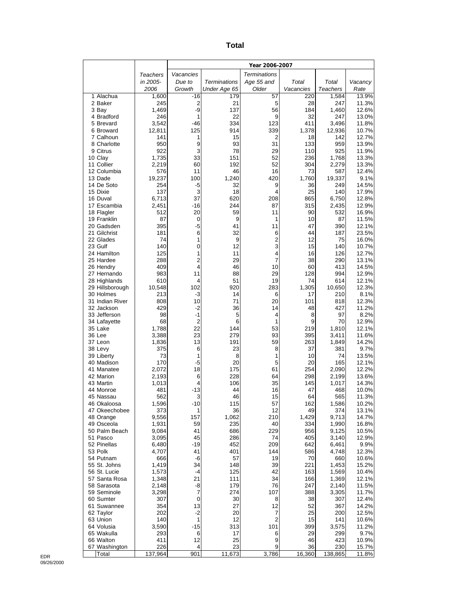| ×<br>×<br>۰,<br>$\sim$ |
|------------------------|
|------------------------|

|                              |                | Year 2006-2007   |                     |                     |              |                |                |
|------------------------------|----------------|------------------|---------------------|---------------------|--------------|----------------|----------------|
|                              | Teachers       | Vacancies        |                     | <b>Terminations</b> |              |                |                |
|                              | in 2005-       | Due to           | <b>Terminations</b> | Age 55 and          | Total        | Total          | Vacancy        |
|                              | 2006           | Growth           | Under Age 65        | Older               | Vacancies    | Teachers       | Rate           |
| 1 Alachua                    | 1,600          | $-16$            | 179                 | 57                  | 220          | 1,584          | 13.9%          |
| 2 Baker                      | 245<br>1,469   | 2<br>-9          | 21<br>137           | 5<br>56             | 28<br>184    | 247<br>1,460   | 11.3%<br>12.6% |
| 3 Bay<br>4 Bradford          | 246            | 1                | 22                  | 9                   | 32           | 247            | 13.0%          |
| 5 Brevard                    | 3,542          | $-46$            | 334                 | 123                 | 411          | 3,496          | 11.8%          |
| 6 Broward                    | 12,811         | 125              | 914                 | 339                 | 1,378        | 12,936         | 10.7%          |
| 7 Calhoun                    | 141            | 1                | 15                  | 2                   | 18           | 142            | 12.7%          |
| 8 Charlotte                  | 950            | 9                | 93                  | 31                  | 133          | 959            | 13.9%          |
| 9 Citrus<br>10 Clay          | 922<br>1,735   | 3<br>33          | 78<br>151           | 29<br>52            | 110<br>236   | 925<br>1,768   | 11.9%<br>13.3% |
| 11 Collier                   | 2,219          | 60               | 192                 | 52                  | 304          | 2,279          | 13.3%          |
| 12 Columbia                  | 576            | 11               | 46                  | 16                  | 73           | 587            | 12.4%          |
| 13 Dade                      | 19,237         | 100              | 1,240               | 420                 | 1,760        | 19,337         | 9.1%           |
| 14 De Soto                   | 254            | $-5$             | 32                  | 9                   | 36           | 249            | 14.5%          |
| 15 Dixie                     | 137            | 3<br>37          | 18                  | 4                   | 25           | 140            | 17.9%          |
| 16 Duval<br>17 Escambia      | 6,713<br>2,451 | $-16$            | 620<br>244          | 208<br>87           | 865<br>315   | 6,750<br>2,435 | 12.8%<br>12.9% |
| 18 Flagler                   | 512            | 20               | 59                  | 11                  | 90           | 532            | 16.9%          |
| 19 Franklin                  | 87             | 0                | 9                   | 1                   | 10           | 87             | 11.5%          |
| 20 Gadsden                   | 395            | $-5$             | 41                  | 11                  | 47           | 390            | 12.1%          |
| 21 Gilchrist                 | 181            | 6                | 32                  | 6                   | 44           | 187            | 23.5%          |
| 22 Glades<br>23 Gulf         | 74<br>140      | 1<br>0           | 9<br>12             | $\overline{2}$<br>3 | 12<br>15     | 75<br>140      | 16.0%<br>10.7% |
| 24 Hamilton                  | 125            | 1                | 11                  | 4                   | 16           | 126            | 12.7%          |
| 25 Hardee                    | 288            | 2                | 29                  | 7                   | 38           | 290            | 13.1%          |
| 26 Hendry                    | 409            | 4                | 46                  | 10                  | 60           | 413            | 14.5%          |
| 27 Hernando                  | 983            | 11               | 88                  | 29                  | 128          | 994            | 12.9%          |
| 28 Highlands                 | 610            | 4                | 51                  | 19                  | 74           | 614            | 12.1%          |
| 29 Hillsborough<br>30 Holmes | 10,548<br>213  | 102<br>-3        | 920<br>14           | 283<br>6            | 1,305<br>17  | 10,650<br>210  | 12.3%<br>8.1%  |
| 31 Indian River              | 808            | 10               | 71                  | 20                  | 101          | 818            | 12.3%          |
| 32 Jackson                   | 429            | $-2$             | 36                  | 14                  | 48           | 427            | 11.2%          |
| 33 Jefferson                 | 98             | $-1$             | 5                   | 4                   | 8            | 97             | 8.2%           |
| 34 Lafayette                 | 68             | $\overline{2}$   | 6                   | 1                   | 9            | 70             | 12.9%          |
| 35 Lake<br>36 Lee            | 1,788          | 22<br>23         | 144                 | 53                  | 219          | 1,810          | 12.1%          |
| 37 Leon                      | 3,388<br>1,836 | 13               | 279<br>191          | 93<br>59            | 395<br>263   | 3,411<br>1,849 | 11.6%<br>14.2% |
| 38 Levy                      | 375            | 6                | 23                  | 8                   | 37           | 381            | 9.7%           |
| 39 Liberty                   | 73             | 1                | 8                   | 1                   | 10           | 74             | 13.5%          |
| 40 Madison                   | 170            | $-5$             | 20                  | 5                   | 20           | 165            | 12.1%          |
| 41 Manatee                   | 2,072          | 18               | 175                 | 61                  | 254          | 2,090          | 12.2%          |
| 42 Marion<br>43 Martin       | 2,193<br>1,013 | 6<br>4           | 228<br>106          | 64<br>35            | 298<br>145   | 2,199<br>1,017 | 13.6%<br>14.3% |
| 44 Monroe                    | 481            | $-13$            | 44                  | 16                  | 47           | 468            | 10.0%          |
| 45 Nassau                    | 562            | 3                | 46                  | 15                  | 64           | 565            | 11.3%          |
| 46 Okaloosa                  | 1,596          | $-10$            | 115                 | 57                  | 162          | 1,586          | 10.2%          |
| 47 Okeechobee                | 373            | 1                | 36                  | 12                  | 49           | 374            | 13.1%          |
| 48 Orange<br>49 Osceola      | 9,556<br>1,931 | 157<br>59        | 1,062<br>235        | 210<br>40           | 1,429<br>334 | 9,713<br>1,990 | 14.7%<br>16.8% |
| 50 Palm Beach                | 9,084          | 41               | 686                 | 229                 | 956          | 9,125          | 10.5%          |
| 51 Pasco                     | 3,095          | 45               | 286                 | 74                  | 405          | 3,140          | 12.9%          |
| 52 Pinellas                  | 6,480          | $-19$            | 452                 | 209                 | 642          | 6,461          | 9.9%           |
| 53 Polk                      | 4,707          | 41               | 401                 | 144                 | 586          | 4,748          | 12.3%          |
| 54 Putnam<br>55 St. Johns    | 666            | -6               | 57                  | 19                  | 70           | 660            | 10.6%          |
| 56 St. Lucie                 | 1,419<br>1,573 | 34<br>$-4$       | 148<br>125          | 39<br>42            | 221<br>163   | 1,453<br>1,569 | 15.2%<br>10.4% |
| 57 Santa Rosa                | 1,348          | 21               | 111                 | 34                  | 166          | 1,369          | 12.1%          |
| 58 Sarasota                  | 2,148          | -8               | 179                 | 76                  | 247          | 2,140          | 11.5%          |
| 59 Seminole                  | 3,298          | 7                | 274                 | 107                 | 388          | 3,305          | 11.7%          |
| 60 Sumter                    | 307            | $\boldsymbol{0}$ | 30                  | 8                   | 38           | 307            | 12.4%          |
| 61 Suwannee                  | 354<br>202     | 13<br>$-2$       | 27<br>20            | 12<br>7             | 52<br>25     | 367            | 14.2%          |
| 62 Taylor<br>63 Union        | 140            | $\mathbf{1}$     | 12                  | 2                   | 15           | 200<br>141     | 12.5%<br>10.6% |
| 64 Volusia                   | 3,590          | $-15$            | 313                 | 101                 | 399          | 3,575          | 11.2%          |
| 65 Wakulla                   | 293            | 6                | 17                  | 6                   | 29           | 299            | 9.7%           |
| 66 Walton                    | 411            | 12               | 25                  | 9                   | 46           | 423            | 10.9%          |
| 67 Washington<br>Total       | 226<br>137,964 | 4<br>901         | 23<br>11,673        | 9<br>3,786          | 36<br>16,360 | 230<br>138,865 | 15.7%<br>11.8% |
|                              |                |                  |                     |                     |              |                |                |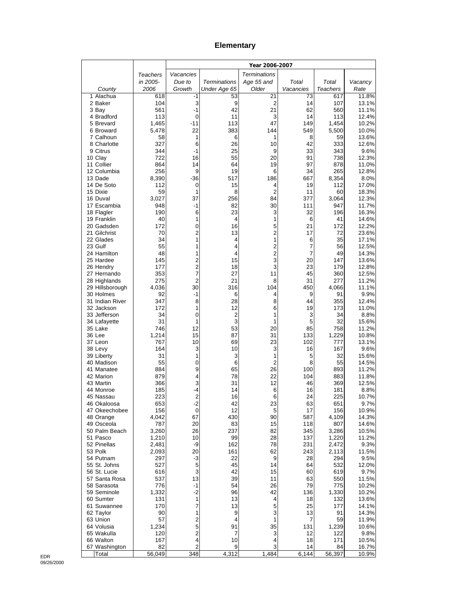# **Elementary**

|                              |                | Year 2006-2007                   |                     |                         |            |                 |                |
|------------------------------|----------------|----------------------------------|---------------------|-------------------------|------------|-----------------|----------------|
|                              | Teachers       | Vacancies                        |                     | <b>Terminations</b>     |            |                 |                |
|                              | in 2005-       | Due to                           | <b>Terminations</b> | Age 55 and              | Total      | Total           | Vacancy        |
| County                       | 2006           | Growth                           | Under Age 65        | Older                   | Vacancies  | <b>Teachers</b> | Rate           |
| 1 Alachua<br>2 Baker         | 618<br>104     | -1<br>3                          | 53<br>9             | 21<br>2                 | 73<br>14   | 617<br>107      | 11.8%<br>13.1% |
| 3 Bay                        | 561            | $-1$                             | 42                  | 21                      | 62         | 560             | 11.1%          |
| 4 Bradford                   | 113            | 0                                | 11                  | 3                       | 14         | 113             | 12.4%          |
| 5 Brevard                    | 1,465          | $-11$                            | 113                 | 47                      | 149        | 1,454           | 10.2%          |
| 6 Broward                    | 5,478          | 22                               | 383                 | 144                     | 549        | 5,500           | 10.0%          |
| 7 Calhoun<br>8 Charlotte     | 58<br>327      | 1                                | 6<br>26             | 1                       | 8<br>42    | 59<br>333       | 13.6%<br>12.6% |
| 9 Citrus                     | 344            | 6<br>$-1$                        | 25                  | 10<br>9                 | 33         | 343             | 9.6%           |
| 10 Clay                      | 722            | 16                               | 55                  | 20                      | 91         | 738             | 12.3%          |
| 11 Collier                   | 864            | 14                               | 64                  | 19                      | 97         | 878             | 11.0%          |
| 12 Columbia                  | 256            | 9                                | 19                  | 6                       | 34         | 265             | 12.8%          |
| 13 Dade                      | 8,390          | $-36$                            | 517                 | 186                     | 667        | 8,354           | 8.0%           |
| 14 De Soto<br>15 Dixie       | 112<br>59      | 0<br>1                           | 15<br>8             | 4<br>$\overline{2}$     | 19<br>11   | 112<br>60       | 17.0%<br>18.3% |
| 16 Duval                     | 3,027          | 37                               | 256                 | 84                      | 377        | 3,064           | 12.3%          |
| 17 Escambia                  | 948            | $-1$                             | 82                  | 30                      | 111        | 947             | 11.7%          |
| 18 Flagler                   | 190            | 6                                | 23                  | 3                       | 32         | 196             | 16.3%          |
| 19 Franklin                  | 40             | 1                                | 4                   | 1                       | 6          | 41              | 14.6%          |
| 20 Gadsden<br>21 Gilchrist   | 172<br>70      | 0<br>2                           | 16<br>13            | 5<br>2                  | 21<br>17   | 172<br>72       | 12.2%<br>23.6% |
| 22 Glades                    | 34             | 1                                | 4                   | 1                       | 6          | 35              | 17.1%          |
| 23 Gulf                      | 55             | 1                                | 4                   | 2                       | 7          | 56              | 12.5%          |
| 24 Hamilton                  | 48             | 1                                | 4                   | $\overline{\mathbf{c}}$ | 7          | 49              | 14.3%          |
| 25 Hardee                    | 145            | $\overline{2}$                   | 15                  | 3                       | 20         | 147             | 13.6%          |
| 26 Hendry<br>27 Hernando     | 177<br>353     | $\overline{2}$<br>$\overline{7}$ | 18<br>27            | 3                       | 23<br>45   | 179<br>360      | 12.8%          |
| 28 Highlands                 | 275            | $\overline{2}$                   | 21                  | 11<br>8                 | 31         | 277             | 12.5%<br>11.2% |
| 29 Hillsborough              | 4,036          | 30                               | 316                 | 104                     | 450        | 4,066           | 11.1%          |
| 30 Holmes                    | 92             | $-1$                             | 6                   | 4                       | 9          | 91              | 9.9%           |
| 31 Indian River              | 347            | 8                                | 28                  | 8                       | 44         | 355             | 12.4%          |
| 32 Jackson                   | 172            | 1                                | 12                  | 6                       | 19         | 173             | 11.0%          |
| 33 Jefferson<br>34 Lafayette | 34<br>31       | 0<br>1                           | $\overline{c}$<br>3 | 1<br>1                  | 3<br>5     | 34<br>32        | 8.8%<br>15.6%  |
| 35 Lake                      | 746            | 12                               | 53                  | 20                      | 85         | 758             | 11.2%          |
| 36 Lee                       | 1,214          | 15                               | 87                  | 31                      | 133        | 1,229           | 10.8%          |
| 37 Leon                      | 767            | 10                               | 69                  | 23                      | 102        | 777             | 13.1%          |
| 38 Levy                      | 164            | 3                                | 10                  | 3                       | 16         | 167             | 9.6%           |
| 39 Liberty<br>40 Madison     | 31<br>55       | 1<br>0                           | 3<br>6              | 1<br>$\overline{2}$     | 5<br>8     | 32<br>55        | 15.6%<br>14.5% |
| 41 Manatee                   | 884            | 9                                | 65                  | 26                      | 100        | 893             | 11.2%          |
| 42 Marion                    | 879            | 4                                | 78                  | 22                      | 104        | 883             | 11.8%          |
| 43 Martin                    | 366            | 3                                | 31                  | 12                      | 46         | 369             | 12.5%          |
| 44 Monroe                    | 185            | -4                               | 14                  | 6                       | 16         | 181             | 8.8%           |
| 45 Nassau<br>46 Okaloosa     | 223<br>653     | 2<br>$-2$                        | 16<br>42            | 6<br>23                 | 24<br>63   | 225<br>651      | 10.7%<br>9.7%  |
| 47 Okeechobee                | 156            | $\mathbf 0$                      | 12                  | 5                       | 17         | 156             | 10.9%          |
| 48 Orange                    | 4,042          | 67                               | 430                 | 90                      | 587        | 4,109           | 14.3%          |
| 49 Osceola                   | 787            | 20                               | 83                  | 15                      | 118        | 807             | 14.6%          |
| 50 Palm Beach                | 3,260          | 26                               | 237                 | 82                      | 345        | 3,286           | 10.5%          |
| 51 Pasco<br>52 Pinellas      | 1,210<br>2,481 | 10<br>-9                         | 99<br>162           | 28<br>78                | 137<br>231 | 1,220<br>2,472  | 11.2%<br>9.3%  |
| 53 Polk                      | 2,093          | 20                               | 161                 | 62                      | 243        | 2,113           | 11.5%          |
| 54 Putnam                    | 297            | $-3$                             | 22                  | 9                       | 28         | 294             | 9.5%           |
| 55 St. Johns                 | 527            | 5                                | 45                  | 14                      | 64         | 532             | 12.0%          |
| 56 St. Lucie                 | 616            | 3                                | 42                  | 15                      | 60         | 619             | 9.7%           |
| 57 Santa Rosa<br>58 Sarasota | 537            | 13                               | 39                  | 11                      | 63         | 550             | 11.5%          |
| 59 Seminole                  | 776<br>1,332   | $-1$<br>$-2$                     | 54<br>96            | 26<br>42                | 79<br>136  | 775<br>1,330    | 10.2%<br>10.2% |
| 60 Sumter                    | 131            | $\mathbf{1}$                     | 13                  | 4                       | 18         | 132             | 13.6%          |
| 61 Suwannee                  | 170            | 7                                | 13                  | 5                       | 25         | 177             | 14.1%          |
| 62 Taylor                    | 90             | 1                                | 9                   | 3                       | 13         | 91              | 14.3%          |
| 63 Union                     | 57             | $\overline{c}$                   | 4                   | 1                       | 7          | 59              | 11.9%          |
| 64 Volusia<br>65 Wakulla     | 1,234<br>120   | 5<br>$\overline{\mathbf{c}}$     | 91<br>7             | 35<br>3                 | 131<br>12  | 1,239<br>122    | 10.6%<br>9.8%  |
| 66 Walton                    | 167            | $\overline{\mathbf{4}}$          | 10                  | 4                       | 18         | 171             | 10.5%          |
| 67 Washington                | 82             | 2                                | 9                   | 3                       | 14         | 84              | 16.7%          |
| Total                        | 56,049         | 348                              | 4,312               | 1,484                   | 6,144      | 56,397          | 10.9%          |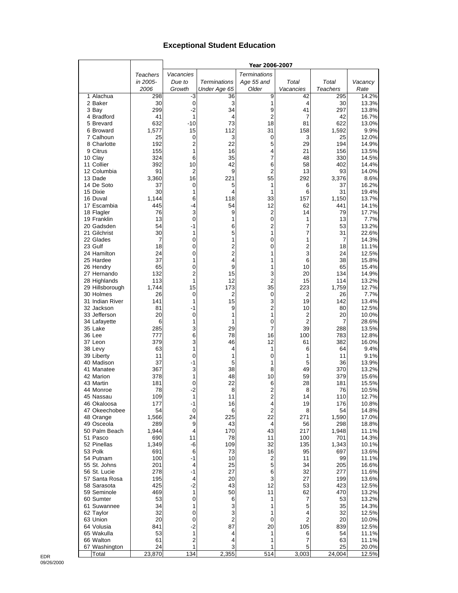## **Exceptional Student Education**

|                              |                 |                |                       | Year 2006-2007      |           |                 |                |
|------------------------------|-----------------|----------------|-----------------------|---------------------|-----------|-----------------|----------------|
|                              | <b>Teachers</b> | Vacancies      |                       | <b>Terminations</b> |           |                 |                |
|                              | in 2005-        | Due to         | <b>Terminations</b>   | Age 55 and          | Total     | Total           | Vacancy        |
|                              | 2006            | Growth         | Under Age 65          | Older               | Vacancies | <b>Teachers</b> | Rate           |
| 1 Alachua                    | 298             | -3             | 36                    | 9                   | 42        | 295             | 14.2%          |
| 2 Baker                      | 30              | 0              | 3                     | 1                   | 4         | 30              | 13.3%          |
| 3 Bay                        | 299             | $-2$           | 34                    | 9                   | 41        | 297             | 13.8%          |
| 4 Bradford                   | 41              | 1<br>$-10$     | 4<br>73               | 2<br>18             | 7         | 42              | 16.7%          |
| 5 Brevard<br>6 Broward       | 632<br>1,577    | 15             | 112                   | 31                  | 81<br>158 | 622<br>1,592    | 13.0%<br>9.9%  |
| 7 Calhoun                    | 25              | 0              | 3                     | $\mathbf 0$         | 3         | 25              | 12.0%          |
| 8 Charlotte                  | 192             | $\overline{2}$ | 22                    | 5                   | 29        | 194             | 14.9%          |
| 9 Citrus                     | 155             | 1              | 16                    | 4                   | 21        | 156             | 13.5%          |
| 10 Clay                      | 324             | 6              | 35                    | 7                   | 48        | 330             | 14.5%          |
| 11 Collier                   | 392             | 10             | 42                    | 6                   | 58        | 402             | 14.4%          |
| 12 Columbia                  | 91              | 2              | 9                     | 2                   | 13        | 93              | 14.0%          |
| 13 Dade                      | 3,360           | 16             | 221                   | 55                  | 292       | 3,376           | 8.6%           |
| 14 De Soto                   | 37              | 0              | 5                     | 1                   | 6         | 37              | 16.2%          |
| 15 Dixie                     | 30              | 1              | 4                     | 1                   | 6         | 31              | 19.4%          |
| 16 Duval                     | 1,144           | 6              | 118                   | 33<br>12            | 157       | 1,150<br>441    | 13.7%          |
| 17 Escambia<br>18 Flagler    | 445<br>76       | -4<br>3        | 54<br>9               | $\overline{2}$      | 62<br>14  | 79              | 14.1%<br>17.7% |
| 19 Franklin                  | 13              | $\mathbf 0$    | 1                     | 0                   | 1         | 13              | 7.7%           |
| 20 Gadsden                   | 54              | $-1$           | 6                     | $\overline{c}$      | 7         | 53              | 13.2%          |
| 21 Gilchrist                 | 30              | 1              | 5                     | 1                   | 7         | 31              | 22.6%          |
| 22 Glades                    | 7               | 0              | 1                     | 0                   | 1         | 7               | 14.3%          |
| 23 Gulf                      | 18              | 0              | 2                     | 0                   | 2         | 18              | 11.1%          |
| 24 Hamilton                  | 24              | 0              | $\overline{2}$        | 1                   | 3         | 24              | 12.5%          |
| 25 Hardee                    | 37              | 1              | 4                     | 1                   | 6         | 38              | 15.8%          |
| 26 Hendry                    | 65              | 0              | 9                     | 1                   | 10        | 65              | 15.4%          |
| 27 Hernando                  | 132             | $\overline{2}$ | 15                    | 3                   | 20        | 134             | 14.9%          |
| 28 Highlands                 | 113             | 1              | 12                    | 2<br>35             | 15        | 114             | 13.2%          |
| 29 Hillsborough<br>30 Holmes | 1,744<br>26     | 15<br>0        | 173<br>$\overline{2}$ | $\mathbf 0$         | 223<br>2  | 1,759<br>26     | 12.7%<br>7.7%  |
| 31 Indian River              | 141             | 1              | 15                    | 3                   | 19        | 142             | 13.4%          |
| 32 Jackson                   | 81              | $-1$           | 9                     | $\overline{2}$      | 10        | 80              | 12.5%          |
| 33 Jefferson                 | 20              | 0              | 1                     | 1                   | 2         | 20              | 10.0%          |
| 34 Lafayette                 | 6               | 1              | 1                     | 0                   | 2         | 7               | 28.6%          |
| 35 Lake                      | 285             | 3              | 29                    | 7                   | 39        | 288             | 13.5%          |
| 36 Lee                       | 777             | 6              | 78                    | 16                  | 100       | 783             | 12.8%          |
| 37 Leon                      | 379             | 3              | 46                    | 12                  | 61        | 382             | 16.0%          |
| 38 Levy                      | 63              | 1              | 4                     | 1                   | 6         | 64              | 9.4%           |
| 39 Liberty                   | 11              | 0              | 1                     | 0                   | 1         | 11              | 9.1%           |
| 40 Madison<br>41 Manatee     | 37<br>367       | -1             | 5<br>38               | 1<br>8              | 5<br>49   | 36              | 13.9%<br>13.2% |
| 42 Marion                    | 378             | 3<br>1         | 48                    | 10                  | 59        | 370<br>379      | 15.6%          |
| 43 Martin                    | 181             | 0              | 22                    | 6                   | 28        | 181             | 15.5%          |
| 44 Monroe                    | 78              | $-2$           | 8                     | $\overline{2}$      | 8         | 76              | 10.5%          |
| 45 Nassau                    | 109             | 1              | 11                    | $\overline{2}$      | 14        | 110             | 12.7%          |
| 46 Okaloosa                  | 177             | -1             | 16                    | 4                   | 19        | 176             | 10.8%          |
| 47 Okeechobee                | 54              | $\mathbf 0$    | 6                     | $\overline{2}$      | 8         | 54              | 14.8%          |
| 48 Orange                    | 1,566           | 24             | 225                   | 22                  | 271       | 1,590           | 17.0%          |
| 49 Osceola                   | 289             | 9              | 43                    | 4                   | 56        | 298             | 18.8%          |
| 50 Palm Beach                | 1,944           | 4              | 170                   | 43                  | 217       | 1,948           | 11.1%          |
| 51 Pasco                     | 690             | 11             | 78                    | 11                  | 100       | 701             | 14.3%          |
| 52 Pinellas<br>53 Polk       | 1,349<br>691    | -6<br>6        | 109<br>73             | 32<br>16            | 135<br>95 | 1,343<br>697    | 10.1%<br>13.6% |
| 54 Putnam                    | 100             | -1             | 10                    | 2                   | 11        | 99              | 11.1%          |
| 55 St. Johns                 | 201             | 4              | 25                    | 5                   | 34        | 205             | 16.6%          |
| 56 St. Lucie                 | 278             | -1             | 27                    | 6                   | 32        | 277             | 11.6%          |
| 57 Santa Rosa                | 195             | 4              | 20                    | 3                   | 27        | 199             | 13.6%          |
| 58 Sarasota                  | 425             | $-2$           | 43                    | 12                  | 53        | 423             | 12.5%          |
| 59 Seminole                  | 469             | 1              | 50                    | 11                  | 62        | 470             | 13.2%          |
| 60 Sumter                    | 53              | $\mathbf 0$    | 6                     | 1                   | 7         | 53              | 13.2%          |
| 61 Suwannee                  | 34              | 1              | 3                     | 1                   | 5         | 35              | 14.3%          |
| 62 Taylor                    | 32              | 0              | 3                     | 1                   | 4         | 32              | 12.5%          |
| 63 Union                     | 20              | 0              | $\overline{2}$        | 0                   | 2         | 20              | 10.0%          |
| 64 Volusia<br>65 Wakulla     | 841<br>53       | $-2$<br>1      | 87                    | 20<br>1             | 105       | 839<br>54       | 12.5%<br>11.1% |
| 66 Walton                    | 61              | 2              | 4<br>4                | 1                   | 6<br>7    | 63              | 11.1%          |
| 67 Washington                | 24              | 1              | 3                     | 1                   | 5         | 25              | 20.0%          |
| Total                        | 23,870          | 134            | 2,355                 | 514                 | 3,003     | 24,004          | 12.5%          |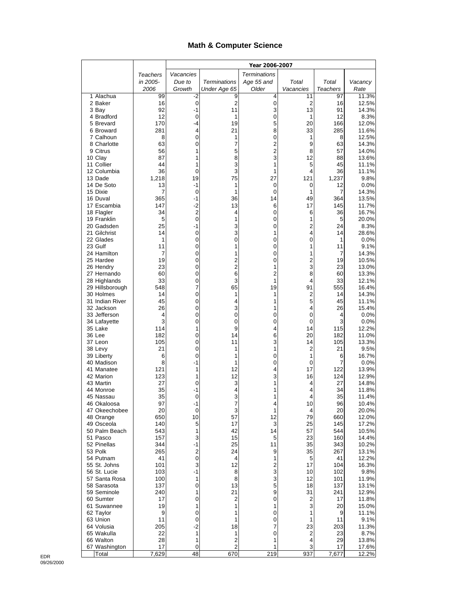## **Math & Computer Science**

|                              |             | Year 2006-2007      |                       |                     |                     |                 |                |
|------------------------------|-------------|---------------------|-----------------------|---------------------|---------------------|-----------------|----------------|
|                              | Teachers    | Vacancies           |                       | <b>Terminations</b> |                     |                 |                |
|                              | in 2005-    | Due to              | <b>Terminations</b>   | Age 55 and          | Total               | Total           | Vacancy        |
|                              | 2006        | Growth              | Under Age 65          | Older               | Vacancies           | <b>Teachers</b> | Rate           |
| 1 Alachua<br>2 Baker         | 99<br>16    | -2<br>0             | 9<br>$\overline{c}$   | 4<br>0              | 11<br>2             | 97<br>16        | 11.3%<br>12.5% |
| 3 Bay                        | 92          | $-1$                | 11                    | 3                   | 13                  | 91              | 14.3%          |
| 4 Bradford                   | 12          | 0                   | 1                     | 0                   | 1                   | 12              | 8.3%           |
| 5 Brevard                    | 170         | -4                  | 19                    | 5                   | 20                  | 166             | 12.0%          |
| 6 Broward                    | 281         | 4                   | 21                    | 8                   | 33                  | 285             | 11.6%          |
| 7 Calhoun<br>8 Charlotte     | 8<br>63     | 0<br>0              | 1<br>7                | 0<br>2              | 1<br>9              | 8<br>63         | 12.5%<br>14.3% |
| 9 Citrus                     | 56          | 1                   | 5                     | 2                   | 8                   | 57              | 14.0%          |
| 10 Clay                      | 87          | 1                   | 8                     | 3                   | 12                  | 88              | 13.6%          |
| 11 Collier                   | 44          | 1                   | 3                     | 1                   | 5                   | 45              | 11.1%          |
| 12 Columbia                  | 36          | 0                   | 3                     | 1                   | 4                   | 36              | 11.1%          |
| 13 Dade<br>14 De Soto        | 1,218<br>13 | 19<br>$-1$          | 75<br>1               | 27<br>0             | 121<br>0            | 1,237<br>12     | 9.8%<br>0.0%   |
| 15 Dixie                     | 7           | 0                   | 1                     | 0                   | 1                   | 7               | 14.3%          |
| 16 Duval                     | 365         | -1                  | 36                    | 14                  | 49                  | 364             | 13.5%          |
| 17 Escambia                  | 147         | $-2$                | 13                    | 6                   | 17                  | 145             | 11.7%          |
| 18 Flagler                   | 34          | 2                   | 4                     | 0                   | 6                   | 36              | 16.7%          |
| 19 Franklin<br>20 Gadsden    | 5<br>25     | $\mathbf 0$<br>$-1$ | 1<br>3                | 0<br>0              | 1<br>$\overline{2}$ | 5<br>24         | 20.0%<br>8.3%  |
| 21 Gilchrist                 | 14          | 0                   | 3                     | 1                   | 4                   | 14              | 28.6%          |
| 22 Glades                    | 1           | 0                   | 0                     | 0                   | 0                   | 1               | 0.0%           |
| 23 Gulf                      | 11          | 0                   | 1                     | 0                   | 1                   | 11              | 9.1%           |
| 24 Hamilton                  | 7           | $\mathbf 0$         | 1                     | 0                   | 1                   | 7               | 14.3%          |
| 25 Hardee                    | 19          | 0                   | 2                     | 0                   | 2<br>3              | 19              | 10.5%          |
| 26 Hendry<br>27 Hernando     | 23<br>60    | $\mathbf 0$<br>0    | $\overline{2}$<br>6   | 1<br>2              | 8                   | 23<br>60        | 13.0%<br>13.3% |
| 28 Highlands                 | 33          | 0                   | 3                     | 1                   | 4                   | 33              | 12.1%          |
| 29 Hillsborough              | 548         | 7                   | 65                    | 19                  | 91                  | 555             | 16.4%          |
| 30 Holmes                    | 14          | 0                   | 1                     | 1                   | 2                   | 14              | 14.3%          |
| 31 Indian River              | 45          | 0                   | 4                     | 1                   | 5                   | 45              | 11.1%          |
| 32 Jackson<br>33 Jefferson   | 26<br>4     | 0<br>0              | 3<br>0                | 1<br>0              | 4<br>0              | 26<br>4         | 15.4%<br>0.0%  |
| 34 Lafayette                 | 3           | 0                   | 0                     | 0                   | 0                   | 3               | 0.0%           |
| 35 Lake                      | 114         | 1                   | 9                     | 4                   | 14                  | 115             | 12.2%          |
| 36 Lee                       | 182         | 0                   | 14                    | 6                   | 20                  | 182             | 11.0%          |
| 37 Leon                      | 105<br>21   | 0<br>0              | 11<br>1               | 3<br>1              | 14<br>2             | 105<br>21       | 13.3%<br>9.5%  |
| 38 Levy<br>39 Liberty        | 6           | 0                   | 1                     | 0                   | 1                   | 6               | 16.7%          |
| 40 Madison                   | 8           | $-1$                | 1                     | 0                   | 0                   | 7               | 0.0%           |
| 41 Manatee                   | 121         | 1                   | 12                    | 4                   | 17                  | 122             | 13.9%          |
| 42 Marion                    | 123         | 1                   | 12                    | 3                   | 16                  | 124             | 12.9%          |
| 43 Martin<br>44 Monroe       | 27<br>35    | 0<br>-1             | 3<br>4                | 1<br>1              | 4<br>4              | 27<br>34        | 14.8%<br>11.8% |
| 45 Nassau                    | 35          | 0                   | 3                     | 1                   | 4                   | 35              | 11.4%          |
| 46 Okaloosa                  | 97          | -1                  | 7                     | 4                   | 10                  | 96              | 10.4%          |
| 47 Okeechobee                | 20          | 0                   | 3                     | 1                   | 4                   | 20              | 20.0%          |
| 48 Orange                    | 650         | 10                  | 57                    | 12                  | 79                  | 660             | 12.0%          |
| 49 Osceola<br>50 Palm Beach  | 140<br>543  | 5<br>1              | 17<br>42              | 3<br>14             | 25<br>57            | 145<br>544      | 17.2%<br>10.5% |
| 51 Pasco                     | 157         | 3                   | 15                    | 5                   | 23                  | 160             | 14.4%          |
| 52 Pinellas                  | 344         | -1                  | 25                    | 11                  | 35                  | 343             | 10.2%          |
| 53 Polk                      | 265         | 2                   | 24                    | 9                   | 35                  | 267             | 13.1%          |
| 54 Putnam                    | 41          | 0                   | 4                     | 1                   | 5                   | 41              | 12.2%          |
| 55 St. Johns<br>56 St. Lucie | 101<br>103  | 3<br>$-1$           | 12<br>8               | 2<br>3              | 17<br>10            | 104<br>102      | 16.3%<br>9.8%  |
| 57 Santa Rosa                | 100         | 1                   | 8                     | 3                   | 12                  | 101             | 11.9%          |
| 58 Sarasota                  | 137         | $\pmb{0}$           | 13                    | 5                   | 18                  | 137             | 13.1%          |
| 59 Seminole                  | 240         | 1                   | 21                    | 9                   | 31                  | 241             | 12.9%          |
| 60 Sumter                    | 17          | $\pmb{0}$           | 2                     | 0                   | 2                   | 17              | 11.8%          |
| 61 Suwannee<br>62 Taylor     | 19<br>9     | 1<br>0              | 1<br>1                | 1<br>0              | 3<br>1              | 20<br>9         | 15.0%<br>11.1% |
| 63 Union                     | 11          | 0                   | 1                     | 0                   | 1                   | 11              | 9.1%           |
| 64 Volusia                   | 205         | $-2$                | 18                    | 7                   | 23                  | 203             | 11.3%          |
| 65 Wakulla                   | 22          | 1                   | 1                     | 0                   | 2                   | 23              | 8.7%           |
| 66 Walton                    | 28          | 1                   | 2                     | 1                   | 4                   | 29              | 13.8%          |
| 67 Washington<br>Total       | 17<br>7,629 | 0<br>48             | $\overline{c}$<br>670 | 1<br>219            | 3<br>937            | 17<br>7,677     | 17.6%<br>12.2% |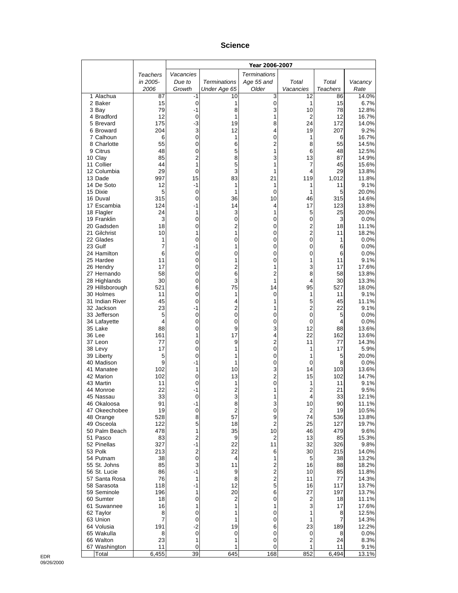#### **Science**

|                                 |            | Year 2006-2007               |                      |                         |                     |            |                |
|---------------------------------|------------|------------------------------|----------------------|-------------------------|---------------------|------------|----------------|
|                                 | Teachers   | Vacancies                    |                      | <b>Terminations</b>     |                     |            |                |
|                                 | in 2005-   | Due to                       | <b>Terminations</b>  | Age 55 and              | Total               | Total      | Vacancy        |
|                                 | 2006       | Growth                       | Under Age 65         | Older                   | Vacancies           | Teachers   | Rate           |
| 1 Alachua<br>2 Baker            | 87<br>15   | -1<br>$\mathbf 0$            | 10<br>1              | 3<br>$\boldsymbol{0}$   | 12<br>1             | 86<br>15   | 14.0%<br>6.7%  |
| 3 Bay                           | 79         | $-1$                         | 8                    | 3                       | 10                  | 78         | 12.8%          |
| 4 Bradford                      | 12         | 0                            | 1                    | 1                       | 2                   | 12         | 16.7%          |
| 5 Brevard                       | 175        | $-3$                         | 19                   | 8                       | 24                  | 172        | 14.0%          |
| 6 Broward                       | 204        | 3                            | 12                   | 4                       | 19                  | 207        | 9.2%           |
| 7 Calhoun                       | 6          | 0                            | 1                    | 0                       | 1                   | 6          | 16.7%          |
| 8 Charlotte<br>9 Citrus         | 55<br>48   | 0<br>0                       | 6<br>5               | $\overline{c}$<br>1     | 8<br>6              | 55<br>48   | 14.5%<br>12.5% |
| 10 Clay                         | 85         | $\overline{2}$               | 8                    | 3                       | 13                  | 87         | 14.9%          |
| 11 Collier                      | 44         | 1                            | 5                    | 1                       | 7                   | 45         | 15.6%          |
| 12 Columbia                     | 29         | 0                            | 3                    | 1                       | 4                   | 29         | 13.8%          |
| 13 Dade                         | 997        | 15                           | 83                   | 21                      | 119                 | 1,012      | 11.8%          |
| 14 De Soto<br>15 Dixie          | 12<br>5    | -1<br>0                      | 1<br>1               | 1<br>$\mathbf 0$        | 1<br>1              | 11<br>5    | 9.1%<br>20.0%  |
| 16 Duval                        | 315        | 0                            | 36                   | 10                      | 46                  | 315        | 14.6%          |
| 17 Escambia                     | 124        | -1                           | 14                   | 4                       | 17                  | 123        | 13.8%          |
| 18 Flagler                      | 24         | 1                            | 3                    | 1                       | 5                   | 25         | 20.0%          |
| 19 Franklin                     | 3          | 0                            | 0                    | 0                       | 0                   | 3          | 0.0%           |
| 20 Gadsden                      | 18         | 0                            | $\overline{c}$       | 0                       | $\overline{c}$      | 18         | 11.1%          |
| 21 Gilchrist<br>22 Glades       | 10<br>1    | 1<br>0                       | 1<br>0               | 0<br>0                  | $\overline{2}$<br>0 | 11<br>1    | 18.2%<br>0.0%  |
| 23 Gulf                         | 7          | -1                           | 1                    | 0                       | 0                   | 6          | 0.0%           |
| 24 Hamilton                     | 6          | 0                            | 0                    | 0                       | 0                   | 6          | 0.0%           |
| 25 Hardee                       | 11         | 0                            | 1                    | 0                       | 1                   | 11         | 9.1%           |
| 26 Hendry                       | 17         | 0                            | 2                    | 1                       | 3                   | 17         | 17.6%          |
| 27 Hernando                     | 58         | 0                            | 6                    | 2                       | 8                   | 58         | 13.8%          |
| 28 Highlands<br>29 Hillsborough | 30<br>521  | 0<br>6                       | 3<br>75              | 1<br>14                 | 4<br>95             | 30<br>527  | 13.3%<br>18.0% |
| 30 Holmes                       | 11         | 0                            | 1                    | $\mathbf 0$             | 1                   | 11         | 9.1%           |
| 31 Indian River                 | 45         | 0                            | 4                    | 1                       | 5                   | 45         | 11.1%          |
| 32 Jackson                      | 23         | $-1$                         | $\overline{c}$       | 1                       | $\overline{2}$      | 22         | 9.1%           |
| 33 Jefferson                    | 5          | 0                            | 0                    | 0                       | 0                   | 5          | 0.0%           |
| 34 Lafayette<br>35 Lake         | 4<br>88    | 0<br>0                       | 0<br>9               | 0<br>3                  | 0<br>12             | 4<br>88    | 0.0%<br>13.6%  |
| 36 Lee                          | 161        | 1                            | 17                   | 4                       | 22                  | 162        | 13.6%          |
| 37 Leon                         | 77         | 0                            | 9                    | $\overline{\mathbf{c}}$ | 11                  | 77         | 14.3%          |
| 38 Levy                         | 17         | 0                            | 1                    | 0                       | 1                   | 17         | 5.9%           |
| 39 Liberty                      | 5          | 0                            | 1                    | 0                       | 1                   | 5          | 20.0%          |
| 40 Madison                      | 9          | $-1$                         | 1                    | 0                       | 0                   | 8          | 0.0%           |
| 41 Manatee<br>42 Marion         | 102<br>102 | 1<br>0                       | 10<br>13             | 3<br>2                  | 14<br>15            | 103<br>102 | 13.6%<br>14.7% |
| 43 Martin                       | 11         | 0                            | 1                    | 0                       | 1                   | 11         | 9.1%           |
| 44 Monroe                       | 22         | -1                           | $\overline{c}$       | 1                       | $\overline{c}$      | 21         | 9.5%           |
| 45 Nassau                       | 33         | 0                            | 3                    | 1                       | 4                   | 33         | 12.1%          |
| 46 Okaloosa                     | 91         | -1                           | 8                    | 3                       | 10                  | 90         | 11.1%          |
| 47 Okeechobee<br>48 Orange      | 19<br>528  | 0<br>8                       | $\overline{2}$<br>57 | 0<br>9                  | 2<br>74             | 19<br>536  | 10.5%<br>13.8% |
| 49 Osceola                      | 122        | 5                            | 18                   | $\overline{c}$          | 25                  | 127        | 19.7%          |
| 50 Palm Beach                   | 478        | 1                            | 35                   | 10                      | 46                  | 479        | 9.6%           |
| 51 Pasco                        | 83         | 2                            | 9                    | $\overline{c}$          | 13                  | 85         | 15.3%          |
| 52 Pinellas                     | 327        | -1                           | 22                   | 11                      | 32                  | 326        | 9.8%           |
| 53 Polk<br>54 Putnam            | 213<br>38  | $\overline{\mathbf{c}}$<br>0 | 22<br>4              | 6<br>1                  | 30<br>5             | 215<br>38  | 14.0%<br>13.2% |
| 55 St. Johns                    | 85         | 3                            | 11                   | 2                       | 16                  | 88         | 18.2%          |
| 56 St. Lucie                    | 86         | $-1$                         | 9                    | $\overline{\mathbf{c}}$ | 10                  | 85         | 11.8%          |
| 57 Santa Rosa                   | 76         | 1                            | 8                    | $\overline{\mathbf{c}}$ | 11                  | 77         | 14.3%          |
| 58 Sarasota                     | 118        | -1                           | 12                   | 5                       | 16                  | 117        | 13.7%          |
| 59 Seminole                     | 196        | 1                            | 20                   | 6                       | 27                  | 197        | 13.7%          |
| 60 Sumter<br>61 Suwannee        | 18<br>16   | 0<br>1                       | 2<br>1               | 0<br>1                  | 2<br>3              | 18<br>17   | 11.1%<br>17.6% |
| 62 Taylor                       | 8          | 0                            | 1                    | 0                       | 1                   | 8          | 12.5%          |
| 63 Union                        | 7          | 0                            | 1                    | 0                       | 1                   | 7          | 14.3%          |
| 64 Volusia                      | 191        | $-2$                         | 19                   | 6                       | 23                  | 189        | 12.2%          |
| 65 Wakulla                      | 8          | 0                            | 0                    | 0                       | 0                   | 8          | $0.0\%$        |
| 66 Walton<br>67 Washington      | 23<br>11   | 1<br>0                       | 1<br>1               | 0<br>0                  | 2<br>1              | 24<br>11   | 8.3%<br>9.1%   |
| Total                           | 6,455      | 39                           | 645                  | 168                     | 852                 | 6,494      | 13.1%          |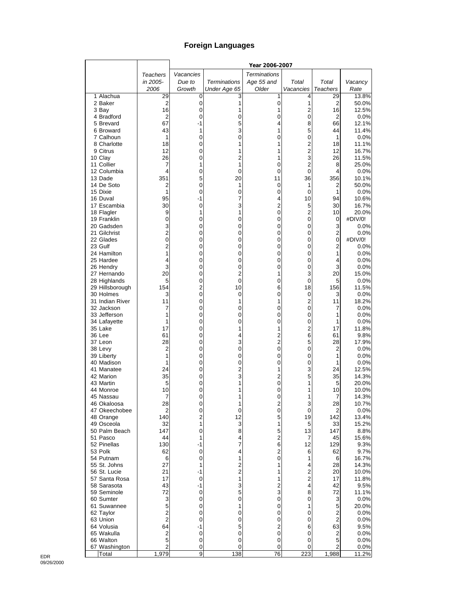# **Foreign Languages**

|                              |                |                |                     | Year 2006-2007      |                               |                     |                |
|------------------------------|----------------|----------------|---------------------|---------------------|-------------------------------|---------------------|----------------|
|                              | Teachers       | Vacancies      |                     | <b>Terminations</b> |                               |                     |                |
|                              | in 2005-       | Due to         | <b>Terminations</b> | Age 55 and          | Total                         | Total               | Vacancy        |
|                              | 2006           | Growth         | Under Age 65        | Older               | Vacancies                     | Teachers            | Rate           |
| 1 Alachua                    | 29             | 0              | 3                   | 1                   | 4                             | 29                  | 13.8%          |
| 2 Baker                      | $\overline{2}$ | 0              | 1                   | $\pmb{0}$           | 1                             | $\mathbf 2$         | 50.0%          |
| 3 Bay                        | 16             | 0              |                     | 1                   | $\overline{c}$                | 16                  | 12.5%          |
| 4 Bradford                   | $\overline{2}$ | 0              | 0                   | 0                   | $\mathbf 0$                   | 2                   | 0.0%           |
| 5 Brevard                    | 67<br>43       | -1<br>1        | 5<br>3              | 4<br>1              | 8<br>5                        | 66<br>44            | 12.1%<br>11.4% |
| 6 Broward<br>7 Calhoun       | 1              | 0              | 0                   | 0                   | 0                             | 1                   | 0.0%           |
| 8 Charlotte                  | 18             | 0              |                     | 1                   | $\overline{2}$                | 18                  | 11.1%          |
| 9 Citrus                     | 12             | 0              |                     | 1                   | $\overline{c}$                | 12                  | 16.7%          |
| 10 Clay                      | 26             | 0              | $\overline{c}$      | 1                   | 3                             | 26                  | 11.5%          |
| 11 Collier                   | 7              | 1              | 1                   | 0                   | $\overline{2}$                | 8                   | 25.0%          |
| 12 Columbia                  | 4              | 0              | 0                   | 0                   | $\overline{0}$                | 4                   | 0.0%           |
| 13 Dade                      | 351            | 5              | 20                  | 11                  | 36                            | 356                 | 10.1%          |
| 14 De Soto                   | 2              | 0              | 1                   | 0                   | 1                             | $\overline{2}$      | 50.0%          |
| 15 Dixie                     | 1              | 0              | 0                   | 0                   | 0                             | 1                   | 0.0%           |
| 16 Duval                     | 95             | -1             | 7                   | 4                   | 10                            | 94                  | 10.6%          |
| 17 Escambia<br>18 Flagler    | 30<br>9        | 0<br>1         | 3<br>1              | $\overline{c}$<br>0 | 5<br>$\overline{2}$           | 30<br>10            | 16.7%<br>20.0% |
| 19 Franklin                  | 0              | 0              | 0                   | 0                   | 0                             | 0                   | #DIV/0!        |
| 20 Gadsden                   | 3              | 0              | 0                   | 0                   | 0                             | 3                   | 0.0%           |
| 21 Gilchrist                 | $\overline{2}$ | 0              | 0                   | 0                   | 0                             | $\overline{c}$      | 0.0%           |
| 22 Glades                    | $\mathbf 0$    | 0              | 0                   | 0                   | 0                             | 0                   | #DIV/0!        |
| 23 Gulf                      | $\overline{2}$ | 0              | 0                   | 0                   | 0                             | $\overline{2}$      | 0.0%           |
| 24 Hamilton                  | 1              | 0              | 0                   | 0                   | 0                             | 1                   | 0.0%           |
| 25 Hardee                    | 4              | 0              | 0                   | 0                   | 0                             | 4                   | 0.0%           |
| 26 Hendry                    | 3              | 0              | 0                   | 0                   | 0                             | 3                   | 0.0%           |
| 27 Hernando                  | 20             | 0              | $\overline{2}$      | 1                   | 3                             | 20                  | 15.0%          |
| 28 Highlands                 | 5              | 0              | 0                   | 0                   | 0                             | 5                   | 0.0%           |
| 29 Hillsborough              | 154            | 2              | 10                  | 6                   | 18                            | 156                 | 11.5%          |
| 30 Holmes<br>31 Indian River | 3<br>11        | 0<br>0         | 0<br>1              | 0<br>1              | $\mathbf 0$<br>$\overline{c}$ | 3<br>11             | 0.0%<br>18.2%  |
| 32 Jackson                   | 7              | 0              | 0                   | 0                   | $\mathbf 0$                   | 7                   | 0.0%           |
| 33 Jefferson                 | 1              | 0              | 0                   | 0                   | 0                             | 1                   | 0.0%           |
| 34 Lafayette                 | 1              | 0              | 0                   | 0                   | 0                             | 1                   | 0.0%           |
| 35 Lake                      | 17             | 0              |                     | 1                   | $\overline{c}$                | 17                  | 11.8%          |
| 36 Lee                       | 61             | 0              | 4                   | 2                   | 6                             | 61                  | 9.8%           |
| 37 Leon                      | 28             | 0              | 3                   | $\overline{c}$      | 5                             | 28                  | 17.9%          |
| 38 Levy                      | 2              | 0              | 0                   | 0                   | 0                             | 2                   | 0.0%           |
| 39 Liberty                   | 1              | 0              | 0                   | 0                   | 0                             | 1                   | 0.0%           |
| 40 Madison                   | 1              | 0              | 0                   | 0                   | 0<br>3                        | 1                   | 0.0%           |
| 41 Manatee<br>42 Marion      | 24<br>35       | 0<br>0         | $\overline{2}$<br>3 | 1<br>$\overline{c}$ | 5                             | 24<br>35            | 12.5%<br>14.3% |
| 43 Martin                    | 5              | 0              | 1                   | 0                   | 1                             | 5                   | 20.0%          |
| 44 Monroe                    | 10             | 0              | 1                   | 0                   | 1                             | 10                  | 10.0%          |
| 45 Nassau                    | 7              | 0              |                     | 0                   | 1                             | 7                   | 14.3%          |
| 46 Okaloosa                  | 28             | 0              | 1                   | 2                   | 3                             | 28                  | 10.7%          |
| 47 Okeechobee                | 2              | 0              | 0                   | 0                   | 0                             | $\overline{2}$      | 0.0%           |
| 48 Orange                    | 140            | $\overline{2}$ | 12                  | 5                   | 19                            | 142                 | 13.4%          |
| 49 Osceola                   | 32             | 1              | 3                   | 1                   | 5                             | 33                  | 15.2%          |
| 50 Palm Beach                | 147            | 0              | 8                   | 5                   | 13                            | 147                 | 8.8%           |
| 51 Pasco                     | 44             | 1              | 4                   | $\overline{c}$      | $\overline{7}$                | 45                  | 15.6%          |
| 52 Pinellas<br>53 Polk       | 130            | -1             | 7<br>4              | 6<br>2              | 12                            | 129                 | 9.3%           |
| 54 Putnam                    | 62<br>6        | 0<br>0         | 1                   | 0                   | 6<br>1                        | 62<br>6             | 9.7%<br>16.7%  |
| 55 St. Johns                 | 27             | 1              | $\overline{c}$      | 1                   | 4                             | 28                  | 14.3%          |
| 56 St. Lucie                 | 21             | -1             | $\overline{c}$      | 1                   | $\overline{\mathbf{c}}$       | 20                  | 10.0%          |
| 57 Santa Rosa                | 17             | 0              | 1                   | 1                   | $\overline{c}$                | 17                  | 11.8%          |
| 58 Sarasota                  | 43             | -1             | 3                   | $\overline{2}$      | $\overline{\mathbf{4}}$       | 42                  | 9.5%           |
| 59 Seminole                  | 72             | 0              | 5                   | 3                   | 8                             | 72                  | 11.1%          |
| 60 Sumter                    | 3              | 0              | 0                   | 0                   | 0                             | 3                   | 0.0%           |
| 61 Suwannee                  | 5              | 0              | 1                   | 0                   | 1                             | 5                   | 20.0%          |
| 62 Taylor                    | 2              | 0              | 0                   | 0                   | 0                             | 2                   | 0.0%           |
| 63 Union                     | $\overline{2}$ | 0              | 0                   | 0                   | 0                             | 2                   | 0.0%           |
| 64 Volusia                   | 64             | -1             | 5                   | $\overline{c}$      | 6                             | 63                  | 9.5%           |
| 65 Wakulla                   | 2              | 0              | 0                   | 0                   | 0                             | $\mathbf 2$         | 0.0%           |
| 66 Walton<br>67 Washington   | 5<br>2         | 0<br>0         | 0<br>0              | 0<br>0              | 0<br>0                        | 5<br>$\overline{2}$ | 0.0%<br>0.0%   |
| Total                        | 1,979          | 9              | 138                 | 76                  | 223                           | 1,988               | 11.2%          |
|                              |                |                |                     |                     |                               |                     |                |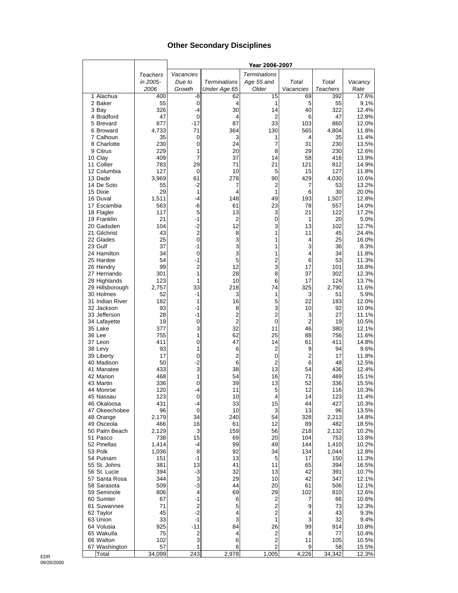### **Other Secondary Disciplines**

|                               |                 |                |                     | Year 2006-2007          |                     |                 |                |
|-------------------------------|-----------------|----------------|---------------------|-------------------------|---------------------|-----------------|----------------|
|                               | <b>Teachers</b> | Vacancies      |                     | <b>Terminations</b>     |                     |                 |                |
|                               | in 2005-        | Due to         | <b>Terminations</b> | Age 55 and              | Total               | Total           | Vacancy        |
|                               | 2006            | Growth         | Under Age 65        | Older                   | Vacancies           | <b>Teachers</b> | Rate           |
| 1 Alachua                     | 400             | -8             | 62                  | 15                      | 69                  | 392             | 17.6%          |
| 2 Baker                       | 55              | 0              | 4                   | 1                       | 5                   | 55              | 9.1%           |
| 3 Bay                         | 326             | -4             | 30                  | 14                      | 40                  | 322             | 12.4%          |
| 4 Bradford                    | 47              | 0              | 4                   | 2                       | 6                   | 47              | 12.8%          |
| 5 Brevard                     | 877             | -17            | 87                  | 33                      | 103                 | 860             | 12.0%          |
| 6 Broward                     | 4,733           | 71             | 364                 | 130                     | 565                 | 4,804           | 11.8%          |
| 7 Calhoun                     | 35              | 0              | 3                   | 1                       | 4                   | 35              | 11.4%          |
| 8 Charlotte                   | 230             | 0              | 24                  | 7                       | 31                  | 230             | 13.5%          |
| 9 Citrus<br>10 Clay           | 229<br>409      | 1<br>7         | 20<br>37            | 8<br>14                 | 29<br>58            | 230<br>416      | 12.6%<br>13.9% |
| 11 Collier                    | 783             | 29             | 71                  | 21                      | 121                 | 812             | 14.9%          |
| 12 Columbia                   | 127             | 0              | 10                  | 5                       | 15                  | 127             | 11.8%          |
| 13 Dade                       | 3,969           | 61             | 278                 | 90                      | 429                 | 4,030           | 10.6%          |
| 14 De Soto                    | 55              | -2             | 7                   | $\overline{2}$          | 7                   | 53              | 13.2%          |
| 15 Dixie                      | 29              | 1              | 4                   | 1                       | 6                   | 30              | 20.0%          |
| 16 Duval                      | 1,511           | -4             | 148                 | 49                      | 193                 | 1,507           | 12.8%          |
| 17 Escambia                   | 563             | -6             | 61                  | 23                      | 78                  | 557             | 14.0%          |
| 18 Flagler                    | 117             | 5              | 13                  | 3                       | 21                  | 122             | 17.2%          |
| 19 Franklin                   | 21              | -1             | 2                   | 0                       | 1                   | 20              | 5.0%           |
| 20 Gadsden                    | 104             | -2             | 12                  | 3                       | 13                  | 102             | 12.7%          |
| 21 Gilchrist                  | 43              | 2              | 8                   | 1                       | 11                  | 45              | 24.4%          |
| 22 Glades                     | 25              | 0              | 3                   | 1                       | 4                   | 25              | 16.0%          |
| 23 Gulf                       | 37              | -1             | 3                   | 1                       | 3                   | 36              | 8.3%           |
| 24 Hamilton                   | 34<br>54        | 0<br>$-1$      | 3<br>5              | 1                       | 4                   | 34              | 11.8%          |
| 25 Hardee<br>26 Hendry        | 99              | 2              | 12                  | $\overline{c}$<br>3     | 6<br>17             | 53<br>101       | 11.3%<br>16.8% |
| 27 Hernando                   | 301             | 1              | 28                  | 8                       | 37                  | 302             | 12.3%          |
| 28 Highlands                  | 123             | 1              | 10                  | 6                       | 17                  | 124             | 13.7%          |
| 29 Hillsborough               | 2,757           | 33             | 218                 | 74                      | 325                 | 2,790           | 11.6%          |
| 30 Holmes                     | 52              | -1             | 3                   | 1                       | 3                   | 51              | 5.9%           |
| 31 Indian River               | 182             | 1              | 16                  | 5                       | 22                  | 183             | 12.0%          |
| 32 Jackson                    | 93              | -1             | 8                   | 3                       | 10                  | 92              | 10.9%          |
| 33 Jefferson                  | 28              | -1             | $\overline{c}$      | $\overline{2}$          | 3                   | 27              | 11.1%          |
| 34 Lafayette                  | 19              | 0              | $\overline{2}$      | 0                       | $\overline{2}$      | 19              | 10.5%          |
| 35 Lake                       | 377             | 3              | 32                  | 11                      | 46                  | 380             | 12.1%          |
| 36 Lee                        | 755             | 1              | 62                  | 25                      | 88                  | 756             | 11.6%          |
| 37 Leon                       | 411             | 0              | 47                  | 14                      | 61                  | 411             | 14.8%          |
| 38 Levy                       | 93              | 1              | 6                   | 2                       | 9                   | 94              | 9.6%           |
| 39 Liberty                    | 17<br>50        | 0<br>$-2$      | $\overline{c}$<br>6 | 0<br>$\overline{2}$     | $\overline{2}$<br>6 | 17              | 11.8%<br>12.5% |
| 40 Madison<br>41 Manatee      | 433             | 3              | 38                  | 13                      | 54                  | 48<br>436       | 12.4%          |
| 42 Marion                     | 468             | 1              | 54                  | 16                      | 71                  | 469             | 15.1%          |
| 43 Martin                     | 336             | 0              | 39                  | 13                      | 52                  | 336             | 15.5%          |
| 44 Monroe                     | 120             | -4             | 11                  | 5                       | 12                  | 116             | 10.3%          |
| 45 Nassau                     | 123             | 0              | 10                  | 4                       | 14                  | 123             | 11.4%          |
| 46 Okaloosa                   | 431             | -4             | 33                  | 15                      | 44                  | 427             | 10.3%          |
| 47 Okeechobee                 | 96              | 0              | 10                  | 3                       | 13                  | 96              | 13.5%          |
| 48 Orange                     | 2,179           | 34             | 240                 | 54                      | 328                 | 2,213           | 14.8%          |
| 49 Osceola                    | 466             | 16             | 61                  | 12                      | 89                  | 482             | 18.5%          |
| 50 Palm Beach                 | 2,129           | 3              | 159                 | 56                      | 218                 | 2,132           | 10.2%          |
| 51 Pasco                      | 738             | 15             | 69                  | 20                      | 104                 | 753             | 13.8%          |
| 52 Pinellas                   | 1,414           | -4             | 99                  | 49                      | 144                 | 1,410           | 10.2%          |
| 53 Polk                       | 1,036           | 8              | 92                  | 34                      | 134                 | 1,044           | 12.8%          |
| 54 Putnam                     | 151             | -1             | 13                  | 5                       | 17                  | 150             | 11.3%          |
| 55 St. Johns                  | 381             | 13             | 41                  | 11                      | 65                  | 394             | 16.5%          |
| 56 St. Lucie<br>57 Santa Rosa | 394<br>344      | -3<br>3        | 32<br>29            | 13<br>10                | 42<br>42            | 391<br>347      | 10.7%<br>12.1% |
| 58 Sarasota                   | 509             | -3             | 44                  | 20                      | 61                  | 506             | 12.1%          |
| 59 Seminole                   | 806             | 4              | 69                  | 29                      | 102                 | 810             | 12.6%          |
| 60 Sumter                     | 67              | -1             | 6                   | 2                       | 7                   | 66              | 10.6%          |
| 61 Suwannee                   | 71              | $\overline{c}$ | 5                   | 2                       | 9                   | 73              | 12.3%          |
| 62 Taylor                     | 45              | $-2$           | 4                   | $\overline{2}$          | 4                   | 43              | 9.3%           |
| 63 Union                      | 33              | $-1$           | 3                   | 1                       | 3                   | 32              | 9.4%           |
| 64 Volusia                    | 925             | $-11$          | 84                  | 26                      | 99                  | 914             | 10.8%          |
| 65 Wakulla                    | 75              | 2              | 4                   | 2                       | 8                   | 77              | 10.4%          |
| 66 Walton                     | 102             | 3              | 6                   | 2                       | 11                  | 105             | 10.5%          |
| 67 Washington                 | 57              | 1              | 6                   | $\overline{\mathbf{c}}$ | 9                   | 58              | 15.5%          |
| Total                         | 34,099          | 243            | 2,978               | 1,005                   | 4,226               | 34,342          | 12.3%          |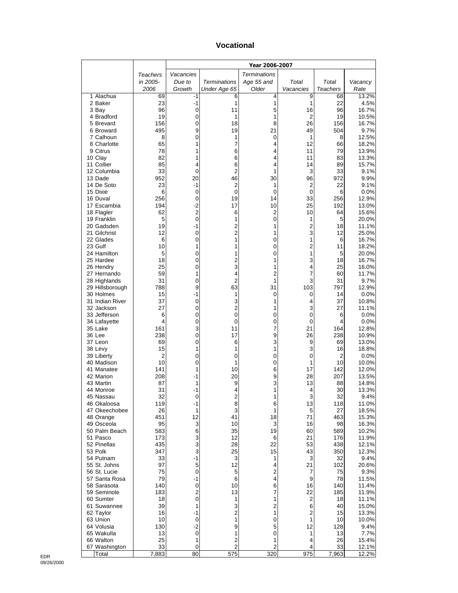#### **Vocational**

|                              |            |                               |                         | Year 2006-2007                |                     |                 |                |
|------------------------------|------------|-------------------------------|-------------------------|-------------------------------|---------------------|-----------------|----------------|
|                              | Teachers   | Vacancies                     |                         | <b>Terminations</b>           |                     |                 |                |
|                              | in 2005-   | Due to                        | <b>Terminations</b>     | Age 55 and                    | Total               | Total           | Vacancy        |
|                              | 2006       | Growth                        | Under Age 65            | Older                         | Vacancies           | <b>Teachers</b> | Rate           |
| 1 Alachua<br>2 Baker         | 69<br>23   | -1<br>-1                      | 6<br>1                  | 4<br>1                        | 9<br>1              | 68<br>22        | 13.2%<br>4.5%  |
| 3 Bay                        | 96         | $\mathbf 0$                   | 11                      | 5                             | 16                  | 96              | 16.7%          |
| 4 Bradford                   | 19         | 0                             | 1                       | 1                             | 2                   | 19              | 10.5%          |
| 5 Brevard                    | 156        | 0                             | 18                      | 8                             | 26                  | 156             | 16.7%          |
| 6 Broward                    | 495        | 9                             | 19                      | 21                            | 49                  | 504             | 9.7%           |
| 7 Calhoun<br>8 Charlotte     | 8<br>65    | 0<br>1                        | 1<br>7                  | 0<br>4                        | 1<br>12             | 8<br>66         | 12.5%<br>18.2% |
| 9 Citrus                     | 78         | 1                             | 6                       | 4                             | 11                  | 79              | 13.9%          |
| 10 Clay                      | 82         | 1                             | 6                       | 4                             | 11                  | 83              | 13.3%          |
| 11 Collier                   | 85         | 4                             | 6                       | 4                             | 14                  | 89              | 15.7%          |
| 12 Columbia<br>13 Dade       | 33<br>952  | 0<br>20                       | 2<br>46                 | 1<br>30                       | 3<br>96             | 33<br>972       | 9.1%<br>9.9%   |
| 14 De Soto                   | 23         | -1                            | 2                       | 1                             | $\overline{c}$      | 22              | 9.1%           |
| 15 Dixie                     | 6          | 0                             | 0                       | $\mathbf 0$                   | 0                   | 6               | 0.0%           |
| 16 Duval                     | 256        | 0                             | 19                      | 14                            | 33                  | 256             | 12.9%          |
| 17 Escambia                  | 194        | $-2$                          | 17                      | 10                            | 25                  | 192             | 13.0%          |
| 18 Flagler<br>19 Franklin    | 62<br>5    | $\overline{c}$<br>$\mathbf 0$ | 6<br>1                  | $\overline{c}$<br>$\mathbf 0$ | 10<br>1             | 64<br>5         | 15.6%<br>20.0% |
| 20 Gadsden                   | 19         | -1                            | $\overline{c}$          | 1                             | $\overline{c}$      | 18              | 11.1%          |
| 21 Gilchrist                 | 12         | 0                             | 2                       | 1                             | 3                   | 12              | 25.0%          |
| 22 Glades                    | 6          | 0                             | 1                       | 0                             | 1                   | 6               | 16.7%          |
| 23 Gulf<br>24 Hamilton       | 10         | 1                             | 1                       | 0                             | $\overline{c}$<br>1 | 11              | 18.2%          |
| 25 Hardee                    | 5<br>18    | 0<br>0                        | 1<br>2                  | 0<br>1                        | 3                   | 5<br>18         | 20.0%<br>16.7% |
| 26 Hendry                    | 25         | 0                             | 3                       | 1                             | 4                   | 25              | 16.0%          |
| 27 Hernando                  | 59         | 1                             | 4                       | $\overline{c}$                | 7                   | 60              | 11.7%          |
| 28 Highlands                 | 31         | 0                             | $\overline{2}$          | 1                             | 3                   | 31              | 9.7%           |
| 29 Hillsborough<br>30 Holmes | 788<br>15  | 9<br>-1                       | 63<br>1                 | 31<br>0                       | 103<br>0            | 797<br>14       | 12.9%<br>0.0%  |
| 31 Indian River              | 37         | 0                             | 3                       | 1                             | 4                   | 37              | 10.8%          |
| 32 Jackson                   | 27         | 0                             | 2                       | 1                             | 3                   | 27              | 11.1%          |
| 33 Jefferson                 | 6          | 0                             | 0                       | 0                             | 0                   | 6               | 0.0%           |
| 34 Lafayette                 | 4          | 0                             | 0                       | 0                             | 0                   | 4               | 0.0%           |
| 35 Lake<br>36 Lee            | 161<br>238 | 3<br>0                        | 11<br>17                | 7<br>9                        | 21<br>26            | 164<br>238      | 12.8%<br>10.9% |
| 37 Leon                      | 69         | 0                             | 6                       | 3                             | 9                   | 69              | 13.0%          |
| 38 Levy                      | 15         | 1                             | 1                       | 1                             | 3                   | 16              | 18.8%          |
| 39 Liberty                   | 2          | 0                             | 0                       | 0                             | 0                   | $\overline{2}$  | 0.0%           |
| 40 Madison                   | 10<br>141  | 0                             | 1                       | 0                             | 1                   | 10              | 10.0%          |
| 41 Manatee<br>42 Marion      | 208        | 1<br>-1                       | 10<br>20                | 6<br>9                        | 17<br>28            | 142<br>207      | 12.0%<br>13.5% |
| 43 Martin                    | 87         | 1                             | 9                       | 3                             | 13                  | 88              | 14.8%          |
| 44 Monroe                    | 31         | -1                            | 4                       | 1                             | 4                   | 30              | 13.3%          |
| 45 Nassau                    | 32         | 0                             | 2                       | 1                             | 3                   | 32              | 9.4%           |
| 46 Okaloosa                  | 119<br>26  | -1<br>1                       | 8<br>3                  | 6<br>1                        | 13<br>5             | 118<br>27       | 11.0%          |
| 47 Okeechobee<br>48 Orange   | 451        | 12                            | 41                      | 18                            | 71                  | 463             | 18.5%<br>15.3% |
| 49 Osceola                   | 95         | 3                             | 10                      | 3                             | 16                  | 98              | 16.3%          |
| 50 Palm Beach                | 583        | 6                             | 35                      | 19                            | 60                  | 589             | 10.2%          |
| 51 Pasco                     | 173        | 3                             | 12                      | 6                             | 21                  | 176             | 11.9%          |
| 52 Pinellas<br>53 Polk       | 435<br>347 | 3<br>3                        | 28<br>25                | 22<br>15                      | 53<br>43            | 438<br>350      | 12.1%<br>12.3% |
| 54 Putnam                    | 33         | $-1$                          | 3                       | 1                             | 3                   | 32              | 9.4%           |
| 55 St. Johns                 | 97         | 5                             | 12                      | 4                             | 21                  | 102             | 20.6%          |
| 56 St. Lucie                 | 75         | $\pmb{0}$                     | 5                       | 2                             | 7                   | 75              | 9.3%           |
| 57 Santa Rosa                | 79         | -1                            | 6                       | 4                             | 9                   | 78              | 11.5%          |
| 58 Sarasota<br>59 Seminole   | 140<br>183 | $\pmb{0}$<br>2                | 10<br>13                | 6<br>7                        | 16<br>22            | 140<br>185      | 11.4%<br>11.9% |
| 60 Sumter                    | 18         | $\pmb{0}$                     | 1                       | 1                             | 2                   | 18              | 11.1%          |
| 61 Suwannee                  | 39         | 1                             | 3                       | 2                             | 6                   | 40              | 15.0%          |
| 62 Taylor                    | 16         | $-1$                          | $\overline{\mathbf{c}}$ | 1                             | 2                   | 15              | 13.3%          |
| 63 Union                     | 10         | 0                             | 1                       | 0                             | 1                   | 10              | 10.0%          |
| 64 Volusia<br>65 Wakulla     | 130<br>13  | $-2$<br>0                     | 9<br>1                  | 5<br>0                        | 12<br>1             | 128<br>13       | 9.4%<br>7.7%   |
| 66 Walton                    | 25         | 1                             | $\overline{c}$          | 1                             | 4                   | 26              | 15.4%          |
| 67 Washington                | 33         | 0                             | 2                       | $\overline{c}$                | 4                   | 33              | 12.1%          |
| Total                        | 7,883      | 80                            | $\overline{575}$        | 320                           | 975                 | 7,963           | 12.2%          |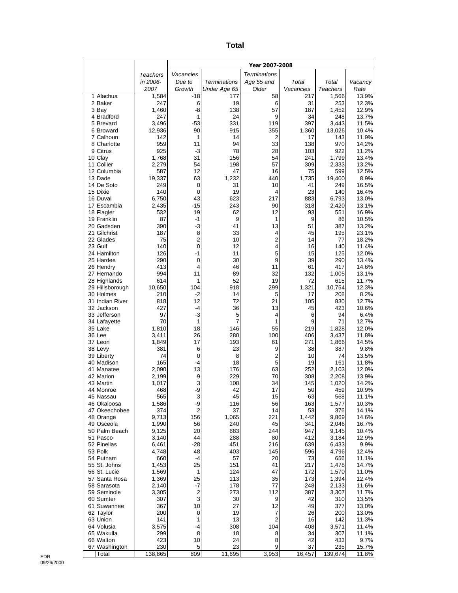| ×<br>×<br>۰,<br>$\sim$ |
|------------------------|
|------------------------|

|                              |                | Year 2007-2008       |                     |                     |            |                |                |
|------------------------------|----------------|----------------------|---------------------|---------------------|------------|----------------|----------------|
|                              | Teachers       | Vacancies            |                     | <b>Terminations</b> |            |                |                |
|                              | in 2006-       | Due to               | <b>Terminations</b> | Age 55 and          | Total      | Total          | Vacancy        |
|                              | 2007           | Growth               | Under Age 65        | Older               | Vacancies  | Teachers       | Rate           |
| 1 Alachua                    | 1,584<br>247   | $-18$                | 177                 | 58                  | 217        | 1,566          | 13.9%          |
| 2 Baker<br>3 Bay             | 1,460          | 6<br>-8              | 19<br>138           | 6<br>57             | 31<br>187  | 253<br>1,452   | 12.3%<br>12.9% |
| 4 Bradford                   | 247            | 1                    | 24                  | 9                   | 34         | 248            | 13.7%          |
| 5 Brevard                    | 3,496          | $-53$                | 331                 | 119                 | 397        | 3,443          | 11.5%          |
| 6 Broward                    | 12,936         | 90                   | 915                 | 355                 | 1,360      | 13,026         | 10.4%          |
| 7 Calhoun                    | 142            | 1                    | 14                  | 2                   | 17         | 143            | 11.9%          |
| 8 Charlotte<br>9 Citrus      | 959<br>925     | 11<br>-3             | 94<br>78            | 33<br>28            | 138<br>103 | 970<br>922     | 14.2%<br>11.2% |
| 10 Clay                      | 1,768          | 31                   | 156                 | 54                  | 241        | 1,799          | 13.4%          |
| 11 Collier                   | 2,279          | 54                   | 198                 | 57                  | 309        | 2,333          | 13.2%          |
| 12 Columbia                  | 587            | 12                   | 47                  | 16                  | 75         | 599            | 12.5%          |
| 13 Dade                      | 19,337         | 63                   | 1,232               | 440                 | 1,735      | 19,400         | 8.9%           |
| 14 De Soto<br>15 Dixie       | 249<br>140     | 0<br>0               | 31<br>19            | 10<br>4             | 41<br>23   | 249<br>140     | 16.5%          |
| 16 Duval                     | 6,750          | 43                   | 623                 | 217                 | 883        | 6,793          | 16.4%<br>13.0% |
| 17 Escambia                  | 2,435          | $-15$                | 243                 | 90                  | 318        | 2,420          | 13.1%          |
| 18 Flagler                   | 532            | 19                   | 62                  | 12                  | 93         | 551            | 16.9%          |
| 19 Franklin                  | 87             | -1                   | 9                   | 1                   | 9          | 86             | 10.5%          |
| 20 Gadsden                   | 390            | $-3$                 | 41                  | 13                  | 51         | 387            | 13.2%          |
| 21 Gilchrist<br>22 Glades    | 187<br>75      | 8<br>$\overline{2}$  | 33<br>10            | 4<br>$\overline{2}$ | 45<br>14   | 195<br>77      | 23.1%<br>18.2% |
| 23 Gulf                      | 140            | 0                    | 12                  | 4                   | 16         | 140            | 11.4%          |
| 24 Hamilton                  | 126            | $-1$                 | 11                  | 5                   | 15         | 125            | 12.0%          |
| 25 Hardee                    | 290            | 0                    | 30                  | 9                   | 39         | 290            | 13.4%          |
| 26 Hendry                    | 413            | 4                    | 46                  | 11                  | 61         | 417            | 14.6%          |
| 27 Hernando<br>28 Highlands  | 994<br>614     | 11<br>1              | 89<br>52            | 32<br>19            | 132<br>72  | 1,005<br>615   | 13.1%<br>11.7% |
| 29 Hillsborough              | 10,650         | 104                  | 918                 | 299                 | 1,321      | 10,754         | 12.3%          |
| 30 Holmes                    | 210            | $-2$                 | 14                  | 5                   | 17         | 208            | 8.2%           |
| 31 Indian River              | 818            | 12                   | 72                  | 21                  | 105        | 830            | 12.7%          |
| 32 Jackson                   | 427            | $-4$                 | 36                  | 13                  | 45         | 423            | 10.6%          |
| 33 Jefferson                 | 97<br>70       | $-3$<br>1            | 5<br>7              | 4<br>1              | 6<br>9     | 94<br>71       | 6.4%<br>12.7%  |
| 34 Lafayette<br>35 Lake      | 1,810          | 18                   | 146                 | 55                  | 219        | 1,828          | 12.0%          |
| 36 Lee                       | 3,411          | 26                   | 280                 | 100                 | 406        | 3,437          | 11.8%          |
| 37 Leon                      | 1,849          | 17                   | 193                 | 61                  | 271        | 1,866          | 14.5%          |
| 38 Levy                      | 381            | 6                    | 23                  | 9                   | 38         | 387            | 9.8%           |
| 39 Liberty                   | 74             | 0                    | 8                   | 2                   | 10         | 74             | 13.5%          |
| 40 Madison<br>41 Manatee     | 165<br>2,090   | $-4$<br>13           | 18<br>176           | 5<br>63             | 19<br>252  | 161<br>2,103   | 11.8%<br>12.0% |
| 42 Marion                    | 2,199          | 9                    | 229                 | 70                  | 308        | 2,208          | 13.9%          |
| 43 Martin                    | 1,017          | 3                    | 108                 | 34                  | 145        | 1,020          | 14.2%          |
| 44 Monroe                    | 468            | -9                   | 42                  | 17                  | 50         | 459            | 10.9%          |
| 45 Nassau                    | 565            | 3                    | 45                  | 15                  | 63         | 568            | 11.1%          |
| 46 Okaloosa<br>47 Okeechobee | 1,586<br>374   | -9<br>2              | 116<br>37           | 56<br>14            | 163<br>53  | 1,577<br>376   | 10.3%<br>14.1% |
| 48 Orange                    | 9,713          | 156                  | 1,065               | 221                 | 1,442      | 9,869          | 14.6%          |
| 49 Osceola                   | 1,990          | 56                   | 240                 | 45                  | 341        | 2,046          | 16.7%          |
| 50 Palm Beach                | 9,125          | 20                   | 683                 | 244                 | 947        | 9,145          | 10.4%          |
| 51 Pasco                     | 3,140          | 44                   | 288                 | 80                  | 412        | 3,184          | 12.9%          |
| 52 Pinellas<br>53 Polk       | 6,461<br>4,748 | $-28$<br>48          | 451<br>403          | 216<br>145          | 639<br>596 | 6,433<br>4,796 | 9.9%<br>12.4%  |
| 54 Putnam                    | 660            | $-4$                 | 57                  | 20                  | 73         | 656            | 11.1%          |
| 55 St. Johns                 | 1,453          | 25                   | 151                 | 41                  | 217        | 1,478          | 14.7%          |
| 56 St. Lucie                 | 1,569          | 1                    | 124                 | 47                  | 172        | 1,570          | 11.0%          |
| 57 Santa Rosa                | 1,369          | 25                   | 113                 | 35                  | 173        | 1,394          | 12.4%          |
| 58 Sarasota<br>59 Seminole   | 2,140          | -7<br>$\overline{2}$ | 178<br>273          | 77<br>112           | 248<br>387 | 2,133          | 11.6%          |
| 60 Sumter                    | 3,305<br>307   | 3                    | 30                  | 9                   | 42         | 3,307<br>310   | 11.7%<br>13.5% |
| 61 Suwannee                  | 367            | 10                   | 27                  | 12                  | 49         | 377            | 13.0%          |
| 62 Taylor                    | 200            | $\boldsymbol{0}$     | 19                  | 7                   | 26         | 200            | 13.0%          |
| 63 Union                     | 141            | 1                    | 13                  | $\overline{2}$      | 16         | 142            | 11.3%          |
| 64 Volusia                   | 3,575          | -4<br>8              | 308                 | 104                 | 408        | 3,571          | 11.4%          |
| 65 Wakulla<br>66 Walton      | 299<br>423     | 10                   | 18<br>24            | 8<br>8              | 34<br>42   | 307<br>433     | 11.1%<br>9.7%  |
| 67 Washington                | 230            | 5                    | 23                  | 9                   | 37         | 235            | 15.7%          |
| Total                        | 138,865        | 809                  | 11,695              | 3,953               | 16,457     | 139,674        | 11.8%          |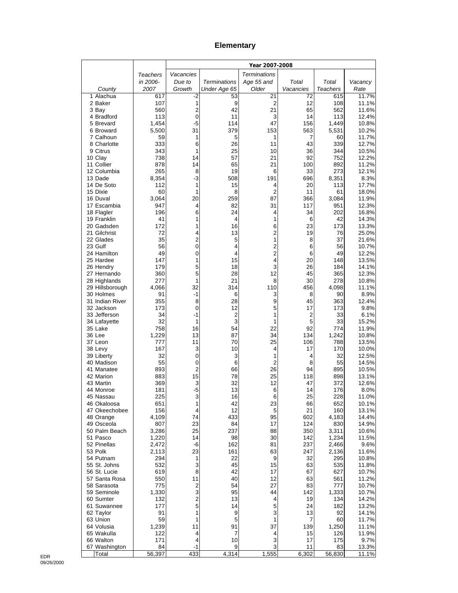# **Elementary**

|                              |                | Year 2007-2008          |                     |                     |                              |                 |                |
|------------------------------|----------------|-------------------------|---------------------|---------------------|------------------------------|-----------------|----------------|
|                              | Teachers       | Vacancies               |                     | <b>Terminations</b> |                              |                 |                |
|                              | in 2006-       | Due to                  | <b>Terminations</b> | Age 55 and          | Total                        | Total           | Vacancy        |
| County                       | 2007           | Growth                  | Under Age 65        | Older               | Vacancies                    | <b>Teachers</b> | Rate           |
| 1 Alachua<br>2 Baker         | 617<br>107     | -2<br>1                 | 53<br>9             | 21<br>2             | 72<br>12                     | 615<br>108      | 11.7%<br>11.1% |
| 3 Bay                        | 560            | $\overline{2}$          | 42                  | 21                  | 65                           | 562             | 11.6%          |
| 4 Bradford                   | 113            | $\overline{0}$          | 11                  | 3                   | 14                           | 113             | 12.4%          |
| 5 Brevard                    | 1,454          | -5                      | 114                 | 47                  | 156                          | 1,449           | 10.8%          |
| 6 Broward                    | 5,500          | 31                      | 379                 | 153                 | 563                          | 5,531           | 10.2%          |
| 7 Calhoun                    | 59             | 1                       | 5                   | 1                   | 7                            | 60              | 11.7%          |
| 8 Charlotte<br>9 Citrus      | 333<br>343     | 6<br>1                  | 26<br>25            | 11<br>10            | 43<br>36                     | 339<br>344      | 12.7%<br>10.5% |
| 10 Clay                      | 738            | 14                      | 57                  | 21                  | 92                           | 752             | 12.2%          |
| 11 Collier                   | 878            | 14                      | 65                  | 21                  | 100                          | 892             | 11.2%          |
| 12 Columbia                  | 265            | 8                       | 19                  | 6                   | 33                           | 273             | 12.1%          |
| 13 Dade                      | 8,354          | $-3$                    | 508                 | 191                 | 696                          | 8,351           | 8.3%           |
| 14 De Soto<br>15 Dixie       | 112<br>60      | 1<br>1                  | 15<br>8             | 4<br>$\overline{2}$ | 20<br>11                     | 113<br>61       | 17.7%<br>18.0% |
| 16 Duval                     | 3,064          | 20                      | 259                 | 87                  | 366                          | 3,084           | 11.9%          |
| 17 Escambia                  | 947            | 4                       | 82                  | 31                  | 117                          | 951             | 12.3%          |
| 18 Flagler                   | 196            | 6                       | 24                  | 4                   | 34                           | 202             | 16.8%          |
| 19 Franklin                  | 41             | 1                       | 4                   | 1                   | 6                            | 42              | 14.3%          |
| 20 Gadsden<br>21 Gilchrist   | 172<br>72      | 1<br>4                  | 16<br>13            | 6<br>2              | 23<br>19                     | 173<br>76       | 13.3%<br>25.0% |
| 22 Glades                    | 35             | $\overline{c}$          | 5                   | 1                   | 8                            | 37              | 21.6%          |
| 23 Gulf                      | 56             | $\mathbf 0$             | 4                   | 2                   | 6                            | 56              | 10.7%          |
| 24 Hamilton                  | 49             | 0                       | 4                   | $\overline{2}$      | 6                            | 49              | 12.2%          |
| 25 Hardee                    | 147            | 1                       | 15                  | 4                   | 20                           | 148             | 13.5%          |
| 26 Hendry                    | 179            | 5                       | 18                  | 3                   | 26                           | 184             | 14.1%          |
| 27 Hernando<br>28 Highlands  | 360<br>277     | 5<br>1                  | 28<br>21            | 12<br>8             | 45<br>30                     | 365<br>278      | 12.3%<br>10.8% |
| 29 Hillsborough              | 4,066          | 32                      | 314                 | 110                 | 456                          | 4,098           | 11.1%          |
| 30 Holmes                    | 91             | $-1$                    | 6                   | 3                   | 8                            | 90              | 8.9%           |
| 31 Indian River              | 355            | 8                       | 28                  | 9                   | 45                           | 363             | 12.4%          |
| 32 Jackson                   | 173            | 0                       | 12                  | 5                   | 17                           | 173             | 9.8%           |
| 33 Jefferson                 | 34<br>32       | $-1$<br>1               | $\overline{c}$<br>3 | 1<br>1              | $\overline{\mathbf{c}}$<br>5 | 33<br>33        | 6.1%<br>15.2%  |
| 34 Lafayette<br>35 Lake      | 758            | 16                      | 54                  | 22                  | 92                           | 774             | 11.9%          |
| 36 Lee                       | 1,229          | 13                      | 87                  | 34                  | 134                          | 1,242           | 10.8%          |
| 37 Leon                      | 777            | 11                      | 70                  | 25                  | 106                          | 788             | 13.5%          |
| 38 Levy                      | 167            | 3                       | 10                  | 4                   | 17                           | 170             | 10.0%          |
| 39 Liberty<br>40 Madison     | 32<br>55       | 0<br>$\mathbf 0$        | 3<br>6              | 1<br>$\overline{2}$ | 4<br>8                       | 32<br>55        | 12.5%<br>14.5% |
| 41 Manatee                   | 893            | $\overline{2}$          | 66                  | 26                  | 94                           | 895             | 10.5%          |
| 42 Marion                    | 883            | 15                      | 78                  | 25                  | 118                          | 898             | 13.1%          |
| 43 Martin                    | 369            | 3                       | 32                  | 12                  | 47                           | 372             | 12.6%          |
| 44 Monroe                    | 181            | $-5$                    | 13                  | 6                   | 14                           | 176             | 8.0%           |
| 45 Nassau                    | 225            | 3<br>1                  | 16<br>42            | 6<br>23             | 25                           | 228             | 11.0%          |
| 46 Okaloosa<br>47 Okeechobee | 651<br>156     | 4                       | 12                  | 5                   | 66<br>21                     | 652<br>160      | 10.1%<br>13.1% |
| 48 Orange                    | 4,109          | 74                      | 433                 | 95                  | 602                          | 4,183           | 14.4%          |
| 49 Osceola                   | 807            | 23                      | 84                  | 17                  | 124                          | 830             | 14.9%          |
| 50 Palm Beach                | 3,286          | 25                      | 237                 | 88                  | 350                          | 3,311           | 10.6%          |
| 51 Pasco                     | 1,220          | 14                      | 98                  | 30                  | 142                          | 1,234           | 11.5%          |
| 52 Pinellas<br>53 Polk       | 2,472<br>2,113 | -6<br>23                | 162<br>161          | 81<br>63            | 237<br>247                   | 2,466<br>2,136  | 9.6%<br>11.6%  |
| 54 Putnam                    | 294            | 1                       | 22                  | 9                   | 32                           | 295             | 10.8%          |
| 55 St. Johns                 | 532            | 3                       | 45                  | 15                  | 63                           | 535             | 11.8%          |
| 56 St. Lucie                 | 619            | 8                       | 42                  | 17                  | 67                           | 627             | 10.7%          |
| 57 Santa Rosa                | 550            | 11                      | 40                  | 12                  | 63                           | 561             | 11.2%          |
| 58 Sarasota<br>59 Seminole   | 775<br>1,330   | $\overline{c}$<br>3     | 54<br>95            | 27<br>44            | 83<br>142                    | 777<br>1,333    | 10.7%<br>10.7% |
| 60 Sumter                    | 132            | $\overline{\mathbf{c}}$ | 13                  | 4                   | 19                           | 134             | 14.2%          |
| 61 Suwannee                  | 177            | 5                       | 14                  | 5                   | 24                           | 182             | 13.2%          |
| 62 Taylor                    | 91             | 1                       | 9                   | 3                   | 13                           | 92              | 14.1%          |
| 63 Union                     | 59             | 1                       | 5                   | 1                   | 7                            | 60              | 11.7%          |
| 64 Volusia<br>65 Wakulla     | 1,239<br>122   | 11<br>4                 | 91<br>7             | 37<br>4             | 139                          | 1,250<br>126    | 11.1%          |
| 66 Walton                    | 171            | 4                       | 10                  | 3                   | 15<br>17                     | 175             | 11.9%<br>9.7%  |
| 67 Washington                | 84             | $-1$                    | 9                   | 3                   | 11                           | 83              | 13.3%          |
| Total                        | 56,397         | 433                     | 4,314               | 1,555               | 6,302                        | 56,830          | 11.1%          |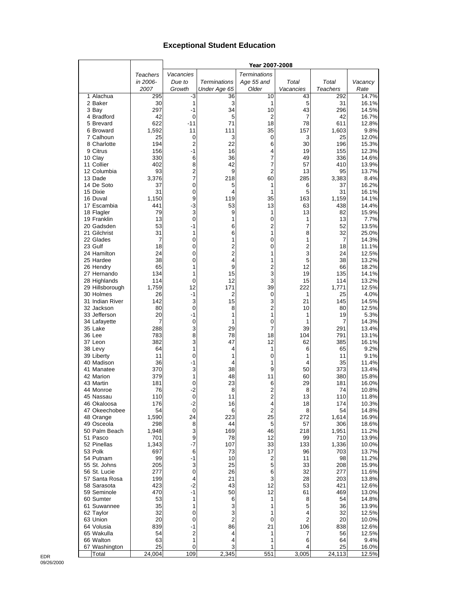## **Exceptional Student Education**

|                          |                 |                |                     | Year 2007-2008               |           |                 |                |
|--------------------------|-----------------|----------------|---------------------|------------------------------|-----------|-----------------|----------------|
|                          | <b>Teachers</b> | Vacancies      |                     | <b>Terminations</b>          |           |                 |                |
|                          | in 2006-        | Due to         | <b>Terminations</b> | Age 55 and                   | Total     | Total           | Vacancy        |
|                          | 2007            | Growth         | Under Age 65        | Older                        | Vacancies | <b>Teachers</b> | Rate           |
| 1 Alachua                | 295             | -3             | 36                  | 10                           | 43        | 292             | 14.7%          |
| 2 Baker                  | 30              | 1              | 3                   | 1                            | 5         | 31              | 16.1%          |
| 3 Bay                    | 297             | $-1$           | 34                  | 10                           | 43        | 296             | 14.5%          |
| 4 Bradford               | 42<br>622       | 0              | 5                   | 2<br>18                      | 7         | 42              | 16.7%          |
| 5 Brevard<br>6 Broward   | 1,592           | $-11$<br>11    | 71<br>111           | 35                           | 78<br>157 | 611<br>1,603    | 12.8%<br>9.8%  |
| 7 Calhoun                | 25              | 0              | 3                   | 0                            | 3         | 25              | 12.0%          |
| 8 Charlotte              | 194             | $\overline{2}$ | 22                  | 6                            | 30        | 196             | 15.3%          |
| 9 Citrus                 | 156             | $-1$           | 16                  | 4                            | 19        | 155             | 12.3%          |
| 10 Clay                  | 330             | 6              | 36                  | 7                            | 49        | 336             | 14.6%          |
| 11 Collier               | 402             | 8              | 42                  | 7                            | 57        | 410             | 13.9%          |
| 12 Columbia              | 93              | 2              | 9                   | 2                            | 13        | 95              | 13.7%          |
| 13 Dade                  | 3,376           | 7              | 218                 | 60                           | 285       | 3,383           | 8.4%           |
| 14 De Soto<br>15 Dixie   | 37<br>31        | 0<br>0         | 5<br>4              | 1<br>1                       | 6<br>5    | 37<br>31        | 16.2%<br>16.1% |
| 16 Duval                 | 1,150           | 9              | 119                 | 35                           | 163       | 1,159           | 14.1%          |
| 17 Escambia              | 441             | $-3$           | 53                  | 13                           | 63        | 438             | 14.4%          |
| 18 Flagler               | 79              | 3              | 9                   | 1                            | 13        | 82              | 15.9%          |
| 19 Franklin              | 13              | $\mathbf 0$    | 1                   | 0                            | 1         | 13              | 7.7%           |
| 20 Gadsden               | 53              | $-1$           | 6                   | $\overline{c}$               | 7         | 52              | 13.5%          |
| 21 Gilchrist             | 31              | 1              | 6                   | $\mathbf{1}$                 | 8         | 32              | 25.0%          |
| 22 Glades                | 7               | 0              | 1                   | 0                            | 1         | 7               | 14.3%          |
| 23 Gulf                  | 18              | 0              | 2                   | 0                            | 2         | 18              | 11.1%          |
| 24 Hamilton<br>25 Hardee | 24<br>38        | 0<br>0         | $\overline{c}$<br>4 | 1<br>1                       | 3<br>5    | 24<br>38        | 12.5%<br>13.2% |
| 26 Hendry                | 65              | 1              | 9                   | $\overline{c}$               | 12        | 66              | 18.2%          |
| 27 Hernando              | 134             | 1              | 15                  | 3                            | 19        | 135             | 14.1%          |
| 28 Highlands             | 114             | 0              | 12                  | 3                            | 15        | 114             | 13.2%          |
| 29 Hillsborough          | 1,759           | 12             | 171                 | 39                           | 222       | 1,771           | 12.5%          |
| 30 Holmes                | 26              | $-1$           | $\overline{2}$      | 0                            | 1         | 25              | 4.0%           |
| 31 Indian River          | 142             | 3              | 15                  | 3                            | 21        | 145             | 14.5%          |
| 32 Jackson               | 80              | $\mathbf 0$    | 8                   | $\overline{c}$               | 10        | 80              | 12.5%          |
| 33 Jefferson             | 20              | -1             | 1                   | 1                            | 1         | 19              | 5.3%           |
| 34 Lafayette<br>35 Lake  | 7<br>288        | 0<br>3         | 1<br>29             | 0<br>7                       | 1<br>39   | 7<br>291        | 14.3%<br>13.4% |
| 36 Lee                   | 783             | 8              | 78                  | 18                           | 104       | 791             | 13.1%          |
| 37 Leon                  | 382             | 3              | 47                  | 12                           | 62        | 385             | 16.1%          |
| 38 Levy                  | 64              | 1              | 4                   | 1                            | 6         | 65              | 9.2%           |
| 39 Liberty               | 11              | 0              | 1                   | 0                            | 1         | 11              | 9.1%           |
| 40 Madison               | 36              | $-1$           | 4                   | 1                            | 4         | 35              | 11.4%          |
| 41 Manatee               | 370             | 3              | 38                  | 9                            | 50        | 373             | 13.4%          |
| 42 Marion                | 379             | 1              | 48                  | 11                           | 60        | 380             | 15.8%          |
| 43 Martin<br>44 Monroe   | 181<br>76       | 0<br>$-2$      | 23<br>8             | 6<br>$\overline{\mathbf{c}}$ | 29<br>8   | 181<br>74       | 16.0%<br>10.8% |
| 45 Nassau                | 110             | $\mathbf 0$    | 11                  | $\overline{2}$               | 13        | 110             | 11.8%          |
| 46 Okaloosa              | 176             | -2             | 16                  | 4                            | 18        | 174             | 10.3%          |
| 47 Okeechobee            | 54              | $\mathbf 0$    | 6                   | $\overline{2}$               | 8         | 54              | 14.8%          |
| 48 Orange                | 1,590           | 24             | 223                 | 25                           | 272       | 1,614           | 16.9%          |
| 49 Osceola               | 298             | 8              | 44                  | 5                            | 57        | 306             | 18.6%          |
| 50 Palm Beach            | 1,948           | 3              | 169                 | 46                           | 218       | 1,951           | 11.2%          |
| 51 Pasco<br>52 Pinellas  | 701             | 9<br>$-7$      | 78<br>107           | 12<br>33                     | 99<br>133 | 710             | 13.9%          |
| 53 Polk                  | 1,343<br>697    | 6              | 73                  | 17                           | 96        | 1,336<br>703    | 10.0%<br>13.7% |
| 54 Putnam                | 99              | -1             | 10                  | 2                            | 11        | 98              | 11.2%          |
| 55 St. Johns             | 205             | 3              | 25                  | 5                            | 33        | 208             | 15.9%          |
| 56 St. Lucie             | 277             | 0              | 26                  | 6                            | 32        | 277             | 11.6%          |
| 57 Santa Rosa            | 199             | 4              | 21                  | 3                            | 28        | 203             | 13.8%          |
| 58 Sarasota              | 423             | $-2$           | 43                  | 12                           | 53        | 421             | 12.6%          |
| 59 Seminole              | 470             | $-1$           | 50                  | 12                           | 61        | 469             | 13.0%          |
| 60 Sumter                | 53              | 1              | 6                   | 1                            | 8         | 54              | 14.8%          |
| 61 Suwannee              | 35              | 1              | 3                   | 1                            | 5         | 36              | 13.9%          |
| 62 Taylor<br>63 Union    | 32<br>20        | 0<br>0         | 3<br>$\overline{2}$ | 1<br>0                       | 4<br>2    | 32<br>20        | 12.5%<br>10.0% |
| 64 Volusia               | 839             | -1             | 86                  | 21                           | 106       | 838             | 12.6%          |
| 65 Wakulla               | 54              | 2              | 4                   | 1                            | 7         | 56              | 12.5%          |
| 66 Walton                | 63              | 1              | 4                   | 1                            | 6         | 64              | 9.4%           |
| 67 Washington            | 25              | 0              | 3                   | 1                            | 4         | 25              | 16.0%          |
| Total                    | 24,004          | 109            | 2,345               | 551                          | 3,005     | 24,113          | 12.5%          |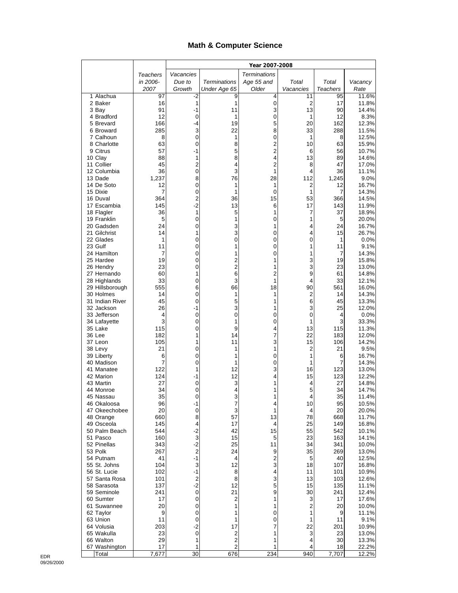## **Math & Computer Science**

|                              |            | Year 2007-2008   |                     |                     |           |                 |                |
|------------------------------|------------|------------------|---------------------|---------------------|-----------|-----------------|----------------|
|                              | Teachers   | Vacancies        |                     | <b>Terminations</b> |           |                 |                |
|                              | in 2006-   | Due to           | <b>Terminations</b> | Age 55 and          | Total     | Total           | Vacancy        |
|                              | 2007       | Growth           | Under Age 65        | Older               | Vacancies | <b>Teachers</b> | Rate           |
| 1 Alachua                    | 97         | -2               | 9                   | 4                   | 11        | 95              | 11.6%          |
| 2 Baker<br>3 Bay             | 16<br>91   | 1<br>-1          | 1<br>11             | 0<br>3              | 2<br>13   | 17<br>90        | 11.8%<br>14.4% |
| 4 Bradford                   | 12         | 0                | 1                   | 0                   | 1         | 12              | 8.3%           |
| 5 Brevard                    | 166        | -4               | 19                  | 5                   | 20        | 162             | 12.3%          |
| 6 Broward                    | 285        | 3                | 22                  | 8                   | 33        | 288             | 11.5%          |
| 7 Calhoun                    | 8          | $\mathbf 0$      | 1                   | 0                   | 1         | 8               | 12.5%          |
| 8 Charlotte                  | 63<br>57   | 0<br>$-1$        | 8                   | 2<br>$\overline{2}$ | 10        | 63              | 15.9%          |
| 9 Citrus<br>10 Clay          | 88         | 1                | 5<br>8              | 4                   | 6<br>13   | 56<br>89        | 10.7%<br>14.6% |
| 11 Collier                   | 45         | $\overline{2}$   | 4                   | $\overline{c}$      | 8         | 47              | 17.0%          |
| 12 Columbia                  | 36         | 0                | 3                   | 1                   | 4         | 36              | 11.1%          |
| 13 Dade                      | 1,237      | 8                | 76                  | 28                  | 112       | 1,245           | 9.0%           |
| 14 De Soto                   | 12         | 0                | 1                   | 1                   | 2         | 12              | 16.7%          |
| 15 Dixie<br>16 Duval         | 7<br>364   | 0<br>2           | 1<br>36             | 0<br>15             | 1<br>53   | 7<br>366        | 14.3%<br>14.5% |
| 17 Escambia                  | 145        | $-2$             | 13                  | 6                   | 17        | 143             | 11.9%          |
| 18 Flagler                   | 36         | 1                | 5                   | 1                   | 7         | 37              | 18.9%          |
| 19 Franklin                  | 5          | 0                | 1                   | 0                   | 1         | 5               | 20.0%          |
| 20 Gadsden                   | 24         | 0                | 3                   | 1                   | 4         | 24              | 16.7%          |
| 21 Gilchrist                 | 14         | 1                | 3                   | 0                   | 4         | 15              | 26.7%          |
| 22 Glades<br>23 Gulf         | 1<br>11    | 0<br>0           | 0<br>1              | 0<br>0              | 0<br>1    | 1<br>11         | 0.0%<br>9.1%   |
| 24 Hamilton                  | 7          | 0                | 1                   | 0                   | 1         | 7               | 14.3%          |
| 25 Hardee                    | 19         | 0                | 2                   | 1                   | 3         | 19              | 15.8%          |
| 26 Hendry                    | 23         | 0                | $\overline{2}$      | 1                   | 3         | 23              | 13.0%          |
| 27 Hernando                  | 60         | 1                | 6                   | 2                   | 9         | 61              | 14.8%          |
| 28 Highlands                 | 33         | 0                | 3                   | 1                   | 4         | 33              | 12.1%          |
| 29 Hillsborough<br>30 Holmes | 555<br>14  | 6<br>$\mathbf 0$ | 66<br>1             | 18<br>1             | 90<br>2   | 561<br>14       | 16.0%<br>14.3% |
| 31 Indian River              | 45         | 0                | 5                   | 1                   | 6         | 45              | 13.3%          |
| 32 Jackson                   | 26         | $-1$             | 3                   | 1                   | 3         | 25              | 12.0%          |
| 33 Jefferson                 | 4          | $\pmb{0}$        | 0                   | 0                   | 0         | 4               | 0.0%           |
| 34 Lafayette                 | 3          | 0                | 1                   | 0                   | 1         | 3               | 33.3%          |
| 35 Lake<br>36 Lee            | 115<br>182 | 0<br>1           | 9<br>14             | 4<br>7              | 13<br>22  | 115             | 11.3%          |
| 37 Leon                      | 105        | 1                | 11                  | 3                   | 15        | 183<br>106      | 12.0%<br>14.2% |
| 38 Levy                      | 21         | 0                | 1                   | 1                   | 2         | 21              | 9.5%           |
| 39 Liberty                   | 6          | 0                | 1                   | 0                   | 1         | 6               | 16.7%          |
| 40 Madison                   | 7          | 0                | 1                   | 0                   | 1         | 7               | 14.3%          |
| 41 Manatee                   | 122        | 1                | 12                  | 3                   | 16        | 123             | 13.0%          |
| 42 Marion<br>43 Martin       | 124<br>27  | -1<br>0          | 12<br>3             | 4<br>1              | 15<br>4   | 123<br>27       | 12.2%<br>14.8% |
| 44 Monroe                    | 34         | 0                | 4                   | 1                   | 5         | 34              | 14.7%          |
| 45 Nassau                    | 35         | 0                | 3                   | 1                   | 4         | 35              | 11.4%          |
| 46 Okaloosa                  | 96         | $-1$             | 7                   | 4                   | 10        | 95              | 10.5%          |
| 47 Okeechobee                | 20         | $\pmb{0}$        | 3                   | 1                   | 4         | 20              | 20.0%          |
| 48 Orange<br>49 Osceola      | 660<br>145 | 8<br>4           | 57<br>17            | 13<br>4             | 78<br>25  | 668<br>149      | 11.7%<br>16.8% |
| 50 Palm Beach                | 544        | $-2$             | 42                  | 15                  | 55        | 542             | 10.1%          |
| 51 Pasco                     | 160        | 3                | 15                  | 5                   | 23        | 163             | 14.1%          |
| 52 Pinellas                  | 343        | $-2$             | 25                  | 11                  | 34        | 341             | 10.0%          |
| 53 Polk                      | 267        | 2                | 24                  | 9                   | 35        | 269             | 13.0%          |
| 54 Putnam                    | 41         | $-1$             | 4                   | 2                   | 5         | 40              | 12.5%          |
| 55 St. Johns<br>56 St. Lucie | 104<br>102 | 3<br>$-1$        | 12<br>8             | 3<br>4              | 18<br>11  | 107<br>101      | 16.8%<br>10.9% |
| 57 Santa Rosa                | 101        | $\overline{c}$   | 8                   | 3                   | 13        | 103             | 12.6%          |
| 58 Sarasota                  | 137        | $-2$             | 12                  | 5                   | 15        | 135             | 11.1%          |
| 59 Seminole                  | 241        | $\mathbf 0$      | 21                  | 9                   | 30        | 241             | 12.4%          |
| 60 Sumter                    | 17         | $\pmb{0}$        | $\overline{c}$      | 1                   | 3         | 17              | 17.6%          |
| 61 Suwannee                  | 20         | 0                | 1                   | 1                   | 2         | 20              | 10.0%          |
| 62 Taylor<br>63 Union        | 9<br>11    | 0<br>0           | 1<br>1              | 0<br>0              | 1<br>1    | 9<br>11         | 11.1%<br>9.1%  |
| 64 Volusia                   | 203        | $-2$             | 17                  | 7                   | 22        | 201             | 10.9%          |
| 65 Wakulla                   | 23         | $\mathbf 0$      | $\overline{c}$      | 1                   | 3         | 23              | 13.0%          |
| 66 Walton                    | 29         | 1                | $\overline{c}$      | 1                   | 4         | 30              | 13.3%          |
| 67 Washington                | 17         | 1                | $\overline{c}$      | 1                   | 4         | 18              | 22.2%          |
| Total                        | 7,677      | 30               | 676                 | 234                 | 940       | 7,707           | 12.2%          |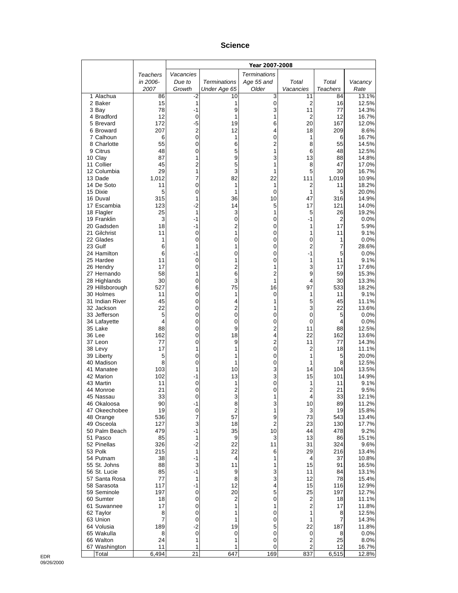#### **Science**

|                              |              | Year 2007-2008   |                              |                     |                |                      |                |
|------------------------------|--------------|------------------|------------------------------|---------------------|----------------|----------------------|----------------|
|                              | Teachers     | Vacancies        |                              | <b>Terminations</b> |                |                      |                |
|                              | in 2006-     | Due to           | <b>Terminations</b>          | Age 55 and          | Total          | Total                | Vacancy        |
|                              | 2007         | Growth           | Under Age 65                 | Older               | Vacancies      | <b>Teachers</b>      | Rate           |
| 1 Alachua<br>2 Baker         | 86<br>15     | -2<br>1          | 10<br>1                      | 3<br>0              | 11<br>2        | 84<br>16             | 13.1%<br>12.5% |
| 3 Bay                        | 78           | -1               | 9                            | 3                   | 11             | 77                   | 14.3%          |
| 4 Bradford                   | 12           | 0                | 1                            | 1                   | 2              | 12                   | 16.7%          |
| 5 Brevard                    | 172          | -5               | 19                           | 6                   | 20             | 167                  | 12.0%          |
| 6 Broward                    | 207          | 2                | 12                           | 4                   | 18             | 209                  | 8.6%           |
| 7 Calhoun<br>8 Charlotte     | 6<br>55      | 0<br>0           | 1<br>6                       | 0<br>2              | 1<br>8         | 6<br>55              | 16.7%<br>14.5% |
| 9 Citrus                     | 48           | $\mathbf 0$      | 5                            | 1                   | 6              | 48                   | 12.5%          |
| 10 Clay                      | 87           | 1                | 9                            | 3                   | 13             | 88                   | 14.8%          |
| 11 Collier                   | 45           | $\overline{2}$   | 5                            | 1                   | 8              | 47                   | 17.0%          |
| 12 Columbia                  | 29<br>1,012  | 1<br>7           | 3<br>82                      | 1<br>22             | 5<br>111       | 30<br>1,019          | 16.7%<br>10.9% |
| 13 Dade<br>14 De Soto        | 11           | 0                | 1                            | 1                   | 2              | 11                   | 18.2%          |
| 15 Dixie                     | 5            | 0                | 1                            | 0                   | 1              | 5                    | 20.0%          |
| 16 Duval                     | 315          | 1                | 36                           | 10                  | 47             | 316                  | 14.9%          |
| 17 Escambia                  | 123          | $-2$             | 14                           | 5                   | 17             | 121                  | 14.0%          |
| 18 Flagler                   | 25<br>3      | 1<br>$-1$        | 3<br>0                       | 1<br>0              | 5<br>$-1$      | 26<br>$\overline{2}$ | 19.2%          |
| 19 Franklin<br>20 Gadsden    | 18           | -1               | 2                            | 0                   | 1              | 17                   | 0.0%<br>5.9%   |
| 21 Gilchrist                 | 11           | 0                | 1                            | 0                   | 1              | 11                   | 9.1%           |
| 22 Glades                    | $\mathbf{1}$ | 0                | 0                            | 0                   | 0              | 1                    | 0.0%           |
| 23 Gulf                      | 6            | 1                | 1                            | 0                   | 2              | 7                    | 28.6%          |
| 24 Hamilton<br>25 Hardee     | 6<br>11      | $-1$<br>0        | 0<br>1                       | 0<br>0              | $-1$<br>1      | 5<br>11              | 0.0%<br>9.1%   |
| 26 Hendry                    | 17           | 0                | $\overline{c}$               | 1                   | 3              | 17                   | 17.6%          |
| 27 Hernando                  | 58           | 1                | 6                            | 2                   | 9              | 59                   | 15.3%          |
| 28 Highlands                 | 30           | 0                | 3                            | 1                   | 4              | 30                   | 13.3%          |
| 29 Hillsborough              | 527          | 6                | 75                           | 16                  | 97             | 533                  | 18.2%          |
| 30 Holmes<br>31 Indian River | 11<br>45     | $\mathbf 0$<br>0 | 1<br>4                       | 0<br>1              | 1<br>5         | 11<br>45             | 9.1%<br>11.1%  |
| 32 Jackson                   | 22           | 0                | 2                            | 1                   | 3              | 22                   | 13.6%          |
| 33 Jefferson                 | 5            | 0                | 0                            | 0                   | 0              | 5                    | 0.0%           |
| 34 Lafayette                 | 4            | $\mathbf 0$      | 0                            | 0                   | 0              | 4                    | 0.0%           |
| 35 Lake<br>36 Lee            | 88<br>162    | 0<br>0           | 9<br>18                      | 2<br>4              | 11<br>22       | 88<br>162            | 12.5%<br>13.6% |
| 37 Leon                      | 77           | 0                | 9                            | 2                   | 11             | 77                   | 14.3%          |
| 38 Levy                      | 17           | 1                | 1                            | 0                   | 2              | 18                   | 11.1%          |
| 39 Liberty                   | 5            | 0                | 1                            | 0                   | 1              | 5                    | 20.0%          |
| 40 Madison                   | 8            | 0                | 1                            | 0                   | 1              | 8                    | 12.5%          |
| 41 Manatee<br>42 Marion      | 103<br>102   | 1<br>-1          | 10<br>13                     | 3<br>3              | 14<br>15       | 104<br>101           | 13.5%<br>14.9% |
| 43 Martin                    | 11           | 0                | 1                            | 0                   | 1              | 11                   | 9.1%           |
| 44 Monroe                    | 21           | 0                | 2                            | 0                   | 2              | 21                   | 9.5%           |
| 45 Nassau                    | 33           | U                | 3                            |                     | 4              | 33                   | 12.1%          |
| 46 Okaloosa<br>47 Okeechobee | 90<br>19     | -1<br>$\pmb{0}$  | 8<br>$\overline{\mathbf{c}}$ | 3<br>1              | 10<br>3        | 89<br>19             | 11.2%<br>15.8% |
| 48 Orange                    | 536          | 7                | 57                           | 9                   | 73             | 543                  | 13.4%          |
| 49 Osceola                   | 127          | 3                | 18                           | 2                   | 23             | 130                  | 17.7%          |
| 50 Palm Beach                | 479          | $-1$             | 35                           | 10                  | 44             | 478                  | 9.2%           |
| 51 Pasco                     | 85           | 1                | 9                            | 3                   | 13             | 86                   | 15.1%          |
| 52 Pinellas<br>53 Polk       | 326<br>215   | $-2$<br>1        | 22<br>22                     | 11<br>6             | 31<br>29       | 324<br>216           | 9.6%<br>13.4%  |
| 54 Putnam                    | 38           | -1               | 4                            | 1                   | 4              | 37                   | 10.8%          |
| 55 St. Johns                 | 88           | 3                | 11                           | 1                   | 15             | 91                   | 16.5%          |
| 56 St. Lucie                 | 85           | $-1$             | 9                            | 3                   | 11             | 84                   | 13.1%          |
| 57 Santa Rosa<br>58 Sarasota | 77<br>117    | 1<br>$-1$        | 8<br>12                      | 3<br>4              | 12<br>15       | 78<br>116            | 15.4%<br>12.9% |
| 59 Seminole                  | 197          | 0                | 20                           | 5                   | 25             | 197                  | 12.7%          |
| 60 Sumter                    | 18           | $\pmb{0}$        | 2                            | 0                   | $\overline{c}$ | 18                   | 11.1%          |
| 61 Suwannee                  | 17           | 0                | 1                            | 1                   | 2              | 17                   | 11.8%          |
| 62 Taylor                    | 8            | 0                | 1                            | 0                   | 1              | 8                    | 12.5%          |
| 63 Union<br>64 Volusia       | 7<br>189     | 0<br>$-2$        | 1<br>19                      | 0<br>5              | 1<br>22        | 7<br>187             | 14.3%<br>11.8% |
| 65 Wakulla                   | 8            | 0                | 0                            | 0                   | 0              | 8                    | 0.0%           |
| 66 Walton                    | 24           | 1                | 1                            | 0                   | 2              | 25                   | 8.0%           |
| 67 Washington                | 11           | 1                | 1                            | 0                   | 2              | 12                   | 16.7%          |
| Total                        | 6,494        | 21               | 647                          | 169                 | 837            | 6,515                | 12.8%          |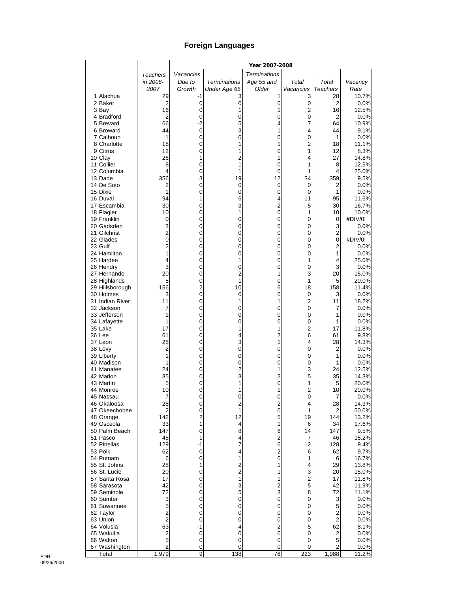# **Foreign Languages**

|                              |                     |                |                     | Year 2007-2008      |                              |                      |                |
|------------------------------|---------------------|----------------|---------------------|---------------------|------------------------------|----------------------|----------------|
|                              | Teachers            | Vacancies      |                     | <b>Terminations</b> |                              |                      |                |
|                              | in 2006-            | Due to         | <b>Terminations</b> | Age 55 and          | Total                        | Total                | Vacancy        |
|                              | 2007                | Growth         | Under Age 65        | Older               | Vacancies                    | <b>Teachers</b>      | Rate           |
| 1 Alachua                    | 29                  | -1             | 3                   | 1                   | 3                            | 28                   | 10.7%          |
| 2 Baker<br>3 Bay             | 2<br>16             | 0<br>0         | $\mathbf 0$<br>1    | 0<br>1              | $\pmb{0}$<br>2               | $\overline{2}$<br>16 | 0.0%<br>12.5%  |
| 4 Bradford                   | 2                   | 0              | 0                   | 0                   | $\mathbf 0$                  | $\overline{2}$       | 0.0%           |
| 5 Brevard                    | 66                  | $-2$           | 5                   | 4                   | 7                            | 64                   | 10.9%          |
| 6 Broward                    | 44                  | 0              | 3                   | 1                   | 4                            | 44                   | 9.1%           |
| 7 Calhoun                    | 1                   | 0              | 0                   | 0                   | 0                            | 1                    | 0.0%           |
| 8 Charlotte                  | 18                  | 0              |                     | 1                   | $\overline{2}$               | 18                   | 11.1%          |
| 9 Citrus<br>10 Clay          | 12<br>26            | 0<br>1         | 1<br>$\overline{c}$ | 0<br>1              | 1<br>4                       | 12<br>27             | 8.3%<br>14.8%  |
| 11 Collier                   | 8                   | 0              | 1                   | 0                   | 1                            | 8                    | 12.5%          |
| 12 Columbia                  | 4                   | 0              | 1                   | 0                   | 1                            | 4                    | 25.0%          |
| 13 Dade                      | 356                 | 3              | 19                  | 12                  | 34                           | 359                  | 9.5%           |
| 14 De Soto                   | 2                   | 0              | 0                   | 0                   | 0                            | 2                    | 0.0%           |
| 15 Dixie                     | 1                   | 0              | 0                   | 0                   | 0                            | 1                    | 0.0%           |
| 16 Duval<br>17 Escambia      | 94<br>30            | 1<br>0         | 6<br>3              | 4<br>$\overline{c}$ | 11<br>5                      | 95<br>30             | 11.6%<br>16.7% |
| 18 Flagler                   | 10                  | 0              | 1                   | 0                   | 1                            | 10                   | 10.0%          |
| 19 Franklin                  | 0                   | 0              | 0                   | 0                   | 0                            | 0                    | #DIV/0!        |
| 20 Gadsden                   | 3                   | 0              | 0                   | 0                   | 0                            | 3                    | 0.0%           |
| 21 Gilchrist                 | $\overline{2}$      | 0              | 0                   | 0                   | 0                            | $\overline{2}$       | 0.0%           |
| 22 Glades                    | 0                   | 0              | 0                   | 0                   | 0                            | 0                    | #DIV/0!        |
| 23 Gulf<br>24 Hamilton       | $\overline{2}$<br>1 | 0<br>0         | 0<br>0              | 0<br>0              | 0<br>0                       | $\overline{2}$<br>1  | 0.0%<br>0.0%   |
| 25 Hardee                    | 4                   | 0              | 1                   | 0                   | 1                            | 4                    | 25.0%          |
| 26 Hendry                    | 3                   | 0              | 0                   | 0                   | 0                            | 3                    | 0.0%           |
| 27 Hernando                  | 20                  | 0              | $\overline{2}$      | 1                   | 3                            | 20                   | 15.0%          |
| 28 Highlands                 | 5                   | 0              | 1                   | 0                   | 1                            | 5                    | 20.0%          |
| 29 Hillsborough              | 156                 | 2              | 10                  | 6                   | 18                           | 158                  | 11.4%          |
| 30 Holmes<br>31 Indian River | 3<br>11             | 0<br>0         | 0<br>1              | 0<br>1              | 0<br>$\overline{\mathbf{c}}$ | 3<br>11              | 0.0%<br>18.2%  |
| 32 Jackson                   | 7                   | 0              | 0                   | 0                   | $\mathbf 0$                  | 7                    | 0.0%           |
| 33 Jefferson                 | 1                   | 0              | 0                   | 0                   | 0                            | 1                    | 0.0%           |
| 34 Lafayette                 | 1                   | 0              | 0                   | 0                   | 0                            | 1                    | 0.0%           |
| 35 Lake                      | 17                  | 0              | 1                   | 1                   | $\overline{c}$               | 17                   | 11.8%          |
| 36 Lee                       | 61                  | 0              | 4                   | 2                   | 6                            | 61                   | 9.8%           |
| 37 Leon<br>38 Levy           | 28<br>2             | 0<br>0         | 3<br>0              | 1<br>0              | 4<br>0                       | 28<br>2              | 14.3%<br>0.0%  |
| 39 Liberty                   | 1                   | 0              | 0                   | 0                   | 0                            | 1                    | 0.0%           |
| 40 Madison                   | 1                   | 0              | 0                   | 0                   | 0                            | 1                    | 0.0%           |
| 41 Manatee                   | 24                  | 0              | $\overline{2}$      | 1                   | 3                            | 24                   | 12.5%          |
| 42 Marion                    | 35                  | 0              | 3                   | $\overline{c}$      | 5                            | 35                   | 14.3%          |
| 43 Martin                    | 5                   | 0              | 1                   | $\overline{0}$      | 1                            | 5                    | 20.0%          |
| 44 Monroe<br>45 Nassau       | 10<br>7             | 0<br>0         | 1<br>0              | 1<br>0              | 2<br>0                       | 10<br>7              | 20.0%<br>0.0%  |
| 46 Okaloosa                  | 28                  | 0              | 2                   | 2                   | 4                            | 28                   | 14.3%          |
| 47 Okeechobee                | 2                   | 0              | 1                   | 0                   | 1                            | 2                    | 50.0%          |
| 48 Orange                    | 142                 | $\overline{2}$ | 12                  | 5                   | 19                           | 144                  | 13.2%          |
| 49 Osceola                   | 33                  | 1              | 4                   | 1                   | 6                            | 34                   | 17.6%          |
| 50 Palm Beach                | 147                 | 0              | 8                   | 6                   | 14                           | 147                  | 9.5%           |
| 51 Pasco<br>52 Pinellas      | 45<br>129           | 1<br>$-1$      | 4<br>7              | 2<br>6              | 7<br>12                      | 46<br>128            | 15.2%<br>9.4%  |
| 53 Polk                      | 62                  | 0              | 4                   | 2                   | 6                            | 62                   | 9.7%           |
| 54 Putnam                    | 6                   | 0              | 1                   | 0                   | 1                            | 6                    | 16.7%          |
| 55 St. Johns                 | 28                  | 1              | $\overline{c}$      | 1                   | 4                            | 29                   | 13.8%          |
| 56 St. Lucie                 | 20                  | 0              | $\overline{c}$      | 1                   | 3                            | 20                   | 15.0%          |
| 57 Santa Rosa                | 17                  | 0              | 1                   | 1                   | 2                            | 17                   | 11.8%          |
| 58 Sarasota                  | 42<br>72            | 0              | 3<br>5              | $\overline{c}$<br>3 | 5<br>8                       | 42                   | 11.9%<br>11.1% |
| 59 Seminole<br>60 Sumter     | 3                   | 0<br>0         | 0                   | 0                   | 0                            | 72<br>3              | 0.0%           |
| 61 Suwannee                  | 5                   | 0              | 0                   | 0                   | 0                            | 5                    | 0.0%           |
| 62 Taylor                    | $\overline{2}$      | 0              | 0                   | 0                   | 0                            | 2                    | 0.0%           |
| 63 Union                     | $\overline{c}$      | 0              | 0                   | 0                   | 0                            | $\overline{2}$       | 0.0%           |
| 64 Volusia                   | 63                  | -1             | 4                   | 2                   | 5                            | 62                   | 8.1%           |
| 65 Wakulla                   | $\overline{c}$      | 0              | 0                   | 0                   | 0                            | $\mathbf 2$          | 0.0%           |
| 66 Walton<br>67 Washington   | 5<br>2              | 0<br>0         | 0<br>0              | 0<br>0              | 0<br>0                       | 5<br>2               | 0.0%<br>0.0%   |
| Total                        | 1,979               | 9              | 138                 | 76                  | 223                          | 1,988                | 11.2%          |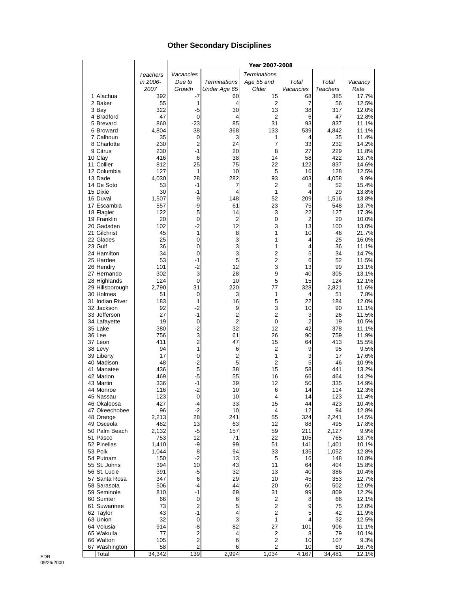## **Other Secondary Disciplines**

|                           |                 |                |                                  | Year 2007-2008          |                     |                 |                |
|---------------------------|-----------------|----------------|----------------------------------|-------------------------|---------------------|-----------------|----------------|
|                           | <b>Teachers</b> | Vacancies      |                                  | <b>Terminations</b>     |                     |                 |                |
|                           | in 2006-        | Due to         | <b>Terminations</b>              | Age 55 and              | Total               | Total           | Vacancy        |
|                           | 2007            | Growth         | Under Age 65                     | Older                   | Vacancies           | <b>Teachers</b> | Rate           |
| 1 Alachua                 | 392             | -7             | 60                               | 15                      | 68                  | 385             | 17.7%          |
| 2 Baker                   | 55              | 1              | 4                                | 2                       | 7                   | 56              | 12.5%          |
| 3 Bay                     | 322             | $-5$           | 30                               | 13                      | 38                  | 317             | 12.0%          |
| 4 Bradford                | 47<br>860       | 0<br>$-23$     | 4<br>85                          | 2<br>31                 | 6<br>93             | 47<br>837       | 12.8%          |
| 5 Brevard<br>6 Broward    | 4,804           | 38             | 368                              | 133                     | 539                 | 4,842           | 11.1%<br>11.1% |
| 7 Calhoun                 | 35              | 0              | 3                                | 1                       | 4                   | 35              | 11.4%          |
| 8 Charlotte               | 230             | 2              | 24                               | 7                       | 33                  | 232             | 14.2%          |
| 9 Citrus                  | 230             | $-1$           | 20                               | 8                       | 27                  | 229             | 11.8%          |
| 10 Clay                   | 416             | 6              | 38                               | 14                      | 58                  | 422             | 13.7%          |
| 11 Collier                | 812             | 25             | 75                               | 22                      | 122                 | 837             | 14.6%          |
| 12 Columbia               | 127             | 1              | 10                               | 5                       | 16                  | 128             | 12.5%          |
| 13 Dade                   | 4,030           | 28             | 282                              | 93                      | 403                 | 4,058           | 9.9%           |
| 14 De Soto<br>15 Dixie    | 53<br>30        | $-1$<br>$-1$   | 7<br>4                           | 2<br>1                  | 8<br>4              | 52<br>29        | 15.4%<br>13.8% |
| 16 Duval                  | 1,507           | 9              | 148                              | 52                      | 209                 | 1,516           | 13.8%          |
| 17 Escambia               | 557             | -9             | 61                               | 23                      | 75                  | 548             | 13.7%          |
| 18 Flagler                | 122             | 5              | 14                               | 3                       | 22                  | 127             | 17.3%          |
| 19 Franklin               | 20              | 0              | $\overline{c}$                   | 0                       | $\overline{2}$      | 20              | 10.0%          |
| 20 Gadsden                | 102             | $-2$           | 12                               | 3                       | 13                  | 100             | 13.0%          |
| 21 Gilchrist              | 45              | 1              | 8                                | 1                       | 10                  | 46              | 21.7%          |
| 22 Glades                 | 25              | 0              | 3                                | 1                       | 4                   | 25              | 16.0%          |
| 23 Gulf<br>24 Hamilton    | 36<br>34        | 0<br>0         | 3<br>3                           | 1<br>$\overline{2}$     | 4<br>5              | 36<br>34        | 11.1%<br>14.7% |
| 25 Hardee                 | 53              | -1             | 5                                | $\overline{\mathbf{c}}$ | 6                   | 52              | 11.5%          |
| 26 Hendry                 | 101             | -2             | 12                               | 3                       | 13                  | 99              | 13.1%          |
| 27 Hernando               | 302             | 3              | 28                               | 9                       | 40                  | 305             | 13.1%          |
| 28 Highlands              | 124             | 0              | 10                               | 5                       | 15                  | 124             | 12.1%          |
| 29 Hillsborough           | 2,790           | 31             | 220                              | 77                      | 328                 | 2,821           | 11.6%          |
| 30 Holmes                 | 51              | 0              | 3                                | 1                       | 4                   | 51              | 7.8%           |
| 31 Indian River           | 183             | 1              | 16                               | 5                       | 22                  | 184             | 12.0%          |
| 32 Jackson                | 92              | $-2$           | 9                                | 3                       | 10                  | 90              | 11.1%          |
| 33 Jefferson              | 27<br>19        | $-1$<br>0      | $\overline{2}$<br>$\overline{2}$ | $\overline{2}$<br>0     | 3<br>$\overline{2}$ | 26<br>19        | 11.5%<br>10.5% |
| 34 Lafayette<br>35 Lake   | 380             | $-2$           | 32                               | 12                      | 42                  | 378             | 11.1%          |
| 36 Lee                    | 756             | 3              | 61                               | 26                      | 90                  | 759             | 11.9%          |
| 37 Leon                   | 411             | $\overline{c}$ | 47                               | 15                      | 64                  | 413             | 15.5%          |
| 38 Levy                   | 94              | 1              | 6                                | 2                       | 9                   | 95              | 9.5%           |
| 39 Liberty                | 17              | 0              | $\overline{c}$                   | 1                       | 3                   | 17              | 17.6%          |
| 40 Madison                | 48              | $-2$           | 5                                | $\overline{2}$          | 5                   | 46              | 10.9%          |
| 41 Manatee                | 436             | 5              | 38<br>55                         | 15<br>16                | 58                  | 441             | 13.2%          |
| 42 Marion<br>43 Martin    | 469<br>336      | $-5$<br>$-1$   | 39                               | 12                      | 66<br>50            | 464<br>335      | 14.2%<br>14.9% |
| 44 Monroe                 | 116             | $-2$           | 10                               | 6                       | 14                  | 114             | 12.3%          |
| 45 Nassau                 | 123             | 0              | 10                               | 4                       | 14                  | 123             | 11.4%          |
| 46 Okaloosa               | 427             | -4             | 33                               | 15                      | 44                  | 423             | 10.4%          |
| 47 Okeechobee             | 96              | $-2$           | 10                               | 4                       | 12                  | 94              | 12.8%          |
| 48 Orange                 | 2,213           | 28             | 241                              | 55                      | 324                 | 2,241           | 14.5%          |
| 49 Osceola                | 482             | 13             | 63                               | 12                      | 88                  | 495             | 17.8%          |
| 50 Palm Beach<br>51 Pasco | 2,132<br>753    | -5<br>12       | 157<br>71                        | 59<br>22                | 211<br>105          | 2,127<br>765    | 9.9%<br>13.7%  |
| 52 Pinellas               | 1,410           | -9             | 99                               | 51                      | 141                 | 1,401           | 10.1%          |
| 53 Polk                   | 1,044           | 8              | 94                               | 33                      | 135                 | 1,052           | 12.8%          |
| 54 Putnam                 | 150             | $-2$           | 13                               | 5                       | 16                  | 148             | 10.8%          |
| 55 St. Johns              | 394             | 10             | 43                               | 11                      | 64                  | 404             | 15.8%          |
| 56 St. Lucie              | 391             | $-5$           | 32                               | 13                      | 40                  | 386             | 10.4%          |
| 57 Santa Rosa             | 347             | 6              | 29                               | 10                      | 45                  | 353             | 12.7%          |
| 58 Sarasota               | 506             | -4             | 44                               | 20                      | 60                  | 502             | 12.0%          |
| 59 Seminole               | 810             | $-1$<br>0      | 69                               | 31                      | 99                  | 809             | 12.2%          |
| 60 Sumter<br>61 Suwannee  | 66<br>73        | 2              | 6<br>5                           | 2<br>$\overline{2}$     | 8<br>9              | 66<br>75        | 12.1%<br>12.0% |
| 62 Taylor                 | 43              | $-1$           | 4                                | $\overline{2}$          | 5                   | 42              | 11.9%          |
| 63 Union                  | 32              | 0              | 3                                | 1                       | 4                   | 32              | 12.5%          |
| 64 Volusia                | 914             | -8             | 82                               | 27                      | 101                 | 906             | 11.1%          |
| 65 Wakulla                | 77              | $\overline{c}$ | 4                                | 2                       | 8                   | 79              | 10.1%          |
| 66 Walton                 | 105             | 2              | 6                                | $\overline{2}$          | 10                  | 107             | 9.3%           |
| 67 Washington             | 58              | $\overline{c}$ | 6                                | $\overline{c}$          | 10                  | 60              | 16.7%          |
| Total                     | 34,342          | 139            | 2,994                            | 1,034                   | 4,167               | 34,481          | 12.1%          |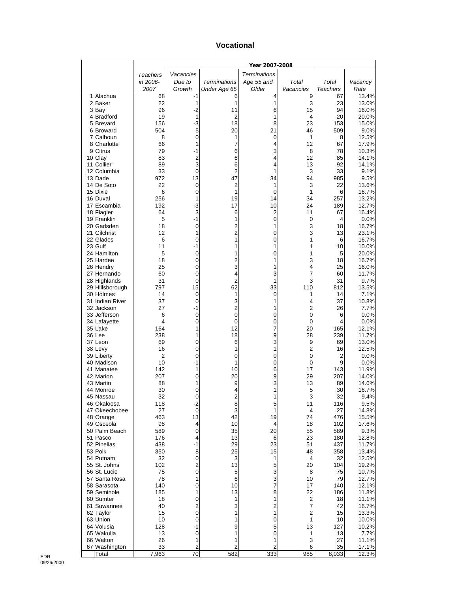#### **Vocational**

|                              |            | Year 2007-2008 |                     |                     |                |                      |                |
|------------------------------|------------|----------------|---------------------|---------------------|----------------|----------------------|----------------|
|                              | Teachers   | Vacancies      |                     | <b>Terminations</b> |                |                      |                |
|                              | in 2006-   | Due to         | <b>Terminations</b> | Age 55 and          | Total          | Total                | Vacancy        |
| 1 Alachua                    | 2007<br>68 | Growth<br>-1   | Under Age 65<br>6   | Older<br>4          | Vacancies<br>9 | Teachers<br>67       | Rate<br>13.4%  |
| 2 Baker                      | 22         | 1              | 1                   | 1                   | 3              | 23                   | 13.0%          |
| 3 Bay                        | 96         | $-2$           | 11                  | 6                   | 15             | 94                   | 16.0%          |
| 4 Bradford                   | 19         | 1              | 2                   | 1                   | 4              | 20                   | 20.0%          |
| 5 Brevard<br>6 Broward       | 156<br>504 | $-3$<br>5      | 18                  | 8<br>21             | 23<br>46       | 153<br>509           | 15.0%<br>9.0%  |
| 7 Calhoun                    | 8          | 0              | 20<br>1             | 0                   | 1              | 8                    | 12.5%          |
| 8 Charlotte                  | 66         | 1              | 7                   | 4                   | 12             | 67                   | 17.9%          |
| 9 Citrus                     | 79         | -1             | 6                   | 3                   | 8              | 78                   | 10.3%          |
| 10 Clay<br>11 Collier        | 83         | $\overline{2}$ | 6                   | 4                   | 12             | 85                   | 14.1%          |
| 12 Columbia                  | 89<br>33   | 3<br>0         | 6<br>2              | 4<br>1              | 13<br>3        | 92<br>33             | 14.1%<br>9.1%  |
| 13 Dade                      | 972        | 13             | 47                  | 34                  | 94             | 985                  | 9.5%           |
| 14 De Soto                   | 22         | $\mathbf 0$    | $\overline{c}$      | 1                   | 3              | 22                   | 13.6%          |
| 15 Dixie                     | 6          | 0              | 1                   | $\mathbf 0$         | 1              | 6                    | 16.7%          |
| 16 Duval<br>17 Escambia      | 256<br>192 | 1<br>$-3$      | 19<br>17            | 14<br>10            | 34<br>24       | 257<br>189           | 13.2%<br>12.7% |
| 18 Flagler                   | 64         | 3              | 6                   | 2                   | 11             | 67                   | 16.4%          |
| 19 Franklin                  | 5          | $-1$           | 1                   | $\mathbf 0$         | 0              | 4                    | 0.0%           |
| 20 Gadsden                   | 18         | 0              | $\overline{c}$      | 1                   | 3              | 18                   | 16.7%          |
| 21 Gilchrist                 | 12         | 1              | $\overline{2}$      | 0                   | 3<br>1         | 13                   | 23.1%          |
| 22 Glades<br>23 Gulf         | 6<br>11    | 0<br>-1        | 1<br>1              | 0<br>1              | 1              | 6<br>10              | 16.7%<br>10.0% |
| 24 Hamilton                  | 5          | 0              | 1                   | 0                   | 1              | 5                    | 20.0%          |
| 25 Hardee                    | 18         | 0              | 2                   | 1                   | 3              | 18                   | 16.7%          |
| 26 Hendry                    | 25         | 0              | 3                   | 1                   | 4              | 25                   | 16.0%          |
| 27 Hernando<br>28 Highlands  | 60<br>31   | 0<br>0         | 4<br>$\overline{2}$ | 3<br>1              | 7<br>3         | 60<br>31             | 11.7%<br>9.7%  |
| 29 Hillsborough              | 797        | 15             | 62                  | 33                  | 110            | 812                  | 13.5%          |
| 30 Holmes                    | 14         | 0              | 1                   | 0                   | 1              | 14                   | 7.1%           |
| 31 Indian River              | 37         | 0              | 3                   | 1                   | 4              | 37                   | 10.8%          |
| 32 Jackson                   | 27         | -1             | $\overline{c}$      | 1                   | $\overline{2}$ | 26                   | 7.7%           |
| 33 Jefferson<br>34 Lafayette | 6<br>4     | 0<br>0         | 0<br>0              | 0<br>0              | 0<br>0         | 6<br>4               | 0.0%<br>0.0%   |
| 35 Lake                      | 164        | 1              | 12                  | 7                   | 20             | 165                  | 12.1%          |
| 36 Lee                       | 238        | 1              | 18                  | 9                   | 28             | 239                  | 11.7%          |
| 37 Leon                      | 69         | 0              | 6                   | 3                   | 9              | 69                   | 13.0%          |
| 38 Levy<br>39 Liberty        | 16<br>2    | 0<br>0         | 1<br>0              | 1<br>0              | 2<br>0         | 16<br>$\overline{2}$ | 12.5%<br>0.0%  |
| 40 Madison                   | 10         | $-1$           | 1                   | 0                   | 0              | 9                    | 0.0%           |
| 41 Manatee                   | 142        | 1              | 10                  | 6                   | 17             | 143                  | 11.9%          |
| 42 Marion                    | 207        | 0              | 20                  | 9                   | 29             | 207                  | 14.0%          |
| 43 Martin                    | 88<br>30   | 1<br>0         | 9                   | 3<br>1              | 13<br>5        | 89<br>30             | 14.6%          |
| 44 Monroe<br>45 Nassau       | 32         | 0              | 4<br>2              | 1                   | 3              | 32                   | 16.7%<br>9.4%  |
| 46 Okaloosa                  | 118        | $-2$           | 8                   | 5                   | 11             | 116                  | 9.5%           |
| 47 Okeechobee                | 27         | 0              | 3                   | 1                   | 4              | 27                   | 14.8%          |
| 48 Orange                    | 463        | 13             | 42                  | 19                  | 74             | 476                  | 15.5%          |
| 49 Osceola<br>50 Palm Beach  | 98<br>589  | 4<br>0         | 10<br>35            | 4<br>20             | 18<br>55       | 102<br>589           | 17.6%<br>9.3%  |
| 51 Pasco                     | 176        | 4              | 13                  | 6                   | 23             | 180                  | 12.8%          |
| 52 Pinellas                  | 438        | -1             | 29                  | 23                  | 51             | 437                  | 11.7%          |
| 53 Polk                      | 350        | 8              | 25                  | 15                  | 48             | 358                  | 13.4%          |
| 54 Putnam                    | 32<br>102  | 0<br>2         | 3<br>13             | 1                   | 4<br>20        | 32<br>104            | 12.5%<br>19.2% |
| 55 St. Johns<br>56 St. Lucie | 75         | $\pmb{0}$      | 5                   | 5<br>3              | 8              | 75                   | 10.7%          |
| 57 Santa Rosa                | 78         | 1              | 6                   | 3                   | 10             | 79                   | 12.7%          |
| 58 Sarasota                  | 140        | 0              | 10                  | 7                   | 17             | 140                  | 12.1%          |
| 59 Seminole                  | 185        | 1              | 13                  | 8                   | 22             | 186                  | 11.8%          |
| 60 Sumter<br>61 Suwannee     | 18<br>40   | 0<br>2         | 1<br>3              | 1<br>2              | 2<br>7         | 18<br>42             | 11.1%<br>16.7% |
| 62 Taylor                    | 15         | 0              | 1                   | 1                   | 2              | 15                   | 13.3%          |
| 63 Union                     | 10         | 0              | 1                   | 0                   | 1              | 10                   | 10.0%          |
| 64 Volusia                   | 128        | $-1$           | 9                   | 5                   | 13             | 127                  | 10.2%          |
| 65 Wakulla                   | 13         | 0              | 1                   | 0                   | 1              | 13                   | 7.7%           |
| 66 Walton<br>67 Washington   | 26<br>33   | 1<br>2         | 1<br>$\overline{c}$ | 1<br>2              | 3<br>6         | 27<br>35             | 11.1%<br>17.1% |
| Total                        | 7,963      | 70             | 582                 | 333                 | 985            | 8,033                | 12.3%          |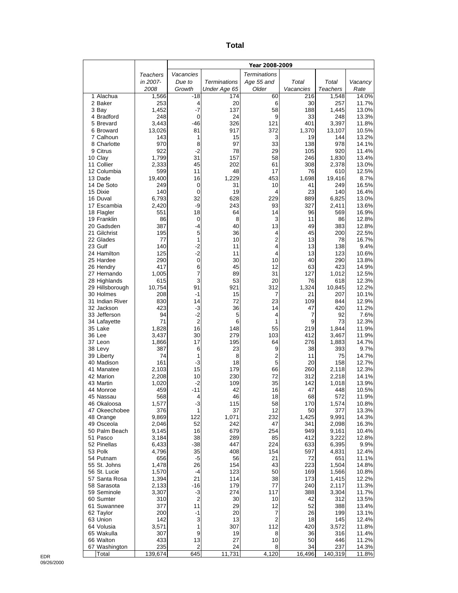| ×<br>×<br>۰,<br>$\sim$ |
|------------------------|
|------------------------|

|                               |                | Year 2008-2009    |                     |                                  |             |                |                |
|-------------------------------|----------------|-------------------|---------------------|----------------------------------|-------------|----------------|----------------|
|                               | Teachers       | Vacancies         |                     | <b>Terminations</b>              |             |                |                |
|                               | in 2007-       | Due to            | <b>Terminations</b> | Age 55 and                       | Total       | Total          | Vacancy        |
|                               | 2008           | Growth            | Under Age 65        | Older                            | Vacancies   | Teachers       | Rate           |
| 1 Alachua                     | 1,566<br>253   | -18               | 174                 | 60                               | 216         | 1,548          | 14.0%          |
| 2 Baker<br>3 Bay              | 1,452          | 4<br>$-7$         | 20<br>137           | 6<br>58                          | 30<br>188   | 257<br>1,445   | 11.7%<br>13.0% |
| 4 Bradford                    | 248            | 0                 | 24                  | 9                                | 33          | 248            | 13.3%          |
| 5 Brevard                     | 3,443          | $-46$             | 326                 | 121                              | 401         | 3,397          | 11.8%          |
| 6 Broward                     | 13,026         | 81                | 917                 | 372                              | 1,370       | 13,107         | 10.5%          |
| 7 Calhoun                     | 143            | 1                 | 15                  | 3                                | 19          | 144            | 13.2%          |
| 8 Charlotte<br>9 Citrus       | 970<br>922     | 8<br>$-2$         | 97<br>78            | 33<br>29                         | 138<br>105  | 978<br>920     | 14.1%<br>11.4% |
| 10 Clay                       | 1,799          | 31                | 157                 | 58                               | 246         | 1,830          | 13.4%          |
| 11 Collier                    | 2,333          | 45                | 202                 | 61                               | 308         | 2,378          | 13.0%          |
| 12 Columbia                   | 599            | 11                | 48                  | 17                               | 76          | 610            | 12.5%          |
| 13 Dade                       | 19,400         | 16                | 1,229               | 453                              | 1,698       | 19,416         | 8.7%           |
| 14 De Soto                    | 249            | 0                 | 31                  | 10                               | 41          | 249            | 16.5%          |
| 15 Dixie<br>16 Duval          | 140<br>6,793   | $\mathbf 0$<br>32 | 19<br>628           | 4<br>229                         | 23<br>889   | 140<br>6,825   | 16.4%<br>13.0% |
| 17 Escambia                   | 2,420          | -9                | 243                 | 93                               | 327         | 2,411          | 13.6%          |
| 18 Flagler                    | 551            | 18                | 64                  | 14                               | 96          | 569            | 16.9%          |
| 19 Franklin                   | 86             | 0                 | 8                   | 3                                | 11          | 86             | 12.8%          |
| 20 Gadsden                    | 387            | $-4$              | 40                  | 13                               | 49          | 383            | 12.8%          |
| 21 Gilchrist                  | 195            | 5                 | 36                  | 4                                | 45          | 200            | 22.5%          |
| 22 Glades<br>23 Gulf          | 77<br>140      | 1<br>$-2$         | 10<br>11            | $\overline{2}$<br>4              | 13<br>13    | 78<br>138      | 16.7%<br>9.4%  |
| 24 Hamilton                   | 125            | $-2$              | 11                  | 4                                | 13          | 123            | 10.6%          |
| 25 Hardee                     | 290            | 0                 | 30                  | 10                               | 40          | 290            | 13.8%          |
| 26 Hendry                     | 417            | 6                 | 45                  | 12                               | 63          | 423            | 14.9%          |
| 27 Hernando                   | 1,005          | 7                 | 89                  | 31                               | 127         | 1,012          | 12.5%          |
| 28 Highlands                  | 615            | 3                 | 53                  | 20                               | 76          | 618            | 12.3%          |
| 29 Hillsborough<br>30 Holmes  | 10,754<br>208  | 91<br>-1          | 921<br>15           | 312<br>7                         | 1,324<br>21 | 10,845<br>207  | 12.2%<br>10.1% |
| 31 Indian River               | 830            | 14                | 72                  | 23                               | 109         | 844            | 12.9%          |
| 32 Jackson                    | 423            | -3                | 36                  | 14                               | 47          | 420            | 11.2%          |
| 33 Jefferson                  | 94             | $-2$              | 5                   | 4                                | 7           | 92             | 7.6%           |
| 34 Lafayette                  | 71             | $\overline{2}$    | 6                   | 1                                | 9           | 73             | 12.3%          |
| 35 Lake<br>36 Lee             | 1,828          | 16                | 148                 | 55                               | 219         | 1,844          | 11.9%          |
| 37 Leon                       | 3,437<br>1,866 | 30<br>17          | 279<br>195          | 103<br>64                        | 412<br>276  | 3,467<br>1,883 | 11.9%<br>14.7% |
| 38 Levy                       | 387            | 6                 | 23                  | 9                                | 38          | 393            | 9.7%           |
| 39 Liberty                    | 74             | 1                 | 8                   | 2                                | 11          | 75             | 14.7%          |
| 40 Madison                    | 161            | $-3$              | 18                  | 5                                | 20          | 158            | 12.7%          |
| 41 Manatee                    | 2,103          | 15                | 179                 | 66                               | 260         | 2,118          | 12.3%          |
| 42 Marion<br>43 Martin        | 2,208<br>1,020 | 10<br>-2          | 230<br>109          | 72<br>35                         | 312<br>142  | 2,218<br>1,018 | 14.1%<br>13.9% |
| 44 Monroe                     | 459            | $-11$             | 42                  | 16                               | 47          | 448            | 10.5%          |
| 45 Nassau                     | 568            | 4                 | 46                  | 18                               | 68          | 572            | 11.9%          |
| 46 Okaloosa                   | 1,577          | $-3$              | 115                 | 58                               | 170         | 1,574          | 10.8%          |
| 47 Okeechobee                 | 376            | 1                 | 37                  | 12                               | 50          | 377            | 13.3%          |
| 48 Orange                     | 9,869          | 122               | 1,071               | 232                              | 1,425       | 9,991          | 14.3%          |
| 49 Osceola<br>50 Palm Beach   | 2,046<br>9,145 | 52<br>16          | 242<br>679          | 47<br>254                        | 341<br>949  | 2,098<br>9,161 | 16.3%<br>10.4% |
| 51 Pasco                      | 3,184          | 38                | 289                 | 85                               | 412         | 3,222          | 12.8%          |
| 52 Pinellas                   | 6,433          | $-38$             | 447                 | 224                              | 633         | 6,395          | 9.9%           |
| 53 Polk                       | 4,796          | 35                | 408                 | 154                              | 597         | 4,831          | 12.4%          |
| 54 Putnam                     | 656            | $-5$              | 56                  | 21                               | 72          | 651            | 11.1%          |
| 55 St. Johns                  | 1,478          | 26                | 154                 | 43                               | 223         | 1,504          | 14.8%          |
| 56 St. Lucie<br>57 Santa Rosa | 1,570<br>1,394 | -4<br>21          | 123<br>114          | 50<br>38                         | 169<br>173  | 1,566<br>1,415 | 10.8%<br>12.2% |
| 58 Sarasota                   | 2,133          | $-16$             | 179                 | 77                               | 240         | 2,117          | 11.3%          |
| 59 Seminole                   | 3,307          | $-3$              | 274                 | 117                              | 388         | 3,304          | 11.7%          |
| 60 Sumter                     | 310            | 2                 | 30                  | 10                               | 42          | 312            | 13.5%          |
| 61 Suwannee                   | 377            | 11                | 29                  | 12                               | 52          | 388            | 13.4%          |
| 62 Taylor                     | 200<br>142     | $-1$<br>3         | 20<br>13            | $\overline{7}$<br>$\overline{2}$ | 26<br>18    | 199<br>145     | 13.1%          |
| 63 Union<br>64 Volusia        | 3,571          | 1                 | 307                 | 112                              | 420         | 3,572          | 12.4%<br>11.8% |
| 65 Wakulla                    | 307            | 9                 | 19                  | 8                                | 36          | 316            | 11.4%          |
| 66 Walton                     | 433            | 13                | 27                  | 10                               | 50          | 446            | 11.2%          |
| 67 Washington                 | 235            | $\mathbf 2$       | 24                  | 8                                | 34          | 237            | 14.3%          |
| Total                         | 139,674        | 645               | 11,731              | 4,120                            | 16,496      | 140,319        | 11.8%          |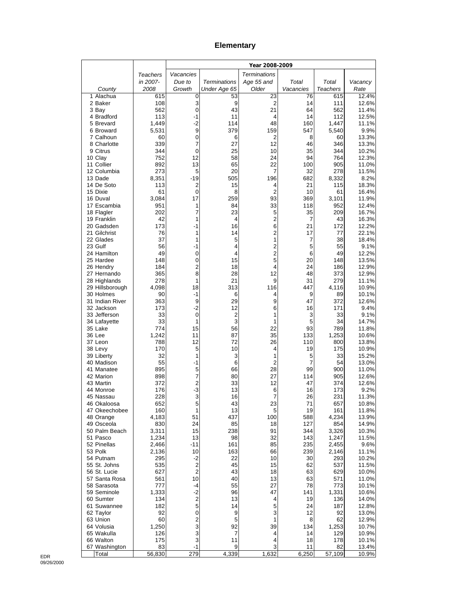#### **Elementary**

|                              |                | Year 2008-2009               |                     |                              |                      |                 |                |
|------------------------------|----------------|------------------------------|---------------------|------------------------------|----------------------|-----------------|----------------|
|                              | Teachers       | Vacancies                    |                     | <b>Terminations</b>          |                      |                 |                |
|                              | in 2007-       | Due to                       | <b>Terminations</b> | Age 55 and                   | Total                | Total           | Vacancy        |
| County                       | 2008           | Growth                       | Under Age 65        | Older                        | Vacancies            | <b>Teachers</b> | Rate           |
| 1 Alachua<br>2 Baker         | 615<br>108     | 0<br>3                       | 53<br>9             | 23<br>$\overline{2}$         | 76<br>14             | 615<br>111      | 12.4%<br>12.6% |
| 3 Bay                        | 562            | 0                            | 43                  | 21                           | 64                   | 562             | 11.4%          |
| 4 Bradford                   | 113            | $-1$                         | 11                  | 4                            | 14                   | 112             | 12.5%          |
| 5 Brevard                    | 1,449          | $-2$                         | 114                 | 48                           | 160                  | 1,447           | 11.1%          |
| 6 Broward<br>7 Calhoun       | 5,531<br>60    | 9<br>$\mathbf 0$             | 379<br>6            | 159<br>2                     | 547<br>8             | 5,540<br>60     | 9.9%<br>13.3%  |
| 8 Charlotte                  | 339            | 7                            | 27                  | 12                           | 46                   | 346             | 13.3%          |
| 9 Citrus                     | 344            | 0                            | 25                  | 10                           | 35                   | 344             | 10.2%          |
| 10 Clay                      | 752            | 12                           | 58                  | 24                           | 94                   | 764             | 12.3%          |
| 11 Collier                   | 892            | 13                           | 65                  | 22                           | 100                  | 905             | 11.0%          |
| 12 Columbia<br>13 Dade       | 273<br>8,351   | 5<br>$-19$                   | 20<br>505           | 7<br>196                     | 32<br>682            | 278<br>8,332    | 11.5%<br>8.2%  |
| 14 De Soto                   | 113            | $\overline{c}$               | 15                  | 4                            | 21                   | 115             | 18.3%          |
| 15 Dixie                     | 61             | 0                            | 8                   | $\overline{2}$               | 10                   | 61              | 16.4%          |
| 16 Duval                     | 3,084          | 17                           | 259                 | 93                           | 369                  | 3,101           | 11.9%          |
| 17 Escambia                  | 951<br>202     | 1<br>$\overline{7}$          | 84<br>23            | 33<br>5                      | 118<br>35            | 952             | 12.4%          |
| 18 Flagler<br>19 Franklin    | 42             | 1                            | 4                   | 2                            | $\overline{7}$       | 209<br>43       | 16.7%<br>16.3% |
| 20 Gadsden                   | 173            | $-1$                         | 16                  | 6                            | 21                   | 172             | 12.2%          |
| 21 Gilchrist                 | 76             | 1                            | 14                  | 2                            | 17                   | 77              | 22.1%          |
| 22 Glades                    | 37             | 1                            | 5                   | 1                            | 7                    | 38              | 18.4%          |
| 23 Gulf<br>24 Hamilton       | 56<br>49       | -1<br>0                      | 4<br>4              | 2<br>$\overline{\mathbf{c}}$ | 5<br>6               | 55<br>49        | 9.1%<br>12.2%  |
| 25 Hardee                    | 148            | 0                            | 15                  | 5                            | 20                   | 148             | 13.5%          |
| 26 Hendry                    | 184            | $\overline{2}$               | 18                  | 4                            | 24                   | 186             | 12.9%          |
| 27 Hernando                  | 365            | 8                            | 28                  | 12                           | 48                   | 373             | 12.9%          |
| 28 Highlands                 | 278            | 1                            | 21                  | 9                            | 31                   | 279             | 11.1%          |
| 29 Hillsborough<br>30 Holmes | 4,098<br>90    | 18<br>$-1$                   | 313<br>6            | 116<br>4                     | 447<br>9             | 4,116<br>89     | 10.9%<br>10.1% |
| 31 Indian River              | 363            | 9                            | 29                  | 9                            | 47                   | 372             | 12.6%          |
| 32 Jackson                   | 173            | $-2$                         | 12                  | 6                            | 16                   | 171             | 9.4%           |
| 33 Jefferson                 | 33             | $\mathbf 0$                  | $\overline{2}$      | 1                            | 3                    | 33              | 9.1%           |
| 34 Lafayette                 | 33             | 1                            | 3                   | 1                            | 5                    | 34              | 14.7%          |
| 35 Lake<br>36 Lee            | 774<br>1,242   | 15<br>11                     | 56<br>87            | 22<br>35                     | 93<br>133            | 789<br>1,253    | 11.8%<br>10.6% |
| 37 Leon                      | 788            | 12                           | 72                  | 26                           | 110                  | 800             | 13.8%          |
| 38 Levy                      | 170            | 5                            | 10                  | 4                            | 19                   | 175             | 10.9%          |
| 39 Liberty                   | 32             | 1                            | 3                   | 1                            | 5                    | 33              | 15.2%          |
| 40 Madison<br>41 Manatee     | 55<br>895      | $-1$<br>5                    | 6<br>66             | $\overline{2}$<br>28         | $\overline{7}$<br>99 | 54<br>900       | 13.0%<br>11.0% |
| 42 Marion                    | 898            | $\overline{7}$               | 80                  | 27                           | 114                  | 905             | 12.6%          |
| 43 Martin                    | 372            | $\overline{c}$               | 33                  | 12                           | 47                   | 374             | 12.6%          |
| 44 Monroe                    | 176            | $-3$                         | 13                  | 6                            | 16                   | 173             | 9.2%           |
| 45 Nassau                    | 228            | 3                            | 16                  |                              | 26                   | 231             | 11.3%          |
| 46 Okaloosa<br>47 Okeechobee | 652<br>160     | 5<br>1                       | 43<br>13            | 23<br>5                      | 71<br>19             | 657<br>161      | 10.8%<br>11.8% |
| 48 Orange                    | 4,183          | 51                           | 437                 | 100                          | 588                  | 4,234           | 13.9%          |
| 49 Osceola                   | 830            | 24                           | 85                  | 18                           | 127                  | 854             | 14.9%          |
| 50 Palm Beach                | 3,311          | 15                           | 238                 | 91                           | 344                  | 3,326           | 10.3%          |
| 51 Pasco                     | 1,234          | 13                           | 98                  | 32                           | 143                  | 1,247           | 11.5%          |
| 52 Pinellas<br>53 Polk       | 2,466<br>2,136 | -11<br>10                    | 161<br>163          | 85<br>66                     | 235<br>239           | 2,455<br>2,146  | 9.6%<br>11.1%  |
| 54 Putnam                    | 295            | $-2$                         | 22                  | 10                           | 30                   | 293             | 10.2%          |
| 55 St. Johns                 | 535            | $\overline{c}$               | 45                  | 15                           | 62                   | 537             | 11.5%          |
| 56 St. Lucie                 | 627            | $\overline{c}$               | 43                  | 18                           | 63                   | 629             | 10.0%          |
| 57 Santa Rosa                | 561            | 10                           | 40                  | 13                           | 63                   | 571             | 11.0%          |
| 58 Sarasota<br>59 Seminole   | 777<br>1,333   | -4<br>$-2$                   | 55<br>96            | 27<br>47                     | 78<br>141            | 773<br>1,331    | 10.1%<br>10.6% |
| 60 Sumter                    | 134            | $\overline{c}$               | 13                  | 4                            | 19                   | 136             | 14.0%          |
| 61 Suwannee                  | 182            | 5                            | 14                  | 5                            | 24                   | 187             | 12.8%          |
| 62 Taylor                    | 92             | $\pmb{0}$                    | 9                   | 3                            | 12                   | 92              | 13.0%          |
| 63 Union                     | 60             | $\overline{\mathbf{c}}$<br>3 | 5                   | 1                            | 8                    | 62              | 12.9%          |
| 64 Volusia<br>65 Wakulla     | 1,250<br>126   | 3                            | 92<br>7             | 39<br>4                      | 134<br>14            | 1,253<br>129    | 10.7%<br>10.9% |
| 66 Walton                    | 175            | 3                            | 11                  | 4                            | 18                   | 178             | 10.1%          |
| 67 Washington                | 83             | $-1$                         | 9                   | 3                            | 11                   | 82              | 13.4%          |
| Total                        | 56,830         | 279                          | 4,339               | 1,632                        | 6,250                | 57,109          | 10.9%          |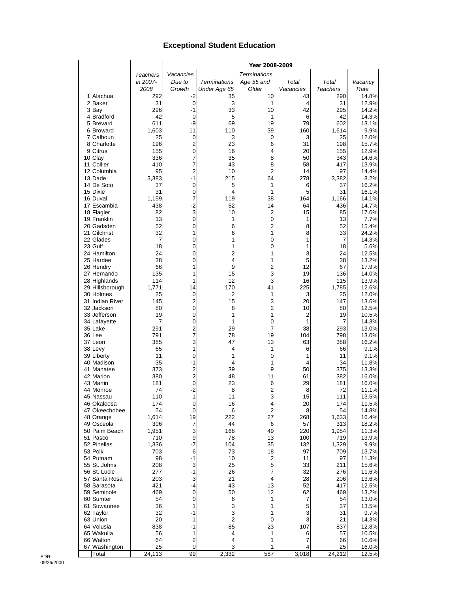#### **Exceptional Student Education**

|                            |                 |                         |                | Year 2008-2009       |           |                 |                |
|----------------------------|-----------------|-------------------------|----------------|----------------------|-----------|-----------------|----------------|
|                            | <b>Teachers</b> | Vacancies               |                | <b>Terminations</b>  |           |                 |                |
|                            | in 2007-        | Due to                  | Terminations   | Age 55 and           | Total     | Total           | Vacancy        |
|                            | 2008            | Growth                  | Under Age 65   | Older                | Vacancies | <b>Teachers</b> | Rate           |
| 1 Alachua                  | 292             | -2                      | 35             | 10                   | 43        | 290             | 14.8%          |
| 2 Baker                    | 31              | $\mathbf 0$             | 3              | 1                    | 4         | 31              | 12.9%          |
| 3 Bay                      | 296             | $-1$                    | 33             | 10                   | 42        | 295             | 14.2%          |
| 4 Bradford                 | 42              | $\mathbf 0$<br>-9       | 5              | 1                    | 6         | 42              | 14.3%          |
| 5 Brevard<br>6 Broward     | 611<br>1,603    | 11                      | 69<br>110      | 19<br>39             | 79<br>160 | 602<br>1,614    | 13.1%<br>9.9%  |
| 7 Calhoun                  | 25              | $\mathbf 0$             | 3              | 0                    | 3         | 25              | 12.0%          |
| 8 Charlotte                | 196             | $\overline{2}$          | 23             | 6                    | 31        | 198             | 15.7%          |
| 9 Citrus                   | 155             | $\mathbf 0$             | 16             | 4                    | 20        | 155             | 12.9%          |
| 10 Clay                    | 336             | 7                       | 35             | 8                    | 50        | 343             | 14.6%          |
| 11 Collier                 | 410             | 7                       | 43             | 8                    | 58        | 417             | 13.9%          |
| 12 Columbia                | 95              | $\overline{2}$          | 10             | 2                    | 14        | 97              | 14.4%          |
| 13 Dade                    | 3,383           | $-1$                    | 215            | 64                   | 278       | 3,382           | 8.2%           |
| 14 De Soto                 | 37              | $\mathbf 0$             | 5              | 1                    | 6         | 37              | 16.2%          |
| 15 Dixie                   | 31              | $\mathbf 0$<br>7        | 4<br>119       | 1<br>38              | 5         | 31              | 16.1%          |
| 16 Duval<br>17 Escambia    | 1,159<br>438    | $-2$                    | 52             | 14                   | 164<br>64 | 1,166<br>436    | 14.1%<br>14.7% |
| 18 Flagler                 | 82              | 3                       | 10             | 2                    | 15        | 85              | 17.6%          |
| 19 Franklin                | 13              | $\pmb{0}$               | 1              | 0                    | 1         | 13              | 7.7%           |
| 20 Gadsden                 | 52              | 0                       | 6              | $\overline{2}$       | 8         | 52              | 15.4%          |
| 21 Gilchrist               | 32              | 1                       | 6              | 1                    | 8         | 33              | 24.2%          |
| 22 Glades                  | 7               | 0                       | 1              | 0                    | 1         | 7               | 14.3%          |
| 23 Gulf                    | 18              | 0                       | 1              | 0                    | 1         | 18              | 5.6%           |
| 24 Hamilton                | 24              | 0                       | $\overline{2}$ | 1                    | 3         | 24              | 12.5%          |
| 25 Hardee                  | 38              | 0                       | 4<br>9         | 1                    | 5         | 38              | 13.2%          |
| 26 Hendry<br>27 Hernando   | 66<br>135       | 1<br>1                  | 15             | $\overline{2}$<br>3  | 12<br>19  | 67<br>136       | 17.9%<br>14.0% |
| 28 Highlands               | 114             | 1                       | 12             | 3                    | 16        | 115             | 13.9%          |
| 29 Hillsborough            | 1,771           | 14                      | 170            | 41                   | 225       | 1,785           | 12.6%          |
| 30 Holmes                  | 25              | $\mathbf 0$             | 2              | 1                    | 3         | 25              | 12.0%          |
| 31 Indian River            | 145             | $\overline{c}$          | 15             | 3                    | 20        | 147             | 13.6%          |
| 32 Jackson                 | 80              | $\mathbf 0$             | 8              | $\overline{2}$       | 10        | 80              | 12.5%          |
| 33 Jefferson               | 19              | 0                       | 1              | 1                    | 2         | 19              | 10.5%          |
| 34 Lafayette               | 7               | 0                       | 1              | 0                    | 1         | 7               | 14.3%          |
| 35 Lake                    | 291             | $\overline{2}$          | 29             | 7                    | 38        | 293             | 13.0%          |
| 36 Lee                     | 791             | 7                       | 78             | 19                   | 104       | 798             | 13.0%          |
| 37 Leon<br>38 Levy         | 385<br>65       | 3<br>1                  | 47<br>4        | 13<br>1              | 63<br>6   | 388<br>66       | 16.2%<br>9.1%  |
| 39 Liberty                 | 11              | $\mathbf 0$             | 1              | 0                    | 1         | 11              | 9.1%           |
| 40 Madison                 | 35              | $-1$                    | 4              | 1                    | 4         | 34              | 11.8%          |
| 41 Manatee                 | 373             | $\overline{c}$          | 39             | 9                    | 50        | 375             | 13.3%          |
| 42 Marion                  | 380             | $\overline{c}$          | 48             | 11                   | 61        | 382             | 16.0%          |
| 43 Martin                  | 181             | $\mathbf 0$             | 23             | 6                    | 29        | 181             | 16.0%          |
| 44 Monroe                  | 74              | $-2$                    | 8              | 2                    | 8         | 72              | 11.1%          |
| 45 Nassau                  | 110             | 1                       | 11             | 3                    | 15        | 111             | 13.5%          |
| 46 Okaloosa                | 174             | 0                       | 16             | 4                    | 20        | 174             | 11.5%          |
| 47 Okeechobee<br>48 Orange | 54<br>1,614     | $\mathbf 0$<br>19       | 6<br>222       | $\overline{2}$<br>27 | 8<br>268  | 54<br>1,633     | 14.8%<br>16.4% |
| 49 Osceola                 | 306             | 7                       | 44             | 6                    | 57        | 313             | 18.2%          |
| 50 Palm Beach              | 1,951           | 3                       | 168            | 49                   | 220       | 1,954           | 11.3%          |
| 51 Pasco                   | 710             | 9                       | 78             | 13                   | 100       | 719             | 13.9%          |
| 52 Pinellas                | 1,336           | $-7$                    | 104            | 35                   | 132       | 1,329           | 9.9%           |
| 53 Polk                    | 703             | 6                       | 73             | 18                   | 97        | 709             | 13.7%          |
| 54 Putnam                  | 98              | -1                      | 10             | 2                    | 11        | 97              | 11.3%          |
| 55 St. Johns               | 208             | 3                       | 25             | 5                    | 33        | 211             | 15.6%          |
| 56 St. Lucie               | 277             | -1                      | 26             | 7                    | 32        | 276             | 11.6%          |
| 57 Santa Rosa              | 203             | 3                       | 21             | 4                    | 28        | 206             | 13.6%          |
| 58 Sarasota<br>59 Seminole | 421<br>469      | -4<br>$\mathbf 0$       | 43<br>50       | 13<br>12             | 52<br>62  | 417<br>469      | 12.5%<br>13.2% |
| 60 Sumter                  | 54              | $\mathbf 0$             | 6              | 1                    | 7         | 54              | 13.0%          |
| 61 Suwannee                | 36              | 1                       | 3              | 1                    | 5         | 37              | 13.5%          |
| 62 Taylor                  | 32              | $-1$                    | 3              | 1                    | 3         | 31              | 9.7%           |
| 63 Union                   | 20              | 1                       | $\overline{2}$ | 0                    | 3         | 21              | 14.3%          |
| 64 Volusia                 | 838             | $-1$                    | 85             | 23                   | 107       | 837             | 12.8%          |
| 65 Wakulla                 | 56              | 1                       | 4              | 1                    | 6         | 57              | 10.5%          |
| 66 Walton                  | 64              | $\overline{\mathbf{c}}$ | 4              | 1                    | 7         | 66              | 10.6%          |
| 67 Washington              | 25              | $\mathbf 0$             | 3              |                      | 4         | 25              | 16.0%          |
| Total                      | 24,113          | 99                      | 2,332          | 587                  | 3,018     | 24,212          | 12.5%          |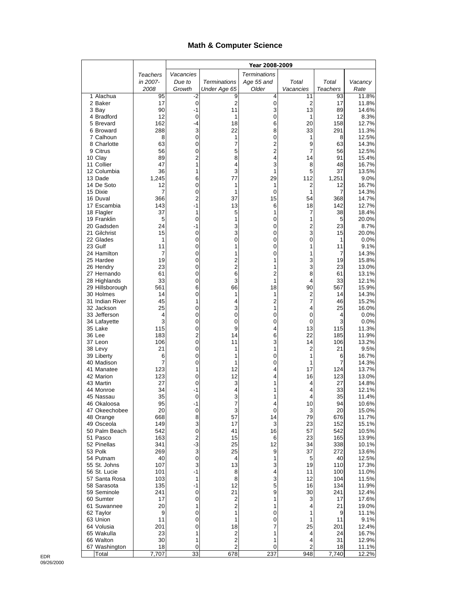#### **Math & Computer Science**

|                               |             | Year 2008-2009    |                         |                     |                     |                 |                |
|-------------------------------|-------------|-------------------|-------------------------|---------------------|---------------------|-----------------|----------------|
|                               | Teachers    | Vacancies         |                         | <b>Terminations</b> |                     |                 |                |
|                               | in 2007-    | Due to            | <b>Terminations</b>     | Age 55 and          | Total               | Total           | Vacancy        |
|                               | 2008        | Growth            | Under Age 65            | Older               | Vacancies           | <b>Teachers</b> | Rate           |
| 1 Alachua<br>2 Baker          | 95<br>17    | -2<br>$\mathbf 0$ | 9<br>2                  | 4<br>0              | 11<br>2             | 93<br>17        | 11.8%<br>11.8% |
| 3 Bay                         | 90          | $-1$              | 11                      | 3                   | 13                  | 89              | 14.6%          |
| 4 Bradford                    | 12          | 0                 | 1                       | 0                   | 1                   | 12              | 8.3%           |
| 5 Brevard                     | 162         | -4                | 18                      | 6                   | 20                  | 158             | 12.7%          |
| 6 Broward                     | 288         | 3                 | 22                      | 8                   | 33                  | 291             | 11.3%          |
| 7 Calhoun<br>8 Charlotte      | 8<br>63     | 0<br>0            | 1<br>7                  | 0<br>$\overline{c}$ | 1<br>9              | 8<br>63         | 12.5%<br>14.3% |
| 9 Citrus                      | 56          | 0                 | 5                       | $\overline{c}$      | 7                   | 56              | 12.5%          |
| 10 Clay                       | 89          | $\overline{2}$    | 8                       | 4                   | 14                  | 91              | 15.4%          |
| 11 Collier                    | 47          | 1                 | 4                       | 3                   | 8                   | 48              | 16.7%          |
| 12 Columbia                   | 36          | 1                 | 3                       | 1                   | 5                   | 37              | 13.5%          |
| 13 Dade<br>14 De Soto         | 1,245<br>12 | 6<br>0            | 77<br>1                 | 29<br>1             | 112<br>2            | 1,251<br>12     | 9.0%<br>16.7%  |
| 15 Dixie                      | 7           | 0                 | 1                       | 0                   | 1                   | 7               | 14.3%          |
| 16 Duval                      | 366         | 2                 | 37                      | 15                  | 54                  | 368             | 14.7%          |
| 17 Escambia                   | 143         | -1                | 13                      | 6                   | 18                  | 142             | 12.7%          |
| 18 Flagler                    | 37          | 1                 | 5                       | 1                   | 7                   | 38              | 18.4%          |
| 19 Franklin<br>20 Gadsden     | 5<br>24     | 0<br>-1           | 1<br>3                  | 0<br>0              | 1<br>$\overline{c}$ | 5<br>23         | 20.0%          |
| 21 Gilchrist                  | 15          | 0                 | 3                       | 0                   | 3                   | 15              | 8.7%<br>20.0%  |
| 22 Glades                     | 1           | 0                 | 0                       | 0                   | 0                   | 1               | 0.0%           |
| 23 Gulf                       | 11          | 0                 | 1                       | 0                   | 1                   | 11              | 9.1%           |
| 24 Hamilton                   | 7           | 0                 | 1                       | 0                   | 1                   | 7               | 14.3%          |
| 25 Hardee                     | 19          | 0                 | 2                       | 1                   | 3                   | 19              | 15.8%          |
| 26 Hendry<br>27 Hernando      | 23<br>61    | 0<br>0            | 2<br>6                  | 1<br>$\overline{c}$ | 3<br>8              | 23<br>61        | 13.0%<br>13.1% |
| 28 Highlands                  | 33          | 0                 | 3                       | 1                   | 4                   | 33              | 12.1%          |
| 29 Hillsborough               | 561         | 6                 | 66                      | 18                  | 90                  | 567             | 15.9%          |
| 30 Holmes                     | 14          | 0                 | 1                       | 1                   | $\overline{2}$      | 14              | 14.3%          |
| 31 Indian River               | 45          | 1                 | 4                       | $\overline{c}$      | 7                   | 46              | 15.2%          |
| 32 Jackson<br>33 Jefferson    | 25<br>4     | 0<br>0            | 3<br>0                  | 1<br>0              | 4<br>0              | 25<br>4         | 16.0%<br>0.0%  |
| 34 Lafayette                  | 3           | 0                 | 0                       | 0                   | 0                   | 3               | 0.0%           |
| 35 Lake                       | 115         | 0                 | 9                       | 4                   | 13                  | 115             | 11.3%          |
| 36 Lee                        | 183         | 2                 | 14                      | 6                   | 22                  | 185             | 11.9%          |
| 37 Leon                       | 106         | 0                 | 11                      | 3                   | 14                  | 106             | 13.2%          |
| 38 Levy<br>39 Liberty         | 21<br>6     | 0<br>0            | 1<br>1                  | 1<br>0              | 2<br>1              | 21<br>6         | 9.5%<br>16.7%  |
| 40 Madison                    | 7           | 0                 | 1                       | 0                   | 1                   | 7               | 14.3%          |
| 41 Manatee                    | 123         | 1                 | 12                      | 4                   | 17                  | 124             | 13.7%          |
| 42 Marion                     | 123         | 0                 | 12                      | 4                   | 16                  | 123             | 13.0%          |
| 43 Martin                     | 27          | 0                 | 3                       | 1                   | 4                   | 27              | 14.8%          |
| 44 Monroe<br>45 Nassau        | 34<br>35    | -1<br>0           | 4<br>3                  | 1<br>1              | 4<br>4              | 33<br>35        | 12.1%<br>11.4% |
| 46 Okaloosa                   | 95          | -1                | 7                       | 4                   | 10                  | 94              | 10.6%          |
| 47 Okeechobee                 | 20          | 0                 | 3                       | 0                   | 3                   | 20              | 15.0%          |
| 48 Orange                     | 668         | 8                 | 57                      | 14                  | 79                  | 676             | 11.7%          |
| 49 Osceola                    | 149         | 3                 | 17                      | 3                   | 23                  | 152             | 15.1%          |
| 50 Palm Beach<br>51 Pasco     | 542<br>163  | 0<br>2            | 41<br>15                | 16<br>6             | 57<br>23            | 542<br>165      | 10.5%<br>13.9% |
| 52 Pinellas                   | 341         | $-3$              | 25                      | 12                  | 34                  | 338             | 10.1%          |
| 53 Polk                       | 269         | 3                 | 25                      | 9                   | 37                  | 272             | 13.6%          |
| 54 Putnam                     | 40          | 0                 | 4                       | 1                   | 5                   | 40              | 12.5%          |
| 55 St. Johns                  | 107         | 3<br>$-1$         | 13                      | 3                   | 19                  | 110             | 17.3%          |
| 56 St. Lucie<br>57 Santa Rosa | 101<br>103  | 1                 | 8<br>8                  | 4<br>3              | 11<br>12            | 100<br>104      | 11.0%<br>11.5% |
| 58 Sarasota                   | 135         | -1                | 12                      | 5                   | 16                  | 134             | 11.9%          |
| 59 Seminole                   | 241         | 0                 | 21                      | 9                   | 30                  | 241             | 12.4%          |
| 60 Sumter                     | 17          | $\pmb{0}$         | 2                       | 1                   | 3                   | 17              | 17.6%          |
| 61 Suwannee                   | 20          | 1                 | 2                       | 1                   | 4                   | 21              | 19.0%          |
| 62 Taylor<br>63 Union         | 9<br>11     | 0<br>0            | 1<br>1                  | 0<br>0              | 1<br>1              | 9<br>11         | 11.1%<br>9.1%  |
| 64 Volusia                    | 201         | 0                 | 18                      | 7                   | 25                  | 201             | 12.4%          |
| 65 Wakulla                    | 23          | 1                 | 2                       | 1                   | 4                   | 24              | 16.7%          |
| 66 Walton                     | 30          | 1                 | $\overline{\mathbf{c}}$ | 1                   | 4                   | 31              | 12.9%          |
| 67 Washington                 | 18<br>7,707 | 0<br>33           | 2<br>678                | 0<br>237            | 2<br>948            | 18<br>7,740     | 11.1%<br>12.2% |
| Total                         |             |                   |                         |                     |                     |                 |                |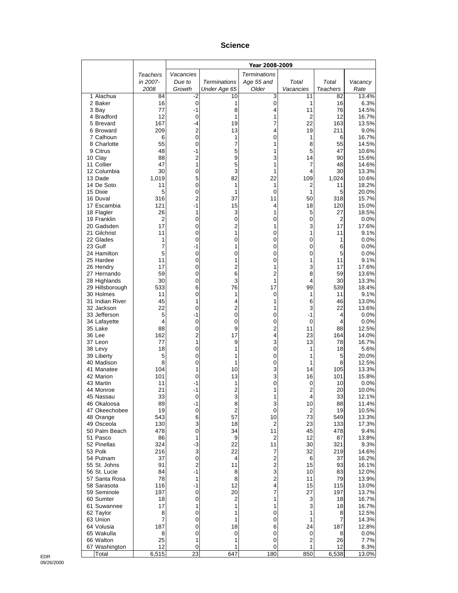#### **Science**

|                               |                | Year 2008-2009      |                      |                     |                     |                 |                |
|-------------------------------|----------------|---------------------|----------------------|---------------------|---------------------|-----------------|----------------|
|                               | Teachers       | Vacancies           |                      | <b>Terminations</b> |                     |                 |                |
|                               | in 2007-       | Due to              | <b>Terminations</b>  | Age 55 and          | Total               | Total           | Vacancy        |
|                               | 2008           | Growth              | Under Age 65         | Older               | Vacancies           | <b>Teachers</b> | Rate           |
| 1 Alachua<br>2 Baker          | 84<br>16       | -2<br>0             | 10<br>1              | 3<br>0              | 11<br>1             | 82<br>16        | 13.4%<br>6.3%  |
| 3 Bay                         | 77             | -1                  | 8                    | 4                   | 11                  | 76              | 14.5%          |
| 4 Bradford                    | 12             | 0                   | 1                    | 1                   | 2                   | 12              | 16.7%          |
| 5 Brevard                     | 167            | -4                  | 19                   | 7                   | 22                  | 163             | 13.5%          |
| 6 Broward                     | 209            | 2                   | 13                   | 4                   | 19                  | 211             | 9.0%           |
| 7 Calhoun<br>8 Charlotte      | 6<br>55        | $\mathbf 0$<br>0    | 1<br>7               | 0<br>1              | 1<br>8              | 6<br>55         | 16.7%<br>14.5% |
| 9 Citrus                      | 48             | $-1$                | 5                    | 1                   | 5                   | 47              | 10.6%          |
| 10 Clay                       | 88             | 2                   | 9                    | 3                   | 14                  | 90              | 15.6%          |
| 11 Collier                    | 47             | 1                   | 5                    | 1                   | 7                   | 48              | 14.6%          |
| 12 Columbia                   | 30             | 0                   | 3                    | 1                   | 4                   | 30              | 13.3%          |
| 13 Dade<br>14 De Soto         | 1,019<br>11    | 5<br>0              | 82<br>1              | 22<br>1             | 109<br>2            | 1,024<br>11     | 10.6%<br>18.2% |
| 15 Dixie                      | 5              | 0                   | 1                    | 0                   | 1                   | 5               | 20.0%          |
| 16 Duval                      | 316            | 2                   | 37                   | 11                  | 50                  | 318             | 15.7%          |
| 17 Escambia                   | 121            | $-1$                | 15                   | 4                   | 18                  | 120             | 15.0%          |
| 18 Flagler                    | 26             | 1                   | 3                    | 1                   | 5                   | 27              | 18.5%          |
| 19 Franklin<br>20 Gadsden     | 2<br>17        | 0<br>0              | 0<br>2               | 0<br>1              | 0<br>3              | 2<br>17         | 0.0%<br>17.6%  |
| 21 Gilchrist                  | 11             | 0                   | 1                    | 0                   | 1                   | 11              | 9.1%           |
| 22 Glades                     | 1              | 0                   | 0                    | 0                   | 0                   | 1               | 0.0%           |
| 23 Gulf                       | $\overline{7}$ | $-1$                | 1                    | 0                   | 0                   | 6               | 0.0%           |
| 24 Hamilton                   | 5              | 0                   | 0                    | 0                   | 0                   | 5               | 0.0%           |
| 25 Hardee<br>26 Hendry        | 11<br>17       | 0<br>0              | 1<br>2               | 0<br>1              | 1<br>3              | 11<br>17        | 9.1%<br>17.6%  |
| 27 Hernando                   | 59             | 0                   | 6                    | 2                   | 8                   | 59              | 13.6%          |
| 28 Highlands                  | 30             | $\mathbf 0$         | 3                    | 1                   | 4                   | 30              | 13.3%          |
| 29 Hillsborough               | 533            | 6                   | 76                   | 17                  | 99                  | 539             | 18.4%          |
| 30 Holmes                     | 11             | 0                   | 1                    | 0                   | 1                   | 11              | 9.1%           |
| 31 Indian River<br>32 Jackson | 45<br>22       | 1<br>0              | 4<br>2               | 1<br>1              | 6<br>3              | 46<br>22        | 13.0%<br>13.6% |
| 33 Jefferson                  | 5              | $-1$                | 0                    | 0                   | $-1$                | 4               | 0.0%           |
| 34 Lafayette                  | 4              | 0                   | 0                    | 0                   | 0                   | 4               | 0.0%           |
| 35 Lake                       | 88             | $\pmb{0}$           | 9                    | 2                   | 11                  | 88              | 12.5%          |
| 36 Lee<br>37 Leon             | 162<br>77      | $\overline{2}$<br>1 | 17<br>9              | 4<br>3              | 23<br>13            | 164<br>78       | 14.0%<br>16.7% |
| 38 Levy                       | 18             | 0                   | 1                    | 0                   | 1                   | 18              | 5.6%           |
| 39 Liberty                    | 5              | 0                   | 1                    | 0                   | 1                   | 5               | 20.0%          |
| 40 Madison                    | 8              | 0                   | 1                    | 0                   | 1                   | 8               | 12.5%          |
| 41 Manatee                    | 104            | 1                   | 10                   | 3                   | 14                  | 105             | 13.3%          |
| 42 Marion<br>43 Martin        | 101<br>11      | 0<br>-1             | 13<br>1              | 3<br>0              | 16<br>0             | 101<br>10       | 15.8%<br>0.0%  |
| 44 Monroe                     | 21             | -1                  | $\overline{c}$       | 1                   | 2                   | 20              | 10.0%          |
| 45 Nassau                     | 33             | 0                   | 3                    | 1                   | 4                   | 33              | 12.1%          |
| 46 Okaloosa                   | 89             | $-1$                | 8                    | 3                   | 10                  | 88              | 11.4%          |
| 47 Okeechobee                 | 19             | $\pmb{0}$           | $\overline{c}$       | 0                   | 2                   | 19              | 10.5%          |
| 48 Orange<br>49 Osceola       | 543<br>130     | 6<br>3              | 57<br>18             | 10<br>2             | 73<br>23            | 549<br>133      | 13.3%<br>17.3% |
| 50 Palm Beach                 | 478            | 0                   | 34                   | 11                  | 45                  | 478             | 9.4%           |
| 51 Pasco                      | 86             | 1                   | 9                    | 2                   | 12                  | 87              | 13.8%          |
| 52 Pinellas                   | 324            | -3                  | 22                   | 11                  | 30                  | 321             | 9.3%           |
| 53 Polk<br>54 Putnam          | 216<br>37      | 3<br>0              | 22<br>4              | 7<br>2              | 32<br>6             | 219<br>37       | 14.6%<br>16.2% |
| 55 St. Johns                  | 91             | 2                   | 11                   | 2                   | 15                  | 93              | 16.1%          |
| 56 St. Lucie                  | 84             | $-1$                | 8                    | 3                   | 10                  | 83              | 12.0%          |
| 57 Santa Rosa                 | 78             | 1                   | 8                    | 2                   | 11                  | 79              | 13.9%          |
| 58 Sarasota                   | 116            | $-1$                | 12                   | 4                   | 15                  | 115             | 13.0%          |
| 59 Seminole<br>60 Sumter      | 197<br>18      | 0<br>$\pmb{0}$      | 20<br>$\overline{c}$ | 7<br>1              | 27<br>3             | 197<br>18       | 13.7%<br>16.7% |
| 61 Suwannee                   | 17             | 1                   | 1                    | 1                   | 3                   | 18              | 16.7%          |
| 62 Taylor                     | 8              | 0                   | 1                    | 0                   | 1                   | 8               | 12.5%          |
| 63 Union                      | 7              | 0                   | 1                    | 0                   | 1                   | 7               | 14.3%          |
| 64 Volusia                    | 187            | 0                   | 18                   | 6                   | 24                  | 187             | 12.8%          |
| 65 Wakulla<br>66 Walton       | 8<br>25        | 0<br>1              | 0<br>1               | 0<br>0              | 0<br>$\overline{c}$ | 8<br>26         | 0.0%<br>7.7%   |
| 67 Washington                 | 12             | 0                   | 1                    | 0                   | 1                   | 12              | 8.3%           |
| Total                         | 6,515          | 23                  | 647                  | 180                 | 850                 | 6,538           | 13.0%          |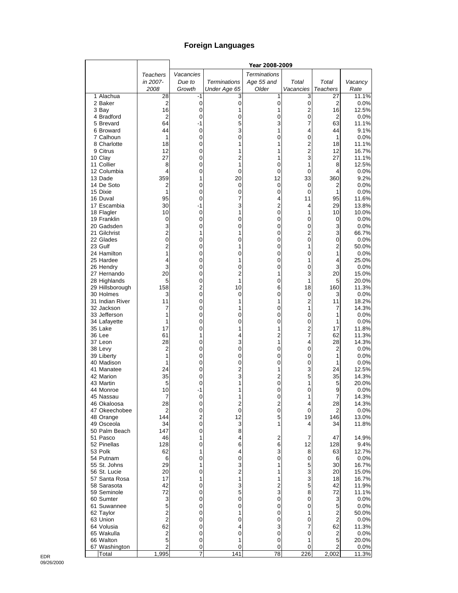## **Foreign Languages**

|                              |                               |                |                              | Year 2008-2009      |                     |                  |                |
|------------------------------|-------------------------------|----------------|------------------------------|---------------------|---------------------|------------------|----------------|
|                              | Teachers                      | Vacancies      |                              | <b>Terminations</b> |                     |                  |                |
|                              | in 2007-                      | Due to         | <b>Terminations</b>          | Age 55 and          | Total               | Total            | Vacancy        |
|                              | 2008                          | Growth         | Under Age 65                 | Older               | Vacancies           | Teachers         | Rate           |
| 1 Alachua                    | 28                            | -1             | 3                            | 1                   | 3                   | 27               | 11.1%          |
| 2 Baker                      | $\overline{2}$                | 0              | $\mathbf 0$                  | $\pmb{0}$           | $\pmb{0}$           | $\boldsymbol{2}$ | 0.0%           |
| 3 Bay                        | 16                            | 0              | 1                            | 1                   | $\overline{c}$      | 16               | 12.5%          |
| 4 Bradford                   | $\overline{2}$                | 0              | 0                            | 0                   | $\pmb{0}$           | 2                | 0.0%           |
| 5 Brevard                    | 64                            | -1             | 5<br>3                       | 3<br>1              | $\overline{7}$<br>4 | 63               | 11.1%          |
| 6 Broward<br>7 Calhoun       | 44<br>1                       | 0<br>0         | 0                            | 0                   | 0                   | 44<br>1          | 9.1%<br>0.0%   |
| 8 Charlotte                  | 18                            | 0              |                              | 1                   | $\overline{2}$      | 18               | 11.1%          |
| 9 Citrus                     | 12                            | 0              |                              | 1                   | $\overline{c}$      | 12               | 16.7%          |
| 10 Clay                      | 27                            | 0              | $\overline{c}$               | 1                   | 3                   | 27               | 11.1%          |
| 11 Collier                   | 8                             | 0              | 1                            | 0                   | 1                   | 8                | 12.5%          |
| 12 Columbia                  | 4                             | 0              | 0                            | 0                   | 0                   | 4                | 0.0%           |
| 13 Dade                      | 359                           | 1              | 20                           | 12                  | 33                  | 360              | 9.2%           |
| 14 De Soto                   | 2                             | 0              | 0                            | 0                   | 0                   | $\overline{2}$   | 0.0%           |
| 15 Dixie                     | 1                             | 0              | 0                            | 0                   | 0                   | 1                | 0.0%           |
| 16 Duval                     | 95                            | 0              | 7                            | 4                   | 11                  | 95               | 11.6%          |
| 17 Escambia                  | 30                            | -1             | 3                            | $\overline{c}$      | 4                   | 29               | 13.8%          |
| 18 Flagler                   | 10                            | 0              | 1                            | 0                   | 1                   | 10               | 10.0%          |
| 19 Franklin                  | 0                             | 0              | 0                            | 0                   | 0                   | 0                | 0.0%           |
| 20 Gadsden                   | 3                             | 0              | 0                            | 0                   | 0                   | 3                | 0.0%           |
| 21 Gilchrist                 | $\overline{2}$                | 1              | 1                            | 0                   | 2<br>$\mathbf 0$    | 3                | 66.7%          |
| 22 Glades<br>23 Gulf         | $\mathbf 0$<br>$\overline{2}$ | 0<br>0         | 0<br>1                       | 0<br>0              | 1                   | 0<br>2           | 0.0%<br>50.0%  |
| 24 Hamilton                  | 1                             | 0              | 0                            | 0                   | 0                   | 1                | 0.0%           |
| 25 Hardee                    | 4                             | 0              | 1                            | 0                   | 1                   | 4                | 25.0%          |
| 26 Hendry                    | 3                             | 0              | 0                            | 0                   | 0                   | 3                | 0.0%           |
| 27 Hernando                  | 20                            | 0              | 2                            | 1                   | 3                   | 20               | 15.0%          |
| 28 Highlands                 | 5                             | 0              | 1                            | 0                   | 1                   | 5                | 20.0%          |
| 29 Hillsborough              | 158                           | 2              | 10                           | 6                   | 18                  | 160              | 11.3%          |
| 30 Holmes                    | 3                             | 0              | 0                            | 0                   | $\mathbf 0$         | 3                | 0.0%           |
| 31 Indian River              | 11                            | 0              | 1                            | 1                   | $\overline{c}$      | 11               | 18.2%          |
| 32 Jackson                   | 7                             | 0              | 1                            | 0                   | 1                   | 7                | 14.3%          |
| 33 Jefferson                 | 1                             | 0              | 0                            | 0                   | 0                   | 1                | 0.0%           |
| 34 Lafayette                 | 1                             | 0              | 0                            | 0                   | 0                   | 1                | 0.0%           |
| 35 Lake                      | 17                            | 0              | 1                            | 1                   | $\overline{c}$      | 17               | 11.8%          |
| 36 Lee                       | 61                            | 1              | 4                            | $\overline{c}$      | $\overline{7}$      | 62               | 11.3%          |
| 37 Leon                      | 28                            | 0              | 3                            | 1                   | 4                   | 28               | 14.3%          |
| 38 Levy                      | 2                             | 0              | 0                            | 0                   | 0                   | 2                | 0.0%           |
| 39 Liberty<br>40 Madison     | 1<br>1                        | 0              | 0                            | 0                   | 0<br>0              | 1                | 0.0%<br>0.0%   |
| 41 Manatee                   | 24                            | 0<br>0         | 0<br>$\overline{2}$          | 0<br>1              | 3                   | 1<br>24          | 12.5%          |
| 42 Marion                    | 35                            | 0              | 3                            | $\overline{c}$      | 5                   | 35               | 14.3%          |
| 43 Martin                    | 5                             | 0              | 1                            | 0                   | 1                   | 5                | 20.0%          |
| 44 Monroe                    | 10                            | -1             | 1                            | 0                   | 0                   | 9                | 0.0%           |
| 45 Nassau                    | 7                             | 0              |                              | 0                   | 1                   | 7                | 14.3%          |
| 46 Okaloosa                  | 28                            | 0              | 2                            | 2                   | 4                   | 28               | 14.3%          |
| 47 Okeechobee                | 2                             | 0              | $\mathbf 0$                  | 0                   | 0                   | $\overline{2}$   | 0.0%           |
| 48 Orange                    | 144                           | $\overline{2}$ | 12                           | 5                   | 19                  | 146              | 13.0%          |
| 49 Osceola                   | 34                            | 0              | 3                            | 1                   | 4                   | 34               | 11.8%          |
| 50 Palm Beach                | 147                           | 0              | 8                            |                     |                     |                  |                |
| 51 Pasco                     | 46                            | 1              | 4                            | 2                   | 7                   | 47               | 14.9%          |
| 52 Pinellas                  | 128                           | 0              | 6                            | 6                   | 12                  | 128              | 9.4%           |
| 53 Polk                      | 62                            | 1              | 4                            | 3                   | 8                   | 63               | 12.7%          |
| 54 Putnam                    | 6                             | 0              | 0                            | 0                   | 0                   | 6                | 0.0%           |
| 55 St. Johns<br>56 St. Lucie | 29                            | 1              | 3                            | 1<br>1              | 5                   | 30               | 16.7%          |
| 57 Santa Rosa                | 20<br>17                      | 0<br>1         | $\overline{\mathbf{c}}$<br>1 | 1                   | 3<br>3              | 20<br>18         | 15.0%<br>16.7% |
| 58 Sarasota                  | 42                            | 0              | 3                            | $\overline{2}$      | 5                   | 42               | 11.9%          |
| 59 Seminole                  | 72                            | 0              | 5                            | 3                   | 8                   | 72               | 11.1%          |
| 60 Sumter                    | 3                             | 0              | 0                            | 0                   | 0                   | 3                | 0.0%           |
| 61 Suwannee                  | 5                             | 0              | 0                            | 0                   | 0                   | 5                | 0.0%           |
| 62 Taylor                    | $\overline{2}$                | 0              | 1                            | 0                   | 1                   | 2                | 50.0%          |
| 63 Union                     | $\overline{2}$                | 0              | 0                            | 0                   | 0                   | 2                | $0.0\%$        |
| 64 Volusia                   | 62                            | 0              | 4                            | 3                   | 7                   | 62               | 11.3%          |
| 65 Wakulla                   | $\overline{\mathbf{c}}$       | 0              | 0                            | 0                   | 0                   | 2                | 0.0%           |
| 66 Walton                    | 5                             | 0              | 1                            | 0                   | 1                   | 5                | 20.0%          |
| 67 Washington                | 2                             | 0              | 0                            | 0                   | 0                   | $\overline{2}$   | 0.0%           |
| Total                        | 1,995                         | 7              | 141                          | $\overline{18}$     | 226                 | 2,002            | 11.3%          |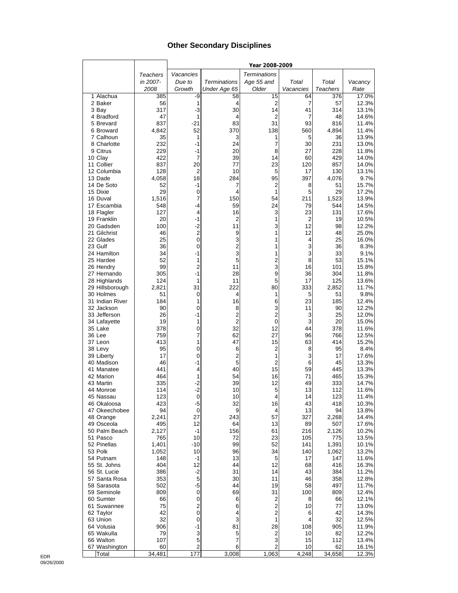#### **Other Secondary Disciplines**

|                              |              |                     |                     | Year 2008-2009      |             |                 |                |
|------------------------------|--------------|---------------------|---------------------|---------------------|-------------|-----------------|----------------|
|                              | Teachers     | Vacancies           |                     | <b>Terminations</b> |             |                 |                |
|                              | in 2007-     | Due to              | <b>Terminations</b> | Age 55 and          | Total       | Total           | Vacancy        |
|                              | 2008         | Growth              | Under Age 65        | Older               | Vacancies   | <b>Teachers</b> | Rate           |
| 1 Alachua                    | 385          | -9                  | 58                  | 15                  | 64          | 376             | 17.0%          |
| 2 Baker                      | 56           | 1                   | 4                   | 2                   | 7           | 57              | 12.3%          |
| 3 Bay                        | 317          | $-3$                | 30                  | 14                  | 41          | 314             | 13.1%          |
| 4 Bradford                   | 47           | 1                   | 4<br>83             | 2                   | 7           | 48              | 14.6%          |
| 5 Brevard<br>6 Broward       | 837<br>4,842 | $-21$<br>52         | 370                 | 31<br>138           | 93<br>560   | 816<br>4,894    | 11.4%<br>11.4% |
| 7 Calhoun                    | 35           | 1                   | 3                   | 1                   | 5           | 36              | 13.9%          |
| 8 Charlotte                  | 232          | -1                  | 24                  | 7                   | 30          | 231             | 13.0%          |
| 9 Citrus                     | 229          | -1                  | 20                  | 8                   | 27          | 228             | 11.8%          |
| 10 Clay                      | 422          | 7                   | 39                  | 14                  | 60          | 429             | 14.0%          |
| 11 Collier                   | 837          | 20                  | 77                  | 23                  | 120         | 857             | 14.0%          |
| 12 Columbia                  | 128          | $\overline{2}$      | 10                  | 5                   | 17          | 130             | 13.1%          |
| 13 Dade                      | 4,058        | 18                  | 284                 | 95                  | 397         | 4,076           | 9.7%           |
| 14 De Soto<br>15 Dixie       | 52<br>29     | $-1$<br>0           | 7<br>4              | 2<br>1              | 8<br>5      | 51<br>29        | 15.7%<br>17.2% |
| 16 Duval                     | 1,516        | 7                   | 150                 | 54                  | 211         | 1,523           | 13.9%          |
| 17 Escambia                  | 548          | $-4$                | 59                  | 24                  | 79          | 544             | 14.5%          |
| 18 Flagler                   | 127          | 4                   | 16                  | 3                   | 23          | 131             | 17.6%          |
| 19 Franklin                  | 20           | $-1$                | 2                   | 1                   | 2           | 19              | 10.5%          |
| 20 Gadsden                   | 100          | $-2$                | 11                  | 3                   | 12          | 98              | 12.2%          |
| 21 Gilchrist                 | 46           | $\overline{c}$      | 9                   | 1                   | 12          | 48              | 25.0%          |
| 22 Glades                    | 25           | $\mathbf 0$         | 3                   | 1                   | 4           | 25              | 16.0%          |
| 23 Gulf<br>24 Hamilton       | 36<br>34     | 0<br>$-1$           | $\overline{2}$<br>3 | 1<br>1              | 3<br>3      | 36<br>33        | 8.3%<br>9.1%   |
| 25 Hardee                    | 52           | 1                   | 5                   | 2                   | 8           | 53              | 15.1%          |
| 26 Hendry                    | 99           | $\overline{2}$      | 11                  | 3                   | 16          | 101             | 15.8%          |
| 27 Hernando                  | 305          | $-1$                | 28                  | 9                   | 36          | 304             | 11.8%          |
| 28 Highlands                 | 124          | 1                   | 11                  | 5                   | 17          | 125             | 13.6%          |
| 29 Hillsborough              | 2,821        | 31                  | 222                 | 80                  | 333         | 2,852           | 11.7%          |
| 30 Holmes                    | 51           | 0                   | 4                   | 1                   | 5           | 51              | 9.8%           |
| 31 Indian River              | 184          | 1                   | 16                  | 6                   | 23          | 185             | 12.4%          |
| 32 Jackson                   | 90           | $\mathbf 0$         | 8<br>2              | 3<br>$\overline{2}$ | 11          | 90              | 12.2%          |
| 33 Jefferson<br>34 Lafayette | 26<br>19     | -1<br>1             | $\overline{2}$      | 0                   | 3<br>3      | 25<br>20        | 12.0%<br>15.0% |
| 35 Lake                      | 378          | 0                   | 32                  | 12                  | 44          | 378             | 11.6%          |
| 36 Lee                       | 759          | 7                   | 62                  | 27                  | 96          | 766             | 12.5%          |
| 37 Leon                      | 413          | 1                   | 47                  | 15                  | 63          | 414             | 15.2%          |
| 38 Levy                      | 95           | 0                   | 6                   | 2                   | 8           | 95              | 8.4%           |
| 39 Liberty                   | 17           | 0                   | 2                   | 1                   | 3           | 17              | 17.6%          |
| 40 Madison                   | 46           | $-1$                | 5                   | $\overline{2}$      | 6           | 45              | 13.3%          |
| 41 Manatee<br>42 Marion      | 441<br>464   | 4<br>1              | 40<br>54            | 15<br>16            | 59<br>71    | 445<br>465      | 13.3%<br>15.3% |
| 43 Martin                    | 335          | $-2$                | 39                  | 12                  | 49          | 333             | 14.7%          |
| 44 Monroe                    | 114          | $-2$                | 10                  | 5                   | 13          | 112             | 11.6%          |
| 45 Nassau                    | 123          | 0                   | 10                  | 4                   | 14          | 123             | 11.4%          |
| 46 Okaloosa                  | 423          | -5                  | 32                  | 16                  | 43          | 418             | 10.3%          |
| 47 Okeechobee                | 94           | 0                   | 9                   | 4                   | 13          | 94              | 13.8%          |
| 48 Orange                    | 2,241        | 27                  | 243                 | 57                  | 327         | 2,268           | 14.4%          |
| 49 Osceola<br>50 Palm Beach  | 495          | 12<br>$-1$          | 64<br>156           | 13                  | 89<br>216   | 507             | 17.6%          |
| 51 Pasco                     | 2,127<br>765 | 10                  | 72                  | 61<br>23            | 105         | 2,126<br>775    | 10.2%<br>13.5% |
| 52 Pinellas                  | 1,401        | $-10$               | 99                  | 52                  | 141         | 1,391           | 10.1%          |
| 53 Polk                      | 1,052        | 10                  | 96                  | 34                  | 140         | 1,062           | 13.2%          |
| 54 Putnam                    | 148          | -1                  | 13                  | 5                   | 17          | 147             | 11.6%          |
| 55 St. Johns                 | 404          | 12                  | 44                  | 12                  | 68          | 416             | 16.3%          |
| 56 St. Lucie                 | 386          | $-2$                | 31                  | 14                  | 43          | 384             | 11.2%          |
| 57 Santa Rosa                | 353          | 5                   | 30                  | 11                  | 46          | 358             | 12.8%          |
| 58 Sarasota<br>59 Seminole   | 502          | $-5$<br>$\mathbf 0$ | 44                  | 19                  | 58          | 497             | 11.7%          |
| 60 Sumter                    | 809<br>66    | 0                   | 69<br>6             | 31<br>2             | 100<br>8    | 809<br>66       | 12.4%<br>12.1% |
| 61 Suwannee                  | 75           | $\overline{c}$      | 6                   | 2                   | 10          | 77              | 13.0%          |
| 62 Taylor                    | 42           | $\mathbf 0$         | 4                   | $\overline{c}$      | 6           | 42              | 14.3%          |
| 63 Union                     | 32           | 0                   | 3                   | 1                   | 4           | 32              | 12.5%          |
| 64 Volusia                   | 906          | $-1$                | 81                  | 28                  | 108         | 905             | 11.9%          |
| 65 Wakulla                   | 79           | 3                   | 5                   | 2                   | 10          | 82              | 12.2%          |
| 66 Walton                    | 107          | 5                   | 7                   | 3                   | 15          | 112             | 13.4%          |
| 67 Washington<br>Total       | 60<br>34,481 | 2<br>177            | 6<br>3,008          | 2<br>1,063          | 10<br>4,248 | 62<br>34,658    | 16.1%<br>12.3% |
|                              |              |                     |                     |                     |             |                 |                |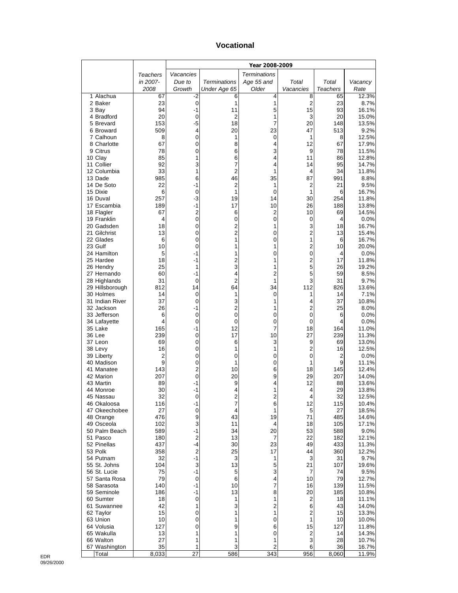#### **Vocational**

|                               |            | Year 2008-2009 |                     |                         |                     |                       |                |
|-------------------------------|------------|----------------|---------------------|-------------------------|---------------------|-----------------------|----------------|
|                               | Teachers   | Vacancies      |                     | <b>Terminations</b>     |                     |                       |                |
|                               | in 2007-   | Due to         | <b>Terminations</b> | Age 55 and              | Total               | Total                 | Vacancy        |
| 1 Alachua                     | 2008<br>67 | Growth<br>-2   | Under Age 65<br>6   | Older<br>4              | Vacancies<br>8      | <b>Teachers</b><br>65 | Rate<br>12.3%  |
| 2 Baker                       | 23         | $\mathbf 0$    | 1                   | 1                       | $\overline{2}$      | 23                    | 8.7%           |
| 3 Bay                         | 94         | $-1$           | 11                  | 5                       | 15                  | 93                    | 16.1%          |
| 4 Bradford                    | 20         | 0              | 2                   | 1                       | 3                   | 20                    | 15.0%          |
| 5 Brevard                     | 153        | $-5$           | 18                  | 7                       | 20                  | 148                   | 13.5%          |
| 6 Broward<br>7 Calhoun        | 509<br>8   | 4<br>0         | 20<br>1             | 23<br>0                 | 47<br>1             | 513<br>8              | 9.2%<br>12.5%  |
| 8 Charlotte                   | 67         | 0              | 8                   | 4                       | 12                  | 67                    | 17.9%          |
| 9 Citrus                      | 78         | 0              | 6                   | 3                       | 9                   | 78                    | 11.5%          |
| 10 Clay                       | 85         | 1              | 6                   | 4                       | 11                  | 86                    | 12.8%          |
| 11 Collier                    | 92         | 3              | 7                   | 4                       | 14                  | 95                    | 14.7%          |
| 12 Columbia<br>13 Dade        | 33<br>985  | 1<br>6         | 2<br>46             | 1<br>35                 | 4<br>87             | 34<br>991             | 11.8%<br>8.8%  |
| 14 De Soto                    | 22         | $-1$           | $\overline{c}$      | 1                       | 2                   | 21                    | 9.5%           |
| 15 Dixie                      | 6          | 0              | 1                   | $\mathbf 0$             | 1                   | 6                     | 16.7%          |
| 16 Duval                      | 257        | $-3$           | 19                  | 14                      | 30                  | 254                   | 11.8%          |
| 17 Escambia                   | 189        | $-1$           | 17                  | 10                      | 26                  | 188                   | 13.8%          |
| 18 Flagler<br>19 Franklin     | 67<br>4    | 2<br>0         | 6<br>0              | 2<br>$\mathbf 0$        | 10<br>0             | 69<br>4               | 14.5%<br>0.0%  |
| 20 Gadsden                    | 18         | 0              | $\overline{c}$      | 1                       | 3                   | 18                    | 16.7%          |
| 21 Gilchrist                  | 13         | 0              | $\overline{c}$      | 0                       | 2                   | 13                    | 15.4%          |
| 22 Glades                     | 6          | 0              | 1                   | 0                       | 1                   | 6                     | 16.7%          |
| 23 Gulf                       | 10         | 0              | 1                   | 1                       | 2                   | 10                    | 20.0%          |
| 24 Hamilton<br>25 Hardee      | 5<br>18    | -1<br>-1       | 1<br>2              | 0<br>1                  | 0<br>2              | 4<br>17               | 0.0%<br>11.8%  |
| 26 Hendry                     | 25         | 1              | 3                   | 1                       | 5                   | 26                    | 19.2%          |
| 27 Hernando                   | 60         | -1             | 4                   | 2                       | 5                   | 59                    | 8.5%           |
| 28 Highlands                  | 31         | 0              | $\overline{2}$      | 1                       | 3                   | 31                    | 9.7%           |
| 29 Hillsborough               | 812        | 14             | 64                  | 34                      | 112                 | 826                   | 13.6%          |
| 30 Holmes                     | 14         | 0              | 1                   | 0                       | 1                   | 14                    | 7.1%           |
| 31 Indian River<br>32 Jackson | 37<br>26   | 0<br>-1        | 3<br>$\overline{c}$ | 1<br>1                  | 4<br>$\overline{2}$ | 37<br>25              | 10.8%<br>8.0%  |
| 33 Jefferson                  | 6          | 0              | 0                   | 0                       | 0                   | 6                     | 0.0%           |
| 34 Lafayette                  | 4          | 0              | 0                   | 0                       | 0                   | 4                     | 0.0%           |
| 35 Lake                       | 165        | -1             | 12                  | 7                       | 18                  | 164                   | 11.0%          |
| 36 Lee                        | 239        | 0              | 17                  | 10                      | 27                  | 239                   | 11.3%          |
| 37 Leon<br>38 Levy            | 69<br>16   | 0<br>0         | 6<br>1              | 3<br>1                  | 9<br>2              | 69<br>16              | 13.0%<br>12.5% |
| 39 Liberty                    | 2          | 0              | 0                   | 0                       | 0                   | $\overline{2}$        | 0.0%           |
| 40 Madison                    | 9          | 0              | 1                   | 0                       | 1                   | 9                     | 11.1%          |
| 41 Manatee                    | 143        | 2              | 10                  | 6                       | 18                  | 145                   | 12.4%          |
| 42 Marion                     | 207        | 0              | 20                  | 9                       | 29                  | 207                   | 14.0%          |
| 43 Martin<br>44 Monroe        | 89<br>30   | -1<br>-1       | 9<br>4              | 4<br>1                  | 12<br>4             | 88<br>29              | 13.6%<br>13.8% |
| 45 Nassau                     | 32         | 0              | 2                   | 2                       | 4                   | 32                    | 12.5%          |
| 46 Okaloosa                   | 116        | -1             | 7                   | 6                       | 12                  | 115                   | 10.4%          |
| 47 Okeechobee                 | 27         | 0              | 4                   | 1                       | 5                   | 27                    | 18.5%          |
| 48 Orange                     | 476        | 9              | 43                  | 19                      | 71                  | 485                   | 14.6%          |
| 49 Osceola<br>50 Palm Beach   | 102<br>589 | 3<br>-1        | 11<br>34            | 4<br>20                 | 18<br>53            | 105<br>588            | 17.1%          |
| 51 Pasco                      | 180        | 2              | 13                  | 7                       | 22                  | 182                   | 9.0%<br>12.1%  |
| 52 Pinellas                   | 437        | -4             | 30                  | 23                      | 49                  | 433                   | 11.3%          |
| 53 Polk                       | 358        | 2              | 25                  | 17                      | 44                  | 360                   | 12.2%          |
| 54 Putnam                     | 32         | $-1$           | 3                   | 1                       | 3                   | 31                    | 9.7%           |
| 55 St. Johns                  | 104        | 3              | 13                  | 5                       | 21                  | 107                   | 19.6%          |
| 56 St. Lucie<br>57 Santa Rosa | 75<br>79   | -1<br>0        | 5<br>6              | 3<br>4                  | 7<br>10             | 74<br>79              | 9.5%<br>12.7%  |
| 58 Sarasota                   | 140        | $-1$           | 10                  | 7                       | 16                  | 139                   | 11.5%          |
| 59 Seminole                   | 186        | -1             | 13                  | 8                       | 20                  | 185                   | 10.8%          |
| 60 Sumter                     | 18         | 0              | 1                   | 1                       | 2                   | 18                    | 11.1%          |
| 61 Suwannee                   | 42         | 1              | 3                   | $\overline{\mathbf{c}}$ | 6                   | 43                    | 14.0%          |
| 62 Taylor                     | 15<br>10   | 0<br>0         | 1<br>1              | 1<br>0                  | 2<br>1              | 15                    | 13.3%          |
| 63 Union<br>64 Volusia        | 127        | 0              | 9                   | 6                       | 15                  | 10<br>127             | 10.0%<br>11.8% |
| 65 Wakulla                    | 13         | 1              | 1                   | 0                       | 2                   | 14                    | 14.3%          |
| 66 Walton                     | 27         | 1              | 1                   | 1                       | 3                   | 28                    | 10.7%          |
| 67 Washington                 | 35         | 1              | 3                   | 2                       | 6                   | 36                    | 16.7%          |
| Total                         | 8,033      | 27             | 586                 | 343                     | 956                 | 8,060                 | 11.9%          |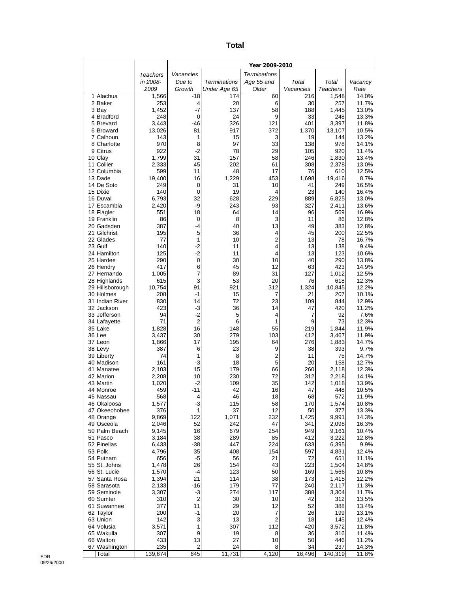| ×<br>×<br>۰,<br>$\sim$ |
|------------------------|
|------------------------|

|                              |                | Year 2009-2010    |                     |                                  |             |                |                |
|------------------------------|----------------|-------------------|---------------------|----------------------------------|-------------|----------------|----------------|
|                              | Teachers       | Vacancies         |                     | <b>Terminations</b>              |             |                |                |
|                              | in 2008-       | Due to            | <b>Terminations</b> | Age 55 and                       | Total       | Total          | Vacancy        |
|                              | 2009           | Growth            | Under Age 65        | Older                            | Vacancies   | Teachers       | Rate           |
| 1 Alachua                    | 1,566<br>253   | -18               | 174                 | 60                               | 216         | 1,548          | 14.0%          |
| 2 Baker<br>3 Bay             | 1,452          | 4<br>$-7$         | 20<br>137           | 6<br>58                          | 30<br>188   | 257<br>1,445   | 11.7%<br>13.0% |
| 4 Bradford                   | 248            | 0                 | 24                  | 9                                | 33          | 248            | 13.3%          |
| 5 Brevard                    | 3,443          | $-46$             | 326                 | 121                              | 401         | 3,397          | 11.8%          |
| 6 Broward                    | 13,026         | 81                | 917                 | 372                              | 1,370       | 13,107         | 10.5%          |
| 7 Calhoun                    | 143            | 1                 | 15                  | 3                                | 19          | 144            | 13.2%          |
| 8 Charlotte<br>9 Citrus      | 970<br>922     | 8<br>$-2$         | 97<br>78            | 33<br>29                         | 138<br>105  | 978<br>920     | 14.1%<br>11.4% |
| 10 Clay                      | 1,799          | 31                | 157                 | 58                               | 246         | 1,830          | 13.4%          |
| 11 Collier                   | 2,333          | 45                | 202                 | 61                               | 308         | 2,378          | 13.0%          |
| 12 Columbia                  | 599            | 11                | 48                  | 17                               | 76          | 610            | 12.5%          |
| 13 Dade                      | 19,400         | 16                | 1,229               | 453                              | 1,698       | 19,416         | 8.7%           |
| 14 De Soto                   | 249            | 0                 | 31                  | 10                               | 41          | 249            | 16.5%          |
| 15 Dixie<br>16 Duval         | 140<br>6,793   | $\mathbf 0$<br>32 | 19<br>628           | 4<br>229                         | 23<br>889   | 140<br>6,825   | 16.4%<br>13.0% |
| 17 Escambia                  | 2,420          | -9                | 243                 | 93                               | 327         | 2,411          | 13.6%          |
| 18 Flagler                   | 551            | 18                | 64                  | 14                               | 96          | 569            | 16.9%          |
| 19 Franklin                  | 86             | 0                 | 8                   | 3                                | 11          | 86             | 12.8%          |
| 20 Gadsden                   | 387            | $-4$              | 40                  | 13                               | 49          | 383            | 12.8%          |
| 21 Gilchrist                 | 195            | 5                 | 36                  | 4                                | 45          | 200            | 22.5%          |
| 22 Glades<br>23 Gulf         | 77<br>140      | 1<br>$-2$         | 10<br>11            | $\overline{2}$<br>4              | 13<br>13    | 78<br>138      | 16.7%<br>9.4%  |
| 24 Hamilton                  | 125            | $-2$              | 11                  | 4                                | 13          | 123            | 10.6%          |
| 25 Hardee                    | 290            | 0                 | 30                  | 10                               | 40          | 290            | 13.8%          |
| 26 Hendry                    | 417            | 6                 | 45                  | 12                               | 63          | 423            | 14.9%          |
| 27 Hernando                  | 1,005          | 7                 | 89                  | 31                               | 127         | 1,012          | 12.5%          |
| 28 Highlands                 | 615            | 3                 | 53                  | 20                               | 76          | 618            | 12.3%          |
| 29 Hillsborough<br>30 Holmes | 10,754<br>208  | 91<br>-1          | 921<br>15           | 312<br>7                         | 1,324<br>21 | 10,845<br>207  | 12.2%<br>10.1% |
| 31 Indian River              | 830            | 14                | 72                  | 23                               | 109         | 844            | 12.9%          |
| 32 Jackson                   | 423            | -3                | 36                  | 14                               | 47          | 420            | 11.2%          |
| 33 Jefferson                 | 94             | $-2$              | 5                   | 4                                | 7           | 92             | 7.6%           |
| 34 Lafayette                 | 71             | $\overline{2}$    | 6                   | 1                                | 9           | 73             | 12.3%          |
| 35 Lake<br>36 Lee            | 1,828          | 16                | 148                 | 55                               | 219         | 1,844          | 11.9%          |
| 37 Leon                      | 3,437<br>1,866 | 30<br>17          | 279<br>195          | 103<br>64                        | 412<br>276  | 3,467<br>1,883 | 11.9%<br>14.7% |
| 38 Levy                      | 387            | 6                 | 23                  | 9                                | 38          | 393            | 9.7%           |
| 39 Liberty                   | 74             | 1                 | 8                   | 2                                | 11          | 75             | 14.7%          |
| 40 Madison                   | 161            | $-3$              | 18                  | 5                                | 20          | 158            | 12.7%          |
| 41 Manatee                   | 2,103          | 15                | 179                 | 66                               | 260         | 2,118          | 12.3%          |
| 42 Marion<br>43 Martin       | 2,208<br>1,020 | 10<br>-2          | 230<br>109          | 72<br>35                         | 312<br>142  | 2,218<br>1,018 | 14.1%<br>13.9% |
| 44 Monroe                    | 459            | $-11$             | 42                  | 16                               | 47          | 448            | 10.5%          |
| 45 Nassau                    | 568            | 4                 | 46                  | 18                               | 68          | 572            | 11.9%          |
| 46 Okaloosa                  | 1,577          | $-3$              | 115                 | 58                               | 170         | 1,574          | 10.8%          |
| 47 Okeechobee                | 376            | 1                 | 37                  | 12                               | 50          | 377            | 13.3%          |
| 48 Orange                    | 9,869          | 122               | 1,071               | 232                              | 1,425       | 9,991          | 14.3%          |
| 49 Osceola<br>50 Palm Beach  | 2,046<br>9,145 | 52<br>16          | 242<br>679          | 47<br>254                        | 341<br>949  | 2,098<br>9,161 | 16.3%<br>10.4% |
| 51 Pasco                     | 3,184          | 38                | 289                 | 85                               | 412         | 3,222          | 12.8%          |
| 52 Pinellas                  | 6,433          | $-38$             | 447                 | 224                              | 633         | 6,395          | 9.9%           |
| 53 Polk                      | 4,796          | 35                | 408                 | 154                              | 597         | 4,831          | 12.4%          |
| 54 Putnam                    | 656            | $-5$              | 56                  | 21                               | 72          | 651            | 11.1%          |
| 55 St. Johns<br>56 St. Lucie | 1,478          | 26<br>-4          | 154                 | 43                               | 223         | 1,504          | 14.8%          |
| 57 Santa Rosa                | 1,570<br>1,394 | 21                | 123<br>114          | 50<br>38                         | 169<br>173  | 1,566<br>1,415 | 10.8%<br>12.2% |
| 58 Sarasota                  | 2,133          | $-16$             | 179                 | 77                               | 240         | 2,117          | 11.3%          |
| 59 Seminole                  | 3,307          | $-3$              | 274                 | 117                              | 388         | 3,304          | 11.7%          |
| 60 Sumter                    | 310            | 2                 | 30                  | 10                               | 42          | 312            | 13.5%          |
| 61 Suwannee                  | 377            | 11                | 29                  | 12                               | 52          | 388            | 13.4%          |
| 62 Taylor                    | 200            | $-1$              | 20                  | $\overline{7}$<br>$\overline{2}$ | 26          | 199            | 13.1%          |
| 63 Union<br>64 Volusia       | 142<br>3,571   | 3<br>1            | 13<br>307           | 112                              | 18<br>420   | 145<br>3,572   | 12.4%<br>11.8% |
| 65 Wakulla                   | 307            | 9                 | 19                  | 8                                | 36          | 316            | 11.4%          |
| 66 Walton                    | 433            | 13                | 27                  | 10                               | 50          | 446            | 11.2%          |
| 67 Washington                | 235            | $\mathbf 2$       | 24                  | 8                                | 34          | 237            | 14.3%          |
| Total                        | 139,674        | 645               | 11,731              | 4,120                            | 16,496      | 140,319        | 11.8%          |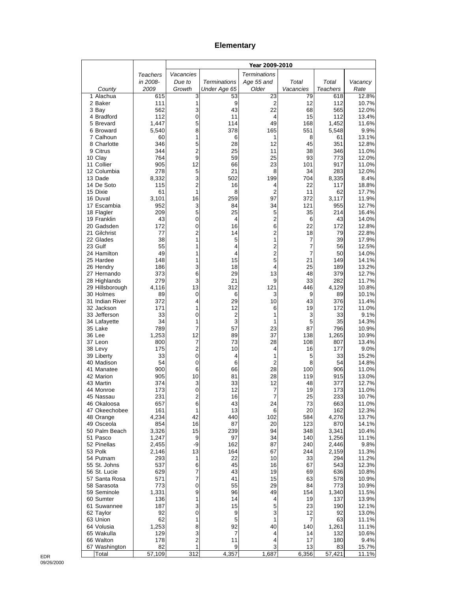### **Elementary**

|                              |              | Year 2009-2010      |                     |                         |                     |                 |                |
|------------------------------|--------------|---------------------|---------------------|-------------------------|---------------------|-----------------|----------------|
|                              | Teachers     | Vacancies           |                     | <b>Terminations</b>     |                     |                 |                |
|                              | in 2008-     | Due to              | <b>Terminations</b> | Age 55 and              | Total               | Total           | Vacancy        |
| County                       | 2009         | Growth              | Under Age 65        | Older                   | Vacancies           | <b>Teachers</b> | Rate           |
| 1 Alachua<br>2 Baker         | 615<br>111   | 3<br>1              | 53<br>9             | 23<br>$\overline{2}$    | 79<br>12            | 618<br>112      | 12.8%<br>10.7% |
| 3 Bay                        | 562          | 3                   | 43                  | 22                      | 68                  | 565             | 12.0%          |
| 4 Bradford                   | 112          | 0                   | 11                  | 4                       | 15                  | 112             | 13.4%          |
| 5 Brevard                    | 1,447        | 5                   | 114                 | 49                      | 168                 | 1,452           | 11.6%          |
| 6 Broward                    | 5,540        | 8                   | 378                 | 165                     | 551                 | 5,548           | 9.9%           |
| 7 Calhoun                    | 60           | 1                   | 6                   | 1                       | 8                   | 61              | 13.1%          |
| 8 Charlotte<br>9 Citrus      | 346<br>344   | 5<br>$\overline{2}$ | 28<br>25            | 12<br>11                | 45<br>38            | 351<br>346      | 12.8%<br>11.0% |
| 10 Clay                      | 764          | 9                   | 59                  | 25                      | 93                  | 773             | 12.0%          |
| 11 Collier                   | 905          | 12                  | 66                  | 23                      | 101                 | 917             | 11.0%          |
| 12 Columbia                  | 278          | 5                   | 21                  | 8                       | 34                  | 283             | 12.0%          |
| 13 Dade                      | 8,332        | 3                   | 502                 | 199                     | 704                 | 8,335           | 8.4%           |
| 14 De Soto                   | 115          | $\overline{c}$<br>1 | 16                  | 4                       | 22                  | 117             | 18.8%          |
| 15 Dixie<br>16 Duval         | 61<br>3,101  | 16                  | 8<br>259            | $\overline{2}$<br>97    | 11<br>372           | 62<br>3,117     | 17.7%<br>11.9% |
| 17 Escambia                  | 952          | 3                   | 84                  | 34                      | 121                 | 955             | 12.7%          |
| 18 Flagler                   | 209          | 5                   | 25                  | 5                       | 35                  | 214             | 16.4%          |
| 19 Franklin                  | 43           | $\mathbf 0$         | 4                   | 2                       | 6                   | 43              | 14.0%          |
| 20 Gadsden                   | 172          | 0                   | 16                  | 6                       | 22                  | 172             | 12.8%          |
| 21 Gilchrist                 | 77           | 2<br>1              | 14                  | 2                       | 18                  | 79              | 22.8%          |
| 22 Glades<br>23 Gulf         | 38<br>55     | 1                   | 5<br>4              | 1<br>2                  | 7<br>$\overline{7}$ | 39<br>56        | 17.9%<br>12.5% |
| 24 Hamilton                  | 49           | 1                   | 4                   | $\overline{\mathbf{c}}$ | 7                   | 50              | 14.0%          |
| 25 Hardee                    | 148          | 1                   | 15                  | 5                       | 21                  | 149             | 14.1%          |
| 26 Hendry                    | 186          | 3                   | 18                  | 4                       | 25                  | 189             | 13.2%          |
| 27 Hernando                  | 373          | 6                   | 29                  | 13                      | 48                  | 379             | 12.7%          |
| 28 Highlands                 | 279          | 3<br>13             | 21<br>312           | 9<br>121                | 33<br>446           | 282<br>4,129    | 11.7%<br>10.8% |
| 29 Hillsborough<br>30 Holmes | 4,116<br>89  | 0                   | 6                   | 3                       | 9                   | 89              | 10.1%          |
| 31 Indian River              | 372          | 4                   | 29                  | 10                      | 43                  | 376             | 11.4%          |
| 32 Jackson                   | 171          | 1                   | 12                  | 6                       | 19                  | 172             | 11.0%          |
| 33 Jefferson                 | 33           | 0                   | $\overline{c}$      | 1                       | 3                   | 33              | 9.1%           |
| 34 Lafayette                 | 34           | 1                   | 3                   | 1                       | 5                   | 35              | 14.3%          |
| 35 Lake<br>36 Lee            | 789<br>1,253 | 7<br>12             | 57<br>89            | 23<br>37                | 87<br>138           | 796<br>1,265    | 10.9%<br>10.9% |
| 37 Leon                      | 800          | 7                   | 73                  | 28                      | 108                 | 807             | 13.4%          |
| 38 Levy                      | 175          | $\overline{2}$      | 10                  | 4                       | 16                  | 177             | 9.0%           |
| 39 Liberty                   | 33           | $\mathbf 0$         | 4                   | 1                       | 5                   | 33              | 15.2%          |
| 40 Madison                   | 54           | $\mathbf 0$         | 6                   | $\overline{2}$          | 8                   | 54              | 14.8%          |
| 41 Manatee                   | 900          | 6                   | 66                  | 28                      | 100                 | 906             | 11.0%          |
| 42 Marion<br>43 Martin       | 905<br>374   | 10<br>3             | 81<br>33            | 28<br>12                | 119<br>48           | 915<br>377      | 13.0%<br>12.7% |
| 44 Monroe                    | 173          | 0                   | 12                  | 7                       | 19                  | 173             | 11.0%          |
| 45 Nassau                    | 231          | 2                   | 16                  |                         | 25                  | 233             | 10.7%          |
| 46 Okaloosa                  | 657          | 6                   | 43                  | 24                      | 73                  | 663             | 11.0%          |
| 47 Okeechobee                | 161          | 1                   | 13                  | 6                       | 20                  | 162             | 12.3%          |
| 48 Orange<br>49 Osceola      | 4,234<br>854 | 42<br>16            | 440<br>87           | 102<br>20               | 584<br>123          | 4,276<br>870    | 13.7%<br>14.1% |
| 50 Palm Beach                | 3,326        | 15                  | 239                 | 94                      | 348                 | 3,341           | 10.4%          |
| 51 Pasco                     | 1,247        | 9                   | 97                  | 34                      | 140                 | 1,256           | 11.1%          |
| 52 Pinellas                  | 2,455        | -9                  | 162                 | 87                      | 240                 | 2,446           | 9.8%           |
| 53 Polk                      | 2,146        | 13                  | 164                 | 67                      | 244                 | 2,159           | 11.3%          |
| 54 Putnam                    | 293          | 1                   | 22                  | 10                      | 33                  | 294             | 11.2%          |
| 55 St. Johns<br>56 St. Lucie | 537<br>629   | 6<br>7              | 45<br>43            | 16<br>19                | 67<br>69            | 543<br>636      | 12.3%<br>10.8% |
| 57 Santa Rosa                | 571          | 7                   | 41                  | 15                      | 63                  | 578             | 10.9%          |
| 58 Sarasota                  | 773          | $\pmb{0}$           | 55                  | 29                      | 84                  | 773             | 10.9%          |
| 59 Seminole                  | 1,331        | 9                   | 96                  | 49                      | 154                 | 1,340           | 11.5%          |
| 60 Sumter                    | 136          | 1                   | 14                  | 4                       | 19                  | 137             | 13.9%          |
| 61 Suwannee                  | 187          | 3                   | 15                  | 5                       | 23                  | 190             | 12.1%          |
| 62 Taylor<br>63 Union        | 92<br>62     | $\pmb{0}$<br>1      | 9<br>5              | 3<br>1                  | 12<br>7             | 92<br>63        | 13.0%<br>11.1% |
| 64 Volusia                   | 1,253        | 8                   | 92                  | 40                      | 140                 | 1,261           | 11.1%          |
| 65 Wakulla                   | 129          | 3                   | 7                   | 4                       | 14                  | 132             | 10.6%          |
| 66 Walton                    | 178          | $\overline{c}$      | 11                  | 4                       | 17                  | 180             | 9.4%           |
| 67 Washington                | 82           | 1                   | 9                   | 3                       | 13                  | 83              | 15.7%          |
| Total                        | 57,109       | 312                 | 4,357               | 1,687                   | 6,356               | 57,421          | 11.1%          |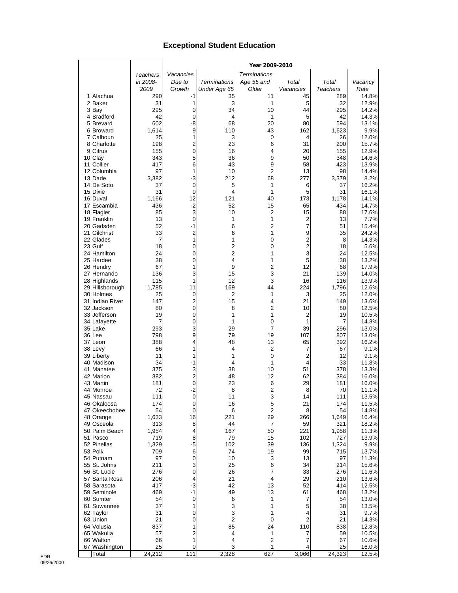#### **Exceptional Student Education**

|                           |                 |                         |                         | Year 2009-2010       |                         |                 |                |
|---------------------------|-----------------|-------------------------|-------------------------|----------------------|-------------------------|-----------------|----------------|
|                           | <b>Teachers</b> | Vacancies               |                         | <b>Terminations</b>  |                         |                 |                |
|                           | in 2008-        | Due to                  | Terminations            | Age 55 and           | Total                   | Total           | Vacancy        |
|                           | 2009            | Growth                  | Under Age 65            | Older                | Vacancies               | <b>Teachers</b> | Rate           |
| 1 Alachua                 | 290             | -1                      | 35                      | 11                   | 45                      | 289             | 14.8%          |
| 2 Baker                   | 31              | 1                       | 3                       | 1                    | 5                       | 32              | 12.9%          |
| 3 Bay                     | 295             | 0                       | 34                      | 10                   | 44                      | 295             | 14.2%          |
| 4 Bradford                | 42              | $\mathbf 0$             | 4                       | 1                    | 5                       | 42              | 14.3%          |
| 5 Brevard                 | 602             | -8                      | 68                      | 20                   | 80                      | 594             | 13.1%          |
| 6 Broward<br>7 Calhoun    | 1,614           | 9                       | 110                     | 43                   | 162                     | 1,623           | 9.9%           |
| 8 Charlotte               | 25<br>198       | 1<br>$\overline{2}$     | 3<br>23                 | 0<br>6               | 4<br>31                 | 26<br>200       | 12.0%<br>15.7% |
| 9 Citrus                  | 155             | $\mathbf 0$             | 16                      | 4                    | 20                      | 155             | 12.9%          |
| 10 Clay                   | 343             | 5                       | 36                      | 9                    | 50                      | 348             | 14.6%          |
| 11 Collier                | 417             | 6                       | 43                      | 9                    | 58                      | 423             | 13.9%          |
| 12 Columbia               | 97              | 1                       | 10                      | 2                    | 13                      | 98              | 14.4%          |
| 13 Dade                   | 3,382           | $-3$                    | 212                     | 68                   | 277                     | 3,379           | 8.2%           |
| 14 De Soto                | 37              | $\mathbf 0$             | 5                       | 1                    | 6                       | 37              | 16.2%          |
| 15 Dixie                  | 31              | $\mathbf 0$             | 4                       | 1                    | 5                       | 31              | 16.1%          |
| 16 Duval                  | 1,166           | 12                      | 121                     | 40                   | 173                     | 1,178           | 14.1%          |
| 17 Escambia               | 436             | $-2$                    | 52                      | 15                   | 65                      | 434             | 14.7%          |
| 18 Flagler                | 85              | 3                       | 10                      | $\overline{c}$       | 15                      | 88              | 17.6%          |
| 19 Franklin               | 13              | $\mathbf 0$             | 1                       | 1                    | 2                       | 13              | 7.7%           |
| 20 Gadsden                | 52<br>33        | $-1$<br>$\overline{2}$  | 6<br>6                  | $\overline{c}$       | 7                       | 51              | 15.4%          |
| 21 Gilchrist<br>22 Glades | 7               | 1                       | 1                       | 1<br>0               | 9<br>2                  | 35<br>8         | 24.2%<br>14.3% |
| 23 Gulf                   | 18              | 0                       | $\overline{\mathbf{c}}$ | 0                    | $\overline{\mathbf{c}}$ | 18              | 5.6%           |
| 24 Hamilton               | 24              | 0                       | $\overline{c}$          | 1                    | 3                       | 24              | 12.5%          |
| 25 Hardee                 | 38              | 0                       | 4                       | 1                    | 5                       | 38              | 13.2%          |
| 26 Hendry                 | 67              | 1                       | 9                       | $\overline{c}$       | 12                      | 68              | 17.9%          |
| 27 Hernando               | 136             | 3                       | 15                      | 3                    | 21                      | 139             | 14.0%          |
| 28 Highlands              | 115             | 1                       | 12                      | 3                    | 16                      | 116             | 13.9%          |
| 29 Hillsborough           | 1,785           | 11                      | 169                     | 44                   | 224                     | 1,796           | 12.6%          |
| 30 Holmes                 | 25              | $\mathbf 0$             | 2                       | 1                    | 3                       | 25              | 12.0%          |
| 31 Indian River           | 147             | 2                       | 15                      | 4                    | 21                      | 149             | 13.6%          |
| 32 Jackson                | 80              | $\mathbf 0$             | 8                       | $\overline{c}$       | 10                      | 80              | 12.5%          |
| 33 Jefferson              | 19              | 0                       | 1                       | 1                    | 2                       | 19              | 10.5%          |
| 34 Lafayette              | 7               | 0                       | 1                       | 0                    | 1                       | 7               | 14.3%          |
| 35 Lake<br>36 Lee         | 293<br>798      | 3<br>9                  | 29<br>79                | 7<br>19              | 39<br>107               | 296<br>807      | 13.0%<br>13.0% |
| 37 Leon                   | 388             | 4                       | 48                      | 13                   | 65                      | 392             | 16.2%          |
| 38 Levy                   | 66              | 1                       | 4                       | 2                    | 7                       | 67              | 9.1%           |
| 39 Liberty                | 11              | 1                       | 1                       | 0                    | 2                       | 12              | 9.1%           |
| 40 Madison                | 34              | $-1$                    | 4                       | 1                    | 4                       | 33              | 11.8%          |
| 41 Manatee                | 375             | 3                       | 38                      | 10                   | 51                      | 378             | 13.3%          |
| 42 Marion                 | 382             | $\overline{\mathbf{c}}$ | 48                      | 12                   | 62                      | 384             | 16.0%          |
| 43 Martin                 | 181             | $\mathbf 0$             | 23                      | 6                    | 29                      | 181             | 16.0%          |
| 44 Monroe                 | 72              | $-2$                    | 8                       | $\overline{2}$       | 8                       | 70              | 11.1%          |
| 45 Nassau                 | 111             | $\mathbf 0$             | 11                      | 3                    | 14                      | 111             | 13.5%          |
| 46 Okaloosa               | 174             | 0                       | 16                      | 5                    | 21                      | 174             | 11.5%          |
| 47 Okeechobee             | 54              | $\mathbf 0$             | 6                       | $\overline{2}$<br>29 | 8                       | 54              | 14.8%          |
| 48 Orange<br>49 Osceola   | 1,633           | 16<br>8                 | 221<br>44               | 7                    | 266<br>59               | 1,649<br>321    | 16.4%<br>18.2% |
| 50 Palm Beach             | 313<br>1,954    | 4                       | 167                     | 50                   | 221                     | 1,958           | 11.3%          |
| 51 Pasco                  | 719             | 8                       | 79                      | 15                   | 102                     | 727             | 13.9%          |
| 52 Pinellas               | 1,329           | -5                      | 102                     | 39                   | 136                     | 1,324           | 9.9%           |
| 53 Polk                   | 709             | 6                       | 74                      | 19                   | 99                      | 715             | 13.7%          |
| 54 Putnam                 | 97              | $\pmb{0}$               | 10                      | 3                    | 13                      | 97              | 11.3%          |
| 55 St. Johns              | 211             | 3                       | 25                      | 6                    | 34                      | 214             | 15.6%          |
| 56 St. Lucie              | 276             | $\mathbf 0$             | 26                      | 7                    | 33                      | 276             | 11.6%          |
| 57 Santa Rosa             | 206             | 4                       | 21                      | 4                    | 29                      | 210             | 13.6%          |
| 58 Sarasota               | 417             | -3                      | 42                      | 13                   | 52                      | 414             | 12.5%          |
| 59 Seminole               | 469             | $-1$                    | 49                      | 13                   | 61                      | 468             | 13.2%          |
| 60 Sumter                 | 54              | $\mathbf 0$             | 6                       | 1                    | 7                       | 54              | 13.0%          |
| 61 Suwannee               | 37              | 1                       | 3                       | 1                    | 5                       | 38              | 13.5%          |
| 62 Taylor                 | 31              | 0                       | 3                       | 1                    | 4                       | 31              | 9.7%           |
| 63 Union                  | 21              | 0                       | $\overline{2}$          | 0                    | 2                       | 21              | 14.3%          |
| 64 Volusia<br>65 Wakulla  | 837             | 1<br>2                  | 85<br>4                 | 24<br>1              | 110<br>7                | 838             | 12.8%          |
| 66 Walton                 | 57<br>66        | 1                       | 4                       | 2                    | 7                       | 59<br>67        | 10.5%<br>10.6% |
| 67 Washington             | 25              | $\mathbf 0$             | 3                       | 1                    | 4                       | 25              | 16.0%          |
| Total                     | 24,212          | 111                     | 2,328                   | 627                  | 3,066                   | 24,323          | 12.5%          |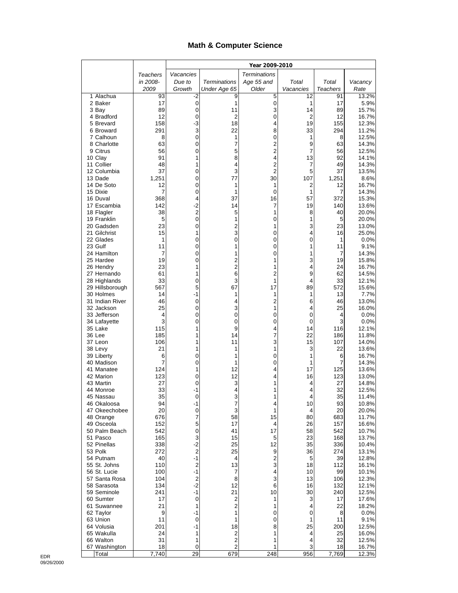#### **Math & Computer Science**

|                               |             | Year 2009-2010         |                     |                     |                     |                 |                |
|-------------------------------|-------------|------------------------|---------------------|---------------------|---------------------|-----------------|----------------|
|                               | Teachers    | Vacancies              |                     | <b>Terminations</b> |                     |                 |                |
|                               | in 2008-    | Due to                 | <b>Terminations</b> | Age 55 and          | Total               | Total           | Vacancy        |
|                               | 2009        | Growth                 | Under Age 65        | Older               | Vacancies           | <b>Teachers</b> | Rate           |
| 1 Alachua<br>2 Baker          | 93<br>17    | -2<br>0                | 9<br>1              | 5<br>0              | 12<br>1             | 91<br>17        | 13.2%<br>5.9%  |
| 3 Bay                         | 89          | $\mathbf 0$            | 11                  | 3                   | 14                  | 89              | 15.7%          |
| 4 Bradford                    | 12          | 0                      | 2                   | 0                   | 2                   | 12              | 16.7%          |
| 5 Brevard                     | 158         | -3                     | 18                  | 4                   | 19                  | 155             | 12.3%          |
| 6 Broward                     | 291         | 3                      | 22                  | 8                   | 33                  | 294             | 11.2%          |
| 7 Calhoun<br>8 Charlotte      | 8<br>63     | $\mathbf 0$            | 1                   | 0                   | 1                   | 8               | 12.5%          |
| 9 Citrus                      | 56          | 0<br>0                 | 7<br>5              | 2<br>2              | 9<br>$\overline{7}$ | 63<br>56        | 14.3%<br>12.5% |
| 10 Clay                       | 91          | 1                      | 8                   | 4                   | 13                  | 92              | 14.1%          |
| 11 Collier                    | 48          | 1                      | 4                   | $\overline{c}$      | 7                   | 49              | 14.3%          |
| 12 Columbia                   | 37          | 0                      | 3                   | 2                   | 5                   | 37              | 13.5%          |
| 13 Dade                       | 1,251       | 0                      | 77                  | 30                  | 107                 | 1,251           | 8.6%           |
| 14 De Soto<br>15 Dixie        | 12<br>7     | 0<br>0                 | 1<br>1              | 1<br>$\mathbf 0$    | 2<br>1              | 12<br>7         | 16.7%<br>14.3% |
| 16 Duval                      | 368         | 4                      | 37                  | 16                  | 57                  | 372             | 15.3%          |
| 17 Escambia                   | 142         | $-2$                   | 14                  | 7                   | 19                  | 140             | 13.6%          |
| 18 Flagler                    | 38          | $\mathbf 2$            | 5                   | 1                   | 8                   | 40              | 20.0%          |
| 19 Franklin                   | 5           | $\mathbf 0$            | 1                   | 0                   | 1                   | 5               | 20.0%          |
| 20 Gadsden<br>21 Gilchrist    | 23<br>15    | 0<br>1                 | 2<br>3              | 1<br>0              | 3<br>4              | 23<br>16        | 13.0%<br>25.0% |
| 22 Glades                     | 1           | 0                      | 0                   | 0                   | 0                   | 1               | 0.0%           |
| 23 Gulf                       | 11          | 0                      | 1                   | 0                   | 1                   | 11              | 9.1%           |
| 24 Hamilton                   | 7           | 0                      | 1                   | 0                   | 1                   | 7               | 14.3%          |
| 25 Hardee                     | 19          | 0                      | 2                   | 1                   | 3                   | 19              | 15.8%          |
| 26 Hendry<br>27 Hernando      | 23<br>61    | 1<br>1                 | $\overline{2}$<br>6 | 1<br>2              | 4<br>9              | 24<br>62        | 16.7%<br>14.5% |
| 28 Highlands                  | 33          | 0                      | 3                   | 1                   | 4                   | 33              | 12.1%          |
| 29 Hillsborough               | 567         | 5                      | 67                  | 17                  | 89                  | 572             | 15.6%          |
| 30 Holmes                     | 14          | $-1$                   | 1                   | 1                   | 1                   | 13              | 7.7%           |
| 31 Indian River               | 46          | 0                      | 4                   | 2                   | 6                   | 46              | 13.0%          |
| 32 Jackson<br>33 Jefferson    | 25<br>4     | 0<br>0                 | 3<br>0              | 1<br>0              | 4<br>0              | 25<br>4         | 16.0%<br>0.0%  |
| 34 Lafayette                  | 3           | 0                      | 0                   | 0                   | 0                   | 3               | 0.0%           |
| 35 Lake                       | 115         | 1                      | 9                   | 4                   | 14                  | 116             | 12.1%          |
| 36 Lee                        | 185         | 1                      | 14                  | 7                   | 22                  | 186             | 11.8%          |
| 37 Leon                       | 106         | 1                      | 11                  | 3                   | 15                  | 107             | 14.0%          |
| 38 Levy<br>39 Liberty         | 21<br>6     | 1<br>0                 | 1<br>1              | 1<br>0              | 3<br>1              | 22<br>6         | 13.6%<br>16.7% |
| 40 Madison                    | 7           | 0                      | 1                   | 0                   | 1                   | 7               | 14.3%          |
| 41 Manatee                    | 124         | 1                      | 12                  | 4                   | 17                  | 125             | 13.6%          |
| 42 Marion                     | 123         | 0                      | 12                  | 4                   | 16                  | 123             | 13.0%          |
| 43 Martin                     | 27          | 0                      | 3                   | 1                   | 4                   | 27              | 14.8%          |
| 44 Monroe<br>45 Nassau        | 33<br>35    | $-1$<br>0              | 4<br>3              | 1<br>1              | 4<br>4              | 32<br>35        | 12.5%<br>11.4% |
| 46 Okaloosa                   | 94          | $-1$                   | 7                   | 4                   | 10                  | 93              | 10.8%          |
| 47 Okeechobee                 | 20          | $\pmb{0}$              | 3                   | 1                   | 4                   | 20              | 20.0%          |
| 48 Orange                     | 676         | 7                      | 58                  | 15                  | 80                  | 683             | 11.7%          |
| 49 Osceola                    | 152         | 5<br>0                 | 17                  | 4                   | 26                  | 157             | 16.6%          |
| 50 Palm Beach<br>51 Pasco     | 542<br>165  | 3                      | 41<br>15            | 17<br>5             | 58<br>23            | 542<br>168      | 10.7%<br>13.7% |
| 52 Pinellas                   | 338         | $-2$                   | 25                  | 12                  | 35                  | 336             | 10.4%          |
| 53 Polk                       | 272         | 2                      | 25                  | 9                   | 36                  | 274             | 13.1%          |
| 54 Putnam                     | 40          | $-1$                   | 4                   | 2                   | 5                   | 39              | 12.8%          |
| 55 St. Johns                  | 110<br>100  | $\overline{2}$<br>$-1$ | 13                  | 3<br>4              | 18                  | 112             | 16.1%<br>10.1% |
| 56 St. Lucie<br>57 Santa Rosa | 104         | $\overline{2}$         | 7<br>8              | 3                   | 10<br>13            | 99<br>106       | 12.3%          |
| 58 Sarasota                   | 134         | $-2$                   | 12                  | 6                   | 16                  | 132             | 12.1%          |
| 59 Seminole                   | 241         | $-1$                   | 21                  | 10                  | 30                  | 240             | 12.5%          |
| 60 Sumter                     | 17          | $\pmb{0}$              | 2                   | 1                   | 3                   | 17              | 17.6%          |
| 61 Suwannee                   | 21          | 1                      | 2                   | 1                   | 4                   | 22              | 18.2%          |
| 62 Taylor<br>63 Union         | 9<br>11     | -1<br>0                | 1<br>1              | 0<br>0              | 0<br>1              | 8<br>11         | 0.0%<br>9.1%   |
| 64 Volusia                    | 201         | $-1$                   | 18                  | 8                   | 25                  | 200             | 12.5%          |
| 65 Wakulla                    | 24          | 1                      | 2                   | 1                   | 4                   | 25              | 16.0%          |
| 66 Walton                     | 31          | 1                      | $\overline{c}$      | 1                   | 4                   | 32              | 12.5%          |
| 67 Washington<br>Total        | 18<br>7,740 | 0<br>29                | 2<br>679            | 1<br>248            | 3<br>956            | 18<br>7,769     | 16.7%<br>12.3% |
|                               |             |                        |                     |                     |                     |                 |                |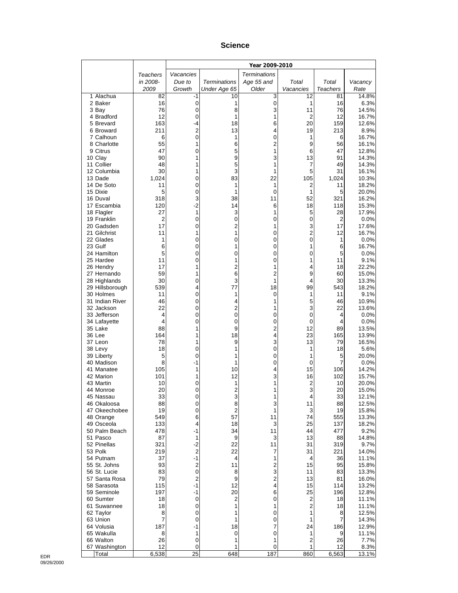#### **Science**

|                                 |            |                      |                      | Year 2009-2010      |                               |                 |                |
|---------------------------------|------------|----------------------|----------------------|---------------------|-------------------------------|-----------------|----------------|
|                                 | Teachers   | Vacancies            |                      | <b>Terminations</b> |                               |                 |                |
|                                 | in 2008-   | Due to               | <b>Terminations</b>  | Age 55 and          | Total                         | Total           | Vacancy        |
|                                 | 2009       | Growth               | Under Age 65         | Older               | Vacancies                     | <b>Teachers</b> | Rate           |
| 1 Alachua                       | 82         | -1                   | 10                   | 3                   | 12                            | 81              | 14.8%          |
| 2 Baker<br>3 Bay                | 16<br>76   | 0<br>0               | 1<br>8               | 0<br>3              | 1<br>11                       | 16<br>76        | 6.3%<br>14.5%  |
| 4 Bradford                      | 12         | 0                    | 1                    | 1                   | 2                             | 12              | 16.7%          |
| 5 Brevard                       | 163        | -4                   | 18                   | 6                   | 20                            | 159             | 12.6%          |
| 6 Broward                       | 211        | 2                    | 13                   | 4                   | 19                            | 213             | 8.9%           |
| 7 Calhoun                       | 6          | 0                    | 1                    | 0                   | 1                             | 6               | 16.7%          |
| 8 Charlotte<br>9 Citrus         | 55<br>47   | 1                    | 6                    | $\overline{c}$      | 9                             | 56<br>47        | 16.1%          |
| 10 Clay                         | 90         | 0<br>1               | 5<br>9               | 1<br>3              | 6<br>13                       | 91              | 12.8%<br>14.3% |
| 11 Collier                      | 48         | 1                    | 5                    | 1                   | 7                             | 49              | 14.3%          |
| 12 Columbia                     | 30         | 1                    | 3                    | 1                   | 5                             | 31              | 16.1%          |
| 13 Dade                         | 1,024      | 0                    | 83                   | 22                  | 105                           | 1,024           | 10.3%          |
| 14 De Soto                      | 11         | 0                    | 1                    | 1                   | 2                             | 11              | 18.2%          |
| 15 Dixie<br>16 Duval            | 5<br>318   | 0<br>3               | 1<br>38              | 0<br>11             | 1<br>52                       | 5<br>321        | 20.0%<br>16.2% |
| 17 Escambia                     | 120        | $-2$                 | 14                   | 6                   | 18                            | 118             | 15.3%          |
| 18 Flagler                      | 27         | 1                    | 3                    | 1                   | 5                             | 28              | 17.9%          |
| 19 Franklin                     | 2          | 0                    | 0                    | 0                   | 0                             | $\overline{2}$  | 0.0%           |
| 20 Gadsden                      | 17         | 0                    | 2                    | 1                   | 3                             | 17              | 17.6%          |
| 21 Gilchrist                    | 11         | 1                    | 1                    | 0                   | $\overline{c}$<br>$\mathbf 0$ | 12              | 16.7%          |
| 22 Glades<br>23 Gulf            | 1<br>6     | 0<br>0               | 0<br>1               | 0<br>0              | 1                             | 1<br>6          | 0.0%<br>16.7%  |
| 24 Hamilton                     | 5          | 0                    | 0                    | 0                   | 0                             | 5               | 0.0%           |
| 25 Hardee                       | 11         | 0                    | 1                    | 0                   | 1                             | 11              | 9.1%           |
| 26 Hendry                       | 17         | 1                    | 2                    | 1                   | 4                             | 18              | 22.2%          |
| 27 Hernando                     | 59         | 1                    | 6                    | 2                   | 9                             | 60              | 15.0%          |
| 28 Highlands<br>29 Hillsborough | 30<br>539  | 0<br>4               | 3<br>77              | 1<br>18             | 4<br>99                       | 30<br>543       | 13.3%<br>18.2% |
| 30 Holmes                       | 11         | 0                    | 1                    | 0                   | 1                             | 11              | 9.1%           |
| 31 Indian River                 | 46         | 0                    | 4                    | 1                   | 5                             | 46              | 10.9%          |
| 32 Jackson                      | 22         | 0                    | 2                    | 1                   | 3                             | 22              | 13.6%          |
| 33 Jefferson                    | 4          | 0                    | $\pmb{0}$            | 0                   | 0                             | 4               | 0.0%           |
| 34 Lafayette                    | 4          | 0                    | 0                    | 0                   | 0                             | 4               | 0.0%           |
| 35 Lake<br>36 Lee               | 88<br>164  | 1<br>1               | 9<br>18              | 2<br>4              | 12<br>23                      | 89<br>165       | 13.5%<br>13.9% |
| 37 Leon                         | 78         | 1                    | 9                    | 3                   | 13                            | 79              | 16.5%          |
| 38 Levy                         | 18         | 0                    | 1                    | 0                   | 1                             | 18              | 5.6%           |
| 39 Liberty                      | 5          | 0                    | 1                    | 0                   | 1                             | 5               | 20.0%          |
| 40 Madison                      | 8          | -1                   | 1                    | 0                   | 0                             | $\overline{7}$  | 0.0%           |
| 41 Manatee<br>42 Marion         | 105<br>101 | 1<br>1               | 10<br>12             | 4<br>3              | 15<br>16                      | 106<br>102      | 14.2%<br>15.7% |
| 43 Martin                       | 10         | 0                    | 1                    | 1                   | $\overline{c}$                | 10              | 20.0%          |
| 44 Monroe                       | 20         | 0                    | 2                    | 1                   | 3                             | 20              | 15.0%          |
| 45 Nassau                       | 33         | 0                    | 3                    | 1                   | 4                             | 33              | 12.1%          |
| 46 Okaloosa                     | 88         | $\pmb{0}$            | 8                    | 3                   | 11                            | 88              | 12.5%          |
| 47 Okeechobee                   | 19<br>549  | 0<br>6               | $\overline{c}$<br>57 | 1<br>11             | 3<br>74                       | 19<br>555       | 15.8%<br>13.3% |
| 48 Orange<br>49 Osceola         | 133        | 4                    | 18                   | 3                   | 25                            | 137             | 18.2%          |
| 50 Palm Beach                   | 478        | -1                   | 34                   | 11                  | 44                            | 477             | 9.2%           |
| 51 Pasco                        | 87         | 1                    | 9                    | 3                   | 13                            | 88              | 14.8%          |
| 52 Pinellas                     | 321        | $-2$                 | 22                   | 11                  | 31                            | 319             | 9.7%           |
| 53 Polk                         | 219<br>37  | $\overline{c}$<br>-1 | 22<br>4              | 7                   | 31<br>4                       | 221             | 14.0%          |
| 54 Putnam<br>55 St. Johns       | 93         | $\overline{c}$       | 11                   | 1<br>$\overline{c}$ | 15                            | 36<br>95        | 11.1%<br>15.8% |
| 56 St. Lucie                    | 83         | 0                    | 8                    | 3                   | 11                            | 83              | 13.3%          |
| 57 Santa Rosa                   | 79         | $\overline{2}$       | 9                    | 2                   | 13                            | 81              | 16.0%          |
| 58 Sarasota                     | 115        | $-1$                 | 12                   | 4                   | 15                            | 114             | 13.2%          |
| 59 Seminole                     | 197        | -1                   | 20                   | 6                   | 25                            | 196             | 12.8%          |
| 60 Sumter<br>61 Suwannee        | 18<br>18   | 0<br>0               | $\overline{c}$<br>1  | 0<br>1              | $\overline{c}$<br>2           | 18<br>18        | 11.1%<br>11.1% |
| 62 Taylor                       | 8          | 0                    | 1                    | 0                   | 1                             | 8               | 12.5%          |
| 63 Union                        | 7          | 0                    | 1                    | 0                   | 1                             | 7               | 14.3%          |
| 64 Volusia                      | 187        | -1                   | 18                   | 7                   | 24                            | 186             | 12.9%          |
| 65 Wakulla                      | 8          | 1                    | 0                    | 0                   | 1                             | 9               | 11.1%          |
| 66 Walton<br>67 Washington      | 26<br>12   | $\pmb{0}$<br>0       | 1<br>1               | 1<br>0              | $\overline{c}$<br>1           | 26<br>12        | 7.7%           |
| Total                           | 6,538      | 25                   | 648                  | 187                 | 860                           | 6,563           | 8.3%<br>13.1%  |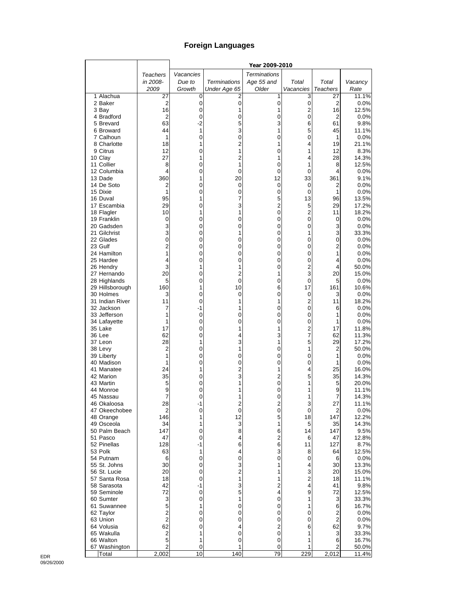## **Foreign Languages**

|                             |                     |           |                     | Year 2009-2010      |                               |                      |                |
|-----------------------------|---------------------|-----------|---------------------|---------------------|-------------------------------|----------------------|----------------|
|                             | Teachers            | Vacancies |                     | <b>Terminations</b> |                               |                      |                |
|                             | in 2008-            | Due to    | <b>Terminations</b> | Age 55 and          | Total                         | Total                | Vacancy        |
|                             | 2009                | Growth    | Under Age 65        | Older               | Vacancies                     | <b>Teachers</b>      | Rate           |
| 1 Alachua                   | 27                  | 0         | 2                   | 1                   | 3                             | 27                   | 11.1%          |
| 2 Baker                     | 2<br>16             | 0         | 0                   | 0                   | $\pmb{0}$                     | $\overline{2}$       | 0.0%           |
| 3 Bay<br>4 Bradford         | 2                   | 0<br>0    | 1<br>0              | 1<br>0              | $\overline{c}$<br>$\mathbf 0$ | 16<br>$\overline{2}$ | 12.5%<br>0.0%  |
| 5 Brevard                   | 63                  | -2        | 5                   | 3                   | 6                             | 61                   | 9.8%           |
| 6 Broward                   | 44                  | 1         | 3                   | 1                   | 5                             | 45                   | 11.1%          |
| 7 Calhoun                   | 1                   | 0         | 0                   | 0                   | 0                             | 1                    | 0.0%           |
| 8 Charlotte                 | 18                  | 1         | $\overline{2}$      | 1                   | 4                             | 19                   | 21.1%          |
| 9 Citrus                    | 12                  | 0         | 1                   | 0                   | 1                             | 12                   | 8.3%           |
| 10 Clay                     | 27                  | 1         | $\overline{c}$      | 1                   | 4                             | 28                   | 14.3%          |
| 11 Collier                  | 8                   | 0         | 1                   | 0                   | 1                             | 8                    | 12.5%          |
| 12 Columbia                 | 4                   | 0         | 0                   | 0                   | 0                             | 4                    | 0.0%           |
| 13 Dade<br>14 De Soto       | 360<br>2            | 1<br>0    | 20<br>0             | 12<br>0             | 33<br>0                       | 361<br>2             | 9.1%<br>0.0%   |
| 15 Dixie                    | 1                   | 0         | 0                   | 0                   | $\mathbf 0$                   | 1                    | 0.0%           |
| 16 Duval                    | 95                  | 1         | 7                   | 5                   | 13                            | 96                   | 13.5%          |
| 17 Escambia                 | 29                  | 0         | 3                   | $\overline{c}$      | 5                             | 29                   | 17.2%          |
| 18 Flagler                  | 10                  | 1         | 1                   | 0                   | $\overline{c}$                | 11                   | 18.2%          |
| 19 Franklin                 | 0                   | 0         | 0                   | 0                   | 0                             | 0                    | 0.0%           |
| 20 Gadsden                  | 3                   | 0         | 0                   | 0                   | 0                             | 3                    | 0.0%           |
| 21 Gilchrist                | 3                   | 0         | 1                   | 0                   | 1                             | 3                    | 33.3%          |
| 22 Glades<br>23 Gulf        | 0<br>$\overline{c}$ | 0<br>0    | 0<br>0              | 0<br>0              | 0<br>0                        | 0<br>2               | 0.0%<br>0.0%   |
| 24 Hamilton                 | 1                   | 0         | 0                   | 0                   | 0                             | 1                    | 0.0%           |
| 25 Hardee                   | 4                   | 0         | 0                   | 0                   | 0                             | 4                    | 0.0%           |
| 26 Hendry                   | 3                   | 1         | 1                   | 0                   | $\overline{2}$                | 4                    | 50.0%          |
| 27 Hernando                 | 20                  | 0         | 2                   | 1                   | 3                             | 20                   | 15.0%          |
| 28 Highlands                | 5                   | 0         | 0                   | 0                   | $\mathbf 0$                   | 5                    | 0.0%           |
| 29 Hillsborough             | 160                 | 1         | 10                  | 6                   | 17                            | 161                  | 10.6%          |
| 30 Holmes                   | 3                   | 0         | 0                   | 0                   | $\mathbf 0$                   | 3                    | 0.0%           |
| 31 Indian River             | 11                  | 0         | 1                   | 1                   | $\overline{\mathbf{c}}$<br>0  | 11                   | 18.2%          |
| 32 Jackson<br>33 Jefferson  | 7<br>1              | -1<br>0   | 0                   | 0<br>0              | $\mathbf 0$                   | 6<br>1               | 0.0%<br>0.0%   |
| 34 Lafayette                | 1                   | 0         | 0                   | 0                   | 0                             | 1                    | 0.0%           |
| 35 Lake                     | 17                  | 0         | 1                   | 1                   | $\overline{c}$                | 17                   | 11.8%          |
| 36 Lee                      | 62                  | 0         | 4                   | 3                   | 7                             | 62                   | 11.3%          |
| 37 Leon                     | 28                  | 1         | 3                   | 1                   | 5                             | 29                   | 17.2%          |
| 38 Levy                     | 2                   | 0         | 1                   | 0                   | 1                             | 2                    | 50.0%          |
| 39 Liberty                  | 1                   | 0         | 0                   | 0                   | 0                             | 1                    | 0.0%           |
| 40 Madison<br>41 Manatee    | 1<br>24             | 0<br>1    | 0<br>$\overline{c}$ | 0<br>1              | 0<br>4                        | 1<br>25              | 0.0%           |
| 42 Marion                   | 35                  | 0         | 3                   | $\overline{c}$      | 5                             | 35                   | 16.0%<br>14.3% |
| 43 Martin                   | 5                   | 0         |                     | 0                   | 1                             | 5                    | 20.0%          |
| 44 Monroe                   | 9                   | 0         |                     | 0                   | 1                             | 9                    | 11.1%          |
| 45 Nassau                   | 7                   | 0         |                     | 0                   | 1                             | 7                    | 14.3%          |
| 46 Okaloosa                 | 28                  | -1        | 2                   | 2                   | 3                             | 27                   | 11.1%          |
| 47 Okeechobee               | 2                   | 0         | $\mathbf 0$         | 0                   | $\mathbf 0$                   | $\overline{2}$       | 0.0%           |
| 48 Orange                   | 146                 | 1         | 12                  | 5                   | 18                            | 147                  | 12.2%          |
| 49 Osceola<br>50 Palm Beach | 34<br>147           | 1<br>0    | 3<br>8              | 1<br>6              | 5<br>14                       | 35<br>147            | 14.3%<br>9.5%  |
| 51 Pasco                    | 47                  | 0         | 4                   | $\overline{2}$      | 6                             | 47                   | 12.8%          |
| 52 Pinellas                 | 128                 | -1        | 6                   | 6                   | 11                            | 127                  | 8.7%           |
| 53 Polk                     | 63                  | 1         | 4                   | 3                   | 8                             | 64                   | 12.5%          |
| 54 Putnam                   | 6                   | 0         | 0                   | 0                   | 0                             | 6                    | 0.0%           |
| 55 St. Johns                | 30                  | 0         | 3                   | 1                   | 4                             | 30                   | 13.3%          |
| 56 St. Lucie                | 20                  | 0         | $\overline{2}$      | 1                   | 3                             | 20                   | 15.0%          |
| 57 Santa Rosa               | 18                  | 0         | 1                   | 1                   | 2                             | 18                   | 11.1%          |
| 58 Sarasota                 | 42                  | -1        | 3                   | $\overline{c}$<br>4 | 4<br>9                        | 41                   | 9.8%           |
| 59 Seminole<br>60 Sumter    | 72<br>3             | 0<br>0    | 5<br>1              | 0                   | 1                             | 72<br>3              | 12.5%<br>33.3% |
| 61 Suwannee                 | 5                   | 1         | 0                   | 0                   | 1                             | 6                    | 16.7%          |
| 62 Taylor                   | $\overline{2}$      | 0         | 0                   | 0                   | 0                             | 2                    | 0.0%           |
| 63 Union                    | $\overline{2}$      | 0         | 0                   | 0                   | 0                             | $\overline{2}$       | 0.0%           |
| 64 Volusia                  | 62                  | 0         | 4                   | $\overline{c}$      | 6                             | 62                   | 9.7%           |
| 65 Wakulla                  | 2                   | 1         | 0                   | 0                   | 1                             | 3                    | 33.3%          |
| 66 Walton                   | 5                   | 1         | 0                   | 0                   | 1                             | 6                    | 16.7%          |
| 67 Washington               | $\overline{2}$      | 0         |                     | 0                   | 1                             | 2                    | 50.0%          |
| Total                       | 2,002               | 10        | 140                 | 79                  | 229                           | 2,012                | 11.4%          |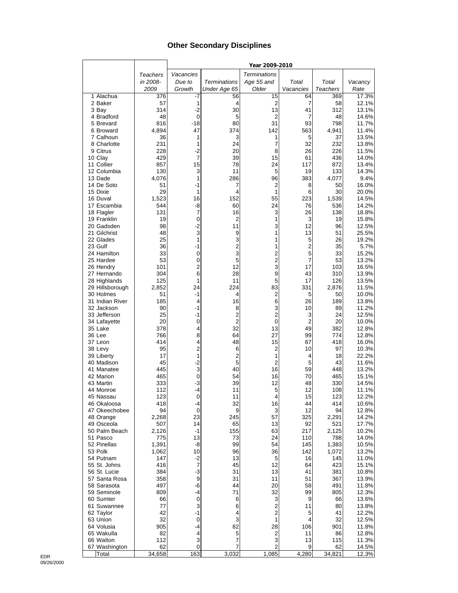#### **Other Secondary Disciplines**

|                                 |                |                  |                         | Year 2009-2010          |                |                 |                |
|---------------------------------|----------------|------------------|-------------------------|-------------------------|----------------|-----------------|----------------|
|                                 | Teachers       | Vacancies        |                         | <b>Terminations</b>     |                |                 |                |
|                                 | in 2008-       | Due to           | <b>Terminations</b>     | Age 55 and              | Total          | Total           | Vacancy        |
|                                 | 2009           | Growth           | Under Age 65            | Older                   | Vacancies      | <b>Teachers</b> | Rate           |
| 1 Alachua                       | 376            | -7               | 56                      | 15                      | 64             | 369             | 17.3%          |
| 2 Baker                         | 57             | 1                | 4                       | 2                       | 7              | 58              | 12.1%          |
| 3 Bay<br>4 Bradford             | 314<br>48      | $-2$<br>0        | 30<br>5                 | 13<br>2                 | 41<br>7        | 312<br>48       | 13.1%<br>14.6% |
| 5 Brevard                       | 816            | $-18$            | 80                      | 31                      | 93             | 798             | 11.7%          |
| 6 Broward                       | 4,894          | 47               | 374                     | 142                     | 563            | 4,941           | 11.4%          |
| 7 Calhoun                       | 36             | 1                | 3                       | 1                       | 5              | 37              | 13.5%          |
| 8 Charlotte                     | 231            | 1                | 24                      | 7                       | 32             | 232             | 13.8%          |
| 9 Citrus                        | 228            | $-2$             | 20                      | 8                       | 26             | 226             | 11.5%          |
| 10 Clay                         | 429            | 7                | 39                      | 15                      | 61             | 436             | 14.0%          |
| 11 Collier                      | 857            | 15               | 78<br>11                | 24                      | 117            | 872             | 13.4%          |
| 12 Columbia<br>13 Dade          | 130<br>4,076   | 3<br>1           | 286                     | 5<br>96                 | 19<br>383      | 133<br>4,077    | 14.3%<br>9.4%  |
| 14 De Soto                      | 51             | $-1$             | 7                       | 2                       | 8              | 50              | 16.0%          |
| 15 Dixie                        | 29             | 1                | 4                       | 1                       | 6              | 30              | 20.0%          |
| 16 Duval                        | 1,523          | 16               | 152                     | 55                      | 223            | 1,539           | 14.5%          |
| 17 Escambia                     | 544            | -8               | 60                      | 24                      | 76             | 536             | 14.2%          |
| 18 Flagler                      | 131            | 7                | 16                      | 3                       | 26             | 138             | 18.8%          |
| 19 Franklin                     | 19             | 0                | 2                       | 1                       | 3              | 19              | 15.8%          |
| 20 Gadsden<br>21 Gilchrist      | 98<br>48       | $-2$<br>3        | 11<br>9                 | 3<br>1                  | 12<br>13       | 96<br>51        | 12.5%<br>25.5% |
| 22 Glades                       | 25             | $\mathbf{1}$     | 3                       | 1                       | 5              | 26              | 19.2%          |
| 23 Gulf                         | 36             | -1               | $\overline{\mathbf{c}}$ | 1                       | $\overline{2}$ | 35              | 5.7%           |
| 24 Hamilton                     | 33             | 0                | 3                       | $\overline{2}$          | 5              | 33              | 15.2%          |
| 25 Hardee                       | 53             | 0                | 5                       | $\overline{\mathbf{c}}$ | 7              | 53              | 13.2%          |
| 26 Hendry                       | 101            | $\overline{c}$   | 12                      | 3                       | 17             | 103             | 16.5%          |
| 27 Hernando                     | 304            | 6                | 28                      | 9                       | 43             | 310             | 13.9%          |
| 28 Highlands<br>29 Hillsborough | 125<br>2,852   | 1<br>24          | 11<br>224               | 5<br>83                 | 17<br>331      | 126<br>2,876    | 13.5%<br>11.5% |
| 30 Holmes                       | 51             | $-1$             | 4                       | $\overline{2}$          | 5              | 50              | 10.0%          |
| 31 Indian River                 | 185            | 4                | 16                      | 6                       | 26             | 189             | 13.8%          |
| 32 Jackson                      | 90             | $-1$             | 8                       | 3                       | 10             | 89              | 11.2%          |
| 33 Jefferson                    | 25             | -1               | 2                       | $\overline{2}$          | 3              | 24              | 12.5%          |
| 34 Lafayette                    | 20             | 0                | $\overline{2}$          | 0                       | $\overline{2}$ | 20              | 10.0%          |
| 35 Lake                         | 378            | 4                | 32                      | 13                      | 49             | 382             | 12.8%          |
| 36 Lee<br>37 Leon               | 766<br>414     | 8<br>4           | 64<br>48                | 27<br>15                | 99<br>67       | 774<br>418      | 12.8%<br>16.0% |
| 38 Levy                         | 95             | $\overline{c}$   | 6                       | 2                       | 10             | 97              | 10.3%          |
| 39 Liberty                      | 17             | 1                | 2                       | 1                       | 4              | 18              | 22.2%          |
| 40 Madison                      | 45             | $-2$             | 5                       | $\overline{2}$          | 5              | 43              | 11.6%          |
| 41 Manatee                      | 445            | 3                | 40                      | 16                      | 59             | 448             | 13.2%          |
| 42 Marion                       | 465            | 0                | 54                      | 16                      | 70             | 465             | 15.1%          |
| 43 Martin<br>44 Monroe          | 333<br>112     | $-3$<br>$-4$     | 39<br>11                | 12<br>5                 | 48<br>12       | 330<br>108      | 14.5%<br>11.1% |
| 45 Nassau                       | 123            | 0                | 11                      | 4                       | 15             | 123             | 12.2%          |
| 46 Okaloosa                     | 418            | -4               | 32                      | 16                      | 44             | 414             | 10.6%          |
| 47 Okeechobee                   | 94             | 0                | 9                       | 3                       | 12             | 94              | 12.8%          |
| 48 Orange                       | 2,268          | 23               | 245                     | 57                      | 325            | 2,291           | 14.2%          |
| 49 Osceola                      | 507            | 14               | 65                      | 13                      | 92             | 521             | 17.7%          |
| 50 Palm Beach                   | 2,126          | $-1$             | 155                     | 63                      | 217            | 2,125           | 10.2%          |
| 51 Pasco<br>52 Pinellas         | 775            | 13<br>-8         | 73<br>99                | 24                      | 110<br>145     | 788             | 14.0%          |
| 53 Polk                         | 1,391<br>1,062 | 10               | 96                      | 54<br>36                | 142            | 1,383<br>1,072  | 10.5%<br>13.2% |
| 54 Putnam                       | 147            | $-2$             | 13                      | 5                       | 16             | 145             | 11.0%          |
| 55 St. Johns                    | 416            | 7                | 45                      | 12                      | 64             | 423             | 15.1%          |
| 56 St. Lucie                    | 384            | $-3$             | 31                      | 13                      | 41             | 381             | 10.8%          |
| 57 Santa Rosa                   | 358            | $\boldsymbol{9}$ | 31                      | 11                      | 51             | 367             | 13.9%          |
| 58 Sarasota                     | 497            | -6               | 44                      | 20                      | 58             | 491             | 11.8%          |
| 59 Seminole                     | 809            | -4               | 71                      | 32                      | 99             | 805             | 12.3%          |
| 60 Sumter<br>61 Suwannee        | 66<br>77       | 0<br>3           | 6<br>6                  | 3<br>2                  | 9<br>11        | 66<br>80        | 13.6%<br>13.8% |
| 62 Taylor                       | 42             | $-1$             | 4                       | 2                       | 5              | 41              | 12.2%          |
| 63 Union                        | 32             | 0                | 3                       | 1                       | 4              | 32              | 12.5%          |
| 64 Volusia                      | 905            | -4               | 82                      | 28                      | 106            | 901             | 11.8%          |
| 65 Wakulla                      | 82             | 4                | 5                       | 2                       | 11             | 86              | 12.8%          |
| 66 Walton                       | 112            | 3                | 7                       | 3                       | 13             | 115             | 11.3%          |
| 67 Washington                   | 62<br>34,658   | 0<br>163         | 7<br>3,032              | 2<br>1,085              | 9<br>4,280     | 62<br>34,821    | 14.5%<br>12.3% |
| Total                           |                |                  |                         |                         |                |                 |                |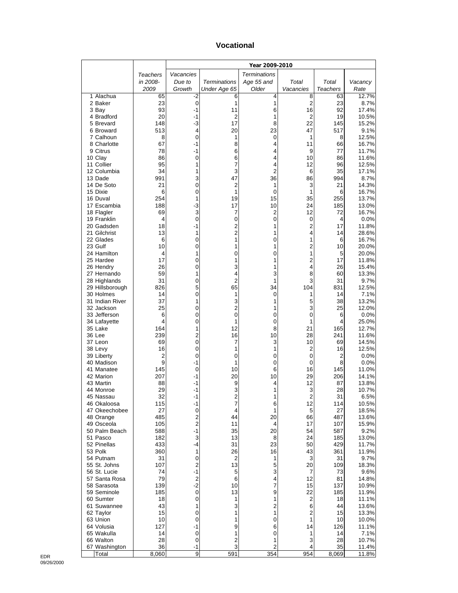#### **Vocational**

|                               |            |                                 |                              | Year 2009-2010      |                |                      |                |
|-------------------------------|------------|---------------------------------|------------------------------|---------------------|----------------|----------------------|----------------|
|                               | Teachers   | Vacancies                       |                              | <b>Terminations</b> |                |                      |                |
|                               | in 2008-   | Due to                          | <b>Terminations</b>          | Age 55 and          | Total          | Total                | Vacancy        |
|                               | 2009       | Growth                          | Under Age 65                 | Older               | Vacancies      | Teachers             | Rate           |
| 1 Alachua<br>2 Baker          | 65<br>23   | -2<br>0                         | 6<br>1                       | 4<br>1              | 8<br>2         | 63<br>23             | 12.7%<br>8.7%  |
| 3 Bay                         | 93         | -1                              | 11                           | 6                   | 16             | 92                   | 17.4%          |
| 4 Bradford                    | 20         | -1                              | $\overline{2}$               | 1                   | 2              | 19                   | 10.5%          |
| 5 Brevard                     | 148        | $-3$                            | 17                           | 8                   | 22             | 145                  | 15.2%          |
| 6 Broward                     | 513        | 4                               | 20                           | 23                  | 47             | 517                  | 9.1%           |
| 7 Calhoun<br>8 Charlotte      | 8<br>67    | 0<br>$-1$                       | 1<br>8                       | 0<br>4              | 1<br>11        | 8<br>66              | 12.5%<br>16.7% |
| 9 Citrus                      | 78         | -1                              | 6                            | 4                   | 9              | 77                   | 11.7%          |
| 10 Clay                       | 86         | 0                               | 6                            | 4                   | 10             | 86                   | 11.6%          |
| 11 Collier                    | 95         | 1                               | 7                            | 4                   | 12             | 96                   | 12.5%          |
| 12 Columbia                   | 34         | 1                               | 3                            | $\overline{2}$      | 6              | 35                   | 17.1%          |
| 13 Dade<br>14 De Soto         | 991<br>21  | 3<br>0                          | 47<br>$\overline{c}$         | 36<br>1             | 86<br>3        | 994<br>21            | 8.7%<br>14.3%  |
| 15 Dixie                      | 6          | 0                               | 1                            | $\mathbf 0$         | 1              | 6                    | 16.7%          |
| 16 Duval                      | 254        | 1                               | 19                           | 15                  | 35             | 255                  | 13.7%          |
| 17 Escambia                   | 188        | -3                              | 17                           | 10                  | 24             | 185                  | 13.0%          |
| 18 Flagler                    | 69         | 3                               | 7                            | 2                   | 12             | 72                   | 16.7%          |
| 19 Franklin                   | 4<br>18    | 0<br>-1                         | 0<br>$\overline{\mathbf{c}}$ | 0<br>1              | 0<br>2         | 4<br>17              | 0.0%<br>11.8%  |
| 20 Gadsden<br>21 Gilchrist    | 13         | 1                               | $\overline{c}$               | 1                   | 4              | 14                   | 28.6%          |
| 22 Glades                     | 6          | 0                               | 1                            | 0                   | 1              | 6                    | 16.7%          |
| 23 Gulf                       | 10         | 0                               | 1                            | 1                   | $\overline{2}$ | 10                   | 20.0%          |
| 24 Hamilton                   | 4          | 1                               | 0                            | 0                   | 1              | 5                    | 20.0%          |
| 25 Hardee                     | 17         | 0                               | 1                            | 1                   | 2              | 17                   | 11.8%          |
| 26 Hendry<br>27 Hernando      | 26<br>59   | 0<br>1                          | 3<br>4                       | 1<br>3              | 4<br>8         | 26<br>60             | 15.4%<br>13.3% |
| 28 Highlands                  | 31         | 0                               | 2                            | 1                   | 3              | 31                   | 9.7%           |
| 29 Hillsborough               | 826        | 5                               | 65                           | 34                  | 104            | 831                  | 12.5%          |
| 30 Holmes                     | 14         | 0                               | 1                            | 0                   | 1              | 14                   | 7.1%           |
| 31 Indian River               | 37         | 1                               | 3                            | 1                   | 5              | 38                   | 13.2%          |
| 32 Jackson<br>33 Jefferson    | 25<br>6    | 0<br>0                          | $\overline{c}$<br>0          | 1<br>0              | 3<br>0         | 25<br>6              | 12.0%<br>0.0%  |
| 34 Lafayette                  | 4          | 0                               | 1                            | 0                   | 1              | 4                    | 25.0%          |
| 35 Lake                       | 164        | 1                               | 12                           | 8                   | 21             | 165                  | 12.7%          |
| 36 Lee                        | 239        | 2                               | 16                           | 10                  | 28             | 241                  | 11.6%          |
| 37 Leon                       | 69         | 0                               | 7                            | 3                   | 10             | 69                   | 14.5%          |
| 38 Levy<br>39 Liberty         | 16<br>2    | 0<br>0                          | 1<br>0                       | 1<br>0              | 2<br>0         | 16<br>$\overline{2}$ | 12.5%<br>0.0%  |
| 40 Madison                    | 9          | -1                              | 1                            | 0                   | 0              | 8                    | 0.0%           |
| 41 Manatee                    | 145        | 0                               | 10                           | 6                   | 16             | 145                  | 11.0%          |
| 42 Marion                     | 207        | $-1$                            | 20                           | 10                  | 29             | 206                  | 14.1%          |
| 43 Martin                     | 88         | -1                              | 9                            | 4                   | 12             | 87                   | 13.8%          |
| 44 Monroe<br>45 Nassau        | 29<br>32   | -1<br>-1                        | 3                            | 1<br>1              | 3<br>2         | 28<br>31             | 10.7%          |
| 46 Okaloosa                   | 115        | -1                              | 2<br>7                       | 6                   | 12             | 114                  | 6.5%<br>10.5%  |
| 47 Okeechobee                 | 27         | $\mathbf 0$                     | 4                            | 1                   | 5              | 27                   | 18.5%          |
| 48 Orange                     | 485        | $\mathbf 2$                     | 44                           | 20                  | 66             | 487                  | 13.6%          |
| 49 Osceola                    | 105        | $\overline{2}$                  | 11                           | 4                   | 17             | 107                  | 15.9%          |
| 50 Palm Beach<br>51 Pasco     | 588<br>182 | -1<br>3                         | 35<br>13                     | 20<br>8             | 54<br>24       | 587<br>185           | 9.2%<br>13.0%  |
| 52 Pinellas                   | 433        | -4                              | 31                           | 23                  | 50             | 429                  | 11.7%          |
| 53 Polk                       | 360        | 1                               | 26                           | 16                  | 43             | 361                  | 11.9%          |
| 54 Putnam                     | 31         | 0                               | $\overline{c}$               | 1                   | 3              | 31                   | 9.7%           |
| 55 St. Johns                  | 107        | $\overline{\mathbf{c}}$         | 13                           | 5                   | 20             | 109                  | 18.3%          |
| 56 St. Lucie<br>57 Santa Rosa | 74<br>79   | $-1$<br>$\overline{\mathbf{c}}$ | 5<br>6                       | 3<br>4              | 7<br>12        | 73<br>81             | 9.6%<br>14.8%  |
| 58 Sarasota                   | 139        | $-2$                            | 10                           | 7                   | 15             | 137                  | 10.9%          |
| 59 Seminole                   | 185        | 0                               | 13                           | 9                   | 22             | 185                  | 11.9%          |
| 60 Sumter                     | 18         | 0                               | 1                            | 1                   | $\overline{c}$ | 18                   | 11.1%          |
| 61 Suwannee                   | 43         | 1                               | 3                            | $\overline{c}$      | 6              | 44                   | 13.6%          |
| 62 Taylor<br>63 Union         | 15<br>10   | 0<br>0                          | 1<br>1                       | 1<br>0              | 2<br>1         | 15<br>10             | 13.3%<br>10.0% |
| 64 Volusia                    | 127        | $-1$                            | 9                            | 6                   | 14             | 126                  | 11.1%          |
| 65 Wakulla                    | 14         | 0                               | 1                            | 0                   | 1              | 14                   | 7.1%           |
| 66 Walton                     | 28         | 0                               | 2                            | 1                   | 3              | 28                   | 10.7%          |
| 67 Washington                 | 36         | -1                              | 3                            | $\overline{c}$      | 4              | 35                   | 11.4%          |
| Total                         | 8,060      | 9                               | 591                          | 354                 | 954            | 8,069                | 11.8%          |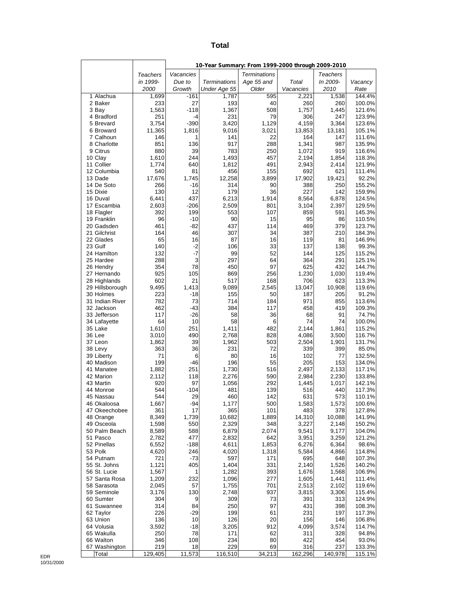#### **Total**

|                              |                |                  | 10-Year Summary: From 1999-2000 through 2009-2010 |                     |                    |                 |                  |
|------------------------------|----------------|------------------|---------------------------------------------------|---------------------|--------------------|-----------------|------------------|
|                              | Teachers       | Vacancies        |                                                   | <b>Terminations</b> |                    | <b>Teachers</b> |                  |
|                              | in 1999-       | Due to           | <b>Terminations</b>                               | Age 55 and          | Total              | In 2009-        | Vacancy          |
| 1 Alachua                    | 2000           | Growth<br>$-161$ | Under Age 55<br>1,787                             | Older<br>595        | Vacancies<br>2,221 | 2010            | Rate<br>144.4%   |
| 2 Baker                      | 1,699<br>233   | 27               | 193                                               | 40                  | 260                | 1,538<br>260    | 100.0%           |
| 3 Bay                        | 1,563          | $-118$           | 1,367                                             | 508                 | 1,757              | 1,445           | 121.6%           |
| 4 Bradford                   | 251            | $-4$             | 231                                               | 79                  | 306                | 247             | 123.9%           |
| 5 Brevard                    | 3,754          | $-390$           | 3,420                                             | 1,129               | 4,159              | 3,364           | 123.6%           |
| 6 Broward<br>7 Calhoun       | 11,365<br>146  | 1,816<br>1       | 9,016<br>141                                      | 3,021<br>22         | 13,853<br>164      | 13,181<br>147   | 105.1%<br>111.6% |
| 8 Charlotte                  | 851            | 136              | 917                                               | 288                 | 1,341              | 987             | 135.9%           |
| 9 Citrus                     | 880            | 39               | 783                                               | 250                 | 1,072              | 919             | 116.6%           |
| 10 Clay                      | 1,610          | 244              | 1,493                                             | 457                 | 2,194              | 1,854           | 118.3%           |
| 11 Collier                   | 1,774          | 640              | 1,812                                             | 491                 | 2,943              | 2.414           | 121.9%           |
| 12 Columbia<br>13 Dade       | 540<br>17,676  | 81<br>1,745      | 456<br>12,258                                     | 155<br>3,899        | 692<br>17,902      | 621<br>19,421   | 111.4%<br>92.2%  |
| 14 De Soto                   | 266            | -16              | 314                                               | 90                  | 388                | 250             | 155.2%           |
| 15 Dixie                     | 130            | 12               | 179                                               | 36                  | 227                | 142             | 159.9%           |
| 16 Duval                     | 6,441          | 437              | 6,213                                             | 1,914               | 8,564              | 6,878           | 124.5%           |
| 17 Escambia<br>18 Flagler    | 2,603<br>392   | $-206$<br>199    | 2,509<br>553                                      | 801<br>107          | 3,104<br>859       | 2,397<br>591    | 129.5%<br>145.3% |
| 19 Franklin                  | 96             | $-10$            | 90                                                | 15                  | 95                 | 86              | 110.5%           |
| 20 Gadsden                   | 461            | -82              | 437                                               | 114                 | 469                | 379             | 123.7%           |
| 21 Gilchrist                 | 164            | 46               | 307                                               | 34                  | 387                | 210             | 184.3%           |
| 22 Glades                    | 65             | 16               | 87                                                | 16                  | 119                | 81              | 146.9%           |
| 23 Gulf<br>24 Hamilton       | 140<br>132     | $-2$<br>$-7$     | 106<br>99                                         | 33<br>52            | 137<br>144         | 138<br>125      | 99.3%<br>115.2%  |
| 25 Hardee                    | 288            | 3                | 297                                               | 64                  | 364                | 291             | 125.1%           |
| 26 Hendry                    | 354            | 78               | 450                                               | 97                  | 625                | 432             | 144.7%           |
| 27 Hernando                  | 925            | 105              | 869                                               | 256                 | 1,230              | 1,030           | 119.4%           |
| 28 Highlands                 | 602<br>9,495   | 21<br>1,413      | 517<br>9,089                                      | 168                 | 706                | 623<br>10,908   | 113.3%<br>119.6% |
| 29 Hillsborough<br>30 Holmes | 223            | $-18$            | 155                                               | 2,545<br>50         | 13,047<br>187      | 205             | 91.2%            |
| 31 Indian River              | 782            | 73               | 714                                               | 184                 | 971                | 855             | 113.6%           |
| 32 Jackson                   | 462            | $-43$            | 384                                               | 117                 | 458                | 419             | 109.3%           |
| 33 Jefferson                 | 117            | $-26$            | 58                                                | 36                  | 68                 | 91              | 74.7%            |
| 34 Lafayette<br>35 Lake      | 64<br>1,610    | 10<br>251        | 58<br>1,411                                       | 6<br>482            | 74<br>2,144        | 74<br>1,861     | 100.0%<br>115.2% |
| 36 Lee                       | 3,010          | 490              | 2,768                                             | 828                 | 4,086              | 3,500           | 116.7%           |
| 37 Leon                      | 1,862          | 39               | 1,962                                             | 503                 | 2,504              | 1,901           | 131.7%           |
| 38 Levy                      | 363            | 36               | 231                                               | 72                  | 339                | 399             | 85.0%            |
| 39 Liberty                   | 71             | 6                | 80                                                | 16                  | 102                | 77              | 132.5%           |
| 40 Madison<br>41 Manatee     | 199<br>1,882   | $-46$<br>251     | 196<br>1,730                                      | 55<br>516           | 205<br>2,497       | 153<br>2,133    | 134.0%<br>117.1% |
| 42 Marion                    | 2,112          | 118              | 2,276                                             | 590                 | 2,984              | 2,230           | 133.8%           |
| 43 Martin                    | 920            | 97               | 1,056                                             | 292                 | 1,445              | 1,017           | 142.1%           |
| 44 Monroe                    | 544            | $-104$           | 481                                               | 139                 | 516                | 440             | 117.3%           |
| 45 Nassau                    | 544            | 29               | 460                                               | 142                 | 631                | 573             | 110.1%           |
| 46 Okaloosa<br>47 Okeechobee | 1,667<br>361   | -94<br>17        | 1,177<br>365                                      | 500<br>101          | 1,583<br>483       | 1,573<br>378    | 100.6%<br>127.8% |
| 48 Orange                    | 8,349          | 1,739            | 10,682                                            | 1,889               | 14,310             | 10,088          | 141.9%           |
| 49 Osceola                   | 1,598          | 550              | 2,329                                             | 348                 | 3,227              | 2,148           | 150.2%           |
| 50 Palm Beach                | 8,589          | 588              | 6,879                                             | 2,074               | 9,541              | 9,177           | 104.0%           |
| 51 Pasco<br>52 Pinellas      | 2,782          | 477              | 2,832                                             | 642                 | 3,951              | 3,259           | 121.2%           |
| 53 Polk                      | 6,552<br>4,620 | $-188$<br>246    | 4,611<br>4,020                                    | 1,853<br>1,318      | 6,276<br>5,584     | 6,364<br>4,866  | 98.6%<br>114.8%  |
| 54 Putnam                    | 721            | $-73$            | 597                                               | 171                 | 695                | 648             | 107.3%           |
| 55 St. Johns                 | 1,121          | 405              | 1,404                                             | 331                 | 2,140              | 1,526           | 140.2%           |
| 56 St. Lucie                 | 1,567          | 1                | 1,282                                             | 393                 | 1,676              | 1,568           | 106.9%           |
| 57 Santa Rosa<br>58 Sarasota | 1,209<br>2,045 | 232<br>57        | 1,096<br>1,755                                    | 277<br>701          | 1,605<br>2,513     | 1,441<br>2,102  | 111.4%<br>119.6% |
| 59 Seminole                  | 3,176          | 130              | 2,748                                             | 937                 | 3,815              | 3,306           | 115.4%           |
| 60 Sumter                    | 304            | 9                | 309                                               | 73                  | 391                | 313             | 124.9%           |
| 61 Suwannee                  | 314            | 84               | 250                                               | 97                  | 431                | 398             | 108.3%           |
| 62 Taylor                    | 226            | -29              | 199                                               | 61                  | 231                | 197             | 117.3%           |
| 63 Union                     | 136<br>3,592   | 10               | 126                                               | 20<br>912           | 156<br>4,099       | 146             | 106.8%           |
| 64 Volusia<br>65 Wakulla     | 250            | -18<br>78        | 3,205<br>171                                      | 62                  | 311                | 3,574<br>328    | 114.7%<br>94.8%  |
| 66 Walton                    | 346            | 108              | 234                                               | 80                  | 422                | 454             | 93.0%            |
| 67 Washington                | 219            | 18               | 229                                               | 69                  | 316                | 237             | 133.3%           |
| Total                        | 129,405        | 11,573           | 116,510                                           | 34,213              | 162,296            | 140,978         | 115.1%           |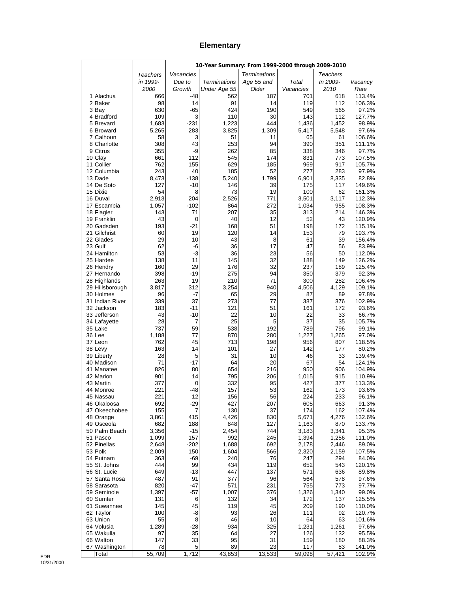#### **Elementary**

|                             |                |               | 10-Year Summary: From 1999-2000 through 2009-2010 |                     |                |                 |                  |
|-----------------------------|----------------|---------------|---------------------------------------------------|---------------------|----------------|-----------------|------------------|
|                             | Teachers       | Vacancies     |                                                   | <b>Terminations</b> |                | <b>Teachers</b> |                  |
|                             | in 1999-       | Due to        | <b>Terminations</b>                               | Age 55 and          | Total          | In 2009-        | Vacancy          |
|                             | 2000           | Growth        | Under Age 55                                      | Older               | Vacancies      | 2010            | Rate             |
| 1 Alachua                   | 666            | -48           | 562                                               | 187                 | 701            | 618             | 113.4%           |
| 2 Baker                     | 98             | 14            | 91                                                | 14                  | 119            | 112             | 106.3%           |
| 3 Bay<br>4 Bradford         | 630<br>109     | $-65$<br>3    | 424<br>110                                        | 190<br>30           | 549<br>143     | 565<br>112      | 97.2%<br>127.7%  |
| 5 Brevard                   | 1,683          | $-231$        | 1,223                                             | 444                 | 1,436          | 1,452           | 98.9%            |
| 6 Broward                   | 5,265          | 283           | 3,825                                             | 1,309               | 5,417          | 5,548           | 97.6%            |
| 7 Calhoun                   | 58             | 3             | 51                                                | 11                  | 65             | 61              | 106.6%           |
| 8 Charlotte                 | 308            | 43            | 253                                               | 94                  | 390            | 351             | 111.1%           |
| 9 Citrus                    | 355            | -9            | 262                                               | 85                  | 338            | 346             | 97.7%            |
| 10 Clay                     | 661            | 112           | 545                                               | 174                 | 831            | 773             | 107.5%           |
| 11 Collier<br>12 Columbia   | 762<br>243     | 155<br>40     | 629<br>185                                        | 185<br>52           | 969<br>277     | 917<br>283      | 105.7%<br>97.9%  |
| 13 Dade                     | 8,473          | $-138$        | 5,240                                             | 1,799               | 6,901          | 8,335           | 82.8%            |
| 14 De Soto                  | 127            | $-10$         | 146                                               | 39                  | 175            | 117             | 149.6%           |
| 15 Dixie                    | 54             | 8             | 73                                                | 19                  | 100            | 62              | 161.3%           |
| 16 Duval                    | 2,913          | 204           | 2,526                                             | 771                 | 3,501          | 3,117           | 112.3%           |
| 17 Escambia                 | 1,057          | $-102$        | 864                                               | 272                 | 1,034          | 955             | 108.3%           |
| 18 Flagler                  | 143            | 71            | 207                                               | 35                  | 313            | 214             | 146.3%           |
| 19 Franklin<br>20 Gadsden   | 43<br>193      | 0<br>-21      | 40<br>168                                         | 12<br>51            | 52<br>198      | 43<br>172       | 120.9%<br>115.1% |
| 21 Gilchrist                | 60             | 19            | 120                                               | 14                  | 153            | 79              | 193.7%           |
| 22 Glades                   | 29             | 10            | 43                                                | 8                   | 61             | 39              | 156.4%           |
| 23 Gulf                     | 62             | -6            | 36                                                | 17                  | 47             | 56              | 83.9%            |
| 24 Hamilton                 | 53             | $-3$          | 36                                                | 23                  | 56             | 50              | 112.0%           |
| 25 Hardee                   | 138            | 11            | 145                                               | 32                  | 188            | 149             | 126.2%           |
| 26 Hendry                   | 160            | 29            | 176                                               | 32                  | 237            | 189             | 125.4%           |
| 27 Hernando<br>28 Highlands | 398<br>263     | $-19$<br>19   | 275<br>210                                        | 94<br>71            | 350<br>300     | 379<br>282      | 92.3%<br>106.4%  |
| 29 Hillsborough             | 3,817          | 312           | 3,254                                             | 940                 | 4,506          | 4,129           | 109.1%           |
| 30 Holmes                   | 96             | -7            | 65                                                | 29                  | 87             | 89              | 97.8%            |
| 31 Indian River             | 339            | 37            | 273                                               | 77                  | 387            | 376             | 102.9%           |
| 32 Jackson                  | 183            | -11           | 121                                               | 51                  | 161            | 172             | 93.6%            |
| 33 Jefferson                | 43             | $-10$         | 22                                                | 10                  | 22             | 33              | 66.7%            |
| 34 Lafayette                | 28             | 7             | 25                                                | 5                   | 37             | 35              | 105.7%           |
| 35 Lake<br>36 Lee           | 737            | 59            | 538                                               | 192                 | 789            | 796             | 99.1%            |
| 37 Leon                     | 1,188<br>762   | 77<br>45      | 870<br>713                                        | 280<br>198          | 1,227<br>956   | 1,265<br>807    | 97.0%<br>118.5%  |
| 38 Levy                     | 163            | 14            | 101                                               | 27                  | 142            | 177             | 80.2%            |
| 39 Liberty                  | 28             | 5             | 31                                                | 10                  | 46             | 33              | 139.4%           |
| 40 Madison                  | 71             | -17           | 64                                                | 20                  | 67             | 54              | 124.1%           |
| 41 Manatee                  | 826            | 80            | 654                                               | 216                 | 950            | 906             | 104.9%           |
| 42 Marion                   | 901            | 14            | 795                                               | 206                 | 1,015          | 915             | 110.9%           |
| 43 Martin<br>44 Monroe      | 377<br>221     | 0<br>-48      | 332                                               | 95<br>53            | 427<br>162     | 377<br>173      | 113.3%           |
| 45 Nassau                   | 221            | 12            | 157<br>156                                        | 56                  | 224            | 233             | 93.6%<br>96.1%   |
| 46 Okaloosa                 | 692            | -29           | 427                                               | 207                 | 605            | 663             | 91.3%            |
| 47 Okeechobee               | 155            | 7             | 130                                               | 37                  | 174            | 162             | 107.4%           |
| 48 Orange                   | 3,861          | 415           | 4,426                                             | 830                 | 5,671          | 4,276           | 132.6%           |
| 49 Osceola                  | 682            | 188           | 848                                               | 127                 | 1,163          | 870             | 133.7%           |
| 50 Palm Beach               | 3,356          | -15           | 2,454                                             | 744                 | 3,183          | 3,341           | 95.3%            |
| 51 Pasco                    | 1,099          | 157           | 992                                               | 245                 | 1,394          | 1,256           | 111.0%           |
| 52 Pinellas<br>53 Polk      | 2,648<br>2,009 | $-202$<br>150 | 1,688<br>1,604                                    | 692<br>566          | 2,178<br>2,320 | 2,446<br>2,159  | 89.0%<br>107.5%  |
| 54 Putnam                   | 363            | -69           | 240                                               | 76                  | 247            | 294             | 84.0%            |
| 55 St. Johns                | 444            | 99            | 434                                               | 119                 | 652            | 543             | 120.1%           |
| 56 St. Lucie                | 649            | -13           | 447                                               | 137                 | 571            | 636             | 89.8%            |
| 57 Santa Rosa               | 487            | 91            | 377                                               | 96                  | 564            | 578             | 97.6%            |
| 58 Sarasota                 | 820            | -47           | 571                                               | 231                 | 755            | 773             | 97.7%            |
| 59 Seminole                 | 1,397          | -57           | 1,007                                             | 376                 | 1,326          | 1,340           | 99.0%            |
| 60 Sumter                   | 131            | 6             | 132                                               | 34                  | 172            | 137             | 125.5%           |
| 61 Suwannee<br>62 Taylor    | 145<br>100     | 45<br>-8      | 119<br>93                                         | 45<br>26            | 209<br>111     | 190<br>92       | 110.0%<br>120.7% |
| 63 Union                    | 55             | 8             | 46                                                | 10                  | 64             | 63              | 101.6%           |
| 64 Volusia                  | 1,289          | -28           | 934                                               | 325                 | 1,231          | 1,261           | 97.6%            |
| 65 Wakulla                  | 97             | 35            | 64                                                | 27                  | 126            | 132             | 95.5%            |
| 66 Walton                   | 147            | 33            | 95                                                | 31                  | 159            | 180             | 88.3%            |
| 67 Washington               | 78             | 5             | 89                                                | 23                  | 117            | 83              | 141.0%           |
| Total                       | 55,709         | 1,712         | 43,853                                            | 13,533              | 59,098         | 57,421          | 102.9%           |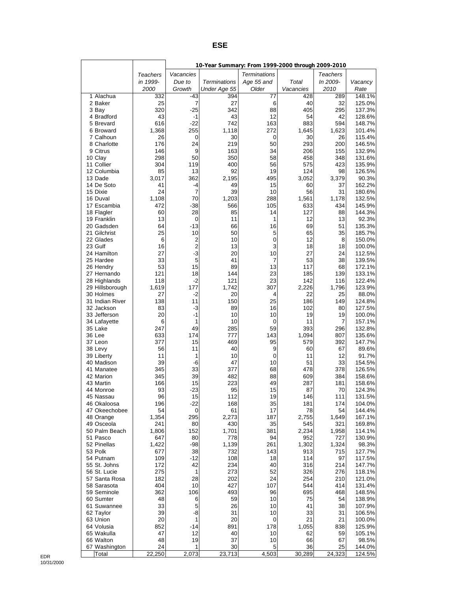#### **ESE**

| Vacancies<br><b>Terminations</b><br><b>Teachers</b><br>Teachers<br>in 1999-<br><b>Terminations</b><br>Age 55 and<br>Total<br>In 2009-<br>Due to<br>Vacancy<br>Growth<br>Older<br>2010<br>2000<br>Under Age 55<br>Vacancies<br>Rate<br>1 Alachua<br>-43<br>332<br>394<br>77<br>428<br>289<br>148.1%<br>7<br>27<br>40<br>32<br>2 Baker<br>25<br>6<br>125.0%<br>320<br>$-25$<br>342<br>88<br>405<br>295<br>137.3%<br>3 Bay<br>43<br>$-1$<br>43<br>12<br>54<br>42<br>4 Bradford<br>128.6%<br>616<br>163<br>5 Brevard<br>$-22$<br>742<br>883<br>594<br>148.7%<br>1,368<br>272<br>6 Broward<br>255<br>1,118<br>1,645<br>1,623<br>101.4%<br>7 Calhoun<br>26<br>0<br>30<br>0<br>30<br>26<br>115.4%<br>8 Charlotte<br>176<br>24<br>219<br>50<br>293<br>200<br>146.5%<br>9 Citrus<br>9<br>163<br>34<br>146<br>206<br>155<br>132.9%<br>298<br>350<br>58<br>458<br>10 Clay<br>50<br>348<br>131.6%<br>11 Collier<br>304<br>119<br>400<br>56<br>423<br>575<br>135.9%<br>12 Columbia<br>85<br>13<br>92<br>19<br>124<br>98<br>126.5%<br>362<br>2,195<br>495<br>13 Dade<br>3,017<br>3,052<br>3,379<br>90.3%<br>14 De Soto<br>41<br>49<br>15<br>162.2%<br>-4<br>60<br>37<br>24<br>15 Dixie<br>7<br>39<br>10<br>56<br>31<br>180.6%<br>1,108<br>70<br>1,203<br>288<br>1,178<br>132.5%<br>16 Duval<br>1,561<br>472<br>$-38$<br>566<br>105<br>633<br>145.9%<br>17 Escambia<br>434<br>60<br>28<br>85<br>144.3%<br>18 Flagler<br>14<br>127<br>88<br>13<br>92.3%<br>19 Franklin<br>0<br>11<br>1<br>12<br>13<br>64<br>$-13$<br>16<br>20 Gadsden<br>66<br>69<br>51<br>135.3%<br>21 Gilchrist<br>25<br>10<br>50<br>5<br>65<br>35<br>185.7%<br>22 Glades<br>$\overline{c}$<br>10<br>$\mathbf 0$<br>12<br>6<br>8<br>150.0%<br>$\overline{2}$<br>3<br>23 Gulf<br>16<br>18<br>18<br>13<br>100.0%<br>$-3$<br>10<br>24 Hamilton<br>27<br>20<br>27<br>24<br>112.5%<br>33<br>5<br>41<br>7<br>53<br>38<br>25 Hardee<br>139.5%<br>53<br>15<br>89<br>13<br>117<br>68<br>26 Hendry<br>172.1%<br>121<br>18<br>23<br>185<br>139<br>27 Hernando<br>144<br>133.1%<br>118<br>$-2$<br>121<br>23<br>142<br>28 Highlands<br>116<br>122.4%<br>307<br>2,226<br>29 Hillsborough<br>1,619<br>177<br>1,742<br>1,796<br>123.9%<br>30 Holmes<br>27<br>-2<br>20<br>4<br>22<br>25<br>88.0%<br>31 Indian River<br>138<br>11<br>150<br>25<br>186<br>149<br>124.8%<br>32 Jackson<br>83<br>-3<br>89<br>16<br>102<br>80<br>127.5%<br>20<br>$-1$<br>10<br>19<br>19<br>33 Jefferson<br>10<br>100.0%<br>6<br>1<br>10<br>0<br>11<br>7<br>157.1%<br>34 Lafayette<br>247<br>49<br>285<br>59<br>393<br>132.8%<br>35 Lake<br>296<br>36 Lee<br>633<br>777<br>143<br>1,094<br>135.6%<br>174<br>807<br>377<br>15<br>469<br>95<br>579<br>392<br>37 Leon<br>147.7%<br>56<br>11<br>9<br>38 Levy<br>40<br>60<br>67<br>89.6%<br>11<br>12<br>10<br>0<br>11<br>91.7%<br>39 Liberty<br>1<br>39<br>-6<br>10<br>51<br>33<br>40 Madison<br>47<br>154.5%<br>345<br>33<br>68<br>478<br>378<br>126.5%<br>41 Manatee<br>377<br>345<br>39<br>482<br>609<br>42 Marion<br>88<br>384<br>158.6%<br>166<br>15<br>49<br>287<br>43 Martin<br>223<br>181<br>158.6%<br>93<br>44 Monroe<br>$-23$<br>95<br>15<br>87<br>70<br>124.3%<br>96<br>112<br>146<br>111<br>15<br>19<br>131.5%<br>45 Nassau<br>196<br>-22<br>168<br>35<br>181<br>174<br>104.0%<br>46 Okaloosa<br>54<br>17<br>47 Okeechobee<br>0<br>61<br>78<br>54<br>144.4%<br>1,354<br>295<br>48 Orange<br>2,273<br>187<br>2,755<br>1,649<br>167.1%<br>241<br>35<br>49 Osceola<br>80<br>430<br>545<br>321<br>169.8%<br>1,806<br>50 Palm Beach<br>152<br>1,701<br>381<br>2,234<br>1,958<br>114.1%<br>51 Pasco<br>647<br>80<br>778<br>94<br>952<br>727<br>130.9%<br>1,422<br>$-98$<br>1,139<br>261<br>52 Pinellas<br>1,302<br>1,324<br>98.3%<br>53 Polk<br>677<br>38<br>732<br>143<br>913<br>715<br>127.7%<br>109<br>-12<br>108<br>18<br>114<br>97<br>54 Putnam<br>117.5%<br>55 St. Johns<br>172<br>42<br>234<br>40<br>316<br>214<br>147.7%<br>56 St. Lucie<br>275<br>273<br>52<br>326<br>276<br>118.1%<br>1<br>57 Santa Rosa<br>182<br>28<br>202<br>24<br>254<br>210<br>121.0%<br>404<br>58 Sarasota<br>10<br>427<br>107<br>544<br>414<br>131.4%<br>362<br>59 Seminole<br>106<br>493<br>96<br>695<br>468<br>148.5%<br>60 Sumter<br>48<br>6<br>59<br>10<br>75<br>54<br>138.9%<br>33<br>5<br>41<br>38<br>61 Suwannee<br>26<br>10<br>107.9%<br>39<br>-8<br>33<br>62 Taylor<br>31<br>10<br>31<br>106.5%<br>20<br>1<br>20<br>21<br>63 Union<br>0<br>21<br>100.0%<br>852<br>64 Volusia<br>891<br>178<br>1,055<br>838<br>125.9%<br>-14<br>47<br>12<br>65 Wakulla<br>40<br>105.1%<br>10<br>62<br>59<br>48<br>19<br>66 Walton<br>37<br>10<br>98.5%<br>66<br>67<br>24<br>5<br>67 Washington<br>1<br>30<br>36<br>25<br>144.0%<br>22,250<br>23,713<br>4,503<br>30,289<br>24,323<br>2,073<br>124.5%<br>Total |  | 10-Year Summary: From 1999-2000 through 2009-2010 |  |  |
|---------------------------------------------------------------------------------------------------------------------------------------------------------------------------------------------------------------------------------------------------------------------------------------------------------------------------------------------------------------------------------------------------------------------------------------------------------------------------------------------------------------------------------------------------------------------------------------------------------------------------------------------------------------------------------------------------------------------------------------------------------------------------------------------------------------------------------------------------------------------------------------------------------------------------------------------------------------------------------------------------------------------------------------------------------------------------------------------------------------------------------------------------------------------------------------------------------------------------------------------------------------------------------------------------------------------------------------------------------------------------------------------------------------------------------------------------------------------------------------------------------------------------------------------------------------------------------------------------------------------------------------------------------------------------------------------------------------------------------------------------------------------------------------------------------------------------------------------------------------------------------------------------------------------------------------------------------------------------------------------------------------------------------------------------------------------------------------------------------------------------------------------------------------------------------------------------------------------------------------------------------------------------------------------------------------------------------------------------------------------------------------------------------------------------------------------------------------------------------------------------------------------------------------------------------------------------------------------------------------------------------------------------------------------------------------------------------------------------------------------------------------------------------------------------------------------------------------------------------------------------------------------------------------------------------------------------------------------------------------------------------------------------------------------------------------------------------------------------------------------------------------------------------------------------------------------------------------------------------------------------------------------------------------------------------------------------------------------------------------------------------------------------------------------------------------------------------------------------------------------------------------------------------------------------------------------------------------------------------------------------------------------------------------------------------------------------------------------------------------------------------------------------------------------------------------------------------------------------------------------------------------------------------------------------------------------------------------------------------------------------------------------------------------------------------------------------------------------------------------------------------------------------------------------------------------------------------------------------------------------------------------------------------------------------------------------------------------------------------------------------------------------------------------------------------------------------------------------------------------------------------------------------------------------------------------------------------------------------------------------------------------------------------------------------------------------------------------------------------------------------|--|---------------------------------------------------|--|--|
|                                                                                                                                                                                                                                                                                                                                                                                                                                                                                                                                                                                                                                                                                                                                                                                                                                                                                                                                                                                                                                                                                                                                                                                                                                                                                                                                                                                                                                                                                                                                                                                                                                                                                                                                                                                                                                                                                                                                                                                                                                                                                                                                                                                                                                                                                                                                                                                                                                                                                                                                                                                                                                                                                                                                                                                                                                                                                                                                                                                                                                                                                                                                                                                                                                                                                                                                                                                                                                                                                                                                                                                                                                                                                                                                                                                                                                                                                                                                                                                                                                                                                                                                                                                                                                                                                                                                                                                                                                                                                                                                                                                                                                                                                                                                                   |  |                                                   |  |  |
|                                                                                                                                                                                                                                                                                                                                                                                                                                                                                                                                                                                                                                                                                                                                                                                                                                                                                                                                                                                                                                                                                                                                                                                                                                                                                                                                                                                                                                                                                                                                                                                                                                                                                                                                                                                                                                                                                                                                                                                                                                                                                                                                                                                                                                                                                                                                                                                                                                                                                                                                                                                                                                                                                                                                                                                                                                                                                                                                                                                                                                                                                                                                                                                                                                                                                                                                                                                                                                                                                                                                                                                                                                                                                                                                                                                                                                                                                                                                                                                                                                                                                                                                                                                                                                                                                                                                                                                                                                                                                                                                                                                                                                                                                                                                                   |  |                                                   |  |  |
|                                                                                                                                                                                                                                                                                                                                                                                                                                                                                                                                                                                                                                                                                                                                                                                                                                                                                                                                                                                                                                                                                                                                                                                                                                                                                                                                                                                                                                                                                                                                                                                                                                                                                                                                                                                                                                                                                                                                                                                                                                                                                                                                                                                                                                                                                                                                                                                                                                                                                                                                                                                                                                                                                                                                                                                                                                                                                                                                                                                                                                                                                                                                                                                                                                                                                                                                                                                                                                                                                                                                                                                                                                                                                                                                                                                                                                                                                                                                                                                                                                                                                                                                                                                                                                                                                                                                                                                                                                                                                                                                                                                                                                                                                                                                                   |  |                                                   |  |  |
|                                                                                                                                                                                                                                                                                                                                                                                                                                                                                                                                                                                                                                                                                                                                                                                                                                                                                                                                                                                                                                                                                                                                                                                                                                                                                                                                                                                                                                                                                                                                                                                                                                                                                                                                                                                                                                                                                                                                                                                                                                                                                                                                                                                                                                                                                                                                                                                                                                                                                                                                                                                                                                                                                                                                                                                                                                                                                                                                                                                                                                                                                                                                                                                                                                                                                                                                                                                                                                                                                                                                                                                                                                                                                                                                                                                                                                                                                                                                                                                                                                                                                                                                                                                                                                                                                                                                                                                                                                                                                                                                                                                                                                                                                                                                                   |  |                                                   |  |  |
|                                                                                                                                                                                                                                                                                                                                                                                                                                                                                                                                                                                                                                                                                                                                                                                                                                                                                                                                                                                                                                                                                                                                                                                                                                                                                                                                                                                                                                                                                                                                                                                                                                                                                                                                                                                                                                                                                                                                                                                                                                                                                                                                                                                                                                                                                                                                                                                                                                                                                                                                                                                                                                                                                                                                                                                                                                                                                                                                                                                                                                                                                                                                                                                                                                                                                                                                                                                                                                                                                                                                                                                                                                                                                                                                                                                                                                                                                                                                                                                                                                                                                                                                                                                                                                                                                                                                                                                                                                                                                                                                                                                                                                                                                                                                                   |  |                                                   |  |  |
|                                                                                                                                                                                                                                                                                                                                                                                                                                                                                                                                                                                                                                                                                                                                                                                                                                                                                                                                                                                                                                                                                                                                                                                                                                                                                                                                                                                                                                                                                                                                                                                                                                                                                                                                                                                                                                                                                                                                                                                                                                                                                                                                                                                                                                                                                                                                                                                                                                                                                                                                                                                                                                                                                                                                                                                                                                                                                                                                                                                                                                                                                                                                                                                                                                                                                                                                                                                                                                                                                                                                                                                                                                                                                                                                                                                                                                                                                                                                                                                                                                                                                                                                                                                                                                                                                                                                                                                                                                                                                                                                                                                                                                                                                                                                                   |  |                                                   |  |  |
|                                                                                                                                                                                                                                                                                                                                                                                                                                                                                                                                                                                                                                                                                                                                                                                                                                                                                                                                                                                                                                                                                                                                                                                                                                                                                                                                                                                                                                                                                                                                                                                                                                                                                                                                                                                                                                                                                                                                                                                                                                                                                                                                                                                                                                                                                                                                                                                                                                                                                                                                                                                                                                                                                                                                                                                                                                                                                                                                                                                                                                                                                                                                                                                                                                                                                                                                                                                                                                                                                                                                                                                                                                                                                                                                                                                                                                                                                                                                                                                                                                                                                                                                                                                                                                                                                                                                                                                                                                                                                                                                                                                                                                                                                                                                                   |  |                                                   |  |  |
|                                                                                                                                                                                                                                                                                                                                                                                                                                                                                                                                                                                                                                                                                                                                                                                                                                                                                                                                                                                                                                                                                                                                                                                                                                                                                                                                                                                                                                                                                                                                                                                                                                                                                                                                                                                                                                                                                                                                                                                                                                                                                                                                                                                                                                                                                                                                                                                                                                                                                                                                                                                                                                                                                                                                                                                                                                                                                                                                                                                                                                                                                                                                                                                                                                                                                                                                                                                                                                                                                                                                                                                                                                                                                                                                                                                                                                                                                                                                                                                                                                                                                                                                                                                                                                                                                                                                                                                                                                                                                                                                                                                                                                                                                                                                                   |  |                                                   |  |  |
|                                                                                                                                                                                                                                                                                                                                                                                                                                                                                                                                                                                                                                                                                                                                                                                                                                                                                                                                                                                                                                                                                                                                                                                                                                                                                                                                                                                                                                                                                                                                                                                                                                                                                                                                                                                                                                                                                                                                                                                                                                                                                                                                                                                                                                                                                                                                                                                                                                                                                                                                                                                                                                                                                                                                                                                                                                                                                                                                                                                                                                                                                                                                                                                                                                                                                                                                                                                                                                                                                                                                                                                                                                                                                                                                                                                                                                                                                                                                                                                                                                                                                                                                                                                                                                                                                                                                                                                                                                                                                                                                                                                                                                                                                                                                                   |  |                                                   |  |  |
|                                                                                                                                                                                                                                                                                                                                                                                                                                                                                                                                                                                                                                                                                                                                                                                                                                                                                                                                                                                                                                                                                                                                                                                                                                                                                                                                                                                                                                                                                                                                                                                                                                                                                                                                                                                                                                                                                                                                                                                                                                                                                                                                                                                                                                                                                                                                                                                                                                                                                                                                                                                                                                                                                                                                                                                                                                                                                                                                                                                                                                                                                                                                                                                                                                                                                                                                                                                                                                                                                                                                                                                                                                                                                                                                                                                                                                                                                                                                                                                                                                                                                                                                                                                                                                                                                                                                                                                                                                                                                                                                                                                                                                                                                                                                                   |  |                                                   |  |  |
|                                                                                                                                                                                                                                                                                                                                                                                                                                                                                                                                                                                                                                                                                                                                                                                                                                                                                                                                                                                                                                                                                                                                                                                                                                                                                                                                                                                                                                                                                                                                                                                                                                                                                                                                                                                                                                                                                                                                                                                                                                                                                                                                                                                                                                                                                                                                                                                                                                                                                                                                                                                                                                                                                                                                                                                                                                                                                                                                                                                                                                                                                                                                                                                                                                                                                                                                                                                                                                                                                                                                                                                                                                                                                                                                                                                                                                                                                                                                                                                                                                                                                                                                                                                                                                                                                                                                                                                                                                                                                                                                                                                                                                                                                                                                                   |  |                                                   |  |  |
|                                                                                                                                                                                                                                                                                                                                                                                                                                                                                                                                                                                                                                                                                                                                                                                                                                                                                                                                                                                                                                                                                                                                                                                                                                                                                                                                                                                                                                                                                                                                                                                                                                                                                                                                                                                                                                                                                                                                                                                                                                                                                                                                                                                                                                                                                                                                                                                                                                                                                                                                                                                                                                                                                                                                                                                                                                                                                                                                                                                                                                                                                                                                                                                                                                                                                                                                                                                                                                                                                                                                                                                                                                                                                                                                                                                                                                                                                                                                                                                                                                                                                                                                                                                                                                                                                                                                                                                                                                                                                                                                                                                                                                                                                                                                                   |  |                                                   |  |  |
|                                                                                                                                                                                                                                                                                                                                                                                                                                                                                                                                                                                                                                                                                                                                                                                                                                                                                                                                                                                                                                                                                                                                                                                                                                                                                                                                                                                                                                                                                                                                                                                                                                                                                                                                                                                                                                                                                                                                                                                                                                                                                                                                                                                                                                                                                                                                                                                                                                                                                                                                                                                                                                                                                                                                                                                                                                                                                                                                                                                                                                                                                                                                                                                                                                                                                                                                                                                                                                                                                                                                                                                                                                                                                                                                                                                                                                                                                                                                                                                                                                                                                                                                                                                                                                                                                                                                                                                                                                                                                                                                                                                                                                                                                                                                                   |  |                                                   |  |  |
|                                                                                                                                                                                                                                                                                                                                                                                                                                                                                                                                                                                                                                                                                                                                                                                                                                                                                                                                                                                                                                                                                                                                                                                                                                                                                                                                                                                                                                                                                                                                                                                                                                                                                                                                                                                                                                                                                                                                                                                                                                                                                                                                                                                                                                                                                                                                                                                                                                                                                                                                                                                                                                                                                                                                                                                                                                                                                                                                                                                                                                                                                                                                                                                                                                                                                                                                                                                                                                                                                                                                                                                                                                                                                                                                                                                                                                                                                                                                                                                                                                                                                                                                                                                                                                                                                                                                                                                                                                                                                                                                                                                                                                                                                                                                                   |  |                                                   |  |  |
|                                                                                                                                                                                                                                                                                                                                                                                                                                                                                                                                                                                                                                                                                                                                                                                                                                                                                                                                                                                                                                                                                                                                                                                                                                                                                                                                                                                                                                                                                                                                                                                                                                                                                                                                                                                                                                                                                                                                                                                                                                                                                                                                                                                                                                                                                                                                                                                                                                                                                                                                                                                                                                                                                                                                                                                                                                                                                                                                                                                                                                                                                                                                                                                                                                                                                                                                                                                                                                                                                                                                                                                                                                                                                                                                                                                                                                                                                                                                                                                                                                                                                                                                                                                                                                                                                                                                                                                                                                                                                                                                                                                                                                                                                                                                                   |  |                                                   |  |  |
|                                                                                                                                                                                                                                                                                                                                                                                                                                                                                                                                                                                                                                                                                                                                                                                                                                                                                                                                                                                                                                                                                                                                                                                                                                                                                                                                                                                                                                                                                                                                                                                                                                                                                                                                                                                                                                                                                                                                                                                                                                                                                                                                                                                                                                                                                                                                                                                                                                                                                                                                                                                                                                                                                                                                                                                                                                                                                                                                                                                                                                                                                                                                                                                                                                                                                                                                                                                                                                                                                                                                                                                                                                                                                                                                                                                                                                                                                                                                                                                                                                                                                                                                                                                                                                                                                                                                                                                                                                                                                                                                                                                                                                                                                                                                                   |  |                                                   |  |  |
|                                                                                                                                                                                                                                                                                                                                                                                                                                                                                                                                                                                                                                                                                                                                                                                                                                                                                                                                                                                                                                                                                                                                                                                                                                                                                                                                                                                                                                                                                                                                                                                                                                                                                                                                                                                                                                                                                                                                                                                                                                                                                                                                                                                                                                                                                                                                                                                                                                                                                                                                                                                                                                                                                                                                                                                                                                                                                                                                                                                                                                                                                                                                                                                                                                                                                                                                                                                                                                                                                                                                                                                                                                                                                                                                                                                                                                                                                                                                                                                                                                                                                                                                                                                                                                                                                                                                                                                                                                                                                                                                                                                                                                                                                                                                                   |  |                                                   |  |  |
|                                                                                                                                                                                                                                                                                                                                                                                                                                                                                                                                                                                                                                                                                                                                                                                                                                                                                                                                                                                                                                                                                                                                                                                                                                                                                                                                                                                                                                                                                                                                                                                                                                                                                                                                                                                                                                                                                                                                                                                                                                                                                                                                                                                                                                                                                                                                                                                                                                                                                                                                                                                                                                                                                                                                                                                                                                                                                                                                                                                                                                                                                                                                                                                                                                                                                                                                                                                                                                                                                                                                                                                                                                                                                                                                                                                                                                                                                                                                                                                                                                                                                                                                                                                                                                                                                                                                                                                                                                                                                                                                                                                                                                                                                                                                                   |  |                                                   |  |  |
|                                                                                                                                                                                                                                                                                                                                                                                                                                                                                                                                                                                                                                                                                                                                                                                                                                                                                                                                                                                                                                                                                                                                                                                                                                                                                                                                                                                                                                                                                                                                                                                                                                                                                                                                                                                                                                                                                                                                                                                                                                                                                                                                                                                                                                                                                                                                                                                                                                                                                                                                                                                                                                                                                                                                                                                                                                                                                                                                                                                                                                                                                                                                                                                                                                                                                                                                                                                                                                                                                                                                                                                                                                                                                                                                                                                                                                                                                                                                                                                                                                                                                                                                                                                                                                                                                                                                                                                                                                                                                                                                                                                                                                                                                                                                                   |  |                                                   |  |  |
|                                                                                                                                                                                                                                                                                                                                                                                                                                                                                                                                                                                                                                                                                                                                                                                                                                                                                                                                                                                                                                                                                                                                                                                                                                                                                                                                                                                                                                                                                                                                                                                                                                                                                                                                                                                                                                                                                                                                                                                                                                                                                                                                                                                                                                                                                                                                                                                                                                                                                                                                                                                                                                                                                                                                                                                                                                                                                                                                                                                                                                                                                                                                                                                                                                                                                                                                                                                                                                                                                                                                                                                                                                                                                                                                                                                                                                                                                                                                                                                                                                                                                                                                                                                                                                                                                                                                                                                                                                                                                                                                                                                                                                                                                                                                                   |  |                                                   |  |  |
|                                                                                                                                                                                                                                                                                                                                                                                                                                                                                                                                                                                                                                                                                                                                                                                                                                                                                                                                                                                                                                                                                                                                                                                                                                                                                                                                                                                                                                                                                                                                                                                                                                                                                                                                                                                                                                                                                                                                                                                                                                                                                                                                                                                                                                                                                                                                                                                                                                                                                                                                                                                                                                                                                                                                                                                                                                                                                                                                                                                                                                                                                                                                                                                                                                                                                                                                                                                                                                                                                                                                                                                                                                                                                                                                                                                                                                                                                                                                                                                                                                                                                                                                                                                                                                                                                                                                                                                                                                                                                                                                                                                                                                                                                                                                                   |  |                                                   |  |  |
|                                                                                                                                                                                                                                                                                                                                                                                                                                                                                                                                                                                                                                                                                                                                                                                                                                                                                                                                                                                                                                                                                                                                                                                                                                                                                                                                                                                                                                                                                                                                                                                                                                                                                                                                                                                                                                                                                                                                                                                                                                                                                                                                                                                                                                                                                                                                                                                                                                                                                                                                                                                                                                                                                                                                                                                                                                                                                                                                                                                                                                                                                                                                                                                                                                                                                                                                                                                                                                                                                                                                                                                                                                                                                                                                                                                                                                                                                                                                                                                                                                                                                                                                                                                                                                                                                                                                                                                                                                                                                                                                                                                                                                                                                                                                                   |  |                                                   |  |  |
|                                                                                                                                                                                                                                                                                                                                                                                                                                                                                                                                                                                                                                                                                                                                                                                                                                                                                                                                                                                                                                                                                                                                                                                                                                                                                                                                                                                                                                                                                                                                                                                                                                                                                                                                                                                                                                                                                                                                                                                                                                                                                                                                                                                                                                                                                                                                                                                                                                                                                                                                                                                                                                                                                                                                                                                                                                                                                                                                                                                                                                                                                                                                                                                                                                                                                                                                                                                                                                                                                                                                                                                                                                                                                                                                                                                                                                                                                                                                                                                                                                                                                                                                                                                                                                                                                                                                                                                                                                                                                                                                                                                                                                                                                                                                                   |  |                                                   |  |  |
|                                                                                                                                                                                                                                                                                                                                                                                                                                                                                                                                                                                                                                                                                                                                                                                                                                                                                                                                                                                                                                                                                                                                                                                                                                                                                                                                                                                                                                                                                                                                                                                                                                                                                                                                                                                                                                                                                                                                                                                                                                                                                                                                                                                                                                                                                                                                                                                                                                                                                                                                                                                                                                                                                                                                                                                                                                                                                                                                                                                                                                                                                                                                                                                                                                                                                                                                                                                                                                                                                                                                                                                                                                                                                                                                                                                                                                                                                                                                                                                                                                                                                                                                                                                                                                                                                                                                                                                                                                                                                                                                                                                                                                                                                                                                                   |  |                                                   |  |  |
|                                                                                                                                                                                                                                                                                                                                                                                                                                                                                                                                                                                                                                                                                                                                                                                                                                                                                                                                                                                                                                                                                                                                                                                                                                                                                                                                                                                                                                                                                                                                                                                                                                                                                                                                                                                                                                                                                                                                                                                                                                                                                                                                                                                                                                                                                                                                                                                                                                                                                                                                                                                                                                                                                                                                                                                                                                                                                                                                                                                                                                                                                                                                                                                                                                                                                                                                                                                                                                                                                                                                                                                                                                                                                                                                                                                                                                                                                                                                                                                                                                                                                                                                                                                                                                                                                                                                                                                                                                                                                                                                                                                                                                                                                                                                                   |  |                                                   |  |  |
|                                                                                                                                                                                                                                                                                                                                                                                                                                                                                                                                                                                                                                                                                                                                                                                                                                                                                                                                                                                                                                                                                                                                                                                                                                                                                                                                                                                                                                                                                                                                                                                                                                                                                                                                                                                                                                                                                                                                                                                                                                                                                                                                                                                                                                                                                                                                                                                                                                                                                                                                                                                                                                                                                                                                                                                                                                                                                                                                                                                                                                                                                                                                                                                                                                                                                                                                                                                                                                                                                                                                                                                                                                                                                                                                                                                                                                                                                                                                                                                                                                                                                                                                                                                                                                                                                                                                                                                                                                                                                                                                                                                                                                                                                                                                                   |  |                                                   |  |  |
|                                                                                                                                                                                                                                                                                                                                                                                                                                                                                                                                                                                                                                                                                                                                                                                                                                                                                                                                                                                                                                                                                                                                                                                                                                                                                                                                                                                                                                                                                                                                                                                                                                                                                                                                                                                                                                                                                                                                                                                                                                                                                                                                                                                                                                                                                                                                                                                                                                                                                                                                                                                                                                                                                                                                                                                                                                                                                                                                                                                                                                                                                                                                                                                                                                                                                                                                                                                                                                                                                                                                                                                                                                                                                                                                                                                                                                                                                                                                                                                                                                                                                                                                                                                                                                                                                                                                                                                                                                                                                                                                                                                                                                                                                                                                                   |  |                                                   |  |  |
|                                                                                                                                                                                                                                                                                                                                                                                                                                                                                                                                                                                                                                                                                                                                                                                                                                                                                                                                                                                                                                                                                                                                                                                                                                                                                                                                                                                                                                                                                                                                                                                                                                                                                                                                                                                                                                                                                                                                                                                                                                                                                                                                                                                                                                                                                                                                                                                                                                                                                                                                                                                                                                                                                                                                                                                                                                                                                                                                                                                                                                                                                                                                                                                                                                                                                                                                                                                                                                                                                                                                                                                                                                                                                                                                                                                                                                                                                                                                                                                                                                                                                                                                                                                                                                                                                                                                                                                                                                                                                                                                                                                                                                                                                                                                                   |  |                                                   |  |  |
|                                                                                                                                                                                                                                                                                                                                                                                                                                                                                                                                                                                                                                                                                                                                                                                                                                                                                                                                                                                                                                                                                                                                                                                                                                                                                                                                                                                                                                                                                                                                                                                                                                                                                                                                                                                                                                                                                                                                                                                                                                                                                                                                                                                                                                                                                                                                                                                                                                                                                                                                                                                                                                                                                                                                                                                                                                                                                                                                                                                                                                                                                                                                                                                                                                                                                                                                                                                                                                                                                                                                                                                                                                                                                                                                                                                                                                                                                                                                                                                                                                                                                                                                                                                                                                                                                                                                                                                                                                                                                                                                                                                                                                                                                                                                                   |  |                                                   |  |  |
|                                                                                                                                                                                                                                                                                                                                                                                                                                                                                                                                                                                                                                                                                                                                                                                                                                                                                                                                                                                                                                                                                                                                                                                                                                                                                                                                                                                                                                                                                                                                                                                                                                                                                                                                                                                                                                                                                                                                                                                                                                                                                                                                                                                                                                                                                                                                                                                                                                                                                                                                                                                                                                                                                                                                                                                                                                                                                                                                                                                                                                                                                                                                                                                                                                                                                                                                                                                                                                                                                                                                                                                                                                                                                                                                                                                                                                                                                                                                                                                                                                                                                                                                                                                                                                                                                                                                                                                                                                                                                                                                                                                                                                                                                                                                                   |  |                                                   |  |  |
|                                                                                                                                                                                                                                                                                                                                                                                                                                                                                                                                                                                                                                                                                                                                                                                                                                                                                                                                                                                                                                                                                                                                                                                                                                                                                                                                                                                                                                                                                                                                                                                                                                                                                                                                                                                                                                                                                                                                                                                                                                                                                                                                                                                                                                                                                                                                                                                                                                                                                                                                                                                                                                                                                                                                                                                                                                                                                                                                                                                                                                                                                                                                                                                                                                                                                                                                                                                                                                                                                                                                                                                                                                                                                                                                                                                                                                                                                                                                                                                                                                                                                                                                                                                                                                                                                                                                                                                                                                                                                                                                                                                                                                                                                                                                                   |  |                                                   |  |  |
|                                                                                                                                                                                                                                                                                                                                                                                                                                                                                                                                                                                                                                                                                                                                                                                                                                                                                                                                                                                                                                                                                                                                                                                                                                                                                                                                                                                                                                                                                                                                                                                                                                                                                                                                                                                                                                                                                                                                                                                                                                                                                                                                                                                                                                                                                                                                                                                                                                                                                                                                                                                                                                                                                                                                                                                                                                                                                                                                                                                                                                                                                                                                                                                                                                                                                                                                                                                                                                                                                                                                                                                                                                                                                                                                                                                                                                                                                                                                                                                                                                                                                                                                                                                                                                                                                                                                                                                                                                                                                                                                                                                                                                                                                                                                                   |  |                                                   |  |  |
|                                                                                                                                                                                                                                                                                                                                                                                                                                                                                                                                                                                                                                                                                                                                                                                                                                                                                                                                                                                                                                                                                                                                                                                                                                                                                                                                                                                                                                                                                                                                                                                                                                                                                                                                                                                                                                                                                                                                                                                                                                                                                                                                                                                                                                                                                                                                                                                                                                                                                                                                                                                                                                                                                                                                                                                                                                                                                                                                                                                                                                                                                                                                                                                                                                                                                                                                                                                                                                                                                                                                                                                                                                                                                                                                                                                                                                                                                                                                                                                                                                                                                                                                                                                                                                                                                                                                                                                                                                                                                                                                                                                                                                                                                                                                                   |  |                                                   |  |  |
|                                                                                                                                                                                                                                                                                                                                                                                                                                                                                                                                                                                                                                                                                                                                                                                                                                                                                                                                                                                                                                                                                                                                                                                                                                                                                                                                                                                                                                                                                                                                                                                                                                                                                                                                                                                                                                                                                                                                                                                                                                                                                                                                                                                                                                                                                                                                                                                                                                                                                                                                                                                                                                                                                                                                                                                                                                                                                                                                                                                                                                                                                                                                                                                                                                                                                                                                                                                                                                                                                                                                                                                                                                                                                                                                                                                                                                                                                                                                                                                                                                                                                                                                                                                                                                                                                                                                                                                                                                                                                                                                                                                                                                                                                                                                                   |  |                                                   |  |  |
|                                                                                                                                                                                                                                                                                                                                                                                                                                                                                                                                                                                                                                                                                                                                                                                                                                                                                                                                                                                                                                                                                                                                                                                                                                                                                                                                                                                                                                                                                                                                                                                                                                                                                                                                                                                                                                                                                                                                                                                                                                                                                                                                                                                                                                                                                                                                                                                                                                                                                                                                                                                                                                                                                                                                                                                                                                                                                                                                                                                                                                                                                                                                                                                                                                                                                                                                                                                                                                                                                                                                                                                                                                                                                                                                                                                                                                                                                                                                                                                                                                                                                                                                                                                                                                                                                                                                                                                                                                                                                                                                                                                                                                                                                                                                                   |  |                                                   |  |  |
|                                                                                                                                                                                                                                                                                                                                                                                                                                                                                                                                                                                                                                                                                                                                                                                                                                                                                                                                                                                                                                                                                                                                                                                                                                                                                                                                                                                                                                                                                                                                                                                                                                                                                                                                                                                                                                                                                                                                                                                                                                                                                                                                                                                                                                                                                                                                                                                                                                                                                                                                                                                                                                                                                                                                                                                                                                                                                                                                                                                                                                                                                                                                                                                                                                                                                                                                                                                                                                                                                                                                                                                                                                                                                                                                                                                                                                                                                                                                                                                                                                                                                                                                                                                                                                                                                                                                                                                                                                                                                                                                                                                                                                                                                                                                                   |  |                                                   |  |  |
|                                                                                                                                                                                                                                                                                                                                                                                                                                                                                                                                                                                                                                                                                                                                                                                                                                                                                                                                                                                                                                                                                                                                                                                                                                                                                                                                                                                                                                                                                                                                                                                                                                                                                                                                                                                                                                                                                                                                                                                                                                                                                                                                                                                                                                                                                                                                                                                                                                                                                                                                                                                                                                                                                                                                                                                                                                                                                                                                                                                                                                                                                                                                                                                                                                                                                                                                                                                                                                                                                                                                                                                                                                                                                                                                                                                                                                                                                                                                                                                                                                                                                                                                                                                                                                                                                                                                                                                                                                                                                                                                                                                                                                                                                                                                                   |  |                                                   |  |  |
|                                                                                                                                                                                                                                                                                                                                                                                                                                                                                                                                                                                                                                                                                                                                                                                                                                                                                                                                                                                                                                                                                                                                                                                                                                                                                                                                                                                                                                                                                                                                                                                                                                                                                                                                                                                                                                                                                                                                                                                                                                                                                                                                                                                                                                                                                                                                                                                                                                                                                                                                                                                                                                                                                                                                                                                                                                                                                                                                                                                                                                                                                                                                                                                                                                                                                                                                                                                                                                                                                                                                                                                                                                                                                                                                                                                                                                                                                                                                                                                                                                                                                                                                                                                                                                                                                                                                                                                                                                                                                                                                                                                                                                                                                                                                                   |  |                                                   |  |  |
|                                                                                                                                                                                                                                                                                                                                                                                                                                                                                                                                                                                                                                                                                                                                                                                                                                                                                                                                                                                                                                                                                                                                                                                                                                                                                                                                                                                                                                                                                                                                                                                                                                                                                                                                                                                                                                                                                                                                                                                                                                                                                                                                                                                                                                                                                                                                                                                                                                                                                                                                                                                                                                                                                                                                                                                                                                                                                                                                                                                                                                                                                                                                                                                                                                                                                                                                                                                                                                                                                                                                                                                                                                                                                                                                                                                                                                                                                                                                                                                                                                                                                                                                                                                                                                                                                                                                                                                                                                                                                                                                                                                                                                                                                                                                                   |  |                                                   |  |  |
|                                                                                                                                                                                                                                                                                                                                                                                                                                                                                                                                                                                                                                                                                                                                                                                                                                                                                                                                                                                                                                                                                                                                                                                                                                                                                                                                                                                                                                                                                                                                                                                                                                                                                                                                                                                                                                                                                                                                                                                                                                                                                                                                                                                                                                                                                                                                                                                                                                                                                                                                                                                                                                                                                                                                                                                                                                                                                                                                                                                                                                                                                                                                                                                                                                                                                                                                                                                                                                                                                                                                                                                                                                                                                                                                                                                                                                                                                                                                                                                                                                                                                                                                                                                                                                                                                                                                                                                                                                                                                                                                                                                                                                                                                                                                                   |  |                                                   |  |  |
|                                                                                                                                                                                                                                                                                                                                                                                                                                                                                                                                                                                                                                                                                                                                                                                                                                                                                                                                                                                                                                                                                                                                                                                                                                                                                                                                                                                                                                                                                                                                                                                                                                                                                                                                                                                                                                                                                                                                                                                                                                                                                                                                                                                                                                                                                                                                                                                                                                                                                                                                                                                                                                                                                                                                                                                                                                                                                                                                                                                                                                                                                                                                                                                                                                                                                                                                                                                                                                                                                                                                                                                                                                                                                                                                                                                                                                                                                                                                                                                                                                                                                                                                                                                                                                                                                                                                                                                                                                                                                                                                                                                                                                                                                                                                                   |  |                                                   |  |  |
|                                                                                                                                                                                                                                                                                                                                                                                                                                                                                                                                                                                                                                                                                                                                                                                                                                                                                                                                                                                                                                                                                                                                                                                                                                                                                                                                                                                                                                                                                                                                                                                                                                                                                                                                                                                                                                                                                                                                                                                                                                                                                                                                                                                                                                                                                                                                                                                                                                                                                                                                                                                                                                                                                                                                                                                                                                                                                                                                                                                                                                                                                                                                                                                                                                                                                                                                                                                                                                                                                                                                                                                                                                                                                                                                                                                                                                                                                                                                                                                                                                                                                                                                                                                                                                                                                                                                                                                                                                                                                                                                                                                                                                                                                                                                                   |  |                                                   |  |  |
|                                                                                                                                                                                                                                                                                                                                                                                                                                                                                                                                                                                                                                                                                                                                                                                                                                                                                                                                                                                                                                                                                                                                                                                                                                                                                                                                                                                                                                                                                                                                                                                                                                                                                                                                                                                                                                                                                                                                                                                                                                                                                                                                                                                                                                                                                                                                                                                                                                                                                                                                                                                                                                                                                                                                                                                                                                                                                                                                                                                                                                                                                                                                                                                                                                                                                                                                                                                                                                                                                                                                                                                                                                                                                                                                                                                                                                                                                                                                                                                                                                                                                                                                                                                                                                                                                                                                                                                                                                                                                                                                                                                                                                                                                                                                                   |  |                                                   |  |  |
|                                                                                                                                                                                                                                                                                                                                                                                                                                                                                                                                                                                                                                                                                                                                                                                                                                                                                                                                                                                                                                                                                                                                                                                                                                                                                                                                                                                                                                                                                                                                                                                                                                                                                                                                                                                                                                                                                                                                                                                                                                                                                                                                                                                                                                                                                                                                                                                                                                                                                                                                                                                                                                                                                                                                                                                                                                                                                                                                                                                                                                                                                                                                                                                                                                                                                                                                                                                                                                                                                                                                                                                                                                                                                                                                                                                                                                                                                                                                                                                                                                                                                                                                                                                                                                                                                                                                                                                                                                                                                                                                                                                                                                                                                                                                                   |  |                                                   |  |  |
|                                                                                                                                                                                                                                                                                                                                                                                                                                                                                                                                                                                                                                                                                                                                                                                                                                                                                                                                                                                                                                                                                                                                                                                                                                                                                                                                                                                                                                                                                                                                                                                                                                                                                                                                                                                                                                                                                                                                                                                                                                                                                                                                                                                                                                                                                                                                                                                                                                                                                                                                                                                                                                                                                                                                                                                                                                                                                                                                                                                                                                                                                                                                                                                                                                                                                                                                                                                                                                                                                                                                                                                                                                                                                                                                                                                                                                                                                                                                                                                                                                                                                                                                                                                                                                                                                                                                                                                                                                                                                                                                                                                                                                                                                                                                                   |  |                                                   |  |  |
|                                                                                                                                                                                                                                                                                                                                                                                                                                                                                                                                                                                                                                                                                                                                                                                                                                                                                                                                                                                                                                                                                                                                                                                                                                                                                                                                                                                                                                                                                                                                                                                                                                                                                                                                                                                                                                                                                                                                                                                                                                                                                                                                                                                                                                                                                                                                                                                                                                                                                                                                                                                                                                                                                                                                                                                                                                                                                                                                                                                                                                                                                                                                                                                                                                                                                                                                                                                                                                                                                                                                                                                                                                                                                                                                                                                                                                                                                                                                                                                                                                                                                                                                                                                                                                                                                                                                                                                                                                                                                                                                                                                                                                                                                                                                                   |  |                                                   |  |  |
|                                                                                                                                                                                                                                                                                                                                                                                                                                                                                                                                                                                                                                                                                                                                                                                                                                                                                                                                                                                                                                                                                                                                                                                                                                                                                                                                                                                                                                                                                                                                                                                                                                                                                                                                                                                                                                                                                                                                                                                                                                                                                                                                                                                                                                                                                                                                                                                                                                                                                                                                                                                                                                                                                                                                                                                                                                                                                                                                                                                                                                                                                                                                                                                                                                                                                                                                                                                                                                                                                                                                                                                                                                                                                                                                                                                                                                                                                                                                                                                                                                                                                                                                                                                                                                                                                                                                                                                                                                                                                                                                                                                                                                                                                                                                                   |  |                                                   |  |  |
|                                                                                                                                                                                                                                                                                                                                                                                                                                                                                                                                                                                                                                                                                                                                                                                                                                                                                                                                                                                                                                                                                                                                                                                                                                                                                                                                                                                                                                                                                                                                                                                                                                                                                                                                                                                                                                                                                                                                                                                                                                                                                                                                                                                                                                                                                                                                                                                                                                                                                                                                                                                                                                                                                                                                                                                                                                                                                                                                                                                                                                                                                                                                                                                                                                                                                                                                                                                                                                                                                                                                                                                                                                                                                                                                                                                                                                                                                                                                                                                                                                                                                                                                                                                                                                                                                                                                                                                                                                                                                                                                                                                                                                                                                                                                                   |  |                                                   |  |  |
|                                                                                                                                                                                                                                                                                                                                                                                                                                                                                                                                                                                                                                                                                                                                                                                                                                                                                                                                                                                                                                                                                                                                                                                                                                                                                                                                                                                                                                                                                                                                                                                                                                                                                                                                                                                                                                                                                                                                                                                                                                                                                                                                                                                                                                                                                                                                                                                                                                                                                                                                                                                                                                                                                                                                                                                                                                                                                                                                                                                                                                                                                                                                                                                                                                                                                                                                                                                                                                                                                                                                                                                                                                                                                                                                                                                                                                                                                                                                                                                                                                                                                                                                                                                                                                                                                                                                                                                                                                                                                                                                                                                                                                                                                                                                                   |  |                                                   |  |  |
|                                                                                                                                                                                                                                                                                                                                                                                                                                                                                                                                                                                                                                                                                                                                                                                                                                                                                                                                                                                                                                                                                                                                                                                                                                                                                                                                                                                                                                                                                                                                                                                                                                                                                                                                                                                                                                                                                                                                                                                                                                                                                                                                                                                                                                                                                                                                                                                                                                                                                                                                                                                                                                                                                                                                                                                                                                                                                                                                                                                                                                                                                                                                                                                                                                                                                                                                                                                                                                                                                                                                                                                                                                                                                                                                                                                                                                                                                                                                                                                                                                                                                                                                                                                                                                                                                                                                                                                                                                                                                                                                                                                                                                                                                                                                                   |  |                                                   |  |  |
|                                                                                                                                                                                                                                                                                                                                                                                                                                                                                                                                                                                                                                                                                                                                                                                                                                                                                                                                                                                                                                                                                                                                                                                                                                                                                                                                                                                                                                                                                                                                                                                                                                                                                                                                                                                                                                                                                                                                                                                                                                                                                                                                                                                                                                                                                                                                                                                                                                                                                                                                                                                                                                                                                                                                                                                                                                                                                                                                                                                                                                                                                                                                                                                                                                                                                                                                                                                                                                                                                                                                                                                                                                                                                                                                                                                                                                                                                                                                                                                                                                                                                                                                                                                                                                                                                                                                                                                                                                                                                                                                                                                                                                                                                                                                                   |  |                                                   |  |  |
|                                                                                                                                                                                                                                                                                                                                                                                                                                                                                                                                                                                                                                                                                                                                                                                                                                                                                                                                                                                                                                                                                                                                                                                                                                                                                                                                                                                                                                                                                                                                                                                                                                                                                                                                                                                                                                                                                                                                                                                                                                                                                                                                                                                                                                                                                                                                                                                                                                                                                                                                                                                                                                                                                                                                                                                                                                                                                                                                                                                                                                                                                                                                                                                                                                                                                                                                                                                                                                                                                                                                                                                                                                                                                                                                                                                                                                                                                                                                                                                                                                                                                                                                                                                                                                                                                                                                                                                                                                                                                                                                                                                                                                                                                                                                                   |  |                                                   |  |  |
|                                                                                                                                                                                                                                                                                                                                                                                                                                                                                                                                                                                                                                                                                                                                                                                                                                                                                                                                                                                                                                                                                                                                                                                                                                                                                                                                                                                                                                                                                                                                                                                                                                                                                                                                                                                                                                                                                                                                                                                                                                                                                                                                                                                                                                                                                                                                                                                                                                                                                                                                                                                                                                                                                                                                                                                                                                                                                                                                                                                                                                                                                                                                                                                                                                                                                                                                                                                                                                                                                                                                                                                                                                                                                                                                                                                                                                                                                                                                                                                                                                                                                                                                                                                                                                                                                                                                                                                                                                                                                                                                                                                                                                                                                                                                                   |  |                                                   |  |  |
|                                                                                                                                                                                                                                                                                                                                                                                                                                                                                                                                                                                                                                                                                                                                                                                                                                                                                                                                                                                                                                                                                                                                                                                                                                                                                                                                                                                                                                                                                                                                                                                                                                                                                                                                                                                                                                                                                                                                                                                                                                                                                                                                                                                                                                                                                                                                                                                                                                                                                                                                                                                                                                                                                                                                                                                                                                                                                                                                                                                                                                                                                                                                                                                                                                                                                                                                                                                                                                                                                                                                                                                                                                                                                                                                                                                                                                                                                                                                                                                                                                                                                                                                                                                                                                                                                                                                                                                                                                                                                                                                                                                                                                                                                                                                                   |  |                                                   |  |  |
|                                                                                                                                                                                                                                                                                                                                                                                                                                                                                                                                                                                                                                                                                                                                                                                                                                                                                                                                                                                                                                                                                                                                                                                                                                                                                                                                                                                                                                                                                                                                                                                                                                                                                                                                                                                                                                                                                                                                                                                                                                                                                                                                                                                                                                                                                                                                                                                                                                                                                                                                                                                                                                                                                                                                                                                                                                                                                                                                                                                                                                                                                                                                                                                                                                                                                                                                                                                                                                                                                                                                                                                                                                                                                                                                                                                                                                                                                                                                                                                                                                                                                                                                                                                                                                                                                                                                                                                                                                                                                                                                                                                                                                                                                                                                                   |  |                                                   |  |  |
|                                                                                                                                                                                                                                                                                                                                                                                                                                                                                                                                                                                                                                                                                                                                                                                                                                                                                                                                                                                                                                                                                                                                                                                                                                                                                                                                                                                                                                                                                                                                                                                                                                                                                                                                                                                                                                                                                                                                                                                                                                                                                                                                                                                                                                                                                                                                                                                                                                                                                                                                                                                                                                                                                                                                                                                                                                                                                                                                                                                                                                                                                                                                                                                                                                                                                                                                                                                                                                                                                                                                                                                                                                                                                                                                                                                                                                                                                                                                                                                                                                                                                                                                                                                                                                                                                                                                                                                                                                                                                                                                                                                                                                                                                                                                                   |  |                                                   |  |  |
|                                                                                                                                                                                                                                                                                                                                                                                                                                                                                                                                                                                                                                                                                                                                                                                                                                                                                                                                                                                                                                                                                                                                                                                                                                                                                                                                                                                                                                                                                                                                                                                                                                                                                                                                                                                                                                                                                                                                                                                                                                                                                                                                                                                                                                                                                                                                                                                                                                                                                                                                                                                                                                                                                                                                                                                                                                                                                                                                                                                                                                                                                                                                                                                                                                                                                                                                                                                                                                                                                                                                                                                                                                                                                                                                                                                                                                                                                                                                                                                                                                                                                                                                                                                                                                                                                                                                                                                                                                                                                                                                                                                                                                                                                                                                                   |  |                                                   |  |  |
|                                                                                                                                                                                                                                                                                                                                                                                                                                                                                                                                                                                                                                                                                                                                                                                                                                                                                                                                                                                                                                                                                                                                                                                                                                                                                                                                                                                                                                                                                                                                                                                                                                                                                                                                                                                                                                                                                                                                                                                                                                                                                                                                                                                                                                                                                                                                                                                                                                                                                                                                                                                                                                                                                                                                                                                                                                                                                                                                                                                                                                                                                                                                                                                                                                                                                                                                                                                                                                                                                                                                                                                                                                                                                                                                                                                                                                                                                                                                                                                                                                                                                                                                                                                                                                                                                                                                                                                                                                                                                                                                                                                                                                                                                                                                                   |  |                                                   |  |  |
|                                                                                                                                                                                                                                                                                                                                                                                                                                                                                                                                                                                                                                                                                                                                                                                                                                                                                                                                                                                                                                                                                                                                                                                                                                                                                                                                                                                                                                                                                                                                                                                                                                                                                                                                                                                                                                                                                                                                                                                                                                                                                                                                                                                                                                                                                                                                                                                                                                                                                                                                                                                                                                                                                                                                                                                                                                                                                                                                                                                                                                                                                                                                                                                                                                                                                                                                                                                                                                                                                                                                                                                                                                                                                                                                                                                                                                                                                                                                                                                                                                                                                                                                                                                                                                                                                                                                                                                                                                                                                                                                                                                                                                                                                                                                                   |  |                                                   |  |  |
|                                                                                                                                                                                                                                                                                                                                                                                                                                                                                                                                                                                                                                                                                                                                                                                                                                                                                                                                                                                                                                                                                                                                                                                                                                                                                                                                                                                                                                                                                                                                                                                                                                                                                                                                                                                                                                                                                                                                                                                                                                                                                                                                                                                                                                                                                                                                                                                                                                                                                                                                                                                                                                                                                                                                                                                                                                                                                                                                                                                                                                                                                                                                                                                                                                                                                                                                                                                                                                                                                                                                                                                                                                                                                                                                                                                                                                                                                                                                                                                                                                                                                                                                                                                                                                                                                                                                                                                                                                                                                                                                                                                                                                                                                                                                                   |  |                                                   |  |  |
|                                                                                                                                                                                                                                                                                                                                                                                                                                                                                                                                                                                                                                                                                                                                                                                                                                                                                                                                                                                                                                                                                                                                                                                                                                                                                                                                                                                                                                                                                                                                                                                                                                                                                                                                                                                                                                                                                                                                                                                                                                                                                                                                                                                                                                                                                                                                                                                                                                                                                                                                                                                                                                                                                                                                                                                                                                                                                                                                                                                                                                                                                                                                                                                                                                                                                                                                                                                                                                                                                                                                                                                                                                                                                                                                                                                                                                                                                                                                                                                                                                                                                                                                                                                                                                                                                                                                                                                                                                                                                                                                                                                                                                                                                                                                                   |  |                                                   |  |  |

EDR 10/31/2000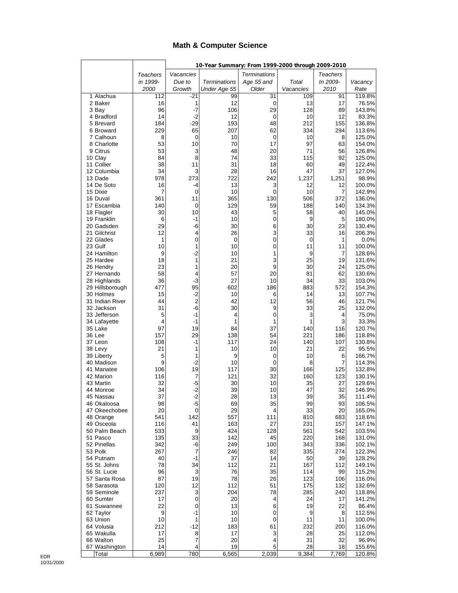#### **Math & Computer Science**

|                                 |                 |                 | 10-Year Summary: From 1999-2000 through 2009-2010 |                     |            |                 |                  |
|---------------------------------|-----------------|-----------------|---------------------------------------------------|---------------------|------------|-----------------|------------------|
|                                 | <b>Teachers</b> | Vacancies       |                                                   | <b>Terminations</b> |            | <b>Teachers</b> |                  |
|                                 | in 1999-        | Due to          | <b>Terminations</b>                               | Age 55 and          | Total      | In 2009-        | Vacancy          |
|                                 | 2000            | Growth          | Under Age 55                                      | Older               | Vacancies  | 2010            | Rate             |
| 1 Alachua                       | 112             | $-21$           | 99                                                | 31                  | 109        | 91              | 119.8%           |
| 2 Baker                         | 16<br>96        | 1<br>-7         | 12<br>106                                         | 0<br>29             | 13<br>128  | 17<br>89        | 76.5%<br>143.8%  |
| 3 Bay<br>4 Bradford             | 14              | $-2$            | 12                                                | 0                   | 10         | 12              | 83.3%            |
| 5 Brevard                       | 184             | $-29$           | 193                                               | 48                  | 212        | 155             | 136.8%           |
| 6 Broward                       | 229             | 65              | 207                                               | 62                  | 334        | 294             | 113.6%           |
| 7 Calhoun                       | 8               | 0               | 10                                                | 0                   | 10         | 8               | 125.0%           |
| 8 Charlotte                     | 53              | 10              | 70                                                | 17                  | 97         | 63              | 154.0%           |
| 9 Citrus                        | 53              | 3               | 48                                                | 20                  | 71         | 56              | 126.8%           |
| 10 Clay<br>11 Collier           | 84<br>38        | 8               | 74                                                | 33                  | 115        | 92              | 125.0%           |
| 12 Columbia                     | 34              | 11<br>3         | 31<br>28                                          | 18<br>16            | 60<br>47   | 49<br>37        | 122.4%<br>127.0% |
| 13 Dade                         | 978             | 273             | 722                                               | 242                 | 1,237      | 1,251           | 98.9%            |
| 14 De Soto                      | 16              | -4              | 13                                                | 3                   | 12         | 12              | 100.0%           |
| 15 Dixie                        | 7               | 0               | 10                                                | 0                   | 10         | 7               | 142.9%           |
| 16 Duval                        | 361             | 11              | 365                                               | 130                 | 506        | 372             | 136.0%           |
| 17 Escambia                     | 140             | 0               | 129                                               | 59                  | 188        | 140             | 134.3%           |
| 18 Flagler                      | 30              | 10              | 43                                                | 5                   | 58         | 40              | 145.0%           |
| 19 Franklin<br>20 Gadsden       | 6<br>29         | -1<br>-6        | 10<br>30                                          | 0<br>6              | 9<br>30    | 5<br>23         | 180.0%           |
| 21 Gilchrist                    | 12              | 4               | 26                                                | 3                   | 33         | 16              | 130.4%<br>206.3% |
| 22 Glades                       | 1               | 0               | 0                                                 | 0                   | 0          | 1               | 0.0%             |
| 23 Gulf                         | 10              | 1               | 10                                                | 0                   | 11         | 11              | 100.0%           |
| 24 Hamilton                     | 9               | -2              | 10                                                | 1                   | 9          | 7               | 128.6%           |
| 25 Hardee                       | 18              | 1               | 21                                                | 3                   | 25         | 19              | 131.6%           |
| 26 Hendry                       | 23              | 1               | 20                                                | 9                   | 30         | 24              | 125.0%           |
| 27 Hernando                     | 58<br>36        | 4               | 57                                                | 20                  | 81         | 62              | 130.6%           |
| 28 Highlands<br>29 Hillsborough | 477             | $-3$<br>95      | 27<br>602                                         | 10<br>186           | 34<br>883  | 33<br>572       | 103.0%<br>154.3% |
| 30 Holmes                       | 15              | $-2$            | 10                                                | 6                   | 14         | 13              | 107.7%           |
| 31 Indian River                 | 44              | $\overline{2}$  | 42                                                | 12                  | 56         | 46              | 121.7%           |
| 32 Jackson                      | 31              | $-6$            | 30                                                | 9                   | 33         | 25              | 132.0%           |
| 33 Jefferson                    | 5               | -1              | 4                                                 | 0                   | 3          | 4               | 75.0%            |
| 34 Lafayette                    | $\overline{4}$  | $-1$            | 1                                                 | 1                   | 1          | 3               | 33.3%            |
| 35 Lake                         | 97              | 19              | 84                                                | 37                  | 140        | 116             | 120.7%           |
| 36 Lee<br>37 Leon               | 157<br>108      | 29<br>$-1$      | 138<br>117                                        | 54<br>24            | 221<br>140 | 186<br>107      | 118.8%<br>130.8% |
| 38 Levy                         | 21              | 1               | 10                                                | 10                  | 21         | 22              | 95.5%            |
| 39 Liberty                      | 5               | 1               | 9                                                 | $\mathbf 0$         | 10         | 6               | 166.7%           |
| 40 Madison                      | 9               | $-2$            | 10                                                | 0                   | 8          | 7               | 114.3%           |
| 41 Manatee                      | 106             | 19              | 117                                               | 30                  | 166        | 125             | 132.8%           |
| 42 Marion                       | 116             | 7               | 121                                               | 32                  | 160        | 123             | 130.1%           |
| 43 Martin                       | 32              | $-5$            | 30                                                | 10                  | 35         | 27              | 129.6%           |
| 44 Monroe<br>45 Nassau          | 34<br>37        | $-2$<br>-2      | 39<br>28                                          | 10<br>13            | 47<br>39   | 32<br>35        | 146.9%<br>111.4% |
| 46 Okaloosa                     | 98              | -5              | 69                                                | 35                  | 99         | 93              | 106.5%           |
| 47 Okeechobee                   | 20              | 0               | 29                                                | 4                   | 33         | 20              | 165.0%           |
| 48 Orange                       | 541             | 142             | 557                                               | 111                 | 810        | 683             | 118.6%           |
| 49 Osceola                      | 116             | 41              | 163                                               | 27                  | 231        | 157             | 147.1%           |
| 50 Palm Beach                   | 533             | 9               | 424                                               | 128                 | 561        | 542             | 103.5%           |
| 51 Pasco                        | 135             | 33              | 142                                               | 45                  | 220        | 168             | 131.0%           |
| 52 Pinellas<br>53 Polk          | 342<br>267      | -6<br>7         | 249<br>246                                        | 100<br>82           | 343<br>335 | 336<br>274      | 102.1%<br>122.3% |
| 54 Putnam                       | 40              | -1              | 37                                                | 14                  | 50         | 39              | 128.2%           |
| 55 St. Johns                    | 78              | 34              | 112                                               | 21                  | 167        | 112             | 149.1%           |
| 56 St. Lucie                    | 96              | 3               | 76                                                | 35                  | 114        | 99              | 115.2%           |
| 57 Santa Rosa                   | 87              | 19              | 78                                                | 26                  | 123        | 106             | 116.0%           |
| 58 Sarasota                     | 120             | 12              | 112                                               | 51                  | 175        | 132             | 132.6%           |
| 59 Seminole                     | 237             | 3               | 204                                               | 78                  | 285        | 240             | 118.8%           |
| 60 Sumter                       | 17              | 0               | 20                                                | 4                   | 24         | 17              | 141.2%           |
| 61 Suwannee<br>62 Taylor        | 22<br>9         | $\pmb{0}$<br>-1 | 13<br>10                                          | 6<br>0              | 19<br>9    | 22<br>8         | 86.4%<br>112.5%  |
| 63 Union                        | 10              | 1               | 10                                                | 0                   | 11         | 11              | 100.0%           |
| 64 Volusia                      | 212             | $-12$           | 183                                               | 61                  | 232        | 200             | 116.0%           |
| 65 Wakulla                      | 17              | 8               | 17                                                | 3                   | 28         | 25              | 112.0%           |
| 66 Walton                       | 25              | 7               | 20                                                | 4                   | 31         | 32              | 96.9%            |
| 67 Washington                   | 14              | 4               | 19                                                | 5                   | 28         | 18              | 155.6%           |
| Total                           | 6,989           | 780             | 6,565                                             | 2,039               | 9,384      | 7,769           | 120.8%           |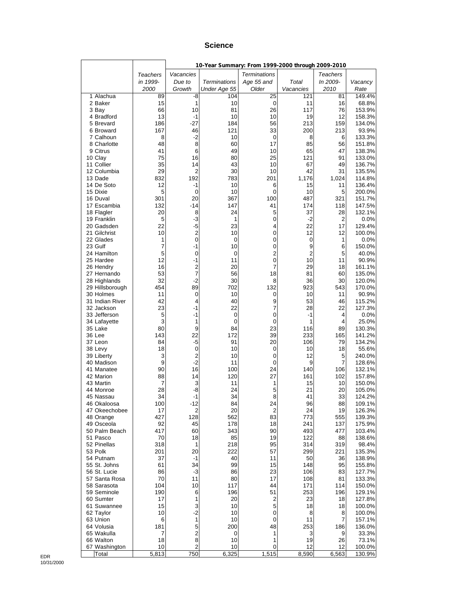#### **Science**

|                               |           |                     | 10-Year Summary: From 1999-2000 through 2009-2010 |                     |                |            |                   |
|-------------------------------|-----------|---------------------|---------------------------------------------------|---------------------|----------------|------------|-------------------|
|                               | Teachers  | Vacancies           |                                                   | <b>Terminations</b> |                | Teachers   |                   |
|                               | in 1999-  | Due to              | <b>Terminations</b>                               | Age 55 and          | Total          | In 2009-   | Vacancy           |
|                               | 2000      | Growth              | Under Age 55                                      | Older               | Vacancies      | 2010       | Rate              |
| 1 Alachua                     | 89        | -8                  | 104                                               | 25                  | 121            | 81         | 149.4%            |
| 2 Baker                       | 15        | 1                   | 10                                                | $\mathbf 0$         | 11<br>117      | 16         | 68.8%             |
| 3 Bay<br>4 Bradford           | 66<br>13  | 10<br>$-1$          | 81<br>10                                          | 26<br>10            | 19             | 76<br>12   | 153.9%<br>158.3%  |
| 5 Brevard                     | 186       | -27                 | 184                                               | 56                  | 213            | 159        | 134.0%            |
| 6 Broward                     | 167       | 46                  | 121                                               | 33                  | 200            | 213        | 93.9%             |
| 7 Calhoun                     | 8         | $-2$                | 10                                                | 0                   | 8              | 6          | 133.3%            |
| 8 Charlotte                   | 48        | 8                   | 60                                                | 17                  | 85             | 56         | 151.8%            |
| 9 Citrus                      | 41        | 6                   | 49                                                | 10                  | 65             | 47         | 138.3%            |
| 10 Clay<br>11 Collier         | 75        | 16                  | 80                                                | 25                  | 121            | 91<br>49   | 133.0%            |
| 12 Columbia                   | 35<br>29  | 14<br>2             | 43<br>30                                          | 10<br>10            | 67<br>42       | 31         | 136.7%<br>135.5%  |
| 13 Dade                       | 832       | 192                 | 783                                               | 201                 | 1,176          | 1,024      | 114.8%            |
| 14 De Soto                    | 12        | $-1$                | 10                                                | 6                   | 15             | 11         | 136.4%            |
| 15 Dixie                      | 5         | $\mathbf 0$         | 10                                                | 0                   | 10             | 5          | 200.0%            |
| 16 Duval                      | 301       | 20                  | 367                                               | 100                 | 487            | 321        | 151.7%            |
| 17 Escambia                   | 132       | -14                 | 147                                               | 41                  | 174            | 118        | 147.5%            |
| 18 Flagler<br>19 Franklin     | 20<br>5   | 8<br>-3             | 24<br>1                                           | 5<br>0              | 37<br>-2       | 28<br>2    | 132.1%<br>$0.0\%$ |
| 20 Gadsden                    | 22        | $-5$                | 23                                                | 4                   | 22             | 17         | 129.4%            |
| 21 Gilchrist                  | 10        | $\overline{c}$      | 10                                                | 0                   | 12             | 12         | 100.0%            |
| 22 Glades                     | 1         | $\mathbf 0$         | 0                                                 | 0                   | 0              | 1          | $0.0\%$           |
| 23 Gulf                       | 7         | $-1$                | 10                                                | 0                   | 9              | 6          | 150.0%            |
| 24 Hamilton                   | 5         | 0                   | 0                                                 | 2                   | $\overline{2}$ | 5          | 40.0%             |
| 25 Hardee                     | 12        | $-1$                | 11                                                | 0                   | 10             | 11         | 90.9%             |
| 26 Hendry<br>27 Hernando      | 16<br>53  | 2<br>$\overline{7}$ | 20<br>56                                          | 7<br>18             | 29<br>81       | 18<br>60   | 161.1%<br>135.0%  |
| 28 Highlands                  | 32        | $-2$                | 30                                                | 8                   | 36             | 30         | 120.0%            |
| 29 Hillsborough               | 454       | 89                  | 702                                               | 132                 | 923            | 543        | 170.0%            |
| 30 Holmes                     | 11        | 0                   | 10                                                | 0                   | 10             | 11         | 90.9%             |
| 31 Indian River               | 42        | 4                   | 40                                                | 9                   | 53             | 46         | 115.2%            |
| 32 Jackson                    | 23        | $-1$                | 22                                                | 7                   | 28             | 22         | 127.3%            |
| 33 Jefferson                  | 5<br>3    | -1<br>1             | 0                                                 | 0                   | -1<br>1        | 4<br>4     | 0.0%<br>25.0%     |
| 34 Lafayette<br>35 Lake       | 80        | 9                   | 0<br>84                                           | 0<br>23             | 116            | 89         | 130.3%            |
| 36 Lee                        | 143       | 22                  | 172                                               | 39                  | 233            | 165        | 141.2%            |
| 37 Leon                       | 84        | $-5$                | 91                                                | 20                  | 106            | 79         | 134.2%            |
| 38 Levy                       | 18        | $\mathbf 0$         | 10                                                | 0                   | 10             | 18         | 55.6%             |
| 39 Liberty                    | 3         | 2                   | 10                                                | 0                   | 12             | 5          | 240.0%            |
| 40 Madison                    | 9         | $-2$<br>16          | 11                                                | 0                   | 9              | 7          | 128.6%            |
| 41 Manatee<br>42 Marion       | 90<br>88  | 14                  | 100<br>120                                        | 24<br>27            | 140<br>161     | 106<br>102 | 132.1%<br>157.8%  |
| 43 Martin                     | 7         | 3                   | 11                                                | 1                   | 15             | 10         | 150.0%            |
| 44 Monroe                     | 28        | -8                  | 24                                                | 5                   | 21             | 20         | 105.0%            |
| 45 Nassau                     | 34        | 1                   | 34                                                | Ŕ                   | 41             | 33         | 124.2%            |
| 46 Okaloosa                   | 100       | $-12$               | 84                                                | 24                  | 96             | 88         | 109.1%            |
| 47 Okeechobee                 | 17        | 2                   | 20                                                | 2                   | 24             | 19         | 126.3%            |
| 48 Orange                     | 427<br>92 | 128                 | 562<br>178                                        | 83                  | 773<br>241     | 555<br>137 | 139.3%<br>175.9%  |
| 49 Osceola<br>50 Palm Beach   | 417       | 45<br>60            | 343                                               | 18<br>90            | 493            | 477        | 103.4%            |
| 51 Pasco                      | 70        | 18                  | 85                                                | 19                  | 122            | 88         | 138.6%            |
| 52 Pinellas                   | 318       | 1                   | 218                                               | 95                  | 314            | 319        | 98.4%             |
| 53 Polk                       | 201       | 20                  | 222                                               | 57                  | 299            | 221        | 135.3%            |
| 54 Putnam                     | 37        | -1                  | 40                                                | 11                  | 50             | 36         | 138.9%            |
| 55 St. Johns                  | 61        | 34                  | 99                                                | 15                  | 148            | 95         | 155.8%            |
| 56 St. Lucie<br>57 Santa Rosa | 86<br>70  | -3<br>11            | 86<br>80                                          | 23<br>17            | 106<br>108     | 83<br>81   | 127.7%<br>133.3%  |
| 58 Sarasota                   | 104       | 10                  | 117                                               | 44                  | 171            | 114        | 150.0%            |
| 59 Seminole                   | 190       | 6                   | 196                                               | 51                  | 253            | 196        | 129.1%            |
| 60 Sumter                     | 17        | 1                   | 20                                                | 2                   | 23             | 18         | 127.8%            |
| 61 Suwannee                   | 15        | 3                   | 10                                                | 5                   | 18             | 18         | 100.0%            |
| 62 Taylor                     | 10        | $-2$                | 10                                                | 0                   | 8              | 8          | 100.0%            |
| 63 Union                      | 6         | 1                   | 10                                                | 0                   | 11             | 7          | 157.1%            |
| 64 Volusia<br>65 Wakulla      | 181<br>7  | 5<br>$\overline{c}$ | 200<br>0                                          | 48<br>1             | 253<br>3       | 186<br>9   | 136.0%<br>33.3%   |
| 66 Walton                     | 18        | 8                   | 10                                                | 1                   | 19             | 26         | 73.1%             |
| 67 Washington                 | 10        | 2                   | 10                                                | 0                   | 12             | 12         | 100.0%            |
| Total                         | 5,813     | 750                 | 6,325                                             | 1,515               | 8,590          | 6,563      | 130.9%            |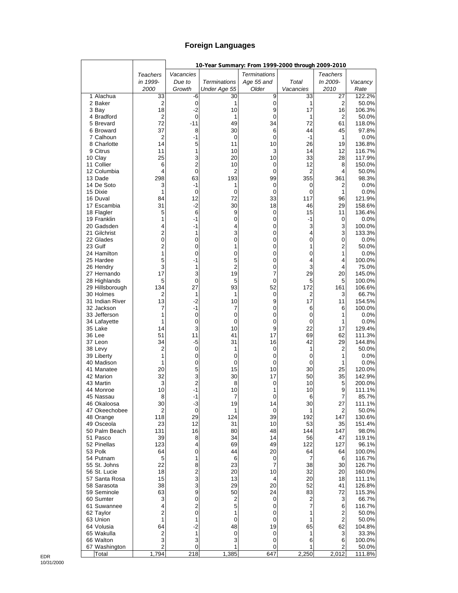### **Foreign Languages**

|                               |                         |                |                     | 10-Year Summary: From 1999-2000 through 2009-2010 |             |                    |                  |
|-------------------------------|-------------------------|----------------|---------------------|---------------------------------------------------|-------------|--------------------|------------------|
|                               | <b>Teachers</b>         | Vacancies      |                     | <b>Terminations</b>                               |             | <b>Teachers</b>    |                  |
|                               | in 1999-                | Due to         | <b>Terminations</b> | Age 55 and                                        | Total       | In 2009-           | Vacancy          |
|                               | 2000                    | Growth         | Under Age 55        | Older                                             | Vacancies   | 2010               | Rate             |
| 1 Alachua<br>2 Baker          | 33<br>$\overline{2}$    | -6<br>0        | 30<br>1             | 9<br>0                                            | 33<br>1     | 27<br>2            | 122.2%<br>50.0%  |
| 3 Bay                         | 18                      | $-2$           | 10                  | 9                                                 | 17          | 16                 | 106.3%           |
| 4 Bradford                    | $\overline{2}$          | $\mathbf 0$    | 1                   | 0                                                 | 1           | 2                  | 50.0%            |
| 5 Brevard                     | 72                      | $-11$          | 49                  | 34                                                | 72          | 61                 | 118.0%           |
| 6 Broward                     | 37                      | 8              | 30                  | 6                                                 | 44          | 45                 | 97.8%            |
| 7 Calhoun                     | $\overline{2}$          | $-1$           | 0                   | 0                                                 | $-1$        | 1                  | 0.0%             |
| 8 Charlotte<br>9 Citrus       | 14<br>11                | 5<br>1         | 11<br>10            | 10<br>3                                           | 26<br>14    | 19<br>12           | 136.8%<br>116.7% |
| 10 Clay                       | 25                      | 3              | 20                  | 10                                                | 33          | 28                 | 117.9%           |
| 11 Collier                    | 6                       | $\overline{c}$ | 10                  | 0                                                 | 12          | 8                  | 150.0%           |
| 12 Columbia                   | 4                       | $\mathbf 0$    | 2                   | 0                                                 | 2           | 4                  | 50.0%            |
| 13 Dade                       | 298                     | 63             | 193                 | 99                                                | 355         | 361                | 98.3%            |
| 14 De Soto                    | 3<br>$\mathbf{1}$       | $-1$           | 1                   | 0                                                 | 0           | 2                  | 0.0%             |
| 15 Dixie<br>16 Duval          | 84                      | 0<br>12        | 0<br>72             | $\mathbf 0$<br>33                                 | 0<br>117    | $\mathbf{1}$<br>96 | 0.0%<br>121.9%   |
| 17 Escambia                   | 31                      | $-2$           | 30                  | 18                                                | 46          | 29                 | 158.6%           |
| 18 Flagler                    | 5                       | 6              | 9                   | 0                                                 | 15          | 11                 | 136.4%           |
| 19 Franklin                   | 1                       | $-1$           | 0                   | 0                                                 | $-1$        | 0                  | 0.0%             |
| 20 Gadsden                    | 4                       | $-1$           | 4                   | $\mathbf 0$                                       | 3           | 3                  | 100.0%           |
| 21 Gilchrist                  | $\overline{c}$          | 1              | 3                   | 0                                                 | 4           | 3                  | 133.3%           |
| 22 Glades<br>23 Gulf          | 0<br>$\overline{c}$     | 0<br>0         | 0<br>1              | 0<br>$\mathbf 0$                                  | 0<br>1      | 0<br>2             | 0.0%<br>50.0%    |
| 24 Hamilton                   | 1                       | 0              | 0                   | 0                                                 | 0           | 1                  | 0.0%             |
| 25 Hardee                     | 5                       | -1             | 5                   | 0                                                 | 4           | 4                  | 100.0%           |
| 26 Hendry                     | 3                       | 1              | $\overline{2}$      | 0                                                 | 3           | 4                  | 75.0%            |
| 27 Hernando                   | 17                      | 3              | 19                  | 7                                                 | 29          | 20                 | 145.0%           |
| 28 Highlands                  | 5                       | 0<br>27        | 5                   | 0                                                 | 5           | 5                  | 100.0%           |
| 29 Hillsborough<br>30 Holmes  | 134<br>2                | 1              | 93<br>1             | 52<br>0                                           | 172<br>2    | 161<br>3           | 106.6%<br>66.7%  |
| 31 Indian River               | 13                      | -2             | 10                  | 9                                                 | 17          | 11                 | 154.5%           |
| 32 Jackson                    | 7                       | -1             | 7                   | 0                                                 | 6           | 6                  | 100.0%           |
| 33 Jefferson                  | 1                       | 0              | 0                   | $\mathbf 0$                                       | 0           | 1                  | 0.0%             |
| 34 Lafayette                  | 1                       | 0              | 0                   | 0                                                 | 0           | 1                  | 0.0%             |
| 35 Lake<br>36 Lee             | 14<br>51                | 3<br>11        | 10                  | 9<br>17                                           | 22<br>69    | 17<br>62           | 129.4%<br>111.3% |
| 37 Leon                       | 34                      | -5             | 41<br>31            | 16                                                | 42          | 29                 | 144.8%           |
| 38 Levy                       | $\overline{2}$          | 0              | 1                   | 0                                                 | 1           | 2                  | 50.0%            |
| 39 Liberty                    | 1                       | 0              | 0                   | 0                                                 | 0           | 1                  | 0.0%             |
| 40 Madison                    | 1                       | 0              | 0                   | 0                                                 | $\mathbf 0$ | 1                  | 0.0%             |
| 41 Manatee                    | 20                      | 5              | 15                  | 10                                                | 30          | 25                 | 120.0%           |
| 42 Marion<br>43 Martin        | 32<br>3                 | 3<br>2         | 30<br>8             | 17<br>0                                           | 50<br>10    | 35<br>5            | 142.9%<br>200.0% |
| 44 Monroe                     | 10                      | $-1$           | 10                  | 1                                                 | 10          | 9                  | 111.1%           |
| 45 Nassau                     | 8                       | 1              | 7                   | $\Omega$                                          | 6           | 7                  | 85.7%            |
| 46 Okaloosa                   | 30                      | -3             | 19                  | 14                                                | 30          | 27                 | 111.1%           |
| 47 Okeechobee                 | $\overline{c}$          | $\pmb{0}$      | 1                   | 0                                                 | 1           | 2                  | 50.0%            |
| 48 Orange                     | 118                     | 29             | 124                 | 39                                                | 192         | 147                | 130.6%           |
| 49 Osceola<br>50 Palm Beach   | 23<br>131               | 12<br>16       | 31<br>80            | 10<br>48                                          | 53<br>144   | 35<br>147          | 151.4%<br>98.0%  |
| 51 Pasco                      | 39                      | 8              | 34                  | 14                                                | 56          | 47                 | 119.1%           |
| 52 Pinellas                   | 123                     | 4              | 69                  | 49                                                | 122         | 127                | 96.1%            |
| 53 Polk                       | 64                      | 0              | 44                  | 20                                                | 64          | 64                 | 100.0%           |
| 54 Putnam                     | 5                       | 1              | 6                   | 0                                                 | 7           | 6                  | 116.7%           |
| 55 St. Johns                  | 22                      | 8              | 23                  | 7                                                 | 38          | 30                 | 126.7%           |
| 56 St. Lucie<br>57 Santa Rosa | 18<br>15                | 2<br>3         | 20<br>13            | 10<br>4                                           | 32<br>20    | 20<br>18           | 160.0%<br>111.1% |
| 58 Sarasota                   | 38                      | 3              | 29                  | 20                                                | 52          | 41                 | 126.8%           |
| 59 Seminole                   | 63                      | 9              | 50                  | 24                                                | 83          | 72                 | 115.3%           |
| 60 Sumter                     | 3                       | 0              | $\overline{c}$      | 0                                                 | 2           | 3                  | 66.7%            |
| 61 Suwannee                   | 4                       | 2              | 5                   | 0                                                 | 7           | 6                  | 116.7%           |
| 62 Taylor                     | $\overline{c}$          | 0              | 1                   | 0                                                 | 1           | $\overline{2}$     | 50.0%            |
| 63 Union<br>64 Volusia        | 1<br>64                 | 1<br>$-2$      | 0<br>48             | 0<br>19                                           | 1<br>65     | $\mathbf 2$<br>62  | 50.0%<br>104.8%  |
| 65 Wakulla                    | $\overline{\mathbf{c}}$ | 1              | 0                   | 0                                                 | 1           | 3                  | 33.3%            |
| 66 Walton                     | 3                       | 3              | 3                   | 0                                                 | 6           | 6                  | 100.0%           |
| 67 Washington                 | $\overline{c}$          | 0              | 1                   | 0                                                 |             | $\overline{c}$     | 50.0%            |
| Total                         | 1,794                   | 218            | 1,385               | 647                                               | 2,250       | 2,012              | 111.8%           |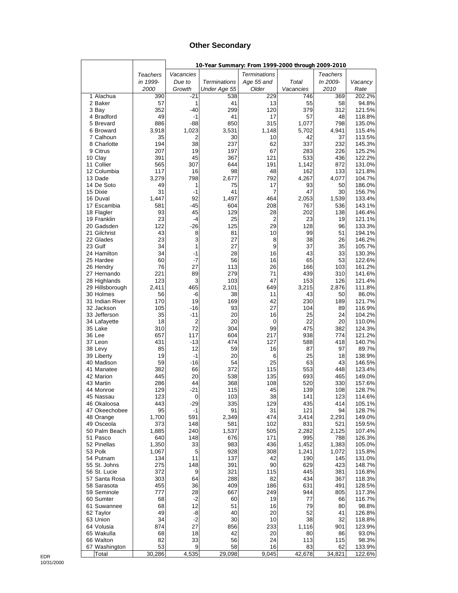#### **Other Secondary**

|                               |                 |               | 10-Year Summary: From 1999-2000 through 2009-2010 |                     |              |                 |                  |
|-------------------------------|-----------------|---------------|---------------------------------------------------|---------------------|--------------|-----------------|------------------|
|                               | <b>Teachers</b> | Vacancies     |                                                   | <b>Terminations</b> |              | <b>Teachers</b> |                  |
|                               | in 1999-        | Due to        | <b>Terminations</b>                               | Age 55 and          | Total        | In 2009-        | Vacancy          |
|                               | 2000            | Growth        | Under Age 55                                      | Older               | Vacancies    | 2010            | Rate             |
| 1 Alachua                     | 390             | $-21$         | 538                                               | 229                 | 746          | 369             | 202.2%           |
| 2 Baker                       | 57<br>352       | 1<br>$-40$    | 41<br>299                                         | 13<br>120           | 55<br>379    | 58<br>312       | 94.8%<br>121.5%  |
| 3 Bay<br>4 Bradford           | 49              | $-1$          | 41                                                | 17                  | 57           | 48              | 118.8%           |
| 5 Brevard                     | 886             | $-88$         | 850                                               | 315                 | 1,077        | 798             | 135.0%           |
| 6 Broward                     | 3,918           | 1,023         | 3,531                                             | 1,148               | 5,702        | 4,941           | 115.4%           |
| 7 Calhoun                     | 35              | 2             | 30                                                | 10                  | 42           | 37              | 113.5%           |
| 8 Charlotte                   | 194             | 38            | 237                                               | 62                  | 337          | 232             | 145.3%           |
| 9 Citrus                      | 207             | 19            | 197                                               | 67                  | 283          | 226             | 125.2%           |
| 10 Clay                       | 391             | 45            | 367                                               | 121                 | 533          | 436             | 122.2%           |
| 11 Collier<br>12 Columbia     | 565<br>117      | 307<br>16     | 644<br>98                                         | 191<br>48           | 1,142<br>162 | 872<br>133      | 131.0%<br>121.8% |
| 13 Dade                       | 3,279           | 798           | 2,677                                             | 792                 | 4,267        | 4,077           | 104.7%           |
| 14 De Soto                    | 49              | 1             | 75                                                | 17                  | 93           | 50              | 186.0%           |
| 15 Dixie                      | 31              | $-1$          | 41                                                | 7                   | 47           | 30              | 156.7%           |
| 16 Duval                      | 1,447           | 92            | 1,497                                             | 464                 | 2,053        | 1,539           | 133.4%           |
| 17 Escambia                   | 581             | -45           | 604                                               | 208                 | 767          | 536             | 143.1%           |
| 18 Flagler                    | 93              | 45            | 129                                               | 28                  | 202          | 138             | 146.4%           |
| 19 Franklin                   | 23              | -4            | 25                                                | 2                   | 23           | 19              | 121.1%           |
| 20 Gadsden<br>21 Gilchrist    | 122<br>43       | $-26$<br>8    | 125<br>81                                         | 29<br>10            | 128<br>99    | 96<br>51        | 133.3%<br>194.1% |
| 22 Glades                     | 23              | 3             | 27                                                | 8                   | 38           | 26              | 146.2%           |
| 23 Gulf                       | 34              | 1             | 27                                                | 9                   | 37           | 35              | 105.7%           |
| 24 Hamilton                   | 34              | -1            | 28                                                | 16                  | 43           | 33              | 130.3%           |
| 25 Hardee                     | 60              | -7            | 56                                                | 16                  | 65           | 53              | 122.6%           |
| 26 Hendry                     | 76              | 27            | 113                                               | 26                  | 166          | 103             | 161.2%           |
| 27 Hernando                   | 221             | 89            | 279                                               | 71                  | 439          | 310             | 141.6%           |
| 28 Highlands                  | 123             | 3             | 103                                               | 47                  | 153          | 126             | 121.4%           |
| 29 Hillsborough               | 2,411           | 465           | 2,101                                             | 649                 | 3,215        | 2,876           | 111.8%           |
| 30 Holmes<br>31 Indian River  | 56<br>170       | -6<br>19      | 38<br>169                                         | 11<br>42            | 43<br>230    | 50<br>189       | 86.0%<br>121.7%  |
| 32 Jackson                    | 105             | $-16$         | 93                                                | 27                  | 104          | 89              | 116.9%           |
| 33 Jefferson                  | 35              | -11           | 20                                                | 16                  | 25           | 24              | 104.2%           |
| 34 Lafayette                  | 18              | 2             | 20                                                | 0                   | 22           | 20              | 110.0%           |
| 35 Lake                       | 310             | 72            | 304                                               | 99                  | 475          | 382             | 124.3%           |
| 36 Lee                        | 657             | 117           | 604                                               | 217                 | 938          | 774             | 121.2%           |
| 37 Leon                       | 431             | $-13$         | 474                                               | 127                 | 588          | 418             | 140.7%           |
| 38 Levy                       | 85              | 12            | 59                                                | 16                  | 87           | 97              | 89.7%            |
| 39 Liberty<br>40 Madison      | 19<br>59        | $-1$<br>$-16$ | 20<br>54                                          | 6<br>25             | 25<br>63     | 18<br>43        | 138.9%<br>146.5% |
| 41 Manatee                    | 382             | 66            | 372                                               | 115                 | 553          | 448             | 123.4%           |
| 42 Marion                     | 445             | 20            | 538                                               | 135                 | 693          | 465             | 149.0%           |
| 43 Martin                     | 286             | 44            | 368                                               | 108                 | 520          | 330             | 157.6%           |
| 44 Monroe                     | 129             | -21           | 115                                               | 45                  | 139          | 108             | 128.7%           |
| 45 Nassau                     | 123             | $\Omega$      | 103                                               | 38                  | 141          | 123             | 114.6%           |
| 46 Okaloosa                   | 443             | -29           | 335                                               | 129                 | 435          | 414             | 105.1%           |
| 47 Okeechobee                 | 95              | $-1$          | 91                                                | 31                  | 121          | 94              | 128.7%           |
| 48 Orange<br>49 Osceola       | 1,700<br>373    | 591<br>148    | 2,349<br>581                                      | 474<br>102          | 3,414<br>831 | 2,291<br>521    | 149.0%<br>159.5% |
| 50 Palm Beach                 | 1,885           | 240           | 1,537                                             | 505                 | 2,282        | 2,125           | 107.4%           |
| 51 Pasco                      | 640             | 148           | 676                                               | 171                 | 995          | 788             | 126.3%           |
| 52 Pinellas                   | 1,350           | 33            | 983                                               | 436                 | 1,452        | 1,383           | 105.0%           |
| 53 Polk                       | 1,067           | 5             | 928                                               | 308                 | 1,241        | 1,072           | 115.8%           |
| 54 Putnam                     | 134             | 11            | 137                                               | 42                  | 190          | 145             | 131.0%           |
| 55 St. Johns                  | 275             | 148           | 391                                               | 90                  | 629          | 423             | 148.7%           |
| 56 St. Lucie<br>57 Santa Rosa | 372             | 9             | 321                                               | 115                 | 445          | 381             | 116.8%           |
| 58 Sarasota                   | 303<br>455      | 64<br>36      | 288<br>409                                        | 82<br>186           | 434<br>631   | 367<br>491      | 118.3%<br>128.5% |
| 59 Seminole                   | 777             | 28            | 667                                               | 249                 | 944          | 805             | 117.3%           |
| 60 Sumter                     | 68              | $-2$          | 60                                                | 19                  | 77           | 66              | 116.7%           |
| 61 Suwannee                   | 68              | 12            | 51                                                | 16                  | 79           | 80              | 98.8%            |
| 62 Taylor                     | 49              | -8            | 40                                                | 20                  | 52           | 41              | 126.8%           |
| 63 Union                      | 34              | $-2$          | 30                                                | 10                  | 38           | 32              | 118.8%           |
| 64 Volusia                    | 874             | 27            | 856                                               | 233                 | 1,116        | 901             | 123.9%           |
| 65 Wakulla                    | 68<br>82        | 18<br>33      | 42                                                | 20                  | 80           | 86              | 93.0%            |
| 66 Walton<br>67 Washington    | 53              | 9             | 56<br>58                                          | 24<br>16            | 113<br>83    | 115<br>62       | 98.3%<br>133.9%  |
| Total                         | 30,286          | 4,535         | 29,098                                            | 9,045               | 42,678       | 34,821          | 122.6%           |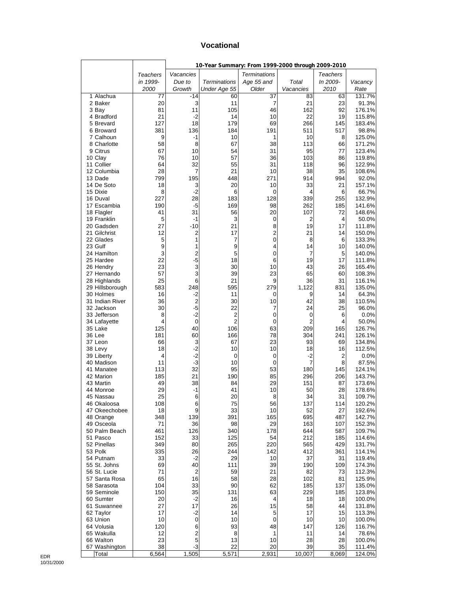#### **Vocational**

|                             |                 |                | 10-Year Summary: From 1999-2000 through 2009-2010 |                     |                |                 |                  |
|-----------------------------|-----------------|----------------|---------------------------------------------------|---------------------|----------------|-----------------|------------------|
|                             | <b>Teachers</b> | Vacancies      |                                                   | <b>Terminations</b> |                | <b>Teachers</b> |                  |
|                             | in 1999-        | Due to         | <b>Terminations</b>                               | Age 55 and          | Total          | In 2009-        | Vacancy          |
|                             | 2000            | Growth         | Under Age 55                                      | Older               | Vacancies      | 2010            | Rate             |
| 1 Alachua                   | 77              | $-14$          | 60                                                | 37                  | 83             | 63              | 131.7%           |
| 2 Baker                     | 20<br>81        | 3<br>11        | 11<br>105                                         | 7<br>46             | 21<br>162      | 23<br>92        | 91.3%<br>176.1%  |
| 3 Bay<br>4 Bradford         | 21              | $-2$           | 14                                                | 10                  | 22             | 19              | 115.8%           |
| 5 Brevard                   | 127             | 18             | 179                                               | 69                  | 266            | 145             | 183.4%           |
| 6 Broward                   | 381             | 136            | 184                                               | 191                 | 511            | 517             | 98.8%            |
| 7 Calhoun                   | 9               | -1             | 10                                                | 1                   | 10             | 8               | 125.0%           |
| 8 Charlotte                 | 58              | 8              | 67                                                | 38                  | 113            | 66              | 171.2%           |
| 9 Citrus                    | 67              | 10             | 54                                                | 31                  | 95             | 77              | 123.4%           |
| 10 Clay<br>11 Collier       | 76              | 10             | 57                                                | 36                  | 103            | 86              | 119.8%           |
| 12 Columbia                 | 64<br>28        | 32<br>7        | 55<br>21                                          | 31<br>10            | 118<br>38      | 96<br>35        | 122.9%<br>108.6% |
| 13 Dade                     | 799             | 195            | 448                                               | 271                 | 914            | 994             | 92.0%            |
| 14 De Soto                  | 18              | 3              | 20                                                | 10                  | 33             | 21              | 157.1%           |
| 15 Dixie                    | 8               | $-2$           | 6                                                 | 0                   | 4              | 6               | 66.7%            |
| 16 Duval                    | 227             | 28             | 183                                               | 128                 | 339            | 255             | 132.9%           |
| 17 Escambia                 | 190             | -5             | 169                                               | 98                  | 262            | 185             | 141.6%           |
| 18 Flagler                  | 41              | 31<br>$-1$     | 56                                                | 20                  | 107            | 72              | 148.6%           |
| 19 Franklin<br>20 Gadsden   | 5<br>27         | $-10$          | 3<br>21                                           | 0<br>8              | 2<br>19        | 4<br>17         | 50.0%<br>111.8%  |
| 21 Gilchrist                | 12              | 2              | 17                                                | 2                   | 21             | 14              | 150.0%           |
| 22 Glades                   | 5               | 1              | 7                                                 | 0                   | 8              | 6               | 133.3%           |
| 23 Gulf                     | 9               | 1              | 9                                                 | 4                   | 14             | 10              | 140.0%           |
| 24 Hamilton                 | 3               | 2              | 5                                                 | 0                   | 7              | 5               | 140.0%           |
| 25 Hardee                   | 22              | $-5$           | 18                                                | 6                   | 19             | 17              | 111.8%           |
| 26 Hendry                   | 23              | 3              | 30                                                | 10                  | 43             | 26              | 165.4%           |
| 27 Hernando<br>28 Highlands | 57<br>25        | 3<br>6         | 39<br>21                                          | 23<br>9             | 65<br>36       | 60<br>31        | 108.3%<br>116.1% |
| 29 Hillsborough             | 583             | 248            | 595                                               | 279                 | 1,122          | 831             | 135.0%           |
| 30 Holmes                   | 16              | $-2$           | 11                                                | 0                   | 9              | 14              | 64.3%            |
| 31 Indian River             | 36              | $\overline{2}$ | 30                                                | 10                  | 42             | 38              | 110.5%           |
| 32 Jackson                  | 30              | $-5$           | 22                                                | 7                   | 24             | 25              | 96.0%            |
| 33 Jefferson                | 8               | $-2$           | 2                                                 | 0                   | $\mathbf 0$    | 6               | 0.0%             |
| 34 Lafayette                | 4               | 0              | 2                                                 | 0                   | $\overline{c}$ | 4               | 50.0%            |
| 35 Lake<br>36 Lee           | 125<br>181      | 40<br>60       | 106<br>166                                        | 63<br>78            | 209<br>304     | 165             | 126.7%<br>126.1% |
| 37 Leon                     | 66              | 3              | 67                                                | 23                  | 93             | 241<br>69       | 134.8%           |
| 38 Levy                     | 18              | $-2$           | 10                                                | 10                  | 18             | 16              | 112.5%           |
| 39 Liberty                  | 4               | $-2$           | 0                                                 | $\mathbf 0$         | $-2$           | 2               | 0.0%             |
| 40 Madison                  | 11              | $-3$           | 10                                                | 0                   | 7              | 8               | 87.5%            |
| 41 Manatee                  | 113             | 32             | 95                                                | 53                  | 180            | 145             | 124.1%           |
| 42 Marion                   | 185             | 21             | 190                                               | 85                  | 296            | 206             | 143.7%           |
| 43 Martin<br>44 Monroe      | 49<br>29        | 38<br>-1       | 84<br>41                                          | 29<br>10            | 151<br>50      | 87<br>28        | 173.6%<br>178.6% |
| 45 Nassau                   | 25              | հ              | 20                                                | 8                   | 34             | 31              | 109.7%           |
| 46 Okaloosa                 | 108             | 6              | 75                                                | 56                  | 137            | 114             | 120.2%           |
| 47 Okeechobee               | 18              | 9              | 33                                                | 10                  | 52             | 27              | 192.6%           |
| 48 Orange                   | 348             | 139            | 391                                               | 165                 | 695            | 487             | 142.7%           |
| 49 Osceola                  | 71              | 36             | 98                                                | 29                  | 163            | 107             | 152.3%           |
| 50 Palm Beach<br>51 Pasco   | 461             | 126            | 340                                               | 178                 | 644            | 587             | 109.7%           |
| 52 Pinellas                 | 152<br>349      | 33<br>80       | 125<br>265                                        | 54<br>220           | 212<br>565     | 185<br>429      | 114.6%<br>131.7% |
| 53 Polk                     | 335             | 26             | 244                                               | 142                 | 412            | 361             | 114.1%           |
| 54 Putnam                   | 33              | $-2$           | 29                                                | 10                  | 37             | 31              | 119.4%           |
| 55 St. Johns                | 69              | 40             | 111                                               | 39                  | 190            | 109             | 174.3%           |
| 56 St. Lucie                | 71              | $\overline{2}$ | 59                                                | 21                  | 82             | 73              | 112.3%           |
| 57 Santa Rosa               | 65              | 16             | 58                                                | 28                  | 102            | 81              | 125.9%           |
| 58 Sarasota                 | 104             | 33             | 90                                                | 62                  | 185            | 137             | 135.0%           |
| 59 Seminole<br>60 Sumter    | 150<br>20       | 35<br>$-2$     | 131<br>16                                         | 63<br>4             | 229<br>18      | 185<br>18       | 123.8%<br>100.0% |
| 61 Suwannee                 | 27              | 17             | 26                                                | 15                  | 58             | 44              | 131.8%           |
| 62 Taylor                   | 17              | $-2$           | 14                                                | 5                   | 17             | 15              | 113.3%           |
| 63 Union                    | 10              | 0              | 10                                                | 0                   | 10             | 10              | 100.0%           |
| 64 Volusia                  | 120             | 6              | 93                                                | 48                  | 147            | 126             | 116.7%           |
| 65 Wakulla                  | 12              | $\mathbf 2$    | 8                                                 | 1                   | 11             | 14              | 78.6%            |
| 66 Walton                   | 23              | 5              | 13                                                | 10                  | 28             | 28              | 100.0%           |
| 67 Washington<br>Total      | 38<br>6,564     | -3<br>1,505    | 22<br>5,571                                       | 20<br>2,931         | 39<br>10,007   | 35<br>8,069     | 111.4%<br>124.0% |
|                             |                 |                |                                                   |                     |                |                 |                  |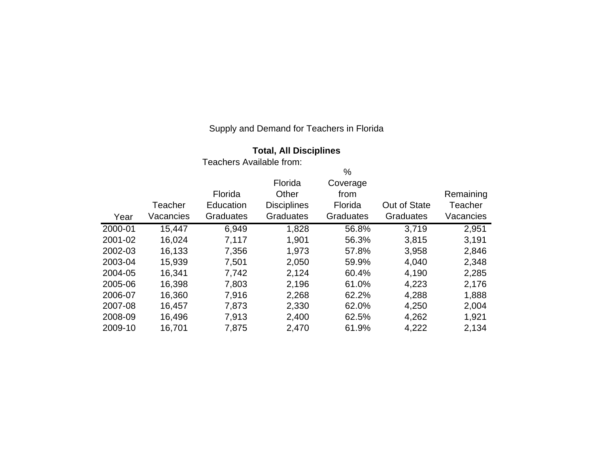| <b>Total, All Disciplines</b> |  |  |  |  |
|-------------------------------|--|--|--|--|
|-------------------------------|--|--|--|--|

|         |           |                  |                    | $\%$             |                  |           |
|---------|-----------|------------------|--------------------|------------------|------------------|-----------|
|         |           |                  | Florida            | Coverage         |                  |           |
|         |           | Florida          | Other              | from             |                  | Remaining |
|         | Teacher   | Education        | <b>Disciplines</b> | Florida          | Out of State     | Teacher   |
| Year    | Vacancies | <b>Graduates</b> | <b>Graduates</b>   | <b>Graduates</b> | <b>Graduates</b> | Vacancies |
| 2000-01 | 15,447    | 6,949            | 1,828              | 56.8%            | 3,719            | 2,951     |
| 2001-02 | 16,024    | 7,117            | 1,901              | 56.3%            | 3,815            | 3,191     |
| 2002-03 | 16,133    | 7,356            | 1,973              | 57.8%            | 3,958            | 2,846     |
| 2003-04 | 15,939    | 7,501            | 2,050              | 59.9%            | 4,040            | 2,348     |
| 2004-05 | 16,341    | 7,742            | 2,124              | 60.4%            | 4,190            | 2,285     |
| 2005-06 | 16,398    | 7,803            | 2,196              | 61.0%            | 4,223            | 2,176     |
| 2006-07 | 16,360    | 7,916            | 2,268              | 62.2%            | 4,288            | 1,888     |
| 2007-08 | 16,457    | 7,873            | 2,330              | 62.0%            | 4,250            | 2,004     |
| 2008-09 | 16,496    | 7,913            | 2,400              | 62.5%            | 4,262            | 1,921     |
| 2009-10 | 16,701    | 7,875            | 2,470              | 61.9%            | 4,222            | 2,134     |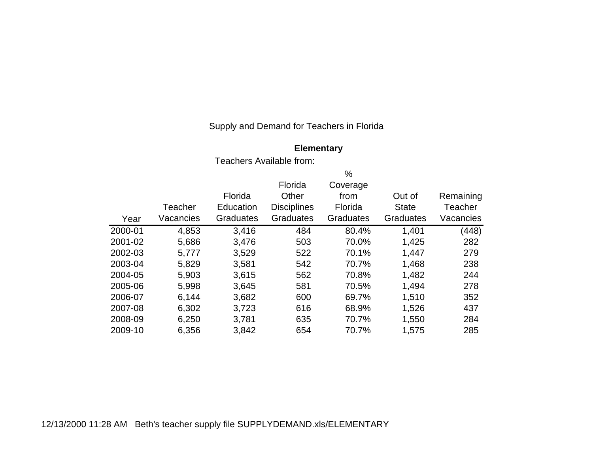### **Elementary**

|         |           |                  |                    | $\%$             |                  |           |
|---------|-----------|------------------|--------------------|------------------|------------------|-----------|
|         |           |                  | Florida            | Coverage         |                  |           |
|         |           | Florida          | Other              | from             | Out of           | Remaining |
|         | Teacher   | Education        | <b>Disciplines</b> | Florida          | <b>State</b>     | Teacher   |
| Year    | Vacancies | <b>Graduates</b> | <b>Graduates</b>   | <b>Graduates</b> | <b>Graduates</b> | Vacancies |
| 2000-01 | 4,853     | 3,416            | 484                | 80.4%            | 1,401            | (448)     |
| 2001-02 | 5,686     | 3,476            | 503                | 70.0%            | 1,425            | 282       |
| 2002-03 | 5,777     | 3,529            | 522                | 70.1%            | 1,447            | 279       |
| 2003-04 | 5,829     | 3,581            | 542                | 70.7%            | 1,468            | 238       |
| 2004-05 | 5,903     | 3,615            | 562                | 70.8%            | 1,482            | 244       |
| 2005-06 | 5,998     | 3,645            | 581                | 70.5%            | 1,494            | 278       |
| 2006-07 | 6,144     | 3,682            | 600                | 69.7%            | 1,510            | 352       |
| 2007-08 | 6,302     | 3,723            | 616                | 68.9%            | 1,526            | 437       |
| 2008-09 | 6,250     | 3,781            | 635                | 70.7%            | 1,550            | 284       |
| 2009-10 | 6,356     | 3,842            | 654                | 70.7%            | 1,575            | 285       |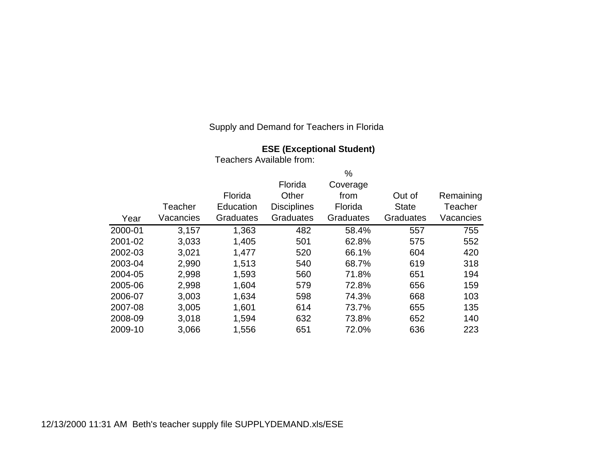## **ESE (Exceptional Student)**

|         |           |                  |                    | %                |                  |           |
|---------|-----------|------------------|--------------------|------------------|------------------|-----------|
|         |           |                  | Florida            | Coverage         |                  |           |
|         |           | Florida          | Other              | from             | Out of           | Remaining |
|         | Teacher   | Education        | <b>Disciplines</b> | Florida          | <b>State</b>     | Teacher   |
| Year    | Vacancies | <b>Graduates</b> | <b>Graduates</b>   | <b>Graduates</b> | <b>Graduates</b> | Vacancies |
| 2000-01 | 3,157     | 1,363            | 482                | 58.4%            | 557              | 755       |
| 2001-02 | 3,033     | 1,405            | 501                | 62.8%            | 575              | 552       |
| 2002-03 | 3,021     | 1,477            | 520                | 66.1%            | 604              | 420       |
| 2003-04 | 2,990     | 1,513            | 540                | 68.7%            | 619              | 318       |
| 2004-05 | 2,998     | 1,593            | 560                | 71.8%            | 651              | 194       |
| 2005-06 | 2,998     | 1,604            | 579                | 72.8%            | 656              | 159       |
| 2006-07 | 3,003     | 1,634            | 598                | 74.3%            | 668              | 103       |
| 2007-08 | 3,005     | 1,601            | 614                | 73.7%            | 655              | 135       |
| 2008-09 | 3,018     | 1,594            | 632                | 73.8%            | 652              | 140       |
| 2009-10 | 3,066     | 1,556            | 651                | 72.0%            | 636              | 223       |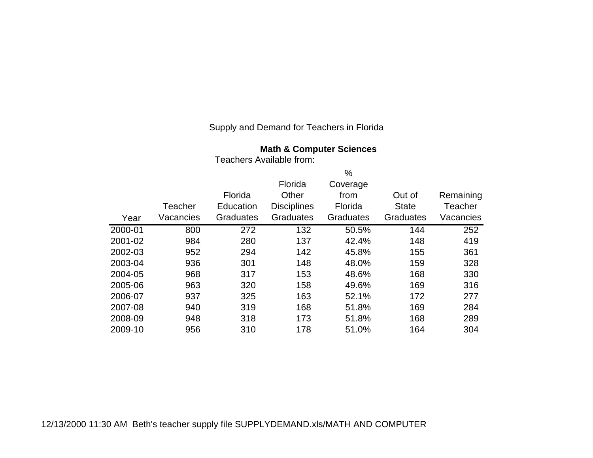**Math & Computer Sciences**

|         |           |                  |                    | %                |                  |           |
|---------|-----------|------------------|--------------------|------------------|------------------|-----------|
|         |           |                  | Florida            | Coverage         |                  |           |
|         |           | Florida          | Other              | from             | Out of           | Remaining |
|         | Teacher   | Education        | <b>Disciplines</b> | Florida          | <b>State</b>     | Teacher   |
| Year    | Vacancies | <b>Graduates</b> | <b>Graduates</b>   | <b>Graduates</b> | <b>Graduates</b> | Vacancies |
| 2000-01 | 800       | 272              | 132                | 50.5%            | 144              | 252       |
| 2001-02 | 984       | 280              | 137                | 42.4%            | 148              | 419       |
| 2002-03 | 952       | 294              | 142                | 45.8%            | 155              | 361       |
| 2003-04 | 936       | 301              | 148                | 48.0%            | 159              | 328       |
| 2004-05 | 968       | 317              | 153                | 48.6%            | 168              | 330       |
| 2005-06 | 963       | 320              | 158                | 49.6%            | 169              | 316       |
| 2006-07 | 937       | 325              | 163                | 52.1%            | 172              | 277       |
| 2007-08 | 940       | 319              | 168                | 51.8%            | 169              | 284       |
| 2008-09 | 948       | 318              | 173                | 51.8%            | 168              | 289       |
| 2009-10 | 956       | 310              | 178                | 51.0%            | 164              | 304       |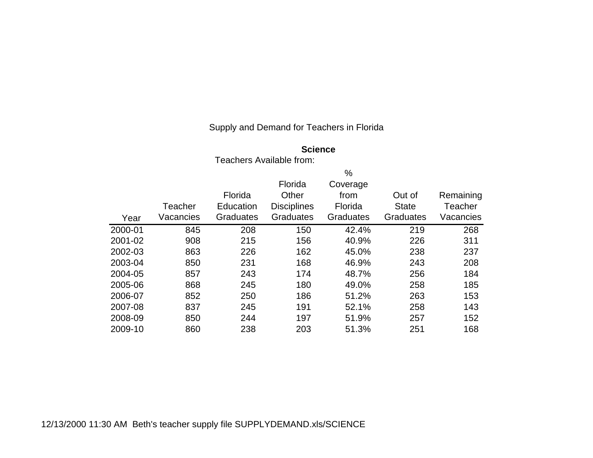#### **Science**

|         |           |                  |                    | $\%$             |                  |           |
|---------|-----------|------------------|--------------------|------------------|------------------|-----------|
|         |           |                  | Florida            | Coverage         |                  |           |
|         |           | Florida          | Other              | from             | Out of           | Remaining |
|         | Teacher   | Education        | <b>Disciplines</b> | Florida          | <b>State</b>     | Teacher   |
| Year    | Vacancies | <b>Graduates</b> | <b>Graduates</b>   | <b>Graduates</b> | <b>Graduates</b> | Vacancies |
| 2000-01 | 845       | 208              | 150                | 42.4%            | 219              | 268       |
| 2001-02 | 908       | 215              | 156                | 40.9%            | 226              | 311       |
| 2002-03 | 863       | 226              | 162                | 45.0%            | 238              | 237       |
| 2003-04 | 850       | 231              | 168                | 46.9%            | 243              | 208       |
| 2004-05 | 857       | 243              | 174                | 48.7%            | 256              | 184       |
| 2005-06 | 868       | 245              | 180                | 49.0%            | 258              | 185       |
| 2006-07 | 852       | 250              | 186                | 51.2%            | 263              | 153       |
| 2007-08 | 837       | 245              | 191                | 52.1%            | 258              | 143       |
| 2008-09 | 850       | 244              | 197                | 51.9%            | 257              | 152       |
| 2009-10 | 860       | 238              | 203                | 51.3%            | 251              | 168       |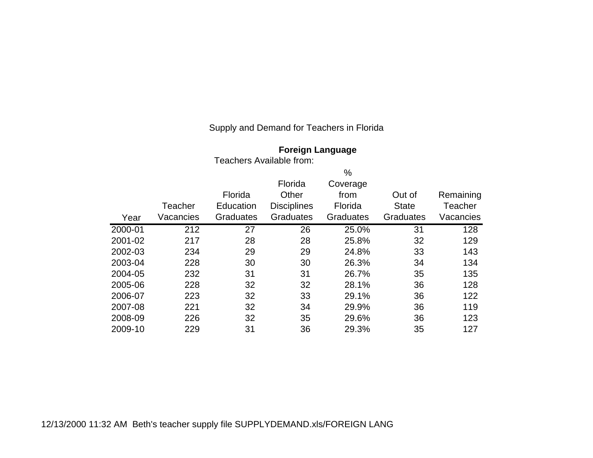| <b>Foreign Language</b> |
|-------------------------|
|                         |

|         |           |                  |                    | $\%$      |              |                |
|---------|-----------|------------------|--------------------|-----------|--------------|----------------|
|         |           |                  | Florida            | Coverage  |              |                |
|         |           | Florida          | Other              | from      | Out of       | Remaining      |
|         | Teacher   | Education        | <b>Disciplines</b> | Florida   | <b>State</b> | <b>Teacher</b> |
| Year    | Vacancies | <b>Graduates</b> | Graduates          | Graduates | Graduates    | Vacancies      |
| 2000-01 | 212       | 27               | 26                 | 25.0%     | 31           | 128            |
| 2001-02 | 217       | 28               | 28                 | 25.8%     | 32           | 129            |
| 2002-03 | 234       | 29               | 29                 | 24.8%     | 33           | 143            |
| 2003-04 | 228       | 30               | 30                 | 26.3%     | 34           | 134            |
| 2004-05 | 232       | 31               | 31                 | 26.7%     | 35           | 135            |
| 2005-06 | 228       | 32               | 32                 | 28.1%     | 36           | 128            |
| 2006-07 | 223       | 32               | 33                 | 29.1%     | 36           | 122            |
| 2007-08 | 221       | 32               | 34                 | 29.9%     | 36           | 119            |
| 2008-09 | 226       | 32               | 35                 | 29.6%     | 36           | 123            |
| 2009-10 | 229       | 31               | 36                 | 29.3%     | 35           | 127            |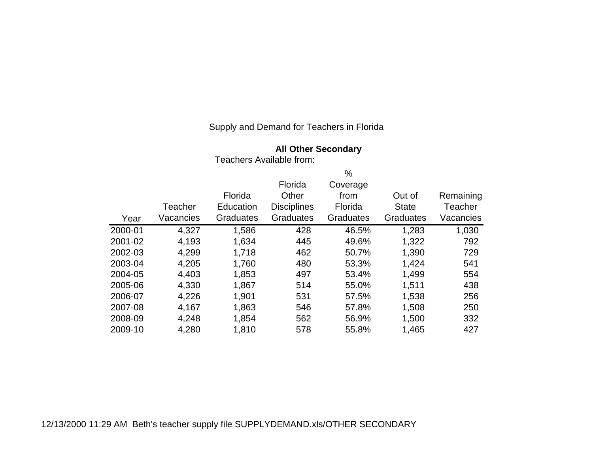## **All Other Secondary**

Teachers Available from:

|         |           |           |                    | %                |                  |           |
|---------|-----------|-----------|--------------------|------------------|------------------|-----------|
|         |           |           | Florida            | Coverage         |                  |           |
|         |           | Florida   | Other              | from             | Out of           | Remaining |
|         | Teacher   | Education | <b>Disciplines</b> | Florida          | <b>State</b>     | Teacher   |
| Year    | Vacancies | Graduates | Graduates          | <b>Graduates</b> | <b>Graduates</b> | Vacancies |
| 2000-01 | 4,327     | 1,586     | 428                | 46.5%            | 1,283            | 1,030     |
| 2001-02 | 4,193     | 1,634     | 445                | 49.6%            | 1,322            | 792       |
| 2002-03 | 4,299     | 1,718     | 462                | 50.7%            | 1,390            | 729       |
| 2003-04 | 4,205     | 1,760     | 480                | 53.3%            | 1,424            | 541       |
| 2004-05 | 4,403     | 1,853     | 497                | 53.4%            | 1,499            | 554       |
| 2005-06 | 4,330     | 1,867     | 514                | 55.0%            | 1,511            | 438       |
| 2006-07 | 4,226     | 1,901     | 531                | 57.5%            | 1,538            | 256       |
| 2007-08 | 4,167     | 1,863     | 546                | 57.8%            | 1,508            | 250       |
| 2008-09 | 4,248     | 1,854     | 562                | 56.9%            | 1,500            | 332       |
| 2009-10 | 4,280     | 1,810     | 578                | 55.8%            | 1,465            | 427       |

12/13/2000 11:29 AM Beth's teacher supply file SUPPLYDEMAND.xls/OTHER SECONDARY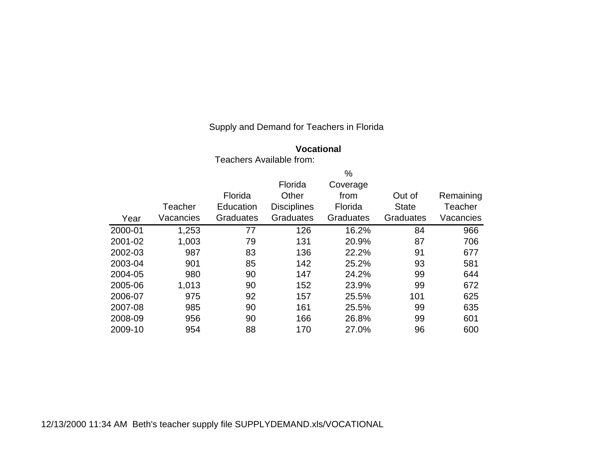## **Vocational**

Teachers Available from:

| Year    | Teacher<br>Vacancies | Florida<br>Education<br><b>Graduates</b> | Florida<br>Other<br><b>Disciplines</b><br>Graduates | $\%$<br>Coverage<br>from<br>Florida<br><b>Graduates</b> | Out of<br><b>State</b><br><b>Graduates</b> | Remaining<br>Teacher<br>Vacancies |
|---------|----------------------|------------------------------------------|-----------------------------------------------------|---------------------------------------------------------|--------------------------------------------|-----------------------------------|
| 2000-01 | 1,253                | 77                                       | 126                                                 | 16.2%                                                   | 84                                         | 966                               |
| 2001-02 | 1,003                | 79                                       | 131                                                 | 20.9%                                                   | 87                                         | 706                               |
| 2002-03 | 987                  | 83                                       | 136                                                 | 22.2%                                                   | 91                                         | 677                               |
| 2003-04 | 901                  | 85                                       | 142                                                 | 25.2%                                                   | 93                                         | 581                               |
| 2004-05 | 980                  | 90                                       | 147                                                 | 24.2%                                                   | 99                                         | 644                               |
| 2005-06 | 1,013                | 90                                       | 152                                                 | 23.9%                                                   | 99                                         | 672                               |
| 2006-07 | 975                  | 92                                       | 157                                                 | 25.5%                                                   | 101                                        | 625                               |
| 2007-08 | 985                  | 90                                       | 161                                                 | 25.5%                                                   | 99                                         | 635                               |
| 2008-09 | 956                  | 90                                       | 166                                                 | 26.8%                                                   | 99                                         | 601                               |
| 2009-10 | 954                  | 88                                       | 170                                                 | 27.0%                                                   | 96                                         | 600                               |

12/13/2000 11:34 AM Beth's teacher supply file SUPPLYDEMAND.xls/VOCATIONAL